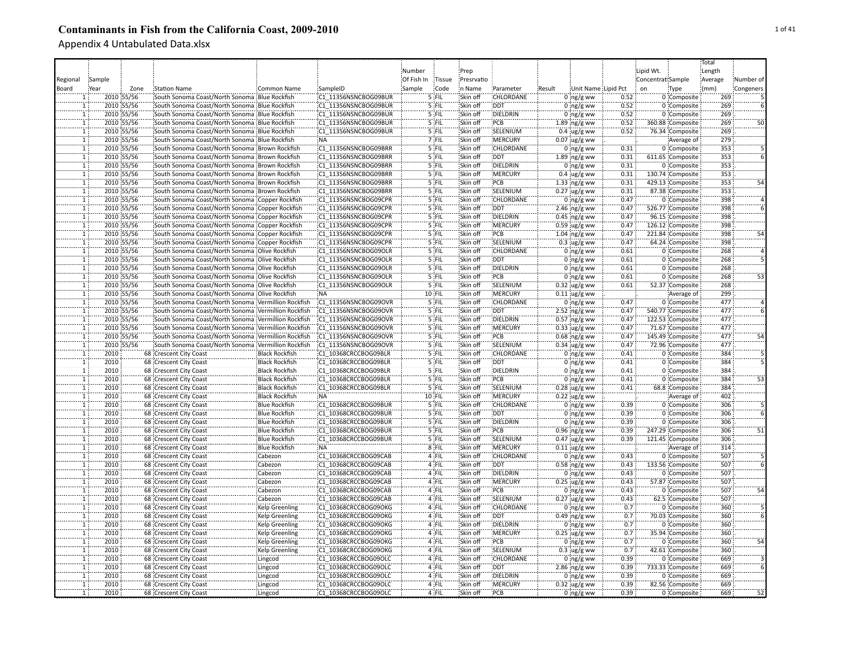|                          |        |            |                                                     |                       |                      |            |          |            |                  |        |                     |      |                   |                  | Total   |           |
|--------------------------|--------|------------|-----------------------------------------------------|-----------------------|----------------------|------------|----------|------------|------------------|--------|---------------------|------|-------------------|------------------|---------|-----------|
|                          |        |            |                                                     |                       |                      | Number     |          | Prep       |                  |        |                     |      | Lipid Wt.         |                  | Length  |           |
| Regional                 | Sample |            |                                                     |                       |                      | Of Fish In | Tissue   | Presrvatio |                  |        |                     |      | Concentrat Sample |                  | Average | Number of |
| Board                    | Year   | Zone       | <b>Station Name</b>                                 | <b>Common Name</b>    | SampleID             | Sample     | Code     | in Name    | Parameter        | Result | Unit Name Lipid Pct |      | on                | Type             | (mm)    | Congeners |
|                          |        | 2010 55/56 | South Sonoma Coast/North Sonoma Blue Rockfish       |                       | C1 11356NSNCBOG09BUR |            | 5 FIL    | Skin off   | CHLORDANE        |        | $0 \log/g$ ww       | 0.52 |                   | 0 Composite      | 269     |           |
| $\mathbf{1}$             |        | 2010 55/56 | South Sonoma Coast/North Sonoma Blue Rockfish       |                       | C1 11356NSNCBOG09BUR |            | 5 FIL    | Skin off   | <b>DDT</b>       |        |                     | 0.52 |                   | 0 Composite      | 269     |           |
|                          |        |            |                                                     |                       | C1 11356NSNCBOG09BUR |            |          |            | DIELDRIN         |        | $0$ ng/g ww         | 0.52 |                   |                  | 269     |           |
| $\mathbf{1}$             |        | 2010 55/56 | South Sonoma Coast/North Sonoma Blue Rockfish       |                       |                      |            | 5 FIL    | Skin off   |                  |        | 0 $ng/g$ ww         |      |                   | 0 Composite      |         |           |
| $\mathbf{1}$             |        | 2010 55/56 | South Sonoma Coast/North Sonoma Blue Rockfish       |                       | C1 11356NSNCBOG09BUR |            | 5 FIL    | Skin off   | PCB              |        | $1.89$ ng/g ww      | 0.52 |                   | 360.88 Composite | 269     | 50        |
| $\mathbf{1}$             |        | 2010 55/56 | South Sonoma Coast/North Sonoma Blue Rockfish       |                       | C1 11356NSNCBOG09BUR |            | 5 FIL    | Skin off   | SELENIUM         |        | $0.4 \,$ ug/g ww    | 0.52 |                   | 76.34 Composite  | 269     |           |
| ï                        |        | 2010 55/56 | South Sonoma Coast/North Sonoma Blue Rockfish       |                       | <b>NA</b>            |            | 7 FIL    | Skin off   | <b>MERCURY</b>   |        | $0.07$ ug/g ww      |      |                   | Average of       | 279     |           |
| T                        |        | 2010 55/56 | South Sonoma Coast/North Sonoma Brown Rockfish      |                       | C1 11356NSNCBOG09BRR |            | 5 FIL    | Skin off   | CHLORDANE        |        | $0$ ng/g ww         | 0.31 |                   | 0 Composite      | 353     |           |
| T                        |        | 2010 55/56 | South Sonoma Coast/North Sonoma Brown Rockfish      |                       | C1 11356NSNCBOG09BRR |            | 5 FIL    | Skin off   | <b>DDT</b>       |        | $1.89$ ng/g ww      | 0.31 |                   | 611.65 Composite | 353     |           |
| Ŧ.                       |        | 2010 55/56 | South Sonoma Coast/North Sonoma Brown Rockfish      |                       | C1 11356NSNCBOG09BRR |            | 5 FIL    | Skin off   | DIELDRIN         |        | $0$ ing/g ww        | 0.31 |                   | 0 Composite      | 353     |           |
| $\overline{1}$           |        | 2010 55/56 | South Sonoma Coast/North Sonoma Brown Rockfish      |                       | C1 11356NSNCBOG09BRR |            | 5 FIL    | Skin off   | MERCURY          |        | $0.4 \,$ ug/g ww    | 0.31 |                   | 130.74 Composite | 353     |           |
| $\overline{1}$           |        | 2010 55/56 | South Sonoma Coast/North Sonoma Brown Rockfish      |                       | C1 11356NSNCBOG09BRR |            | 5 FIL    | Skin off   | PCB              |        | $1.33$ ng/g ww      | 0.31 |                   | 429.13 Composite | 353     | 54        |
| $\widetilde{\mathbf{1}}$ |        | 2010 55/56 | South Sonoma Coast/North Sonoma Brown Rockfish      |                       | C1 11356NSNCBOG09BRR |            | 5 FIL    | Skin off   | SELENIUM         |        | $0.27$ ug/g ww      | 0.31 |                   | 87.38 Composite  | 353     |           |
| $\overline{1}$           |        | 2010 55/56 | South Sonoma Coast/North Sonoma Copper Rockfish     |                       | C1 11356NSNCBOG09CPR |            | $5$ FIL  | Skin off   | <b>CHLORDANE</b> |        | $0$ ing/g ww        | 0.47 |                   | 0 Composite      | 398     |           |
| $\mathbf{1}$             |        | 2010 55/56 | South Sonoma Coast/North Sonoma Copper Rockfish     |                       | C1 11356NSNCBOG09CPR |            | $5$ FIL  | Skin off   | <b>DDT</b>       |        | 2.46 ing/g ww       | 0.47 |                   | 526.77 Composite | 398     |           |
| ï                        |        | 2010 55/56 | South Sonoma Coast/North Sonoma Copper Rockfish     |                       | C1 11356NSNCBOG09CPR |            | 5 FIL    | Skin off   | DIELDRIN         |        | $0.45$ ng/g ww      | 0.47 |                   | 96.15 Composite  | 398     |           |
| ï                        |        | 2010 55/56 | South Sonoma Coast/North Sonoma Copper Rockfish     |                       | C1 11356NSNCBOG09CPR |            | '5 FIL   | Skin off   | MERCURY          |        | $0.59$ ug/g ww      | 0.47 |                   | 126.12 Composite | 398     |           |
| ï                        |        | 2010 55/56 | South Sonoma Coast/North Sonoma Copper Rockfish     |                       | C1 11356NSNCBOG09CPR |            | '5 FIL   | Skin off   | PCB              |        | $1.04$ ng/g ww      | 0.47 |                   | 221.84 Composite | 398     |           |
| $\mathbf{1}$             |        | 2010 55/56 |                                                     |                       | C1 11356NSNCBOG09CPR |            | 5 FIL    | Skin off   | SELENIUM         |        |                     | 0.47 |                   |                  | 398     |           |
|                          |        |            | South Sonoma Coast/North Sonoma Copper Rockfish     |                       |                      |            |          |            |                  |        | $0.3$ ug/g ww       |      |                   | 64.24 Composite  |         |           |
|                          |        | 2010 55/56 | South Sonoma Coast/North Sonoma Olive Rockfish      |                       | C1 11356NSNCBOG09OLR |            | $5$ FIL  | Skin off   | CHLORDANE        |        | $0$ ing/g ww        | 0.61 |                   | 0 Composite      | 268     |           |
| $\overline{1}$           |        | 2010 55/56 | South Sonoma Coast/North Sonoma Olive Rockfish      |                       | C1 11356NSNCBOG09OLR |            | 5 FIL    | Skin off   | <b>DDT</b>       |        | $0:$ ng/g ww        | 0.61 |                   | 0 Composite      | 268     |           |
| $\overline{1}$           |        | 2010 55/56 | South Sonoma Coast/North Sonoma Olive Rockfish      |                       | C1 11356NSNCBOG09OLR |            | 5 FIL    | Skin off   | DIELDRIN         |        | $0$ ing/g ww        | 0.61 |                   | 0 Composite      | 268     |           |
| $\overline{1}$           |        | 2010 55/56 | South Sonoma Coast/North Sonoma Olive Rockfish      |                       | C1 11356NSNCBOG09OLR |            | 5 FIL    | Skin off   | :PCB             |        | $0$ ing/g ww        | 0.61 |                   | 0 Composite      | 268     | 53        |
| $\mathbf T$              |        | 2010 55/56 | South Sonoma Coast/North Sonoma Olive Rockfish      |                       | C1 11356NSNCBOG09OLR |            | $5$ FIL  | Skin off   | SELENIUM         |        | $0.32$ ug/g ww      | 0.61 |                   | 52.37 Composite  | 268     |           |
| $\overline{1}$           |        | 2010 55/56 | South Sonoma Coast/North Sonoma Olive Rockfish      |                       | <b>NA</b>            |            | $10$ FIL | Skin off   | <b>MERCURY</b>   |        | $0.11$ ug/g ww      |      |                   | Average of       | 299     |           |
| $\overline{1}$           |        | 2010 55/56 | South Sonoma Coast/North Sonoma Vermillion Rockfish |                       | C1 11356NSNCBOG09OVR |            | 5 FIL    | Skin off   | <b>CHLORDANE</b> |        | $0$ ing/g ww        | 0.47 |                   | 0 Composite      | 477     |           |
| ï                        |        | 2010 55/56 | South Sonoma Coast/North Sonoma Vermillion Rockfish |                       | C1 11356NSNCBOG09OVR |            | 5 FIL    | Skin off   | <b>DDT</b>       |        | $2.52$ ng/g ww      | 0.47 |                   | 540.77 Composite | 477     |           |
| $\mathbf 1$              |        | 2010 55/56 | South Sonoma Coast/North Sonoma Vermillion Rockfish |                       | C1 11356NSNCBOG09OVR |            | 5 FIL    | Skin off   | DIELDRIN         |        | $0.57$ ng/g ww      | 0.47 |                   | 122.53 Composite | 477     |           |
| T                        |        | 2010 55/56 | South Sonoma Coast/North Sonoma Vermillion Rockfish |                       | C1 11356NSNCBOG09OVR |            | 5 FIL    | Skin off   | MERCURY          |        | $0.33$ ug/g ww      | 0.47 |                   | 71.67 Composite  | 477     |           |
| $\overline{1}$           |        | 2010 55/56 | South Sonoma Coast/North Sonoma Vermillion Rockfish |                       | C1 11356NSNCBOG09OVR |            | 5 FIL    | Skin off   | PCB              |        | $0.68$ ng/g ww      | 0.47 |                   | 145.49 Composite | 477     | 54        |
|                          |        | 2010 55/56 | South Sonoma Coast/North Sonoma Vermillion Rockfish |                       | C1 11356NSNCBOG09OVR |            | 5 FIL    | Skin off   | SELENIUM         |        | $0.34$ ug/g ww      | 0.47 |                   | 72.96 Composite  | 477     |           |
| T                        | 2010   |            | 68 Crescent City Coast                              | <b>Black Rockfish</b> | C1 10368CRCCBOG09BLR |            | 5 FIL    | Skin off   | CHLORDANE        |        | $0$ ng/g ww         | 0.41 |                   | 0 Composite      | 384     |           |
| ï                        | 2010   |            | 68 Crescent City Coast                              | <b>Black Rockfish</b> | C1 10368CRCCBOG09BLR |            | 5 FIL    | Skin off   | <b>DDT</b>       |        | $0$ ng/g ww         | 0.41 |                   | 0 Composite      | 384     |           |
| T                        | 2010   |            | 68 Crescent City Coast                              | <b>Black Rockfish</b> | C1 10368CRCCBOG09BLR |            | 5 FIL    | Skin off   | <b>DIELDRIN</b>  |        | $0$ ing/g ww        | 0.41 |                   | 0 Composite      | 384     |           |
|                          | 2010   |            |                                                     |                       |                      |            | 5 FIL    | Skin off   | PCB              |        |                     | 0.41 |                   |                  | 384     | 53        |
| $\mathbf{1}$             |        |            | 68 Crescent City Coast                              | <b>Black Rockfish</b> | C1 10368CRCCBOG09BLR |            |          |            |                  |        | $0$ ng/g ww         |      |                   | 0 Composite      |         |           |
| $\mathbf{1}$             | 2010   |            | 68 Crescent City Coast                              | <b>Black Rockfish</b> | C1 10368CRCCBOG09BLR |            | 5 FIL    | Skin off   | SELENIUM         |        | $0.28$ ug/g ww      | 0.41 |                   | 68.8 Composite   | 384     |           |
| $\mathbf{1}$             | 2010   |            | 68 Crescent City Coast                              | <b>Black Rockfish</b> | :NA                  |            | 10 FIL   | Skin off   | <b>MERCURY</b>   |        | $0.22$ ug/g ww      |      |                   | Average of       | 402     |           |
| $\mathbf{1}$             | 2010   |            | 68 Crescent City Coast                              | <b>Blue Rockfish</b>  | C1 10368CRCCBOG09BUR |            | 5 FIL    | Skin off   | <b>CHLORDANE</b> |        | $0$ ng/g ww         | 0.39 |                   | 0 Composite      | 306     |           |
| $\mathbf{1}$             | 2010   |            | 68 Crescent City Coast                              | <b>Blue Rockfish</b>  | C1 10368CRCCBOG09BUR |            | $5$ FIL  | Skin off   | <b>DDT</b>       |        | $0$ ing/g ww        | 0.39 |                   | 0 Composite      | 306     |           |
| $\overline{1}$           | 2010   |            | 68 Crescent City Coast                              | <b>Blue Rockfish</b>  | C1 10368CRCCBOG09BUR |            | 5 FIL    | Skin off   | DIELDRIN         |        | $0$ ing/g ww        | 0.39 |                   | 0 Composite      | 306     |           |
| ï                        | 2010   |            | 68 Crescent City Coast                              | <b>Blue Rockfish</b>  | C1 10368CRCCBOG09BUR |            | '5 FIL   | Skin off   | PCB              |        | $0.96$ ng/g ww      | 0.39 |                   | 247.29 Composite | 306     | 51        |
| ï                        | 2010   |            | 68 Crescent City Coast                              | <b>Blue Rockfish</b>  | C1 10368CRCCBOG09BUR |            | 5 FIL    | Skin off   | SELENIUM         |        | $0.47$ ug/g ww      | 0.39 |                   | 121.45 Composite | 306     |           |
| $\mathbf{1}$             | 2010   |            | 68 Crescent City Coast                              | <b>Blue Rockfish</b>  | NA <sup>:</sup>      |            | $8$ FIL  | Skin off   | MERCURY          |        | $0.11$ ug/g ww      |      |                   | Average of       | 314     |           |
| $\mathbf{1}$             | 2010   |            | 68 Crescent City Coast                              | Cabezon               | C1 10368CRCCBOG09CAB |            | 4 FIL    | Skin off   | CHLORDANE        |        | $0$ ing/g ww        | 0.43 |                   | 0 Composite      | 507     |           |
| $\mathbf{1}$             | 2010   |            | 68 Crescent City Coast                              | Cabezon               | C1 10368CRCCBOG09CAB |            | $4$ FIL  | Skin off   | <b>DDT</b>       |        | $0.58$ ng/g ww      | 0.43 |                   | 133.56 Composite | 507     |           |
| $\overline{1}$           | 2010   |            | 68 Crescent City Coast                              | Cabezon               | C1 10368CRCCBOG09CAB |            | 4 FIL    | Skin off   | DIELDRIN         |        | $0$ ing/g ww        | 0.43 |                   | 0 Composite      | 507     |           |
| $\overline{1}$           | 2010   |            | 68 Crescent City Coast                              | Cabezon               | C1 10368CRCCBOG09CAB |            | 4 FIL    | Skin off   | <b>MERCURY</b>   |        | $0.25$ ug/g ww      | 0.43 |                   | 57.87 Composite  | 507     |           |
| $\overline{1}$           | 2010   |            | 68 Crescent City Coast                              | Cabezon               | C1 10368CRCCBOG09CAB |            | 4 FIL    | Skin off   | :PCB             |        | 0 $ng/g$ ww         | 0.43 |                   | 0 Composite      | 507     | 54        |
| 11                       | 2010   |            | 68 Crescent City Coast                              | Cabezon               | C1 10368CRCCBOG09CAB |            | 4 FIL    | Skin off   | SELENIUM         |        | $0.27$ ug/g ww      | 0.43 |                   | 62.5 Composite   | 507     |           |
| $\overline{1}$           | 2010   |            | 68 Crescent City Coast                              | <b>Kelp Greenling</b> | C1 10368CRCCBOG09OKG |            | 4 FIL    | Skin off   | <b>CHLORDANE</b> |        | $0$ ing/g ww        | 0.7  |                   | 0 Composite      | 360     |           |
| T                        | 2010   |            | 68 Crescent City Coast                              | <b>Kelp Greenling</b> | C1 10368CRCCBOG09OKG |            | 4 FIL    | Skin off   | <b>DDT</b>       |        | $0.49$ ng/g ww      | 0.7  |                   | 70.03 Composite  | 360     |           |
| ï                        | 2010   |            | 68 Crescent City Coast                              |                       | C1 10368CRCCBOG09OKG |            | 4 FIL    | Skin off   | DIELDRIN         |        |                     | 0.7  |                   | 0 Composite      | 360     |           |
|                          |        |            |                                                     | Kelp Greenling        |                      |            |          |            |                  |        | $0$ ng/g ww         |      |                   |                  |         |           |
| $\mathbf{1}$             | 2010   |            | 68 Crescent City Coast                              | <b>Kelp Greenling</b> | C1 10368CRCCBOG09OKG |            | 4 FIL    | Skin off   | <b>MERCURY</b>   |        | $0.25$ ug/g ww      | 0.7  |                   | 35.94 Composite  | 360     |           |
| $\mathbf{1}$             | 2010   |            | 68 Crescent City Coast                              | <b>Kelp Greenling</b> | C1 10368CRCCBOG09OKG |            | 4 FIL    | Skin off   | PCB              |        | $0$ ing/g ww        | 0.7  |                   | 0 Composite      | 360     | 54        |
| $\overline{1}$           | 2010   |            | 68 Crescent City Coast                              | <b>Kelp Greenling</b> | C1 10368CRCCBOG09OKG |            | 4 FIL    | Skin off   | SELENIUM         |        | $0.3 \,$ ug/g ww    | 0.7  |                   | 42.61 Composite  | 360     |           |
| $\mathbf{1}$             | 2010   |            | 68 Crescent City Coast                              | Lingcod               | C1 10368CRCCBOG09OLC |            | 4 FIL    | Skin off   | CHLORDANE        |        | $0 \log/g$ ww       | 0.39 |                   | 0 Composite      | 669     |           |
| Ĩ.                       | 2010   |            | 68 Crescent City Coast                              | Lingcod               | C1 10368CRCCBOG09OLC |            | 4 FIL    | Skin off   | <b>DDT</b>       |        | $2.86$ ng/g ww      | 0.39 |                   | 733.33 Composite | 669     |           |
| Ŧ                        | 2010   |            | 68 Crescent City Coast                              | Lingcod               | C1 10368CRCCBOG09OLC |            | 4 FIL    | Skin off   | <b>DIELDRIN</b>  |        | $0$ ing/g ww        | 0.39 |                   | 0 Composite      | 669     |           |
| Ŧ                        | 2010   |            | 68 Crescent City Coast                              | Lingcod               | C1 10368CRCCBOG09OLC |            | 4 FIL    | Skin off   | <b>MERCURY</b>   |        | $0.32$ ug/g ww      | 0.39 |                   | 82.56 Composite  | 669     |           |
| 1 <sup>1</sup>           | 2010   |            | 68 Crescent City Coast                              | Lingcod               | C1 10368CRCCBOG09OLC |            | 4 FIL    | Skin off   | PCB              |        | $0$ ng/g ww         | 0.39 |                   | 0 Composite      | 669     | 52        |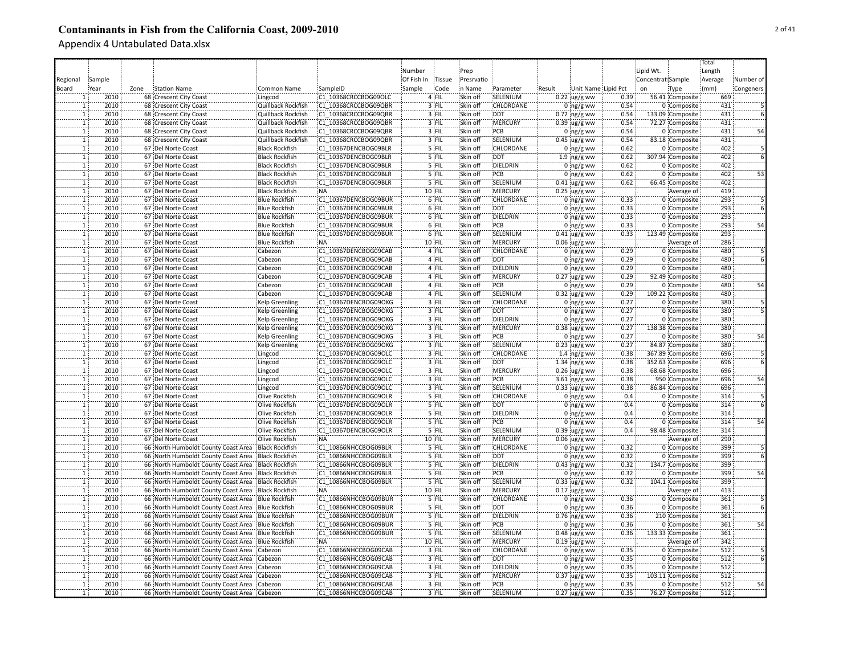|                |        |      |                                             |                       |                      |            |                |                      |                  |        |                     |              |                   |                  | Total   |           |
|----------------|--------|------|---------------------------------------------|-----------------------|----------------------|------------|----------------|----------------------|------------------|--------|---------------------|--------------|-------------------|------------------|---------|-----------|
|                |        |      |                                             |                       |                      | Number     |                | Prep                 |                  |        |                     |              | Lipid Wt.         |                  | Length  |           |
| Regional       | Sample |      |                                             |                       |                      | Of Fish In | Tissue         | Presrvatio           |                  |        |                     |              | Concentrat Sample |                  | Average | Number of |
| Board          | Year   | Zone | <b>Station Name</b>                         | Common Name           | SampleID             | Sample     | Code           | n Name               | Parameter        | Result | Unit Name Lipid Pct |              | on                | Type             | (mm)    | Congeners |
|                | 2010   |      | 68 Crescent City Coast                      | Lingcod               | C1 10368CRCCBOG09OLC |            | 4 FIL          | Skin off             | SELENIUM         |        | $0.22$ ug/g ww      | 0.39         |                   | 56.41 Composite  | 669     |           |
|                | 2010   |      | 68 Crescent City Coast                      | Quillback Rockfish    | C1 10368CRCCBOG09QBR |            | 3 FIL          | Skin off             | CHLORDANE        |        | $0$ ng/g ww         | 0.54         |                   | 0 Composite      | 431     |           |
| 1              | 2010   |      | 68 Crescent City Coast                      | Quillback Rockfish    | C1 10368CRCCBOG09QBR |            | 3 FIL          | Skin off             | <b>DDT</b>       |        | $0.72$ ng/g ww      | 0.54         |                   | 133.09 Composite | 431     |           |
|                | 2010   |      | 68 Crescent City Coast                      | Quillback Rockfish    | C1 10368CRCCBOG09QBR |            | 3 FIL          | Skin off             | MERCURY          |        | $0.39$ ug/g ww      | 0.54         |                   | 72.27 Composite  | 431     |           |
|                | 2010   |      | 68 Crescent City Coast                      | Quillback Rockfish    | C1 10368CRCCBOG09QBR |            | 3 FIL          | Skin off             | PCB              |        | $0$ ng/g ww         | 0.54         |                   | 0 Composite      | 431     | 54        |
| ï              | 2010   |      |                                             |                       | C1 10368CRCCBOG09QBR |            | 3 FIL          | Skin off             | SELENIUM         |        |                     | 0.54         |                   |                  | 431     |           |
|                | 2010   |      | 68 Crescent City Coast                      | Quillback Rockfish    |                      |            |                | Skin off             | CHLORDANE        |        | $0.45$ ug/g ww      | 0.62         |                   | 83.18 Composite  | 402     |           |
| T              |        |      | 67 Del Norte Coast                          | <b>Black Rockfish</b> | C1 10367DENCBOG09BLR |            | 5 FIL          |                      |                  |        | $0$ ng/g ww         |              |                   | 0 Composite      |         |           |
| ï              | 2010   |      | 67 Del Norte Coast                          | <b>Black Rockfish</b> | C1 10367DENCBOG09BLR |            | 5 FIL          | Skin off             | <b>DDT</b>       |        | $1.9 \,$ ng/g ww    | 0.62         |                   | 307.94 Composite | 402     |           |
| ï              | 2010   |      | 67 Del Norte Coast                          | <b>Black Rockfish</b> | C1 10367DENCBOG09BLR |            | 5 FIL          | Skin off             | DIELDRIN         |        | $0$ ng/g ww         | 0.62         |                   | 0 Composite      | 402     |           |
| $\mathbf{1}$   | 2010   |      | 67 Del Norte Coast                          | <b>Black Rockfish</b> | C1 10367DENCBOG09BLR |            | 5 FIL          | Skin off             | PCB              |        | $0$ ng/g ww         | 0.62         |                   | 0 Composite      | 402     | 53        |
| $\mathbf{1}$   | 2010   |      | 67 Del Norte Coast                          | <b>Black Rockfish</b> | C1 10367DENCBOG09BLR |            | 5 FIL          | Skin off             | SELENIUM         |        | $0.41$ ug/g ww      | 0.62         |                   | 66.45 Composite  | 402     |           |
| ĩ              | 2010   |      | 67 Del Norte Coast                          | <b>Black Rockfish</b> | NA.                  |            | 10 FIL         | Skin off             | <b>MERCURY</b>   |        | $0.25$ ug/g ww      |              |                   | Average of       | 419     |           |
| $\mathbf{1}$   | 2010   |      | 67 Del Norte Coast                          | <b>Blue Rockfish</b>  | C1 10367DENCBOG09BUR |            | $6$ FIL        | Skin off             | <b>CHLORDANE</b> |        | $0$ ing/g ww        | 0.33         |                   | 0 Composite      | 293     |           |
| $\mathbf{1}$   | 2010   |      | 67 Del Norte Coast                          | <b>Blue Rockfish</b>  | C1 10367DENCBOG09BUR |            | 6 FIL          | Skin off             | <b>DDT</b>       |        | $0$ ng/g ww         | 0.33         |                   | 0 Composite      | 293     |           |
|                | 2010   |      | 67 Del Norte Coast                          | <b>Blue Rockfish</b>  | C1 10367DENCBOG09BUR |            | 6 FIL          | Skin off             | DIELDRIN         |        | $0$ ng/g ww         | 0.33         |                   | 0 Composite      | 293     |           |
|                | 2010   |      | 67 Del Norte Coast                          | <b>Blue Rockfish</b>  | C1 10367DENCBOG09BUR |            | 6 FIL          | Skin off             | PCB              |        | $0$ ing/g ww        | 0.33         |                   | 0 Composite      | 293     | 54        |
| $\mathbf{1}$   | 2010   |      | 67 Del Norte Coast                          | <b>Blue Rockfish</b>  | C1 10367DENCBOG09BUR |            | $6$ FIL        | Skin off             | SELENIUM         |        | $0.41$ ug/g ww      | 0.33         |                   | 123.49 Composite | 293     |           |
|                | 2010   |      | 67 Del Norte Coast                          | <b>Blue Rockfish</b>  | <b>NA</b>            |            | 10 FIL         | Skin off             | MERCURY          |        | $0.06$ ug/g ww      |              |                   | Average of       | 286     |           |
| 1              | 2010   |      | 67 Del Norte Coast                          | Cabezon               | C1 10367DENCBOG09CAB |            | 4 FIL          | Skin off             | CHLORDANE        |        | $0$ ng/g ww         | 0.29         |                   | 0 Composite      | 480     |           |
|                | 2010   |      | 67 Del Norte Coast                          | Cabezon               | C1 10367DENCBOG09CAB |            | $4$ FII        | Skin off             | <b>DDT</b>       |        | $0$ ing/g ww        | 0.29         |                   | 0 Composite      | 480     |           |
| $\mathbf{1}$   | 2010   |      | 67  Del Norte Coast                         | Cabezon               | C1 10367DENCBOG09CAB |            | 4 FIL          | Skin off             | DIELDRIN         |        | $0$ ng/g ww         | 0.29         |                   | 0 Composite      | 480     |           |
| 1              | 2010   |      | 67 Del Norte Coast                          | Cabezon               | C1 10367DENCBOG09CAB |            | 4 FIL          | Skin off             | <b>MERCURY</b>   |        | $0.27$ ug/g ww      | 0.29         |                   | 92.49 Composite  | 480     |           |
| T              | 2010   |      | 67 Del Norte Coast                          | Cabezon               | C1 10367DENCBOG09CAB |            | 4 FIL          | Skin off             | PCB              |        | $0$ ng/g ww         | 0.29         |                   | 0 Composite      | 480     | 54        |
| $\overline{1}$ | 2010   |      | 67  Del Norte Coast                         | Cabezon               | C1 10367DENCBOG09CAB |            | 4 FIL          | Skin off             | SELENIUM         |        | $0.32$ ug/g ww      | 0.29         |                   | 109.22 Composite | 480     |           |
| T              | 2010   |      | 67 Del Norte Coast                          | <b>Kelp Greenling</b> | C1 10367DENCBOG09OKG |            | $3$ FIL        | Skin off             | <b>CHLORDANE</b> |        | $0$ ng/g ww         | 0.27         |                   | 0 Composite      | 380     |           |
| $\mathbf{1}$   | 2010   |      | 67 Del Norte Coast                          | Kelp Greenling        | C1 10367DENCBOG09OKG |            | 3 FIL          | Skin off             | <b>DDT</b>       |        | $0$ ng/g ww         | 0.27         |                   | 0 Composite      | 380     |           |
| 1              | 2010   |      | 67 Del Norte Coast                          | <b>Kelp Greenling</b> | C1 10367DENCBOG09OKG |            | 3 FIL          | Skin off             | DIELDRIN         |        | $0$ ng/g ww         | 0.27         |                   | 0 Composite      | 380     |           |
| $\overline{1}$ | 2010   |      | 67 Del Norte Coast                          | <b>Kelp Greenling</b> | C1 10367DENCBOG09OKG |            | 3 FIL          | Skin off             | <b>MERCURY</b>   |        | $0.38$ ug/g ww      | 0.27         |                   | 138.38 Composite | 380     |           |
|                | 2010   |      | 67 Del Norte Coast                          | <b>Kelp Greenling</b> | C1 10367DENCBOG09OKG |            | 3 FIL          | Skin off             | PCB              |        | $0$ ing/g ww        | 0.27         |                   | 0 Composite      | 380     |           |
| 1              | 2010   |      | 67 Del Norte Coast                          | <b>Kelp Greenling</b> | C1 10367DENCBOG09OKG |            | 3 FIL          | Skin off             | SELENIUM         |        | $0.23$ ug/g ww      | 0.27         |                   | 84.87 Composite  | 380     |           |
|                | 2010   |      | 67 Del Norte Coast                          |                       | C1 10367DENCBOG09OLC |            | 3 FIL          | Skin off             | CHLORDANE        |        |                     | 0.38         |                   |                  | 696     |           |
|                |        |      |                                             | Lingcod               |                      |            |                |                      | DDT              |        | 1.4 $ng/g$ ww       |              |                   | 367.89 Composite | 696     |           |
| $\mathbf{1}$   | 2010   |      | 67 Del Norte Coast                          | Lingcod               | C1 10367DENCBOG09OLC |            | 3 FIL<br>3 FIL | Skin off<br>Skin off | <b>MERCURY</b>   |        | 1.34 $ng/g$ ww      | 0.38<br>0.38 |                   | 352.63 Composite | 696     |           |
| ï              | 2010   |      | 67 Del Norte Coast                          | Lingcod               | C1 10367DENCBOG09OLC |            |                |                      |                  |        | $0.26$ ug/g ww      |              |                   | 68.68 Composite  |         |           |
| $\mathbf{1}$   | 2010   |      | 67 Del Norte Coast                          | Lingcod               | C1 10367DENCBOG09OLC |            | 3 FIL          | Skin off             | PCB              |        | 3.61 $ng/g$ ww      | 0.38         |                   | 950 Composite    | 696     | 54        |
|                | 2010   |      | 67 Del Norte Coast                          | Lingcod               | C1 10367DENCBOG09OLC |            | 3 FIL          | Skin off             | SELENIUM         |        | $0.33$ ug/g ww      | 0.38         |                   | 86.84 Composite  | 696     |           |
| 1              | 2010   |      | 67 Del Norte Coast                          | Olive Rockfish        | C1 10367DENCBOG09OLR |            | 5 FIL          | Skin off             | <b>CHLORDANE</b> |        | $0$ ing/g ww        | 0.4          |                   | 0 Composite      | 314     |           |
|                | 2010   |      | 67 Del Norte Coast                          | Olive Rockfish        | C1 10367DENCBOG09OLR |            | 5 FIL          | Skin off             | DDT:             |        | 0 $ng/g$ ww         | 0.4          |                   | 0 Composite      | 314     |           |
| $\mathbf{1}$   | 2010   |      | 67 Del Norte Coast                          | Olive Rockfish        | C1 10367DENCBOG09OLR |            | 5 FIL          | Skin off             | <b>DIELDRIN</b>  |        | $0$ ng/g ww         | 0.4          |                   | 0 Composite      | 314     |           |
| $\mathbf{1}$   | 2010   |      | 67 Del Norte Coast                          | Olive Rockfish        | C1 10367DENCBOG09OLR |            | 5 FIL          | Skin off             | <b>PCB</b>       |        | $0$ ing/g ww        | 0.4          |                   | 0 Composite      | 314     | 54        |
|                | 2010   |      | 67 Del Norte Coast                          | Olive Rockfish        | C1 10367DENCBOG09OLR |            | 5 FIL          | Skin off             | SELENIUM         |        | $0.39$ ug/g ww      | 0.4          |                   | 98.48 Composite  | 314     |           |
|                | 2010   |      | 67 Del Norte Coast                          | Olive Rockfish        | <b>NA</b>            |            | 10 FIL         | Skin off             | MERCURY          |        | $0.06$ ug/g ww      |              |                   | Average of       | 290     |           |
|                | 2010   |      | 66 North Humboldt County Coast Area         | <b>Black Rockfish</b> | C1 10866NHCCBOG09BLR |            | 5 FIL          | Skin off             | CHLORDANE        |        | $0$ ng/g ww         | 0.32         |                   | 0 Composite      | 399     |           |
|                | 2010   |      | 66 North Humboldt County Coast Area         | <b>Black Rockfish</b> | C1 10866NHCCBOG09BLR |            | 5 FIL          | Skin off             | <b>DDT</b>       |        | $0$ ng/g ww         | 0.32         |                   | 0 Composite      | 399     |           |
| $\mathbf{1}$   | 2010   |      | 66 North Humboldt County Coast Area         | <b>Black Rockfish</b> | C1 10866NHCCBOG09BLR |            | 5 FIL          | Skin off             | DIELDRIN         |        | $0.43$ ing/g ww     | 0.32         |                   | 134.7 Composite  | 399     |           |
| $\mathbf{1}$   | 2010   |      | 66 North Humboldt County Coast Area         | <b>Black Rockfish</b> | C1 10866NHCCBOG09BLR |            | 5 FIL          | Skin off             | PCB              |        | $0$ ing/g ww        | 0.32         |                   | 0 Composite      | 399     | 54        |
| $\overline{1}$ | 2010   |      | 66 North Humboldt County Coast Area         | <b>Black Rockfish</b> | C1 10866NHCCBOG09BLR |            | $5$ FIL        | Skin off             | SELENIUM         |        | $0.33$ ug/g ww      | 0.32         |                   | 104.1 Composite  | 399     |           |
| $\hat{1}$      | 2010   |      | 66 North Humboldt County Coast Area         | <b>Black Rockfish</b> | ∶NA                  |            | 10 FIL         | Skin off             | :MERCURY         |        | $0.17$ ug/g ww      |              |                   | Average of       | 413     |           |
| ï              | 2010   |      | 66 North Humboldt County Coast Area         | <b>Blue Rockfish</b>  | C1 10866NHCCBOG09BUR |            | 5 FIL          | Skin off             | <b>CHLORDANE</b> |        | 0 $ng/g$ ww         | 0.36         |                   | 0 Composite      | 361     |           |
| $\mathbf{1}$   | 2010   |      | 66 North Humboldt County Coast Area         | <b>Blue Rockfish</b>  | C1 10866NHCCBOG09BUR |            | 5 FIL          | Skin off             | <b>DDT</b>       |        | 0 $ng/g$ ww         | 0.36         |                   | 0 Composite      | 361     |           |
| ï              | 2010   |      | 66 North Humboldt County Coast Area         | <b>Blue Rockfish</b>  | C1 10866NHCCBOG09BUR |            | 5 FIL          | Skin off             | <b>DIELDRIN</b>  |        | $0.76$ ng/g ww      | 0.36         |                   | 210 Composite    | 361     |           |
| $\mathbf{1}$   | 2010   |      | 66 North Humboldt County Coast Area         | <b>Blue Rockfish</b>  | C1 10866NHCCBOG09BUR |            | $5$ FIL        | Skin off             | PCB              |        | $0$ ng/g ww         | 0.36         |                   | 0 Composite      | 361     | 54        |
| $\mathbf{1}$   | 2010   |      | 66 North Humboldt County Coast Area         | <b>Blue Rockfish</b>  | C1 10866NHCCBOG09BUR |            | 5 FIL          | Skin off             | SELENIUM         |        | $0.48$ ug/g ww      | 0.36         |                   | 133.33 Composite | 361     |           |
|                | 2010   |      | 66 North Humboldt County Coast Area         | <b>Blue Rockfish</b>  | <b>NA</b>            |            | 10 FIL         | Skin off             | <b>MERCURY</b>   |        | $0.19$ ug/g ww      |              |                   | Average of       | 342     |           |
|                | 2010   |      | 66 North Humboldt County Coast Area         | Cabezon               | C1 10866NHCCBOG09CAB |            | 3 FIL          | Skin off             | <b>CHLORDANE</b> |        | 0 $ng/g$ ww         | 0.35         |                   | 0 Composite      | 512     |           |
| $\mathbf{1}$   | 2010   |      | 66 North Humboldt County Coast Area         | Cabezon               | C1 10866NHCCBOG09CAB |            | 3 FIL          | Skin off             | <b>DDT</b>       |        | $0$ ng/g ww         | 0.35         |                   | 0 Composite      | 512     |           |
| ï              | 2010   |      | 66 North Humboldt County Coast Area         | Cabezon               | C1 10866NHCCBOG09CAB |            | 3 FIL          | Skin off             | DIELDRIN         |        | $0$ ing/g ww        | 0.35         |                   | 0 Composite      | 512     |           |
| $\mathbf{1}$   | 2010   |      | 66 North Humboldt County Coast Area         | Cabezon               | C1 10866NHCCBOG09CAB |            | 3 FIL          | Skin off             | <b>MERCURY</b>   |        | $0.37$ ug/g ww      | 0.35         |                   | 103.11 Composite | 512     |           |
| Ŧ              | 2010   |      | 66 North Humboldt County Coast Area         | Cabezon               | C1 10866NHCCBOG09CAB |            | 3 FIL          | Skin off             | PCB              |        | $0$ ng/g ww         | 0.35         |                   | 0 Composite      | 512     | 54        |
|                | 2010   |      |                                             |                       | C1 10866NHCCBOG09CAB |            | 3 FIL          |                      | SELENIUM         |        |                     | 0.35         |                   |                  | 512     |           |
|                |        |      | 66 North Humboldt County Coast Area Cabezon |                       |                      |            |                | Skin off             |                  |        | $0.27$ ug/g ww      |              |                   | 76.27 Composite  |         |           |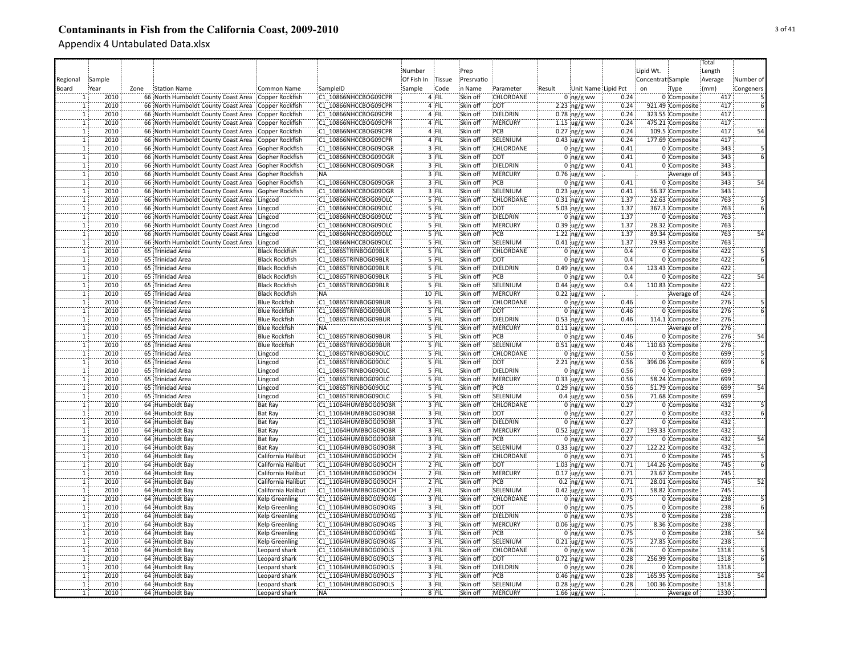|                |             |                                             |                       |                      |            |               |            |                  |        |                       |      |                   |                  | Total   |           |
|----------------|-------------|---------------------------------------------|-----------------------|----------------------|------------|---------------|------------|------------------|--------|-----------------------|------|-------------------|------------------|---------|-----------|
|                |             |                                             |                       |                      | Number     |               | Prep       |                  |        |                       |      | Lipid Wt.         |                  | Length  |           |
| Regional       | Sample      |                                             |                       |                      | Of Fish In | <b>Tissue</b> | Presrvatio |                  |        |                       |      | Concentrat Sample |                  | Average | Number of |
| Board          | <u>Year</u> | Zone<br><b>Station Name</b>                 | Common Name           | SampleID             | Sample     | Code          | n Name     | Parameter        | Result | Unit Name Lipid Pct   |      | on                | Type             | (mm)    | Congeners |
|                | 2010        | 66 North Humboldt County Coast Area         | Copper Rockfish       | C1 10866NHCCBOG09CPR |            | 4 FIL         | Skin off   | CHLORDANE        |        | $0$ ng/g ww           | 0.24 |                   | 0 Composite      | 417     |           |
|                | 2010        | 66 North Humboldt County Coast Area         | Copper Rockfish       | C1 10866NHCCBOG09CPR |            | 4 FIL         | Skin off   | <b>DDT</b>       |        | $2.23$ ng/g ww        | 0.24 |                   | 921.49 Composite | 417     |           |
| $\mathbf{1}$   | 2010        | 66 North Humboldt County Coast Area         | Copper Rockfish       | C1 10866NHCCBOG09CPR |            | 4 FIL         | Skin off   | DIELDRIN         |        | $0.78$ ng/g ww        | 0.24 |                   | 323.55 Composite | 417     |           |
|                | 2010        | 66 North Humboldt County Coast Area         | Copper Rockfish       | C1 10866NHCCBOG09CPR |            | 4 FIL         | Skin off   | MERCURY          |        | $1.15$ ug/g ww        | 0.24 |                   | 475.21 Composite | 417     |           |
| $\mathbf{1}$   | 2010        | 66 North Humboldt County Coast Area         | Copper Rockfish       | C1 10866NHCCBOG09CPR |            | 4 FIL         | Skin off   | PCB              |        | $0.27$ ng/g ww        | 0.24 |                   | 109.5 Composite  | 417     |           |
| ï              | 2010        | 66 North Humboldt County Coast Area         | Copper Rockfish       | C1 10866NHCCBOG09CPR |            | 4 FIL         | Skin off   | SELENIUM         |        |                       | 0.24 |                   | 177.69 Composite | 417     |           |
| T              | 2010        | 66 North Humboldt County Coast Area         |                       | C1 10866NHCCBOG09OGR |            | 3 FIL         | Skin off   | CHLORDANE        |        | $0.43$ ug/g ww        | 0.41 |                   | 0 Composite      | 343     |           |
| ï              | 2010        |                                             | Gopher Rockfish       |                      |            | 3 FIL         | Skin off   | <b>DDT</b>       |        | $0 \log/g$ ww         |      |                   |                  | 343     |           |
|                |             | 66 North Humboldt County Coast Area         | Gopher Rockfish       | C1 10866NHCCBOG09OGR |            |               |            |                  |        | $0$ ng/g ww           | 0.41 |                   | 0 Composite      |         |           |
| ï              | 2010        | 66 North Humboldt County Coast Area         | Gopher Rockfish       | C1 10866NHCCBOG09OGR |            | 3 FIL         | Skin off   | DIELDRIN         |        | $0$ ng/g ww           | 0.41 |                   | 0 Composite      | 343     |           |
| $\mathbf{1}$   | 2010        | 66 North Humboldt County Coast Area         | Gopher Rockfish       | <b>NA</b>            |            | 3 FIL         | Skin off   | <b>MERCURY</b>   |        | 0.76 ug/g ww          |      |                   | Average of       | 343     |           |
| $\mathbf{1}$   | 2010        | 66 North Humboldt County Coast Area         | Gopher Rockfish       | C1 10866NHCCBOG09OGR |            | 3 FIL         | Skin off   | PCB              |        | $0$ ng/g ww           | 0.41 |                   | 0 Composite      | 343     | 54        |
| ĩ              | 2010        | 66 North Humboldt County Coast Area         | Gopher Rockfish       | C1 10866NHCCBOG09OGR |            | 3 FIL         | Skin off   | SELENIUM         |        | $0.23$ ug/g ww        | 0.41 |                   | 56.37 Composite  | 343     |           |
| $\overline{1}$ | 2010        | 66 North Humboldt County Coast Area         | Lingcod               | C1 10866NHCCBOG09OLC |            | $5$ FIL       | Skin off   | CHLORDANE        |        | $0.31$ ing/g ww       | 1.37 |                   | 22.63 Composite  | 763     |           |
| $\mathbf{1}$   | 2010        | 66 North Humboldt County Coast Area         | Lingcod               | C1 10866NHCCBOG09OLC |            | $5$ FIL       | Skin off   | <b>DDT</b>       |        | 5.03 ng/g ww          | 1.37 |                   | 367.3 Composite  | 763     |           |
|                | 2010        | 66 North Humboldt County Coast Area         | Lingcod               | C1 10866NHCCBOG09OLC |            | 5 FIL         | Skin off   | DIELDRIN         |        | $0$ ng/g ww           | 1.37 |                   | 0 Composite      | 763     |           |
| $\mathbf{1}$   | 2010        | 66 North Humboldt County Coast Area         | Lingcod               | C1 10866NHCCBOG09OLC |            | 5 FIL         | Skin off   | MERCURY          |        | $0.39$ ug/g ww        | 1.37 |                   | 28.32 Composite  | 763     |           |
|                | 2010        | 66 North Humboldt County Coast Area         | Lingcod               | C1 10866NHCCBOG09OLC |            | 5 FIL         | Skin off   | PCB              |        | $1.22$ ing/g ww       | 1.37 |                   | 89.34 Composite  | 763     |           |
|                | 2010        | 66 North Humboldt County Coast Area Lingcod |                       | C1 10866NHCCBOG09OLC |            | 5 FIL         | Skin off   | SELENIUM         |        | $0.41$ ug/g ww        | 1.37 |                   | 29.93 Composite  | 763     |           |
|                | 2010        | 65 Trinidad Area                            | <b>Black Rockfish</b> | C1 10865TRINBOG09BLR |            | 5 FIL         | Skin off   | CHLORDANE        |        | $0$ ng/g ww           | 0.4  |                   | 0 Composite      | 422     |           |
| $\mathbf{1}$   | 2010        | 65 Trinidad Area                            | <b>Black Rockfish</b> | C1 10865TRINBOG09BLR |            | 5 FIL         | Skin off   | <b>DDT</b>       |        | $0:ng/g$ ww           | 0.4  |                   | 0 Composite      | 422     |           |
| $\mathbf{1}$   | 2010        | 65 Trinidad Area                            | <b>Black Rockfish</b> | C1 10865TRINBOG09BLR |            | 5 FIL         | Skin off   | DIELDRIN         |        | $0.49$ ng/g ww        | 0.4  |                   | 123.43 Composite | 422     |           |
| ï              | 2010        | 65 Trinidad Area                            | <b>Black Rockfish</b> | C1 10865TRINBOG09BLR |            | 5 FIL         | Skin off   | :PCB             |        | $0$ ng/g ww           | 0.4  |                   | 0 Composite      | 422     | 54        |
| $\mathbf{1}$   | 2010        | 65 Trinidad Area                            | <b>Black Rockfish</b> | C1 10865TRINBOG09BLR |            | $5$ FIL       | Skin off   | SELENIUM         |        | $0.44$ ug/g ww        | 0.4  |                   | 110.83 Composite | 422     |           |
| $\overline{1}$ | 2010        | 65 Trinidad Area                            | <b>Black Rockfish</b> | <b>NA</b>            |            | $10$ FIL      | Skin off   | :MERCURY         |        | $0.22$ ug/g ww        |      |                   | Average of       | 424     |           |
| $\overline{1}$ | 2010        | 65 Trinidad Area                            | <b>Blue Rockfish</b>  | C1 10865TRINBOG09BUR |            | 5 FIL         | Skin off   | CHLORDANE        |        | $0$ ng/g ww           | 0.46 |                   | 0 Composite      | 276     |           |
| $\mathbf{1}$   | 2010        | 65 Trinidad Area                            | <b>Blue Rockfish</b>  | C1 10865TRINBOG09BUR |            | 5 FIL         | Skin off   | <b>DDT</b>       |        | $0$ ng/g ww           | 0.46 |                   | 0 Composite      | 276     |           |
|                | 2010        | 65 Trinidad Area                            | <b>Blue Rockfish</b>  | C1 10865TRINBOG09BUR |            | 5 FIL         | Skin off   | DIELDRIN         |        | $0.53$ ng/g ww        | 0.46 |                   | 114.1 Composite  | 276     |           |
| 1              | 2010        | 65 Trinidad Area                            | <b>Blue Rockfish</b>  | <b>NA</b>            |            | 5 FIL         | Skin off   | MERCURY          |        | $0.11$ ug/g ww        |      |                   | Average of       | 276     |           |
| $\mathbf{1}$   | 2010        | 65 Trinidad Area                            | <b>Blue Rockfish</b>  | C1 10865TRINBOG09BUR |            | 5 FIL         | Skin off   | PCB              |        | $0$ ng/g ww           | 0.46 |                   | 0 Composite      | 276     |           |
|                | 2010        | 65 Trinidad Area                            | <b>Blue Rockfish</b>  | C1 10865TRINBOG09BUR |            | 5 FIL         | Skin off   | SELENIUM         |        | $0.51$ ug/g ww        | 0.46 |                   | 110.63 Composite | 276     |           |
| ï              | 2010        | 65 Trinidad Area                            | Lingcod               | C1 10865TRINBOG09OLC |            | 5 FIL         | Skin off   | CHLORDANE        |        | $0$ ng/g ww           | 0.56 |                   | 0 Composite      | 699     |           |
| $\mathbf{1}$   | 2010        | 65 Trinidad Area                            | Lingcod               | C1 10865TRINBOG09OLC |            | 5 FIL         | Skin off   | <b>DDT</b>       |        |                       | 0.56 |                   | 396.06 Composite | 699     |           |
| ï              | 2010        | 65 Trinidad Area                            |                       | C1 10865TRINBOG09OLC |            | 5 FIL         | Skin off   | DIELDRIN         |        | $2.21$ ng/g ww        | 0.56 |                   | 0 Composite      | 699     |           |
|                |             |                                             | Lingcod               |                      |            |               |            |                  |        | $0$ ng/g ww           |      |                   |                  |         |           |
| $\mathbf{1}$   | 2010        | 65 Trinidad Area                            | Lingcod               | C1 10865TRINBOG09OLC |            | 5 FIL         | Skin off   | MERCURY          |        | $0.33$ ug/g ww        | 0.56 |                   | 58.24 Composite  | 699     |           |
| $\mathbf{1}$   | 2010        | 65 Trinidad Area                            | Lingcod               | C1 10865TRINBOG09OLC |            | 5 FIL         | Skin off   | PCB              |        | $0.29$ ing/g ww       | 0.56 |                   | 51.79 Composite  | 699     | 54        |
| $\mathbf{1}$   | 2010        | 65 Trinidad Area                            | Lingcod               | C1 10865TRINBOG09OLC |            | 5 FIL         | Skin off   | SELENIUM         |        | $0.4 \,$ ug/g ww      | 0.56 |                   | 71.68 Composite  | 699     |           |
|                | 2010        | 64 Humboldt Bay                             | <b>Bat Ray</b>        | C1 11064HUMBBOG09OBR |            | $3$ FIL       | Skin off   | <b>CHLORDANE</b> |        | $0$ ing/g ww          | 0.27 |                   | 0 Composite      | 432     |           |
|                | 2010        | 64 Humboldt Bay                             | <b>Bat Ray</b>        | C1 11064HUMBBOG09OBR |            | $3$ FIL       | Skin off   | <b>DDT</b>       |        | $0$ ing/g ww          | 0.27 |                   | 0 Composite      | 432     |           |
| 1              | 2010        | 64 Humboldt Bay                             | <b>Bat Ray</b>        | C1 11064HUMBBOG09OBR |            | 3 FIL         | Skin off   | DIELDRIN         |        | $0$ ing/g ww          | 0.27 |                   | 0 Composite      | 432     |           |
|                | 2010        | 64 Humboldt Bay                             | <b>Bat Ray</b>        | C1 11064HUMBBOG09OBR |            | 3 FIL         | Skin off   | MERCURY          |        | $0.52$ ug/g ww        | 0.27 |                   | 193.33 Composite | 432     |           |
|                | 2010        | 64 Humboldt Bay                             | <b>Bat Ray</b>        | C1 11064HUMBBOG09OBR |            | 3 FIL         | Skin off   | PCB              |        | $0$ ng/g ww           | 0.27 |                   | 0 Composite      | 432     | 54        |
| ï              | 2010        | 64 Humboldt Bay                             | Bat Ray               | C1 11064HUMBBOG09OBR |            | 3 FIL         | Skin off   | SELENIUM         |        | $0.33$ ug/g ww        | 0.27 |                   | 122.22 Composite | 432     |           |
|                | 2010        | 64 Humboldt Bay                             | California Halibut    | C1 11064HUMBBOG09OCH |            | $2$ FIL       | Skin off   | CHLORDANE        |        | $0$ ng/g ww           | 0.71 |                   | 0 Composite      | 745     |           |
|                | 2010        | 64 Humboldt Bay                             | California Halibut    | C1 11064HUMBBOG09OCH |            | $2$ FIL       | Skin off   | <b>DDT</b>       |        | $1.03$ ing/g ww       | 0.71 |                   | 144.26 Composite | 745     |           |
|                | 2010        | 64 Humboldt Bay                             | California Halibut    | C1 11064HUMBBOG09OCH |            | $2$ FIL       | Skin off   | MERCURY          |        | $0.17$ ug/g ww        | 0.71 |                   | 23.67 Composite  | 745     |           |
| $\overline{1}$ | 2010        | 64 Humboldt Bay                             | California Halibut    | C1 11064HUMBBOG09OCH |            | $2$ FIL       | Skin off   | PCB              |        | $0.2$ ing/g ww        | 0.71 |                   | 28.01 Composite  | 745     | 52        |
| $\overline{1}$ | 2010        | 64 Humboldt Bay                             | California Halibut    | C1 11064HUMBBOG09OCH |            | $2$ FIL       | Skin off   | SELENIUM         |        | $0.42$ ug/g ww        | 0.71 |                   | 58.82 Composite  | 745     |           |
| ï              | 2010        | 64 Humboldt Bay                             | <b>Kelp Greenling</b> | C1 11064HUMBBOG09OKG |            | 3 FIL         | Skin off   | <b>CHLORDANE</b> |        | $0$ ng/g ww           | 0.75 |                   | 0 Composite      | 238     |           |
| $\mathbf{1}$   | 2010        | 64 Humboldt Bay                             | <b>Kelp Greenling</b> | C1 11064HUMBBOG09OKG |            | 3 FIL         | Skin off   | <b>DDT</b>       |        | 0 $ng/g$ ww           | 0.75 |                   | 0 Composite      | 238     |           |
| $\overline{1}$ | 2010        | 64 Humboldt Bay                             | Kelp Greenling        | C1 11064HUMBBOG09OKG |            | 3 FIL         | Skin off   | <b>DIELDRIN</b>  |        | $0$ ing/g ww          | 0.75 |                   | 0 Composite      | 238     |           |
| $\mathbf{1}$   | 2010        | 64 Humboldt Bay                             | <b>Kelp Greenling</b> | C1 11064HUMBBOG09OKG |            | 3 FIL         | Skin off   | MERCURY          |        | $0.06$ ug/g ww        | 0.75 |                   | 8.36 Composite   | 238     |           |
| $\mathbf{1}$   | 2010        | 64 Humboldt Bay                             | Kelp Greenling        | C1 11064HUMBBOG09OKG |            | 3 FIL         | Skin off   | PCB              |        | $0$ ng/g ww           | 0.75 |                   | 0 Composite      | 238     | 54        |
|                | 2010        | 64 Humboldt Bay                             | <b>Kelp Greenling</b> | C1 11064HUMBBOG09OKG |            | 3 FIL         | Skin off   | SELENIUM         |        | $0.21$ ug/g ww        | 0.75 |                   | 27.85 Composite  | 238     |           |
|                | 2010        | 64 Humboldt Bay                             | Leopard shark         | C1 11064HUMBBOG09OLS |            | 3 FIL         | Skin off   | CHLORDANE        |        | $0$ ng/g ww           | 0.28 |                   | 0 Composite      | 1318    |           |
|                | 2010        | 64 Humboldt Bay                             | Leopard shark         | C1 11064HUMBBOG09OLS |            | 3 FIL         | Skin off   | <b>DDT</b>       |        | $0.72$ ing/g ww       | 0.28 |                   | 256.99 Composite | 1318    |           |
| $\mathbf{1}$   | 2010        | 64 Humboldt Bay                             | Leopard shark         | C1 11064HUMBBOG09OLS |            | 3 FIL         | Skin off   | DIELDRIN         |        | $0$ ng/g ww           | 0.28 |                   | 0 Composite      | 1318    |           |
| ï              | 2010        | 64 Humboldt Bay                             | Leopard shark         | C1 11064HUMBBOG09OLS |            | 3 FIL         | Skin off   | PCB              |        | $0.46$ ng/g ww        | 0.28 |                   | 165.95 Composite | 1318    | 54        |
| Ŧ              | 2010        | 64 Humboldt Bay                             | Leopard shark         | C1 11064HUMBBOG09OLS |            | 3 FIL         | Skin off   | SELENIUM         |        | $0.28$ ug/g ww        | 0.28 |                   | 100.36 Composite | 1318    |           |
| $\mathbf{1}$   | 2010        | 64 Humboldt Bay                             | Leopard shark         | NA:                  |            | 8 FIL         | Skin off   | <b>MERCURY</b>   |        | 1.66 $\frac{1}{9}$ ww |      |                   | Average of       | 1330    |           |
|                |             |                                             |                       |                      |            |               |            |                  |        |                       |      |                   |                  |         |           |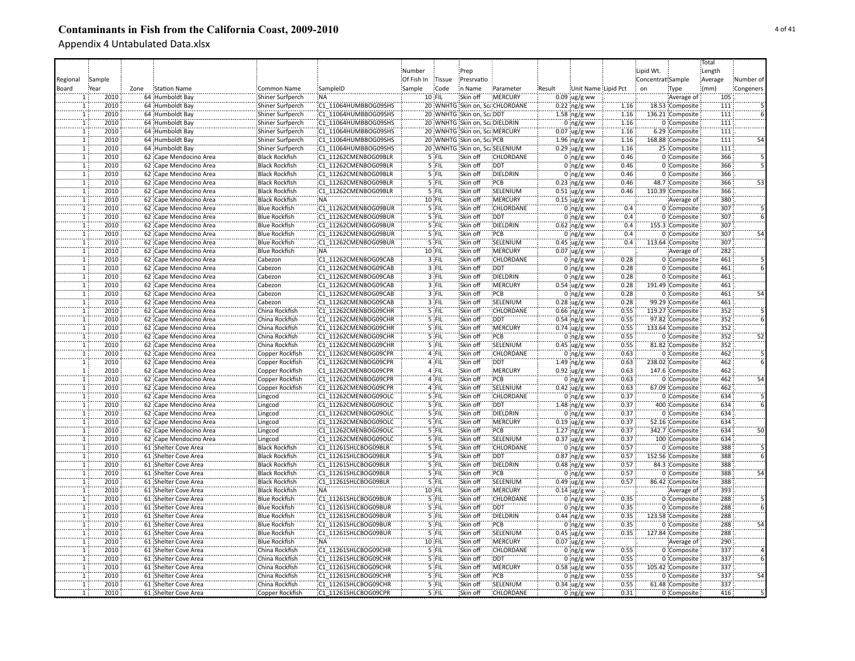|                                |             |      |                                                  |                                    |                                              |            |          |                                |                                |        |                                 |              |                   |                                     | Total   |                 |
|--------------------------------|-------------|------|--------------------------------------------------|------------------------------------|----------------------------------------------|------------|----------|--------------------------------|--------------------------------|--------|---------------------------------|--------------|-------------------|-------------------------------------|---------|-----------------|
|                                |             |      |                                                  |                                    |                                              | Number     |          | Prep                           |                                |        |                                 |              | Lipid Wt.         |                                     | Length  |                 |
| Regional                       | Sample      |      |                                                  |                                    |                                              | Of Fish In | Tissue   | Presrvatio                     |                                |        |                                 |              | Concentrat Sample |                                     | Average | Number of       |
| Board                          | <u>Year</u> | Zone | <b>Station Name</b>                              | Common Name                        | SampleID                                     | Sample     | Code     | in Name                        | Parameter                      | Result | Unit Name Lipid Pct             |              | on                | Type                                | (mm)    | Congeners       |
|                                | 2010        |      | 64 Humboldt Bay                                  | Shiner Surfperch                   | <b>NA</b>                                    |            | $10$ FIL | Skin off                       | MERCURY                        |        | $0.09$ ug/g ww                  |              |                   | Average of                          | 105     |                 |
| $\mathbf{1}$                   | 2010        |      | 64 Humboldt Bay                                  | Shiner Surfperch                   | C1 11064HUMBBOG09SHS                         |            |          |                                | 20 WNHTG Skin on, ScaCHLORDANE |        | $0.22$ ng/g ww                  | 1.16         |                   | 18.53 Composite                     | 111     |                 |
| 1                              | 2010        |      | 64 Humboldt Bay                                  | Shiner Surfperch                   | C1 11064HUMBBOG09SHS                         |            |          | 20 WNHTG Skin on, ScaDDT       |                                |        | $1.58$ ng/g ww                  | 1.16         |                   | 136.21 Composite                    | 111     |                 |
| $\mathbf{1}$                   | 2010        |      | 64 Humboldt Bay                                  | Shiner Surfperch                   | C1 11064HUMBBOG09SHS                         |            |          | 20 WNHTG Skin on, ScaDIELDRIN  |                                |        | $0$ ng/g ww                     | 1.16         |                   | 0 Composite                         | 111     |                 |
| $\mathbf{1}$                   | 2010        |      | 64 Humboldt Bay                                  | Shiner Surfperch                   | C1 11064HUMBBOG09SHS                         |            |          | 20 WNHTG Skin on, Sca, MERCURY |                                |        | $0.07$ ug/g ww                  | 1.16         |                   | 6.29 Composite                      | 111     |                 |
| T                              | 2010        |      | 64 Humboldt Bay                                  | <b>Shiner Surfperch</b>            | C1 11064HUMBBOG09SHS                         |            |          | 20 WNHTG Skin on, ScalPCB      |                                |        | $1.96$ ing/g ww                 | 1.16         |                   | 168.88 Composite                    | 111     |                 |
| T                              | 2010        |      | 64 Humboldt Bay                                  | Shiner Surfperch                   | C1 11064HUMBBOG09SHS                         |            |          |                                | 20 WNHTG Skin on, ScaSELENIUM  |        | $0.29$ ug/g ww                  | 1.16         |                   | 25 Composite                        | 111     |                 |
| T                              | 2010        |      | 62 Cape Mendocino Area                           | <b>Black Rockfish</b>              | C1 11262CMENBOG09BLR                         |            | 5 FIL    | Skin off                       | CHLORDANE                      |        | $0$ ng/g ww                     | 0.46         |                   | 0 Composite                         | 366     |                 |
| $\overline{1}$                 | 2010        |      | 62 Cape Mendocino Area                           | <b>Black Rockfish</b>              | C1 11262CMENBOG09BLR                         |            | 5 FIL    | Skin off                       | <b>DDT</b>                     |        | $0$ ng/g ww                     | 0.46         |                   | 0 Composite                         | 366     |                 |
| $\overline{1}$                 | 2010        |      | 62 Cape Mendocino Area                           | <b>Black Rockfish</b>              | C1 11262CMENBOG09BLR                         |            | 5 FIL    | Skin off                       | DIELDRIN                       |        | 0 $ng/g$ ww                     | 0.46         |                   | 0 Composite                         | 366     |                 |
| $\mathbf{1}$                   | 2010        |      | 62 Cape Mendocino Area                           | <b>Black Rockfish</b>              | C1 11262CMENBOG09BLR                         |            | 5 FIL    | Skin off                       | PCB                            |        | $0.23$ ing/g ww                 | 0.46         |                   | 48.7 Composite                      | 366     | 53              |
| $\overline{1}$                 | 2010        |      | 62 Cape Mendocino Area                           | <b>Black Rockfish</b>              | C1 11262CMENBOG09BLR                         |            | 5 FIL    | Skin off                       | SELENIUM                       |        | $0.51$ ug/g ww                  | 0.46         |                   | 110.39 Composite                    | 366     |                 |
| $\mathbf{1}$                   | 2010        |      | 62 Cape Mendocino Area                           | <b>Black Rockfish</b>              | :NA                                          |            | $10$ FIL | Skin off                       | <b>IMERCURY</b>                |        | $0.15$ ug/g ww                  |              |                   | Average of                          | 380     |                 |
| $\mathbf{1}$                   | 2010        |      | 62 Cape Mendocino Area                           | <b>Blue Rockfish</b>               | C1 11262CMENBOG09BUR                         |            | 5 FIL    | Skin off                       | CHLORDANE                      |        | $0$ ing/g ww                    | 0.4          |                   | 0 Composite                         | 307     |                 |
| ï                              | 2010        |      | 62 Cape Mendocino Area                           | <b>Blue Rockfish</b>               | C1 11262CMENBOG09BUR                         |            | `5`FIL   | Skin off                       | <b>DDT</b>                     |        | $0:$ ng/g ww                    | 0.4          |                   | 0 Composite                         | 307     |                 |
| ï                              | 2010        |      | 62 Cape Mendocino Area                           | <b>Blue Rockfish</b>               | C1 11262CMENBOG09BUR                         |            | '5 FIL   | Skin off                       | DIELDRIN                       |        | $0.62$ ng/g ww                  | 0.4          |                   | 155.3 Composite                     | 307     |                 |
| ï                              | 2010        |      | 62 Cape Mendocino Area                           | <b>Blue Rockfish</b>               | C1 11262CMENBOG09BUR                         |            | '5 FIL   | Skin off                       | PCB                            |        | $0$ ng/g ww                     | 0.4          |                   | 0 Composite                         | 307     |                 |
| $\mathbf{1}$                   | 2010        |      | 62 Cape Mendocino Area                           | <b>Blue Rockfish</b>               | C1 11262CMENBOG09BUR                         |            | 5 FIL    | Skin off                       | SELENIUM                       |        |                                 | 0.4          |                   | 113.64 Composite                    | 307     |                 |
|                                | 2010        |      |                                                  |                                    | NA:                                          |            | 10 FIL   | Skin off                       | MERCURY                        |        | $0.45$ ug/g ww                  |              |                   |                                     | 282     |                 |
| $\mathbf{1}$<br>$\overline{1}$ | 2010        |      | 62 Cape Mendocino Area                           | <b>Blue Rockfish</b>               | C1 11262CMENBOG09CAB                         |            | $3$ FIL  | Skin off                       | CHLORDANE                      |        | $0.07$ ug/g ww                  | 0.28         |                   | Average of                          | 461     |                 |
| $\overline{1}$                 | 2010        |      | 62 Cape Mendocino Area                           | Cabezon                            | C1 11262CMENBOG09CAB                         |            | $3$ FIL  | Skin off                       | <b>DDT</b>                     |        | $0:$ ng/g ww                    | 0.28         |                   | 0 Composite<br>0 Composite          | 461     |                 |
| $\overline{1}$                 | 2010        |      | 62 Cape Mendocino Area                           | Cabezon                            | C1 11262CMENBOG09CAB                         |            | $3$ FIL  | Skin off                       | <b>DIELDRIN</b>                |        | $0:ng/g$ ww                     | 0.28         |                   | 0 Composite                         | 461     |                 |
| $\overline{1}$                 | 2010        |      | 62 Cape Mendocino Area<br>62 Cape Mendocino Area | Cabezon                            | C1 11262CMENBOG09CAB                         |            | 3 FIL    | Skin off                       | <b>MERCURY</b>                 |        | 0 $ng/g$ ww                     | 0.28         |                   | 191.49 Composite                    | 461     |                 |
| $\overline{1}$                 | 2010        |      |                                                  | Cabezon<br>Cabezon                 |                                              |            | 3 FIL    | Skin off                       | PCB                            |        | $0.54$ ug/g ww                  | 0.28         |                   |                                     | 461     | 54              |
| T                              | 2010        |      | 62 Cape Mendocino Area<br>62 Cape Mendocino Area | Cabezon                            | C1 11262CMENBOG09CAB<br>C1 11262CMENBOG09CAB |            | $3$ FIL  | Skin off                       | SELENIUM                       |        | $0$ ing/g ww<br>$0.28$ ug/g ww  | 0.28         |                   | 0 Composite<br>99.29 Composite      | 461     |                 |
| $\overline{1}$                 | 2010        |      |                                                  |                                    | C1 11262CMENBOG09CHR                         |            | $5$ FIL  | Skin off                       | CHLORDANE                      |        |                                 | 0.55         |                   |                                     | 352     |                 |
|                                | 2010        |      | 62 Cape Mendocino Area                           | China Rockfish                     |                                              |            | 5 FIL    | Skin off                       | DDT                            |        | $0.66$ ng/g ww                  |              |                   | 119.27 Composite                    | 352     |                 |
| $\mathbf{1}$                   | 2010        |      | 62 Cape Mendocino Area                           | China Rockfish<br>China Rockfish   | C1 11262CMENBOG09CHR<br>C1 11262CMENBOG09CHR |            | 5 FIL    | Skin off                       | :MERCURY                       |        | $0.54$ ng/g ww                  | 0.55<br>0.55 |                   | 97.82 Composite<br>133.64 Composite | 352     |                 |
| 1<br>$\overline{1}$            | 2010        |      | 62 Cape Mendocino Area<br>62 Cape Mendocino Area | China Rockfish                     | C1 11262CMENBOG09CHR                         |            | $5$ FIL  | Skin off                       | PCB                            |        | $0.74$ ug/g ww                  | 0.55         |                   | 0 Composite                         | 352     | 52              |
| $\mathbf{1}$                   | 2010        |      | 62 Cape Mendocino Area                           | China Rockfish                     | C1 11262CMENBOG09CHR                         |            | 5 FIL    | Skin off                       | SELENIUM                       |        | 0 $ng/g$ ww<br>$0.45$ ug/g ww   | 0.55         |                   | 81.82 Composite                     | 352     |                 |
| ï                              | 2010        |      | 62 Cape Mendocino Area                           | Copper Rockfish                    | C1 11262CMENBOG09CPR                         |            | 4 FIL    | Skin off                       | CHLORDANE                      |        | $0$ ing/g ww                    | 0.63         |                   | 0 Composite                         | 462     |                 |
| T                              | 2010        |      | 62 Cape Mendocino Area                           |                                    | C1 11262CMENBOG09CPR                         |            | 4 FIL    | Skin off                       | DDT                            |        |                                 | 0.63         |                   | 238.02 Composite                    | 462     |                 |
| T                              | 2010        |      | 62 Cape Mendocino Area                           | Copper Rockfish<br>Copper Rockfish | C1 11262CMENBOG09CPR                         |            | 4 FIL    | Skin off                       | <b>MERCURY</b>                 |        | 1.49 ng/g ww<br>$0.92$ ug/g ww  | 0.63         |                   | 147.6 Composite                     | 462     |                 |
| T                              | 2010        |      | 62 Cape Mendocino Area                           | Copper Rockfish                    | C1 11262CMENBOG09CPR                         |            | 4 FIL    | Skin off                       | PCB                            |        | $0$ ng/g ww                     | 0.63         |                   | 0 Composite                         | 462     | 54              |
| $\mathbf{1}$                   | 2010        |      | 62 Cape Mendocino Area                           | Copper Rockfish                    | C1 11262CMENBOG09CPR                         |            | 4 FIL    | Skin off                       | SELENIUM                       |        | 0.42 ug/g ww                    | 0.63         |                   | 67.09 Composite                     | 462     |                 |
| $\overline{1}$                 | 2010        |      | 62 Cape Mendocino Area                           |                                    | C1 11262CMENBOG09OLC                         |            | 5 FIL    | Skin off                       | <b>CHLORDANE</b>               |        |                                 | 0.37         |                   | 0 Composite                         | 634     |                 |
| $\overline{1}$                 | 2010        |      | 62 Cape Mendocino Area                           | Lingcod                            | C1 11262CMENBOG09OLC                         |            | 5 FIL    | Skin off                       | DDT:                           |        | $0$ ing/g ww                    | 0.37         |                   | 400 Composite                       | 634     |                 |
| $\mathbf{1}$                   | 2010        |      | 62 Cape Mendocino Area                           | Lingcod<br>Lingcod                 | C1 11262CMENBOG09OLC                         |            | $5$ FIL  | Skin off                       | <b>DIELDRIN</b>                |        | $1.48$ ng/g ww                  | 0.37         |                   | 0 Composite                         | 634     |                 |
| T                              | 2010        |      | 62 Cape Mendocino Area                           | Lingcod                            | C1 11262CMENBOG09OLC                         |            | $5$ FIL  | Skin off                       | <b>MERCURY</b>                 |        | $0 \log/g$ ww<br>$0.19$ ug/g ww | 0.37         |                   | 52.16 Composite                     | 634     |                 |
| ï                              | 2010        |      | 62 Cape Mendocino Area                           | Lingcod                            | C1 11262CMENBOG09OLC                         |            | 5 FIL    | Skin off                       | PCB                            |        | $1.27$ ng/g ww                  | 0.37         |                   | 342.7 Composite                     | 634     | $\overline{50}$ |
| $\mathbf{1}$                   | 2010        |      | 62 Cape Mendocino Area                           | Lingcod                            | C1 11262CMENBOG09OLC                         |            | 5 FIL    | Skin off                       | SELENIUM                       |        | $0.37$ ug/g ww                  | 0.37         |                   | 100 Composite                       | 634     |                 |
| ï                              | 2010        |      | 61 Shelter Cove Area                             | <b>Black Rockfish</b>              | C1 11261SHLCBOG09BLR                         |            | '5 FIL   | Skin off                       | CHLORDANE                      |        | $0:$ ng/g ww                    | 0.57         |                   | 0 Composite                         | 388     |                 |
| $\mathbf{1}$                   | 2010        |      | 61 Shelter Cove Area                             | <b>Black Rockfish</b>              | C1 11261SHLCBOG09BLR                         |            | 5 FIL    | Skin off                       | <b>DDT</b>                     |        | $0.87$ ng/g ww                  | 0.57         |                   | 152.56 Composite                    | 388     |                 |
| ï                              | 2010        |      | 61 Shelter Cove Area                             | <b>Black Rockfish</b>              | C1 11261SHLCBOG09BLR                         |            | 5 FIL    | Skin off                       | DIELDRIN                       |        | $0.48$ ng/g ww                  | 0.57         |                   | 84.3 Composite                      | 388     |                 |
| $\overline{1}$                 | 2010        |      | 61 Shelter Cove Area                             | <b>Black Rockfish</b>              | C1 11261SHLCBOG09BLR                         |            | 5 FIL    | Skin off                       | PCB                            |        | $0$ ing/g ww                    | 0.57         |                   | 0 Composite                         | 388     | 54              |
| $\overline{1}$                 | 2010        |      | 61 Shelter Cove Area                             | <b>Black Rockfish</b>              | C1 11261SHLCBOG09BLR                         |            | 5 FIL    | Skin off                       | SELENIUM                       |        | $0.49$ ug/g ww                  | 0.57         |                   | 86.42 Composite                     | 388     |                 |
| $\overline{1}$                 | 2010        |      | 61 Shelter Cove Area                             | <b>Black Rockfish</b>              | ¦NA                                          |            | 10 FIL   | Skin off                       | <b>MERCURY</b>                 |        | $0.14$ ug/g ww                  |              |                   | Average of                          | 393     |                 |
| 11                             | 2010        |      | 61 Shelter Cove Area                             | <b>Blue Rockfish</b>               | C1 11261SHLCBOG09BUR                         |            | $5$ FIL  | Skin off                       | <b>CHLORDANE</b>               |        | 0 $ng/g$ ww                     | 0.35         |                   | 0 Composite                         | 288     |                 |
| $\overline{1}$                 | 2010        |      | 61 Shelter Cove Area                             | <b>Blue Rockfish</b>               | C1 11261SHLCBOG09BUR                         |            | 5 FIL    | Skin off                       | <b>DDT</b>                     |        | $0$ ng/g ww                     | 0.35         |                   | 0 Composite                         | 288     |                 |
| T                              | 2010        |      | 61 Shelter Cove Area                             | <b>Blue Rockfish</b>               | C1 11261SHLCBOG09BUR                         |            | $5$ FIL  | Skin off                       | <b>DIELDRIN</b>                |        | $0.44$ ng/g ww                  | 0.35         |                   | 123.58 Composite                    | 288     |                 |
| $\mathbf{1}$                   | 2010        |      | 61 Shelter Cove Area                             | <b>Blue Rockfish</b>               | C1 11261SHLCBOG09BUR                         |            | 5 FIL    | Skin off                       | PCB                            |        | $0$ ing/g ww                    | 0.35         |                   | 0 Composite                         | 288     | 54              |
| $\mathbf{1}$                   | 2010        |      | 61 Shelter Cove Area                             | <b>Blue Rockfish</b>               | C1 11261SHLCBOG09BUR                         |            | 5 FIL    | Skin off                       | SELENIUM                       |        | $0.45$ ug/g ww                  | 0.35         |                   | 127.84 Composite                    | 288     |                 |
| $\mathbf{1}$                   | 2010        |      | 61 Shelter Cove Area                             | <b>Blue Rockfish</b>               | <b>NA</b>                                    |            | 10 FIL   | Skin off                       | MERCURY                        |        | $0.07$ ug/g ww                  |              |                   | Average of                          | 290     |                 |
| $\mathbf{1}$                   | 2010        |      | 61 Shelter Cove Area                             | China Rockfish                     | C1 11261SHLCBOG09CHR                         |            | 5 FIL    | Skin off                       | <b>CHLORDANE</b>               |        | 0 $ng/g$ ww                     | 0.55         |                   | 0 Composite                         | 337     |                 |
| $\overline{1}$                 | 2010        |      | 61 Shelter Cove Area                             | China Rockfish                     | C1 11261SHLCBOG09CHR                         |            | 5 FIL    | Skin off                       | <b>DDT</b>                     |        | $0$ ing/g ww                    | 0.55         |                   | 0 Composite                         | 337     |                 |
| ï                              | 2010        |      | 61 Shelter Cove Area                             | China Rockfish                     | C1 11261SHLCBOG09CHR                         |            | 5 FIL    | Skin off                       | <b>MERCURY</b>                 |        | $0.58 \,$ ug/g ww               | 0.55         |                   | 105.42 Composite                    | 337     |                 |
| T                              | 2010        |      | 61 Shelter Cove Area                             | China Rockfish                     | C1 11261SHLCBOG09CHR                         |            | 5 FIL    | Skin off                       | PCB                            |        | $0$ ing/g ww                    | 0.55         |                   | 0 Composite                         | 337     | 54              |
| T                              | 2010        |      | 61 Shelter Cove Area                             | China Rockfish                     | C1 11261SHLCBOG09CHR                         |            | 5 FIL    | Skin off                       | SELENIUM                       |        | $0.34$ ug/g ww                  | 0.55         |                   | 61.48 Composite                     | 337     |                 |
| $\mathbf{1}$                   | 2010        |      | 61 Shelter Cove Area                             | Copper Rockfish                    | C1 11261SHLCBOG09CPR                         |            | 5 FIL    | Skin off                       | CHLORDANE                      |        | $0$ ng/g ww                     | 0.31         |                   | 0 Composite                         | 416     |                 |
|                                |             |      |                                                  |                                    |                                              |            |          |                                |                                |        |                                 |              |                   |                                     |         |                 |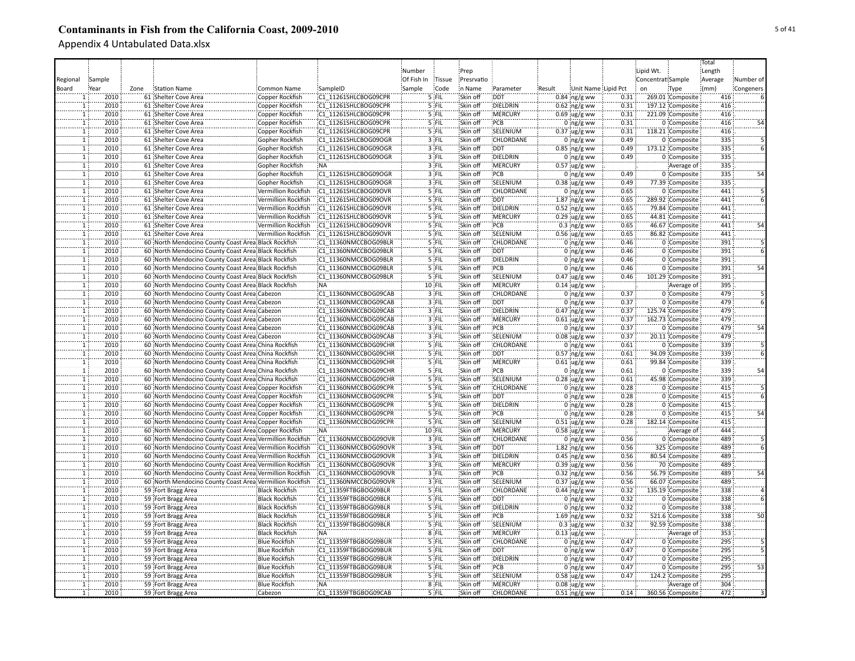|                |        |      |                                                          |                       |                      |            |         |            |                  |        |                               |       |                   |                  | Total   |           |
|----------------|--------|------|----------------------------------------------------------|-----------------------|----------------------|------------|---------|------------|------------------|--------|-------------------------------|-------|-------------------|------------------|---------|-----------|
|                |        |      |                                                          |                       |                      | Number     |         | Prep       |                  |        |                               |       | Lipid Wt.         |                  | Length  |           |
| Regional       | Sample |      |                                                          |                       |                      | Of Fish In | Tissue  | Presrvatio |                  |        |                               |       | Concentrat Sample |                  | Average | Number of |
| Board          | Year   | Zone | <b>Station Name</b>                                      | Common Name           | SampleID             | Sample     | Code    | n Name     | Parameter        | Result | Unit Name Lipid Pct           |       | on                | Type             | (mm)    | Congeners |
|                | 2010   |      | 61 Shelter Cove Area                                     | Copper Rockfish       | C1 11261SHLCBOG09CPR |            | 5 FIL   | Skin off   | <b>DDT</b>       |        | $0.84$ ng/g ww                | 0.31  |                   | 269.01 Composite | 416     |           |
|                | 2010   |      | 61 Shelter Cove Area                                     | Copper Rockfish       | C1 11261SHLCBOG09CPR |            | 5 FIL   | Skin off   | DIELDRIN         |        | $0.62$ ng/g ww                | 0.31  |                   | 197.12 Composite | 416     |           |
| $\mathbf{1}$   | 2010   |      | 61 Shelter Cove Area                                     | Copper Rockfish       | C1 11261SHLCBOG09CPR |            | 5 FIL   | Skin off   | <b>MERCURY</b>   |        | $0.69$ ug/g ww                | 0.31  |                   | 221.09 Composite | 416     |           |
|                | 2010   |      | 61 Shelter Cove Area                                     | Copper Rockfish       | C1 11261SHLCBOG09CPR |            | 5 FIL   | Skin off   | PCB              |        | $0 \log/g$ ww                 | 0.31  |                   | 0 Composite      | 416     | 54        |
|                | 2010   |      | 61 Shelter Cove Area                                     | Copper Rockfish       | C1 11261SHLCBOG09CPR |            | 5 FIL   | Skin off   | SELENIUM         |        | $0.37$ ug/g ww                | 0.31  |                   | 118.21 Composite | 416     |           |
| ï              | 2010   |      | 61 Shelter Cove Area                                     | Gopher Rockfish       | C1 11261SHLCBOG09OGR |            | 3 FIL   | Skin off   | CHLORDANE        |        | $0$ ng/g ww                   | 0.49  |                   | 0 Composite      | 335     |           |
| T              | 2010   |      |                                                          |                       | C1 11261SHLCBOG09OGR |            | 3 FIL   | Skin off   | <b>DDT</b>       |        |                               | 0.49  |                   | 173.12 Composite | 335     |           |
| ï              | 2010   |      | 61 Shelter Cove Area                                     | Gopher Rockfish       | C1 11261SHLCBOG09OGR |            | 3 FIL   | Skin off   | DIELDRIN         |        | $0.85$ ng/g ww                |       |                   |                  | 335     |           |
|                |        |      | 61 Shelter Cove Area                                     | Gopher Rockfish       |                      |            |         |            |                  |        | $0$ ing/g ww                  | 0.49  |                   | 0 Composite      |         |           |
| $\mathbf{1}$   | 2010   |      | 61 Shelter Cove Area                                     | Gopher Rockfish       | NA:                  |            | 3 FIL   | Skin off   | MERCURY          |        | $0.57$ ug/g ww                |       |                   | Average of       | 335     |           |
| $\mathbf{1}$   | 2010   |      | 61 Shelter Cove Area                                     | Gopher Rockfish       | C1 11261SHLCBOG09OGR |            | 3 FIL   | Skin off   | PCB              |        | $0$ ng/g ww                   | 0.49  |                   | 0 Composite      | 335     | 54        |
| $\mathbf 1$    | 2010   |      | 61 Shelter Cove Area                                     | Gopher Rockfish       | C1 11261SHLCBOG09OGR |            | 3 FIL   | Skin off   | SELENIUM         |        | $0.38$ ug/g ww                | 0.49  |                   | 77.39 Composite  | 335     |           |
| $\mathbf 1$    | 2010   |      | 61 Shelter Cove Area                                     | Vermillion Rockfish   | C1 11261SHLCBOG09OVR |            | 5 FIL   | Skin off   | <b>CHLORDANE</b> |        | $0$ ng/g ww                   | 0.65  |                   | 0 Composite      | 441     |           |
| $\mathbf 1$    | 2010   |      | 61 Shelter Cove Area                                     | Vermillion Rockfish   | C1 11261SHLCBOG09OVR |            | $5$ FIL | Skin off   | <b>DDT</b>       |        | $1.87$ ing/g ww               | 0.65  |                   | 289.92 Composite | 441     |           |
| ï              | 2010   |      | 61 Shelter Cove Area                                     | Vermillion Rockfish   | C1 11261SHLCBOG09OVR |            | 5 FIL   | Skin off   | DIELDRIN         |        | $0.52$ ng/g ww                | 0.65  |                   | 79.84 Composite  | 441     |           |
| ï              | 2010   |      | 61 Shelter Cove Area                                     | Vermillion Rockfish   | C1 11261SHLCBOG09OVR |            | 5 FIL   | Skin off   | <b>IMERCURY</b>  |        | $0.29$ ug/g ww                | 0.65  |                   | 44.81 Composite  | 441     |           |
|                | 2010   |      | 61 Shelter Cove Area                                     | Vermillion Rockfish   | C1 11261SHLCBOG09OVR |            | 5 FIL   | Skin off   | PCB              |        | $0.3 \, \text{ng/g}$ ww       | 0.65  |                   | 46.67 Composite  | 441     |           |
| ï              | 2010   |      | 61 Shelter Cove Area                                     | Vermillion Rockfish   | C1 11261SHLCBOG09OVR |            | '5 FIL  | Skin off   | SELENIUM         |        | $0.56$ ug/g ww                | 0.65  |                   | 86.82 Composite  | 441     |           |
|                | 2010   |      | 60 North Mendocino County Coast Area Black Rockfish      |                       | C1 11360NMCCBOG09BLR |            | 5 FIL   | Skin off   | CHLORDANE        |        | $0$ ng/g ww                   | 0.46  |                   | 0 Composite      | 391     |           |
|                | 2010   |      | 60 North Mendocino County Coast Area Black Rockfish      |                       | C1 11360NMCCBOG09BLR |            | 5 FIL   | Skin off   | <b>DDT</b>       |        | $0 \log/g$ ww                 | 0.46  |                   | 0 Composite      | 391     |           |
| $\mathbf{1}$   | 2010   |      | 60 North Mendocino County Coast Area Black Rockfish      |                       | C1 11360NMCCBOG09BLR |            | 5 FIL   | Skin off   | DIELDRIN         |        | $0$ ing/g ww                  | 0.46  |                   | 0 Composite      | 391     |           |
| $\overline{1}$ | 2010   |      | 60 North Mendocino County Coast Area Black Rockfish      |                       | C1 11360NMCCBOG09BLR |            | 5 FIL   | Skin off   | :PCB             |        | $0$ ng/g ww                   | 0.46  |                   | 0 Composite      | 391     | 54        |
| $\overline{1}$ | 2010   |      | 60 North Mendocino County Coast Area Black Rockfish      |                       | C1 11360NMCCBOG09BLR |            | 5 FIL   | Skin off   | SELENIUM         |        | $0.47$ ug/g ww                | 0.46  |                   | 101.29 Composite | 391     |           |
| $\overline{1}$ | 2010   |      | 60 North Mendocino County Coast Area Black Rockfish      |                       | INA:                 |            | 10 FIL  | Skin off   | :MERCURY         |        | $0.14$ ug/g ww                |       |                   | Average of       | 395     |           |
| $\overline{1}$ | 2010   |      | 60 North Mendocino County Coast Area Cabezon             |                       | C1 11360NMCCBOG09CAB |            | 3 FIL   | Skin off   | <b>CHLORDANE</b> |        | $0$ ng/g ww                   | 0.37  |                   | 0 Composite      | 479     |           |
| $\overline{1}$ | 2010   |      | 60 North Mendocino County Coast Area Cabezon             |                       | C1 11360NMCCBOG09CAB |            | $3$ FIL | Skin off   | <b>DDT</b>       |        | $0$ ng/g ww                   | 0.37  |                   | 0 Composite      | 479     |           |
| $\mathbf{1}$   | 2010   |      | 60 North Mendocino County Coast Area Cabezon             |                       | C1 11360NMCCBOG09CAB |            | 3 FIL   | Skin off   | DIELDRIN         |        | $0.47$ ng/g ww                | 0.37  |                   | 125.74 Composite | 479     |           |
| $\mathbf{1}$   | 2010   |      | 60 North Mendocino County Coast Area Cabezon             |                       | C1 11360NMCCBOG09CAB |            | 3 FIL   | Skin off   | MERCURY          |        | $0.61 \,$ ug/g ww             | 0.37  |                   | 162.73 Composite | 479     |           |
|                | 2010   |      | 60 North Mendocino County Coast Area Cabezon             |                       | C1 11360NMCCBOG09CAB |            | 3 FIL   | Skin off   | PCB              |        | $0$ ng/g ww                   | 0.37  |                   | 0 Composite      | 479     | 54        |
|                | 2010   |      | 60 North Mendocino County Coast Area Cabezon             |                       | C1 11360NMCCBOG09CAB |            | 3 FIL   | Skin off   | SELENIUM         |        | $0.08$ ug/g ww                | 0.37  |                   | 20.11 Composite  | 479     |           |
| $\overline{1}$ | 2010   |      | 60 North Mendocino County Coast Area China Rockfish      |                       | C1 11360NMCCBOG09CHR |            | 5 FIL   | Skin off   | CHLORDANE        |        | $0$ ng/g ww                   | 0.61  |                   | 0 Composite      | 339     |           |
| ï              | 2010   |      | 60 North Mendocino County Coast Area China Rockfish      |                       | C1 11360NMCCBOG09CHR |            | 5 FIL   | Skin off   | DDT              |        | $0.57$ ng/g ww                | 0.61  |                   | 94.09 Composite  | 339     |           |
| T              | 2010   |      | 60 North Mendocino County Coast Area China Rockfish      |                       | C1 11360NMCCBOG09CHR |            | 5 FIL   | Skin off   | <b>MERCURY</b>   |        | $0.61$ ug/g ww                | 0.61  |                   | 99.84 Composite  | 339     |           |
| T              | 2010   |      | 60 North Mendocino County Coast Area China Rockfish      |                       | C1 11360NMCCBOG09CHR |            | 5 FIL   | Skin off   | PCB              |        | $0$ ng/g ww                   | 0.61  |                   | 0 Composite      | 339     | 54        |
| $\mathbf{1}$   | 2010   |      | 60 North Mendocino County Coast Area China Rockfish      |                       | C1 11360NMCCBOG09CHR |            | 5 FIL   | Skin off   | SELENIUM         |        | $0.28$ ug/g ww                | 0.61  |                   | 45.98 Composite  | 339     |           |
|                | 2010   |      | 60 North Mendocino County Coast Area Copper Rockfish     |                       | C1 11360NMCCBOG09CPR |            | 5 FIL   | Skin off   | CHLORDANE        |        | $0$ ng/g ww                   | 0.28  |                   | 0 Composite      | 415     |           |
| 1              | 2010   |      | 60 North Mendocino County Coast Area Copper Rockfish     |                       | C1 11360NMCCBOG09CPR |            | 5 FIL   | Skin off   | <b>DDT</b>       |        | $0$ ng/g ww                   | 0.28  |                   | 0 Composite      | 415     |           |
| $\mathbf{1}$   | 2010   |      | 60 North Mendocino County Coast Area Copper Rockfish     |                       | C1 11360NMCCBOG09CPR |            | 5 FIL   | Skin off   | DIELDRIN         |        | $0$ ng/g ww                   | 0.28  |                   | 0 Composite      | 415     |           |
| $\mathbf{1}$   | 2010   |      | 60 North Mendocino County Coast Area Copper Rockfish     |                       | C1 11360NMCCBOG09CPR |            | 5 FIL   | Skin off   | PCB              |        | $0$ ng/g ww                   | 0.28  |                   | 0 Composite      | 415     | 54        |
| $\overline{1}$ | 2010   |      | 60 North Mendocino County Coast Area Copper Rockfish     |                       | C1 11360NMCCBOG09CPR |            | 5 FIL   | Skin off   | SELENIUM         |        | $0.51$ ug/g ww                | 0.28  |                   | 182.14 Composite | 415     |           |
|                | 2010   |      | 60 North Mendocino County Coast Area Copper Rockfish     |                       | NA:                  |            | 10 FIL  | Skin off   | <b>MERCURY</b>   |        | $0.58 \, \text{ug/g}$ ww      |       |                   | Average of       | 444     |           |
|                | 2010   |      | 60 North Mendocino County Coast Area Vermillion Rockfish |                       | C1 11360NMCCBOG09OVR |            | 3 FIL   | Skin off   | CHLORDANE        |        | $0$ ng/g ww                   | 0.56  |                   | 0 Composite      | 489     |           |
|                | 2010   |      | 60 North Mendocino County Coast Area Vermillion Rockfish |                       | C1 11360NMCCBOG09OVR |            | 3 FIL   | Skin off   | <b>DDT</b>       |        | $1.82$ ng/g ww                | 0.56  |                   | 325 Composite    | 489     |           |
|                | 2010   |      | 60 North Mendocino County Coast Area Vermillion Rockfish |                       | C1 11360NMCCBOG09OVR |            | 3 FIL   | Skin off   | DIELDRIN         |        | $0.45$ ng/g ww                | 0.56  |                   | 80.54 Composite  | 489     |           |
|                | 2010   |      | 60 North Mendocino County Coast Area Vermillion Rockfish |                       | C1 11360NMCCBOG09OVR |            | 3 FIL   | Skin off   | MERCURY          |        | $0.39$ ug/g ww                | 0.56  |                   | 70 Composite     | 489     |           |
| $\overline{1}$ | 2010   |      | 60 North Mendocino County Coast Area Vermillion Rockfish |                       | C1 11360NMCCBOG09OVR |            | 3 FIL   | Skin off   | PCB              |        | $0.32$ ing/g ww               | 0.56  |                   | 56.79 Composite  | 489     | 54        |
| $\overline{1}$ | 2010   |      | 60 North Mendocino County Coast Area Vermillion Rockfish |                       | C1 11360NMCCBOG09OVR |            | $3$ FIL | Skin off   | SELENIUM         |        | $0.37$ ug/g ww                | 0.56  |                   | 66.07 Composite  | 489     |           |
| $\overline{1}$ | 2010   |      | 59 Fort Bragg Area                                       | <b>Black Rockfish</b> | C1 11359FTBGBOG09BLR |            | $5$ FIL | Skin off   | <b>CHLORDANE</b> |        | $0.44$ ng/g ww                | 0.32  |                   | 135.19 Composite | 338     |           |
| ï              | 2010   |      | 59 Fort Bragg Area                                       | <b>Black Rockfish</b> | C1 11359FTBGBOG09BLR |            | 5 FIL   | Skin off   | :DDT             |        | $0$ ng/g ww                   | 0.32  |                   | 0 Composite      | 338     |           |
| $\overline{1}$ | 2010   |      | 59 Fort Bragg Area                                       | <b>Black Rockfish</b> | C1 11359FTBGBOG09BLR |            | 5 FIL   | Skin off   | DIELDRIN         |        | 0 $ng/g$ ww                   | 0.32  |                   | 0 Composite      | 338     |           |
| $\overline{1}$ | 2010   |      | 59 Fort Bragg Area                                       | <b>Black Rockfish</b> | C1 11359FTBGBOG09BLR |            | 5 FIL   | Skin off   | PCB              |        | $1.69$ ng/g ww                | 0.32  |                   | 521.6 Composite  | 338     | 50        |
| $\mathbf{1}$   | 2010   |      | 59 Fort Bragg Area                                       | <b>Black Rockfish</b> | C1 11359FTBGBOG09BLR |            | 5 FIL   | Skin off   | SELENIUM         |        | $0.3 \, \mu g/g$ ww           | 0.32  |                   | 92.59 Composite  | 338     |           |
| $\mathbf{1}$   | 2010   |      | 59 Fort Bragg Area                                       | <b>Black Rockfish</b> | NA:                  |            | 8 FIL   | Skin off   | MERCURY          |        | $0.13$ ug/g ww                |       |                   | Average of       | 353     |           |
|                | 2010   |      | 59 Fort Bragg Area                                       | <b>Blue Rockfish</b>  | C1 11359FTBGBOG09BUR |            | 5 FIL   | Skin off   | CHLORDANE        |        | $0$ ing/g ww                  | 0.47  |                   | 0 Composite      | 295     |           |
|                | 2010   |      | 59 Fort Bragg Area                                       | <b>Blue Rockfish</b>  | C1 11359FTBGBOG09BUR |            | 5 FIL   | Skin off   | <b>DDT</b>       |        | $0 \log/g$ ww                 | 0.47  |                   | 0 Composite      | 295     |           |
| $\overline{1}$ | 2010   |      | 59 Fort Bragg Area                                       | <b>Blue Rockfish</b>  | C1 11359FTBGBOG09BUR |            | 5 FIL   | Skin off   | DIELDRIN         |        | $0$ ng/g ww                   | 0.47  |                   | 0 Composite      | 295     |           |
| ï              | 2010   |      | 59 Fort Bragg Area                                       | <b>Blue Rockfish</b>  | C1 11359FTBGBOG09BUR |            | 5 FIL   | Skin off   | PCB              |        |                               | 0.47  |                   | 0 Composite      | 295     | 53        |
| ï              | 2010   |      | 59 Fort Bragg Area                                       | <b>Blue Rockfish</b>  | C1 11359FTBGBOG09BUR |            | 5 FIL   | Skin off   | SELENIUM         |        | $0$ ng/g ww<br>$0.58$ ug/g ww | 0.47  |                   | 124.2 Composite  | 295     |           |
| T              | 2010   |      | 59 Fort Bragg Area                                       | <b>Blue Rockfish</b>  | NA:                  |            | 8 FIL   | Skin off   | <b>MERCURY</b>   |        |                               |       |                   |                  | 304     |           |
|                |        |      |                                                          |                       |                      |            |         |            |                  |        | $0.08$ ug/g ww                |       |                   | Average of       | 472     |           |
|                | 2010   |      | 59 Fort Bragg Area                                       | Cabezon               | C1 11359FTBGBOG09CAB |            | 5 FIL   | Skin off   | CHLORDANE        |        | $0.51$ ng/g ww                | 0.14: |                   | 360.56 Composite |         |           |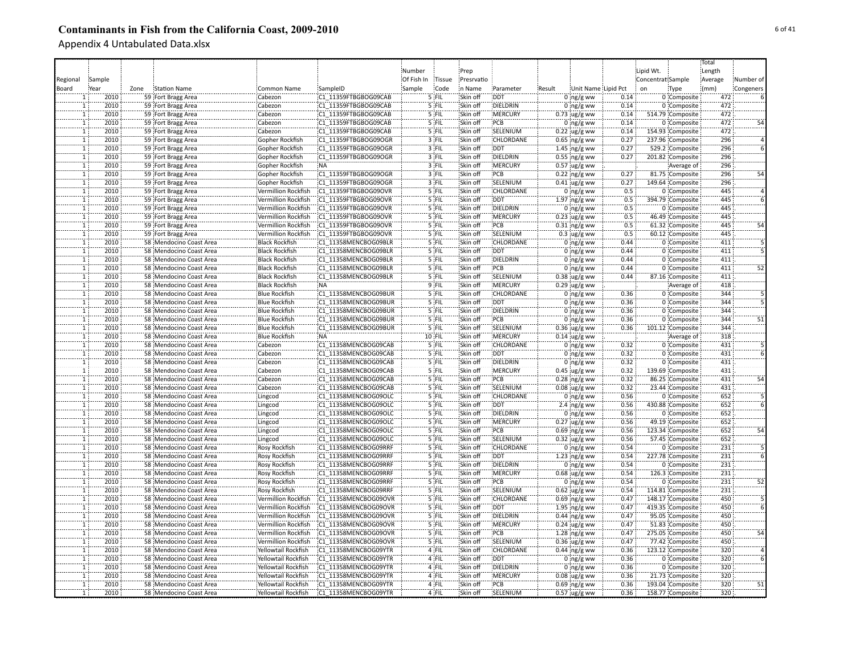|                |        |                             |                            |                      |            |         |            |                  |        |                      |                  |                   |                                     | Total      |                 |
|----------------|--------|-----------------------------|----------------------------|----------------------|------------|---------|------------|------------------|--------|----------------------|------------------|-------------------|-------------------------------------|------------|-----------------|
|                |        |                             |                            |                      | Number     |         | Prep       |                  |        |                      |                  | Lipid Wt.         |                                     | Length     |                 |
| Regional       | Sample |                             |                            |                      | Of Fish In | Tissue  | Presrvatio |                  |        |                      |                  | Concentrat Sample |                                     | Average    | Number of       |
| Board          | Year   | Zone<br><b>Station Name</b> | Common Name                | SampleID             | Sample     | Code    | in Name    | Parameter        | Result | Unit Name Lipid Pct  |                  | on                | Type                                | (mm)       | Congeners       |
|                | 2010   | 59 Fort Bragg Area          | Cabezon                    | C1 11359FTBGBOG09CAB |            | 5 FIL   | Skin off   | <b>DDT</b>       |        | $0$ ng/g ww          | 0.14             |                   | 0 Composite                         | 472        |                 |
|                | 2010   | 59 Fort Bragg Area          | Cabezon                    | C1 11359FTBGBOG09CAB |            | 5 FIL   | Skin off   | DIELDRIN         |        | $0$ ng/g ww          | 0.14             |                   | 0 Composite                         | 472        |                 |
| $\mathbf{1}$   | 2010   | 59 Fort Bragg Area          | Cabezon                    | C1 11359FTBGBOG09CAB |            | 5 FIL   | Skin off   | <b>MERCURY</b>   |        | $0.73$ ug/g ww       | 0.14             |                   | 514.79 Composite                    | 472        |                 |
| $\overline{1}$ | 2010   | 59 Fort Bragg Area          | Cabezon                    | C1 11359FTBGBOG09CAB |            | 5 FIL   | Skin off   | PCB              |        | $0$ ng/g ww          | 0.14             |                   | 0 Composite                         | 472        |                 |
|                | 2010   | 59 Fort Bragg Area          | Cabezon                    | C1 11359FTBGBOG09CAB |            | 5 FIL   | Skin off   | SELENIUM         |        | $0.22$ ug/g ww       | 0.14             |                   | 154.93 Composite                    | 472        |                 |
| ï              | 2010   | 59 Fort Bragg Area          | Gopher Rockfish            | C1 11359FTBGBOG09OGR |            | 3 FIL   | Skin off   | CHLORDANE        |        | $0.65$ ing/g ww      | 0.27             |                   | 237.96 Composite                    | 296        |                 |
| $\mathbf{1}$   | 2010   | 59 Fort Bragg Area          | Gopher Rockfish            | C1 11359FTBGBOG09OGR |            | 3 FIL   | Skin off   | <b>DDT</b>       |        | 1.45 $ng/g$ ww       | 0.27             |                   | 529.2 Composite                     | 296        |                 |
| T              | 2010   | 59 Fort Bragg Area          | Gopher Rockfish            | C1 11359FTBGBOG09OGR |            | 3 FIL   | Skin off   | <b>DIELDRIN</b>  |        | $0.55$ ing/g ww      | 0.27             |                   | 201.82 Composite                    | 296        |                 |
| $\mathbf{1}$   | 2010   | 59 Fort Bragg Area          | Gopher Rockfish            | <b>NA</b>            |            | 3 FIL   | Skin off   | <b>MERCURY</b>   |        | $0.57$ ug/g ww       |                  |                   |                                     | 296        |                 |
| $\mathbf{1}$   | 2010   |                             |                            | C1 11359FTBGBOG09OGR |            | $3$ FIL | Skin off   | PCB              |        |                      | 0.27             |                   | Average of                          |            | 54              |
|                | 2010   | 59 Fort Bragg Area          | Gopher Rockfish            | C1 11359FTBGBOG09OGR |            | 3 FIL   | Skin off   | SELENIUM         |        | $0.22$ ng/g ww       | 0.27             |                   | 81.75 Composite<br>149.64 Composite | 296<br>296 |                 |
| $\mathbf{1}$   | 2010   | 59 Fort Bragg Area          | Gopher Rockfish            |                      |            | 5 FIL   | Skin off   | <b>CHLORDANE</b> |        | $0.41$ ug/g ww       | 0.5              |                   |                                     | 445        |                 |
| $\mathbf{1}$   |        | 59 Fort Bragg Area          | Vermillion Rockfish        | C1 11359FTBGBOG09OVR |            |         |            |                  |        | 0 $ng/g$ ww          |                  |                   | 0 Composite                         |            |                 |
| $\mathbf{1}$   | 2010   | 59 Fort Bragg Area          | Vermillion Rockfish        | C1 11359FTBGBOG09OVR |            | $5$ FIL | Skin off   | <b>DDT</b>       |        | $1.97$ ing/g ww      | 0.5              |                   | 394.79 Composite                    | 445        |                 |
| $\mathbf{1}$   | 2010   | 59 Fort Bragg Area          | Vermillion Rockfish        | C1 11359FTBGBOG09OVR |            | 5 FIL   | Skin off   | DIELDRIN         |        | $0$ ing/g ww         | 0.5              |                   | 0 Composite                         | 445<br>445 |                 |
|                | 2010   | 59 Fort Bragg Area          | <b>Vermillion Rockfish</b> | C1 11359FTBGBOG09OVR |            | '5 FIL  | Skin off   | MERCURY          |        | $0.23$ ug/g ww       | 0.5              |                   | 46.49 Composite                     |            |                 |
|                | 2010   | 59 Fort Bragg Area          | Vermillion Rockfish        | C1 11359FTBGBOG09OVR |            | 5 FIL   | Skin off   | PCB              |        | $0.31$ ng/g ww       | 0.5              |                   | 61.32 Composite                     | 445        |                 |
| ï              | 2010   | 59 Fort Bragg Area          | Vermillion Rockfish        | C1 11359FTBGBOG09OVR |            | 5 FIL   | Skin off   | SELENIUM         |        | $0.3$ ug/g ww        | $\overline{0.5}$ |                   | 60.12 Composite                     | 445        |                 |
|                | 2010   | 58 Mendocino Coast Area     | <b>Black Rockfish</b>      | C1 11358MENCBOG09BLR |            | 5 FIL   | Skin off   | CHLORDANE        |        | $0$ ng/g ww          | 0.44             |                   | 0 Composite                         | 411        |                 |
| 1              | 2010   | 58 Mendocino Coast Area     | <b>Black Rockfish</b>      | C1 11358MENCBOG09BLR |            | 5 FIL   | Skin off   | <b>DDT</b>       |        | $0$ ng/g ww          | 0.44             |                   | 0 Composite                         | 411        |                 |
|                | 2010   | 58 Mendocino Coast Area     | <b>Black Rockfish</b>      | C1 11358MENCBOG09BLR |            | 5 FIL   | Skin off   | DIELDRIN         |        | $0$ ing/g ww         | 0.44             |                   | 0 Composite                         | 411        |                 |
| $\overline{1}$ | 2010   | 58 Mendocino Coast Area     | <b>Black Rockfish</b>      | C1 11358MENCBOG09BLR |            | $5$ FIL | Skin off   | :PCB             |        | $0$ ng/g ww          | 0.44             |                   | 0 Composite                         | 411        | 52              |
| T              | 2010   | 58 Mendocino Coast Area     | <b>Black Rockfish</b>      | C1 11358MENCBOG09BLR |            | 5 FIL   | Skin off   | SELENIUM         |        | $0.38$ ug/g ww       | 0.44             |                   | 87.16 Composite                     | 411        |                 |
| $\mathbf{1}$   | 2010   | 58 Mendocino Coast Area     | <b>Black Rockfish</b>      | <b>NA</b>            |            | 9 FIL   | Skin off   | <b>MERCURY</b>   |        | $0.29$ ug/g ww       |                  |                   | Average of                          | 418        |                 |
| $\overline{1}$ | 2010   | 58 Mendocino Coast Area     | <b>Blue Rockfish</b>       | C1 11358MENCBOG09BUR |            | $5$ FIL | Skin off   | CHLORDANE        |        | $0$ ng/g ww          | 0.36             |                   | 0 Composite                         | 344        |                 |
| $\overline{1}$ | 2010   | 58 Mendocino Coast Area     | <b>Blue Rockfish</b>       | C1 11358MENCBOG09BUR |            | 5 FIL   | Skin off   | <b>DDT</b>       |        | $0$ ing/g ww         | 0.36             |                   | 0 Composite                         | 344        |                 |
| ï              | 2010   | 58 Mendocino Coast Area     | <b>Blue Rockfish</b>       | C1 11358MENCBOG09BUR |            | 5 FIL   | Skin off   | DIELDRIN         |        | $0$ ng/g ww          | 0.36             |                   | 0 Composite                         | 344        |                 |
| 1              | 2010   | 58 Mendocino Coast Area     | <b>Blue Rockfish</b>       | C1 11358MENCBOG09BUR |            | 5 FIL   | Skin off   | PCB              |        | $0$ ing/g ww         | 0.36             |                   | 0 Composite                         | 344        | 51              |
|                | 2010   | 58 Mendocino Coast Area     | <b>Blue Rockfish</b>       | C1 11358MENCBOG09BUR |            | 5 FIL   | Skin off   | SELENIUM         |        | $0.36$ ug/g ww       | 0.36             |                   | 101.12 Composite                    | 344        |                 |
| $\mathbf{1}$   | 2010   | 58 Mendocino Coast Area     | <b>Blue Rockfish</b>       | <b>NA</b>            |            | 10 FIL  | Skin off   | <b>MERCURY</b>   |        | $0.14$ ug/g ww       |                  |                   | Average of                          | 318        |                 |
| $\mathbf{1}$   | 2010   | 58 Mendocino Coast Area     | Cabezon                    | C1 11358MENCBOG09CAB |            | 5 FIL   | Skin off   | CHLORDANE        |        | $0$ ng/g ww          | 0.32             |                   | 0 Composite                         | 431        |                 |
|                | 2010   | 58 Mendocino Coast Area     | Cabezon                    | C1 11358MENCBOG09CAB |            | $5$ FIL | Skin off   | DDT:             |        | $0$ ng/g ww          | 0.32             |                   | 0 Composite                         | 431        |                 |
| ï              | 2010   | 58 Mendocino Coast Area     | Cabezon                    | C1 11358MENCBOG09CAB |            | 5 FIL   | Skin off   | <b>DIELDRIN</b>  |        | $0$ ing/g ww         | 0.32             |                   | 0 Composite                         | 431        |                 |
| $\mathbf{1}$   | 2010   | 58 Mendocino Coast Area     | Cabezon                    | C1 11358MENCBOG09CAB |            | 5 FIL   | Skin off   | <b>MERCURY</b>   |        | $0.45$ ug/g ww       | 0.32             |                   | 139.69 Composite                    | 431        |                 |
| $\mathbf{1}$   | 2010   | 58 Mendocino Coast Area     | Cabezon                    | C1 11358MENCBOG09CAB |            | 5 FIL   | Skin off   | PCB              |        | $0.28$ ng/g ww       | 0.32             |                   | 86.25 Composite                     | 431        | 54              |
|                | 2010   | 58 Mendocino Coast Area     | Cabezon                    | C1 11358MENCBOG09CAB |            | 5 FIL   | Skin off   | SELENIUM         |        | $0.08 \, \mu g/g$ ww | 0.32             |                   | 23.44 Composite                     | 431        |                 |
| $\mathbf{1}$   | 2010   | 58 Mendocino Coast Area     | Lingcod                    | C1 11358MENCBOG09OLC |            | 5 FIL   | Skin off   | CHLORDANE        |        | $0$ ing/g ww         | 0.56             |                   | 0 Composite                         | 652        |                 |
|                | 2010   | 58 Mendocino Coast Area     | Lingcod                    | C1 11358MENCBOG09OLC |            | 5 FIL   | Skin off   | DDT              |        | 2.4 $ng/g$ ww        | 0.56             |                   | 430.88 Composite                    | 652        |                 |
| 1              | 2010   | 58 Mendocino Coast Area     | Lingcod                    | C1 11358MENCBOG09OLC |            | 5 FIL   | Skin off   | <b>DIELDRIN</b>  |        | $0$ ng/g ww          | 0.56             |                   | 0 Composite                         | 652        |                 |
| $\mathbf{1}$   | 2010   | 58 Mendocino Coast Area     | Lingcod                    | C1 11358MENCBOG09OLC |            | 5 FIL   | Skin off   | <b>MERCURY</b>   |        | $0.27$ ug/g ww       | 0.56             |                   | 49.19 Composite                     | 652        |                 |
|                | 2010   | 58 Mendocino Coast Area     | Lingcod                    | C1 11358MENCBOG09OLC |            | 5 FIL   | Skin off   | PCB              |        | $0.69$ ing/g ww      | 0.56             |                   | 123.34 Composite                    | 652        | 54              |
|                | 2010   | 58 Mendocino Coast Area     | Lingcod                    | C1 11358MENCBOG09OLC |            | 5 FIL   | Skin off   | SELENIUM         |        | $0.32$ ug/g ww       | 0.56             |                   | 57.45 Composite                     | 652        |                 |
|                | 2010   | 58 Mendocino Coast Area     | <b>Rosy Rockfish</b>       | C1 11358MENCBOG09RRF |            | '5 FIL  | Skin off   | CHLORDANE        |        | $0:$ ng/g ww         | 0.54             |                   | 0 Composite                         | 231        |                 |
|                | 2010   | 58 Mendocino Coast Area     | Rosy Rockfish              | C1 11358MENCBOG09RRF |            | 5 FIL   | Skin off   | <b>DDT</b>       |        | 1.23 $ng/g$ ww       | 0.54             |                   | 227.78 Composite                    | 231        |                 |
| $\mathbf{1}$   | 2010   | 58 Mendocino Coast Area     | Rosy Rockfish              | C1 11358MENCBOG09RRF |            | 5 FIL   | Skin off   | DIELDRIN         |        | $0$ ing/g ww         | 0.54             |                   | 0 Composite                         | 231        |                 |
| $\mathbf{1}$   | 2010   | 58 Mendocino Coast Area     | Rosy Rockfish              | C1 11358MENCBOG09RRF |            | 5 FIL   | Skin off   | <b>MERCURY</b>   |        | $0.68$ iug/g ww      | 0.54             |                   | 126.3 Composite                     | 231        |                 |
| $\overline{1}$ | 2010   | 58 Mendocino Coast Area     | Rosy Rockfish              | C1 11358MENCBOG09RRF |            | $5$ FIL | Skin off   | PCB              |        | $0$ ng/g ww          | 0.54             |                   | 0 Composite                         | 231        | 52              |
| T              | 2010   | 58 Mendocino Coast Area     | Rosy Rockfish              | C1 11358MENCBOG09RRF |            | $5$ FIL | Skin off   | SELENIUM         |        | $0.62$ ug/g ww       | 0.54             |                   | 114.81 Composite                    | 231        |                 |
| ï              | 2010   | 58 Mendocino Coast Area     | Vermillion Rockfish        | C1 11358MENCBOG09OVR |            | $5$ FIL | Skin off   | <b>CHLORDANE</b> |        | $0.69$ ng/g ww       | 0.47             |                   | 148.17 Composite                    | 450        |                 |
| $\mathbf{1}$   | 2010   | 58 Mendocino Coast Area     | Vermillion Rockfish        | C1 11358MENCBOG09OVR |            | 5 FIL   | Skin off   | <b>DDT</b>       |        | $1.95$ ing/g ww      | 0.47             |                   | 419.35 Composite                    | 450        |                 |
| $\overline{1}$ | 2010   | 58 Mendocino Coast Area     | Vermillion Rockfish        | C1 11358MENCBOG09OVR |            | 5 FIL   | Skin off   | <b>DIELDRIN</b>  |        | $0.44$ ng/g ww       | 0.47             |                   | 95.05 Composite                     | 450        |                 |
| $\mathbf{1}$   | 2010   | 58 Mendocino Coast Area     | Vermillion Rockfish        | C1 11358MENCBOG09OVR |            | $5$ FIL | Skin off   | <b>MERCURY</b>   |        | $0.24$ ug/g ww       | 0.47             |                   | 51.83 Composite                     | 450        |                 |
| 1              | 2010   | 58 Mendocino Coast Area     | Vermillion Rockfish        | C1 11358MENCBOG09OVR |            | 5 FIL   | Skin off   | PCB              |        | 1.28 ng/g ww         | 0.47             |                   | 275.05 Composite                    | 450        | 54              |
|                | 2010   | 58 Mendocino Coast Area     | Vermillion Rockfish        | C1 11358MENCBOG09OVR |            | 5 FIL   | Skin off   | SELENIUM         |        | $0.36$ ug/g ww       | 0.47             |                   | 77.42 Composite                     | 450        |                 |
|                | 2010   | 58 Mendocino Coast Area     | Yellowtail Rockfish        | C1 11358MENCBOG09YTR |            | 4 FIL   | Skin off   | <b>CHLORDANE</b> |        | $0.44$ ng/g ww       | 0.36             |                   | 123.12 Composite                    | 320        |                 |
| $\mathbf{1}$   | 2010   | 58 Mendocino Coast Area     | Yellowtail Rockfish        | C1 11358MENCBOG09YTR |            | 4 FIL   | Skin off   | <b>DDT</b>       |        | $0$ ng/g ww          | 0.36             |                   | 0 Composite                         | 320        |                 |
| ï              | 2010   | 58 Mendocino Coast Area     | Yellowtail Rockfish        | C1 11358MENCBOG09YTR |            | 4 FIL   | Skin off   | DIELDRIN         |        | $0$ ng/g ww          | 0.36             |                   | 0 Composite                         | 320        |                 |
| $\mathbf{1}$   | 2010   | 58 Mendocino Coast Area     | Yellowtail Rockfish        | C1 11358MENCBOG09YTR |            | 4 FIL   | Skin off   | <b>MERCURY</b>   |        | $0.08$ ug/g ww       | 0.36             |                   | 21.73 Composite                     | 320        |                 |
| Ŧ              | 2010   | 58 Mendocino Coast Area     | Yellowtail Rockfish        | C1 11358MENCBOG09YTR |            | 4 FIL   | Skin off   | PCB              |        | $0.69$ ng/g ww       | 0.36             |                   | 193.04 Composite                    | 320        | $\overline{51}$ |
|                | 2010   | 58 Mendocino Coast Area     | Yellowtail Rockfish        | C1 11358MENCBOG09YTR |            | 4 FIL   | Skin off   | SELENIUM         |        | $0.57$ ug/g ww       | 0.36             |                   | 158.77 Composite                    | 320        |                 |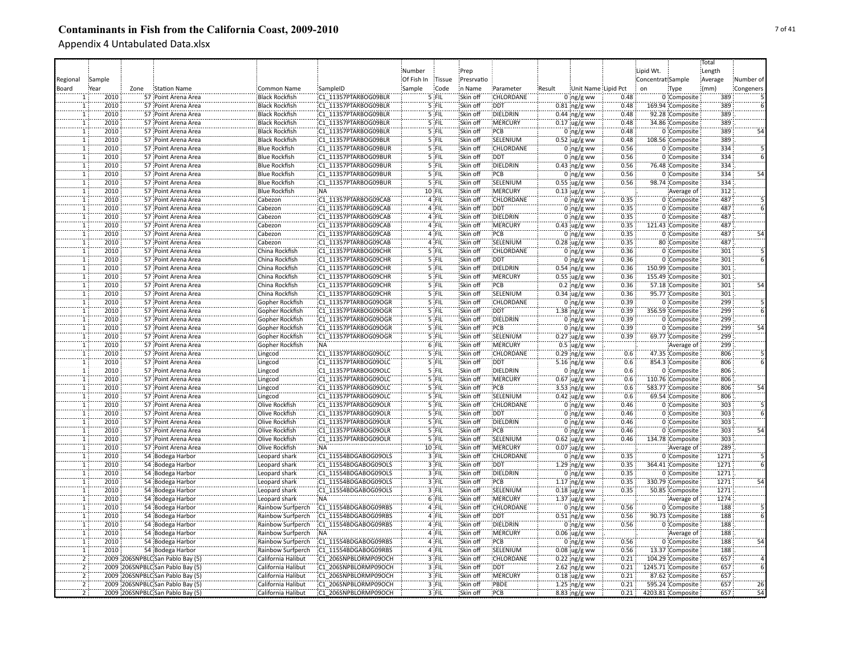|                     |              |      |                                            |                                              |                                              |            |                |                      |                  |        |                               |              |                   |                   | Total      |           |
|---------------------|--------------|------|--------------------------------------------|----------------------------------------------|----------------------------------------------|------------|----------------|----------------------|------------------|--------|-------------------------------|--------------|-------------------|-------------------|------------|-----------|
|                     |              |      |                                            |                                              |                                              | Number     |                | Prep                 |                  |        |                               |              | Lipid Wt.         |                   | Length     |           |
| Regional            | Sample       |      |                                            |                                              |                                              | Of Fish In | Tissue         | Presrvatio           |                  |        |                               |              | Concentrat Sample |                   | Average    | Number of |
| Board               | Year         | Zone | <b>Station Name</b>                        | Common Name                                  | SampleID                                     | Sample     | Code           | in Name              | Parameter        | Result | Unit Name Lipid Pct           |              | on                | Type              | (mm)       | Congeners |
|                     | 2010         |      | 57 Point Arena Area                        | <b>Black Rockfish</b>                        | C1 11357PTARBOG09BLF                         |            | 5 FIL          | Skin off             | CHLORDANE        |        | $0 \log/g$ ww                 | 0.48         |                   | 0 Composite       | 389        |           |
| $\mathbf{1}$        | 2010         |      | 57 Point Arena Area                        | <b>Black Rockfish</b>                        | C1 11357PTARBOG09BLR                         |            | 5 FIL          | Skin off             | <b>DDT</b>       |        | $0.81$ ng/g ww                | 0.48         |                   | 169.94 Composite  | 389        |           |
| $\mathbf{1}$        | 2010         |      | 57 Point Arena Area                        | <b>Black Rockfish</b>                        | C1 11357PTARBOG09BLR                         |            | 5 FIL          | Skin off             | DIELDRIN         |        | $0.44$ ng/g ww                | 0.48         |                   | 92.28 Composite   | 389        |           |
| $\mathbf{1}$        | 2010         |      | 57 Point Arena Area                        | <b>Black Rockfish</b>                        | C1 11357PTARBOG09BLR                         |            | 5 FIL          | Skin off             | MERCURY          |        | $0.17$ ug/g ww                | 0.48         |                   | 34.86 Composite   | 389        |           |
| $\mathbf{1}$        | 2010         |      | 57 Point Arena Area                        | <b>Black Rockfish</b>                        | C1 11357PTARBOG09BLR                         |            | 5 FIL          | Skin off             | PCB              |        | $0$ ng/g ww                   | 0.48         |                   | 0 Composite       | 389        |           |
| T                   | 2010         |      | 57 Point Arena Area                        | <b>Black Rockfish</b>                        | C1 11357PTARBOG09BLR                         |            | 5 FIL          | Skin off             | SELENIUM         |        |                               | 0.48         |                   | 108.56 Composite  | 389        |           |
| T                   | 2010         |      | 57 Point Arena Area                        | <b>Blue Rockfish</b>                         | C1 11357PTARBOG09BUR                         |            | 5 FIL          | Skin off             | CHLORDANE        |        | $0.52$ ug/g ww<br>$0$ ng/g ww | 0.56         |                   | 0 Composite       | 334        |           |
| T                   | 2010         |      | 57 Point Arena Area                        | <b>Blue Rockfish</b>                         | C1 11357PTARBOG09BUR                         |            | 5 FIL          | Skin off             | <b>DDT</b>       |        | $0$ ing/g ww                  | 0.56         |                   | 0 Composite       | 334        |           |
|                     |              |      |                                            |                                              | C1 11357PTARBOG09BUR                         |            | 5 FIL          | Skin off             | DIELDRIN         |        |                               | 0.56         |                   |                   | 334        |           |
| $\mathbf{1}$        | 2010         |      | 57 Point Arena Area                        | <b>Blue Rockfish</b>                         |                                              |            |                |                      |                  |        | $0.43$ ng/g ww                |              |                   | 76.48 Composite   |            | 54        |
| $\mathbf{1}$        | 2010<br>2010 |      | 57 Point Arena Area<br>57 Point Arena Area | <b>Blue Rockfish</b><br><b>Blue Rockfish</b> | C1 11357PTARBOG09BUR                         |            | 5 FIL<br>5 FIL | Skin off<br>Skin off | PCB<br>SELENIUM  |        | $0$ ng/g ww                   | 0.56         |                   | 0 Composite       | 334<br>334 |           |
| 1<br>$\overline{1}$ | 2010         |      |                                            |                                              | C1 11357PTARBOG09BUR                         |            | 10 FIL         | Skin off             | <b>MERCURY</b>   |        | $0.55$ ug/g ww                | 0.56         |                   | 98.74 Composite   |            |           |
| $\overline{1}$      | 2010         |      | 57 Point Arena Area                        | <b>Blue Rockfish</b>                         | :NA                                          |            |                |                      | <b>CHLORDANE</b> |        | $0.13$ ug/g ww                |              |                   | Average of        | 312        |           |
|                     | 2010         |      | 57 Point Arena Area<br>57 Point Arena Area | Cabezon<br>Cabezon                           | C1 11357PTARBOG09CAB<br>C1 11357PTARBOG09CAB |            | 4 FIL<br>4 FIL | Skin off<br>Skin off | <b>DDT</b>       |        | $0$ ing/g ww                  | 0.35<br>0.35 |                   | 0 Composite       | 487<br>487 |           |
| $\mathbf{1}$        |              |      |                                            |                                              |                                              |            |                |                      |                  |        | $0$ ing/g ww                  |              |                   | 0 Composite       | 487        |           |
| $\mathbf{1}$<br>ï   | 2010         |      | 57 Point Arena Area                        | Cabezon                                      | C1 11357PTARBOG09CAB                         |            | 4 FIL          | Skin off             | DIELDRIN         |        | $0$ ng/g ww                   | 0.35         |                   | 0 Composite       |            |           |
| ï                   | 2010<br>2010 |      | 57 Point Arena Area                        | Cabezon                                      | C1 11357PTARBOG09CAB                         |            | 4 FIL<br>4 FIL | Skin off             | MERCURY<br>PCB   |        | $0.43$ ug/g ww                | 0.35<br>0.35 |                   | 121.43 Composite  | 487<br>487 |           |
|                     |              |      | 57 Point Arena Area                        | Cabezon                                      | C1 11357PTARBOG09CAB                         |            |                | Skin off             |                  |        | $0$ ng/g ww                   |              |                   | 0 Composite       |            |           |
| $\mathbf{1}$        | 2010         |      | 57 Point Arena Area                        | Cabezon                                      | C1 11357PTARBOG09CAB                         |            | 4 FIL          | Skin off             | SELENIUM         |        | $0.28$ ug/g ww                | 0.35         |                   | 80 Composite      | 487        |           |
| 1                   | 2010         |      | 57 Point Arena Area                        | China Rockfish                               | C1 11357PTARBOG09CHR                         |            | 5 FIL          | Skin off             | CHLORDANE        |        | $0$ ing/g ww                  | 0.36         |                   | 0 Composite       | 301        |           |
| $\mathbf{1}$        | 2010         |      | 57 Point Arena Area                        | China Rockfish                               | C1 11357PTARBOG09CHR                         |            | 5 FIL          | Skin off             | <b>DDT</b>       |        | $0:$ ng/g ww                  | 0.36         |                   | 0 Composite       | 301        |           |
| $\overline{1}$      | 2010         |      | 57 Point Arena Area                        | China Rockfish                               | C1 11357PTARBOG09CHR                         |            | 5 FIL          | Skin off             | DIELDRIN         |        | $0.54$ ng/g ww                | 0.36         |                   | 150.99 Composite  | 301        |           |
| $\overline{1}$      | 2010         |      | 57 Point Arena Area                        | China Rockfish                               | C1 11357PTARBOG09CHR                         |            | 5 FIL          | Skin off             | <b>MERCURY</b>   |        | $0.55$ ug/g ww                | 0.36         |                   | 155.49 Composite  | 301        |           |
| 11                  | 2010         |      | 57 Point Arena Area                        | China Rockfish                               | C1 11357PTARBOG09CHR                         |            | $5$ FIL        | Skin off             | PCB              |        | $0.2 \, \text{ng/g}$ ww       | 0.36         |                   | 57.18 Composite   | 301        | 54        |
| $\overline{1}$      | 2010         |      | 57 Point Arena Area                        | China Rockfish                               | C1 11357PTARBOG09CHR                         |            | $5$ FIL        | Skin off             | SELENIUM         |        | $0.34$ ug/g ww                | 0.36         |                   | 95.77 Composite   | 301        |           |
| T                   | 2010         |      | 57 Point Arena Area                        | Gopher Rockfish                              | C1 11357PTARBOG09OGR                         |            | 5 FIL          | Skin off             | <b>CHLORDANE</b> |        | $0$ ing/g ww                  | 0.39         |                   | 0 Composite       | 299        |           |
| ï                   | 2010         |      | 57 Point Arena Area                        | Gopher Rockfish                              | C1 11357PTARBOG09OGR                         |            | 5 FIL          | Skin off             | <b>DDT</b>       |        | 1.38 $ng/g$ ww                | 0.39         |                   | 356.59 Composite  | 299        |           |
|                     | 2010         |      | 57 Point Arena Area                        | Gopher Rockfish                              | C1 11357PTARBOG09OGR                         |            | 5 FIL          | Skin off             | DIELDRIN         |        | 0 $ng/g$ ww                   | 0.39         |                   | 0 Composite       | 299        |           |
| $\mathbf{1}$        | 2010         |      | 57 Point Arena Area                        | Gopher Rockfish                              | C1 11357PTARBOG09OGR                         |            | 5 FIL          | Skin off             | PCB              |        | $0$ ing/g ww                  | 0.39         |                   | 0 Composite       | 299        | 54        |
| $\overline{1}$      | 2010         |      | 57 Point Arena Area                        | Gopher Rockfish                              | C1 11357PTARBOG09OGR                         |            | 5 FIL          | Skin off             | SELENIUM         |        | $0.27$ ug/g ww                | 0.39         |                   | 69.77 Composite   | 299        |           |
| $\overline{1}$      | 2010         |      | 57 Point Arena Area                        | Gopher Rockfish                              | NA:                                          |            | 6 FIL          | Skin off             | MERCURY          |        | $0.5$ ug/g ww                 |              |                   | Average of        | 299        |           |
| $\mathbf{1}$        | 2010         |      | 57 Point Arena Area                        | Lingcod                                      | C1 11357PTARBOG09OLC                         |            | 5 FIL          | Skin off             | CHLORDANE        |        | $0.29$ ng/g ww                | 0.6          |                   | 47.35 Composite   | 806        |           |
| ï                   | 2010         |      | 57 Point Arena Area                        | Lingcod                                      | C1 11357PTARBOG09OLC                         |            | 5 FIL          | Skin off             | DDT              |        | 5.16 ng/g ww                  | 0.6          |                   | 854.3 Composite   | 806        |           |
| T                   | 2010         |      | 57 Point Arena Area                        | Lingcod                                      | C1 11357PTARBOG09OLC                         |            | 5 FIL          | Skin off             | <b>DIELDRIN</b>  |        | $0$ ing/g ww                  | 0.6          |                   | 0 Composite       | 806        |           |
| $\mathbf{1}$        | 2010         |      | 57 Point Arena Area                        | Lingcod                                      | C1 11357PTARBOG09OLC                         |            | 5 FIL          | Skin off             | MERCURY          |        | 0.67 ug/g ww                  | 0.6          |                   | 110.76 Composite  | 806        |           |
| $\mathbf{1}$        | 2010         |      | 57 Point Arena Area                        | Lingcod                                      | C1 11357PTARBOG09OLC                         |            | 5 FIL          | Skin off             | PCB              |        | 3.53 $ng/g$ ww                | 0.6          |                   | 583.77 Composite  | 806        | 54        |
| $\mathbf{1}$        | 2010         |      | 57 Point Arena Area                        | Lingcod                                      | C1 11357PTARBOG09OLC                         |            | 5 FIL          | Skin off             | SELENIUM         |        | $0.42$ ug/g ww                | 0.6          |                   | 69.54 Composite   | 806        |           |
| $\mathbf{1}$        | 2010         |      | 57 Point Arena Area                        | Olive Rockfish                               | C1 11357PTARBOG09OLR                         |            | 5 FIL          | Skin off             | <b>CHLORDANE</b> |        | $0$ ng/g ww                   | 0.46         |                   | 0 Composite       | 303        |           |
| $\mathbf{1}$        | 2010         |      | 57 Point Arena Area                        | Olive Rockfish                               | C1 11357PTARBOG09OLR                         |            | 5 FIL          | Skin off             | <b>DDT</b>       |        | $0$ ng/g ww                   | 0.46         |                   | 0 Composite       | 303        |           |
| ï                   | 2010         |      | 57 Point Arena Area                        | Olive Rockfish                               | C1 11357PTARBOG09OLR                         |            | 5 FIL          | Skin off             | DIELDRIN         |        | $0$ ing/g ww                  | 0.46         |                   | 0 Composite       | 303        |           |
| $\mathbf{1}$        | 2010         |      | 57 Point Arena Area                        | Olive Rockfish                               | C1 11357PTARBOG09OLR                         |            | 5 FIL          | Skin off             | PCB              |        | $0$ ing/g ww                  | 0.46         |                   | 0 Composite       | 303        |           |
| ï                   | 2010         |      | 57 Point Arena Area                        | Olive Rockfish                               | C1 11357PTARBOG09OLR                         |            | '5 FIL         | Skin off             | SELENIUM         |        | $0.62$ ug/g ww                | 0.46         |                   | 134.78 Composite  | 303        |           |
| $\mathbf{1}$        | 2010         |      | 57 Point Arena Area                        | Olive Rockfish                               | NÄ                                           |            | 10 FIL         | Skin off             | MERCURY          |        | $0.07$ ug/g ww                |              |                   | Average of        | 289        |           |
| $\mathbf{1}$        | 2010         |      | 54 Bodega Harbor                           | Leopard shark                                | C1 11554BDGABOG09OLS                         |            | 3 FIL          | Skin off             | CHLORDANE        |        | $0$ ng/g ww                   | 0.35         |                   | 0 Composite       | 1271       |           |
| $\mathbf{1}$        | 2010         |      | 54 Bodega Harbor                           | Leopard shark                                | C1 11554BDGABOG09OLS                         |            | 3 FIL          | Skin off             | <b>DDT</b>       |        | $1.29$ ng/g ww                | 0.35         |                   | 364.41 Composite  | 1271       |           |
| $\overline{1}$      | 2010         |      | 54 Bodega Harbor                           | Leopard shark                                | C1 11554BDGABOG09OLS                         |            | 3 FIL          | Skin off             | DIELDRIN         |        | $0$ ing/g ww                  | 0.35         |                   | 0 Composite       | 1271       |           |
| $\overline{1}$      | 2010         |      | 54 Bodega Harbor                           | Leopard shark                                | C1 11554BDGABOG09OLS                         |            | 3 FIL          | Skin off             | PCB              |        | $1.17$ ng/g ww                | 0.35         |                   | 330.79 Composite  | 1271       | 54        |
| $\overline{1}$      | 2010         |      | 54 Bodega Harbor                           | Leopard shark                                | C1 11554BDGABOG09OLS                         |            | $3$ FIL        | Skin off             | SELENIUM         |        | $0.18$ ug/g ww                | 0.35         |                   | 50.85 Composite   | 1271       |           |
| 11                  | 2010         |      | 54 Bodega Harbor                           | Leopard shark                                | <b>NA</b>                                    |            | 6 FIL          | Skin off             | <b>MERCURY</b>   |        | $1.37$ ug/g ww                |              |                   | Average of        | 1274       |           |
| $\overline{1}$      | 2010         |      | 54 Bodega Harbor                           | Rainbow Surfperch                            | C1 11554BDGABOG09RBS                         |            | 4 FIL          | Skin off             | CHLORDANE        |        | $0$ ng/g ww                   | 0.56         |                   | 0 Composite       | 188        |           |
| T                   | 2010         |      | 54 Bodega Harbor                           | Rainbow Surfperch                            | C1 11554BDGABOG09RBS                         |            | 4 FIL          | Skin off             | <b>DDT</b>       |        | $0.51$ ng/g ww                | 0.56         |                   | 90.73 Composite   | 188        |           |
| $\mathbf{1}$        | 2010         |      | 54 Bodega Harbor                           | Rainbow Surfperch                            | C1 11554BDGABOG09RBS                         |            | 4 FIL          | Skin off             | DIELDRIN         |        | $0$ ng/g ww                   | 0.56         |                   | 0 Composite       | 188        |           |
| $\mathbf{1}$        | 2010         |      | 54 Bodega Harbor                           | Rainbow Surfperch                            | :NA                                          |            | 4 FIL          | Skin off             | :MERCURY         |        | $0.06$ ug/g ww                |              |                   | Average of        | 188        |           |
| $\mathbf{1}$        | 2010         |      | 54 Bodega Harbor                           | Rainbow Surfperch                            | C1 11554BDGABOG09RBS                         |            | 4 FIL          | Skin off             | PCB              |        | $0$ ng/g ww                   | 0.56         |                   | 0 Composite       | 188        | 54        |
| $\mathbf{1}$        | 2010         |      | 54 Bodega Harbor                           | Rainbow Surfperch                            | C1 11554BDGABOG09RBS                         |            | 4 FIL          | Skin off             | SELENIUM         |        | $0.08 \,$ ug/g ww             | 0.56         |                   | 13.37 Composite   | 188        |           |
| $\overline{2}$      |              |      | 2009 206SNPBLC San Pablo Bay (5)           | California Halibut                           | C1 206SNPBLORMP09OCH                         |            | 3 FIL          | Skin off             | CHLORDANE        |        | $0.22$ ng/g ww                | 0.21         |                   | 104.29 Composite  | 657        |           |
| $\overline{2}$      |              |      | 2009 206SNPBLC San Pablo Bay (5)           | California Halibut                           | C1 206SNPBLORMP09OCH                         |            | 3 FIL          | Skin off             | <b>DDT</b>       |        | 2.62 $ng/g$ ww                | 0.21         |                   | 1245.71 Composite | 657        |           |
| $\overline{2}$      |              |      | 2009 206SNPBLC San Pablo Bay (5)           | California Halibut                           | C1 206SNPBLORMP09OCH                         |            | $3$ FIL        | Skin off             | <b>MERCURY</b>   |        | $0.18$ ug/g ww                | 0.21         |                   | 87.62 Composite   | 657        |           |
| $\overline{2}$      |              |      | 2009 206SNPBLC San Pablo Bay (5)           | California Halibut                           | C1 206SNPBLORMP09OCH                         |            | 3 FIL          | Skin off             | PBDE             |        | 1.25 ng/g ww                  | 0.21         |                   | 595.24 Composite  | 657        | 26        |
| $\overline{2}$      |              |      | 2009 206SNPBLC San Pablo Bay (5)           | California Halibut                           | C1 206SNPBLORMP09OCH                         |            | 3 FIL          | Skin off             | PCB              |        | $8.83$ ng/g ww                | 0.21         |                   | 4203.81 Composite | 657        | 54        |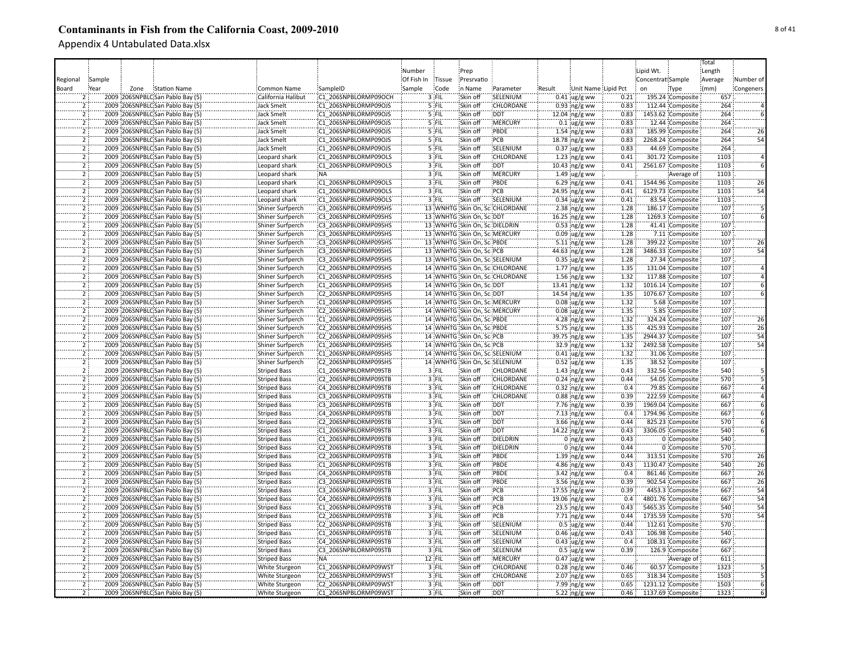|                |                                  |              |                         |                      |            |         |                                |                                |        |                      |       |                   |                   | Total   |                 |
|----------------|----------------------------------|--------------|-------------------------|----------------------|------------|---------|--------------------------------|--------------------------------|--------|----------------------|-------|-------------------|-------------------|---------|-----------------|
|                |                                  |              |                         |                      | Number     |         | Prep                           |                                |        |                      |       | Lipid Wt.         |                   | Length  |                 |
|                | Sample                           |              |                         |                      | Of Fish In | Tissue  | Presrvatio                     |                                |        |                      |       | Concentrat Sample |                   |         | Number of       |
| Regional       |                                  |              |                         |                      |            |         |                                |                                |        |                      |       |                   |                   | Average |                 |
| Board          | Year<br>Zone                     | Station Name | Common Name             | SampleID             | Sample     | Code    | n Name                         | Parameter                      | Result | Unit Name Lipid Pct  |       | on                | Type              | (mm)    | Congeners       |
|                | 2009 206SNPBLC San Pablo Bay (5  |              | California Halibut      | C1 206SNPBLORMP09OCH |            | 3 FIL   | Skin off                       | SELENIUM                       |        | $0.41$ ug/g ww       | 0.21  |                   | 195.24 Composite  | 657     |                 |
|                | 2009 206SNPBLC San Pablo Bay (5) |              | Jack Smelt              | C1 206SNPBLORMP09OJS |            | $5$ FIL | Skin off                       | CHLORDANE                      |        | $0.93$ ng/g ww       | 0.83  |                   | 112.44 Composite  | 264     |                 |
| $\overline{2}$ | 2009 206SNPBLC San Pablo Bay (5) |              | <b>Jack Smelt</b>       | C1 206SNPBLORMP09OJS |            | 5 FIL   | Skin off                       | <b>DDT</b>                     |        | 12.04 ng/g ww        | 0.83  |                   | 1453.62 Composite | 264     |                 |
| $\overline{2}$ | 2009 206SNPBLC San Pablo Bay (5) |              | <b>Jack Smelt</b>       | C1 206SNPBLORMP09OJS |            | 5 FIL   | Skin off                       | MERCURY                        |        | $0.1$ ug/g ww        | 0.83  |                   | 12.44 Composite   | 264     |                 |
| $\overline{2}$ | 2009 206SNPBLC San Pablo Bay (5) |              | <b>Jack Smelt</b>       | C1 206SNPBLORMP09OJS |            | 5 FIL   | Skin off                       | PBDE                           |        | $1.54$ ng/g ww       | 0.83  |                   | 185.99 Composite  | 264     | 26              |
| ï              | 2009 206SNPBLC San Pablo Bay (5) |              | Jack Smelt              | C1 206SNPBLORMP09OJS |            | 5 FIL   | Skin off                       | PCB                            |        | 18.78 ng/g ww        | 0.83  |                   | 2268.24 Composite | 264     | 54              |
| $\overline{2}$ | 2009 206SNPBLC San Pablo Bay (5) |              | <b>Jack Smelt</b>       | C1 206SNPBLORMP09OJS |            | 5 FIL   | Skin off                       | SELENIUM                       |        | $0.37$ ug/g ww       | 0.83  |                   | 44.69 Composite   | 264     |                 |
| $\overline{2}$ | 2009 206SNPBLC San Pablo Bay (5) |              | Leopard shark           | C1 206SNPBLORMP09OLS |            | 3 FIL   | Skin off                       | <b>CHLORDANE</b>               |        | $1.23$ ng/g ww       | 0.41  |                   | 301.72 Composite  | 1103    |                 |
| $\overline{2}$ | 2009 206SNPBLC San Pablo Bay (5) |              | Leopard shark           | C1 206SNPBLORMP09OLS |            | 3 FIL   | Skin off                       | <b>DDT</b>                     |        | $10.43$ ng/g ww      | 0.41  |                   | 2561.67 Composite | 1103    |                 |
| $\overline{2}$ | 2009 206SNPBLC San Pablo Bay (5) |              | Leopard shark           | :NA                  |            | 3 FIL   | Skin off                       | MERCURY                        |        | $1.49$ ug/g ww       |       |                   | Average of        | 1103    |                 |
| 2              | 2009 206SNPBLC San Pablo Bay (5) |              | Leopard shark           | C1 206SNPBLORMP09OLS |            | $3$ FIL | Skin off                       | PBDE                           |        | 6.29 ng/g ww         | 0.41  |                   | 1544.96 Composite | 1103    | 26              |
| $\overline{2}$ | 2009 206SNPBLC San Pablo Bay (5) |              | Leopard shark           | C1 206SNPBLORMP09OLS |            | 3 FIL   | Skin off                       | PCB                            |        | 24.95 ng/g ww        | 0.41  |                   | 6129.73 Composite | 1103    | 54              |
| $\overline{2}$ | 2009 206SNPBLC San Pablo Bay (5) |              | Leopard shark           | C1 206SNPBLORMP09OLS |            | $3$ FIL | Skin off                       | SELENIUM                       |        | $0.34$ ug/g ww       | 0.41  |                   | 83.54 Composite   | 1103    |                 |
| $\overline{2}$ | 2009 206SNPBLC San Pablo Bay (5) |              | Shiner Surfperch        | C3 206SNPBLORMP09SHS |            |         |                                | 13 WNHTG Skin On, SciCHLORDANE |        | 2.38 $ng/g$ ww       | 1.28  |                   | 186.17 Composite  | 107     |                 |
|                | 2009 206SNPBLC San Pablo Bay (5) |              | Shiner Surfperch        | C3 206SNPBLORMP09SHS |            |         | 13 WNHTG Skin On, Sc DDT       |                                |        | 16.25 ng/g ww        | 1.28  |                   | 1269.3 Composite  | 107     |                 |
| 2              | 2009 206SNPBLC San Pablo Bay (5) |              | Shiner Surfperch        | C3 206SNPBLORMP09SHS |            |         | 13 WNHTG Skin On, Sci DIELDRIN |                                |        | $0.53$ ng/g ww       | 1.28  |                   | 41.41 Composite   | 107     |                 |
| ï              | 2009 206SNPBLC San Pablo Bay (5) |              | Shiner Surfperch        | C3 206SNPBLORMP09SHS |            |         | 13 WNHTG Skin On, Sc: MERCURY  |                                |        |                      | 1.28  |                   | 7.11 Composite    | 107     |                 |
|                |                                  |              |                         |                      |            |         |                                |                                |        | $0.09$ ug/g ww       |       |                   |                   |         |                 |
|                | 2009 206SNPBLC San Pablo Bay (5) |              | Shiner Surfperch        | C3 206SNPBLORMP09SHS |            |         | 13 WNHTG Skin On, Sc. PBDE     |                                |        | $5.11$ ng/g ww       | 1.28  |                   | 399.22 Composite  | 107     | 26              |
| $\overline{2}$ | 2009 206SNPBLC San Pablo Bay (5) |              | Shiner Surfperch        | C3 206SNPBLORMP09SHS |            |         | 13 WNHTG Skin On, SciPCB       |                                |        | 44.63 ng/g ww        | 1.28  |                   | 3486.33 Composite | 107     | 54              |
| 2              | 2009 206SNPBLC San Pablo Bay (5) |              | Shiner Surfperch        | C3 206SNPBLORMP09SHS |            |         |                                | 13 WNHTG Skin On, Sc: SELENIUM |        | $0.35$ ug/g ww       | 1.28  |                   | 27.34 Composite   | 107     |                 |
| $\overline{2}$ | 2009 206SNPBLC San Pablo Bay (5) |              | Shiner Surfperch        | C2 206SNPBLORMP09SHS |            |         |                                | 14 WNHTG Skin On, SciCHLORDANE |        | $1.77$ ing/g ww      | 1.35  |                   | 131.04 Composite  | 107     |                 |
| $\overline{2}$ | 2009 206SNPBLC San Pablo Bay (5) |              | Shiner Surfperch        | C1 206SNPBLORMP09SHS |            |         |                                | 14 WNHTG Skin On, SciCHLORDANE |        | $1.56$ ng/g ww       | 1.32  |                   | 117.88 Composite  | 107     |                 |
| $\overline{2}$ | 2009 206SNPBLC San Pablo Bay (5) |              | <b>Shiner Surfperch</b> | C1 206SNPBLORMP09SHS |            |         | 14 WNHTG Skin On, Sci DDT      |                                |        | 13.41 $ng/g$ ww      | 1.32  |                   | 1016.14 Composite | 107     |                 |
| $\overline{2}$ | 2009 206SNPBLC San Pablo Bay (5) |              | Shiner Surfperch        | C2 206SNPBLORMP09SHS |            |         | 14 WNHTG Skin On, Sci DDT      |                                |        | 14.54 ng/g ww        | 1.35  |                   | 1076.67 Composite | 107     |                 |
| $\overline{2}$ | 2009 206SNPBLC San Pablo Bay (5) |              | Shiner Surfperch        | C1 206SNPBLORMP09SHS |            |         | 14 WNHTG Skin On, ScaMERCURY   |                                |        | $0.08$ ug/g ww       | 1.32  |                   | 5.68 Composite    | 107     |                 |
| $\overline{2}$ | 2009 206SNPBLC San Pablo Bay (5) |              | Shiner Surfperch        | C2 206SNPBLORMP09SHS |            |         | 14 WNHTG Skin On, Sc: MERCURY  |                                |        | $0.08 \, \mu g/g$ ww | 1.35  |                   | 5.85 Composite    | 107     |                 |
| $\overline{2}$ | 2009 206SNPBLC San Pablo Bay (5) |              | Shiner Surfperch        | C1 206SNPBLORMP09SHS |            |         | 14 WNHTG Skin On, Sc: PBDE     |                                |        | 4.28 $ng/g$ ww       | 1.32  |                   | 324.24 Composite  | 107     | 26              |
| $\overline{2}$ | 2009 206SNPBLC San Pablo Bay (5) |              | Shiner Surfperch        | C2 206SNPBLORMP09SHS |            |         | 14 WNHTG Skin On, Sci PBDE     |                                |        | 5.75 ng/g ww         | 1.35  |                   | 425.93 Composite  | 107     | 26              |
| $\overline{2}$ | 2009 206SNPBLC San Pablo Bay (5) |              | Shiner Surfperch        | C2 206SNPBLORMP09SHS |            |         | 14 WNHTG Skin On, Sci PCB      |                                |        | 39.75 ng/g ww        | 1.35  |                   | 2944.37 Composite | 107     | 54              |
| $\overline{2}$ | 2009 206SNPBLC San Pablo Bay (5) |              | Shiner Surfperch        | C1 206SNPBLORMP09SHS |            |         | 14 WNHTG Skin On, Sc. PCB      |                                |        | 32.9 ng/g ww         | 1.32  |                   | 2492.58 Composite | 107     | $\overline{54}$ |
| $\overline{2}$ | 2009 206SNPBLC San Pablo Bay (5) |              | Shiner Surfperch        | C1 206SNPBLORMP09SHS |            |         |                                | 14 WNHTG Skin On, Sc:SELENIUM  |        | $0.41$ ug/g ww       | 1.32  |                   | 31.06 Composite   | 107     |                 |
| $\overline{2}$ | 2009 206SNPBLC San Pablo Bay (5) |              | Shiner Surfperch        | C2 206SNPBLORMP09SHS |            |         |                                | 14 WNHTG Skin On, Sc. SELENIUM |        | $0.52$ ug/g ww       | 1.35  |                   | 38.52 Composite   | 107     |                 |
| $\overline{2}$ | 2009 206SNPBLC San Pablo Bay (5) |              | <b>Striped Bass</b>     | C1 206SNPBLORMP09STB |            | 3 FIL   | Skin off                       | CHLORDANE                      |        | 1.43 ng/g ww         | 0.43  |                   | 332.56 Composite  | 540     |                 |
| $\overline{2}$ | 2009 206SNPBLC San Pablo Bay (5) |              | <b>Striped Bass</b>     | C2 206SNPBLORMP09STB |            | 3 FIL   | Skin off                       | CHLORDANE                      |        | $0.24$ ng/g ww       | 0.44  |                   | 54.05 Composite   | 570     |                 |
| $\overline{2}$ | 2009 206SNPBLC San Pablo Bay (5) |              | <b>Striped Bass</b>     | C4 206SNPBLORMP09STB |            | $3$ FIL | Skin off                       | CHLORDANE                      |        | $0.32$ ng/g ww       | 0.4   |                   | 79.85 Composite   | 667     |                 |
| $\overline{2}$ | 2009 206SNPBLC San Pablo Bay (5) |              | <b>Striped Bass</b>     | C3 206SNPBLORMP09STB |            | 3 FIL   | Skin off                       | <b>CHLORDANE</b>               |        | $0.88$ ng/g ww       | 0.39  |                   | 222.59 Composite  | 667     |                 |
| $\overline{2}$ | 2009 206SNPBLC San Pablo Bay (5) |              |                         | C3 206SNPBLORMP09STB |            | 3 FIL   | Skin off                       | DDT:                           |        | 7.76 ng/g ww         | 0.39  |                   | 1969.04 Composite | 667     |                 |
| $\overline{2}$ | 2009 206SNPBLC San Pablo Bay (5) |              | <b>Striped Bass</b>     | C4 206SNPBLORMP09STB |            | $3$ FIL | Skin off                       | <b>DDT</b>                     |        |                      | 0.4   |                   | 1794.96 Composite | 667     |                 |
| $\overline{2}$ |                                  |              | <b>Striped Bass</b>     |                      |            |         |                                | <b>DDT</b>                     |        | 7.13 ng/g ww         | 0.44  |                   |                   |         |                 |
|                | 2009 206SNPBLC:San Pablo Bay (5) |              | <b>Striped Bass</b>     | C2 206SNPBLORMP09STB |            | 3 FIL   | Skin off                       |                                |        | 3.66 ing/g ww        |       |                   | 825.23 Composite  | 570     |                 |
|                | 2009 206SNPBLC San Pablo Bay (5) |              | <b>Striped Bass</b>     | C1 206SNPBLORMP09STB |            | $3$ FIL | Skin off                       | <b>DDT</b>                     |        | 14.22 ng/g ww        | 0.43  |                   | 3306.05 Composite | 540     |                 |
| 2              | 2009 206SNPBLC San Pablo Bay (5) |              | <b>Striped Bass</b>     | C1 206SNPBLORMP09STB |            | 3 FIL   | Skin off                       | DIELDRIN                       |        | $0$ ing/g ww         | 0.43  |                   | 0 Composite       | 540     |                 |
| Ï              | 2009 206SNPBLC San Pablo Bay (5) |              | <b>Striped Bass</b>     | C2 206SNPBLORMP09STB |            | 3 FIL   | Skin off                       | DIELDRIN                       |        | 0 $ng/g$ ww          | 0.44  |                   | 0 Composite       | 570     |                 |
| 2              | 2009 206SNPBLC San Pablo Bay (5) |              | <b>Striped Bass</b>     | C2 206SNPBLORMP09STB |            | 3 FIL   | Skin off                       | PBDE                           |        | $1.39$ ng/g ww       | 0.44  |                   | 313.51 Composite  | 570     | 26              |
| $\overline{2}$ | 2009 206SNPBLC San Pablo Bay (5) |              | <b>Striped Bass</b>     | C1 206SNPBLORMP09STB |            | 3 FIL   | Skin off                       | <b>PBDE</b>                    |        | 4.86 ng/g ww         | 0.43  |                   | 1130.47 Composite | 540     | 26              |
| $\overline{2}$ | 2009 206SNPBLC San Pablo Bay (5) |              | <b>Striped Bass</b>     | C4 206SNPBLORMP09STB |            | 3 FIL   | Skin off                       | <b>PBDE</b>                    |        | $3.42$ ing/g ww      | 0.4   |                   | 861.46 Composite  | 667     | $\overline{26}$ |
| $\overline{2}$ | 2009 206SNPBLC San Pablo Bay (5) |              | <b>Striped Bass</b>     | C3 206SNPBLORMP09STB |            | 3 FIL   | Skin off                       | PBDE                           |        | $3.56$ ing/g ww      | 0.39  |                   | 902.54 Composite  | 667     | 26              |
| $\overline{2}$ | 2009 206SNPBLC San Pablo Bay (5) |              | <b>Striped Bass</b>     | C3 206SNPBLORMP09STB |            | $3$ FIL | Skin off                       | :PCB                           |        | $17.55$ ng/g ww      | 0.39  |                   | 4453.3 Composite  | 667     | 54              |
| $\overline{2}$ | 2009 206SNPBLC San Pablo Bay (5) |              | <b>Striped Bass</b>     | C4 206SNPBLORMP09STB |            | $3$ FIL | Skin off                       | PCB                            |        | 19.06 ng/g ww        | 0.4   |                   | 4801.76 Composite | 667     | 54              |
| $\overline{2}$ | 2009 206SNPBLC San Pablo Bay (5) |              | <b>Striped Bass</b>     | C1 206SNPBLORMP09STB |            | 3 FIL   | Skin off                       | PCB                            |        | 23.5 ing/g ww        | 0.43  |                   | 5465.35 Composite | 540     | 54              |
| $\overline{2}$ | 2009 206SNPBLC San Pablo Bay (5) |              | <b>Striped Bass</b>     | C2 206SNPBLORMP09STB |            | 3 FIL   | Skin off                       | PCB                            |        | 7.71 ng/g ww         | 0.44  |                   | 1735.59 Composite | 570     | 54              |
| $\overline{2}$ | 2009 206SNPBLC San Pablo Bay (5) |              | <b>Striped Bass</b>     | C2 206SNPBLORMP09STB |            | $3$ FIL | Skin off                       | SELENIUM                       |        | $0.5 \, \mu g/g$ ww  | 0.44  |                   | 112.61 Composite  | 570     |                 |
| $\overline{2}$ | 2009 206SNPBLC San Pablo Bay (5) |              | <b>Striped Bass</b>     | C1 206SNPBLORMP09STB |            | 3 FIL   | Skin off                       | SELENIUM                       |        | $0.46$ ug/g ww       | 0.43  |                   | 106.98 Composite  | 540     |                 |
| ï              | 2009 206SNPBLC San Pablo Bay (5) |              | <b>Striped Bass</b>     | C4 206SNPBLORMP09STB |            | 3 FIL   | Skin off                       | SELENIUM                       |        | $0.43$ ug/g ww       | 0.4   |                   | 108.31 Composite  | 667     |                 |
| $\overline{2}$ | 2009 206SNPBLC San Pablo Bay (5) |              | <b>Striped Bass</b>     | C3 206SNPBLORMP09STB |            | 3 FIL   | Skin off                       | SELENIUM                       |        | $0.5$ ug/g ww        | 0.39  |                   | 126.9 Composite   | 667     |                 |
| ë.             | 2009 206SNPBLC San Pablo Bay (5) |              | <b>Striped Bass</b>     | :NA                  |            | 12 FIL  | Skin off                       | <b>MERCURY</b>                 |        | $0.47$ ug/g ww       |       |                   | Average of        | 611     |                 |
| ï              | 2009 206SNPBLC San Pablo Bay (5) |              | <b>White Sturgeon</b>   | C1 206SNPBLORMP09WST |            | 3 FIL   | Skin off                       | CHLORDANE                      |        | $0.28$ ng/g ww       | 0.46  |                   | 60.57 Composite   | 1323    |                 |
| $\overline{2}$ | 2009 206SNPBLC San Pablo Bay (5) |              | White Sturgeon          | C2 206SNPBLORMP09WST |            | 3 FIL   | Skin off                       | CHLORDANE                      |        | $2.07$ ing/g ww      | 0.65  |                   | 318.34 Composite  | 1503    |                 |
| $\overline{2}$ | 2009 206SNPBLC San Pablo Bay (5) |              | White Sturgeon          | C2 206SNPBLORMP09WST |            | 3 FIL   | Skin off                       | <b>DDT</b>                     |        | 7.99 ng/g ww         | 0.65  |                   | 1231.12 Composite | 1503    |                 |
| $\mathcal{L}$  | 2009 206SNPBLC San Pablo Bay (5) |              | White Sturgeon          | C1 206SNPBLORMP09WST |            | 3 FIL   | Skin off                       | <b>DDT</b>                     |        | 5.22 ng/g ww         | 0.46: |                   | 1137.69 Composite | 1323    |                 |
|                |                                  |              |                         |                      |            |         |                                |                                |        |                      |       |                   |                   |         |                 |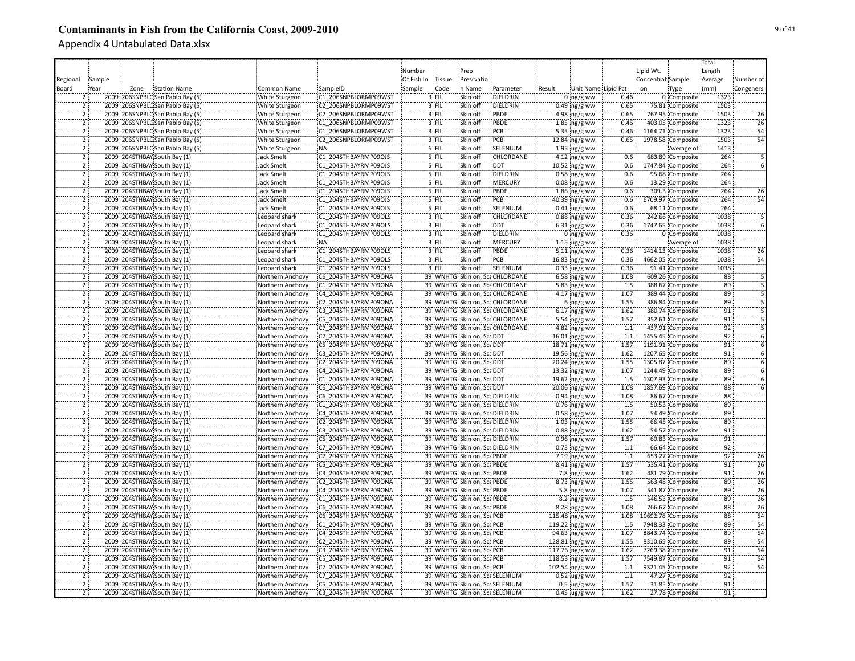|                |                                  |              |                   |                       |            |         |                                |                                |        |                          |                  |                   |                    | Total           |                                  |
|----------------|----------------------------------|--------------|-------------------|-----------------------|------------|---------|--------------------------------|--------------------------------|--------|--------------------------|------------------|-------------------|--------------------|-----------------|----------------------------------|
|                |                                  |              |                   |                       | Number     |         | Prep                           |                                |        |                          |                  | Lipid Wt.         |                    | Length          |                                  |
| Regional       | Sample                           |              |                   |                       | Of Fish In | Tissue  | Presrvatio                     |                                |        |                          |                  | Concentrat Sample |                    | Average         | Number of                        |
| Board          | Year<br>Zone                     | Station Name | Common Name       | SampleID              | Sample     | Code    | in Name                        | Parameter                      | Result | Unit Name Lipid Pct      |                  | $_{0n}$           | Type               | (mm)            | Congeners                        |
|                | 2009 206SNPBLC San Pablo Bay (5  |              | White Sturgeon    | C1 206SNPBLORMP09WST  |            | $3$ FIL | Skin off                       | DIELDRIN                       |        | $0$ ng/g ww              | 0.46             |                   | 0 Composite        | 1323            |                                  |
|                | 2009 206SNPBLC San Pablo Bay (5) |              | White Sturgeon    | C2 206SNPBLORMP09WST  |            | 3 FIL   | Skin off                       | DIELDRIN                       |        | 0.49 ng/g ww             | 0.65             |                   | 75.81 Composite    | 1503            |                                  |
| $\overline{2}$ | 2009 206SNPBLC San Pablo Bay (5) |              | White Sturgeon    | C2 206SNPBLORMP09WST  |            | 3 FIL   | Skin off                       | PBDE                           |        | 4.98 ng/g ww             | 0.65             |                   | 767.95 Composite   | 1503            | 26                               |
| $\overline{2}$ | 2009 206SNPBLC San Pablo Bay (5) |              | White Sturgeon    | C1 206SNPBLORMP09WST  |            | 3 FIL   | Skin off                       | PBDE                           |        | $1.85$ ng/g ww           | 0.46             |                   | 403.05 Composite   | 1323            | 26                               |
| $\overline{2}$ |                                  |              |                   |                       |            |         |                                | PCB                            |        |                          |                  |                   |                    | 1323            | $\overline{54}$                  |
|                | 2009 206SNPBLC San Pablo Bay (5) |              | White Sturgeon    | C1 206SNPBLORMP09WST  |            | 3 FIL   | Skin off                       |                                |        | 5.35 ng/g ww             | 0.46             |                   | 1164.71 Composite  |                 | $\overline{54}$                  |
| ž              | 2009 206SNPBLC San Pablo Bay (5) |              | White Sturgeon    | C2 206SNPBLORMP09WST  |            | 3 FIL   | Skin off                       | PCB                            |        | 12.84 ng/g ww            | 0.65             |                   | 1978.58 Composite  | 1503            |                                  |
| $\overline{2}$ | 2009 206SNPBLC San Pablo Bay (5) |              | White Sturgeon    | :NA                   |            | 6 FIL   | Skin off                       | SELENIUM                       |        | $1.95 \, \text{ug/g}$ ww |                  |                   | Average of         | 1413            |                                  |
| $\overline{2}$ | 2009 204STHBAY South Bay (1)     |              | Jack Smelt        | C1 204STHBAYRMP09OJS  |            | 5 FIL   | Skin off                       | <b>CHLORDANE</b>               |        | $4.12$ ng/g ww           | 0.6              |                   | 683.89 Composite   | 264             |                                  |
| $\overline{2}$ | 2009 204STHBAY South Bay (1)     |              | <b>Jack Smelt</b> | C1 204STHBAYRMP09OJS  |            | $5$ FIL | Skin off                       | <b>DDT</b>                     |        | 10.52 ng/g ww            | 0.6              |                   | 1747.84 Composite  | 264             |                                  |
| $\overline{2}$ | 2009 204STHBAY South Bay (1)     |              | <b>Jack Smelt</b> | C1 204STHBAYRMP09OJS  |            | 5 FIL   | Skin off                       | DIELDRIN                       |        | $0.58$ ng/g ww           | 0.6              |                   | 95.68 Composite    | 264             |                                  |
| 2              | 2009 204STHBAY South Bay (1)     |              | <b>Jack Smelt</b> | C1 204STHBAYRMP09OJS  |            | 5 FIL   | Skin off                       | <b>MERCURY</b>                 |        | $0.08$ ug/g ww           | 0.6              |                   | 13.29 Composite    | 264             |                                  |
| $\overline{2}$ | 2009 204STHBAY South Bay (1)     |              | <b>Jack Smelt</b> | C1 204STHBAYRMP09OJS  |            | $5$ FIL | Skin off                       | PBDE                           |        | $1.86$ ng/g ww           | 0.6              |                   | 309.3 Composite    | 264             | 26                               |
| $\overline{2}$ | 2009 204STHBAY South Bay (1)     |              | <b>Jack Smelt</b> | C1 204STHBAYRMP09OJS  |            | 5 FIL   | Skin off                       | PCB                            |        | 40.39 ng/g ww            | 0.6              |                   | 6709.97 Composite  | 264             | 54                               |
| $\overline{2}$ | 2009 204STHBAY: South Bay (1)    |              | <b>Jack Smelt</b> | C1 204STHBAYRMP09OJS  |            | 5 FIL   | Skin off                       | SELENIUM                       |        | $0.41$ ug/g ww           | 0.6              |                   | 68.11 Composite    | 264             |                                  |
| ï              | 2009 204STHBAY South Bay (1)     |              | Leopard shark     | C1 204STHBAYRMP09OLS  |            | 3 FIL   | Skin off                       | CHLORDANE                      |        | $0.88$ ng/g ww           | 0.36             |                   | 242.66 Composite   | 1038            |                                  |
| 2              | 2009 204STHBAY South Bay (1)     |              | Leopard shark     | C1 204STHBAYRMP09OLS  |            | 3 FIL   | Skin off                       | <b>DDT</b>                     |        | $6.31$ ng/g ww           | 0.36             |                   | 1747.65 Composite  | 1038            |                                  |
| Ï              | 2009 204STHBAY South Bay (1)     |              | Leopard shark     | C1 204STHBAYRMP09OLS  |            | 3 FIL   | Skin off                       | DIELDRIN                       |        | $0$ ng/g ww              | 0.36             |                   | 0 Composite        | 1038            |                                  |
|                | 2009 204STHBAY South Bay (1)     |              | Leopard shark     | NA:                   |            | $3$ FIL | Skin off                       | MERCURY                        |        | $1.15$ ug/g ww           |                  |                   | Average of         | 1038            |                                  |
| $\overline{2}$ | 2009 204STHBAY South Bay (1)     |              | Leopard shark     | C1 204STHBAYRMP09OLS  |            | 3 FIL   | Skin off                       | <b>PBDE</b>                    |        | 5.11 $ng/g$ ww           | 0.36             |                   | 1414.13 Composite  | 1038            | 26                               |
| ï              | 2009 204STHBAY South Bay (1)     |              | Leopard shark     | C1 204STHBAYRMP09OLS  |            | 3 FIL   | Skin off                       | PCB                            |        | 16.83 ng/g ww            | 0.36             |                   | 4662.05 Composite  | 1038            | 54                               |
| $\overline{2}$ | 2009 204STHBAY South Bay (1)     |              | Leopard shark     | C1 204STHBAYRMP09OLS  |            | 3 FIL   | Skin off                       | SELENIUM                       |        | $0.33$ ug/g ww           | 0.36             |                   | 91.41 Composite    | 1038            |                                  |
| $\overline{2}$ | 2009 204STHBAY South Bay (1)     |              |                   | C6 204STHBAYRMP09ONA  |            |         |                                | 39 WNHTG Skin on, ScaCHLORDANE |        | $6.58$ ng/g ww           | 1.08             |                   | 609.26 Composite   | 88              |                                  |
| $\overline{2}$ |                                  |              | Northern Anchovy  |                       |            |         |                                |                                |        |                          |                  |                   |                    |                 |                                  |
|                | 2009 204STHBAY South Bay (1)     |              | Northern Anchovy  | C1 204STHBAYRMP09ONA  |            |         |                                | 39 WNHTG Skin on, ScaCHLORDANE |        | 5.83 ng/g ww             | 1.5              |                   | 388.67 Composite   | 89              |                                  |
| $\overline{2}$ | 2009 204STHBAY South Bay (1)     |              | Northern Anchovy  | C4 204STHBAYRMP09ONA  |            |         |                                | 39 WNHTG Skin on, ScaCHLORDANE |        | 4.17 $ng/g$ ww           | 1.07             |                   | 389.44 Composite   | 89              |                                  |
| $\overline{2}$ | 2009 204STHBAY South Bay (1)     |              | Northern Anchovy  | C2 204STHBAYRMP09ONA  |            |         |                                | 39 WNHTG Skin on, ScaCHLORDANE |        | $6 \log/g$ ww            | 1.55             |                   | 386.84 Composite   | 89              |                                  |
| 2              | 2009 204STHBAY South Bay (1)     |              | Northern Anchovy  | C3 204STHBAYRMP09ONA  |            |         |                                | 39 WNHTG Skin on, ScaCHLORDANE |        | $6.17$ ng/g ww           | 1.62             |                   | 380.74 Composite   | $\overline{91}$ |                                  |
| $\overline{2}$ | 2009 204STHBAY South Bay (1)     |              | Northern Anchovy  | C5 204STHBAYRMP09ONA  |            |         |                                | 39 WNHTG Skin on, ScaCHLORDANE |        | 5.54 ng/g ww             | 1.57             |                   | 352.61 Composite   | 91              |                                  |
|                | 2009 204STHBAY South Bay (1)     |              | Northern Anchovy  | C7 204STHBAYRMP09ONA  |            |         |                                | 39 WNHTG Skin on, ScaCHLORDANE |        | 4.82 $ng/g$ ww           | 1.1              |                   | 437.91 Composite   | $\overline{92}$ |                                  |
| $\overline{2}$ | 2009 204STHBAY South Bay (1)     |              | Northern Anchovy  | C7 204STHBAYRMP09ONA  |            |         | 39 WNHTG Skin on, ScaDDT       |                                |        | 16.01 ng/g ww            | 1.1              |                   | 1455.45 Composite  | 92              |                                  |
| ë.             | 2009 204STHBAY South Bay (1)     |              | Northern Anchovy  | C5 204STHBAYRMP09ONA  |            |         | 39 WNHTG Skin on, ScaDDT       |                                |        | 18.71 ng/g ww            | 1.57             |                   | 1191.91 Composite  | $\overline{91}$ |                                  |
| $\overline{2}$ | 2009 204STHBAY South Bay (1)     |              | Northern Anchovy  | C3 204STHBAYRMP09ONA  |            |         | 39 WNHTG Skin on, ScaDDT       |                                |        | 19.56 ng/g ww            | 1.62             |                   | 1207.65 Composite  | 91              |                                  |
| $\overline{2}$ | 2009 204STHBAY South Bay (1)     |              | Northern Anchovy  | C2 204STHBAYRMP09ONA  |            |         | 39 WNHTG Skin on, ScaDDT       |                                |        | 20.24 ng/g ww            | 1.55             |                   | 1305.87 Composite  | 89              |                                  |
| $\overline{2}$ | 2009 204STHBAY South Bay (1)     |              | Northern Anchovy  | C4 204STHBAYRMP09ONA  |            |         | 39 WNHTG Skin on, Sca DDT      |                                |        | $13.32$ ng/g ww          | 1.07             |                   | 1244.49 Composite  | 89              |                                  |
| $\overline{2}$ | 2009 204STHBAY South Bay (1)     |              | Northern Anchovy  | C1 204STHBAYRMP09ONA  |            |         | 39 WNHTG Skin on, ScaDDT       |                                |        | 19.62 $ng/g$ ww          | 1.5              |                   | 1307.93 Composite  | 89              |                                  |
| $\overline{2}$ | 2009 204STHBAY South Bay (1)     |              | Northern Anchovy  | C6 204STHBAYRMP09ONA  |            |         | 39 WNHTG Skin on, ScaDDT       |                                |        | 20.06 $ng/g$ ww          | 1.08             |                   | 1857.69 Composite  | 88              |                                  |
| $\overline{2}$ | 2009 204STHBAY South Bay (1)     |              | Northern Anchovy  | C6 204STHBAYRMP09ONA  |            |         | 39 WNHTG Skin on, ScaDIELDRIN  |                                |        | $0.94$ ng/g ww           | 1.08             |                   | 86.67 Composite    | 88              |                                  |
| $\overline{2}$ | 2009 204STHBAY South Bay (1)     |              | Northern Anchovy  | C1 204STHBAYRMP09ONA  |            |         | 39 WNHTG Skin on, Sca DIELDRIN |                                |        | $0.76$ ing/g ww          | 1.5              |                   | 50.53 Composite    | 89              |                                  |
| $\overline{2}$ | 2009 204STHBAY South Bay (1)     |              | Northern Anchovy  | C4 204STHBAYRMP09ONA  |            |         | 39 WNHTG Skin on, Sca DIELDRIN |                                |        | $0.58$ ng/g ww           | 1.07             |                   | 54.49 Composite    | 89              |                                  |
| $\overline{2}$ | 2009 204STHBAY South Bay (1)     |              | Northern Anchovy  | C2 204STHBAYRMP09ONA  |            |         | 39 WNHTG Skin on, ScaDIELDRIN  |                                |        | $1.03$ ing/g ww          | 1.55             |                   | 66.45 Composite    | 89              |                                  |
|                | 2009 204STHBAY South Bay (1)     |              | Northern Anchovy  | C3 204STHBAYRMP09ONA  |            |         | 39 WNHTG Skin on, Sca DIELDRIN |                                |        | $0.88$ ing/g ww          | 1.62             |                   | 54.57 Composite    | 91              |                                  |
| 2              | 2009 204STHBAY South Bay (1)     |              | Northern Anchovy  | C5 204STHBAYRMP09ONA  |            |         | 39 WNHTG Skin on, ScaDIELDRIN  |                                |        | $0.96$ ng/g ww           | 1.57             |                   | 60.83 Composite    | $\overline{91}$ |                                  |
| ï              | 2009 204STHBAY South Bay (1)     |              | Northern Anchovy  | C7 204STHBAYRMP09ONA  |            |         | 39 WNHTG Skin on, ScaDIELDRIN  |                                |        | $0.73$ ng/g ww           | $\overline{1.1}$ |                   | 66.64 Composite    | $\overline{92}$ |                                  |
| $\overline{2}$ | 2009 204STHBAY South Bay (1)     |              | Northern Anchovy  | C7 204STHBAYRMP09ONA  |            |         | 39 WNHTG Skin on, ScaPBDE      |                                |        | 7.19 ng/g ww             | 1.1              |                   | 653.27 Composite   | 92              | 26                               |
|                | 2009 204STHBAY South Bay (1)     |              | Northern Anchovy  | C5 204STHBAYRMP09ONA  |            |         | 39 WNHTG Skin on, ScaPBDE      |                                |        | $8.41$ ing/g ww          | 1.57             |                   | 535.41 Composite   | 91              | 26                               |
| $\overline{2}$ | 2009 204STHBAY South Bay (1)     |              | Northern Anchovy  | C3 204STHBAYRMP09ONA  |            |         | 39 WNHTG Skin on, ScaPBDE      |                                |        |                          | 1.62             |                   | 481.79 Composite   | 91              | $\overline{26}$                  |
| $\overline{2}$ |                                  |              |                   |                       |            |         |                                |                                |        | 7.8 ing/g ww             |                  |                   |                    | 89              |                                  |
|                | 2009 204STHBAY South Bay (1)     |              | Northern Anchovy  | C2 204STHBAYRMP09ONA  |            |         | 39 WNHTG Skin on, ScaPBDE      |                                |        | 8.73 ng/g ww             | 1.55             |                   | 563.48 Composite   |                 | 26                               |
| $\overline{2}$ | 2009 204STHBAY South Bay (1)     |              | Northern Anchovy  | C4 204STHBAYRMP09ONA  |            |         | 39 WNHTG Skin on, ScaPBDE      |                                |        | 5.8 ing/g ww             | 1.07             |                   | 541.87 Composite   | 89              | $\overline{26}$                  |
| $\overline{2}$ | 2009 204STHBAY South Bay (1)     |              | Northern Anchovy  | C1 204STHBAYRMP09ONA  |            |         | 39 WNHTG Skin on, ScaPBDE      |                                |        | $8.2 \, \text{ng/g}$ ww  | 1.5              |                   | 546.53 Composite   | 89              | $\overline{26}$                  |
| $\overline{2}$ | 2009 204STHBAY South Bay (1)     |              | Northern Anchovy  | C6 204STHBAYRMP09ONA  |            |         | 39 WNHTG Skin on, ScaPBDE      |                                |        | $8.28$ ng/g ww           | 1.08             |                   | 766.67 Composite   | 88              | $\overline{26}$                  |
| $\overline{2}$ | 2009 204STHBAY South Bay (1)     |              | Northern Anchovy  | C6 204STHBAYRMP09ONA  |            |         | 39 WNHTG Skin on, ScaPCB       |                                |        | 115.48 ng/g ww           | 1.08             |                   | 10692.78 Composite | 88              |                                  |
| $\overline{2}$ | 2009 204STHBAY South Bay (1)     |              | Northern Anchovy  | C1 204STHBAYRMP09ONA  |            |         | 39 WNHTG Skin on, ScaPCB       |                                |        | 119.22 ng/g ww           | 1.5              |                   | 7948.33 Composite  | 89              |                                  |
| 5              | 2009 204STHBAY South Bay (1)     |              | Northern Anchovy  | C4 204STHBAYRMP09ONA  |            |         | 39 WNHTG Skin on, ScaPCB       |                                |        | 94.63 ng/g ww            | 1.07             |                   | 8843.74 Composite  | 89              |                                  |
| $\overline{2}$ | 2009 204STHBAY South Bay (1)     |              | Northern Anchovy  | C2 204STHBAYRMP09ONA  |            |         | 39 WNHTG Skin on, ScaPCB       |                                |        | 128.81 ng/g ww           | 1.55             |                   | 8310.65 Composite  | 89              |                                  |
| 2              | 2009 204STHBAY South Bay (1)     |              | Northern Anchovy  | C3 204STHBAYRMP09ONA  |            |         | 39 WNHTG Skin on, ScaPCB       |                                |        | 117.76 ng/g ww           | 1.62             |                   | 7269.38 Composite  | 91              | 54<br>54<br>54<br>54<br>54<br>54 |
|                | 2009 204STHBAY South Bay (1)     |              | Northern Anchovy  | C5 204STHBAYRMP09ONA  |            |         | 39 WNHTG Skin on, ScaPCB       |                                |        | 118.53 ing/g ww          | 1.57             |                   | 7549.87 Composite  | 91              |                                  |
|                | 2009 204STHBAY South Bay (1)     |              | Northern Anchovy  | C7 204STHBAYRMP09ONA  |            |         | 39 WNHTG Skin on, ScalPCB      |                                |        | 102.54 ng/g ww           | 1.1              |                   | 9321.45 Composite  | 92              | $\overline{54}$                  |
| $\overline{2}$ | 2009 204STHBAY South Bay (1)     |              | Northern Anchovy  | C7 204STHBAYRMP09ONA  |            |         |                                | 39 WNHTG Skin on, ScaSELENIUM  |        | $0.52 \,$ ug/g ww        | 1.1              |                   | 47.27 Composite    | 92              |                                  |
| $\overline{2}$ | 2009 204STHBAY South Bay (1)     |              | Northern Anchovy  | :C5 204STHBAYRMP09ONA |            |         |                                | 39 WNHTG Skin on, ScaSELENIUM  |        | $0.5$ ug/g ww            | 1.57             |                   | 31.85 Composite    | 91              |                                  |
|                | 2009 204STHBAY South Bay (1)     |              | Northern Anchovy  | C3 204STHBAYRMP09ONA  |            |         |                                | 39 WNHTG Skin on, Sca SELENIUM |        | $0.45$ ug/g ww           | 1.62             |                   | 27.78 Composite    | 91              |                                  |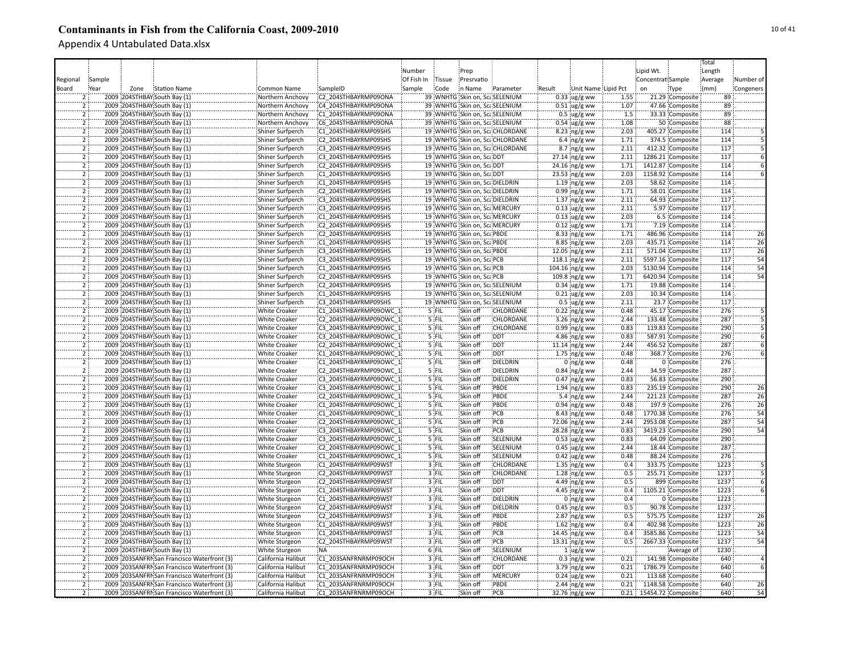|                |        |      |                                             |                                             |                        |            |         |                                |                                 |        |                                |      |                         |                                | Total   |                 |
|----------------|--------|------|---------------------------------------------|---------------------------------------------|------------------------|------------|---------|--------------------------------|---------------------------------|--------|--------------------------------|------|-------------------------|--------------------------------|---------|-----------------|
|                |        |      |                                             |                                             |                        | Number     |         | Prep                           |                                 |        |                                |      | Lipid Wt.               |                                | Length  |                 |
| Regional       | Sample |      |                                             |                                             |                        | Of Fish In | Tissue  | Presrvatio                     |                                 |        |                                |      | Concentrat Sample       |                                | Average | Number of       |
| Board          | Year   | Zone | Station Name                                | Common Name                                 | SampleID               | Sample     | Code    | in Name                        | Parameter                       | Result | Unit Name Lipid Pct            |      | on                      | Type                           | (mm)    | Congeners       |
|                |        |      | 2009 204STHBAY South Bay (1)                | Northern Anchovy                            | C2 204STHBAYRMP09ONA   |            |         | 39 WNHTG Skin on, ScaSELENIUM  |                                 |        | $0.33$ ug/g ww                 | 1.55 |                         | 21.29 Composite                | 89      |                 |
|                |        |      | 2009 204STHBAY South Bay (1)                | Northern Anchovy                            | C4 204STHBAYRMP09ONA   |            |         | 39 WNHTG Skin on, ScaSELENIUM  |                                 |        | $0.51$ ug/g ww                 | 1.07 |                         | 47.66 Composite                | 89      |                 |
| $\overline{2}$ |        |      | 2009 204STHBAY South Bay (1)                | Northern Anchovy                            | C1 204STHBAYRMP09ONA   |            |         | 39 WNHTG Skin on, ScaSELENIUM  |                                 |        | $0.5 \,$ ug/g ww               | 1.5  |                         | 33.33 Composite                | 89      |                 |
|                |        |      | 2009 204STHBAY South Bay (1)                | Northern Anchovy                            | C6 204STHBAYRMP09ONA   |            |         | 39 WNHTG Skin on, ScaSELENIUM  |                                 |        | $0.54 \, \mu g/g$ ww           | 1.08 |                         | 50 Composite                   | 88      |                 |
|                |        |      | 2009 204STHBAY South Bay (1)                | Shiner Surfperch                            | C1 204STHBAYRMP09SHS   |            |         |                                | 19 WNHTG Skin on, Sca CHLORDANE |        | 8.23 ng/g ww                   | 2.03 |                         | 405.27 Composite               | 114     |                 |
|                |        |      | 2009 204STHBAY South Bay (1)                | Shiner Surfperch                            | C2 204STHBAYRMP09SHS   |            |         |                                | 19 WNHTG Skin on, ScaCHLORDANE  |        |                                | 1.71 |                         | 374.5 Composite                | 114     |                 |
| $\overline{2}$ |        |      |                                             |                                             |                        |            |         |                                |                                 |        | $6.4 \, \text{ng/g}$ ww        | 2.11 |                         |                                | 117     |                 |
| $\overline{2}$ |        |      | 2009 204STHBAY South Bay (1)                | Shiner Surfperch                            | C3 204STHBAYRMP09SHS   |            |         |                                | 19 WNHTG Skin on, ScaCHLORDANE  |        | $8.7 \cdot ng/g$ ww            |      |                         | 412.32 Composite               |         |                 |
|                |        |      | 2009 204STHBAY South Bay (1)                | Shiner Surfperch                            | C3 204STHBAYRMP09SHS   |            |         | 19 WNHTG Skin on, ScaDDT       |                                 |        | $27.14$ ng/g ww                | 2.11 |                         | 1286.21 Composite              | 117     |                 |
| $\overline{2}$ |        |      | 2009 204STHBAY South Bay (1)                | Shiner Surfperch                            | C2 204STHBAYRMP09SHS   |            |         | 19 WNHTG Skin on, ScaDDT       |                                 |        | 24.16 ng/g ww                  | 1.71 |                         | 1412.87 Composite              | 114     |                 |
| $\overline{2}$ |        |      | 2009 204STHBAY South Bay (1)                | Shiner Surfperch                            | C1 204STHBAYRMP09SHS   |            |         | 19 WNHTG Skin on, ScaDDT       |                                 |        | 23.53 ng/g ww                  | 2.03 |                         | 1158.92 Composite              | 114     |                 |
| $\overline{2}$ |        |      | 2009 204STHBAY South Bay (1)                | Shiner Surfperch                            | C1 204STHBAYRMP09SHS   |            |         | 19 WNHTG Skin on, ScaDIELDRIN  |                                 |        | $1.19$ ng/g ww                 | 2.03 |                         | 58.62 Composite                | 114     |                 |
| $\overline{2}$ |        |      | 2009 204STHBAY South Bay (1)                | Shiner Surfperch                            | C2 204STHBAYRMP09SHS   |            |         | 19 WNHTG Skin on, Sca DIELDRIN |                                 |        | $0.99$ ng/g ww                 | 1.71 |                         | 58.01 Composite                | 114     |                 |
| $\overline{2}$ |        |      | 2009 204STHBAY South Bay (1)                | Shiner Surfperch                            | C3 204STHBAYRMP09SHS   |            |         | 19 WNHTG Skin on, ScaDIELDRIN  |                                 |        | $1.37$ ng/g ww                 | 2.11 |                         | 64.93 Composite                | 117     |                 |
|                |        |      | 2009 204STHBAY South Bay (1)                | Shiner Surfperch                            | C3 204STHBAYRMP09SHS   |            |         | 19 WNHTG Skin on, Sca MERCURY  |                                 |        | $0.13$ ug/g ww                 | 2.11 |                         | 5.97 Composite                 | 117     |                 |
|                |        |      | 2009 204STHBAY: South Bay (1)               | Shiner Surfperch                            | C1 204STHBAYRMP09SHS   |            |         | 19 WNHTG Skin on, Sca MERCURY  |                                 |        | $0.13$ ug/g ww                 | 2.03 |                         | 6.5 Composite                  | 114     |                 |
| ï              |        |      | 2009 204STHBAY South Bay (1)                | Shiner Surfperch                            | C2 204STHBAYRMP09SHS   |            |         | 19 WNHTG Skin on, Sca MERCURY  |                                 |        | $0.12$ ug/g ww                 | 1.71 |                         | 7.19 Composite                 | 114     |                 |
|                |        |      | 2009 204STHBAY South Bay (1)                | Shiner Surfperch                            | C2 204STHBAYRMP09SHS   |            |         | 19 WNHTG Skin on, ScaPBDE      |                                 |        | $8.33$ ng/g ww                 | 1.71 |                         | 486.96 Composite               | 114     | 26              |
|                |        |      | 2009 204STHBAY South Bay (1)                | Shiner Surfperch                            | C1 204STHBAYRMP09SHS   |            |         | 19 WNHTG Skin on, ScaPBDE      |                                 |        | $8.85$ ng/g ww                 | 2.03 |                         | 435.71 Composite               | 114     | 26              |
|                |        |      | 2009 204STHBAY South Bay (1)                | Shiner Surfperch                            | C3 204STHBAYRMP09SHS   |            |         | 19 WNHTG Skin on, ScaPBDE      |                                 |        | $12.05$ ng/g ww                | 2.11 |                         | 571.04 Composite               | 117     | $\overline{26}$ |
| 5              |        |      | 2009 204STHBAY South Bay (1)                | Shiner Surfperch                            | C3 204STHBAYRMP09SHS   |            |         | 19 WNHTG Skin on, ScaPCB       |                                 |        | 118.1 $\log/g$ ww              | 2.11 |                         | 5597.16 Composite              | 117     | $\overline{54}$ |
| $\overline{2}$ |        |      | 2009 204STHBAY South Bay (1)                | Shiner Surfperch                            | C1 204STHBAYRMP09SHS   |            |         | 19 WNHTG Skin on, ScaPCB       |                                 |        | 104.16 ng/g ww                 | 2.03 |                         | 5130.94 Composite              | 114     | 54              |
| $\overline{2}$ |        |      | 2009 204STHBAY South Bay (1)                | Shiner Surfperch                            | C2 204STHBAYRMP09SHS   |            |         | 19 WNHTG Skin on, ScaPCB       |                                 |        | 109.8 ng/g ww                  | 1.71 |                         | 6420.94 Composite              | 114     | 54              |
| $\overline{2}$ |        |      | 2009 204STHBAY South Bay (1)                | Shiner Surfperch                            | C2 204STHBAYRMP09SHS   |            |         | 19 WNHTG Skin on, ScaSELENIUM  |                                 |        | $0.34$ ug/g ww                 | 1.71 |                         | 19.88 Composite                | 114     |                 |
| $\overline{2}$ |        |      | 2009 204STHBAY South Bay (1)                | Shiner Surfperch                            | C1 204STHBAYRMP09SHS   |            |         | 19 WNHTG Skin on, ScaSELENIUM  |                                 |        | $0.21$ ug/g ww                 | 2.03 |                         | 10.34 Composite                | 114     |                 |
| $\overline{2}$ |        |      | 2009 204STHBAY South Bay (1)                | Shiner Surfperch                            | C3 204STHBAYRMP09SHS   |            |         | 19 WNHTG Skin on, ScaSELENIUM  |                                 |        | $0.5$ ug/g ww                  | 2.11 |                         | 23.7 Composite                 | 117     |                 |
| 2              |        |      | 2009 204STHBAY South Bay (1)                | <b>White Croaker</b>                        | C1 204STHBAYRMP09OWC 1 |            | 5 FIL   | Skin off                       | CHLORDANE                       |        | $0.22$ ng/g ww                 | 0.48 |                         | 45.17 Composite                | 276     |                 |
|                |        |      | 2009 204STHBAY South Bay (1)                | <b>White Croaker</b>                        | C2 204STHBAYRMP09OWC 1 |            | 5 FIL   | Skin off                       | CHLORDANE                       |        | $3.26$ ng/g ww                 | 2.44 |                         | 133.48 Composite               | 287     |                 |
|                |        |      | 2009 204STHBAY South Bay (1)                | <b>White Croaker</b>                        | C3 204STHBAYRMP09OWC 1 |            | 5 FIL   | Skin off                       | CHLORDANE                       |        | $0.99$ ng/g ww                 | 0.83 |                         | 119.83 Composite               | 290     |                 |
|                |        |      | 2009 204STHBAY South Bay (1)                | <b>White Croaker</b>                        | C3 204STHBAYRMP09OWC 1 |            | 5 FIL   | Skin off                       | <b>DDT</b>                      |        | 4.86 ng/g ww                   | 0.83 |                         | 587.91 Composite               | 290     |                 |
|                |        |      | 2009 204STHBAY South Bay (1)                | White Croaker                               | C2 204STHBAYRMP09OWC 1 |            | 5 FIL   | Skin off                       | DDT                             |        | $11.14$ ng/g ww                | 2.44 |                         | 456.52 Composite               | 287     |                 |
|                |        |      | 2009 204STHBAY South Bay (1)                | <b>White Croaker</b>                        | C1 204STHBAYRMP09OWC_1 |            | 5 FIL   | Skin off                       | DDT                             |        | 1.75 $ng/g$ ww                 | 0.48 |                         | 368.7 Composite                | 276     |                 |
| $\overline{2}$ |        |      | 2009 204STHBAY South Bay (1)                | <b>White Croaker</b>                        | C1 204STHBAYRMP09OWC 1 |            | 5 FIL   | Skin off                       | DIELDRIN                        |        | $0$ ing/g ww                   | 0.48 |                         | 0 Composite                    | 276     |                 |
| $\overline{2}$ |        |      | 2009 204STHBAY South Bay (1)                | <b>White Croaker</b>                        | C2 204STHBAYRMP09OWC 1 |            | 5 FIL   | Skin off                       | DIELDRIN                        |        | $0.84$ ng/g ww                 | 2.44 |                         | 34.59 Composite                | 287     |                 |
| $\overline{2}$ |        |      | 2009 204STHBAY South Bay (1)                | <b>White Croaker</b>                        | C3 204STHBAYRMP09OWC 1 |            | 5 FIL   | Skin off                       | DIELDRIN                        |        | $0.47$ ng/g ww                 | 0.83 |                         | 56.83 Composite                | 290     |                 |
| $\overline{2}$ |        |      | 2009 204STHBAY South Bay (1)                | <b>White Croaker</b>                        | C3 204STHBAYRMP09OWC 1 |            | 5 FIL   | Skin off                       | PBDE                            |        | $1.94$ ng/g ww                 | 0.83 |                         | 235.19 Composite               | 290     | 26              |
|                |        |      | 2009 204STHBAY South Bay (1)                | <b>White Croaker</b>                        | C2 204STHBAYRMP09OWC 1 |            | 5 FIL   | Skin off                       | PBDE                            |        | 5.4 $\log/g$ ww                | 2.44 |                         | 221.23 Composite               | 287     | 26              |
| $\overline{2}$ |        |      | 2009 204STHBAY South Bay (1)                | <b>White Croaker</b>                        | C1 204STHBAYRMP09OWC 1 |            | 5 FIL   | Skin off                       | PBDE                            |        | $0.94$ ng/g ww                 | 0.48 |                         | 197.9 Composite                | 276     | $\overline{26}$ |
| $\overline{2}$ |        |      | 2009 204STHBAY South Bay (1)                | <b>White Croaker</b>                        | C1 204STHBAYRMP09OWC 1 |            | $5$ FIL | Skin off                       | PCB                             |        | 8.43 ng/g ww                   | 0.48 |                         | 1770.38 Composite              | 276     | $\overline{54}$ |
| $\overline{2}$ |        |      | 2009 204STHBAY South Bay (1)                | <b>White Croaker</b>                        | C2 204STHBAYRMP09OWC 1 |            | 5 FIL   | Skin off                       | PCB                             |        | 72.06 ng/g ww                  | 2.44 |                         | 2953.08 Composite              | 287     | $rac{1}{54}$    |
|                |        |      | 2009 204STHBAY South Bay (1)                | <b>White Croaker</b>                        | C3 204STHBAYRMP09OWC 1 |            | 5 FIL   | Skin off                       | PCB                             |        | 28.28 ng/g ww                  | 0.83 |                         | 3419.23 Composite              | 290     | $\overline{54}$ |
|                |        |      | 2009 204STHBAY South Bay (1)                | White Croaker                               | C3 204STHBAYRMP09OWC 1 |            | '5 FIL  | Skin off                       | SELENIUM                        |        | $0.53$ ug/g ww                 | 0.83 |                         | 64.09 Composite                | 290     |                 |
|                |        |      | 2009 204STHBAY South Bay (1)                | <b>White Croaker</b>                        | C2 204STHBAYRMP09OWC_1 |            | '5 FIL  | Skin off                       | SELENIUM                        |        | $0.45$ ug/g ww                 | 2.44 |                         | 18.44 Composite                | 287     |                 |
|                |        |      | 2009 204STHBAY South Bay (1)                | <b>White Croaker</b>                        | C1 204STHBAYRMP09OWC 1 |            | 5 FIL   | Skin off                       | SELENIUM                        |        | $0.42$ ug/g ww                 | 0.48 |                         | 88.24 Composite                | 276     |                 |
|                |        |      | 2009 204STHBAY South Bay (1)                | <b>White Sturgeon</b>                       | C1 204STHBAYRMP09WST   |            | 3 FIL   | Skin off                       | CHLORDANE                       |        | $1.35$ ing/g ww                | 0.4  |                         | 333.75 Composite               | 1223    |                 |
| $\overline{2}$ |        |      | 2009 204STHBAY South Bay (1)                | White Sturgeon                              | C2 204STHBAYRMP09WST   |            | 3 FIL   | Skin off                       | CHLORDANE                       |        | $1.28$ ing/g ww                | 0.5  |                         | 255.71 Composite               | 1237    |                 |
| $\overline{2}$ |        |      | 2009 204STHBAY South Bay (1)                | <b>White Sturgeon</b>                       | C2 204STHBAYRMP09WST   |            | $3$ FIL | Skin off                       | <b>DDT</b>                      |        | 4.49 ng/g ww                   | 0.5  |                         | 899 Composite                  | 1237    |                 |
| $\overline{2}$ |        |      | 2009 204STHBAY South Bay (1)                | <b>White Sturgeon</b>                       | C1 204STHBAYRMP09WST   |            | $3$ FIL | Skin off                       | :DDT                            |        | 4.45 $ng/g$ ww                 | 0.4  |                         | 1105.21 Composite              | 1223    |                 |
| $\overline{2}$ |        |      | 2009 204STHBAY South Bay (1)                | White Sturgeon                              | C1 204STHBAYRMP09WST   |            | 3 FIL   | Skin off                       | <b>DIELDRIN</b>                 |        | $0$ ng/g ww                    | 0.4  |                         | 0 Composite                    | 1223    |                 |
| $\overline{2}$ |        |      | 2009 204STHBAY South Bay (1)                | White Sturgeon                              | C2 204STHBAYRMP09WST   |            | 3 FIL   | Skin off                       | DIELDRIN                        |        | $0.45$ ng/g ww                 | 0.5  |                         | 90.78 Composite                | 1237    |                 |
| $\overline{2}$ |        |      | 2009 204STHBAY South Bay (1)                | <b>White Sturgeon</b>                       | C2 204STHBAYRMP09WST   |            | $3$ FIL | Skin off                       | PBDE                            |        | $2.87$ ng/g ww                 | 0.5  |                         | 575.75 Composite               | 1237    | 26              |
|                |        |      | 2009 204STHBAY South Bay (1)                | White Sturgeon                              | C1 204STHBAYRMP09WST   |            | $3$ FIL | Skin off                       | PBDE                            |        | $1.62$ ing/g ww                | 0.4  |                         | 402.98 Composite               | 1223    | 26              |
|                |        |      | 2009 204STHBAY South Bay (1)                | White Sturgeon                              | C1 204STHBAYRMP09WST   |            | 3 FIL   | Skin off                       | PCB                             |        | 14.45 ng/g ww                  | 0.4  |                         | 3585.86 Composite              | 1223    | 54              |
|                |        |      | 2009 204STHBAY South Bay (1)                | White Sturgeon                              | C2 204STHBAYRMP09WST   |            | 3 FIL   | Skin off                       | PCB                             |        | 13.31 ng/g ww                  | 0.5  |                         | 2667.33 Composite              | 1237    | $rac{1}{54}$    |
|                |        |      | 2009 204STHBAY South Bay (1)                |                                             | :NA                    |            | 6 FIL   | Skin off                       | SELENIUM                        |        | $1 \,$ ug/g ww                 |      |                         |                                | 1230    |                 |
|                |        |      | 2009 203SANFRNSan Francisco Waterfront (3)  | <b>White Sturgeon</b><br>California Halibut | C1 203SANFRNRMP09OCH   |            | 3 FIL   | Skin off                       | CHLORDANE                       |        | $0.3$ ng/g ww                  | 0.21 |                         | Average of<br>141.98 Composite | 640     |                 |
|                |        |      | 2009 203SANFRN San Francisco Waterfront (3) | California Halibut                          | C1 203SANFRNRMP09OCH   |            | 3 FIL   | Skin off                       | <b>DDT</b>                      |        |                                | 0.21 |                         | 1786.79 Composite              | 640     |                 |
| ž              |        |      | 2009 203SANFRMSan Francisco Waterfront (3)  | California Halibut                          | C1 203SANFRNRMP09OCH   |            | 3 FIL   | Skin off                       | <b>MERCURY</b>                  |        | 3.79 ng/g ww<br>$0.24$ ug/g ww | 0.21 |                         | 113.68 Composite               | 640     |                 |
| $\overline{2}$ |        |      | 2009 203SANFRMSan Francisco Waterfront (3)  | California Halibut                          | C1 203SANFRNRMP09OCH   |            | 3 FIL   | Skin off                       | PBDE                            |        |                                | 0.21 |                         | 1148.58 Composite              | 640     | 26              |
|                |        |      |                                             |                                             |                        |            |         |                                |                                 |        | $2.44$ ng/g ww                 |      |                         |                                |         |                 |
|                |        |      | 2009 203SANFRN San Francisco Waterfront (3) | California Halibut                          | C1 203SANFRNRMP09OCH   |            | 3 FIL   | Skin off                       | PCB                             |        | 32.76 ng/g ww                  |      | 0.21 15454.72 Composite |                                | 640     | 54              |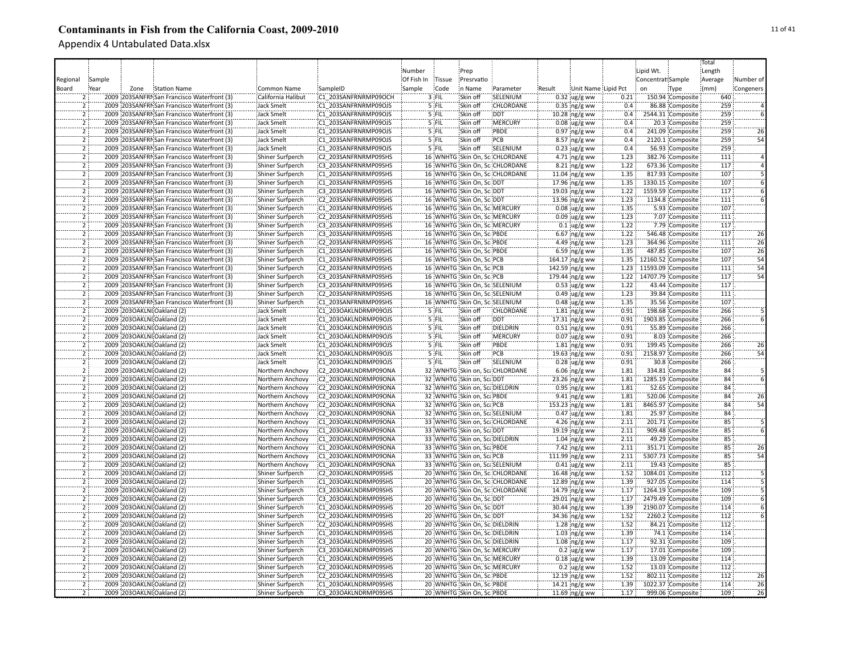|                                  |        |                            |                                             |                         |                      |            |         |                                |                                 |        |                         |       |                         |                    | Total           |                 |
|----------------------------------|--------|----------------------------|---------------------------------------------|-------------------------|----------------------|------------|---------|--------------------------------|---------------------------------|--------|-------------------------|-------|-------------------------|--------------------|-----------------|-----------------|
|                                  |        |                            |                                             |                         |                      | Number     |         | Prep                           |                                 |        |                         |       | Lipid Wt.               |                    | Length          |                 |
| Regional                         | Sample |                            |                                             |                         |                      | Of Fish In | Tissue  | Presrvatio                     |                                 |        |                         |       | Concentrat Sample       |                    | Average         | Number of       |
|                                  | Year   |                            |                                             |                         |                      | Sample     | Code    | in Name                        |                                 |        |                         |       | on                      |                    |                 |                 |
| Board                            |        | Zone                       | Station Name                                | Common Name             | SampleID             |            |         |                                | Parameter                       | Result | Unit Name Lipid Pct     |       |                         | Type               | (mm)            | Congeners       |
|                                  |        |                            | 2009 203SANFRI San Francisco Waterfront (3) | California Halibut      | C1 203SANFRNRMP09OCH |            | $3$ FIL | Skin off                       | SELENIUM                        |        | $0.32$ ug/g ww          | 0.21  |                         | 150.94 Composite   | 640             |                 |
|                                  |        |                            | 2009 203SANFRI San Francisco Waterfront (3) | <b>Jack Smelt</b>       | C1 203SANFRNRMP09OJS |            | 5 FIL   | Skin off                       | CHLORDANE                       |        | $0.35$ ng/g ww          | 0.4   |                         | 86.88 Composite    | 259             |                 |
| $\overline{2}$                   |        |                            | 2009 203SANFRNSan Francisco Waterfront (3)  | <b>Jack Smelt</b>       | C1 203SANFRNRMP09OJS |            | 5 FIL   | Skin off                       | <b>DDT</b>                      |        | 10.28 ng/g ww           | 0.4   |                         | 2544.31 Composite  | 259             |                 |
| $\overline{2}$                   |        |                            | 2009 203SANFRMSan Francisco Waterfront (3)  | Jack Smelt              | C1 203SANFRNRMP09OJS |            | 5 FIL   | Skin off                       | MERCURY                         |        | $0.08$ ug/g ww          | 0.4   |                         | 20.3 Composite     | 259             |                 |
| $\overline{2}$                   |        |                            | 2009 203SANFRMSan Francisco Waterfront (3)  | <b>Jack Smelt</b>       | C1 203SANFRNRMP09OJS |            | 5 FIL   | Skin off                       | PBDE                            |        | $0.97$ ng/g ww          | 0.4   |                         | 241.09 Composite   | 259             | 26              |
| 2                                |        |                            | 2009 203SANFRNSan Francisco Waterfront (3)  | <b>Jack Smelt</b>       | C1 203SANFRNRMP09OJS |            | 5 FIL   | Skin off                       | PCB                             |        | 8.57 ng/g ww            | 0.4   |                         | 2120.1 Composite   | 259             | 54              |
| $\overline{2}$                   |        |                            | 2009 203SANFRNSan Francisco Waterfront (3)  | <b>Jack Smelt</b>       | C1 203SANFRNRMP09OJS |            | 5 FIL   | Skin off                       | SELENIUM                        |        | $0.23$ ug/g ww          | 0.4   |                         | 56.93 Composite    | 259             |                 |
| $\overline{2}$                   |        |                            | 2009 203SANFRNSan Francisco Waterfront (3)  | Shiner Surfperch        | C2 203SANFRNRMP09SHS |            |         |                                | 16 WNHTG Skin On, SciCHLORDANE  |        | 4.71 ng/g ww            | 1.23  |                         | 382.76 Composite   | 111             |                 |
| $\overline{2}$                   |        |                            | 2009 203SANFRMSan Francisco Waterfront (3)  | Shiner Surfperch        | C3 203SANFRNRMP09SHS |            |         |                                | 16 WNHTG Skin On, SciCHLORDANE  |        | 8.21 ng/g ww            | 1.22  |                         | 673.36 Composite   | 117             |                 |
| $\overline{2}$                   |        |                            | 2009 203SANFRI San Francisco Waterfront (3) | Shiner Surfperch        | C1 203SANFRNRMP09SHS |            |         |                                | 16 WNHTG Skin On, SciCHLORDANE  |        | 11.04 ng/g ww           | 1.35  |                         | 817.93 Composite   | 107             |                 |
| $\overline{2}$                   |        |                            | 2009 203SANFRN San Francisco Waterfront (3) | Shiner Surfperch        | C1 203SANFRNRMP09SHS |            |         | 16 WNHTG Skin On, Sc. DDT      |                                 |        | 17.96 ng/g ww           | 1.35  |                         | 1330.15 Composite  | 107             |                 |
| $\overline{2}$                   |        |                            | 2009 203SANFRNSan Francisco Waterfront (3)  | Shiner Surfperch        | C3 203SANFRNRMP09SHS |            |         | 16 WNHTG Skin On, Sc. DDT      |                                 |        | 19.03 ng/g ww           | 1.22  |                         | 1559.59 Composite  | 117             |                 |
| $\overline{2}$                   |        |                            | 2009 203SANFRMSan Francisco Waterfront (3)  | Shiner Surfperch        | C2 203SANFRNRMP09SHS |            |         | 16 WNHTG Skin On, Sc DDT       |                                 |        | 13.96 ng/g ww           | 1.23  |                         | 1134.8 Composite   | 111             |                 |
| $\overline{2}$                   |        |                            | 2009 203SANFRMSan Francisco Waterfront (3)  | Shiner Surfperch        | C1 203SANFRNRMP09SHS |            |         | 16 WNHTG Skin On, Sc. MERCURY  |                                 |        | $0.08$ ug/g ww          | 1.35  |                         | 5.93 Composite     | 107             |                 |
| 5                                |        |                            | 2009 203SANFRI San Francisco Waterfront (3) | Shiner Surfperch        | C2 203SANFRNRMP09SHS |            |         | 16 WNHTG Skin On, Sc. MERCURY  |                                 |        | $0.09$ ug/g ww          | 1.23  |                         | 7.07 Composite     | 111             |                 |
| 2                                |        |                            | 2009 203SANFRI San Francisco Waterfront (3) | Shiner Surfperch        | C3 203SANFRNRMP09SHS |            |         | 16 WNHTG Skin On, Sc: MERCURY  |                                 |        | $0.1$ ug/g ww           | 1.22  |                         | 7.79 Composite     | 117             |                 |
| $\overline{2}$                   |        |                            | 2009 203SANFRI San Francisco Waterfront (3) |                         | C3 203SANFRNRMP09SHS |            |         |                                |                                 |        |                         | 1.22  |                         | 546.48 Composite   | 117             | 26              |
|                                  |        |                            |                                             | Shiner Surfperch        |                      |            |         | 16 WNHTG Skin On, SciPBDE      |                                 |        | $6.67$ ng/g ww          |       |                         |                    |                 |                 |
| $\overline{2}$                   |        |                            | 2009 203SANFRNSan Francisco Waterfront (3)  | Shiner Surfperch        | C2 203SANFRNRMP09SHS |            |         | 16 WNHTG Skin On, SciPBDE      |                                 |        | 4.49 ng/g ww            | 1.23  |                         | 364.96 Composite   | 111             | $\overline{26}$ |
|                                  |        |                            | 2009 203SANFRNSan Francisco Waterfront (3)  | Shiner Surfperch        | C1 203SANFRNRMP09SHS |            |         | 16 WNHTG Skin On, Sci PBDE     |                                 |        | 6.59 ng/g ww            | 1.35  |                         | 487.85 Composite   | 107             | 26              |
| $\overline{2}$                   |        |                            | 2009 203SANFRI San Francisco Waterfront (3) | Shiner Surfperch        | C1 203SANFRNRMP09SHS |            |         | 16 WNHTG Skin On, Sc: PCB      |                                 |        | 164.17 ng/g ww          | 1.35: |                         | 12160.52 Composite | 107             | $\overline{54}$ |
| $\overline{2}$                   |        |                            | 2009 203SANFRI San Francisco Waterfront (3) | Shiner Surfperch        | C2 203SANFRNRMP09SHS |            |         | 16 WNHTG Skin On, Sc: PCB      |                                 |        | 142.59 ng/g ww          |       | 1.23 11593.09 Composite |                    | 111             | 54              |
| $\overline{2}$                   |        |                            | 2009 203SANFRMSan Francisco Waterfront (3)  | <b>Shiner Surfperch</b> | C3 203SANFRNRMP09SHS |            |         | 16 WNHTG Skin On, Sc: PCB      |                                 |        | 179.44 ng/g ww          |       | 1.22 14707.79 Composite |                    | 117             | 54              |
| $\overline{2}$                   |        |                            | 2009 203SANFRI San Francisco Waterfront (3) | <b>Shiner Surfperch</b> | C3 203SANFRNRMP09SHS |            |         |                                | 16 WNHTG Skin On, Sc: SELENIUM  |        | $0.53$ ug/g ww          | 1.22  |                         | 43.44 Composite    | 117             |                 |
| $\overline{2}$                   |        |                            | 2009 203SANFRMSan Francisco Waterfront (3)  | <b>Shiner Surfperch</b> | C2 203SANFRNRMP09SHS |            |         |                                | 16 WNHTG Skin On, Sc: SELENIUM  |        | $0.49$ ug/g ww          | 1.23  |                         | 39.84 Composite    | 111             |                 |
| $\overline{2}$                   |        |                            | 2009 203SANFRMSan Francisco Waterfront (3)  | Shiner Surfperch        | C1 203SANFRNRMP09SHS |            |         |                                | 16 WNHTG Skin On, Sc:SELENIUM   |        | $0.48$ ug/g ww          | 1.35  |                         | 35.56 Composite    | 107             |                 |
| $\overline{2}$                   |        |                            | 2009 203OAKLNI Oakland (2)                  | <b>Jack Smelt</b>       | C1 203OAKLNDRMP09OJS |            | 5 FIL   | Skin off                       | CHLORDANE                       |        | $1.81$ ng/g ww          | 0.91  |                         | 198.68 Composite   | 266             |                 |
| $\overline{2}$                   |        |                            | 2009 2030AKLNI Oakland (2)                  | <b>Jack Smelt</b>       | C1 203OAKLNDRMP09OJS |            | 5 FIL   | Skin off                       | <b>DDT</b>                      |        | 17.31 ng/g ww           | 0.91  |                         | 1903.85 Composite  | 266             |                 |
| $\overline{2}$                   |        |                            | 2009 203OAKLNI Oakland (2)                  | <b>Jack Smelt</b>       | C1 203OAKLNDRMP09OJS |            | 5 FIL   | Skin off                       | DIELDRIN                        |        | $0.51$ ng/g ww          | 0.91  |                         | 55.89 Composite    | 266             |                 |
|                                  |        |                            | 2009 203OAKLNI Oakland (2)                  | Jack Smelt              | C1 203OAKLNDRMP09OJS |            | 5 FIL   | Skin off                       | MERCURY                         |        | $0.07$ ug/g ww          | 0.91  |                         | 8.03 Composite     | 266             |                 |
| $\overline{2}$                   |        |                            | 2009 2030AKLNI Oakland (2)                  | <b>Jack Smelt</b>       | C1 203OAKLNDRMP09OJS |            | 5 FIL   | Skin off                       | PBDE                            |        | $1.81$ ng/g ww          | 0.91  |                         | 199.45 Composite   | 266             | 26              |
| Ï                                |        |                            | 2009 2030AKLNI Oakland (2)                  | <b>Jack Smelt</b>       | C1 2030AKLNDRMP09OJS |            | 5 FIL   | Skin off                       | PCB                             |        | 19.63 ng/g ww           | 0.91  |                         | 2158.97 Composite  | 266             | 54              |
| $\overline{2}$                   |        |                            | 2009 203OAKLNI Oakland (2)                  | <b>Jack Smelt</b>       | C1 203OAKLNDRMP09OJS |            | 5 FIL   | Skin off                       | SELENIUM                        |        | $0.28$ ug/g ww          | 0.91  |                         | 30.8 Composite     | 266             |                 |
| $\overline{2}$                   |        |                            | 2009 2030AKLNI Oakland (2)                  | Northern Anchovy        | C2 203OAKLNDRMP09ONA |            |         |                                | 32 WNHTG Skin on, Sca CHLORDANE |        | $6.06$ ng/g ww          | 1.81  |                         | 334.81 Composite   | 84              |                 |
| $\overline{2}$                   |        |                            | 2009 203OAKLNI Oakland (2)                  | Northern Anchovy        | C2 203OAKLNDRMP09ONA |            |         | 32 WNHTG Skin on, ScaDDT       |                                 |        | 23.26 ng/g ww           | 1.81  |                         | 1285.19 Composite  | 84              |                 |
| $\overline{2}$                   |        |                            | 2009 203OAKLNI Oakland (2)                  | Northern Anchovy        | C2 203OAKLNDRMP09ONA |            |         | 32 WNHTG Skin on, ScaDIELDRIN  |                                 |        | $0.95$ ing/g ww         | 1.81  |                         | 52.65 Composite    | 84              |                 |
| $\overline{2}$                   |        |                            | 2009 2030AKLNI Oakland (2)                  | Northern Anchovy        | C2 203OAKLNDRMP09ONA |            |         | 32 WNHTG Skin on, ScalPBDE     |                                 |        | $9.41$ ng/g ww          | 1.81  |                         | 520.06 Composite   | 84              | 26              |
| $\overline{2}$                   |        | 2009 2030AKLNI Oakland (2) |                                             |                         | C2 203OAKLNDRMP09ONA |            |         |                                |                                 |        |                         | 1.81  |                         |                    | 84              | 54              |
|                                  |        |                            |                                             | Northern Anchovy        |                      |            |         | 32 WNHTG Skin on, ScalPCB      |                                 |        | 153.23 ng/g ww          |       |                         | 8465.97 Composite  |                 |                 |
| $\overline{2}$<br>$\overline{2}$ |        |                            | 2009 2030AKLNI Oakland (2)                  | Northern Anchovy        | C2 203OAKLNDRMP09ONA |            |         |                                | 32 WNHTG Skin on, ScaSELENIUM   |        | $0.47$ ug/g ww          | 1.81  |                         | 25.97 Composite    | 84              |                 |
|                                  |        |                            | 2009 203OAKLNI Oakland (2)                  | Northern Anchovy        | C1 203OAKLNDRMP09ONA |            |         |                                | 33 WNHTG Skin on, Sca CHLORDANE |        | 4.26 $ng/g$ ww          | 2.11  |                         | 201.71 Composite   | 85              |                 |
| $\overline{2}$                   |        |                            | 2009 203OAKLNI Oakland (2)                  | Northern Anchovy        | C1 203OAKLNDRMP09ONA |            |         | 33 WNHTG Skin on, ScaDDT       |                                 |        | 19.19 ng/g ww           | 2.11  |                         | 909.48 Composite   | 85              |                 |
| 5                                |        | 2009 2030AKLNI Oakland (2) |                                             | Northern Anchovy        | C1 203OAKLNDRMP09ONA |            |         | 33 WNHTG Skin on, Sca DIELDRIN |                                 |        | 1.04 ng/g ww            | 2.11  |                         | 49.29 Composite    | 85              |                 |
| 2                                |        |                            | 2009 2030AKLNI Oakland (2)                  | Northern Anchovy        | C1 203OAKLNDRMP09ONA |            |         | 33 WNHTG Skin on, ScaPBDE      |                                 |        | $7.42$ ng/g ww          | 2.11  |                         | 351.71 Composite   | $\overline{85}$ | $\overline{26}$ |
| $\overline{2}$                   |        |                            | 2009 2030AKLNI Oakland (2)                  | Northern Anchovy        | C1 203OAKLNDRMP09ONA |            |         | 33 WNHTG Skin on, ScalPCB      |                                 |        | $111.99$ ng/g ww        | 2.11  |                         | 5307.73 Composite  | 85              | 54              |
| 2                                |        |                            | 2009 2030AKLNI Oakland (2)                  | Northern Anchovy        | C1 203OAKLNDRMP09ONA |            |         |                                | 33 WNHTG Skin on, ScaSELENIUM   |        | $0.41$ ug/g ww          | 2.11  |                         | 19.43 Composite    | 85              |                 |
| $\overline{2}$                   |        |                            | 2009 203OAKLNI Oakland (2)                  | Shiner Surfperch        | C2 203OAKLNDRMP09SHS |            |         |                                | 20 WNHTG Skin On, SciCHLORDANE  |        | 16.48 ing/g ww          | 1.52  |                         | 1084.01 Composite  | 112             |                 |
| $\overline{2}$                   |        |                            | 2009 203OAKLNI Oakland (2)                  | Shiner Surfperch        | C1 203OAKLNDRMP09SHS |            |         |                                | 20 WNHTG Skin On, SciCHLORDANE  |        | 12.89 ng/g ww           | 1.39  |                         | 927.05 Composite   | 114             |                 |
| $\overline{2}$                   |        | 2009 203OAKLNI Oakland (2) |                                             | <b>Shiner Surfperch</b> | C3 203OAKLNDRMP09SHS |            |         |                                | 20 WNHTG Skin On, Sc: CHLORDANE |        | 14.79 ng/g ww           | 1.17  |                         | 1264.19 Composite  | 109             |                 |
| $\overline{2}$                   |        | 2009 203OAKLNI Oakland (2) |                                             | <b>Shiner Surfperch</b> | C3_203OAKLNDRMP09SHS |            |         | 20 WNHTG Skin On, Sc: DDT      |                                 |        | 29.01 ng/g ww           | 1.17  |                         | 2479.49 Composite  | 109             |                 |
| $\overline{2}$                   |        | 2009 203OAKLNI Oakland (2) |                                             | Shiner Surfperch        | C1 203OAKLNDRMP09SHS |            |         | 20 WNHTG Skin On, Sc: DDT      |                                 |        | 30.44 ng/g ww           | 1.39  |                         | 2190.07 Composite  | 114             |                 |
| $\overline{2}$                   |        | 2009 2030AKLNI Oakland (2) |                                             | Shiner Surfperch        | C2 203OAKLNDRMP09SHS |            |         | 20 WNHTG Skin On, Sc: DDT      |                                 |        | 34.36 ng/g ww           | 1.52  |                         | 2260.2 Composite   | 112             |                 |
| $\overline{2}$                   |        |                            | 2009 2030AKLNI Oakland (2)                  | Shiner Surfperch        | C2 203OAKLNDRMP09SHS |            |         | 20 WNHTG Skin On, Sci DIELDRIN |                                 |        | 1.28 $ng/g$ ww          | 1.52  |                         | 84.21 Composite    | 112             |                 |
| $\overline{2}$                   |        | 2009 2030AKLNI Oakland (2) |                                             | Shiner Surfperch        | C1 203OAKLNDRMP09SHS |            |         | 20 WNHTG Skin On, Sc: DIELDRIN |                                 |        | $1.03$ ng/g ww          | 1.39  |                         | 74.1 Composite     | 114             |                 |
| $\overline{2}$                   |        | 2009 203OAKLNI Oakland (2) |                                             | Shiner Surfperch        | C3 203OAKLNDRMP09SHS |            |         | 20 WNHTG Skin On, Sc: DIELDRIN |                                 |        | $1.08$ ng/g ww          | 1.17  |                         | 92.31 Composite    | 109             |                 |
| $\overline{2}$                   |        |                            | 2009 2030AKLNI Oakland (2)                  | Shiner Surfperch        | C3 203OAKLNDRMP09SHS |            |         | 20 WNHTG Skin On, Sc: MERCURY  |                                 |        | $0.2 \, \text{ug/g}$ ww | 1.17  |                         | 17.01 Composite    | 109             |                 |
| Ï                                |        |                            | 2009 2030AKLNI Oakland (2)                  | Shiner Surfperch        | C1 203OAKLNDRMP09SHS |            |         | 20 WNHTG Skin On, Sc. MERCURY  |                                 |        | $0.18$ ug/g ww          | 1.39  |                         | 13.09 Composite    | 114             |                 |
|                                  |        |                            | 2009 2030AKLNI Oakland (2)                  | Shiner Surfperch        | C2 203OAKLNDRMP09SHS |            |         | 20 WNHTG Skin On, Sc. MERCURY  |                                 |        | $0.2 \,$ ug/g ww        | 1.52  |                         | 13.03 Composite    | 112             |                 |
| 2                                |        | 2009 2030AKLNI Oakland (2) |                                             | Shiner Surfperch        | C2 203OAKLNDRMP09SHS |            |         | 20 WNHTG Skin On, Sc. PBDE     |                                 |        | 12.19 ng/g ww           | 1.52  |                         | 802.11 Composite   | 112             | 26              |
| $\overline{2}$                   |        |                            | 2009 2030AKLNI Oakland (2)                  |                         | C1 203OAKLNDRMP09SHS |            |         |                                |                                 |        |                         | 1.39  |                         |                    | 114             | 26              |
|                                  |        |                            |                                             | Shiner Surfperch        |                      |            |         | 20 WNHTG Skin On, Sc. PBDE     |                                 |        | 14.21 ing/g ww          |       |                         | 1022.37 Composite  |                 |                 |
| $\overline{2}$                   |        |                            | 2009 2030AKLNI Oakland (2)                  | Shiner Surfperch        | C3 203OAKLNDRMP09SHS |            |         | 20 WNHTG Skin On, Sc: PBDE     |                                 |        | 11.69 ng/g ww           | 1.17  |                         | 999.06 Composite   | 109             | 26              |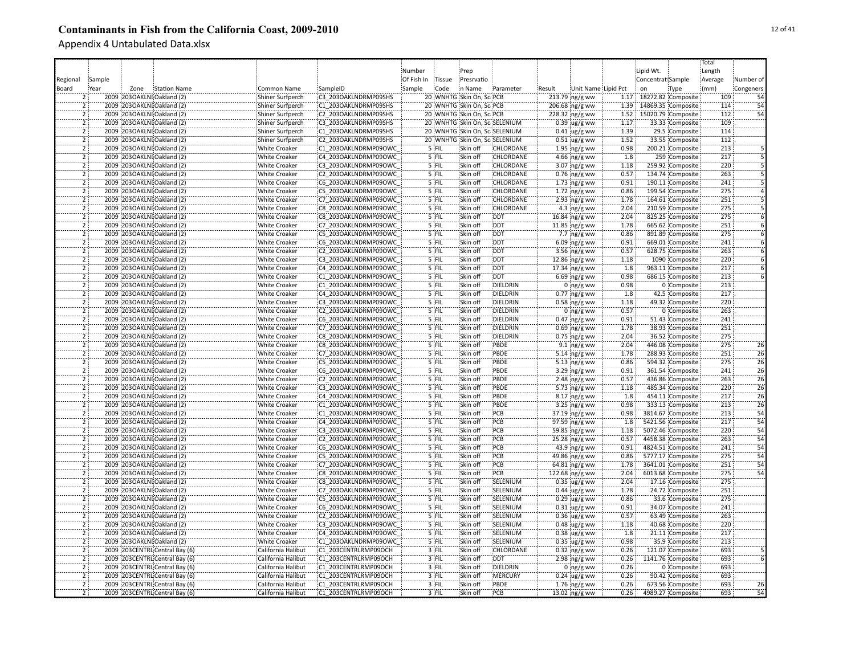|          |                                                                |                      |                      |            |               |                                |                  |        |                         |       |                         |                    | Total   |                 |
|----------|----------------------------------------------------------------|----------------------|----------------------|------------|---------------|--------------------------------|------------------|--------|-------------------------|-------|-------------------------|--------------------|---------|-----------------|
|          |                                                                |                      |                      | Number     |               | Prep                           |                  |        |                         |       | Lipid Wt.               |                    | Length  |                 |
| Regional | Sample                                                         |                      |                      | Of Fish In | <b>Tissue</b> | Presrvatio                     |                  |        |                         |       | Concentrat Sample       |                    | Average | Number of       |
| Board    | Year<br>Zone<br><b>Station Name</b>                            | Common Name          | SampleID             | Sample     | Code          | in Name                        | Parameter        | Result | Unit Name Lipid Pct     |       | on                      | Type               | (mm)    | Congeners       |
|          | 2009 2030AKLNI Oakland (2)                                     | Shiner Surfperch     | C3 203OAKLNDRMP09SHS |            |               | 20 WNHTG Skin On, SciPCB       |                  |        | 213.79 ng/g ww          |       | 1.17 18272.82 Composite |                    | 109     |                 |
|          | 2009 203OAKLNI Oakland (2)                                     | Shiner Surfperch     | C1 203OAKLNDRMP09SHS |            |               | 20 WNHTG Skin On, Sc: PCB      |                  |        | $206.68$ ng/g ww        | 1.39  |                         | 14869.35 Composite | 114     | 54              |
|          | $\overline{2}$<br>2009 2030AKLNI Oakland (2)                   | Shiner Surfperch     | C2 203OAKLNDRMP09SHS |            |               | 20 WNHTG Skin On, Sci PCB      |                  |        | 228.32 ng/g ww          | 1.52: |                         | 15020.79 Composite | 112     | 54              |
|          | $\overline{2}$<br>2009 2030AKLNI Oakland (2)                   |                      | C3 203OAKLNDRMP09SHS |            |               | 20 WNHTG Skin On, Sc:SELENIUM  |                  |        |                         | 1.17  |                         |                    | 109     |                 |
|          |                                                                | Shiner Surfperch     |                      |            |               |                                |                  |        | $0.39$ ug/g ww          |       |                         | 33.33 Composite    |         |                 |
|          | 2009 2030AKLNI Oakland (2)<br>$\overline{2}$                   | Shiner Surfperch     | C1 203OAKLNDRMP09SHS |            |               | 20 WNHTG Skin On, SciSELENIUM  |                  |        | $0.41$ ug/g ww          | 1.39  |                         | 29.5 Composite     | 114     |                 |
|          | ï<br>2009 2030AKLNI Oakland (2)                                | Shiner Surfperch     | C2 203OAKLNDRMP09SHS |            |               | 20 WNHTG Skin On, Sc. SELENIUM |                  |        | $0.51 \,$ ug/g ww       | 1.52  |                         | 33.55 Composite    | 112     |                 |
|          | $\overline{2}$<br>2009 2030AKLNI Oakland (2)                   | <b>White Croaker</b> | C1 203OAKLNDRMP09OWC |            | 5 FIL         | Skin off                       | CHLORDANE        |        | $1.95$ ing/g ww         | 0.98  |                         | 200.21 Composite   | 213     |                 |
|          | $\overline{2}$<br>2009 2030AKLNI Oakland (2)                   | <b>White Croaker</b> | C4 203OAKLNDRMP09OWC |            | 5 FIL         | Skin off                       | <b>CHLORDANE</b> |        | $4.66$ ng/g ww          | 1.8   |                         | 259 Composite      | 217     |                 |
|          | $\overline{2}$<br>2009 2030AKLNI Oakland (2)                   | <b>White Croaker</b> | C3 203OAKLNDRMP09OWC |            | 5 FIL         | Skin off                       | CHLORDANE        |        | $3.07$ ng/g ww          | 1.18  |                         | 259.92 Composite   | 220     |                 |
|          | $\overline{2}$<br>2009 2030AKLNI Oakland (2)                   | <b>White Croaker</b> | C2 203OAKLNDRMP09OWC |            | 5 FIL         | Skin off                       | CHLORDANE        |        | $0.76$ ng/g ww          | 0.57  |                         | 134.74 Composite   | 263     |                 |
|          | $\overline{2}$<br>2009 2030AKLNI Oakland (2)                   | <b>White Croaker</b> | C6 203OAKLNDRMP09OWC |            | 5 FIL         | Skin off                       | CHLORDANE        |        | $1.73$ ng/g ww          | 0.91  |                         | 190.11 Composite   | 241     |                 |
|          | $\overline{2}$<br>2009 203OAKLNI Oakland (2)                   | <b>White Croaker</b> | C5 203OAKLNDRMP09OWC |            | 5 FIL         | Skin off                       | <b>CHLORDANE</b> |        | $1.72$ ing/g ww         | 0.86  |                         | 199.54 Composite   | 275     |                 |
|          | 2009 203OAKLNI Oakland (2)<br>$\overline{2}$                   | <b>White Croaker</b> | C7 203OAKLNDRMP09OWC |            | $5$ FIL       | Skin off                       | <b>CHLORDANE</b> |        | $2.93$ ng/g ww          | 1.78  |                         | 164.61 Composite   | 251     |                 |
|          | $\overline{2}$<br>2009 2030AKLNI Oakland (2)                   | <b>White Croaker</b> | C8 203OAKLNDRMP09OWC |            | 5 FIL         | Skin off                       | <b>CHLORDANE</b> |        | 4.3 $ng/g$ ww           | 2.04  |                         | 210.59 Composite   | 275     |                 |
|          | 2009 2030AKLNI Oakland (2)                                     | <b>White Croaker</b> | C8 203OAKLNDRMP09OWC |            | 5 FIL         | Skin off                       | <b>DDT</b>       |        | 16.84 ng/g ww           | 2.04  |                         | 825.25 Composite   | 275     |                 |
|          | 2009 2030AKLNI Oakland (2)<br>2                                | <b>White Croaker</b> | C7 203OAKLNDRMP09OWC |            | 5 FIL         | Skin off                       | <b>DDT</b>       |        | $11.85$ ng/g ww         | 1.78  |                         | 665.62 Composite   | 251     |                 |
|          | 2<br>2009 2030AKLNI Oakland (2)                                | White Croaker        | C5 203OAKLNDRMP09OWC |            | '5 FIL        | Skin off                       | <b>DDT</b>       |        | $7.7$ ng/g ww           | 0.86  |                         | 891.89 Composite   | 275     |                 |
|          | 2009 2030AKLNI Oakland (2)                                     | White Croaker        | C6 203OAKLNDRMP09OWC |            | 5 FIL         | Skin off                       | <b>DDT</b>       |        | $6.09$ ng/g ww          | 0.91  |                         | 669.01 Composite   | 241     |                 |
|          | 2009 2030AKLNI Oakland (2)<br>$\overline{2}$                   | White Croaker        | C2 203OAKLNDRMP09OWC |            | 5 FIL         | Skin off                       | <b>DDT</b>       |        | 3.56 ng/g ww            | 0.57  |                         | 628.75 Composite   | 263     |                 |
|          | 2<br>2009 2030AKLNI Oakland (2)                                | <b>White Croaker</b> | C3 203OAKLNDRMP09OWC |            | 5 FIL         | Skin off                       | <b>DDT</b>       |        | 12.86 ing/g ww          | 1.18  |                         | 1090 Composite     | 220     |                 |
|          | $\overline{2}$<br>2009 203OAKLNI Oakland (2)                   | <b>White Croaker</b> | C4 203OAKLNDRMP09OWC |            | 5 FIL         | Skin off                       | <b>DDT</b>       |        | $17.34$ ng/g ww         | 1.8   |                         | 963.11 Composite   | 217     |                 |
|          | $\overline{2}$<br>2009 2030AKLNI Oakland (2)                   | <b>White Croaker</b> | C1 203OAKLNDRMP09OWC |            | 5 FIL         | Skin off                       | <b>DDT</b>       |        | $6.69$ ng/g ww          | 0.98  |                         | 686.15 Composite   | 213     |                 |
|          | $\overline{2}$<br>2009 203OAKLNI Oakland (2)                   | <b>White Croaker</b> | C1 203OAKLNDRMP09OWC |            | 5 FIL         | Skin off                       | <b>DIELDRIN</b>  |        | $0$ ng/g ww             | 0.98  |                         | 0 Composite        | 213     |                 |
|          | $\overline{2}$<br>2009 203OAKLNI Oakland (2)                   |                      | C4 203OAKLNDRMP09OWC |            | $5$ FIL       | Skin off                       | DIELDRIN         |        |                         | 1.8   |                         | 42.5 Composite     | 217     |                 |
|          |                                                                | <b>White Croaker</b> |                      |            |               |                                | <b>DIELDRIN</b>  |        | $0.77$ ing/g ww         |       |                         |                    | 220     |                 |
|          | $\overline{2}$<br>2009 2030AKLNI Oakland (2)                   | <b>White Croaker</b> | C3 203OAKLNDRMP09OWC |            | 5 FIL         | Skin off                       |                  |        | $0.58$ ng/g ww          | 1.18  |                         | 49.32 Composite    |         |                 |
|          | $\overline{2}$<br>2009 2030AKLNI Oakland (2)                   | <b>White Croaker</b> | C2 203OAKLNDRMP09OWC |            | $5$ FIL       | Skin off                       | DIELDRIN         |        | $0$ ng/g ww             | 0.57  |                         | 0 Composite        | 263     |                 |
|          | 2009 2030AKLNI Oakland (2)<br>$\overline{2}$                   | <b>White Croaker</b> | C6 203OAKLNDRMP09OWC |            | 5 FIL         | Skin off                       | DIELDRIN         |        | $0.47$ ng/g ww          | 0.91  |                         | 51.43 Composite    | 241     |                 |
|          | $\overline{2}$<br>2009 203OAKLNI Oakland (2)                   | <b>White Croaker</b> | C7 203OAKLNDRMP09OWC |            | 5 FIL         | Skin off                       | DIELDRIN         |        | $0.69$ ng/g ww          | 1.78  |                         | 38.93 Composite    | 251     |                 |
|          | 2009 203OAKLNI Oakland (2)                                     | <b>White Croaker</b> | C8 203OAKLNDRMP09OWC |            | 5 FIL         | Skin off                       | DIELDRIN         |        | $0.75$ ng/g ww          | 2.04  |                         | 36.52 Composite    | 275     |                 |
|          | 2009 2030AKLNI Oakland (2)<br>$\overline{2}$                   | White Croaker        | C8 203OAKLNDRMP09OWC |            | 5 FIL         | Skin off                       | PBDE             |        | $9.1$ ing/g ww          | 2.04  |                         | 446.08 Composite   | 275     | 26              |
|          | $\overline{2}$<br>2009 2030AKLNI Oakland (2)                   | White Croaker        | C7 203OAKLNDRMP09OWC |            | 5 FIL         | Skin off                       | PBDE             |        | 5.14 $ng/g$ ww          | 1.78  |                         | 288.93 Composite   | 251     | $\overline{26}$ |
|          | $\overline{2}$<br>2009 2030AKLNI Oakland (2)                   | <b>White Croaker</b> | C5 203OAKLNDRMP09OWC |            | 5 FIL         | Skin off                       | PBDE             |        | 5.13 $ng/g$ ww          | 0.86  |                         | 594.32 Composite   | 275     | 26              |
|          | $\overline{2}$<br>2009 2030AKLNI Oakland (2)                   | <b>White Croaker</b> | C6 203OAKLNDRMP09OWC |            | 5 FIL         | Skin off                       | PBDE             |        | 3.29 ng/g ww            | 0.91  |                         | 361.54 Composite   | 241     | 26              |
|          | $\overline{2}$<br>2009 2030AKLNI Oakland (2)                   | <b>White Croaker</b> | C2 203OAKLNDRMP09OWC |            | 5 FIL         | Skin off                       | PBDE             |        | 2.48 $ng/g$ ww          | 0.57  |                         | 436.86 Composite   | 263     | 26              |
|          | 2009 2030AKLNI Oakland (2)<br>$\overline{2}$                   | White Croaker        | C3 203OAKLNDRMP09OWC |            | 5 FIL         | Skin off                       | PBDE             |        | 5.73 ng/g ww            | 1.18  |                         | 485.34 Composite   | 220     | 26              |
|          | 2009 2030AKLNI Oakland (2)<br>$\overline{2}$                   | <b>White Croaker</b> | C4 203OAKLNDRMP09OWC |            | 5 FIL         | Skin off                       | PBDE             |        | $8.17$ ng/g ww          | 1.8   |                         | 454.11 Composite   | 217     | $\overline{26}$ |
|          | $\overline{2}$<br>2009 2030AKLNI Oakland (2)                   | <b>White Croaker</b> | C1 203OAKLNDRMP09OWC |            | 5 FIL         | Skin off                       | PBDE             |        | 3.25 $ng/g$ ww          | 0.98  |                         | 333.13 Composite   | 213     | $\overline{26}$ |
|          | 2009 2030AKLNI Oakland (2)<br>$\overline{2}$                   | <b>White Croaker</b> | C1 203OAKLNDRMP09OWC |            | 5 FIL         | Skin off                       | PCB              |        | 37.19 ng/g ww           | 0.98  |                         | 3814.67 Composite  | 213     | $\frac{54}{54}$ |
|          | $\overline{2}$<br>2009 2030AKLNI Oakland (2)                   | <b>White Croaker</b> | C4 203OAKLNDRMP09OWC |            | 5 FIL         | Skin off                       | PCB              |        | 97.59 ng/g ww           | 1.8   |                         | 5421.56 Composite  | 217     |                 |
|          | 2009 2030AKLNI Oakland (2)                                     | White Croaker        | C3 203OAKLNDRMP09OWC |            | 5 FIL         | Skin off                       | PCB              |        | 59.85 ng/g ww           | 1.18  |                         | 5072.46 Composite  | 220     | $\frac{54}{54}$ |
|          | 2<br>2009 2030AKLNI Oakland (2)                                | White Croaker        | C2 203OAKLNDRMP09OWC |            | 5 FIL         | Skin off                       | PCB              |        | 25.28 ng/g ww           | 0.57  |                         | 4458.38 Composite  | 263     |                 |
|          | Ï<br>2009 2030AKLNI Oakland (2)                                | <b>White Croaker</b> | C6 203OAKLNDRMP09OWC |            | '5 FII        | Skin off                       | PCB              |        | $43.9 \text{ ing/g}$ ww | 0.91  |                         | 4824.51 Composite  | 241     | $\overline{54}$ |
|          | 2009 2030AKLNI Oakland (2)<br>$\overline{2}$                   | <b>White Croaker</b> | C5 203OAKLNDRMP09OWC |            | 5 FIL         | Skin off                       | PCB              |        | 49.86 ng/g ww           | 0.86  |                         | 5777.17 Composite  | 275     | $\overline{54}$ |
|          | 2009 203OAKLNI Oakland (2)<br>$\overline{2}$                   | <b>White Croaker</b> | C7 203OAKLNDRMP09OWC |            | 5 FIL         | Skin off                       | PCB              |        | 64.81 ng/g ww           | 1.78  |                         | 3641.01 Composite  | 251     | 54              |
|          | $\overline{2}$<br>2009 2030AKLNI Oakland (2)                   | <b>White Croaker</b> | C8 203OAKLNDRMP09OWC |            | 5 FIL         | Skin off                       | PCB              |        | 122.68 ng/g ww          | 2.04  |                         | 6013.68 Composite  | 275     | $\overline{54}$ |
|          | $\overline{2}$<br>2009 203OAKLNI Oakland (2)                   | <b>White Croaker</b> | C8 203OAKLNDRMP09OWC |            | $5$ FIL       | Skin off                       | SELENIUM         |        | $0.35$ ug/g ww          | 2.04  |                         | 17.16 Composite    | 275     |                 |
|          | $\overline{2}$<br>2009 203OAKLNI Oakland (2)                   | <b>White Croaker</b> | C7 203OAKLNDRMP09OWC |            | $5$ FIL       | Skin off                       | SELENIUM         |        | $0.44$ ug/g ww          | 1.78  |                         | 24.72 Composite    | 251     |                 |
|          |                                                                |                      |                      |            |               |                                |                  |        |                         |       |                         |                    |         |                 |
|          | $\overline{2}$<br>2009 2030AKLNI Oakland (2)                   | <b>White Croaker</b> | C5 203OAKLNDRMP09OWC |            | 5 FIL         | Skin off                       | SELENIUM         |        | $0.29$ ug/g ww          | 0.86  |                         | 33.6 Composite     | 275     |                 |
|          | $\overline{2}$<br>2009 2030AKLNI Oakland (2)<br>$\overline{2}$ | <b>White Croaker</b> | C6 203OAKLNDRMP09OWC |            | 5 FIL         | Skin off                       | SELENIUM         |        | $0.31$ ug/g ww          | 0.91  |                         | 34.07 Composite    | 241     |                 |
|          | 2009 2030AKLNI Oakland (2)                                     | <b>White Croaker</b> | C2 203OAKLNDRMP09OWC |            | 5 FIL         | Skin off                       | SELENIUM         |        | $0.36$ ug/g ww          | 0.57  |                         | 63.49 Composite    | 263     |                 |
|          | 2009 203OAKLNI Oakland (2)<br>$\overline{2}$                   | White Croaker        | C3 203OAKLNDRMP09OWC |            | $5$ FIL       | Skin off                       | SELENIUM         |        | $0.48$ ug/g ww          | 1.18  |                         | 40.68 Composite    | 220     |                 |
|          | 2009 2030AKLNI Oakland (2)<br>$\overline{2}$                   | White Croaker        | C4 203OAKLNDRMP09OWC |            | 5 FIL         | Skin off                       | SELENIUM         |        | $0.38$ ug/g ww          | 1.8   |                         | 21.11 Composite    | 217     |                 |
|          | 2009 2030AKLNI Oakland (2)                                     | <b>White Croaker</b> | C1 203OAKLNDRMP09OWC |            | 5 FIL         | Skin off                       | SELENIUM         |        | $0.35$ ug/g ww          | 0.98  |                         | 35.9 Composite     | 213     |                 |
|          | 2009 203CENTRL Central Bay (6)<br>$\overline{2}$               | California Halibut   | C1 203CENTRLRMP09OCH |            | 3 FIL         | Skin off                       | CHLORDANE        |        | $0.32$ ng/g ww          | 0.26  |                         | 121.07 Composite   | 693     |                 |
|          | ë.<br>2009 203CENTRL Central Bay (6)                           | California Halibut   | C1 203CENTRLRMP09OCH |            | 3 FIL         | Skin off                       | <b>DDT</b>       |        | 2.98 $ng/g$ ww          | 0.26  |                         | 1141.76 Composite  | 693     |                 |
|          | ï<br>2009 203CENTRL Central Bay (6)                            | California Halibut   | C1 203CENTRLRMP09OCH |            | 3 FIL         | Skin off                       | DIELDRIN         |        | $0$ ng/g ww             | 0.26  |                         | 0 Composite        | 693     |                 |
|          | ž<br>2009 203CENTRL Central Bay (6)                            | California Halibut   | C1 203CENTRLRMP09OCH |            | 3 FIL         | Skin off                       | <b>MERCURY</b>   |        | $0.24$ ug/g ww          | 0.26  |                         | 90.42 Composite    | 693     |                 |
|          | $\overline{2}$<br>2009 203CENTRL Central Bay (6)               | California Halibut   | C1 203CENTRLRMP09OCH |            | 3 FIL         | Skin off                       | PBDE             |        | $1.76$ ng/g ww          | 0.26  |                         | 673.56 Composite   | 693     | 26              |
|          | $\mathcal{L}$<br>2009 203CENTRL Central Bay (6)                | California Halibut   | C1 203CENTRLRMP09OCH |            | 3 FIL         | Skin off                       | PCB              |        | 13.02 ng/g ww           | 0.26  |                         | 4989.27 Composite  | 693     | 54              |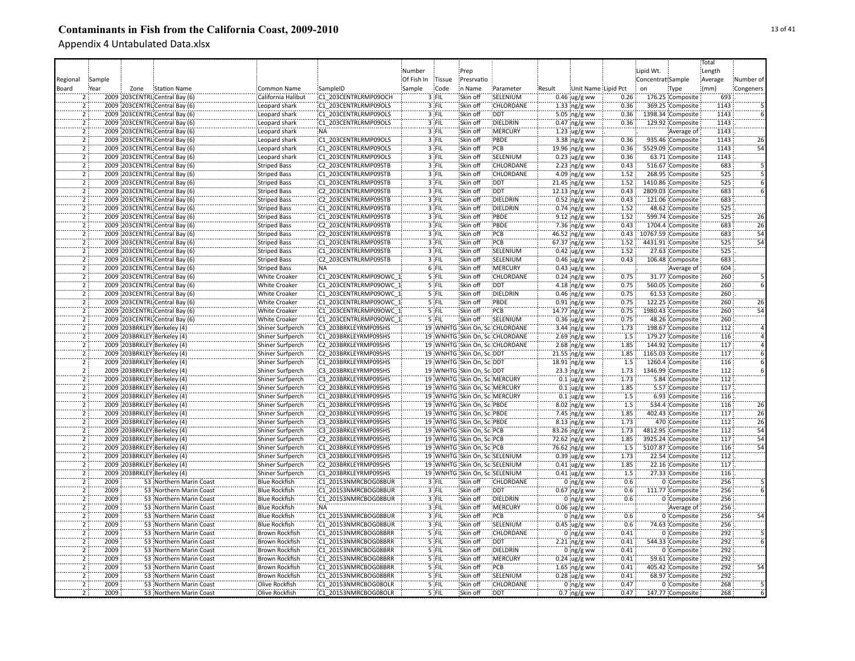|                                  |                                                            |                         |                        |            |         |                               |                                |        |                         |                  |                   |                    | Total   |                                    |
|----------------------------------|------------------------------------------------------------|-------------------------|------------------------|------------|---------|-------------------------------|--------------------------------|--------|-------------------------|------------------|-------------------|--------------------|---------|------------------------------------|
|                                  |                                                            |                         |                        | Number     |         | Prep                          |                                |        |                         |                  | Lipid Wt.         |                    | Length  |                                    |
| Regional                         | Sample                                                     |                         |                        | Of Fish In | Tissue  | Presrvatio                    |                                |        |                         |                  | Concentrat Sample |                    | Average | Number of                          |
| Board                            | Year<br>Zone<br>Station Name                               | Common Name             | SampleID               | Sample     | Code    | n Name                        | Parameter                      | Result | Unit Name Lipid Pct     |                  | on                | Type               | (mm)    | Congeners                          |
|                                  | 2009 203CENTRL Central Bay (6)                             | California Halibut      | C1 203CENTRLRMP09OCH   |            | 3 FIL   | Skin off                      | SELENIUM                       |        | $0.46$ ug/g ww          | 0.26             |                   | 176.25 Composite   | 693     |                                    |
|                                  | 2009 203CENTRL Central Bay (6)                             | Leopard shark           | C1 203CENTRLRMP09OLS   |            | 3 FIL   | Skin off                      | CHLORDANE                      |        | $1.33$ ng/g ww          | 0.36             |                   | 369.25 Composite   | 1143    |                                    |
| $\overline{2}$                   | 2009 203CENTRL Central Bay (6)                             | Leopard shark           | C1 203CENTRLRMP09OLS   |            | 3 FIL   | Skin off                      | <b>DDT</b>                     |        | 5.05 $ng/g$ ww          | 0.36             |                   | 1398.34 Composite  | 1143    |                                    |
| 2                                | 2009 203CENTRL Central Bay (6)                             | Leopard shark           | C1 203CENTRLRMP09OLS   |            | 3 FIL   | Skin off                      | DIELDRIN                       |        | $0.47$ ng/g ww          | 0.36             |                   | 129.92 Composite   | 1143    |                                    |
| $\overline{2}$                   | 2009 203CENTRL Central Bay (6)                             | Leopard shark           | :NA                    |            | 3 FIL   | Skin off                      | MERCURY                        |        | $1.23$ ug/g ww          |                  |                   | Average of         | 1143    |                                    |
| ž.                               | 2009 203CENTRL Central Bay (6)                             | Leopard shark           | C1 203CENTRLRMP09OLS   |            | 3 FIL   | Skin off                      | PBDE                           |        | $3.38$ ing/g ww         | 0.36             |                   | 935.46 Composite   | 1143    | 26                                 |
| $\overline{2}$                   | 2009 203CENTRL Central Bay (6)                             | Leopard shark           | C1 203CENTRLRMP09OLS   |            | 3 FIL   | Skin off                      | PCB                            |        | 19.96 ng/g ww           | 0.36             |                   | 5529.09 Composite  | 1143    | 54                                 |
| $\overline{2}$                   | 2009 203CENTRL Central Bay (6)                             | Leopard shark           | C1 203CENTRLRMP09OLS   |            | 3 FIL   | Skin off                      | SELENIUM                       |        | $0.23$ ug/g ww          | 0.36             |                   | 63.71 Composite    | 1143    |                                    |
| $\overline{2}$                   | 2009 203CENTRL Central Bay (6)                             | <b>Striped Bass</b>     | C2 203CENTRLRMP09STB   |            | 3 FIL   | Skin off                      | CHLORDANE                      |        | $2.23$ ng/g ww          | 0.43             |                   | 516.67 Composite   | 683     |                                    |
| $\overline{2}$                   | 2009 203CENTRL Central Bay (6)                             | <b>Striped Bass</b>     | C1 203CENTRLRMP09STB   |            | 3 FIL   | Skin off                      | CHLORDANE                      |        | 4.09 $ng/g$ ww          | 1.52             |                   | 268.95 Composite   | 525     |                                    |
| $\overline{2}$                   | 2009 203CENTRL Central Bay (6)                             | <b>Striped Bass</b>     | C1 203CENTRLRMP09STB   |            | 3 FIL   | Skin off                      | DDT:                           |        | 21.45 ng/g ww           | 1.52             |                   | 1410.86 Composite  | 525     |                                    |
| $\overline{2}$                   | 2009 203CENTRL Central Bay (6)                             | <b>Striped Bass</b>     | C2 203CENTRLRMP09STB   |            | 3 FIL   | Skin off                      | <b>DDT</b>                     |        | $12.13$ ng/g ww         | 0.43             |                   | 2809.03 Composite  | 683     |                                    |
| $\overline{2}$                   | 2009 203CENTRL Central Bay (6)                             | <b>Striped Bass</b>     | C2 203CENTRLRMP09STB   |            | $3$ FIL | Skin off                      | <b>DIELDRIN</b>                |        | $0.52$ ing/g ww         | 0.43             |                   | 121.06 Composite   | 683     |                                    |
| $\overline{2}$                   | 2009 203CENTRL Central Bay (6)                             | <b>Striped Bass</b>     | C1 203CENTRLRMP09STB   |            | 3 FIL   | Skin off                      | DIELDRIN                       |        | $0.74$ ing/g ww         | 1.52             |                   | 48.62 Composite    | 525     |                                    |
| Ï                                | 2009 203CENTRL Central Bay (6)                             | <b>Striped Bass</b>     | C1 203CENTRLRMP09STB   |            | 3 FIL   | Skin off                      | PBDE                           |        | $9.12$ ng/g ww          | 1.52             |                   | 599.74 Composite   | 525     | $\overline{26}$                    |
| 2                                | 2009 203CENTRL Central Bay (6)                             | <b>Striped Bass</b>     | C2 203CENTRLRMP09STB   |            | 3 FIL   | Skin off                      | PBDE                           |        | $7.36$ ng/g ww          | 0.43             |                   | 1704.4 Composite   | 683     | $\overline{26}$                    |
| $\overline{2}$                   | 2009 203CENTRL Central Bay (6)                             | <b>Striped Bass</b>     | C2 203CENTRLRMP09STB   |            | 3 FIL   | Skin off                      | PCB                            |        | $46.52$ ng/g ww         | 0.43             |                   | 10767.59 Composite | 683     | $\overline{54}$                    |
|                                  | 2009 203CENTRL Central Bay (6)                             | <b>Striped Bass</b>     | C1 203CENTRLRMP09STB   |            | $3$ FIL | Skin off                      | PCB                            |        | 67.37 ng/g ww           | 1.52             |                   | 4431.91 Composite  | 525     | $\overline{54}$                    |
| $\overline{2}$                   | 2009 203CENTRL Central Bay (6)                             | <b>Striped Bass</b>     | C1 203CENTRLRMP09STB   |            | 3 FIL   | Skin off                      | SELENIUM                       |        | $0.42$ ug/g ww          | 1.52             |                   | 27.63 Composite    | 525     |                                    |
| ï                                | 2009 203CENTRL Central Bay (6)                             | <b>Striped Bass</b>     | C2 203CENTRLRMP09STB   |            | 3 FIL   | Skin off                      | SELENIUM                       |        | $0.46$ ug/g ww          | 0.43             |                   | 106.48 Composite   | 683     |                                    |
| $\overline{2}$                   | 2009 203CENTRL Central Bay (6)                             | <b>Striped Bass</b>     | :NA                    |            | 6 FIL   | Skin off                      | <b>MERCURY</b>                 |        | $0.43$ ug/g ww          |                  |                   | Average of         | 604     |                                    |
| $\overline{2}$                   | 2009 203CENTRL Central Bay (6)                             | <b>White Croaker</b>    | C1 203CENTRLRMP09OWC 1 |            | 5 FIL   | Skin off                      | <b>CHLORDANE</b>               |        | $0.24$ ng/g ww          | 0.75             |                   | 31.77 Composite    | 260     |                                    |
| $\overline{2}$                   | 2009 203CENTRL Central Bay (6)                             | <b>White Croaker</b>    | C1 203CENTRLRMP09OWC 1 |            | 5 FIL   | Skin off                      | :DDT                           |        | 4.18 $ng/g$ ww          | 0.75             |                   | 560.05 Composite   | 260     |                                    |
| $\overline{2}$                   | 2009 203CENTRL Central Bay (6)                             | White Croaker           | C1 203CENTRLRMP09OWC 1 |            | $5$ FIL | Skin off                      | <b>DIELDRIN</b>                |        | $0.46$ ng/g ww          | 0.75             |                   | 61.53 Composite    | 260     |                                    |
| $\overline{2}$                   | 2009 203CENTRL Central Bay (6)                             | <b>White Croaker</b>    | C1 203CENTRLRMP09OWC 1 |            | 5 FIL   | Skin off                      | PBDE                           |        | $0.91$ ing/g ww         | 0.75             |                   | 122.25 Composite   | 260     | 26                                 |
| $\overline{2}$                   | 2009 203CENTRL Central Bay (6)                             | <b>White Croaker</b>    | C1 203CENTRLRMP09OWC 1 |            | 5 FIL   | Skin off                      | PCB                            |        | 14.77 ng/g ww           | 0.75             |                   | 1980.43 Composite  | 260     |                                    |
| $\overline{2}$                   | 2009 203CENTRL Central Bay (6)                             | <b>White Croaker</b>    | C1 203CENTRLRMP09OWC 1 |            | 5 FIL   | Skin off                      | SELENIUM                       |        | $0.36$ ug/g ww          | 0.75             |                   | 48.26 Composite    | 260     |                                    |
| $\overline{2}$                   | 2009 203BRKLEY Berkeley (4)                                | Shiner Surfperch        | C3 203BRKLEYRMP09SHS   |            |         |                               | 19 WNHTG Skin On, SciCHLORDANE |        | 3.44 $ng/g$ ww          | 1.73             |                   | 198.67 Composite   | 112     |                                    |
| $\overline{2}$                   | 2009 203BRKLEY Berkeley (4)                                | Shiner Surfperch        | C1 203BRKLEYRMP09SHS   |            |         |                               | 19 WNHTG Skin On, SciCHLORDANE |        | $2.69$ ng/g ww          | 1.5              |                   | 179.27 Composite   | 116     |                                    |
| ë                                | 2009 203BRKLEY Berkeley (4)                                | Shiner Surfperch        | C2 203BRKLEYRMP09SHS   |            |         |                               | 19 WNHTG Skin On, SciCHLORDANE |        | 2.68 $ng/g$ ww          | 1.85             |                   | 144.92 Composite   | 117     |                                    |
| $\overline{2}$                   | 2009 203BRKLEY Berkeley (4)                                |                         | C2 203BRKLEYRMP09SHS   |            |         | 19 WNHTG Skin On, Sci DDT     |                                |        |                         | 1.85             |                   | 1165.03 Composite  | 117     |                                    |
| $\overline{2}$                   |                                                            | Shiner Surfperch        | C1 203BRKLEYRMP09SHS   |            |         | 19 WNHTG Skin On, Sc. DDT     |                                |        | 21.55 ng/g ww           | 1.5              |                   | 1260.4 Composite   | 116     |                                    |
| $\overline{2}$                   | 2009 203BRKLEY Berkeley (4)<br>2009 203BRKLEY Berkeley (4) | Shiner Surfperch        | C3 203BRKLEYRMP09SHS   |            |         | 19 WNHTG Skin On, Sc. DDT     |                                |        | 18.91 ng/g ww           | 1.73             |                   | 1346.99 Composite  | 112     |                                    |
| $\overline{2}$                   |                                                            | Shiner Surfperch        |                        |            |         |                               |                                |        | $23.3$ ing/g ww         | 1.73             |                   |                    | 112     |                                    |
|                                  | 2009 203BRKLEY Berkeley (4)                                | Shiner Surfperch        | C3 203BRKLEYRMP09SHS   |            |         | 19 WNHTG Skin On, Sc. MERCURY |                                |        | $0.1 \,$ ug/g ww        |                  |                   | 5.84 Composite     |         |                                    |
| $\overline{2}$                   | 2009 203BRKLEY Berkeley (4)                                | Shiner Surfperch        | C2 203BRKLEYRMP09SHS   |            |         | 19 WNHTG Skin On, Sc: MERCURY |                                |        | $0.1$ ug/g ww           | 1.85             |                   | 5.57 Composite     | 117     |                                    |
| $\overline{2}$                   | 2009 203BRKLEY Berkeley (4)                                | Shiner Surfperch        | C1 203BRKLEYRMP09SHS   |            |         | 19 WNHTG Skin On, Sci MERCURY |                                |        | $0.1$ ug/g ww           | 1.5              |                   | 6.93 Composite     | 116     |                                    |
| $\overline{2}$                   | 2009 203BRKLEY Berkeley (4)                                | Shiner Surfperch        | C1 203BRKLEYRMP09SHS   |            |         | 19 WNHTG Skin On, SciPBDE     |                                |        | $8.02$ ng/g ww          | 1.5              |                   | 534.4 Composite    | 116     | 26                                 |
| $\overline{2}$                   | 2009 203BRKLEY Berkeley (4)                                | Shiner Surfperch        | C2 203BRKLEYRMP09SHS   |            |         | 19 WNHTG Skin On, Sc. PBDE    |                                |        | 7.45 ng/g ww            | 1.85             |                   | 402.43 Composite   | 117     | $\overline{26}$<br>$\overline{26}$ |
| $\overline{2}$                   | 2009 203BRKLEY Berkeley (4)                                | Shiner Surfperch        | C3 203BRKLEYRMP09SHS   |            |         | 19 WNHTG Skin On, SciPBDE     |                                |        | $8.13$ ing/g ww         | 1.73             |                   | 470 Composite      | 112     |                                    |
| $\overline{2}$                   | 2009 203BRKLEY Berkeley (4)                                | <b>Shiner Surfperch</b> | C3 203BRKLEYRMP09SHS   |            |         | 19 WNHTG Skin On, SciPCB      |                                |        | 83.26 ng/g ww           | 1.73             |                   | 4812.95 Composite  | 112     | 54                                 |
| $\overline{2}$<br>$\overline{2}$ | 2009 203BRKLEY Berkeley (4)                                | Shiner Surfperch        | C2 203BRKLEYRMP09SHS   |            |         | 19 WNHTG Skin On. Sc: PCB     |                                |        | 72.62 ng/g ww           | 1.85             |                   | 3925.24 Composite  | 117     | $\overline{54}$<br>$\overline{54}$ |
|                                  | 2009 203BRKLEY Berkeley (4)                                | Shiner Surfperch        | C1 203BRKLEYRMP09SHS   |            |         | 19 WNHTG Skin On, Sci PCB     |                                |        | 76.62 ng/g ww           | $\overline{1.5}$ |                   | 5107.87 Composite  | 116     |                                    |
| 2                                | 2009 203BRKLEY Berkeley (4)                                | Shiner Surfperch        | C3 203BRKLEYRMP09SHS   |            |         |                               | 19 WNHTG Skin On, Sc:SELENIUM  |        | $0.39$ ug/g ww          | 1.73             |                   | 22.54 Composite    | 112     |                                    |
| $\overline{2}$                   | 2009 203BRKLEY Berkeley (4)                                | Shiner Surfperch        | C2 203BRKLEYRMP09SHS   |            |         | 19 WNHTG Skin On, Sc:SELENIUM |                                |        | $0.41$ ug/g ww          | 1.85             |                   | 22.16 Composite    | 117     |                                    |
|                                  | 2009 203BRKLEY Berkeley (4)                                | Shiner Surfperch        | C1 203BRKLEYRMP09SHS   |            |         |                               | 19 WNHTG Skin On, Sc: SELENIUM |        | $0.41$ ug/g ww          | 1.5              |                   | 27.33 Composite    | 116     |                                    |
| $\overline{2}$                   | 2009<br>53 Northern Marin Coast                            | <b>Blue Rockfish</b>    | C1 20153NMRCBOG08BUR   |            | 3 FIL   | Skin off                      | <b>CHLORDANE</b>               |        | $0$ ng/g ww             | 0.6              |                   | 0 Composite        | 256     |                                    |
| $\overline{2}$                   | 2009<br>53 Northern Marin Coast                            | <b>Blue Rockfish</b>    | C1 20153NMRCBOG08BUR   |            | 3 FIL   | Skin off                      | <b>DDT</b>                     |        | $0.67$ ng/g ww          | 0.6              |                   | 111.77 Composite   | 256     |                                    |
| $\overline{2}$                   | 2009<br>53 Northern Marin Coast                            | <b>Blue Rockfish</b>    | C1 20153NMRCBOG08BUR   |            | $3$ FIL | Skin off                      | <b>DIELDRIN</b>                |        | $0$ ng/g ww             | 0.6              |                   | 0 Composite        | 256     |                                    |
| $\overline{2}$                   | 2009<br>53 Northern Marin Coast                            | <b>Blue Rockfish</b>    | NA:                    |            | 3 FIL   | Skin off                      | :MERCURY                       |        | $0.06$ ug/g ww          |                  |                   | Average of         | 256     |                                    |
| $\overline{2}$                   | 2009<br>53 Northern Marin Coast                            | <b>Blue Rockfish</b>    | C1 20153NMRCBOG08BUR   |            | 3 FIL   | Skin off                      | PCB                            |        | $0$ ng/g ww             | 0.6              |                   | 0 Composite        | 256     | 54                                 |
| $\overline{2}$                   | 2009<br>53 Northern Marin Coast                            | <b>Blue Rockfish</b>    | C1 20153NMRCBOG08BUR   |            | 3 FIL   | Skin off                      | SELENIUM                       |        | $0.45$ ug/g ww          | 0.6              |                   | 74.63 Composite    | 256     |                                    |
| $\overline{2}$                   | 2009<br>53 Northern Marin Coast                            | <b>Brown Rockfish</b>   | C1 20153NMRCBOG08BRR   |            | 5 FIL   | Skin off                      | CHLORDANE                      |        | $0$ ng/g ww             | 0.41             |                   | 0 Composite        | 292     |                                    |
| $\overline{2}$                   | 2009<br>53 Northern Marin Coast                            | <b>Brown Rockfish</b>   | C1 20153NMRCBOG08BRR   |            | 5 FIL   | Skin off                      | <b>DDT</b>                     |        | $2.21$ ng/g ww          | 0.41             |                   | 544.33 Composite   | 292     |                                    |
| $\overline{2}$                   | 2009<br>53 Northern Marin Coast                            | <b>Brown Rockfish</b>   | C1 20153NMRCBOG08BRR   |            | 5 FIL   | Skin off                      | DIELDRIN                       |        | $0$ ing/g ww            | 0.41             |                   | 0 Composite        | 292     |                                    |
|                                  | 2009<br>53 Northern Marin Coast                            | <b>Brown Rockfish</b>   | C1 20153NMRCBOG08BRR   |            | 5 FIL   | Skin off                      | MERCURY                        |        | $0.24$ ug/g ww          | 0.41             |                   | 59.61 Composite    | 292     |                                    |
| $\overline{2}$                   | 2009<br>53 Northern Marin Coast                            | Brown Rockfish          | C1 20153NMRCBOG08BRR   |            | 5 FIL   | Skin off                      | PCB                            |        | $1.65$ ng/g ww          | 0.41             |                   | 405.42 Composite   | 292     | 54                                 |
| $\overline{2}$                   | 2009<br>53 Northern Marin Coast                            | Brown Rockfish          | C1 20153NMRCBOG08BRR   |            | 5 FIL   | Skin off                      | SELENIUM                       |        | $0.28$ ug/g ww          | 0.41             |                   | 68.97 Composite    | 292     |                                    |
| $\overline{2}$                   | 2009<br>53 Northern Marin Coast                            | Olive Rockfish          | C1 20153NMRCBOG08OLR   |            | 5 FIL   | Skin off                      | CHLORDANE                      |        | 0 $ng/g$ ww             | 0.47             |                   | 0 Composite        | 268     |                                    |
|                                  | 2009<br>53 Northern Marin Coast                            | Olive Rockfish          | C1 20153NMRCBOG08OLR   |            | 5 FIL   | Skin off                      | DDT                            |        | $0.7 \, \text{ng/g}$ ww | 0.47             |                   | 147.77 Composite   | 268     |                                    |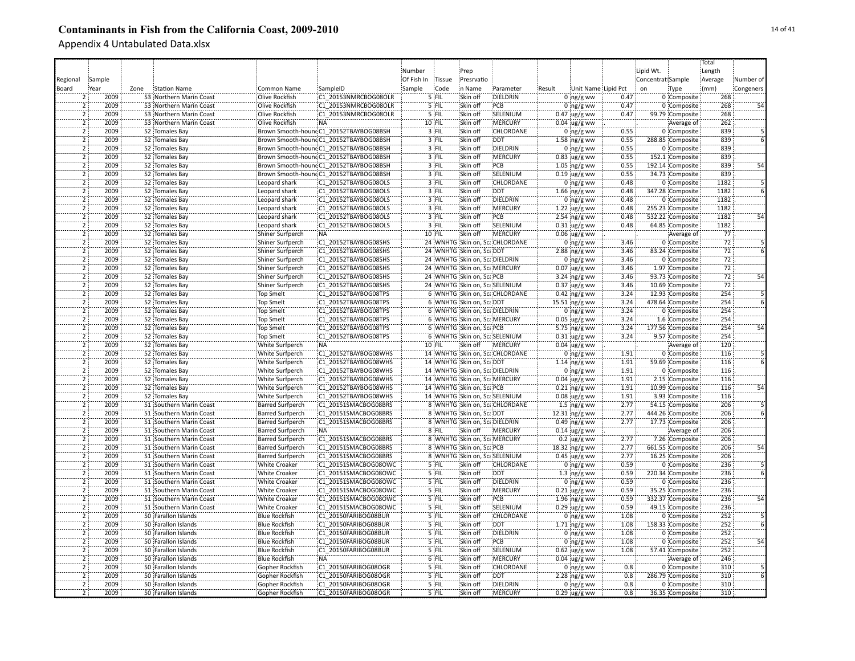|                     |        |      |                         |                         |                                         |            |         |                                |                                |                        |                     |                   |                  | Total           |                 |
|---------------------|--------|------|-------------------------|-------------------------|-----------------------------------------|------------|---------|--------------------------------|--------------------------------|------------------------|---------------------|-------------------|------------------|-----------------|-----------------|
|                     |        |      |                         |                         |                                         | Number     |         | Prep                           |                                |                        |                     | Lipid Wt.         |                  | Length          |                 |
| Regional            | Sample |      |                         |                         |                                         | Of Fish In | Tissue  | Presrvatio                     |                                |                        |                     | Concentrat Sample |                  | Average         | Number of       |
| Board               | Year   | Zone | Station Name            | Common Name             | SampleID                                | Sample     | Code    | in Name                        | Parameter                      | Result                 | Unit Name Lipid Pct | on                |                  | (mm)            | Congeners       |
|                     |        |      |                         |                         |                                         |            |         | Skin off                       |                                |                        |                     |                   | Type             |                 |                 |
|                     | 2009   |      | 53 Northern Marin Coast | Olive Rockfish          | C1 20153NMRCBOG08OLR                    |            | 5 FIL   |                                | DIELDRIN                       | $0 \log/g$ ww          | 0.47                |                   | 0 Composite      | 268             |                 |
|                     | 2009   |      | 53 Northern Marin Coast | Olive Rockfish          | C1 20153NMRCBOG08OLR                    |            | 5 FIL   | Skin off                       | PCB                            | $0$ ng/g ww            | 0.47                |                   | 0 Composite      | 268             |                 |
| 2                   | 2009   |      | 53 Northern Marin Coast | Olive Rockfish          | C1 20153NMRCBOG08OLR                    |            | 5 FIL   | Skin off                       | SELENIUM                       | $0.47$ ug/g ww         | 0.47                |                   | 99.79 Composite  | 268             |                 |
| $\overline{2}$      | 2009   |      | 53 Northern Marin Coast | Olive Rockfish          | <b>NA</b>                               |            | 10 FIL  | Skin off                       | MERCURY                        | $0.04 \,$ ug/g ww      |                     |                   | Average of       | 262             |                 |
| $\overline{2}$      | 2009   |      | 52 Tomales Bay          |                         | Brown Smooth-hounc:C1_20152TBAYBOG08BSH |            | 3 FIL   | Skin off                       | CHLORDANE                      | $0$ ng/g ww            | 0.55                |                   | 0 Composite      | 839             |                 |
| $\overline{2}$      | 2009   |      | 52 Tomales Bay          |                         | Brown Smooth-houndC1_20152TBAYBOG08BSH  |            | 3 FIL   | Skin off                       | <b>DDT</b>                     | $1.58$ ng/g ww         | 0.55                |                   | 288.85 Composite | 839             |                 |
| $\overline{2}$      | 2009   |      | 52 Tomales Bay          |                         | Brown Smooth-houndC1_20152TBAYBOG08BSH  |            | 3 FIL   | Skin off                       | DIELDRIN                       | $0$ ing/g ww           | 0.55                |                   | 0 Composite      | 839             |                 |
| $\overline{2}$      | 2009   |      | 52 Tomales Bay          |                         | Brown Smooth-houndC1_20152TBAYBOG08BSH  |            | 3 FIL   | Skin off                       | <b>MERCURY</b>                 | $0.83$ ug/g ww         | 0.55                |                   | 152.1 Composite  | 839             |                 |
| $\overline{2}$      | 2009   |      | 52 Tomales Bay          |                         | Brown Smooth-houndC1_20152TBAYBOG08BSH  |            | 3 FIL   | Skin off                       | PCB                            | $1.05$ ng/g ww         | 0.55                |                   | 192.14 Composite | 839             | 54              |
| $\overline{2}$      | 2009   |      | 52 Tomales Bay          |                         | Brown Smooth-houndC1_20152TBAYBOG08BSH  |            | 3 FIL   | Skin off                       | SELENIUM                       | $0.19$ ug/g ww         | 0.55                |                   | 34.73 Composite  | 839             |                 |
| $\overline{2}$      | 2009   |      | 52 Tomales Bay          | Leopard shark           | C1 20152TBAYBOG08OLS                    |            | 3 FIL   | Skin off                       | CHLORDANE                      | $0$ ing/g ww           | 0.48                |                   | 0 Composite      | 1182            |                 |
| $\overline{2}$      | 2009   |      | 52 Tomales Bay          | Leopard shark           | C1 20152TBAYBOG08OLS                    |            | 3 FIL   | Skin off                       | <b>DDT</b>                     | $1.66$ ing/g ww        | 0.48                |                   | 347.28 Composite | 1182            |                 |
| $\overline{2}$      | 2009   |      | 52 Tomales Bay          | Leopard shark           | C1 20152TBAYBOG08OLS                    |            | $3$ FIL | Skin off                       | <b>DIELDRIN</b>                | $0$ ing/g ww           | 0.48                |                   | 0 Composite      | 1182            |                 |
| $\overline{2}$      | 2009   |      | 52 Tomales Bay          | Leopard shark           | C1 20152TBAYBOG08OLS                    |            | 3 FIL   | Skin off                       | <b>MERCURY</b>                 |                        | 0.48                |                   | 255.23 Composite | 1182            |                 |
| 2                   | 2009   |      |                         |                         |                                         |            |         |                                |                                | $1.22 \,$ ug/g ww      |                     |                   |                  |                 |                 |
|                     |        |      | 52 Tomales Bay          | Leopard shark           | C1 20152TBAYBOG08OLS                    |            | 3 FIL   | Skin off                       | PCB                            | $2.54$ ng/g ww         | 0.48                |                   | 532.22 Composite | 1182            |                 |
| 2                   | 2009   |      | 52 Tomales Bay          | Leopard shark           | C1 20152TBAYBOG08OLS                    |            | 3 FIL   | Skin off                       | SELENIUM                       | $0.31$ ug/g ww         | 0.48                |                   | 64.85 Composite  | 1182            |                 |
| 2                   | 2009   |      | 52 Tomales Bay          | Shiner Surfperch        | <b>NA</b>                               |            | 10 FIL  | Skin off                       | <b>MERCURY</b>                 | $0.06$ ug/g ww         |                     |                   | Average of       | 77              |                 |
|                     | 2009   |      | 52 Tomales Bay          | Shiner Surfperch        | C1 20152TBAYBOG08SHS                    |            |         |                                | 24 WNHTG Skin on, ScaCHLORDANE | $0$ ng/g ww            | 3.46                |                   | 0 Composite      | $72\,$          |                 |
| $\overline{2}$      | 2009   |      | 52 Tomales Bay          | Shiner Surfperch        | C1 20152TBAYBOG08SHS                    |            |         | 24 WNHTG Skin on, ScaDDT       |                                | 2.88 ng/g ww           | 3.46                |                   | 83.24 Composite  | $\overline{72}$ |                 |
| 5                   | 2009   |      | 52 Tomales Bay          | Shiner Surfperch        | C1 20152TBAYBOG08SHS                    |            |         | 24 WNHTG Skin on, ScaDIELDRIN  |                                | $0$ ing/g ww           | 3.46                |                   | 0 Composite      | 72              |                 |
| $\overline{2}$      | 2009   |      | 52 Tomales Bay          | Shiner Surfperch        | C1 20152TBAYBOG08SHS                    |            |         | 24 WNHTG Skin on, Sca MERCURY  |                                | $0.07$ ug/g ww         | 3.46                |                   | 1.97 Composite   | 72              |                 |
| $\overline{2}$      | 2009   |      | 52 Tomales Bay          | Shiner Surfperch        | C1 20152TBAYBOG08SHS                    |            |         | 24 WNHTG Skin on, ScaPCB       |                                | 3.24 ng/g ww           | 3.46                |                   | 93.73 Composite  | 72              | 54              |
| $\overline{2}$      | 2009   |      | 52 Tomales Bay          | Shiner Surfperch        | C1 20152TBAYBOG08SHS                    |            |         |                                | 24 WNHTG Skin on, ScaSELENIUM  | $0.37$ ug/g ww         | 3.46                |                   | 10.69 Composite  | 72              |                 |
| $\overline{2}$      | 2009   |      | 52 Tomales Bay          | <b>Top Smelt</b>        | C1 20152TBAYBOG08TPS                    |            |         |                                | 6 WNHTG Skin on, ScaCHLORDANE  | $0.42$ ng/g ww         | 3.24                |                   | 12.93 Composite  | 254             |                 |
| $\overline{2}$      | 2009   |      | 52 Tomales Bay          | <b>Top Smelt</b>        | C1 20152TBAYBOG08TPS                    |            |         | 6 WNHTG Skin on, ScaDDT        |                                | 15.51 ng/g ww          | 3.24                |                   | 478.64 Composite | 254             |                 |
| 2                   | 2009   |      | 52 Tomales Bay          | Top Smelt               | C1 20152TBAYBOG08TPS                    |            |         | 6 WNHTG Skin on, ScaDIELDRIN   |                                |                        | 3.24                |                   | 0 Composite      | 254             |                 |
|                     | 2009   |      |                         |                         |                                         |            |         |                                |                                | $0$ ng/g ww            |                     |                   |                  |                 |                 |
| $\overline{2}$<br>5 |        |      | 52 Tomales Bay          | Top Smelt               | C1 20152TBAYBOG08TPS                    |            |         | 6 WNHTG Skin on, Sca.MERCURY   |                                | $0.05$ ug/g ww         | 3.24                |                   | 1.6 Composite    | 254             |                 |
|                     | 2009   |      | 52 Tomales Bay          | <b>Top Smelt</b>        | C1 20152TBAYBOG08TPS                    |            |         | 6 WNHTG Skin on, ScaPCB        |                                | 5.75 ng/g ww           | 3.24                |                   | 177.56 Composite | 254             | $\overline{54}$ |
| $\overline{2}$      | 2009   |      | 52 Tomales Bay          | <b>Top Smelt</b>        | C1 20152TBAYBOG08TPS                    |            |         |                                | 6 WNHTG Skin on, ScaSELENIUM   | $0.31$ ug/g ww         | 3.24                |                   | 9.57 Composite   | 254             |                 |
| $\overline{2}$      | 2009   |      | 52 Tomales Bay          | <b>White Surfperch</b>  | <b>NA</b>                               |            | 10 FIL  | Skin off                       | <b>MERCURY</b>                 | $0.04 \, \mu g/g$ ww   |                     |                   | Average of       | 120             |                 |
| ゔ                   | 2009   |      | 52 Tomales Bay          | White Surfperch         | C1 20152TBAYBOG08WHS                    |            |         |                                | 14 WNHTG Skin on, ScaCHLORDANE | $0$ ing/g ww           | 1.91                |                   | 0 Composite      | 116             |                 |
| $\overline{2}$      | 2009   |      | 52 Tomales Bay          | White Surfperch         | C1 20152TBAYBOG08WHS                    |            |         | 14 WNHTG Skin on, ScaDDT       |                                | $1.14$ ng/g ww         | 1.91                |                   | 59.69 Composite  | 116             |                 |
| $\bar{2}$           | 2009   |      | 52 Tomales Bay          | White Surfperch         | C1 20152TBAYBOG08WHS                    |            |         | 14 WNHTG Skin on, Sca DIELDRIN |                                | $0$ ing/g ww           | 1.91                |                   | 0 Composite      | 116             |                 |
| $\overline{2}$      | 2009   |      | 52 Tomales Bay          | White Surfperch         | C1 20152TBAYBOG08WHS                    |            |         | 14 WNHTG Skin on, Sca MERCURY  |                                | $0.04 \,$ ug/g ww      | 1.91                |                   | 2.15 Composite   | 116             |                 |
| $\overline{2}$      | 2009   |      | 52 Tomales Bay          | White Surfperch         | C1 20152TBAYBOG08WHS                    |            |         | 14 WNHTG Skin on, ScaPCB       |                                | $0.21$ ng/g ww         | 1.91                |                   | 10.99 Composite  | 116             | 54              |
| $\overline{2}$      | 2009   |      | 52 Tomales Bay          | White Surfperch         | C1 20152TBAYBOG08WHS                    |            |         |                                | 14 WNHTG Skin on, ScaSELENIUM  | $0.08$ ug/g ww         | 1.91                |                   | 3.93 Composite   | 116             |                 |
| $\overline{2}$      | 2009   |      | 51 Southern Marin Coast | <b>Barred Surfperch</b> | C1 20151SMACBOG08BRS                    |            |         |                                | 8 WNHTG Skin on, ScaCHLORDANE  | $1.5$ ing/g ww         | 2.77                |                   | 54.15 Composite  | 206             |                 |
| $\overline{2}$      | 2009   |      | 51 Southern Marin Coast | <b>Barred Surfperch</b> | C1 20151SMACBOG08BRS                    |            |         | 8 WNHTG Skin on, ScaDDT        |                                | 12.31 ng/g ww          | 2.77                |                   | 444.26 Composite | 206             |                 |
| ï                   | 2009   |      | 51 Southern Marin Coast | <b>Barred Surfperch</b> | C1 20151SMACBOG08BRS                    |            |         | 8 WNHTG Skin on, ScaDIELDRIN   |                                | $0.49$ ng/g ww         | 2.77                |                   | 17.73 Composite  | 206             |                 |
|                     | 2009   |      | 51 Southern Marin Coast | Barred Surfperch        | NÄ.                                     |            | $8$ FIL | Skin off                       | MERCURY                        | $0.14 \,$ ug/g ww      |                     |                   | Average of       | 206             |                 |
| $\overline{2}$      | 2009   |      |                         |                         | C1 20151SMACBOG08BRS                    |            |         |                                |                                |                        | 2.77                |                   |                  | 206             |                 |
| 5                   |        |      | 51 Southern Marin Coast | <b>Barred Surfperch</b> |                                         |            |         | 8 WNHTG Skin on, Sca MERCURY   |                                | $0.2 \, \mu g/g$ ww    |                     |                   | 7.26 Composite   |                 |                 |
|                     | 2009   |      | 51 Southern Marin Coast | <b>Barred Surfperch</b> | C1 20151SMACBOG08BRS                    |            |         | 8 WNHTG Skin on, ScaPCB        |                                | 18.32 ng/g ww          | 2.77                |                   | 661.55 Composite | 206             | 54              |
| $\overline{2}$      | 2009   |      | 51 Southern Marin Coast | <b>Barred Surfperch</b> | C1 20151SMACBOG08BRS                    |            |         |                                | 8 WNHTG Skin on, ScaSELENIUM   | $0.45$ ug/g ww         | 2.77                |                   | 16.25 Composite  | 206             |                 |
| $\overline{2}$      | 2009   |      | 51 Southern Marin Coast | <b>White Croaker</b>    | C1 20151SMACBOG08OWC                    |            | 5 FIL   | Skin off                       | CHLORDANE                      | $0$ ng/g ww            | 0.59                |                   | 0 Composite      | 236             |                 |
| $\overline{2}$      | 2009   |      | 51 Southern Marin Coast | White Croaker           | C1 20151SMACBOG08OWC                    |            | 5 FIL   | Skin off                       | <b>DDT</b>                     | $1.3$ ing/g ww         | 0.59                |                   | 220.34 Composite | 236             |                 |
| $\overline{2}$      | 2009   |      | 51 Southern Marin Coast | <b>White Croaker</b>    | C1 20151SMACBOG08OWC                    |            | 5 FIL   | Skin off                       | DIELDRIN                       | $0$ ng/g ww            | 0.59                |                   | 0 Composite      | 236             |                 |
| $\overline{2}$      | 2009   |      | 51 Southern Marin Coast | <b>White Croaker</b>    | C1 20151SMACBOG08OWC                    |            | 5 FIL   | Skin off                       | :MERCURY                       | $0.21 \text{ ug/g}$ ww | 0.59                |                   | 35.25 Composite  | 236             |                 |
| $\overline{2}$      | 2009   |      | 51 Southern Marin Coast | <b>White Croaker</b>    | C1 20151SMACBOG08OWC                    |            | 5 FIL   | Skin off                       | PCB                            | $1.96$ ng/g ww         | 0.59                |                   | 332.37 Composite | 236             | 54              |
| $\overline{2}$      | 2009   |      | 51 Southern Marin Coast | <b>White Croaker</b>    | C1 20151SMACBOG08OWC                    |            | 5 FIL   | Skin off                       | SELENIUM                       | $0.29$ ug/g ww         | 0.59                |                   | 49.15 Composite  | 236             |                 |
| $\overline{2}$      | 2009   |      | 50 Farallon Islands     | <b>Blue Rockfish</b>    | C1 20150FARIBOG08BUR                    |            | 5 FIL   | Skin off                       | <b>CHLORDANE</b>               | $0$ ng/g ww            | 1.08                |                   | 0 Composite      | 252             |                 |
| 2                   | 2009   |      | 50 Farallon Islands     | <b>Blue Rockfish</b>    | C1 20150FARIBOG08BUR                    |            | 5 FIL   | Skin off                       | <b>DDT</b>                     | $1.71$ ng/g ww         | 1.08                |                   | 158.33 Composite | 252             |                 |
| $\overline{2}$      | 2009   |      | 50 Farallon Islands     | <b>Blue Rockfish</b>    | C1 20150FARIBOG08BUR                    |            | 5 FIL   | Skin off                       | DIELDRIN                       | $0$ ng/g ww            | 1.08                |                   | 0 Composite      | 252             |                 |
| $\overline{2}$      | 2009   |      | 50 Farallon Islands     | <b>Blue Rockfish</b>    | C1 20150FARIBOG08BUR                    |            | 5 FIL   | Skin off                       | PCB                            |                        | 1.08                |                   | 0 Composite      | 252             | 54              |
|                     |        |      |                         |                         |                                         |            |         |                                |                                | $0$ ng/g ww            |                     |                   |                  |                 |                 |
| ゔ                   | 2009   |      | 50 Farallon Islands     | <b>Blue Rockfish</b>    | C1 20150FARIBOG08BUR                    |            | 5 FIL   | Skin off                       | SELENIUM                       | $0.62$ ug/g ww         | 1.08                |                   | 57.41 Composite  | 252             |                 |
|                     | 2009   |      | 50 Farallon Islands     | <b>Blue Rockfish</b>    | NA:                                     |            | 6 FIL   | Skin off                       | MERCURY                        | $0.04$ ug/g ww         |                     |                   | Average of       | 246             |                 |
|                     | 2009   |      | 50 Farallon Islands     | Gopher Rockfish         | C1 20150FARIBOG08OGR                    |            | 5 FIL   | Skin off                       | CHLORDANE                      | $0$ ng/g ww            | 0.8                 |                   | 0 Composite      | 310             |                 |
| 2                   | 2009   |      | 50 Farallon Islands     | Gopher Rockfish         | C1 20150FARIBOG08OGR                    |            | 5 FIL   | Skin off                       | DDT                            | $2.28$ ng/g ww         | 0.8                 |                   | 286.79 Composite | 310             |                 |
| $\overline{2}$      | 2009   |      | 50 Farallon Islands     | Gopher Rockfish         | C1 20150FARIBOG08OGR                    |            | 5 FIL   | Skin off                       | DIELDRIN                       | $0$ ing/g ww           | 0.8                 |                   | 0 Composite      | 310             |                 |
| $\overline{2}$      | 2009   |      | 50 Farallon Islands     | Gopher Rockfish         | C1 20150FARIBOG08OGR                    |            | 5 FIL   | Skin off                       | <b>MERCURY</b>                 | $0.29$ ug/g ww         | 0.8                 |                   | 36.35 Composite  | 310             |                 |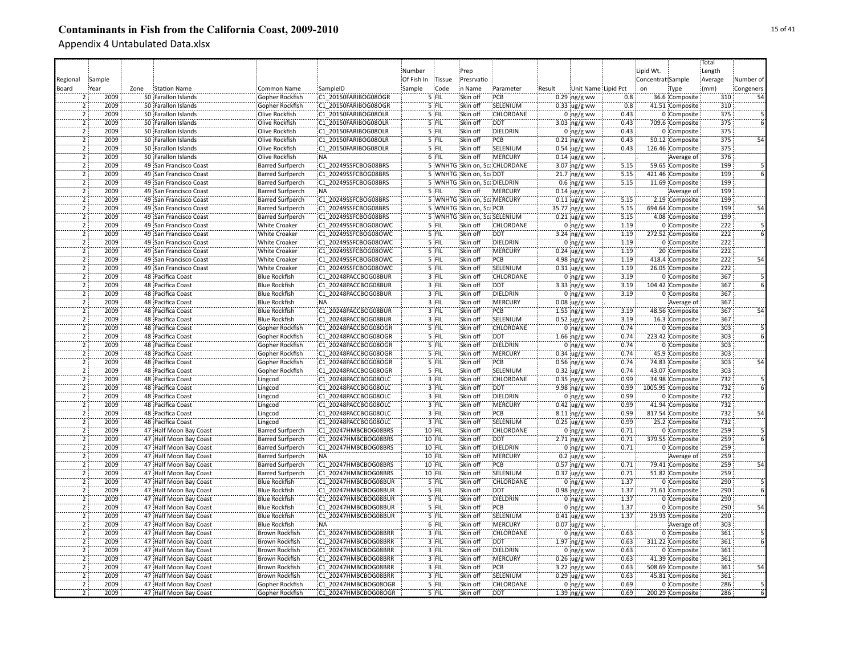|                                  |              |      |                                                  |                                              |                                               |            |                  |                              |                                |        |                                          |              |                   |                                    | Total      |           |
|----------------------------------|--------------|------|--------------------------------------------------|----------------------------------------------|-----------------------------------------------|------------|------------------|------------------------------|--------------------------------|--------|------------------------------------------|--------------|-------------------|------------------------------------|------------|-----------|
|                                  |              |      |                                                  |                                              |                                               | Number     |                  | Prep                         |                                |        |                                          |              | Lipid Wt.         |                                    | Length     |           |
| Regional                         | Sample       |      |                                                  |                                              |                                               | Of Fish In | Tissue           | Presrvatio                   |                                |        |                                          |              | Concentrat Sample |                                    | Average    | Number of |
| Board                            | Year         | Zone | <b>Station Name</b>                              | Common Name                                  | SampleID                                      | Sample     | Code             | n Name                       | Parameter                      | Result | Unit Name Lipid Pct                      |              | on                | Type                               | (mm)       | Congeners |
|                                  | 2009         |      | 50 Farallon Islands                              | Gopher Rockfish                              | C1 20150FARIBOG08OGR                          |            | 5 FIL            | Skin off                     | PCB                            |        | $0.29$ ng/g ww                           | 0.8          |                   | 36.6 Composite                     | 310        | 52        |
|                                  | 2009         |      | 50 Farallon Islands                              | Gopher Rockfish                              | C1 20150FARIBOG08OGR                          |            | 5 FIL            | Skin off                     | SELENIUM                       |        | $0.33$ ug/g ww                           | 0.8          |                   | 41.51 Composite                    | 310        |           |
| $\overline{2}$                   | 2009         |      | 50 Farallon Islands                              | Olive Rockfish                               | C1 20150FARIBOG08OLR                          |            | 5 FIL            | Skin off                     | CHLORDANE                      |        | $0$ ng/g ww                              | 0.43         |                   | 0 Composite                        | 375        |           |
|                                  | 2009         |      | 50 Farallon Islands                              | Olive Rockfish                               | C1 20150FARIBOG08OLR                          |            | 5 FIL            | Skin off                     | <b>DDT</b>                     |        | 3.03 $ng/g$ ww                           | 0.43         |                   | 709.6 Composite                    | 375        |           |
| $\overline{2}$                   | 2009         |      | 50 Farallon Islands                              | <b>Olive Rockfish</b>                        | C1 20150FARIBOG08OLR                          |            | 5 FIL            | Skin off                     | DIELDRIN                       |        | $0$ ng/g ww                              | 0.43         |                   | 0 Composite                        | 375        |           |
| $\overline{2}$                   | 2009         |      | 50 Farallon Islands                              | Olive Rockfish                               | C1 20150FARIBOG08OLR                          |            | 5 FIL            | Skin off                     | PCB                            |        | $0.21$ ng/g ww                           | 0.43         |                   | 50.12 Composite                    | 375        | 54        |
| $\overline{2}$                   | 2009         |      | 50 Farallon Islands                              | <b>Olive Rockfish</b>                        | C1 20150FARIBOG08OLR                          |            | 5 FIL            | Skin off                     | SELENIUM                       |        | $0.54 \,$ ug/g ww                        | 0.43         |                   | 126.46 Composite                   | 375        |           |
| $\overline{2}$                   | 2009         |      | 50 Farallon Islands                              | Olive Rockfish                               | :NA                                           |            | 6 FIL            | Skin off                     | <b>MERCURY</b>                 |        | $0.14 \,$ ug/g ww                        |              |                   | Average of                         | 376        |           |
| $\overline{2}$                   | 2009         |      | 49 San Francisco Coast                           | <b>Barred Surfperch</b>                      | C1 20249SSFCBOG08BRS                          |            |                  |                              | 5 WNHTG Skin on, Sca CHLORDANE |        | 3.07 ng/g ww                             | 5.15         |                   | 59.65 Composite                    | 199        |           |
| $\overline{2}$                   | 2009         |      | 49 San Francisco Coast                           | <b>Barred Surfperch</b>                      | C1 20249SSFCBOG08BRS                          |            |                  | 5 WNHTG Skin on, ScaDDT      |                                |        | $21.7$ ng/g ww                           | 5.15         |                   | 421.46 Composite                   | 199        |           |
| $\overline{2}$                   | 2009         |      | 49 San Francisco Coast                           | <b>Barred Surfperch</b>                      | C1 20249SSFCBOG08BRS                          |            |                  | 5 WNHTG Skin on, ScaDIELDRIN |                                |        | $0.6$ ing/g ww                           | 5.15         |                   | 11.69 Composite                    | 199        |           |
| $\overline{2}$                   | 2009         |      | 49 San Francisco Coast                           | <b>Barred Surfperch</b>                      | :NA                                           |            | 5 FIL            | Skin off                     | <b>MERCURY</b>                 |        | $0.14$ ug/g ww                           |              |                   | Average of                         | 199        |           |
| $\overline{2}$                   | 2009         |      | 49 San Francisco Coast                           | <b>Barred Surfperch</b>                      | C1 20249SSFCBOG08BRS                          |            |                  |                              | 5 WNHTG Skin on, Sca MERCURY   |        | $0.11$ ug/g ww                           | 5.15         |                   | 2.19 Composite                     | 199        |           |
| $\overline{2}$                   | 2009         |      | 49 San Francisco Coast                           | <b>Barred Surfperch</b>                      | C1 20249SSFCBOG08BRS                          |            |                  | 5 WNHTG Skin on, ScaPCB      |                                |        | 35.77 ng/g ww                            | 5.15         |                   | 694.64 Composite                   | 199        | 54        |
| ï                                | 2009         |      | 49 San Francisco Coast                           | <b>Barred Surfperch</b>                      | C1 20249SSFCBOG08BRS                          |            |                  |                              | 5 WNHTG Skin on, ScaSELENIUM   |        | $0.21$ ug/g ww                           | 5.15         |                   | 4.08 Composite                     | 199        |           |
|                                  | 2009         |      | 49 San Francisco Coast                           | White Croaker                                | C1 20249SSFCBOG08OWC                          |            | '5 FIL           | Skin off                     | CHLORDANE                      |        | $0$ ng/g ww                              | 1.19         |                   | 0 Composite                        | 222        |           |
|                                  | 2009         |      | 49 San Francisco Coast                           | <b>White Croaker</b>                         | C1 20249SSFCBOG08OWC                          |            | '5 FIL           | Skin off                     | <b>DDT</b>                     |        | $3.24$ ng/g ww                           | 1.19         |                   | 272.52 Composite                   | 222        |           |
|                                  | 2009         |      | 49 San Francisco Coast                           | White Croaker                                | C1 20249SSFCBOG08OWC                          |            | 5 FIL            | Skin off                     | DIELDRIN                       |        |                                          | 1.19         |                   | 0 Composite                        | 222        |           |
|                                  | 2009         |      | 49 San Francisco Coast                           | White Croaker                                | C1 20249SSFCBOG08OWC                          |            | 5 FIL            | Skin off                     | MERCURY                        |        | $0$ ng/g ww                              | 1.19         |                   | 20 Composite                       | 222        |           |
| $\overline{2}$                   | 2009         |      | 49 San Francisco Coast                           | <b>White Croaker</b>                         | C1 20249SSFCBOG08OWC                          |            | 5 FIL            | Skin off                     | :PCB                           |        | $0.24$ ug/g ww                           | 1.19         |                   | 418.4 Composite                    | 222        | <br>54    |
| $\overline{2}$                   | 2009         |      |                                                  |                                              |                                               |            | 5 FIL            | Skin off                     | SELENIUM                       |        | 4.98 $ng/g$ ww                           | 1.19         |                   |                                    | 222        |           |
| $\overline{2}$                   | 2009         |      | 49 San Francisco Coast<br>48 Pacifica Coast      | <b>White Croaker</b><br><b>Blue Rockfish</b> | C1 20249SSFCBOG08OWC<br>C1 20248PACCBOG08BUR  |            | 3 FIL            | Skin off                     | CHLORDANE                      |        | $0.31$ ug/g ww                           | 3.19         |                   | 26.05 Composite<br>0 Composite     | 367        |           |
| $\overline{2}$                   | 2009         |      |                                                  |                                              |                                               |            |                  | Skin off                     | <b>DDT</b>                     |        | $0$ ng/g ww                              | 3.19         |                   |                                    | 367        |           |
| $\overline{2}$                   | 2009         |      | 48 Pacifica Coast                                | <b>Blue Rockfish</b><br><b>Blue Rockfish</b> | C1 20248PACCBOG08BUR<br>C1 20248PACCBOG08BUR  |            | 3 FIL<br>$3$ FIL | Skin off                     | <b>DIELDRIN</b>                |        | $3.33$ ng/g ww                           | 3.19         |                   | 104.42 Composite<br>0 Composite    | 367        |           |
| $\overline{2}$                   | 2009         |      | 48 Pacifica Coast<br>48 Pacifica Coast           | <b>Blue Rockfish</b>                         | :NA                                           |            | $3$ FIL          | Skin off                     | <b>MERCURY</b>                 |        | $0$ ng/g ww                              |              |                   |                                    | 367        |           |
| $\overline{2}$                   | 2009         |      |                                                  |                                              |                                               |            |                  |                              |                                |        | $0.08$ ug/g ww                           |              |                   | Average of                         |            | 54        |
|                                  | 2009         |      | 48 Pacifica Coast                                | <b>Blue Rockfish</b>                         | C1 20248PACCBOG08BUR                          |            | 3 FIL            | Skin off                     | PCB                            |        | $1.55$ ng/g ww                           | 3.19         |                   | 48.56 Composite                    | 367        |           |
|                                  | 2009         |      | 48 Pacifica Coast                                | <b>Blue Rockfish</b>                         | C1 20248PACCBOG08BUR                          |            | 3 FIL            | Skin off                     | SELENIUM                       |        | $0.52 \,$ ug/g ww                        | 3.19<br>0.74 |                   | 16.3 Composite                     | 367        |           |
|                                  |              |      | 48 Pacifica Coast                                | Gopher Rockfish                              | C1 20248PACCBOG08OGR                          |            | 5 FIL            | Skin off                     | CHLORDANE                      |        | $0$ ng/g ww                              |              |                   | 0 Composite                        | 303        |           |
|                                  | 2009<br>2009 |      | 48 Pacifica Coast<br>48 Pacifica Coast           | Gopher Rockfish                              | C1 20248PACCBOG08OGR<br>C1 20248PACCBOG08OGR  |            | 5 FIL<br>5 FIL   | Skin off<br>Skin off         | <b>DDT</b><br>DIELDRIN         |        | $1.66$ ng/g ww                           | 0.74<br>0.74 |                   | 223.42 Composite<br>0 Composite    | 303<br>303 |           |
| $\overline{2}$                   | 2009         |      |                                                  | Gopher Rockfish                              | C1 20248PACCBOG08OGR                          |            | 5 FIL            | Skin off                     | MERCURY                        |        | $0$ ng/g ww                              | 0.74         |                   |                                    | 303        |           |
| $\overline{2}$                   | 2009         |      | 48 Pacifica Coast                                | Gopher Rockfish                              |                                               |            | 5 FIL            | Skin off                     | PCB                            |        | $0.34 \,$ ug/g ww                        | 0.74         |                   | 45.9 Composite                     | 303        |           |
| $\overline{2}$                   | 2009         |      | 48 Pacifica Coast<br>48 Pacifica Coast           | Gopher Rockfish<br>Gopher Rockfish           | C1 20248PACCBOG08OGR<br>:C1 20248PACCBOG08OGR |            | 5 FIL            | Skin off                     | SELENIUM                       |        | $0.56$ ng/g ww<br>$0.32 \text{ ug/g}$ ww | 0.74         |                   | 74.83 Composite<br>43.07 Composite | 303        | 54        |
| $\overline{2}$                   | 2009         |      |                                                  |                                              | C1 20248PACCBOG08OLC                          |            | 3 FIL            | Skin off                     | CHLORDANE                      |        |                                          | 0.99         |                   |                                    | 732        |           |
|                                  | 2009         |      | 48 Pacifica Coast                                | Lingcod                                      |                                               |            | 3 FIL            | Skin off                     | <b>DDT</b>                     |        | $0.35$ ng/g ww                           |              |                   | 34.98 Composite                    |            |           |
| $\overline{2}$<br>$\overline{2}$ | 2009         |      | 48 Pacifica Coast<br>48 Pacifica Coast           | Lingcod                                      | C1 20248PACCBOG08OLC<br>C1 20248PACCBOG08OLC  |            | 3 FIL            | Skin off                     | DIELDRIN                       |        | 9.98 ng/g ww<br>$0$ ng/g ww              | 0.99<br>0.99 |                   | 1005.95 Composite                  | 732<br>732 |           |
| $\overline{2}$                   | 2009         |      | 48 Pacifica Coast                                | Lingcod                                      | C1 20248PACCBOG08OLC                          |            | 3 FIL            | Skin off                     | <b>MERCURY</b>                 |        |                                          | 0.99         |                   | 0 Composite<br>41.94 Composite     | 732        |           |
| $\overline{2}$                   | 2009         |      | 48 Pacifica Coast                                | Lingcod<br>Lingcod                           | C1 20248PACCBOG08OLC                          |            | 3 FIL            | Skin off                     | PCB                            |        | $0.42$ ug/g ww                           | 0.99         |                   | 817.54 Composite                   | 732        | 54        |
| $\overline{2}$                   | 2009         |      | 48 Pacifica Coast                                | Lingcod                                      | C1 20248PACCBOG08OLC                          |            | 3 FIL            | Skin off                     | SELENIUM                       |        | $8.11$ ng/g ww                           | 0.99         |                   | 25.2 Composite                     | 732        |           |
|                                  | 2009         |      | 47 Half Moon Bay Coast                           | <b>Barred Surfperch</b>                      | C1 20247HMBCBOG08BRS                          |            | 10 FIL           | Skin off                     | CHLORDANE                      |        | $0.25$ ug/g ww                           | 0.71         |                   | 0 Composite                        | 259        |           |
|                                  | 2009         |      | 47 Half Moon Bay Coast                           | Barred Surfperch                             | C1 20247HMBCBOG08BRS                          |            | 10 FIL           | Skin off                     | :DDT                           |        | $0$ ing/g ww<br>$2.71$ ng/g ww           | 0.71         |                   | 379.55 Composite                   | 259        |           |
|                                  | 2009         |      | 47 Half Moon Bay Coast                           | <b>Barred Surfperch</b>                      | C1 20247HMBCBOG08BRS                          |            | 10 FIL           | Skin off                     | DIELDRIN                       |        | $0$ ing/g ww                             | 0.71         |                   | 0 Composite                        | 259        |           |
|                                  | 2009         |      | 47 Half Moon Bay Coast                           | <b>Barred Surfperch</b>                      | :NA                                           |            | 10 FIL           | Skin off                     | <b>MERCURY</b>                 |        | $0.2 \,$ ug/g ww                         |              |                   | Average of                         | 259        |           |
|                                  | 2009         |      | 47 Half Moon Bay Coast                           | <b>Barred Surfperch</b>                      | C1 20247HMBCBOG08BRS                          |            | 10 FIL           | Skin off                     | :PCB                           |        | $0.57$ ng/g ww                           | 0.71         |                   | 79.41 Composite                    | 259        | 54        |
| 2                                | 2009         |      | 47 Half Moon Bay Coast                           | <b>Barred Surfperch</b>                      | C1 20247HMBCBOG08BRS                          |            | <b>10 FIL</b>    | Skin off                     | SELENIUM                       |        |                                          | 0.71         |                   | 51.82 Composite                    | 259        |           |
| $\overline{2}$                   | 2009         |      | 47 Half Moon Bay Coast                           | <b>Blue Rockfish</b>                         | C1 20247HMBCBOG08BUR                          |            | 5 FIL            | Skin off                     | <b>CHLORDANE</b>               |        | $0.37$ ug/g ww<br>$0:ng/g$ ww            | 1.37         |                   | 0 Composite                        | 290        |           |
| $\overline{2}$                   | 2009         |      | 47 Half Moon Bay Coast                           | <b>Blue Rockfish</b>                         | C1 20247HMBCBOG08BUR                          |            | $5$ FIL          | Skin off                     | :DDT                           |        | $0.98$ ng/g ww                           | 1.37         |                   | 71.61 Composite                    | 290        |           |
| $\overline{2}$                   | 2009         |      | 47 Half Moon Bay Coast                           | <b>Blue Rockfish</b>                         | C1 20247HMBCBOG08BUR                          |            | 5 FIL            | Skin off                     | <b>DIELDRIN</b>                |        |                                          | 1.37         |                   | 0 Composite                        | 290        |           |
| $\overline{2}$                   | 2009         |      | 47 Half Moon Bay Coast                           | <b>Blue Rockfish</b>                         | C1 20247HMBCBOG08BUR                          |            | 5 FIL            | Skin off                     | PCB                            |        | $0$ ng/g ww<br>$0$ ng/g ww               | 1.37         |                   | 0 Composite                        | 290        | 54        |
| $\overline{2}$                   | 2009         |      | 47 Half Moon Bay Coast                           | <b>Blue Rockfish</b>                         | C1 20247HMBCBOG08BUR                          |            | 5 FIL            | Skin off                     | SELENIUM                       |        | $0.41$ ug/g ww                           | 1.37         |                   | 29.93 Composite                    | 290        |           |
| $\overline{2}$                   | 2009         |      | 47 Half Moon Bay Coast                           | <b>Blue Rockfish</b>                         | NA:                                           |            | 6 FIL            | Skin off                     | <b>MERCURY</b>                 |        | $0.07$ ug/g ww                           |              |                   | Average of                         | 303        |           |
| $\overline{2}$                   | 2009         |      | 47 Half Moon Bay Coast                           | <b>Brown Rockfish</b>                        | C1 20247HMBCBOG08BRR                          |            | 3 FIL            | Skin off                     | CHLORDANE                      |        |                                          | 0.63         |                   | 0 Composite                        | 361        |           |
|                                  | 2009         |      | 47 Half Moon Bay Coast                           |                                              | C1 20247HMBCBOG08BRR                          |            | 3 FIL            | Skin off                     | <b>DDT</b>                     |        | $0$ ng/g ww                              | 0.63         |                   |                                    | 361        |           |
| $\overline{2}$                   |              |      |                                                  | Brown Rockfish                               |                                               |            | 3 FIL            | Skin off                     | DIELDRIN                       |        | $1.97$ ng/g ww                           |              |                   | 311.22 Composite                   | 361        |           |
|                                  | 2009<br>2009 |      | 47 Half Moon Bay Coast<br>47 Half Moon Bay Coast | Brown Rockfish<br><b>Brown Rockfish</b>      | C1 20247HMBCBOG08BRR<br>C1 20247HMBCBOG08BRR  |            | 3 FIL            | Skin off                     | <b>MERCURY</b>                 |        | $0$ ng/g ww                              | 0.63<br>0.63 |                   | 0 Composite<br>41.39 Composite     | 361        |           |
|                                  | 2009         |      | 47 Half Moon Bay Coast                           | <b>Brown Rockfish</b>                        | C1 20247HMBCBOG08BRR                          |            | 3 FIL            | Skin off                     | PCB                            |        | $0.26$ ug/g ww                           | 0.63         |                   | 508.69 Composite                   | 361        | 54        |
| $\overline{2}$                   | 2009         |      | 47 Half Moon Bay Coast                           | <b>Brown Rockfish</b>                        | C1 20247HMBCBOG08BRR                          |            | 3 FIL            | Skin off                     | SELENIUM                       |        | 3.22 ng/g ww<br>$0.29$ ug/g ww           | 0.63         |                   | 45.81 Composite                    | 361        |           |
| $\overline{2}$                   | 2009         |      | 47 Half Moon Bay Coast                           | Gopher Rockfish                              | C1 20247HMBCBOG08OGR                          |            | 5 FIL            | Skin off                     | CHLORDANE                      |        | $0$ ng/g ww                              | 0.69         |                   | 0 Composite                        | 286        |           |
| $\mathcal{L}$                    | 2009         |      |                                                  |                                              | C1 20247HMBCBOG08OGR                          |            |                  |                              |                                |        |                                          | 0.69         |                   |                                    | 286        |           |
|                                  |              |      | 47 Half Moon Bay Coast                           | Gopher Rockfish                              |                                               |            | 5 FIL            | Skin off                     | <b>DDT</b>                     |        | $1.39$ ng/g ww                           |              |                   | 200.29 Composite                   |            |           |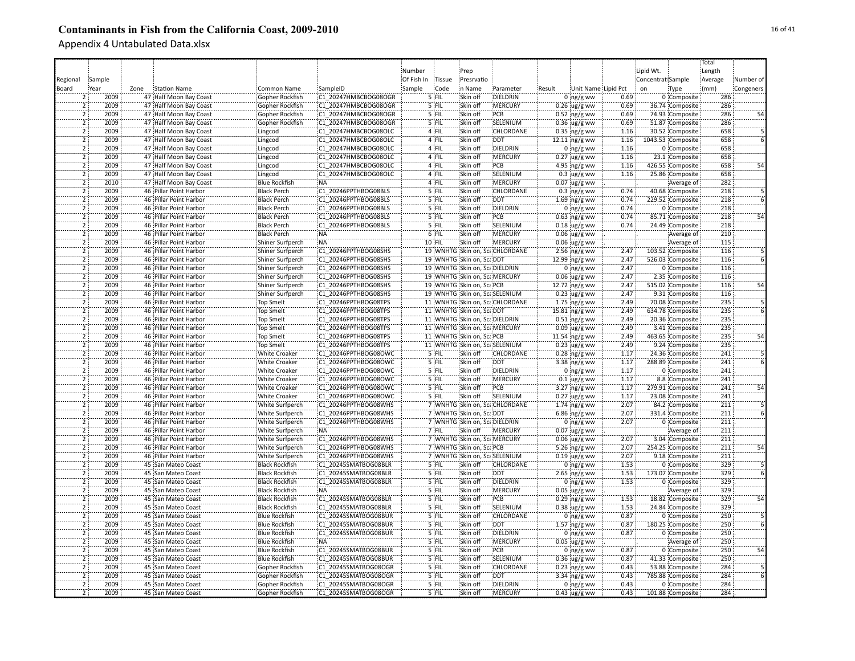|                |        |      |                        |                         |                      |            |         |                               |                                |        |                     |      |                   |                   | Total   |           |
|----------------|--------|------|------------------------|-------------------------|----------------------|------------|---------|-------------------------------|--------------------------------|--------|---------------------|------|-------------------|-------------------|---------|-----------|
|                |        |      |                        |                         |                      | Number     |         | Prep                          |                                |        |                     |      | Lipid Wt.         |                   | Length  |           |
| Regional       | Sample |      |                        |                         |                      | Of Fish In | Tissue  | Presrvatio                    |                                |        |                     |      | Concentrat Sample |                   | Average | Number of |
| Board          | Year   | Zone | Station Name           | Common Name             | SampleID             | Sample     | Code    | in Name                       | Parameter                      | Result | Unit Name Lipid Pct |      | on                | Type              | (mm)    | Congeners |
|                | 2009   |      | 47 Half Moon Bay Coast | Gopher Rockfish         | C1 20247HMBCBOG08OGR |            | 5 FIL   | Skin off                      | DIELDRIN                       |        | $0$ ng/g ww         | 0.69 |                   | 0 Composite       | 286     |           |
| $\overline{2}$ | 2009   |      | 47 Half Moon Bay Coast | Gopher Rockfish         | C1 20247HMBCBOG08OGR |            | 5 FIL   | Skin off                      | :MERCURY                       |        | $0.26$ ug/g ww      | 0.69 |                   | 36.74 Composite   | 286     |           |
| $\overline{2}$ | 2009   |      | 47 Half Moon Bay Coast | Gopher Rockfish         | C1 20247HMBCBOG08OGR |            | 5 FIL   | Skin off                      | PCB                            |        | $0.52$ ng/g ww      | 0.69 |                   | 74.93 Composite   | 286     |           |
| $\overline{2}$ | 2009   |      | 47 Half Moon Bay Coast | Gopher Rockfish         | C1 20247HMBCBOG08OGR |            | 5 FIL   | Skin off                      | SELENIUM                       |        | $0.36$ ug/g ww      | 0.69 |                   | 51.87 Composite   | 286     |           |
| $\overline{2}$ | 2009   |      |                        |                         | C1 20247HMBCBOG08OLC |            | 4 FIL   | Skin off                      | CHLORDANE                      |        |                     | 1.16 |                   |                   | 658     |           |
| $\overline{2}$ | 2009   |      | 47 Half Moon Bay Coast | Lingcod                 |                      |            | 4 FIL   | Skin off                      | <b>DDT</b>                     |        | $0.35$ ng/g ww      |      |                   | 30.52 Composite   | 658     |           |
| $\overline{2}$ |        |      | 47 Half Moon Bay Coast | Lingcod                 | C1 20247HMBCBOG08OLC |            |         |                               |                                |        | 12.11 ing/g ww      | 1.16 |                   | 1043.53 Composite | 658     |           |
|                | 2009   |      | 47 Half Moon Bay Coast | Lingcod                 | C1 20247HMBCBOG08OLC |            | 4 FIL   | Skin off                      | DIELDRIN                       |        | 0 $ng/g$ ww         | 1.16 |                   | 0 Composite       |         |           |
| $\overline{2}$ | 2009   |      | 47 Half Moon Bay Coast | Lingcod                 | C1 20247HMBCBOG08OLC |            | 4 FIL   | Skin off                      | <b>MERCURY</b>                 |        | $0.27$ ug/g ww      | 1.16 |                   | 23.1 Composite    | 658     |           |
| $\overline{2}$ | 2009   |      | 47 Half Moon Bay Coast | Lingcod                 | C1 20247HMBCBOG08OLC |            | 4 FIL   | Skin off                      | PCB                            |        | 4.95 $ng/g$ ww      | 1.16 |                   | 426.55 Composite  | 658     | 54        |
| $\overline{2}$ | 2009   |      | 47 Half Moon Bay Coast | Lingcod                 | C1 20247HMBCBOG08OLC |            | 4 FIL   | Skin off                      | SELENIUM                       |        | $0.3 \,$ ug/g ww    | 1.16 |                   | 25.86 Composite   | 658     |           |
| $\overline{2}$ | 2010   |      | 47 Half Moon Bay Coast | <b>Blue Rockfish</b>    | :NA                  |            | 4 FIL   | Skin off                      | <b>MERCURY</b>                 |        | $0.07$ ug/g ww      |      |                   | Average of        | 282     |           |
| $\overline{2}$ | 2009   |      | 46 Pillar Point Harbor | <b>Black Perch</b>      | C1 20246PPTHBOG08BLS |            | $5$ FIL | Skin off                      | <b>CHLORDANE</b>               |        | $0.3$ ing/g ww      | 0.74 |                   | 40.68 Composite   | 218     |           |
| $\overline{2}$ | 2009   |      | 46 Pillar Point Harbor | <b>Black Perch</b>      | C1 20246PPTHBOG08BLS |            | $5$ FIL | Skin off                      | <b>DDT</b>                     |        | 1.69 $ng/g$ ww      | 0.74 |                   | 229.52 Composite  | 218     |           |
| $\overline{2}$ | 2009   |      | 46 Pillar Point Harbor | <b>Black Perch</b>      | C1 20246PPTHBOG08BLS |            | 5 FIL   | Skin off                      | DIELDRIN                       |        | $0$ ing/g ww        | 0.74 |                   | 0 Composite       | 218     |           |
| 5              | 2009   |      | 46 Pillar Point Harbor | <b>Black Perch</b>      | C1 20246PPTHBOG08BLS |            | '5 FIL  | Skin off                      | PCB                            |        | $0.63$ ng/g ww      | 0.74 |                   | 85.71 Composite   | 218     | 54        |
| 2              | 2009   |      | 46 Pillar Point Harbor | <b>Black Perch</b>      | C1 20246PPTHBOG08BLS |            | '5 FIL  | Skin off                      | SELENIUM                       |        | $0.18$ ug/g ww      | 0.74 |                   | 24.49 Composite   | 218     |           |
| 2              | 2009   |      | 46 Pillar Point Harbor | <b>Black Perch</b>      | NÄ.                  |            | $6$ FIL | Skin off                      | MERCURY                        |        | $0.06$ ug/g ww      |      |                   | Average of        | 210     |           |
|                | 2009   |      | 46 Pillar Point Harbor | Shiner Surfperch        | .<br>NA              |            | 10 FIL  | Skin off                      | MERCURY                        |        | $0.06$ ug/g ww      |      |                   | Average of        | 115     |           |
| $\overline{2}$ | 2009   |      | 46 Pillar Point Harbor | Shiner Surfperch        | C1 20246PPTHBOG08SHS |            |         |                               | 19 WNHTG Skin on, ScaCHLORDANE |        | $2.56$ ing/g ww     | 2.47 |                   | 103.52 Composite  | 116     |           |
| 5              | 2009   |      | 46 Pillar Point Harbor | Shiner Surfperch        | C1 20246PPTHBOG08SHS |            |         | 19 WNHTG Skin on, ScaDDT      |                                |        | 12.99 ing/g ww      | 2.47 |                   | 526.03 Composite  | 116     |           |
| $\overline{2}$ | 2009   |      | 46 Pillar Point Harbor | Shiner Surfperch        | C1 20246PPTHBOG08SHS |            |         | 19 WNHTG Skin on, ScaDIELDRIN |                                |        | $0:ng/g$ ww         | 2.47 |                   | 0 Composite       | 116     |           |
| $\overline{2}$ | 2009   |      | 46 Pillar Point Harbor | <b>Shiner Surfperch</b> | C1 20246PPTHBOG08SHS |            |         |                               | 19 WNHTG Skin on, ScaMERCURY   |        | $0.06$ ug/g ww      | 2.47 |                   | 2.35 Composite    | 116     |           |
| $\overline{2}$ | 2009   |      | 46 Pillar Point Harbor | Shiner Surfperch        | C1 20246PPTHBOG08SHS |            |         | 19 WNHTG Skin on, ScaPCB      |                                |        | 12.72 ng/g ww       | 2.47 |                   | 515.02 Composite  | 116     | 54        |
| $\overline{2}$ | 2009   |      | 46 Pillar Point Harbor | Shiner Surfperch        | C1 20246PPTHBOG08SHS |            |         |                               | 19 WNHTG Skin on, ScaSELENIUM  |        | $0.23$ ug/g ww      | 2.47 |                   | 9.31 Composite    | 116     |           |
| $\overline{2}$ | 2009   |      | 46 Pillar Point Harbor | <b>Top Smelt</b>        | C1 20246PPTHBOG08TPS |            |         |                               | 11 WNHTG Skin on, ScaCHLORDANE |        | $1.75$ ng/g ww      | 2.49 |                   | 70.08 Composite   | 235     |           |
| $\overline{2}$ | 2009   |      | 46 Pillar Point Harbor | <b>Top Smelt</b>        | C1 20246PPTHBOG08TPS |            |         | 11 WNHTG Skin on, ScaDDT      |                                |        | 15.81 ng/g ww       | 2.49 |                   | 634.78 Composite  | 235     |           |
| $\overline{2}$ | 2009   |      | 46 Pillar Point Harbor | Top Smelt               | C1 20246PPTHBOG08TPS |            |         | 11 WNHTG Skin on, ScaDIELDRIN |                                |        | $0.51$ ng/g ww      | 2.49 |                   | 20.36 Composite   | 235     |           |
| 5              | 2009   |      | 46 Pillar Point Harbor |                         | C1 20246PPTHBOG08TPS |            |         |                               | 11 WNHTG Skin on, ScaMERCURY   |        |                     | 2.49 |                   | 3.41 Composite    | 235     |           |
| $\overline{2}$ | 2009   |      | 46 Pillar Point Harbor | <b>Top Smelt</b>        | C1 20246PPTHBOG08TPS |            |         | 11 WNHTG Skin on, ScaPCB      |                                |        | $0.09$ ug/g ww      | 2.49 |                   |                   | 235     |           |
| $\overline{2}$ | 2009   |      |                        | <b>Top Smelt</b>        | C1 20246PPTHBOG08TPS |            |         |                               |                                |        | 11.54 ng/g ww       | 2.49 |                   | 463.65 Composite  | 235     |           |
| ゔ              |        |      | 46 Pillar Point Harbor | <b>Top Smelt</b>        |                      |            |         |                               | 11 WNHTG Skin on, ScaSELENIUM  |        | $0.23$ ug/g ww      |      |                   | 9.24 Composite    |         |           |
|                | 2009   |      | 46 Pillar Point Harbor | <b>White Croaker</b>    | C1 20246PPTHBOG08OWC |            | 5 FIL   | Skin off                      | CHLORDANE                      |        | $0.28$ ing/g ww     | 1.17 |                   | 24.36 Composite   | 241     |           |
| $\overline{2}$ | 2009   |      | 46 Pillar Point Harbor | <b>White Croaker</b>    | C1 20246PPTHBOG08OWC |            | 5 FIL   | Skin off                      | <b>DDT</b>                     |        | 3.38 ng/g ww        | 1.17 |                   | 288.89 Composite  | 241     |           |
| $\overline{2}$ | 2009   |      | 46 Pillar Point Harbor | <b>White Croaker</b>    | C1 20246PPTHBOG08OWC |            | 5 FIL   | Skin off                      | <b>DIELDRIN</b>                |        | $0$ ing/g ww        | 1.17 |                   | 0 Composite       | 241     |           |
| $\overline{2}$ | 2009   |      | 46 Pillar Point Harbor | <b>White Croaker</b>    | C1 20246PPTHBOG08OWC |            | 5 FIL   | Skin off                      | <b>MERCURY</b>                 |        | $0.1$ ug/g ww       | 1.17 |                   | 8.8 Composite     | 241     |           |
| $\overline{2}$ | 2009   |      | 46 Pillar Point Harbor | <b>White Croaker</b>    | C1 20246PPTHBOG08OWC |            | 5 FIL   | Skin off                      | PCB                            |        | $3.27$ ng/g ww      | 1.17 |                   | 279.91 Composite  | 241     | 54        |
| $\overline{2}$ | 2009   |      | 46 Pillar Point Harbor | <b>White Croaker</b>    | C1 20246PPTHBOG08OWC |            | 5 FIL   | Skin off                      | SELENIUM                       |        | $0.27$ ug/g ww      | 1.17 |                   | 23.08 Composite   | 241     |           |
| $\overline{2}$ | 2009   |      | 46 Pillar Point Harbor | White Surfperch         | C1 20246PPTHBOG08WHS |            |         |                               | 7 WNHTG Skin on, Sca CHLORDANE |        | $1.74$ ng/g ww      | 2.07 |                   | 84.2 Composite    | 211     |           |
| $\overline{2}$ | 2009   |      | 46 Pillar Point Harbor | White Surfperch         | C1 20246PPTHBOG08WHS |            |         | 7 WNHTG Skin on, Sca DDT      |                                |        | $6.86$ ng/g ww      | 2.07 |                   | 331.4 Composite   | 211     |           |
| $\overline{2}$ | 2009   |      | 46 Pillar Point Harbor | White Surfperch         | C1 20246PPTHBOG08WHS |            |         | 7 WNHTG Skin on, Sca DIELDRIN |                                |        | $0:$ ng/g ww        | 2.07 |                   | 0 Composite       | 211     |           |
|                | 2009   |      | 46 Pillar Point Harbor | <b>White Surfperch</b>  | NA <sup>:</sup>      |            | 7 FIL   | Skin off                      | MERCURY                        |        | $0.07$ ug/g ww      |      |                   | Average of        | 211     |           |
| 2              | 2009   |      | 46 Pillar Point Harbor | White Surfperch         | C1 20246PPTHBOG08WHS |            |         |                               | 7 WNHTG Skin on, Sc. MERCURY   |        | $0.06$ ug/g ww      | 2.07 |                   | 3.04 Composite    | 211     |           |
| 5              | 2009   |      | 46 Pillar Point Harbor | White Surfperch         | C1 20246PPTHBOG08WHS |            |         | 7 WNHTG Skin on, ScaPCB       |                                |        | $5.26$ ng/g ww      | 2.07 |                   | 254.25 Composite  | 211     | 54        |
| $\overline{2}$ | 2009   |      | 46 Pillar Point Harbor | White Surfperch         | C1 20246PPTHBOG08WHS |            |         |                               | 7 WNHTG Skin on, ScaSELENIUM   |        | $0.19$ ug/g ww      | 2.07 |                   | 9.18 Composite    | 211     |           |
| $\overline{2}$ | 2009   |      | 45 San Mateo Coast     | <b>Black Rockfish</b>   | C1 20245SMATBOG08BLR |            | 5 FIL   | Skin off                      | CHLORDANE                      |        | $0$ ing/g ww        | 1.53 |                   | 0 Composite       | 329     |           |
| $\overline{2}$ | 2009   |      | 45 San Mateo Coast     | <b>Black Rockfish</b>   | C1 20245SMATBOG08BLR |            | 5 FIL   | Skin off                      | <b>DDT</b>                     |        | $2.65$ ing/g ww     | 1.53 |                   | 173.07 Composite  | 329     |           |
| $\overline{2}$ | 2009   |      | 45 San Mateo Coast     | <b>Black Rockfish</b>   | C1 20245SMATBOG08BLR |            | 5 FIL   | Skin off                      | DIELDRIN                       |        | $0:$ ng/g ww        | 1.53 |                   | 0 Composite       | 329     |           |
| $\overline{2}$ | 2009   |      | 45 San Mateo Coast     | <b>Black Rockfish</b>   | ¦NA                  |            | $5$ FIL | Skin off                      | <b>MERCURY</b>                 |        | $0.05$ ug/g ww      |      |                   | Average of        | 329     |           |
| $\overline{2}$ | 2009   |      | 45 San Mateo Coast     | <b>Black Rockfish</b>   | C1 20245SMATBOG08BLR |            | $5$ FIL | Skin off                      | PCB                            |        | $0.29$ ng/g ww      | 1.53 |                   | 18.82 Composite   | 329     | 54        |
| $\overline{2}$ | 2009   |      | 45 San Mateo Coast     | <b>Black Rockfish</b>   | C1 20245SMATBOG08BLR |            | 5 FIL   | Skin off                      | SELENIUM                       |        | $0.38$ ug/g ww      | 1.53 |                   | 24.84 Composite   | 329     |           |
| $\overline{2}$ | 2009   |      | 45 San Mateo Coast     | <b>Blue Rockfish</b>    | C1 20245SMATBOG08BUR |            | 5 FIL   | Skin off                      | <b>CHLORDANE</b>               |        | $0$ ing/g ww        | 0.87 |                   | 0 Composite       | 250     |           |
| $\overline{2}$ | 2009   |      | 45 San Mateo Coast     | <b>Blue Rockfish</b>    | C1 20245SMATBOG08BUR |            | $5$ FIL | Skin off                      | <b>DDT</b>                     |        | 1.57 ng/g ww        | 0.87 |                   | 180.25 Composite  | 250     |           |
| $\overline{2}$ | 2009   |      | 45 San Mateo Coast     | <b>Blue Rockfish</b>    | C1 20245SMATBOG08BUR |            | 5 FIL   | Skin off                      | <b>DIELDRIN</b>                |        | $0$ ing/g ww        | 0.87 |                   | 0 Composite       | 250     |           |
|                | 2009   |      | 45 San Mateo Coast     | <b>Blue Rockfish</b>    | <b>NA</b>            |            | 5 FIL   | Skin off                      | <b>MERCURY</b>                 |        | $0.05$ ug/g ww      |      |                   | Average of        | 250     |           |
| $\overline{2}$ | 2009   |      | 45 San Mateo Coast     | <b>Blue Rockfish</b>    | C1 20245SMATBOG08BUR |            | 5 FIL   | Skin off                      | PCB                            |        | 0 $ng/g$ ww         | 0.87 |                   | 0 Composite       | 250     |           |
| $\overline{2}$ | 2009   |      | 45 San Mateo Coast     | <b>Blue Rockfish</b>    | C1 20245SMATBOG08BUR |            | 5 FIL   | Skin off                      | SELENIUM                       |        |                     | 0.87 |                   | 41.33 Composite   | 250     |           |
| $\overline{2}$ | 2009   |      | 45 San Mateo Coast     | Gopher Rockfish         | C1 20245SMATBOG08OGR |            | 5 FIL   | Skin off                      | CHLORDANE                      |        | $0.36$ ug/g ww      | 0.43 |                   | 53.88 Composite   | 284     |           |
| $\overline{2}$ | 2009   |      |                        |                         |                      |            | 5 FIL   | Skin off                      | DDT                            |        | $0.23$ ng/g ww      | 0.43 |                   |                   | 284     |           |
|                |        |      | 45 San Mateo Coast     | Gopher Rockfish         | C1 20245SMATBOG08OGR |            |         |                               |                                |        | $3.34$ ng/g ww      |      |                   | 785.88 Composite  |         |           |
| $\overline{2}$ | 2009   |      | 45 San Mateo Coast     | Gopher Rockfish         | C1 20245SMATBOG08OGR |            | 5 FIL   | Skin off                      | <b>DIELDRIN</b>                |        | $0$ ing/g ww        | 0.43 |                   | 0 Composite       | 284     |           |
| $\mathcal{L}$  | 2009   |      | 45 San Mateo Coast     | Gopher Rockfish         | C1 20245SMATBOG08OGR |            | 5 FIL   | Skin off                      | <b>MERCURY</b>                 |        | $0.43$ ug/g ww      | 0.43 |                   | 101.88 Composite  | 284     |           |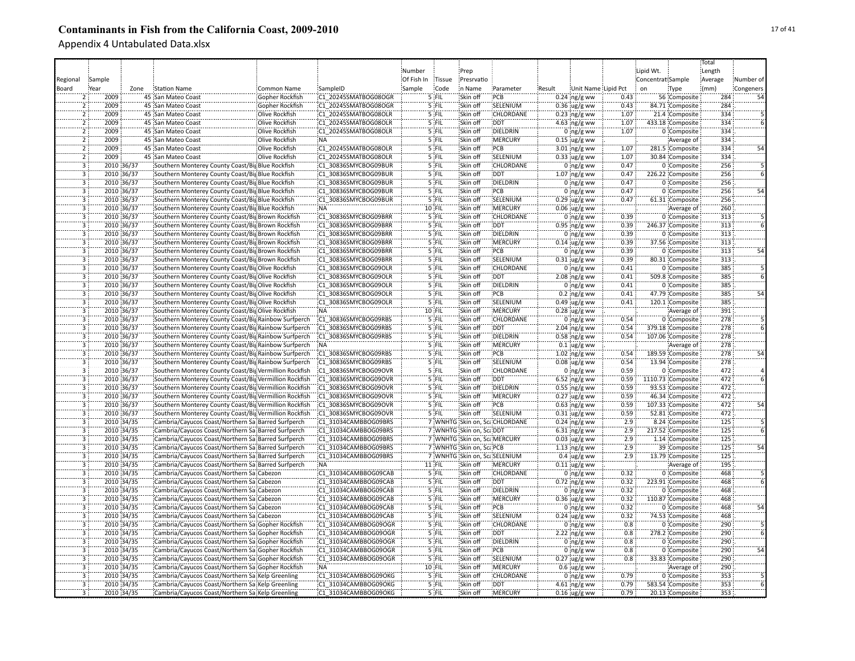|                |            |      |                                                        |                 |                      |            |               |                              |                               |        |                     |      |                   |                   | Total   |                 |
|----------------|------------|------|--------------------------------------------------------|-----------------|----------------------|------------|---------------|------------------------------|-------------------------------|--------|---------------------|------|-------------------|-------------------|---------|-----------------|
|                |            |      |                                                        |                 |                      | Number     |               | Prep                         |                               |        |                     |      | Lipid Wt.         |                   | Length  |                 |
|                | Sample     |      |                                                        |                 |                      | Of Fish In | <b>Tissue</b> | Presrvatio                   |                               |        |                     |      | Concentrat Sample |                   | Average | Number of       |
| Regional       |            |      |                                                        |                 |                      |            |               |                              |                               |        |                     |      |                   |                   |         |                 |
| Board          | Year       | Zone | <b>Station Name</b>                                    | Common Name     | SampleID             | Sample     | Code          | in Name                      | Parameter                     | Result | Unit Name Lipid Pct |      | on                | Type              | (mm)    | Congeners       |
|                | 2009       |      | 45 San Mateo Coast                                     | Gopher Rockfish | C1 20245SMATBOG08OGR |            | 5 FIL         | Skin off                     | PCB                           |        | $0.24$ ng/g ww      | 0.43 |                   | 56 Composite      | 284     | 54              |
|                | 2009       |      | 45 San Mateo Coast                                     | Gopher Rockfish | C1 20245SMATBOG08OGR |            | 5 FIL         | Skin off                     | SELENIUM                      |        | $0.36$ ug/g ww      | 0.43 |                   | 84.71 Composite   | 284     |                 |
| $\overline{2}$ | 2009       |      | 45 San Mateo Coast                                     | Olive Rockfish  | C1 20245SMATBOG08OLR |            | 5 FIL         | Skin off                     | CHLORDANE                     |        | $0.23$ ng/g ww      | 1.07 |                   | 21.4 Composite    | 334     |                 |
|                | 2009       |      | 45 San Mateo Coast                                     | Olive Rockfish  | C1 20245SMATBOG08OLR |            | 5 FIL         | Skin off                     | <b>DDT</b>                    |        | 4.63 $ng/g$ ww      | 1.07 |                   | 433.18 Composite  | 334     |                 |
| $\overline{2}$ | 2009       |      | 45 San Mateo Coast                                     | Olive Rockfish  | C1 20245SMATBOG08OLR |            | 5 FIL         | Skin off                     | DIELDRIN                      |        | $0$ ng/g ww         | 1.07 |                   | 0 Composite       | 334     |                 |
| $\overline{2}$ | 2009       |      | 45 San Mateo Coast                                     | Olive Rockfish  | NA:                  |            | 5 FIL         | Skin off                     | MERCURY                       |        | $0.15$ ug/g ww      |      |                   | Average of        | 334     |                 |
| $\overline{2}$ | 2009       |      | 45 San Mateo Coast                                     | Olive Rockfish  | C1 20245SMATBOG08OLR |            | 5 FIL         | Skin off                     | PCB                           |        | $3.01$ ng/g ww      | 1.07 |                   | 281.5 Composite   | 334     | 54              |
| $\overline{2}$ | 2009       |      | 45 San Mateo Coast                                     | Olive Rockfish  | C1 20245SMATBOG08OLR |            | 5 FIL         | Skin off                     | SELENIUM                      |        | $0.33$ ug/g ww      | 1.07 |                   | 30.84 Composite   | 334     |                 |
| $\overline{3}$ | 2010 36/37 |      | Southern Monterey County Coast/Big Blue Rockfish       |                 | C1 30836SMYCBOG09BUR |            | 5 FIL         | Skin off                     | CHLORDANE                     |        | $0$ ing/g ww        | 0.47 |                   | 0 Composite       | 256     |                 |
| $\overline{3}$ | 2010 36/37 |      | Southern Monterey County Coast/Big Blue Rockfish       |                 | C1 30836SMYCBOG09BUR |            | 5 FIL         | Skin off                     | <b>DDT</b>                    |        | 1.07 ng/g ww        | 0.47 |                   | 226.22 Composite  | 256     |                 |
| $\overline{3}$ | 2010 36/37 |      | Southern Monterey County Coast/Bis Blue Rockfish       |                 | C1 30836SMYCBOG09BUR |            | 5 FIL         | Skin off                     | DIELDRIN                      |        | $0$ ng/g ww         | 0.47 |                   | 0 Composite       | 256     |                 |
| $\overline{3}$ | 2010 36/37 |      | Southern Monterey County Coast/Big Blue Rockfish       |                 | C1 30836SMYCBOG09BUR |            | 5 FIL         | Skin off                     | PCB                           |        | $0$ ng/g ww         | 0.47 |                   | 0 Composite       | 256     | 54              |
| $\overline{3}$ | 2010 36/37 |      | Southern Monterey County Coast/Big Blue Rockfish       |                 | C1 30836SMYCBOG09BUR |            | $5$ FIL       | Skin off                     | SELENIUM                      |        | $0.29$ ug/g ww      | 0.47 |                   | 61.31 Composite   | 256     |                 |
| $\overline{3}$ | 2010 36/37 |      | Southern Monterey County Coast/Big Blue Rockfish       |                 | NA:                  |            | 10 FIL        | Skin off                     | <b>MERCURY</b>                |        | $0.06$ ug/g ww      |      |                   | Average of        | 260     |                 |
| ï              | 2010 36/37 |      | Southern Monterey County Coast/Big Brown Rockfish      |                 | C1 30836SMYCBOG09BRR |            | $5$ FIL       | Skin off                     | CHLORDANE                     |        | $0$ ng/g ww         | 0.39 |                   | 0 Composite       | 313     |                 |
| 3              | 2010 36/37 |      | Southern Monterey County Coast/Big Brown Rockfish      |                 | C1 30836SMYCBOG09BRR |            | `5`}FIL       | Skin off                     | <b>DDT</b>                    |        | $0.95$ ing/g ww     | 0.39 |                   | 246.37 Composite  | 313     |                 |
| 3              | 2010 36/37 |      |                                                        |                 | C1 30836SMYCBOG09BRR |            | '5 FIL        | Skin off                     | DIELDRIN                      |        |                     | 0.39 |                   | 0 Composite       | 313     |                 |
|                |            |      | Southern Monterey County Coast/Bij Brown Rockfish      |                 |                      |            |               |                              |                               |        | $0$ ng/g ww         |      |                   |                   |         |                 |
| $\overline{3}$ | 2010 36/37 |      | Southern Monterey County Coast/Bis Brown Rockfish      |                 | C1 30836SMYCBOG09BRR |            | 5 FIL         | Skin off                     | MERCURY                       |        | $0.14$ ug/g ww      | 0.39 |                   | 37.56 Composite   | 313     |                 |
|                | 2010 36/37 |      | Southern Monterey County Coast/Bis Brown Rockfish      |                 | C1 30836SMYCBOG09BRR |            | 5 FIL         | Skin off                     | PCB                           |        | $0$ ng/g ww         | 0.39 |                   | 0 Composite       | 313     | $\overline{54}$ |
| $\overline{3}$ | 2010 36/37 |      | Southern Monterey County Coast/Big Brown Rockfish      |                 | C1 30836SMYCBOG09BRR |            | 5 FIL         | Skin off                     | SELENIUM                      |        | $0.31$ ug/g ww      | 0.39 |                   | 80.31 Composite   | 313     |                 |
| $\overline{3}$ | 2010 36/37 |      | Southern Monterey County Coast/Big Olive Rockfish      |                 | C1 30836SMYCBOG09OLR |            | $5$ FIL       | Skin off                     | <b>CHLORDANE</b>              |        | $0$ ng/g ww         | 0.41 |                   | 0 Composite       | 385     |                 |
| $\overline{3}$ | 2010 36/37 |      | Southern Monterey County Coast/Big Olive Rockfish      |                 | C1 30836SMYCBOG09OLR |            | 5 FIL         | Skin off                     | <b>DDT</b>                    |        | $2.08$ ng/g ww      | 0.41 |                   | 509.8 Composite   | 385     |                 |
| $\overline{3}$ | 2010 36/37 |      | Southern Monterey County Coast/Big Olive Rockfish      |                 | C1 30836SMYCBOG09OLR |            | 5 FIL         | Skin off                     | <b>DIELDRIN</b>               |        | $0$ ng/g ww         | 0.41 |                   | 0 Composite       | 385     |                 |
| $\overline{3}$ | 2010 36/37 |      | Southern Monterey County Coast/Big Olive Rockfish      |                 | C1 30836SMYCBOG09OLR |            | 5 FIL         | Skin off                     | PCB                           |        | $0.2 \ln g/g$ ww    | 0.41 |                   | 47.79 Composite   | 385     | 54              |
| $\overline{3}$ | 2010 36/37 |      | Southern Monterey County Coast/BigOlive Rockfish       |                 | C1 30836SMYCBOG09OLR |            | 5 FIL         | Skin off                     | SELENIUM                      |        | $0.49$ ug/g ww      | 0.41 |                   | 120.1 Composite   | 385     |                 |
| $\overline{3}$ | 2010 36/37 |      | Southern Monterey County Coast/Big Olive Rockfish      |                 | NA:                  |            | 10 FIL        | Skin off                     | :MERCURY                      |        | $0.28$ ug/g ww      |      |                   | Average of        | 391     |                 |
| $\overline{3}$ | 2010 36/37 |      | Southern Monterey County Coast/Big Rainbow Surfperch   |                 | C1 30836SMYCBOG09RBS |            | 5 FIL         | Skin off                     | CHLORDANE                     |        | $0$ ng/g ww         | 0.54 |                   | 0 Composite       | 278     |                 |
| 3              | 2010 36/37 |      | Southern Monterey County Coast/Bit Rainbow Surfperch   |                 | C1 30836SMYCBOG09RBS |            | 5 FIL         | Skin off                     | <b>DDT</b>                    |        | 2.04 $ng/g$ ww      | 0.54 |                   | 379.18 Composite  | 278     |                 |
| 3              | 2010 36/37 |      | Southern Monterey County Coast/Big Rainbow Surfperch   |                 | C1 30836SMYCBOG09RBS |            | 5 FIL         | Skin off                     | DIELDRIN                      |        | $0.58$ ng/g ww      | 0.54 |                   | 107.06 Composite  | 278     |                 |
|                | 2010 36/37 |      | Southern Monterey County Coast/Bis Rainbow Surfperch   |                 | <b>NA</b>            |            | 5 FIL         | Skin off                     | MERCURY                       |        | $0.1$ ug/g ww       |      |                   | Average of        | 278     |                 |
| $\dddot{3}$    | 2010 36/37 |      | Southern Monterey County Coast/Big Rainbow Surfperch   |                 | C1 30836SMYCBOG09RBS |            | 5 FIL         | Skin off                     | PCB                           |        | $1.02$ ng/g ww      | 0.54 |                   | 189.59 Composite  | 278     | 54              |
| $\overline{3}$ | 2010 36/37 |      | Southern Monterey County Coast/Big Rainbow Surfperch   |                 | C1 30836SMYCBOG09RBS |            | 5 FIL         | Skin off                     | SELENIUM                      |        | $0.08$ ug/g ww      | 0.54 |                   | 13.94 Composite   | 278     |                 |
| $\overline{3}$ | 2010 36/37 |      | Southern Monterey County Coast/BigVermillion Rockfish  |                 | C1 30836SMYCBOG09OVR |            | 5 FIL         | Skin off                     | CHLORDANE                     |        | $0$ ng/g ww         | 0.59 |                   | 0 Composite       | 472     |                 |
| $\overline{3}$ | 2010 36/37 |      | Southern Monterey County Coast/Bir Vermillion Rockfish |                 | C1 30836SMYCBOG09OVR |            | 5 FIL         | Skin off                     | <b>DDT</b>                    |        | $6.52$ ng/g ww      | 0.59 |                   | 1110.73 Composite | 472     |                 |
| 3              | 2010 36/37 |      | Southern Monterey County Coast/Bis Vermillion Rockfish |                 | C1 30836SMYCBOG09OVR |            | 5 FIL         | Skin off                     | DIELDRIN                      |        | $0.55$ ng/g ww      | 0.59 |                   | 93.53 Composite   | 472     |                 |
| $\overline{3}$ | 2010 36/37 |      |                                                        |                 |                      |            | 5 FIL         | Skin off                     | <b>MERCURY</b>                |        |                     | 0.59 |                   |                   | 472     |                 |
|                |            |      | Southern Monterey County Coast/Big Vermillion Rockfish |                 | C1 30836SMYCBOG09OVR |            |               |                              |                               |        | $0.27$ ug/g ww      |      |                   | 46.34 Composite   |         |                 |
| $\overline{3}$ | 2010 36/37 |      | Southern Monterey County Coast/Big Vermillion Rockfish |                 | C1 30836SMYCBOG09OVR |            | 5 FIL         | Skin off                     | PCB                           |        | $0.63$ ing/g ww     | 0.59 |                   | 107.33 Composite  | 472     | 54              |
| $\overline{3}$ | 2010 36/37 |      | Southern Monterey County Coast/Big Vermillion Rockfish |                 | C1 30836SMYCBOG09OVR |            | 5 FIL         | Skin off                     | SELENIUM                      |        | $0.31$ ug/g ww      | 0.59 |                   | 52.81 Composite   | 472     |                 |
| Ï3             | 2010 34/35 |      | Cambria/Cayucos Coast/Northern Sa Barred Surfperch     |                 | C1 31034CAMBBOG09BRS |            |               |                              | 7 WNHTG Skin on, ScaCHLORDANE |        | $0.24$ ing/g ww     | 2.9  |                   | 8.24 Composite    | 125     |                 |
| 3              | 2010 34/35 |      | Cambria/Cayucos Coast/Northern Sa Barred Surfperch     |                 | C1 31034CAMBBOG09BRS |            |               | 7 WNHTG Skin on, ScalDDT     |                               |        | $6.31$ ng/g ww      | 2.9  |                   | 217.52 Composite  | 125     |                 |
|                | 2010 34/35 |      | Cambria/Cayucos Coast/Northern Sa Barred Surfperch     |                 | C1 31034CAMBBOG09BRS |            |               | 7 WNHTG Skin on, Sca MERCURY |                               |        | $0.03$ ug/g ww      | 2.9  |                   | 1.14 Composite    | 125     |                 |
| 3              | 2010 34/35 |      | Cambria/Cayucos Coast/Northern Sa Barred Surfperch     |                 | C1 31034CAMBBOG09BRS |            |               | 7 WNHTG Skin on, ScaPCB      |                               |        | $1.13$ ng/g ww      | 2.9  |                   | 39 Composite      | 125     | $\overline{54}$ |
| $\overline{3}$ | 2010 34/35 |      | Cambria/Cayucos Coast/Northern Sa Barred Surfperch     |                 | C1 31034CAMBBOG09BRS |            |               |                              | 7 WNHTG Skin on, ScaSELENIUM  |        | $0.4 \,$ ug/g ww    | 2.9  |                   | 13.79 Composite   | 125     |                 |
| 3              | 2010 34/35 |      | Cambria/Cayucos Coast/Northern Sa Barred Surfperch     |                 | NA.                  |            | 11 FIL        | Skin off                     | MERCURY                       |        | $0.11$ ug/g ww      |      |                   | Average of        | 195     |                 |
| $\overline{3}$ | 2010 34/35 |      | Cambria/Cayucos Coast/Northern Sa Cabezon              |                 | C1 31034CAMBBOG09CAB |            | 5 FIL         | Skin off                     | CHLORDANE                     |        | $0$ ng/g ww         | 0.32 |                   | 0 Composite       | 468     |                 |
| $\overline{3}$ | 2010 34/35 |      | Cambria/Cayucos Coast/Northern Sa Cabezon              |                 | C1 31034CAMBBOG09CAB |            | 5 FIL         | Skin off                     | <b>DDT</b>                    |        | $0.72$ ng/g ww      | 0.32 |                   | 223.91 Composite  | 468     |                 |
| $\overline{3}$ | 2010 34/35 |      | Cambria/Cayucos Coast/Northern Sa Cabezon              |                 | C1 31034CAMBBOG09CAB |            | 5 FIL         | Skin off                     | <b>DIELDRIN</b>               |        | $0$ ing/g ww        | 0.32 |                   | 0 Composite       | 468     |                 |
| $\overline{3}$ | 2010 34/35 |      | Cambria/Cayucos Coast/Northern Sa Cabezon              |                 | C1 31034CAMBBOG09CAB |            | 5 FIL         | Skin off                     | <b>MERCURY</b>                |        | $0.36$ ug/g ww      | 0.32 |                   | 110.87 Composite  | 468     |                 |
| $\overline{3}$ | 2010 34/35 |      | Cambria/Cayucos Coast/Northern Sa Cabezon              |                 | C1 31034CAMBBOG09CAB |            | 5 FIL         | Skin off                     | PCB                           |        | 0 $ng/g$ ww         | 0.32 |                   | 0 Composite       | 468     | 54              |
| $\overline{3}$ | 2010 34/35 |      | Cambria/Cayucos Coast/Northern Sa Cabezon              |                 | C1 31034CAMBBOG09CAB |            | 5 FIL         | Skin off                     | SELENIUM                      |        | $0.24$ ug/g ww      | 0.32 |                   | 74.53 Composite   | 468     |                 |
| $\overline{3}$ | 2010 34/35 |      | Cambria/Cayucos Coast/Northern Sa Gopher Rockfish      |                 | C1 31034CAMBBOG09OGR |            | 5 FIL         | Skin off                     | CHLORDANE                     |        | $0$ ng/g ww         | 0.8  |                   | 0 Composite       | 290     |                 |
| 3              | 2010 34/35 |      | Cambria/Cayucos Coast/Northern Sa Gopher Rockfish      |                 | C1 31034CAMBBOG09OGR |            | 5 FIL         | Skin off                     | <b>DDT</b>                    |        | $2.22$ ng/g ww      | 0.8  |                   | 278.2 Composite   | 290     |                 |
| $\overline{3}$ | 2010 34/35 |      | Cambria/Cayucos Coast/Northern Sa Gopher Rockfish      |                 | C1 31034CAMBBOG09OGR |            | 5 FIL         | Skin off                     | DIELDRIN                      |        | $0$ ng/g ww         | 0.8  |                   | 0 Composite       | 290     |                 |
| 3              | 2010 34/35 |      | Cambria/Cayucos Coast/Northern Sa Gopher Rockfish      |                 | C1 31034CAMBBOG09OGR |            | 5 FIL         | Skin off                     | PCB                           |        | $0$ ing/g ww        | 0.8  |                   | 0 Composite       | 290     | 54              |
| $\ddot{3}$     | 2010 34/35 |      | Cambria/Cayucos Coast/Northern Sa Gopher Rockfish      |                 | C1 31034CAMBBOG09OGR |            | 5 FIL         | Skin off                     | SELENIUM                      |        | $0.27$ ug/g ww      | 0.8  |                   | 33.83 Composite   | 290     |                 |
| 3              | 2010 34/35 |      |                                                        |                 | <b>NA</b>            |            | 10 FIL        | Skin off                     | <b>MERCURY</b>                |        |                     |      |                   |                   | 290     |                 |
| $\overline{3}$ |            |      | Cambria/Cayucos Coast/Northern Sa Gopher Rockfish      |                 |                      |            | 5 FIL         |                              | <b>CHLORDANE</b>              |        | $0.6 \, \mu g/g$ ww | 0.79 |                   | Average of        |         |                 |
|                | 2010 34/35 |      | Cambria/Cayucos Coast/Northern Sa Kelp Greenling       |                 | C1 31034CAMBBOG09OKG |            |               | Skin off                     |                               |        | $0$ ing/g ww        |      |                   | 0 Composite       | 353     |                 |
| $\overline{3}$ | 2010 34/35 |      | Cambria/Cayucos Coast/Northern Sa Kelp Greenling       |                 | C1 31034CAMBBOG09OKG |            | 5 FIL         | Skin off                     | <b>DDT</b>                    |        | 4.61 ng/g ww        | 0.79 |                   | 583.54 Composite  | 353     |                 |
| $\overline{3}$ | 2010 34/35 |      | Cambria/Cayucos Coast/Northern Sa Kelp Greenling       |                 | C1 31034CAMBBOG09OKG |            | 5 FIL         | Skin off                     | <b>MERCURY</b>                |        | $0.16$ ug/g ww      | 0.79 |                   | 20.13 Composite   | 353     |                 |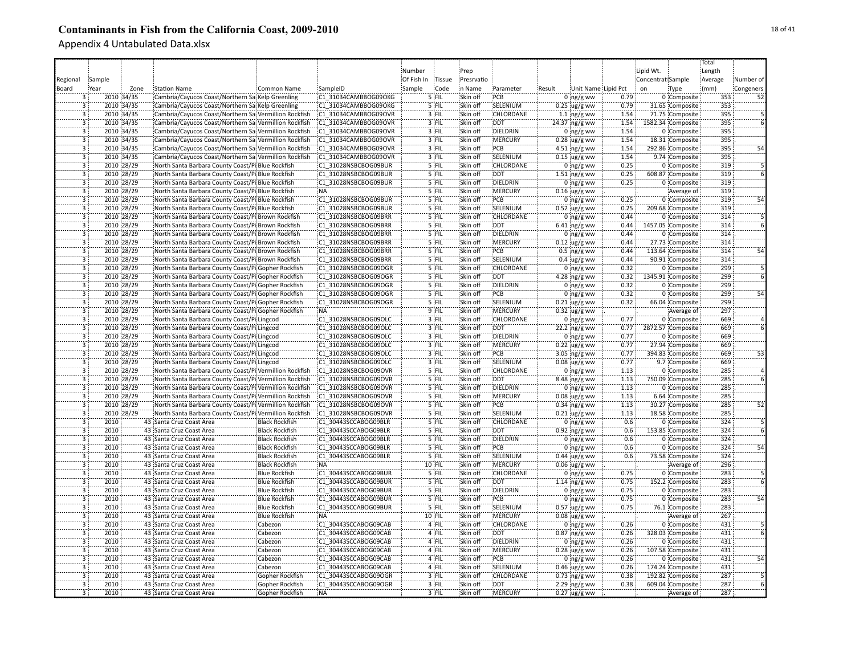|                           |        |            |                                                         |                       |                      |            |         |            |                  |        |                     |      |                   |                   | Total   |                 |
|---------------------------|--------|------------|---------------------------------------------------------|-----------------------|----------------------|------------|---------|------------|------------------|--------|---------------------|------|-------------------|-------------------|---------|-----------------|
|                           |        |            |                                                         |                       |                      | Number     |         | Prep       |                  |        |                     |      | Lipid Wt.         |                   | Length  |                 |
| Regional                  | Sample |            |                                                         |                       |                      | Of Fish In | Tissue  | Presrvatio |                  |        |                     |      | Concentrat Sample |                   | Average | Number of       |
| Board                     | Year   | Zone       | <b>Station Name</b>                                     | <b>Common Name</b>    | SampleID             | Sample     | Code    | n Name     | Parameter        | Result | Unit Name Lipid Pct |      | on                | Type              | (mm)    | Congeners       |
|                           |        | 2010 34/35 | Cambria/Cayucos Coast/Northern Sa Kelp Greenling        |                       | C1 31034CAMBBOG09OKG |            | 5 FIL   | Skin off   | PCB              |        | $0 \log/g$ ww       | 0.79 |                   | 0 Composite       | 353     | 52              |
| $\overline{3}$            |        | 2010 34/35 | Cambria/Cayucos Coast/Northern Sa Kelp Greenling        |                       | C1 31034CAMBBOG09OKG |            | 5 FIL   | Skin off   | SELENIUM         |        | $0.25$ ug/g ww      | 0.79 |                   | 31.65 Composite   | 353     |                 |
| $\overline{3}$            |        | 2010 34/35 | Cambria/Cayucos Coast/Northern Sa Vermillion Rockfish   |                       | C1 31034CAMBBOG09OVR |            | 3 FIL   | Skin off   | CHLORDANE        |        | 1.1 $\log/g$ ww     | 1.54 |                   | 71.75 Composite   | 395     |                 |
| 3                         |        | 2010 34/35 | Cambria/Cayucos Coast/Northern Sa Vermillion Rockfish   |                       | C1 31034CAMBBOG09OVR |            | 3 FIL   | Skin off   | <b>DDT</b>       |        | 24.37 ng/g ww       | 1.54 |                   | 1582.34 Composite | 395     |                 |
| 3                         |        | 2010 34/35 | Cambria/Cayucos Coast/Northern Sa Vermillion Rockfish   |                       | C1 31034CAMBBOG09OVR |            | 3 FIL   | Skin off   | DIELDRIN         |        | $0$ ing/g ww        | 1.54 |                   | 0 Composite       | 395     |                 |
| 3                         |        | 2010 34/35 | Cambria/Cayucos Coast/Northern Sa Vermillion Rockfish   |                       | C1 31034CAMBBOG09OVR |            | 3 FIL   | Skin off   | MERCURY          |        | $0.28 \,$ ug/g ww   | 1.54 |                   | 18.31 Composite   | 395     |                 |
| 3                         |        | 2010 34/35 | Cambria/Cayucos Coast/Northern Sa Vermillion Rockfish   |                       | C1 31034CAMBBOG09OVR |            | 3 FIL   | Skin off   | PCB              |        | 4.51 $ng/g$ ww      | 1.54 |                   | 292.86 Composite  | 395     | 54              |
| 3                         |        | 2010 34/35 | Cambria/Cayucos Coast/Northern Sa Vermillion Rockfish   |                       | C1 31034CAMBBOG09OVR |            | 3 FIL   | Skin off   | SELENIUM         |        | $0.15$ ug/g ww      | 1.54 |                   | 9.74 Composite    | 395     |                 |
| $\overline{3}$            |        | 2010 28/29 | North Santa Barbara County Coast/Pi Blue Rockfish       |                       | C1 31028NSBCBOG09BUR |            | 5 FIL   | Skin off   | CHLORDANE        |        | $0$ ng/g ww         | 0.25 |                   | 0 Composite       | 319     |                 |
| $\overline{3}$            |        | 2010 28/29 | North Santa Barbara County Coast/Pi Blue Rockfish       |                       | C1 31028NSBCBOG09BUR |            | 5 FIL   | Skin off   | <b>DDT</b>       |        | $1.51$ ng/g ww      | 0.25 |                   | 608.87 Composite  | 319     |                 |
| $\overline{3}$            |        | 2010 28/29 | North Santa Barbara County Coast/Pi Blue Rockfish       |                       | C1 31028NSBCBOG09BUR |            | 5 FIL   | Skin off   | DIELDRIN         |        | $0 \log/g$ ww       | 0.25 |                   | 0 Composite       | 319     |                 |
| $\overline{3}$            |        | 2010 28/29 | North Santa Barbara County Coast/Pi Blue Rockfish       |                       | :NA                  |            | 5 FIL   | Skin off   | <b>MERCURY</b>   |        | $0.16$ ug/g ww      |      |                   | Average of        | 319     |                 |
| $\overline{3}$            |        | 2010 28/29 | North Santa Barbara County Coast/Pi Blue Rockfish       |                       | C1 31028NSBCBOG09BUR |            | $5$ FIL | Skin off   | PCB              |        | $0$ ng/g ww         | 0.25 |                   | 0 Composite       | 319     | 54              |
| $\overline{3}$            |        | 2010 28/29 | North Santa Barbara County Coast/Pi Blue Rockfish       |                       | C1 31028NSBCBOG09BUR |            | 5 FIL   | Skin off   | SELENIUM         |        | $0.52 \,$ ug/g ww   | 0.25 |                   | 209.68 Composite  | 319     |                 |
| 3                         |        | 2010 28/29 | North Santa Barbara County Coast/Pi Brown Rockfish      |                       | C1 31028NSBCBOG09BRR |            | '5 FIL  | Skin off   | CHLORDANE        |        | $0$ ng/g ww         | 0.44 |                   | 0 Composite       | 314     |                 |
| Ë                         |        | 2010 28/29 | North Santa Barbara County Coast/Pi Brown Rockfish      |                       | C1 31028NSBCBOG09BRR |            | `5`}FIL | Skin off   | <b>DDT</b>       |        | 6.41 ng/g ww        | 0.44 |                   | 1457.05 Composite | 314     |                 |
| $\overline{\mathbf{3}}$   |        | 2010 28/29 | North Santa Barbara County Coast/Pi Brown Rockfish      |                       | C1 31028NSBCBOG09BRR |            | 5 FIL   | Skin off   | DIELDRIN         |        | $0 \log/g$ ww       | 0.44 |                   | 0 Composite       | 314     |                 |
| 3                         |        | 2010 28/29 | North Santa Barbara County Coast/Pi Brown Rockfish      |                       | C1 31028NSBCBOG09BRR |            | 5 FIL   | Skin off   | MERCURY          |        | $0.12$ ug/g ww      | 0.44 |                   | 27.73 Composite   | 314     |                 |
| $\overline{3}$            |        | 2010 28/29 | North Santa Barbara County Coast/Pi Brown Rockfish      |                       | C1 31028NSBCBOG09BRR |            | 5 FIL   | Skin off   | PCB              |        | $0.5$ ing/g ww      | 0.44 |                   | 113.64 Composite  | 314     | 54              |
| $\overline{3}$            |        | 2010 28/29 | North Santa Barbara County Coast/Pi Brown Rockfish      |                       | C1 31028NSBCBOG09BRR |            | 5 FIL   | Skin off   | SELENIUM         |        | $0.4 \,$ ug/g ww    | 0.44 |                   | 90.91 Composite   | 314     |                 |
| $\overline{3}$            |        | 2010 28/29 | North Santa Barbara County Coast/Pi Gopher Rockfish     |                       | C1 31028NSBCBOG09OGR |            | 5 FIL   | Skin off   | <b>CHLORDANE</b> |        | $0:ng/g$ ww         | 0.32 |                   | 0 Composite       | 299     |                 |
| $\overline{3}$            |        | 2010 28/29 | North Santa Barbara County Coast/Pi Gopher Rockfish     |                       | C1 31028NSBCBOG09OGR |            | 5 FIL   | Skin off   | <b>DDT</b>       |        | 4.28 $ng/g$ ww      | 0.32 |                   | 1345.91 Composite | 299     |                 |
| $\overline{3}$            |        | 2010 28/29 | North Santa Barbara County Coast/Pi Gopher Rockfish     |                       | C1 31028NSBCBOG09OGR |            | $5$ FIL | Skin off   | <b>DIELDRIN</b>  |        | $0$ ng/g ww         | 0.32 |                   | 0 Composite       | 299     |                 |
| $\overline{3}$            |        | 2010 28/29 | North Santa Barbara County Coast/Pi Gopher Rockfish     |                       | C1 31028NSBCBOG09OGR |            | 5 FIL   | Skin off   | PCB              |        | $0$ ng/g ww         | 0.32 |                   | 0 Composite       | 299     | 54              |
| $\overline{3}$            |        | 2010 28/29 | North Santa Barbara County Coast/PilGopher Rockfish     |                       | C1 31028NSBCBOG09OGR |            | 5 FIL   | Skin off   | SELENIUM         |        | $0.21 \,$ ug/g ww   | 0.32 |                   | 66.04 Composite   | 299     |                 |
| $\overline{3}$            |        | 2010 28/29 | North Santa Barbara County Coast/Pi Gopher Rockfish     |                       | NA:                  |            | 9 FIL   | Skin off   | MERCURY          |        | $0.32 \,$ ug/g ww   |      |                   | Average of        | 297     |                 |
| 3                         |        | 2010 28/29 | North Santa Barbara County Coast/Pi Lingcod             |                       | C1 31028NSBCBOG09OLC |            | 3 FIL   | Skin off   | CHLORDANE        |        | $0$ ng/g ww         | 0.77 |                   | 0 Composite       | 669     |                 |
| 3                         |        | 2010 28/29 | North Santa Barbara County Coast/Pi Lingcod             |                       | C1 31028NSBCBOG09OLC |            | 3 FIL   | Skin off   | <b>DDT</b>       |        | 22.2 ng/g ww        | 0.77 |                   | 2872.57 Composite | 669     |                 |
| $\overline{3}$            |        | 2010 28/29 | North Santa Barbara County Coast/PilLingcod             |                       | C1 31028NSBCBOG09OLC |            | 3 FIL   | Skin off   | DIELDRIN         |        | 0 $ng/g$ ww         | 0.77 |                   | 0 Composite       | 669     |                 |
| 3                         |        | 2010 28/29 | North Santa Barbara County Coast/Pi Lingcod             |                       | C1 31028NSBCBOG09OLC |            | 3 FIL   | Skin off   | MERCURY          |        | $0.22 \,$ ug/g ww   | 0.77 |                   | 27.94 Composite   | 669     |                 |
| 3                         |        | 2010 28/29 | North Santa Barbara County Coast/Pi Lingcod             |                       | C1 31028NSBCBOG09OLC |            | 3 FIL   | Skin off   | PCB              |        | 3.05 ng/g ww        | 0.77 |                   | 394.83 Composite  | 669     | 53              |
| 3                         |        | 2010 28/29 | North Santa Barbara County Coast/Pi Lingcod             |                       | C1 31028NSBCBOG09OLC |            | 3 FIL   | Skin off   | SELENIUM         |        | $0.08$ ug/g ww      | 0.77 |                   | 9.7 Composite     | 669     |                 |
| $\overline{\mathbf{3}}$   |        | 2010 28/29 | North Santa Barbara County Coast/Pi/Vermillion Rockfish |                       | C1 31028NSBCBOG09OVR |            | 5 FIL   | Skin off   | <b>CHLORDANE</b> |        | $0$ ng/g ww         | 1.13 |                   | 0 Composite       | 285     |                 |
| $\overline{3}$            |        | 2010 28/29 | North Santa Barbara County Coast/Pi Vermillion Rockfish |                       | C1 31028NSBCBOG09OVR |            | 5 FIL   | Skin off   | DDT              |        | 8.48 ng/g ww        | 1.13 |                   | 750.09 Composite  | 285     |                 |
| 3                         |        | 2010 28/29 | North Santa Barbara County Coast/Pi Vermillion Rockfish |                       | C1 31028NSBCBOG09OVR |            | 5 FIL   | Skin off   | DIELDRIN         |        | $0$ ing/g ww        | 1.13 |                   | 0 Composite       | 285     |                 |
| $\overline{3}$            |        | 2010 28/29 | North Santa Barbara County Coast/Pi Vermillion Rockfish |                       | C1 31028NSBCBOG09OVR |            | 5 FIL   | Skin off   | <b>MERCURY</b>   |        | $0.08$ ug/g ww      | 1.13 |                   | 6.64 Composite    | 285     |                 |
| $\overline{3}$            |        | 2010 28/29 | North Santa Barbara County Coast/Pi Vermillion Rockfish |                       | C1 31028NSBCBOG09OVR |            | 5 FIL   | Skin off   | PCB              |        | $0.34$ ing/g ww     | 1.13 |                   | 30.27 Composite   | 285     | 52              |
| $\overline{\overline{3}}$ |        | 2010 28/29 | North Santa Barbara County Coast/Pi Vermillion Rockfish |                       | C1 31028NSBCBOG09OVR |            | $5$ FIL | Skin off   | SELENIUM         |        | $0.21$ ug/g ww      | 1.13 |                   | 18.58 Composite   | 285     |                 |
| $\overline{3}$            | 2010   |            | 43 Santa Cruz Coast Area                                | <b>Black Rockfish</b> | C1 30443SCCABOG09BLR |            | 5 FIL   | Skin off   | CHLORDANE        |        | $0$ ng/g ww         | 0.6  |                   | 0 Composite       | 324     |                 |
| ä                         | 2010   |            | 43 Santa Cruz Coast Area                                | <b>Black Rockfish</b> | C1 30443SCCABOG09BLR |            | 5 FIL   | Skin off   | <b>DDT</b>       |        | $0.92$ ng/g ww      | 0.6  |                   | 153.85 Composite  | 324     |                 |
| -3                        | 2010   |            | 43 Santa Cruz Coast Area                                | <b>Black Rockfish</b> | C1 30443SCCABOG09BLR |            | '5 FIL  | Skin off   | DIELDRIN         |        | $0$ ng/g ww         | 0.6  |                   | 0 Composite       | 324     |                 |
| 3                         | 2010   |            | 43 Santa Cruz Coast Area                                | <b>Black Rockfish</b> | C1 30443SCCABOG09BLR |            | '5 FIL  | Skin off   | PCB              |        | $0:$ ng/g ww        | 0.6  |                   | 0 Composite       | 324     | $\overline{54}$ |
| 3                         | 2010   |            | 43 Santa Cruz Coast Area                                | <b>Black Rockfish</b> | C1 30443SCCABOG09BLR |            | 5 FIL   | Skin off   | SELENIUM         |        | $0.44$ ug/g ww      | 0.6  |                   | 73.58 Composite   | 324     |                 |
| 3                         | 2010   |            | 43 Santa Cruz Coast Area                                | <b>Black Rockfish</b> | NA:                  |            | 10 FIL  | Skin off   | MERCURY          |        | $0.06$ ug/g ww      |      |                   | Average of        | 296     |                 |
| $\overline{3}$            | 2010   |            | 43 Santa Cruz Coast Area                                | <b>Blue Rockfish</b>  | C1 30443SCCABOG09BUR |            | 5 FIL   | Skin off   | CHLORDANE        |        | $0$ ing/g ww        | 0.75 |                   | 0 Composite       | 283     |                 |
| $\overline{3}$            | 2010   |            | 43 Santa Cruz Coast Area                                | <b>Blue Rockfish</b>  | C1 30443SCCABOG09BUR |            | 5 FIL   | Skin off   | <b>DDT</b>       |        | $1.14$ ng/g ww      | 0.75 |                   | 152.2 Composite   | 283     |                 |
| $\overline{3}$            | 2010   |            | 43 Santa Cruz Coast Area                                | <b>Blue Rockfish</b>  | C1 30443SCCABOG09BUR |            | 5 FIL   | Skin off   | <b>DIELDRIN</b>  |        | $0$ ing/g ww        | 0.75 |                   | 0 Composite       | 283     |                 |
| $\overline{3}$            | 2010   |            | 43 Santa Cruz Coast Area                                | <b>Blue Rockfish</b>  | C1 30443SCCABOG09BUR |            | 5 FIL   | Skin off   | PCB              |        | $0$ ng/g ww         | 0.75 |                   | 0 Composite       | 283     | 54              |
| $\overline{3}$            | 2010   |            | 43 Santa Cruz Coast Area                                | <b>Blue Rockfish</b>  | C1 30443SCCABOG09BUR |            | $5$ FIL | Skin off   | SELENIUM         |        | $0.57$ ug/g ww      | 0.75 |                   | 76.1 Composite    | 283     |                 |
|                           | 2010   |            | 43 Santa Cruz Coast Area                                | <b>Blue Rockfish</b>  | <b>NA</b>            |            | 10 FIL  | Skin off   | <b>MERCURY</b>   |        | $0.08$ ug/g ww      |      |                   | Average of        | 267     |                 |
| 3                         | 2010   |            | 43 Santa Cruz Coast Area                                | Cabezon               | C1 30443SCCABOG09CAB |            | 4 FIL   | Skin off   | CHLORDANE        |        | $0$ ng/g ww         | 0.26 |                   | 0 Composite       | 431     |                 |
| 3                         | 2010   |            | 43 Santa Cruz Coast Area                                | Cabezon               | C1 30443SCCABOG09CAB |            | 4 FIL   | Skin off   | <b>DDT</b>       |        | $0.87$ ng/g ww      | 0.26 |                   | 328.03 Composite  | 431     |                 |
| $\overline{3}$            | 2010   |            | 43 Santa Cruz Coast Area                                | Cabezon               | C1 30443SCCABOG09CAB |            | 4 FIL   | Skin off   | DIELDRIN         |        | $0$ ing/g ww        | 0.26 |                   | 0 Composite       | 431     |                 |
| 3                         | 2010   |            | 43 Santa Cruz Coast Area                                | Cabezon               | C1 30443SCCABOG09CAB |            | 4 FIL   | Skin off   | MERCURY          |        | $0.28$ ug/g ww      | 0.26 |                   | 107.58 Composite  | 431     |                 |
| $\overline{3}$            | 2010   |            | 43 Santa Cruz Coast Area                                | Cabezon               | C1 30443SCCABOG09CAB |            | 4 FIL   | Skin off   | PCB              |        | $0$ ng/g ww         | 0.26 |                   | 0 Composite       | 431     |                 |
| 3                         | 2010   |            | 43 Santa Cruz Coast Area                                | Cabezon               | C1 30443SCCABOG09CAB |            | 4 FIL   | Skin off   | SELENIUM         |        | $0.46$ ug/g ww      | 0.26 |                   | 174.24 Composite  | 431     |                 |
| 3                         | 2010   |            | 43 Santa Cruz Coast Area                                | Gopher Rockfish       | C1 30443SCCABOG09OGR |            | 3 FIL   | Skin off   | <b>CHLORDANE</b> |        | $0.73$ ng/g ww      | 0.38 |                   | 192.82 Composite  | 287     |                 |
| $\overline{3}$            | 2010   |            | 43 Santa Cruz Coast Area                                | Gopher Rockfish       | C1 30443SCCABOG09OGR |            | 3 FIL   | Skin off   | <b>DDT</b>       |        | $2.29$ ng/g ww      | 0.38 |                   | 609.04 Composite  | 287     |                 |
| $\overline{3}$            | 2010   |            | 43 Santa Cruz Coast Area                                | Gopher Rockfish       | :NA                  |            | 3 FIL   | Skin off   | MERCURY          |        | $0.27 \,$ ug/g ww   |      |                   | Average of        | 287     |                 |
|                           |        |            |                                                         |                       |                      |            |         |            |                  |        |                     |      |                   |                   |         |                 |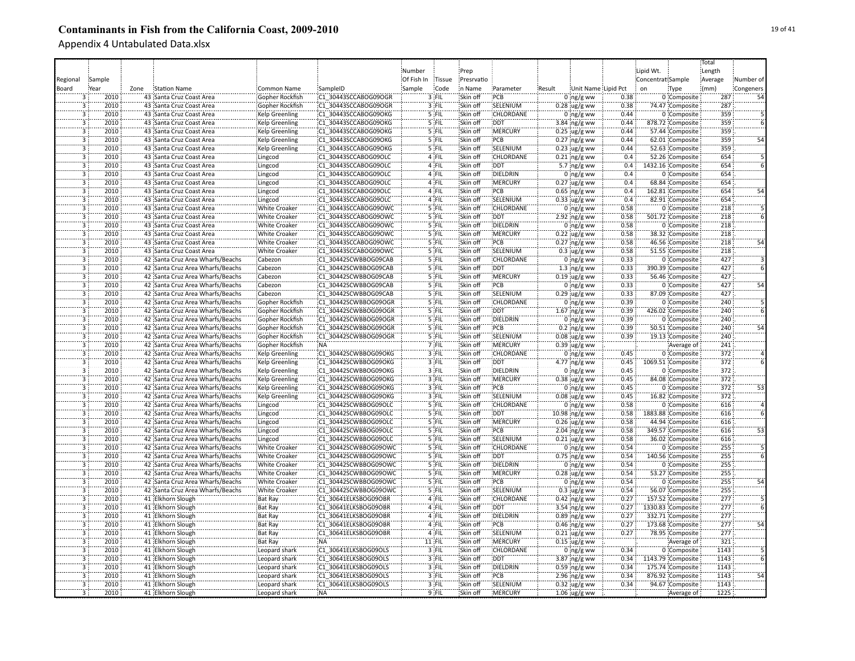|                                  |              |      |                                  |                       |                                              |            |                  |                      |                       |        |                      |              |                   |                   | Total      |                 |
|----------------------------------|--------------|------|----------------------------------|-----------------------|----------------------------------------------|------------|------------------|----------------------|-----------------------|--------|----------------------|--------------|-------------------|-------------------|------------|-----------------|
|                                  |              |      |                                  |                       |                                              | Number     |                  | Prep                 |                       |        |                      |              | Lipid Wt.         |                   | Length     |                 |
| Regional                         | Sample       |      |                                  |                       |                                              | Of Fish In | <b>Tissue</b>    | Presrvatio           |                       |        |                      |              | Concentrat Sample |                   | Average    | Number of       |
| Board                            | Year         | Zone | <b>Station Name</b>              | Common Name           | SampleID                                     | Sample     | Code             | n Name               | Parameter             | Result | Unit Name Lipid Pct  |              | on                | Type              | (mm)       | Congeners       |
|                                  | 2010         |      | 43 Santa Cruz Coast Area         | Gopher Rockfish       | C1 30443SCCABOG09OGR                         |            | 3 FIL            | Skin off             | PCB                   |        | $0 \log/g$ ww        | 0.38         |                   | 0 Composite       | 287        | 54              |
|                                  | 2010         |      | 43 Santa Cruz Coast Area         | Gopher Rockfish       | C1 30443SCCABOG09OGR                         |            | 3 FIL            | Skin off             | SELENIUM              |        | $0.28$ ug/g ww       | 0.38         |                   | 74.47 Composite   | 287        |                 |
| $\overline{3}$                   | 2010         |      | 43 Santa Cruz Coast Area         | <b>Kelp Greenling</b> | C1 30443SCCABOG09OKG                         |            | 5 FIL            | Skin off             | CHLORDANE             |        | $0$ ng/g ww          | 0.44         |                   | 0 Composite       | 359        |                 |
| $\overline{3}$                   | 2010         |      | 43 Santa Cruz Coast Area         | <b>Kelp Greenling</b> | C1 30443SCCABOG09OKG                         |            | 5 FIL            | Skin off             | <b>DDT</b>            |        | 3.84 $ng/g$ ww       | 0.44         |                   | 878.72 Composite  | 359        |                 |
| 3                                | 2010         |      | 43 Santa Cruz Coast Area         | <b>Kelp Greenling</b> | C1 30443SCCABOG09OKG                         |            | 5 FIL            | Skin off             | MERCURY               |        | $0.25$ ug/g ww       | 0.44         |                   | 57.44 Composite   | 359        |                 |
| $\overline{3}$                   | 2010         |      | 43 Santa Cruz Coast Area         | <b>Kelp Greenling</b> | C1 30443SCCABOG09OKG                         |            | 5 FIL            | Skin off             | PCB                   |        | $0.27$ ng/g ww       | 0.44         |                   | 62.01 Composite   | 359        | 54              |
| $\overline{3}$                   | 2010         |      | 43 Santa Cruz Coast Area         | <b>Kelp Greenling</b> | C1 30443SCCABOG09OKG                         |            | 5 FIL            | Skin off             | SELENIUM              |        | $0.23$ ug/g ww       | 0.44         |                   | 52.63 Composite   | 359        |                 |
| $\overline{3}$                   | 2010         |      | 43 Santa Cruz Coast Area         | Lingcod               | C1 30443SCCABOG09OLC                         |            | 4 FIL            | Skin off             | <b>CHLORDANE</b>      |        | $0.21$ ng/g ww       | 0.4          |                   | 52.26 Composite   | 654        |                 |
| $\overline{3}$                   | 2010         |      | 43 Santa Cruz Coast Area         | Lingcod               | C1 30443SCCABOG09OLC                         |            | 4 FIL            | Skin off             | <b>DDT</b>            |        | 5.7 $ng/g$ ww        | 0.4          |                   | 1432.16 Composite | 654        |                 |
| $\overline{3}$                   | 2010         |      | 43 Santa Cruz Coast Area         | Lingcod               | C1 30443SCCABOG09OLC                         |            | 4 FIL            | Skin off             | DIELDRIN              |        | $0$ ing/g ww         | 0.4          |                   | 0 Composite       | 654        |                 |
| $\overline{3}$                   | 2010         |      | 43 Santa Cruz Coast Area         | Lingcod               | C1 30443SCCABOG09OLC                         |            | 4 FIL            | Skin off             | <b>MERCURY</b>        |        | $0.27$ ug/g ww       | 0.4          |                   | 68.84 Composite   | 654        |                 |
| $\overline{3}$                   | 2010         |      | 43 Santa Cruz Coast Area         | Lingcod               | C1 30443SCCABOG09OLC                         |            | 4 FIL            | Skin off             | PCB                   |        | $0.65$ ng/g ww       | 0.4          |                   | 162.81 Composite  | 654        | 54              |
| $\overline{3}$                   | 2010         |      | 43 Santa Cruz Coast Area         | Lingcod               | C1 30443SCCABOG09OLC                         |            | 4 FIL            | Skin off             | SELENIUM              |        | $0.33$ ug/g ww       | 0.4          |                   | 82.91 Composite   | 654        |                 |
| $\overline{3}$                   | 2010         |      | 43 Santa Cruz Coast Area         | <b>White Croaker</b>  | C1 30443SCCABOG09OWC                         |            | 5 FIL            | Skin off             | CHLORDANE             |        | $0$ ing/g ww         | 0.58         |                   | 0 Composite       | 218        |                 |
| Ï                                | 2010         |      | 43 Santa Cruz Coast Area         | <b>White Croaker</b>  | C1 30443SCCABOG09OWC                         |            | $5$ FIL          | Skin off             | <b>DDT</b>            |        | $2.92$ ng/g ww       | 0.58         |                   | 501.72 Composite  | 218        |                 |
| 3                                | 2010         |      | 43 Santa Cruz Coast Area         | White Croaker         | C1 30443SCCABOG09OWC                         |            | '5 FIL           | Skin off             | DIELDRIN              |        | $0$ ing/g ww         | 0.58         |                   | 0 Composite       | 218        |                 |
|                                  | 2010         |      | 43 Santa Cruz Coast Area         | White Croaker         | C1 30443SCCABOG09OWC                         |            | '5 FIL           | Skin off             | MERCURY               |        | $0.22$ ug/g ww       | 0.58         |                   | 38.32 Composite   | 218        |                 |
|                                  | 2010         |      |                                  |                       |                                              |            | 5 FIL            | Skin off             | PCB                   |        |                      | 0.58         |                   |                   | 218        |                 |
|                                  | 2010         |      | 43 Santa Cruz Coast Area         | <b>White Croaker</b>  | C1 30443SCCABOG09OWC                         |            | 5 FIL            |                      | SELENIUM              |        | $0.27$ ing/g ww      | 0.58         |                   | 46.56 Composite   | 218        | 54              |
| $\overline{3}$                   | 2010         |      | 43 Santa Cruz Coast Area         | <b>White Croaker</b>  | C1 30443SCCABOG09OWC<br>C1 30442SCWBBOG09CAB |            | 5 FIL            | Skin off<br>Skin off | CHLORDANE             |        | $0.3$ ug/g ww        | 0.33         |                   | 51.55 Composite   | 427        |                 |
|                                  |              |      | 42 Santa Cruz Area Wharfs/Beachs | Cabezon               |                                              |            |                  |                      |                       |        | $0$ ing/g ww         |              |                   | 0 Composite       |            |                 |
| $\overline{3}$                   | 2010         |      | 42 Santa Cruz Area Wharfs/Beachs | Cabezon               | C1 30442SCWBBOG09CAB                         |            | 5 FIL            | Skin off             | <b>DDT</b>            |        | $1.3$ ng/g ww        | 0.33         |                   | 390.39 Composite  | 427        |                 |
| $\overline{3}$<br>$\overline{3}$ | 2010         |      | 42 Santa Cruz Area Wharfs/Beachs | Cabezon               | C1 30442SCWBBOG09CAB                         |            | 5 FIL            | Skin off             | :MERCURY              |        | $0.19$ ug/g ww       | 0.33         |                   | 56.46 Composite   | 427<br>427 |                 |
|                                  | 2010<br>2010 |      | 42 Santa Cruz Area Wharfs/Beachs | Cabezon               | C1 30442SCWBBOG09CAB                         |            | $5$ FIL          | Skin off             | PCB                   |        | $0$ ng/g ww          | 0.33         |                   | 0 Composite       |            | 54              |
| $\overline{3}$<br>$\overline{3}$ | 2010         |      | 42 Santa Cruz Area Wharfs/Beachs | Cabezon               | C1 30442SCWBBOG09CAB                         |            | 5 FIL<br>5 FIL   | Skin off<br>Skin off | SELENIUM<br>CHLORDANE |        | $0.29$ ug/g ww       | 0.33<br>0.39 |                   | 87.09 Composite   | 427<br>240 |                 |
| 3                                |              |      | 42 Santa Cruz Area Wharfs/Beachs | Gopher Rockfish       | C1 30442SCWBBOG09OGR                         |            |                  |                      |                       |        | $0$ ng/g ww          |              |                   | 0 Composite       |            |                 |
|                                  | 2010         |      | 42 Santa Cruz Area Wharfs/Beachs | Gopher Rockfish       | C1 30442SCWBBOG09OGR                         |            | 5 FIL            | Skin off             | <b>DDT</b>            |        | $1.67$ ng/g ww       | 0.39         |                   | 426.02 Composite  | 240        |                 |
| 3                                | 2010         |      | 42 Santa Cruz Area Wharfs/Beachs | Gopher Rockfish       | C1 30442SCWBBOG09OGR                         |            | 5 FIL            | Skin off             | DIELDRIN<br>PCB       |        | $0$ ng/g ww          | 0.39         |                   | 0 Composite       | 240        |                 |
|                                  | 2010<br>2010 |      | 42 Santa Cruz Area Wharfs/Beachs | Gopher Rockfish       | C1 30442SCWBBOG09OGR                         |            | 5 FIL            | Skin off             | SELENIUM              |        | $0.2 \,$ ng/g ww     | 0.39<br>0.39 |                   | 50.51 Composite   | 240<br>240 |                 |
| 3                                | 2010         |      | 42 Santa Cruz Area Wharfs/Beachs | Gopher Rockfish       | C1 30442SCWBBOG09OGR                         |            | 5 FIL<br>7 FIL   | Skin off<br>Skin off | MERCURY               |        | $0.08 \, \mu g/g$ ww |              |                   | 19.13 Composite   | 241        |                 |
| Ï.                               | 2010         |      | 42 Santa Cruz Area Wharfs/Beachs | Gopher Rockfish       | <b>NA</b>                                    |            |                  |                      | CHLORDANE             |        | $0.39$ ug/g ww       |              |                   | Average of        |            |                 |
|                                  |              |      | 42 Santa Cruz Area Wharfs/Beachs | <b>Kelp Greenling</b> | C1 30442SCWBBOG09OKG                         |            | 3 FIL            | Skin off             |                       |        | $0$ ng/g ww          | 0.45         |                   | 0 Composite       | 372        |                 |
| $\overline{3}$<br>$\overline{3}$ | 2010         |      | 42 Santa Cruz Area Wharfs/Beachs | <b>Kelp Greenling</b> | C1 30442SCWBBOG09OKG                         |            | 3 FIL            | Skin off             | <b>DDT</b>            |        | 4.77 ng/g ww         | 0.45         |                   | 1069.51 Composite | 372<br>372 |                 |
| $\overline{3}$                   | 2010         |      | 42 Santa Cruz Area Wharfs/Beachs | <b>Kelp Greenling</b> | C1 30442SCWBBOG09OKG                         |            | 3 FIL            | Skin off             | <b>DIELDRIN</b>       |        | $0$ ng/g ww          | 0.45         |                   | 0 Composite       |            |                 |
|                                  | 2010         |      | 42 Santa Cruz Area Wharfs/Beachs | Kelp Greenling        | C1 30442SCWBBOG09OKG                         |            | 3 FIL            | Skin off             | MERCURY               |        | $0.38$ ug/g ww       | 0.45         |                   | 84.08 Composite   | 372        |                 |
| 3                                | 2010         |      | 42 Santa Cruz Area Wharfs/Beachs | Kelp Greenling        | C1 30442SCWBBOG09OKG                         |            | 3 FIL            | Skin off             | PCB                   |        | $0$ ng/g ww          | 0.45         |                   | 0 Composite       | 372        | 53              |
| $\overline{3}$                   | 2010         |      | 42 Santa Cruz Area Wharfs/Beachs | <b>Kelp Greenling</b> | C1 30442SCWBBOG09OKG                         |            | 3 FIL            | Skin off             | SELENIUM              |        | $0.08$ ug/g ww       | 0.45         |                   | 16.82 Composite   | 372        |                 |
| $\overline{3}$<br>$\overline{3}$ | 2010         |      | 42 Santa Cruz Area Wharfs/Beachs | Lingcod               | C1 30442SCWBBOG09OLC                         |            | 5 FIL            | Skin off             | <b>CHLORDANE</b>      |        | $0$ ing/g ww         | 0.58         |                   | 0 Composite       | 616        |                 |
|                                  | 2010         |      | 42 Santa Cruz Area Wharfs/Beachs | Lingcod               | C1 30442SCWBBOG09OLC                         |            | 5 FIL            | Skin off             | <b>DDT</b>            |        | 10.98 ng/g ww        | 0.58         |                   | 1883.88 Composite | 616        |                 |
| 3                                | 2010         |      | 42 Santa Cruz Area Wharfs/Beachs | Lingcod               | C1 30442SCWBBOG09OLC                         |            | 5 FIL            | Skin off             | MERCURY               |        | $0.26$ iug/g ww      | 0.58         |                   | 44.94 Composite   | 616        |                 |
|                                  | 2010         |      | 42 Santa Cruz Area Wharfs/Beachs | Lingcod               | C1 30442SCWBBOG09OLC                         |            | 5 FIL            | Skin off             | PCB                   |        | $2.04$ ng/g ww       | 0.58         |                   | 349.57 Composite  | 616        | $\overline{53}$ |
| 3                                | 2010<br>2010 |      | 42 Santa Cruz Area Wharfs/Beachs | Lingcod               | C1 30442SCWBBOG09OLC                         |            | '5 FIL<br>'5 FIL | Skin off             | SELENIUM<br>CHLORDANE |        | $0.21$ ug/g ww       | 0.58<br>0.54 |                   | 36.02 Composite   | 616<br>255 |                 |
|                                  |              |      | 42 Santa Cruz Area Wharfs/Beachs | <b>White Croaker</b>  | C1 30442SCWBBOG09OWC                         |            |                  | Skin off             |                       |        | $0$ ing/g ww         |              |                   | 0 Composite       |            |                 |
|                                  | 2010         |      | 42 Santa Cruz Area Wharfs/Beachs | White Croaker         | C1 30442SCWBBOG09OWC                         |            | 5 FIL            | Skin off             | <b>DDT</b>            |        | $0.75$ ng/g ww       | 0.54         |                   | 140.56 Composite  | 255        |                 |
| $\overline{3}$<br>3              | 2010         |      | 42 Santa Cruz Area Wharfs/Beachs | <b>White Croaker</b>  | C1 30442SCWBBOG09OWC                         |            | 5 FIL            | Skin off             | DIELDRIN              |        | 0 $ng/g$ ww          | 0.54         |                   | 0 Composite       | 255        |                 |
|                                  | 2010         |      | 42 Santa Cruz Area Wharfs/Beachs | <b>White Croaker</b>  | C1 30442SCWBBOG09OWC                         |            | 5 FIL            | Skin off             | MERCURY               |        | $0.28$ ug/g ww       | 0.54         |                   | 53.27 Composite   | 255        |                 |
| $\overline{3}$                   | 2010         |      | 42 Santa Cruz Area Wharfs/Beachs | <b>White Croaker</b>  | C1 30442SCWBBOG09OWC                         |            | 5 FIL            | Skin off             | PCB                   |        | $0$ ng/g ww          | 0.54         |                   | 0 Composite       | 255        | 54              |
| $\overline{3}$                   | 2010         |      | 42 Santa Cruz Area Wharfs/Beachs | <b>White Croaker</b>  | C1 30442SCWBBOG09OWC                         |            | 5 FIL            | Skin off             | SELENIUM              |        | $0.3$ ug/g ww        | 0.54         |                   | 56.07 Composite   | 255        |                 |
| $\overline{3}$                   | 2010         |      | 41 Elkhorn Slough                | <b>Bat Ray</b>        | C1 30641ELKSBOG09OBR                         |            | 4 FIL            | Skin off             | <b>CHLORDANE</b>      |        | $0.42$ ng/g ww       | 0.27         |                   | 157.52 Composite  | 277        |                 |
| $\overline{3}$                   | 2010         |      | 41 Elkhorn Slough                | <b>Bat Ray</b>        | C1 30641ELKSBOG09OBR                         |            | 4 FIL            | Skin off             | <b>DDT</b>            |        | 3.54 $ng/g$ ww       | 0.27         |                   | 1330.83 Composite | 277        |                 |
| $\overline{3}$                   | 2010         |      | 41 Elkhorn Slough                | <b>Bat Ray</b>        | C1 30641ELKSBOG09OBR                         |            | 4 FIL            | Skin off             | <b>DIELDRIN</b>       |        | $0.89$ ng/g ww       | 0.27         |                   | 332.71 Composite  | 277        |                 |
|                                  | 2010         |      | 41 Elkhorn Slough                | Bat Ray               | C1 30641ELKSBOG09OBR                         |            | 4 FIL            | Skin off             | PCB                   |        | 0.46 ng/g ww         | 0.27         |                   | 173.68 Composite  | 277        |                 |
| $\overline{3}$                   | 2010         |      | 41 Elkhorn Slough                | <b>Bat Ray</b>        | C1 30641ELKSBOG09OBR                         |            | 4 FIL            | Skin off             | SELENIUM              |        | $0.21$ ug/g ww       | 0.27         |                   | 78.95 Composite   | 277        |                 |
| $\overline{3}$                   | 2010         |      | 41 Elkhorn Slough                | Bat Ray               | <b>NA</b>                                    |            | 11 FIL           | Skin off             | <b>MERCURY</b>        |        | $0.15$ ug/g ww       |              |                   | Average of        | 321        |                 |
| 3                                | 2010         |      | 41 Elkhorn Slough                | Leopard shark         | C1 30641ELKSBOG09OLS                         |            | 3 FIL            | Skin off             | CHLORDANE             |        | $0$ ng/g ww          | 0.34         |                   | 0 Composite       | 1143       |                 |
|                                  | 2010         |      | 41 Elkhorn Slough                | Leopard shark         | C1 30641ELKSBOG09OLS                         |            | 3 FIL            | Skin off             | <b>DDT</b>            |        | 3.87 ng/g ww         | 0.34         |                   | 1143.79 Composite | 1143       |                 |
|                                  | 2010         |      | 41 Elkhorn Slough                | Leopard shark         | C1 30641ELKSBOG09OLS                         |            | 3 FIL            | Skin off             | DIELDRIN              |        | $0.59$ ing/g ww      | 0.34         |                   | 175.74 Composite  | 1143       |                 |
| $\overline{3}$                   | 2010         |      | 41 Elkhorn Slough                | Leopard shark         | C1 30641ELKSBOG09OLS                         |            | 3 FIL            | Skin off             | PCB                   |        | 2.96 ng/g ww         | 0.34         |                   | 876.92 Composite  | 1143       | 54              |
| $\overline{3}$                   | 2010         |      | 41 Elkhorn Slough                | Leopard shark         | C1 30641ELKSBOG09OLS                         |            | 3 FIL            | Skin off             | SELENIUM              |        | $0.32$ ug/g ww       | 0.34         |                   | 94.67 Composite   | 1143       |                 |
| $\overline{3}$                   | 2010         |      | 41 Elkhorn Slough                | Leopard shark         | NA:                                          |            | 9 FIL            | Skin off             | <b>MERCURY</b>        |        | $1.06 \,$ ug/g ww    |              |                   | Average of        | 1225       |                 |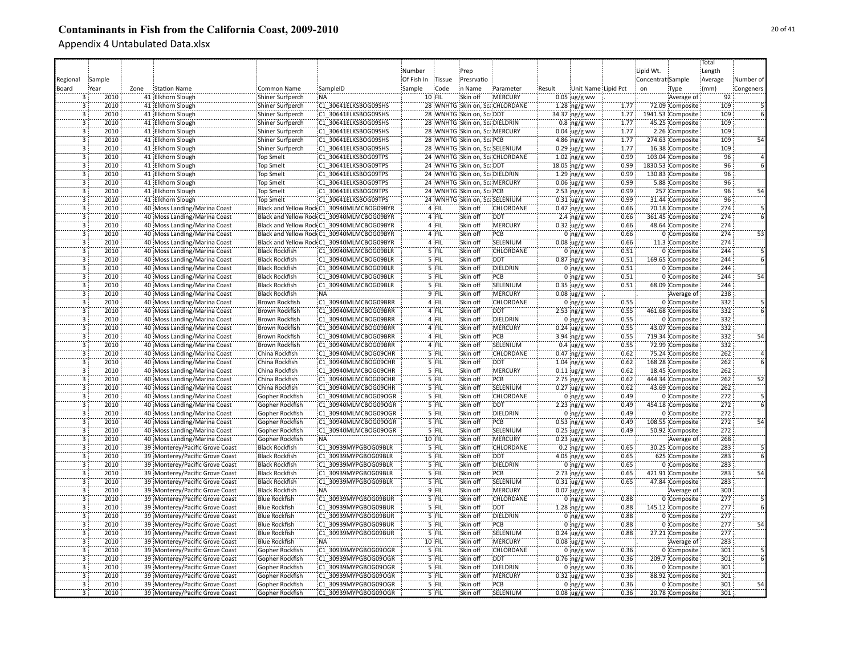|                         |        |      |                                 |                       |                                            |            |         |                           |                                |        |                     |              |                   |                   | Total   |           |
|-------------------------|--------|------|---------------------------------|-----------------------|--------------------------------------------|------------|---------|---------------------------|--------------------------------|--------|---------------------|--------------|-------------------|-------------------|---------|-----------|
|                         |        |      |                                 |                       |                                            | Number     |         | Prep                      |                                |        |                     |              | Lipid Wt.         |                   | Length  |           |
| Regional                | Sample |      |                                 |                       |                                            | Of Fish In | Tissue  | Presrvatio                |                                |        |                     |              | Concentrat Sample |                   | Average | Number of |
|                         |        |      |                                 |                       |                                            |            |         |                           |                                |        |                     |              |                   |                   |         |           |
| Board                   | Year   | Zone | <b>Station Name</b>             | Common Name           | SampleID                                   | Sample     | Code    | in Name                   | Parameter                      | Result | Unit Name Lipid Pct |              | on                | Type              | (mm)    | Congeners |
|                         | 2010   |      | 41 Elkhorn Slough               | Shiner Surfperch      | NA:                                        |            | 10 FIL  | Skin off                  | :MERCURY                       |        | $0.05$ ug/g ww      |              |                   | Average of        | 92      |           |
| 3                       | 2010   |      | 41 Elkhorn Slough               | Shiner Surfperch      | C1 30641ELKSBOG09SHS                       |            |         |                           | 28 WNHTG Skin on, ScaCHLORDANE |        | $1.28$ ng/g ww      | 1.77         |                   | 72.09 Composite   | 109     |           |
| $\overline{3}$          | 2010   |      | 41 Elkhorn Slough               | Shiner Surfperch      | C1 30641ELKSBOG09SHS                       |            |         | 28 WNHTG Skin on, ScaDDT  |                                |        | 34.37 ng/g ww       | 1.77         |                   | 1941.53 Composite | 109     |           |
| $\overline{\mathbf{3}}$ | 2010   |      | 41 Elkhorn Slough               | Shiner Surfperch      | C1 30641ELKSBOG09SHS                       |            |         |                           | 28 WNHTG Skin on, ScaDIELDRIN  |        | $0.8$ ng/g ww       | 1.77         |                   | 45.25 Composite   | 109     |           |
| $\overline{3}$          | 2010   |      | 41 Elkhorn Slough               | Shiner Surfperch      | C1 30641ELKSBOG09SHS                       |            |         |                           | 28 WNHTG Skin on, Sca, MERCURY |        | $0.04$ ug/g ww      | 1.77         |                   | 2.26 Composite    | 109     |           |
| 3                       | 2010   |      | 41 Elkhorn Slough               | Shiner Surfperch      | C1 30641ELKSBOG09SHS                       |            |         | 28 WNHTG Skin on, ScalPCB |                                |        | 4.86 ng/g ww        | 1.77         |                   | 274.63 Composite  | 109     |           |
| $\overline{3}$          | 2010   |      | 41 Elkhorn Slough               | Shiner Surfperch      | C1 30641ELKSBOG09SHS                       |            |         |                           | 28 WNHTG Skin on, ScaSELENIUM  |        | $0.29$ ug/g ww      | 1.77         |                   | 16.38 Composite   | 109     |           |
| $\overline{3}$          | 2010   |      | 41 Elkhorn Slough               | <b>Top Smelt</b>      | C1 30641ELKSBOG09TPS                       |            |         |                           | 24 WNHTG Skin on, ScaCHLORDANE |        | $1.02$ ng/g ww      | 0.99         |                   | 103.04 Composite  | 96      |           |
| $\overline{\mathbf{3}}$ | 2010   |      | 41 Elkhorn Slough               | <b>Top Smelt</b>      | C1 30641ELKSBOG09TPS                       |            |         | 24 WNHTG Skin on, ScaDDT  |                                |        | 18.05 ng/g ww       | 0.99         |                   | 1830.53 Composite | 96      |           |
| $\overline{\mathbf{3}}$ | 2010   |      | 41 Elkhorn Slough               | <b>Top Smelt</b>      | C1 30641ELKSBOG09TPS                       |            |         |                           | 24 WNHTG Skin on, ScaDIELDRIN  |        | $1.29$ ng/g ww      | 0.99         |                   | 130.83 Composite  | 96      |           |
| $\overline{3}$          | 2010   |      | 41 Elkhorn Slough               | <b>Top Smelt</b>      | C1 30641ELKSBOG09TPS                       |            |         |                           | 24 WNHTG Skin on, Sca MERCURY  |        | $0.06$ ug/g ww      | 0.99         |                   | 5.88 Composite    | 96      |           |
| $\overline{3}$          | 2010   |      | 41 Elkhorn Slough               | <b>Top Smelt</b>      | C1 30641ELKSBOG09TPS                       |            |         | 24 WNHTG Skin on, ScaPCB  |                                |        | $2.53$ ing/g ww     | 0.99         |                   | 257 Composite     | 96      | 54        |
| $\overline{3}$          | 2010   |      | 41 Elkhorn Slough               | <b>Top Smelt</b>      | C1 30641ELKSBOG09TPS                       |            |         |                           | 24 WNHTG Skin on, ScaSELENIUM  |        | $0.31$ ug/g ww      | 0.99         |                   | 31.44 Composite   | 96      |           |
| $\overline{3}$          | 2010   |      | 40 Moss Landing/Marina Coast    |                       | Black and Yellow Rock:C1 30940MLMCBOG09BYR |            | 4 FIL   | Skin off                  | CHLORDANE                      |        | $0.47$ ing/g ww     | 0.66         |                   | 70.18 Composite   | 274     |           |
| 3                       | 2010   |      | 40 Moss Landing/Marina Coast    |                       | Black and Yellow Rock C1 30940MLMCBOG09BYR |            | 4 FIL   | Skin off                  | <b>DDT</b>                     |        | 2.4 $ng/g$ ww       | 0.66         |                   | 361.45 Composite  | 274     |           |
| 3                       | 2010   |      | 40 Moss Landing/Marina Coast    |                       | Black and Yellow Rock;C1_30940MLMCBOG09BYR |            | 4 FIL   | Skin off                  | MERCURY                        |        | $0.32$ ug/g ww      | 0.66         |                   | 48.64 Composite   | 274     |           |
| 3                       | 2010   |      |                                 |                       |                                            |            | 4 FIL   | Skin off                  | PCB                            |        |                     | 0.66         |                   |                   | 274     | 53        |
|                         |        |      | 40 Moss Landing/Marina Coast    |                       | Black and Yellow Rock;C1 30940MLMCBOG09BYR |            |         |                           |                                |        | $0$ ng/g ww         |              |                   | 0 Composite       |         |           |
| $\overline{3}$          | 2010   |      | 40 Moss Landing/Marina Coast    |                       | Black and Yellow Rock:C1_30940MLMCBOG09BYR |            | $4$ FIL | Skin off                  | SELENIUM                       |        | $0.08$ ug/g ww      | 0.66         |                   | 11.3 Composite    | 274     |           |
| 3                       | 2010   |      | 40 Moss Landing/Marina Coast    | <b>Black Rockfish</b> | C1 30940MLMCBOG09BLR                       |            | 5 FIL   | Skin off                  | CHLORDANE                      |        | $0$ ing/g ww        | 0.51         |                   | 0 Composite       | 244     |           |
| 3                       | 2010   |      | 40 Moss Landing/Marina Coast    | <b>Black Rockfish</b> | C1 30940MLMCBOG09BLR                       |            | 5 FIL   | Skin off                  | <b>DDT</b>                     |        | $0.87$ ing/g ww     | 0.51         |                   | 169.65 Composite  | 244     |           |
| $\overline{3}$          | 2010   |      | 40 Moss Landing/Marina Coast    | <b>Black Rockfish</b> | C1 30940MLMCBOG09BLR                       |            | 5 FIL   | Skin off                  | DIELDRIN                       |        | $0:$ ng/g ww        | 0.51         |                   | 0 Composite       | 244     |           |
| $\overline{3}$          | 2010   |      | 40 Moss Landing/Marina Coast    | <b>Black Rockfish</b> | C1 30940MLMCBOG09BLR                       |            | 5 FIL   | Skin off                  | :PCB                           |        | $0$ ng/g ww         | 0.51         |                   | 0 Composite       | 244     | 54        |
| $\overline{3}$          | 2010   |      | 40 Moss Landing/Marina Coast    | <b>Black Rockfish</b> | C1 30940MLMCBOG09BLR                       |            | $5$ FIL | Skin off                  | SELENIUM                       |        | $0.35$ ug/g ww      | 0.51         |                   | 68.09 Composite   | 244     |           |
| $\overline{3}$          | 2010   |      | 40 Moss Landing/Marina Coast    | <b>Black Rockfish</b> | NA:                                        |            | $9$ FIL | Skin off                  | :MERCURY                       |        | $0.08$ ug/g ww      |              |                   | Average of        | 238     |           |
| $\overline{3}$          | 2010   |      | 40 Moss Landing/Marina Coast    | <b>Brown Rockfish</b> | C1 30940MLMCBOG09BRR                       |            | 4 FIL   | Skin off                  | <b>CHLORDANE</b>               |        | $0$ ing/g ww        | 0.55         |                   | 0 Composite       | 332     |           |
| $\overline{\mathbf{3}}$ | 2010   |      | 40 Moss Landing/Marina Coast    | <b>Brown Rockfish</b> | C1 30940MLMCBOG09BRR                       |            | 4 FIL   | Skin off                  | <b>DDT</b>                     |        | $2.53$ ng/g ww      | 0.55         |                   | 461.68 Composite  | 332     |           |
| 3                       | 2010   |      | 40 Moss Landing/Marina Coast    | Brown Rockfish        | C1 30940MLMCBOG09BRR                       |            | 4 FIL   | Skin off                  | DIELDRIN                       |        | $0$ ng/g ww         | 0.55         |                   | 0 Composite       | 332     |           |
| 3                       | 2010   |      | 40 Moss Landing/Marina Coast    | Brown Rockfish        | C1 30940MLMCBOG09BRR                       |            | 4 FIL   | Skin off                  | <b>MERCURY</b>                 |        | $0.24$ ug/g ww      | 0.55         |                   | 43.07 Composite   | 332     |           |
| $\overline{\mathbf{3}}$ | 2010   |      | 40 Moss Landing/Marina Coast    | Brown Rockfish        | C1 30940MLMCBOG09BRR                       |            | 4 FIL   | Skin off                  | PCB                            |        | $3.94$ ng/g ww      | 0.55         |                   | 719.34 Composite  | 332     |           |
| 3                       | 2010   |      | 40 Moss Landing/Marina Coast    | Brown Rockfish        | C1 30940MLMCBOG09BRR                       |            | 4 FIL   | Skin off                  | SELENIUM                       |        | $0.4 \,$ ug/g ww    | 0.55         |                   | 72.99 Composite   | 332     |           |
| 3                       | 2010   |      | 40 Moss Landing/Marina Coast    | China Rockfish        | C1 30940MLMCBOG09CHR                       |            | 5 FIL   | Skin off                  | CHLORDANE                      |        | $0.47$ ng/g ww      | 0.62         |                   | 75.24 Composite   | 262     |           |
| 3                       | 2010   |      | 40 Moss Landing/Marina Coast    | China Rockfish        | C1 30940MLMCBOG09CHR                       |            | 5 FIL   | Skin off                  | DDT                            |        | $1.04$ ing/g ww     | 0.62         |                   | 168.28 Composite  | 262     |           |
| $\overline{3}$          | 2010   |      | 40 Moss Landing/Marina Coast    | China Rockfish        | C1 30940MLMCBOG09CHR                       |            | 5 FIL   | Skin off                  | <b>MERCURY</b>                 |        | $0.11$ ug/g ww      | 0.62         |                   | 18.45 Composite   | 262     |           |
| $\overline{3}$          | 2010   |      | 40 Moss Landing/Marina Coast    | China Rockfish        | C1 30940MLMCBOG09CHR                       |            | 5 FIL   | Skin off                  | PCB                            |        | $2.75$ ing/g ww     | 0.62         |                   | 444.34 Composite  | 262     | 52        |
| $\overline{\mathbf{3}}$ | 2010   |      | 40 Moss Landing/Marina Coast    |                       | C1 30940MLMCBOG09CHR                       |            | 5 FIL   | Skin off                  | SELENIUM                       |        |                     | 0.62         |                   | 43.69 Composite   | 262     |           |
|                         |        |      |                                 | China Rockfish        |                                            |            |         |                           |                                |        | $0.27$ ug/g ww      |              |                   |                   | 272     |           |
| $\overline{3}$          | 2010   |      | 40 Moss Landing/Marina Coast    | Gopher Rockfish       | C1 30940MLMCBOG09OGR                       |            | 5 FIL   | Skin off                  | <b>CHLORDANE</b>               |        | $0$ ing/g ww        | 0.49         |                   | 0 Composite       |         |           |
| $\overline{3}$          | 2010   |      | 40 Moss Landing/Marina Coast    | Gopher Rockfish       | C1 30940MLMCBOG09OGR                       |            | 5 FIL   | Skin off                  | DDT:                           |        | $2.23$ ng/g ww      | 0.49         |                   | 454.18 Composite  | 272     |           |
| $\overline{3}$          | 2010   |      | 40 Moss Landing/Marina Coast    | Gopher Rockfish       | C1 30940MLMCBOG09OGR                       |            | 5 FIL   | Skin off                  | <b>DIELDRIN</b>                |        | $0$ ng/g ww         | 0.49         |                   | 0 Composite       | 272     |           |
| $\overline{3}$          | 2010   |      | 40 Moss Landing/Marina Coast    | Gopher Rockfish       | C1 30940MLMCBOG09OGR                       |            | 5 FIL   | Skin off                  | <b>PCB</b>                     |        | $0.53$ ng/g ww      | 0.49         |                   | 108.55 Composite  | 272     | 54        |
| 3                       | 2010   |      | 40 Moss Landing/Marina Coast    | Gopher Rockfish       | C1 30940MLMCBOG09OGR                       |            | 5 FIL   | Skin off                  | SELENIUM                       |        | $0.25$ ug/g ww      | 0.49         |                   | 50.92 Composite   | 272     |           |
| 3                       | 2010   |      | 40 Moss Landing/Marina Coast    | Gopher Rockfish       | :NÄ                                        |            | 10 FIL  | Skin off                  | MERCURY                        |        | $0.23$ ug/g ww      |              |                   | Average of        | 268     |           |
| 3                       | 2010   |      | 39 Monterey/Pacific Grove Coast | <b>Black Rockfish</b> | C1 30939MYPGBOG09BLR                       |            | 5 FIL   | Skin off                  | CHLORDANE                      |        | $0.2$ ng/g ww       | 0.65         |                   | 30.25 Composite   | 283     |           |
| $\overline{3}$          | 2010   |      | 39 Monterey/Pacific Grove Coast | <b>Black Rockfish</b> | C1 30939MYPGBOG09BLR                       |            | 5 FIL   | Skin off                  | <b>DDT</b>                     |        | $4.05$ ing/g ww     | 0.65         |                   | 625 Composite     | 283     |           |
| $\overline{3}$          | 2010   |      | 39 Monterey/Pacific Grove Coast | <b>Black Rockfish</b> | C1 30939MYPGBOG09BLR                       |            | 5 FIL   | Skin off                  | DIELDRIN                       |        | $0$ ing/g ww        | 0.65         |                   | 0 Composite       | 283     |           |
| $\overline{3}$          | 2010   |      | 39 Monterey/Pacific Grove Coast | <b>Black Rockfish</b> | C1 30939MYPGBOG09BLR                       |            | $5$ FIL | Skin off                  | PCB                            |        | $2.73$ ng/g ww      | 0.65         |                   | 421.91 Composite  | 283     | 54        |
| $\overline{3}$          | 2010   |      | 39 Monterey/Pacific Grove Coast | <b>Black Rockfish</b> | C1 30939MYPGBOG09BLR                       |            | 5 FIL   | Skin off                  | SELENIUM                       |        | $0.31$ ug/g ww      | 0.65         |                   | 47.84 Composite   | 283     |           |
| $\overline{3}$          | 2010   |      | 39 Monterey/Pacific Grove Coast | <b>Black Rockfish</b> | ¦NA                                        |            | $9$ FIL | Skin off                  | :MERCURY                       |        | $0.07$ ug/g ww      |              |                   | Average of        | 300     |           |
| $\overline{3}$          | 2010   |      | 39 Monterey/Pacific Grove Coast | <b>Blue Rockfish</b>  | C1 30939MYPGBOG09BUR                       |            | $5$ FIL | Skin off                  | <b>CHLORDANE</b>               |        | $0 \log/g$ ww       | 0.88         |                   | 0 Composite       | 277     |           |
| $\overline{3}$          | 2010   |      | 39 Monterey/Pacific Grove Coast | <b>Blue Rockfish</b>  | C1 30939MYPGBOG09BUR                       |            | $5$ FIL | Skin off                  | <b>DDT</b>                     |        | 1.28 $ng/g$ ww      | 0.88         |                   | 145.12 Composite  | 277     |           |
| $\overline{3}$          | 2010   |      | 39 Monterey/Pacific Grove Coast | <b>Blue Rockfish</b>  | C1 30939MYPGBOG09BUR                       |            | 5 FIL   | Skin off                  | DIELDRIN                       |        | $0$ ng/g ww         | 0.88         |                   | 0 Composite       | 277     |           |
| $\overline{3}$          | 2010   |      | 39 Monterey/Pacific Grove Coast | <b>Blue Rockfish</b>  | C1 30939MYPGBOG09BUR                       |            | 5 FIL   | Skin off                  | PCB                            |        | $0$ ng/g ww         | 0.88         |                   | 0 Composite       | 277     | 54        |
| 3                       | 2010   |      | 39 Monterey/Pacific Grove Coast | <b>Blue Rockfish</b>  | C1 30939MYPGBOG09BUR                       |            | 5 FIL   | Skin off                  | SELENIUM                       |        | $0.24$ ug/g ww      | 0.88         |                   | 27.21 Composite   | 277     |           |
| 3                       | 2010   |      | 39 Monterey/Pacific Grove Coast | <b>Blue Rockfish</b>  | <b>NA</b>                                  |            | 10 FIL  | Skin off                  | <b>MERCURY</b>                 |        | $0.08$ ug/g ww      |              |                   | Average of        | 283     |           |
| 3                       | 2010   |      | 39 Monterey/Pacific Grove Coast | Gopher Rockfish       | C1 30939MYPGBOG09OGR                       |            | 5 FIL   | Skin off                  | CHLORDANE                      |        |                     |              |                   | 0 Composite       | 301     |           |
| 3                       | 2010   |      |                                 |                       |                                            |            | 5 FIL   |                           | <b>DDT</b>                     |        | 0 $ng/g$ ww         | 0.36<br>0.36 |                   |                   | 301     |           |
| 3                       | 2010   |      | 39 Monterey/Pacific Grove Coast | Gopher Rockfish       | C1 30939MYPGBOG09OGR                       |            |         | Skin off<br>Skin off      | DIELDRIN                       |        | $0.76$ ng/g ww      | 0.36         |                   | 209.7 Composite   | 301     |           |
|                         |        |      | 39 Monterey/Pacific Grove Coast | Gopher Rockfish       | C1 30939MYPGBOG09OGR                       |            | 5 FIL   |                           |                                |        | $0$ ng/g ww         |              |                   | 0 Composite       |         |           |
| 3                       | 2010   |      | 39 Monterey/Pacific Grove Coast | Gopher Rockfish       | C1 30939MYPGBOG09OGR                       |            | 5 FIL   | Skin off                  | <b>MERCURY</b>                 |        | $0.32$ ug/g ww      | 0.36         |                   | 88.92 Composite   | 301     |           |
| $\overline{3}$          | 2010   |      | 39 Monterey/Pacific Grove Coast | Gopher Rockfish       | C1 30939MYPGBOG09OGR                       |            | 5 FIL   | Skin off                  | PCB                            |        | $0$ ing/g ww        | 0.36         |                   | 0 Composite       | 301     | 54        |
| $\overline{3}$          | 2010   |      | 39 Monterey/Pacific Grove Coast | Gopher Rockfish       | C1 30939MYPGBOG09OGR                       |            | 5 FIL   | Skin off                  | SELENIUM                       |        | $0.08$ ug/g ww      | 0.36         |                   | 20.78 Composite   | 301     |           |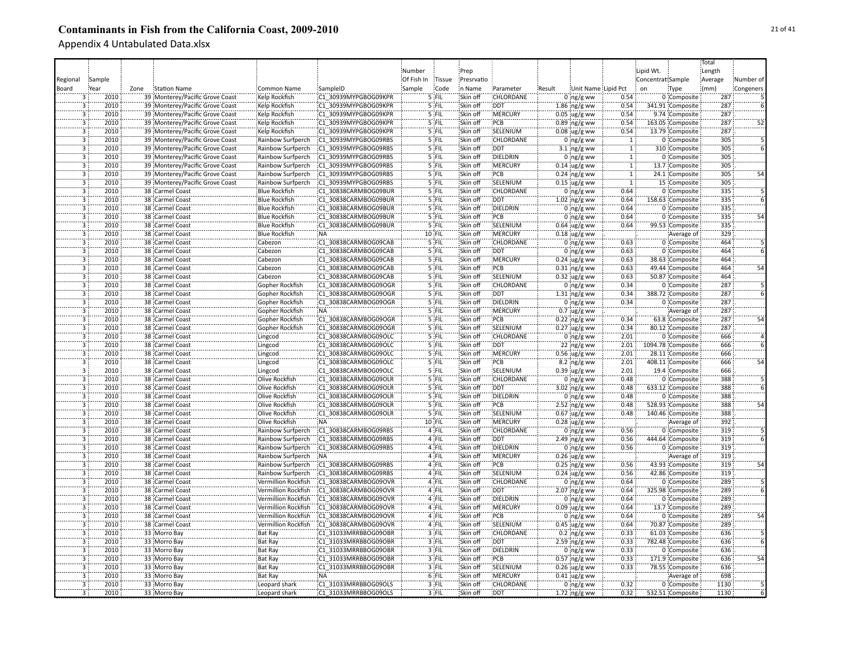|                         |        |      |                                                                    |                                    |                      |            |         |            |                  |        |                               |                |                   |                                | Total   |           |
|-------------------------|--------|------|--------------------------------------------------------------------|------------------------------------|----------------------|------------|---------|------------|------------------|--------|-------------------------------|----------------|-------------------|--------------------------------|---------|-----------|
|                         |        |      |                                                                    |                                    |                      | Number     |         | Prep       |                  |        |                               |                | Lipid Wt.         |                                | Length  |           |
| Regional                | Sample |      |                                                                    |                                    |                      | Of Fish In | Tissue  | Presrvatio |                  |        |                               |                | Concentrat Sample |                                | Average | Number of |
| Board                   | Year   | Zone | Station Name                                                       | Common Name                        | SampleID             | Sample     | Code    | in Name    | Parameter        | Result | Unit Name Lipid Pct           |                | on                | Type                           | (mm)    | Congeners |
| 3                       | 2010   |      | 39 Monterey/Pacific Grove Coast                                    | Kelp Rockfish                      | C1 30939MYPGBOG09KPR |            | 5 FIL   | Skin off   | CHLORDANE        |        | $0$ ng/g ww                   | 0.54           |                   | 0 Composite                    | 287     |           |
|                         | 2010   |      | 39 Monterey/Pacific Grove Coast                                    | Kelp Rockfish                      | C1 30939MYPGBOG09KPR |            | 5 FIL   | Skin off   | <b>DDT</b>       |        | $1.86$ ng/g ww                | 0.54           |                   | 341.91 Composite               | 287     |           |
| $\overline{3}$          | 2010   |      | 39 Monterey/Pacific Grove Coast                                    | Kelp Rockfish                      | C1 30939MYPGBOG09KPR |            | 5 FIL   | Skin off   | <b>MERCURY</b>   |        | $0.05 \,$ ug/g ww             | 0.54           |                   | 9.74 Composite                 | 287     |           |
| 3                       | 2010   |      | 39 Monterey/Pacific Grove Coast                                    | Kelp Rockfish                      | C1 30939MYPGBOG09KPR |            | 5 FIL   | Skin off   | PCB              |        | $0.89$ ng/g ww                | 0.54           |                   | 163.05 Composite               | 287     | 52        |
|                         | 2010   |      |                                                                    |                                    | C1 30939MYPGBOG09KPR |            | 5 FIL   | Skin off   | SELENIUM         |        |                               | 0.54           |                   |                                | 287     |           |
| 3<br>3                  | 2010   |      | 39 Monterey/Pacific Grove Coast<br>39 Monterey/Pacific Grove Coast | Kelp Rockfish<br>Rainbow Surfperch | C1 30939MYPGBOG09RBS |            | 5 FIL   | Skin off   | CHLORDANE        |        | $0.08$ ug/g ww<br>$0$ ng/g ww | $\overline{1}$ |                   | 13.79 Composite<br>0 Composite | 305     |           |
| 3                       | 2010   |      |                                                                    |                                    | C1 30939MYPGBOG09RBS |            | 5 FIL   | Skin off   | <b>DDT</b>       |        |                               | T              |                   | 310 Composite                  | 305     |           |
|                         |        |      | 39 Monterey/Pacific Grove Coast                                    | Rainbow Surfperch                  |                      |            | 5 FIL   |            |                  |        | 3.1 $ng/g$ ww                 |                |                   |                                | 305     |           |
| $\overline{3}$          | 2010   |      | 39 Monterey/Pacific Grove Coast                                    | Rainbow Surfperch                  | C1 30939MYPGBOG09RBS |            |         | Skin off   | <b>DIELDRIN</b>  |        | 0 $ng/g$ ww                   | $\mathbf{T}$   |                   | 0 Composite                    |         |           |
| $\overline{3}$          | 2010   |      | 39 Monterey/Pacific Grove Coast                                    | Rainbow Surfperch                  | C1 30939MYPGBOG09RBS |            | 5 FIL   | Skin off   | <b>MERCURY</b>   |        | $0.14$ ug/g ww                | $\overline{1}$ |                   | 13.7 Composite                 | 305     |           |
| $\overline{3}$          | 2010   |      | 39 Monterey/Pacific Grove Coast                                    | Rainbow Surfperch                  | C1 30939MYPGBOG09RBS |            | 5 FIL   | Skin off   | PCB              |        | $0.24$ ng/g ww                | 1              |                   | 24.1 Composite                 | 305     | 54        |
| $\overline{\mathbf{3}}$ | 2010   |      | 39 Monterey/Pacific Grove Coast                                    | Rainbow Surfperch                  | C1 30939MYPGBOG09RBS |            | 5 FIL   | Skin off   | SELENIUM         |        | $0.15$ ug/g ww                | $\overline{1}$ |                   | 15 Composite                   | 305     |           |
| $\overline{3}$          | 2010   |      | 38 Carmel Coast                                                    | <b>Blue Rockfish</b>               | C1 30838CARMBOG09BUR |            | $5$ FIL | Skin off   | <b>CHLORDANE</b> |        | 0 $ng/g$ ww                   | 0.64           |                   | 0 Composite                    | 335     |           |
| $\overline{3}$          | 2010   |      | 38 Carmel Coast                                                    | <b>Blue Rockfish</b>               | C1 30838CARMBOG09BUR |            | $5$ FIL | Skin off   | <b>DDT</b>       |        | $1.02$ ng/g ww                | 0.64           |                   | 158.63 Composite               | 335     |           |
| 3                       | 2010   |      | 38 Carmel Coast                                                    | <b>Blue Rockfish</b>               | C1 30838CARMBOG09BUR |            | 5 FIL   | Skin off   | DIELDRIN         |        | $0$ ing/g ww                  | 0.64           |                   | 0 Composite                    | 335     |           |
| 3                       | 2010   |      | 38 Carmel Coast                                                    | <b>Blue Rockfish</b>               | C1 30838CARMBOG09BUR |            | '5 FIL  | Skin off   | PCB              |        | $0$ ng/g ww                   | 0.64           |                   | 0 Composite                    | 335     | 54        |
| 3                       | 2010   |      | 38 Carmel Coast                                                    | <b>Blue Rockfish</b>               | C1 30838CARMBOG09BUR |            | '5 FIL  | Skin off   | SELENIUM         |        | $0.64 \,$ ug/g ww             | 0.64           |                   | 99.53 Composite                | 335     |           |
| 3                       | 2010   |      | 38 Carmel Coast                                                    | <b>Blue Rockfish</b>               | <b>NA</b>            |            | 10 FIL  | Skin off   | MERCURY          |        | $0.18$ ug/g ww                |                |                   | Average of                     | 329     |           |
|                         | 2010   |      | 38 Carmel Coast                                                    | Cabezon                            | C1 30838CARMBOG09CAB |            | 5 FIL   | Skin off   | CHLORDANE        |        | $0$ ng/g ww                   | 0.63           |                   | 0 Composite                    | 464     |           |
| $\overline{3}$          | 2010   |      | 38 Carmel Coast                                                    | Cabezon                            | C1 30838CARMBOG09CAB |            | 5 FIL   | Skin off   | <b>DDT</b>       |        | $0$ ing/g ww                  | 0.63           |                   | 0 Composite                    | 464     |           |
| $\overline{3}$          | 2010   |      | 38 Carmel Coast                                                    | Cabezon                            | C1 30838CARMBOG09CAB |            | $5$ FIL | Skin off   | MERCURY          |        | $0.24$ ug/g ww                | 0.63           |                   | 38.63 Composite                | 464     |           |
| $\overline{3}$          | 2010   |      | 38 Carmel Coast                                                    | Cabezon                            | C1 30838CARMBOG09CAB |            | $5$ FIL | Skin off   | PCB              |        | $0.31$ ng/g ww                | 0.63           |                   | 49.44 Composite                | 464     | 54        |
| $\overline{3}$          | 2010   |      | 38 Carmel Coast                                                    | Cabezon                            | C1 30838CARMBOG09CAB |            | 5 FIL   | Skin off   | SELENIUM         |        | $0.32 \,$ ug/g ww             | 0.63           |                   | 50.87 Composite                | 464     |           |
| $\overline{3}$          | 2010   |      | 38 Carmel Coast                                                    | Gopher Rockfish                    | C1 30838CARMBOG09OGR |            | 5 FIL   | Skin off   | <b>CHLORDANE</b> |        | $0$ ng/g ww                   | 0.34           |                   | 0 Composite                    | 287     |           |
| $\overline{3}$          | 2010   |      | 38 Carmel Coast                                                    | Gopher Rockfish                    | C1 30838CARMBOG09OGR |            | 5 FIL   | Skin off   | <b>DDT</b>       |        | $1.31$ ing/g ww               | 0.34           |                   | 388.72 Composite               | 287     |           |
| $\overline{3}$          | 2010   |      | 38 Carmel Coast                                                    | Gopher Rockfish                    | C1 30838CARMBOG09OGR |            | 5 FIL   | Skin off   | <b>DIELDRIN</b>  |        | $0$ ing/g ww                  | 0.34           |                   | 0 Composite                    | 287     |           |
| 3                       | 2010   |      | 38 Carmel Coast                                                    | Gopher Rockfish                    | NA:                  |            | 5 FIL   | Skin off   | :MERCURY         |        | $0.7 \, \mu g/g$ ww           |                |                   | Average of                     | 287     |           |
| 3                       | 2010   |      | 38 Carmel Coast                                                    | Gopher Rockfish                    | C1 30838CARMBOG09OGR |            | 5 FIL   | Skin off   | PCB              |        | $0.22$ ng/g ww                | 0.34           |                   | 63.8 Composite                 | 287     |           |
| 3                       | 2010   |      | 38 Carmel Coast                                                    | Gopher Rockfish                    | C1 30838CARMBOG09OGR |            | 5 FIL   | Skin off   | SELENIUM         |        | $0.27$ ug/g ww                | 0.34           |                   | 80.12 Composite                | 287     |           |
| $\overline{3}$          | 2010   |      | 38 Carmel Coast                                                    | Lingcod                            | C1 30838CARMBOG09OLC |            | 5 FIL   | Skin off   | CHLORDANE        |        | $0$ ng/g ww                   | 2.01           |                   | 0 Composite                    | 666     |           |
| 3                       | 2010   |      | 38 Carmel Coast                                                    | Lingcod                            | C1 30838CARMBOG09OLC |            | 5 FIL   | Skin off   | <b>DDT</b>       |        | 22 ng/g ww                    | 2.01           |                   | 1094.78 Composite              | 666     |           |
| ä                       | 2010   |      | 38 Carmel Coast                                                    | Lingcod                            | C1 30838CARMBOG09OLC |            | $5$ FIL | Skin off   | MERCURY          |        | $0.56$ ug/g ww                | 2.01           |                   | 28.11 Composite                | 666     |           |
| 3                       | 2010   |      | 38 Carmel Coast                                                    | Lingcod                            | C1 30838CARMBOG09OLC |            | 5 FIL   | Skin off   | PCB              |        | 8.2 ng/g ww                   | 2.01           |                   | 408.11 Composite               | 666     | 54        |
| $\overline{3}$          | 2010   |      | 38 Carmel Coast                                                    | Lingcod                            | C1 30838CARMBOG09OLC |            | 5 FIL   | Skin off   | SELENIUM         |        | $0.39$ ug/g ww                | 2.01           |                   | 19.4 Composite                 | 666     |           |
| $\overline{3}$          | 2010   |      | 38 Carmel Coast                                                    | Olive Rockfish                     | C1 30838CARMBOG09OLR |            | $5$ FIL | Skin off   | CHLORDANE        |        | $0$ ng/g ww                   | 0.48           |                   | 0 Composite                    | 388     |           |
| $\overline{3}$          | 2010   |      | 38 Carmel Coast                                                    | Olive Rockfish                     | C1 30838CARMBOG09OLR |            | 5 FIL   | Skin off   | <b>DDT</b>       |        | $3.02$ ng/g ww                | 0.48           |                   | 633.12 Composite               | 388     |           |
| $\overline{3}$          | 2010   |      | 38 Carmel Coast                                                    | Olive Rockfish                     | C1 30838CARMBOG09OLR |            | 5 FIL   | Skin off   | <b>DIELDRIN</b>  |        | $0$ ing/g ww                  | 0.48           |                   | 0 Composite                    | 388     |           |
| $\overline{3}$          | 2010   |      | 38 Carmel Coast                                                    | Olive Rockfish                     | C1 30838CARMBOG09OLR |            | $5$ FIL | Skin off   | PCB              |        | $2.52$ ng/g ww                | 0.48           |                   | 528.93 Composite               | 388     | 54        |
| 3                       | 2010   |      | 38 Carmel Coast                                                    | Olive Rockfish                     | C1 30838CARMBOG09OLR |            | $5$ FIL | Skin off   | SELENIUM         |        | $0.67$ ug/g ww                | 0.48           |                   | 140.46 Composite               | 388     |           |
| $\overline{3}$          | 2010   |      | 38 Carmel Coast                                                    | Olive Rockfish                     | <b>NA</b>            |            | 10 FIL  | Skin off   | <b>MERCURY</b>   |        | $0.28$ ug/g ww                |                |                   | Average of                     | 392     |           |
| 3                       | 2010   |      | 38 Carmel Coast                                                    | Rainbow Surfperch                  | C1 30838CARMBOG09RBS |            | 4 FIL   | Skin off   | CHLORDANE        |        | $0:$ ng/g ww                  | 0.56           |                   | 0 Composite                    | 319     |           |
| 3                       | 2010   |      | 38 Carmel Coast                                                    | Rainbow Surfperch                  | C1 30838CARMBOG09RBS |            | 4 FIL   | Skin off   | :DDT             |        | 2.49 ng/g ww                  | 0.56           |                   | 444.64 Composite               | 319     |           |
| 3                       | 2010   |      | 38 Carmel Coast                                                    | Rainbow Surfperch                  | C1 30838CARMBOG09RBS |            | 4 FIL   | Skin off   | DIELDRIN         |        | $0:$ ng/g ww                  | 0.56           |                   | 0 Composite                    | 319     |           |
| $\overline{\mathbf{3}}$ | 2010   |      | 38 Carmel Coast                                                    | Rainbow Surfperch                  | <b>NA</b>            |            | 4 FIL   | Skin off   | MERCURY          |        | $0.26$ ug/g ww                |                |                   | Average of                     | 319     |           |
| $\overline{3}$          | 2010   |      | 38 Carmel Coast                                                    | Rainbow Surfperch                  | C1 30838CARMBOG09RBS |            | 4 FIL   | Skin off   | :PCB             |        | $0.25$ ing/g ww               | 0.56           |                   | 43.93 Composite                | 319     |           |
| $\overline{3}$          | 2010   |      | 38 Carmel Coast                                                    | Rainbow Surfperch                  | C1 30838CARMBOG09RBS |            | 4 FIL   | Skin off   | SELENIUM         |        | $0.24$ ug/g ww                | 0.56           |                   | 42.86 Composite                | 319     |           |
| $\overline{3}$          | 2010   |      | 38 Carmel Coast                                                    | Vermillion Rockfish                | C1 30838CARMBOG09OVR |            | 4 FIL   | Skin off   | CHLORDANE        |        | $0:$ ng/g ww                  | 0.64           |                   | 0 Composite                    | 289     |           |
| $\overline{3}$          | 2010   |      | 38 Carmel Coast                                                    | Vermillion Rockfish                | C1 30838CARMBOG09OVR |            | $4$ FIL | Skin off   | <b>DDT</b>       |        | $2.07$ ing/g ww               | 0.64           |                   | 325.98 Composite               | 289     |           |
| $\overline{3}$          | 2010   |      | 38 Carmel Coast                                                    | Vermillion Rockfish                | C1 30838CARMBOG09OVR |            | $4$ FIL | Skin off   | <b>DIELDRIN</b>  |        | $0$ ing/g ww                  | 0.64           |                   | 0 Composite                    | 289     |           |
| $\overline{3}$          | 2010   |      | 38 Carmel Coast                                                    | Vermillion Rockfish                | C1 30838CARMBOG09OVR |            | 4 FIL   | Skin off   | <b>MERCURY</b>   |        | $0.09$ ug/g ww                | 0.64           |                   | 13.7 Composite                 | 289     |           |
| $\overline{3}$          | 2010   |      | 38 Carmel Coast                                                    | Vermillion Rockfish                | C1 30838CARMBOG09OVR |            | 4 FIL   | Skin off   | PCB              |        | $0$ ing/g ww                  | 0.64           |                   | 0 Composite                    | 289     | 54        |
| $\overline{3}$          | 2010   |      | 38 Carmel Coast                                                    | Vermillion Rockfish                | C1 30838CARMBOG09OVR |            | 4 FIL   | Skin off   | SELENIUM         |        | $0.45$ ug/g ww                | 0.64           |                   | 70.87 Composite                | 289     |           |
| 3                       | 2010   |      | 33 Morro Bay                                                       | <b>Bat Ray</b>                     | C1 31033MRRBBOG09OBR |            | 3 FIL   | Skin off   | CHLORDANE        |        | $0.2$ ng/g ww                 | 0.33           |                   | 61.03 Composite                | 636     |           |
| 3                       | 2010   |      | 33 Morro Bay                                                       | <b>Bat Ray</b>                     | C1 31033MRRBBOG09OBR |            | 3 FIL   | Skin off   | <b>DDT</b>       |        | $2.59$ ng/g ww                | 0.33           |                   | 782.48 Composite               | 636     |           |
| 3                       | 2010   |      | 33 Morro Bay                                                       | <b>Bat Ray</b>                     | C1 31033MRRBBOG09OBR |            | 3 FIL   | Skin off   | DIELDRIN         |        | $0$ ing/g ww                  | 0.33           |                   | 0 Composite                    | 636     |           |
| 3                       | 2010   |      | 33 Morro Bay                                                       | <b>Bat Ray</b>                     | C1 31033MRRBBOG09OBR |            | 3 FIL   | Skin off   | PCB              |        | $0.57$ ng/g ww                | 0.33           |                   | 171.9 Composite                | 636     |           |
| 3                       | 2010   |      | 33 Morro Bay                                                       | <b>Bat Ray</b>                     | C1 31033MRRBBOG09OBR |            | 3 FIL   | Skin off   | SELENIUM         |        | $0.26$ ug/g ww                | 0.33           |                   | 78.55 Composite                | 636     |           |
| 3                       | 2010   |      | 33 Morro Bay                                                       | <b>Bat Ray</b>                     | :NA                  |            | 6 FIL   | Skin off   | <b>MERCURY</b>   |        | $0.41$ ug/g ww                |                |                   | Average of                     | 698     |           |
| $\overline{3}$          | 2010   |      | 33 Morro Bay                                                       | Leopard shark                      | C1 31033MRRBBOG09OLS |            | 3 FIL   | Skin off   | <b>CHLORDANE</b> |        | $0$ ing/g ww                  | 0.32           |                   | 0 Composite                    | 1130    |           |
| $\overline{\mathbf{z}}$ | 2010   |      | 33 Morro Bay                                                       | Leopard shark                      | C1 31033MRRBBOG09OLS |            | 3 FIL   | Skin off   | <b>DDT</b>       |        | 1.72 $ng/g$ ww                | 0.32           |                   | 532.51 Composite               | 1130    |           |
|                         |        |      |                                                                    |                                    |                      |            |         |            |                  |        |                               |                |                   |                                |         |           |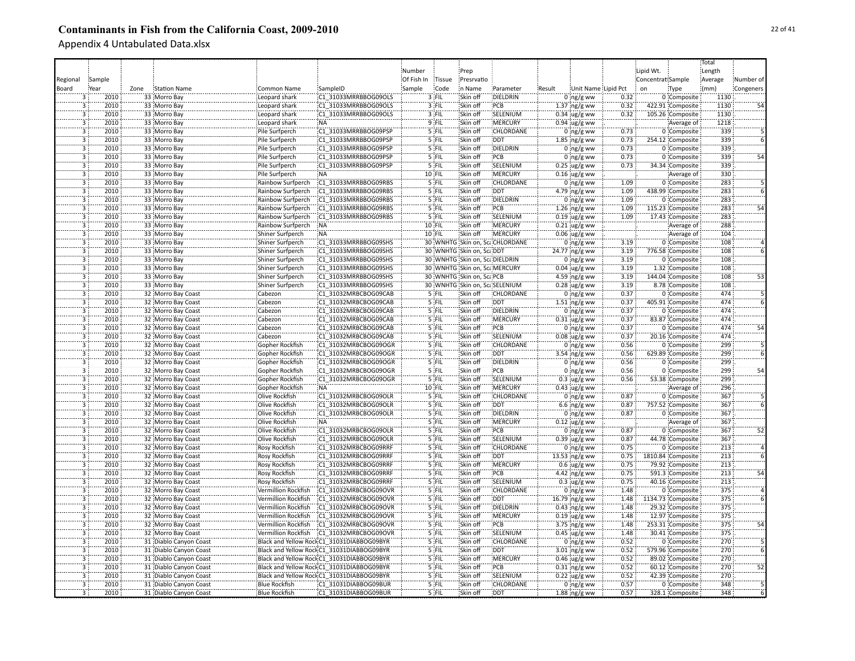|                         |        |      |                        |                         |                                            |            |          |                               |                                |        |                     |      |                   |                   | Total   |                 |
|-------------------------|--------|------|------------------------|-------------------------|--------------------------------------------|------------|----------|-------------------------------|--------------------------------|--------|---------------------|------|-------------------|-------------------|---------|-----------------|
|                         |        |      |                        |                         |                                            | Number     |          | Prep                          |                                |        |                     |      | Lipid Wt.         |                   | Length  |                 |
|                         |        |      |                        |                         |                                            |            |          |                               |                                |        |                     |      |                   |                   |         |                 |
| Regional                | Sample |      |                        |                         |                                            | Of Fish In | Tissue   | Presrvatio                    |                                |        |                     |      | Concentrat Sample |                   | Average | Number of       |
| Board                   | Year   | Zone | Station Name           | Common Name             | SampleID                                   | Sample     | Code     | in Name                       | Parameter                      | Result | Unit Name Lipid Pct |      | on                | Type              | (mm)    | Congeners       |
| 3                       | 2010   |      | 33 Morro Bay           | Leopard shark           | C1 31033MRRBBOG09OLS                       |            | 3 FIL    | Skin off                      | DIELDRIN                       |        | $0$ ng/g ww         | 0.32 |                   | 0 Composite       | 1130    |                 |
| 3                       | 2010   |      | 33 Morro Bay           | Leopard shark           | C1 31033MRRBBOG09OLS                       |            | 3 FIL    | Skin off                      | PCB                            |        | 1.37 ng/g ww        | 0.32 |                   | 422.91 Composite  | 1130    |                 |
| $\overline{3}$          | 2010   |      | 33 Morro Bay           | Leopard shark           | C1 31033MRRBBOG09OLS                       |            | 3 FIL    | Skin off                      | SELENIUM                       |        | $0.34 \,$ ug/g ww   | 0.32 |                   | 105.26 Composite  | 1130    |                 |
| $\overline{\mathbf{3}}$ | 2010   |      | 33 Morro Bay           | Leopard shark           | <b>NA</b>                                  |            | 9 FIL    | Skin off                      | MERCURY                        |        | $0.94$ ug/g ww      |      |                   | Average of        | 1218    |                 |
| 3                       | 2010   |      | 33 Morro Bay           | Pile Surfperch          | C1 31033MRRBBOG09PSP                       |            | 5 FIL    | Skin off                      | CHLORDANE                      |        | $0$ ng/g ww         | 0.73 |                   | 0 Composite       | 339     |                 |
| 3                       | 2010   |      | 33 Morro Bay           | Pile Surfperch          | C1 31033MRRBBOG09PSP                       |            | 5 FIL    | Skin off                      | <b>DDT</b>                     |        | 1.85 $ng/g$ ww      | 0.73 |                   | 254.12 Composite  | 339     |                 |
| 3                       | 2010   |      | 33 Morro Bay           | Pile Surfperch          | C1 31033MRRBBOG09PSP                       |            | 5 FIL    | Skin off                      | DIELDRIN                       |        | $0$ ng/g ww         | 0.73 |                   | 0 Composite       | 339     |                 |
| $\overline{3}$          | 2010   |      | 33 Morro Bay           | Pile Surfperch          | C1 31033MRRBBOG09PSP                       |            | 5 FIL    | Skin off                      | PCB                            |        | $0$ ng/g ww         | 0.73 |                   | 0 Composite       | 339     | 54              |
| $\overline{3}$          | 2010   |      | 33 Morro Bay           | Pile Surfperch          | C1 31033MRRBBOG09PSP                       |            | $5$ FIL  | Skin off                      | SELENIUM                       |        | $0.25$ ug/g ww      | 0.73 |                   | 34.34 Composite   | 339     |                 |
|                         |        |      |                        |                         |                                            |            |          |                               |                                |        |                     |      |                   |                   |         |                 |
| $\overline{\mathbf{3}}$ | 2010   |      | 33 Morro Bay           | Pile Surfperch          | :NA                                        |            | $10$ FIL | Skin off                      | MERCURY                        |        | $0.16$ ug/g ww      |      |                   | Average of        | 330     |                 |
| $\overline{3}$          | 2010   |      | 33 Morro Bay           | Rainbow Surfperch       | C1 31033MRRBBOG09RBS                       |            | 5 FIL    | Skin off                      | <b>CHLORDANE</b>               |        | $0$ ing/g ww        | 1.09 |                   | 0 Composite       | 283     |                 |
| $\overline{3}$          | 2010   |      | 33 Morro Bay           | Rainbow Surfperch       | C1 31033MRRBBOG09RBS                       |            | $5$ FIL  | Skin off                      | <b>DDT</b>                     |        | 4.79 ing/g ww       | 1.09 |                   | 438.99 Composite  | 283     |                 |
| $\overline{3}$          | 2010   |      | 33 Morro Bay           | Rainbow Surfperch       | C1 31033MRRBBOG09RBS                       |            | $5$ FIL  | Skin off                      | <b>DIELDRIN</b>                |        | $0$ ing/g ww        | 1.09 |                   | 0 Composite       | 283     |                 |
| $\overline{3}$          | 2010   |      | 33 Morro Bay           | Rainbow Surfperch       | C1 31033MRRBBOG09RBS                       |            | 5 FIL    | Skin off                      | PCB                            |        | $1.26$ ing/g ww     | 1.09 |                   | 115.23 Composite  | 283     | $\overline{54}$ |
| Ϊ3Ϊ                     | 2010   |      | 33 Morro Bay           | Rainbow Surfperch       | C1 31033MRRBBOG09RBS                       |            | $5$ FIL  | Skin off                      | SELENIUM                       |        | $0.19$ ug/g ww      | 1.09 |                   | 17.43 Composite   | 283     |                 |
| 3                       | 2010   |      | 33 Morro Bay           | Rainbow Surfperch       | <b>NA</b>                                  |            | 10 FIL   | Skin off                      | MERCURY                        |        | $0.21$ ug/g ww      |      |                   | Average of        | 288     |                 |
| 3                       | 2010   |      | 33 Morro Bay           | Shiner Surfperch        | .<br>NA                                    |            | 10 FIL   | Skin off                      | MERCURY                        |        | $0.06$ ug/g ww      |      |                   | Average of        | 104     |                 |
| 3                       | 2010   |      | 33 Morro Bay           | Shiner Surfperch        | C1 31033MRRBBOG09SHS                       |            |          |                               | 30 WNHTG Skin on, ScaCHLORDANE |        | $0$ ng/g ww         | 3.19 |                   | 0 Composite       | 108     |                 |
| $\overline{3}$          | 2010   |      | 33 Morro Bay           | Shiner Surfperch        | C1 31033MRRBBOG09SHS                       |            |          | 30 WNHTG Skin on, ScaDDT      |                                |        | 24.77 ng/g ww       | 3.19 |                   | 776.58 Composite  | 108     |                 |
| $\overline{3}$          | 2010   |      | 33 Morro Bay           | Shiner Surfperch        | C1 31033MRRBBOG09SHS                       |            |          | 30 WNHTG Skin on, ScaDIELDRIN |                                |        | $0 \log/g$ ww       | 3.19 |                   | 0 Composite       | 108     |                 |
| $\overline{3}$          | 2010   |      | 33 Morro Bay           | Shiner Surfperch        | C1 31033MRRBBOG09SHS                       |            |          | 30 WNHTG Skin on, ScaMERCURY  |                                |        | $0.04 \,$ ug/g ww   | 3.19 |                   | 1.32 Composite    | 108     |                 |
| $\overline{3}$          | 2010   |      | 33 Morro Bay           | Shiner Surfperch        | C1 31033MRRBBOG09SHS                       |            |          | 30 WNHTG Skin on, ScaPCB      |                                |        | 4.59 $ng/g$ ww      | 3.19 |                   | 144.04 Composite  | 108     | 53              |
| $\overline{3}$          | 2010   |      |                        |                         |                                            |            |          |                               |                                |        |                     | 3.19 |                   |                   | 108     |                 |
|                         |        |      | 33 Morro Bay           | <b>Shiner Surfperch</b> | C1 31033MRRBBOG09SHS                       |            |          | 30 WNHTG Skin on, ScaSELENIUM |                                |        | $0.28$ ug/g ww      |      |                   | 8.78 Composite    | 474     |                 |
| $\overline{3}$          | 2010   |      | 32 Morro Bay Coast     | Cabezon                 | C1 31032MRBCBOG09CAB                       |            | 5 FIL    | Skin off                      | CHLORDANE                      |        | $0$ ing/g ww        | 0.37 |                   | 0 Composite       |         |                 |
| $\overline{3}$          | 2010   |      | 32 Morro Bay Coast     | Cabezon                 | C1 31032MRBCBOG09CAB                       |            | 5 FIL    | Skin off                      | :DDT                           |        | $1.51$ ng/g ww      | 0.37 |                   | 405.91 Composite  | 474     |                 |
| $\overline{3}$          | 2010   |      | 32 Morro Bay Coast     | Cabezon                 | C1 31032MRBCBOG09CAB                       |            | 5 FIL    | Skin off                      | DIELDRIN                       |        | $0$ ng/g ww         | 0.37 |                   | 0 Composite       | 474     |                 |
| $\overline{3}$          | 2010   |      | 32 Morro Bay Coast     | Cabezon                 | C1 31032MRBCBOG09CAB                       |            | 5 FIL    | Skin off                      | MERCURY                        |        | $0.31$ ug/g ww      | 0.37 |                   | 83.87 Composite   | 474     |                 |
| 3                       | 2010   |      | 32 Morro Bay Coast     | Cabezon                 | C1 31032MRBCBOG09CAB                       |            | 5 FIL    | Skin off                      | PCB                            |        | $0$ ng/g ww         | 0.37 |                   | 0 Composite       | 474     | 54              |
| 3                       | 2010   |      | 32 Morro Bay Coast     | Cabezon                 | C1 31032MRBCBOG09CAB                       |            | 5 FIL    | Skin off                      | SELENIUM                       |        | $0.08$ ug/g ww      | 0.37 |                   | 20.16 Composite   | 474     |                 |
| 3                       | 2010   |      | 32 Morro Bay Coast     | Gopher Rockfish         | C1 31032MRBCBOG09OGR                       |            | 5 FIL    | Skin off                      | CHLORDANE                      |        | $0$ ng/g ww         | 0.56 |                   | 0 Composite       | 299     |                 |
| 3                       | 2010   |      | 32 Morro Bay Coast     | Gopher Rockfish         | C1 31032MRBCBOG09OGR                       |            | 5 FIL    | Skin off                      | <b>DDT</b>                     |        | 3.54 $ng/g$ ww      | 0.56 |                   | 629.89 Composite  | 299     |                 |
| 3                       | 2010   |      | 32 Morro Bay Coast     | Gopher Rockfish         | C1 31032MRBCBOG09OGR                       |            | 5 FIL    | Skin off                      | DIELDRIN                       |        | $0$ ing/g ww        | 0.56 |                   | 0 Composite       | 299     |                 |
| $\overline{3}$          | 2010   |      | 32 Morro Bay Coast     | Gopher Rockfish         | C1 31032MRBCBOG09OGR                       |            | 5 FIL    | Skin off                      | PCB                            |        | $0$ ing/g ww        | 0.56 |                   | 0 Composite       | 299     | 54              |
| $\overline{\mathbf{3}}$ | 2010   |      | 32 Morro Bay Coast     | Gopher Rockfish         | C1 31032MRBCBOG09OGR                       |            | 5 FIL    | Skin off                      | SELENIUM                       |        | $0.3$ ug/g ww       | 0.56 |                   | 53.38 Composite   | 299     |                 |
| 3                       | 2010   |      | 32 Morro Bay Coast     | Gopher Rockfish         | :NA                                        |            | 10 FIL   | Skin off                      | MERCURY                        |        | $0.43$ ug/g ww      |      |                   | Average of        | 296     |                 |
| $\overline{\mathbf{3}}$ | 2010   |      | 32 Morro Bay Coast     | Olive Rockfish          | C1 31032MRBCBOG09OLR                       |            | 5 FIL    | Skin off                      | <b>CHLORDANE</b>               |        | $0$ ing/g ww        | 0.87 |                   | 0 Composite       | 367     |                 |
| $\overline{3}$          | 2010   |      | 32 Morro Bay Coast     | Olive Rockfish          | C1 31032MRBCBOG09OLR                       |            | $5$ FIL  | Skin off                      | DDT                            |        | $6.6$ ng/g ww       | 0.87 |                   | 757.52 Composite  | 367     |                 |
| $\overline{3}$          | 2010   |      | 32 Morro Bay Coast     | Olive Rockfish          | C1 31032MRBCBOG09OLR                       |            | $5$ FIL  | Skin off                      | DIELDRIN                       |        | $0$ ing/g ww        | 0.87 |                   | 0 Composite       | 367     |                 |
| Ë.                      | 2010   |      | 32 Morro Bay Coast     | Olive Rockfish          | NA:                                        |            | 5 FIL    | Skin off                      | <b>MERCURY</b>                 |        | $0.12$ ug/g ww      |      |                   | Average of        | 367     |                 |
| $\overline{3}$          | 2010   |      | 32 Morro Bay Coast     | <b>Olive Rockfish</b>   | C1 31032MRBCBOG09OLR                       |            | 5 FIL    | Skin off                      | PCB                            |        | $0:$ ng/g ww        | 0.87 |                   | 0 Composite       | 367     |                 |
| 3                       | 2010   |      | 32 Morro Bay Coast     | Olive Rockfish          | C1 31032MRBCBOG09OLR                       |            | '5 FIL   | Skin off                      | SELENIUM                       |        | $0.39$ ug/g ww      | 0.87 |                   | 44.78 Composite   | 367     | 52              |
| 3                       | 2010   |      |                        |                         |                                            |            | '5 FIL   | Skin off                      | CHLORDANE                      |        |                     | 0.75 |                   |                   | 213     |                 |
|                         |        |      | 32 Morro Bay Coast     | <b>Rosy Rockfish</b>    | C1 31032MRBCBOG09RRF                       |            |          |                               |                                |        | $0$ ng/g ww         |      |                   | 0 Composite       |         |                 |
| $\overline{\mathbf{3}}$ | 2010   |      | 32 Morro Bay Coast     | Rosy Rockfish           | C1 31032MRBCBOG09RRF                       |            | $5$ FIL  | Skin off                      | <b>DDT</b>                     |        | $13.53$ ng/g ww     | 0.75 |                   | 1810.84 Composite | 213     |                 |
| $\overline{3}$          | 2010   |      | 32 Morro Bay Coast     | Rosy Rockfish           | C1 31032MRBCBOG09RRF                       |            | 5 FIL    | Skin off                      | MERCURY                        |        | $0.6$ ug/g ww       | 0.75 |                   | 79.92 Composite   | 213     |                 |
| $\overline{3}$          | 2010   |      | 32 Morro Bay Coast     | Rosy Rockfish           | C1 31032MRBCBOG09RRF                       |            | 5 FIL    | Skin off                      | PCB                            |        | 4.42 ng/g ww        | 0.75 |                   | 591.3 Composite   | 213     | 54              |
| $\overline{3}$          | 2010   |      | 32 Morro Bay Coast     | Rosy Rockfish           | C1 31032MRBCBOG09RRF                       |            | 5 FIL    | Skin off                      | SELENIUM                       |        | $0.3$ ug/g ww       | 0.75 |                   | 40.16 Composite   | 213     |                 |
| $\overline{3}$          | 2010   |      | 32 Morro Bay Coast     | Vermillion Rockfish     | C1 31032MRBCBOG09OVR                       |            | $5$ FIL  | Skin off                      | <b>CHLORDANE</b>               |        | $0$ ing/g ww        | 1.48 |                   | 0 Composite       | 375     |                 |
| $\overline{3}$          | 2010   |      | 32 Morro Bay Coast     | Vermillion Rockfish     | C1 31032MRBCBOG09OVR                       |            | $5$ FIL  | Skin off                      | <b>DDT</b>                     |        | 16.79 ng/g ww       | 1.48 |                   | 1134.73 Composite | 375     |                 |
| $\overline{3}$          | 2010   |      | 32 Morro Bay Coast     | Vermillion Rockfish     | C1 31032MRBCBOG09OVR                       |            | 5 FIL    | Skin off                      | DIELDRIN                       |        | $0.43$ ng/g ww      | 1.48 |                   | 29.32 Composite   | 375     |                 |
| $\overline{3}$          | 2010   |      | 32 Morro Bay Coast     | Vermillion Rockfish     | C1 31032MRBCBOG09OVR                       |            | 5 FIL    | Skin off                      | :MERCURY                       |        | $0.19$ ug/g ww      | 1.48 |                   | 12.97 Composite   | 375     |                 |
| $\overline{3}$          | 2010   |      | 32 Morro Bay Coast     | Vermillion Rockfish     | C1 31032MRBCBOG09OVR                       |            | 5 FIL    | Skin off                      | PCB                            |        | $3.75$ ng/g ww      | 1.48 |                   | 253.31 Composite  | 375     | 54              |
| 3                       | 2010   |      | 32 Morro Bay Coast     | Vermillion Rockfish     | C1 31032MRBCBOG09OVR                       |            | 5 FIL    | Skin off                      | SELENIUM                       |        | $0.45$ ug/g ww      | 1.48 |                   | 30.41 Composite   | 375     |                 |
| 3                       | 2010   |      | 31 Diablo Canyon Coast |                         | Black and Yellow Rock C1 31031DIABBOG09BYR |            | 5 FIL    | Skin off                      | CHLORDANE                      |        | $0$ ing/g ww        | 0.52 |                   | 0 Composite       | 270     |                 |
| 3                       | 2010   |      | 31 Diablo Canyon Coast |                         | Black and Yellow Rock;C1 31031DIABBOG09BYR |            | 5 FIL    | Skin off                      | <b>DDT</b>                     |        | 3.01 $ng/g$ ww      | 0.52 |                   | 579.96 Composite  | 270     |                 |
| 3                       | 2010   |      | 31 Diablo Canyon Coast |                         | Black and Yellow Rock C1 31031DIABBOG09BYR |            | 5 FIL    | Skin off                      | MERCURY                        |        | $0.46$ ug/g ww      | 0.52 |                   | 89.02 Composite   | 270     |                 |
| 3                       | 2010   |      | 31 Diablo Canyon Coast |                         | Black and Yellow Rock C1 31031DIABBOG09BYR |            | 5 FIL    | Skin off                      | PCB                            |        | $0.31$ ng/g ww      | 0.52 |                   | 60.12 Composite   | 270     | 52              |
| 3                       | 2010   |      | 31 Diablo Canyon Coast |                         | Black and Yellow Rock C1 31031DIABBOG09BYR |            | 5 FIL    | Skin off                      | SELENIUM                       |        | $0.22$ ug/g ww      | 0.52 |                   | 42.39 Composite   | 270     |                 |
| $\overline{3}$          | 2010   |      | 31 Diablo Canyon Coast | <b>Blue Rockfish</b>    | C1 31031DIABBOG09BUR                       |            | 5 FIL    | Skin off                      | <b>CHLORDANE</b>               |        | $0$ ing/g ww        | 0.57 |                   | 0 Composite       | 348     |                 |
| 3                       | 2010   |      |                        |                         | C1 31031DIABBOG09BUR                       |            | 5 FIL    | Skin off                      | <b>DDT</b>                     |        |                     | 0.57 |                   | 328.1 Composite   | 348     |                 |
|                         |        |      | 31 Diablo Canyon Coast | <b>Blue Rockfish</b>    |                                            |            |          |                               |                                |        | $1.88$ ng/g ww      |      |                   |                   |         |                 |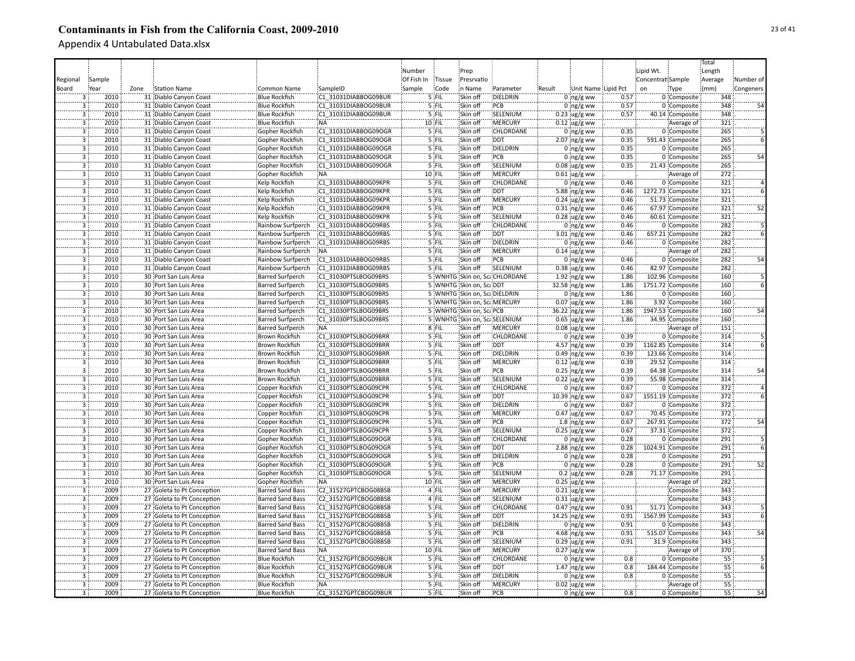|                         |        |      |                            |                         |                      |            |          |                              |                               |        |                     |      |                   |                   | Total            |           |
|-------------------------|--------|------|----------------------------|-------------------------|----------------------|------------|----------|------------------------------|-------------------------------|--------|---------------------|------|-------------------|-------------------|------------------|-----------|
|                         |        |      |                            |                         |                      | Number     |          | Prep                         |                               |        |                     |      | Lipid Wt.         |                   | Length           |           |
| Regional                | Sample |      |                            |                         |                      | Of Fish In | Tissue   | Presrvatio                   |                               |        |                     |      | Concentrat Sample |                   | Average          | Number of |
|                         |        |      |                            |                         |                      |            |          |                              |                               |        |                     |      |                   |                   |                  |           |
| Board                   | Year   | Zone | <b>Station Name</b>        | Common Name             | SampleID             | Sample     | Code     | in Name                      | Parameter                     | Result | Unit Name Lipid Pct |      | on                | Type              | (mm)             | Congeners |
|                         | 2010   |      | 31 Diablo Canyon Coast     | <b>Blue Rockfish</b>    | C1 31031DIABBOG09BUR |            | $5$ FIL  | Skin off                     | DIELDRIN                      |        | $0 \log/g$ ww       | 0.57 |                   | 0 Composite       | 348              |           |
| 3                       | 2010   |      | 31 Diablo Canyon Coast     | <b>Blue Rockfish</b>    | C1 31031DIABBOG09BUR |            | 5 FIL    | Skin off                     | PCB                           |        | $0$ ing/g ww        | 0.57 |                   | 0 Composite       | 348              |           |
| $\overline{\mathbf{3}}$ | 2010   |      | 31 Diablo Canyon Coast     | <b>Blue Rockfish</b>    | C1 31031DIABBOG09BUR |            | 5 FIL    | Skin off                     | SELENIUM                      |        | $0.23$ ug/g ww      | 0.57 |                   | 40.14 Composite   | 348              |           |
| $\overline{3}$          | 2010   |      | 31 Diablo Canyon Coast     | <b>Blue Rockfish</b>    | <b>NA</b>            |            | 10 FIL   | Skin off                     | MERCURY                       |        | $0.12$ ug/g ww      |      |                   | Average of        | 321              |           |
| $\overline{3}$          | 2010   |      | 31 Diablo Canyon Coast     | Gopher Rockfish         | C1 31031DIABBOG09OGR |            | 5 FIL    | Skin off                     | CHLORDANE                     |        | $0$ ng/g ww         | 0.35 |                   | 0 Composite       | 265              |           |
| 3                       | 2010   |      | 31 Diablo Canyon Coast     | Gopher Rockfish         | C1 31031DIABBOG09OGR |            | 5 FIL    | Skin off                     | <b>DDT</b>                    |        | 2.07 ng/g ww        | 0.35 |                   | 591.43 Composite  | 265              |           |
| $\overline{3}$          | 2010   |      | 31 Diablo Canyon Coast     | Gopher Rockfish         | C1 31031DIABBOG09OGR |            | 5 FIL    | Skin off                     | DIELDRIN                      |        | $0$ ng/g ww         | 0.35 |                   | 0 Composite       | 265              |           |
| $\overline{3}$          | 2010   |      | 31 Diablo Canyon Coast     | Gopher Rockfish         | C1 31031DIABBOG09OGR |            | 5 FIL    | Skin off                     | PCB                           |        | $0$ ing/g ww        | 0.35 |                   | 0 Composite       | 265              | 54        |
| $\overline{\mathbf{3}}$ | 2010   |      | 31 Diablo Canyon Coast     | Gopher Rockfish         | C1 31031DIABBOG09OGR |            | 5 FIL    | Skin off                     | SELENIUM                      |        | $0.08 \,$ ug/g ww   | 0.35 |                   | 21.43 Composite   | 265              |           |
| $\overline{\mathbf{3}}$ | 2010   |      | 31 Diablo Canyon Coast     | Gopher Rockfish         | :NA                  |            | 10 FIL   | Skin off                     | MERCURY                       |        | $0.61$ ug/g ww      |      |                   | Average of        | 272              |           |
| $\overline{3}$          | 2010   |      | 31 Diablo Canyon Coast     | Kelp Rockfish           | C1 31031DIABBOG09KPR |            | 5 FIL    | Skin off                     | CHLORDANE                     |        | $0$ ing/g ww        | 0.46 |                   | 0 Composite       | 321              |           |
| $\overline{3}$          | 2010   |      | 31 Diablo Canyon Coast     | Kelp Rockfish           | C1 31031DIABBOG09KPR |            | 5 FIL    | Skin off                     | <b>DDT</b>                    |        | 5.88 ing/g ww       | 0.46 |                   | 1272.73 Composite | 321              |           |
| $\overline{3}$          | 2010   |      | 31 Diablo Canyon Coast     | <b>Kelp Rockfish</b>    | C1 31031DIABBOG09KPR |            | $5$ FIL  | Skin off                     | <b>MERCURY</b>                |        | $0.24$ ug/g ww      | 0.46 |                   | 51.73 Composite   | 321              |           |
| $\overline{3}$          | 2010   |      | 31 Diablo Canyon Coast     | Kelp Rockfish           | C1 31031DIABBOG09KPR |            | 5 FIL    | Skin off                     | PCB                           |        | $0.31$ ng/g ww      | 0.46 |                   | 67.97 Composite   | 321              | 52        |
| 3                       | 2010   |      | 31 Diablo Canyon Coast     | Kelp Rockfish           | C1 31031DIABBOG09KPR |            | '5 FIL   | Skin off                     | SELENIUM                      |        | $0.28$ ug/g ww      | 0.46 |                   | 60.61 Composite   | 321              |           |
| 3                       | 2010   |      | 31 Diablo Canyon Coast     | Rainbow Surfperch       | C1 31031DIABBOG09RBS |            | '5 FIL   | Skin off                     | CHLORDANE                     |        | $0$ ing/g ww        | 0.46 |                   | 0 Composite       | 282              |           |
| 3                       | 2010   |      |                            |                         |                      |            | '5 FIL   | Skin off                     | <b>DDT</b>                    |        |                     | 0.46 |                   |                   | $\overline{282}$ |           |
|                         |        |      | 31 Diablo Canyon Coast     | Rainbow Surfperch       | C1 31031DIABBOG09RBS |            |          |                              |                               |        | $3.01$ ng/g ww      |      |                   | 657.21 Composite  |                  |           |
| $\overline{3}$          | 2010   |      | 31 Diablo Canyon Coast     | Rainbow Surfperch       | C1 31031DIABBOG09RBS |            | 5 FIL    | Skin off                     | DIELDRIN                      |        | $0$ ing/g ww        | 0.46 |                   | 0 Composite       | 282              |           |
| 3                       | 2010   |      | 31 Diablo Canyon Coast     | Rainbow Surfperch       | NA:                  |            | 5 FIL    | Skin off                     | MERCURY                       |        | $0.14$ ug/g ww      |      |                   | Average of        | 282              |           |
| 3                       | 2010   |      | 31 Diablo Canyon Coast     | Rainbow Surfperch       | C1 31031DIABBOG09RBS |            | 5 FIL    | Skin off                     | PCB                           |        | $0:$ ng/g ww        | 0.46 |                   | 0 Composite       | 282              | 54        |
| $\overline{3}$          | 2010   |      | 31 Diablo Canyon Coast     | Rainbow Surfperch       | C1 31031DIABBOG09RBS |            | 5 FIL    | Skin off                     | SELENIUM                      |        | $0.38$ ug/g ww      | 0.46 |                   | 82.97 Composite   | 282              |           |
| $\overline{3}$          | 2010   |      | 30 Port San Luis Area      | <b>Barred Surfperch</b> | C1 31030PTSLBOG09BRS |            |          |                              | 5 WNHTG Skin on, ScaCHLORDANE |        | $1.92$ ng/g ww      | 1.86 |                   | 102.96 Composite  | 160              |           |
| $\overline{3}$          | 2010   |      | 30 Port San Luis Area      | <b>Barred Surfperch</b> | C1 31030PTSLBOG09BRS |            |          | 5 WNHTG Skin on, ScaDDT      |                               |        | 32.58 ng/g ww       | 1.86 |                   | 1751.72 Composite | 160              |           |
| $\overline{3}$          | 2010   |      | 30 Port San Luis Area      | <b>Barred Surfperch</b> | C1 31030PTSLBOG09BRS |            |          | 5 WNHTG Skin on, ScaDIELDRIN |                               |        | $0$ ing/g ww        | 1.86 |                   | 0 Composite       | 160              |           |
| $\overline{3}$          | 2010   |      | 30 Port San Luis Area      | <b>Barred Surfperch</b> | C1 31030PTSLBOG09BRS |            |          | 5 WNHTG Skin on, Sca.MERCURY |                               |        | $0.07$ ug/g ww      | 1.86 |                   | 3.92 Composite    | 160              |           |
| $\overline{\mathbf{3}}$ | 2010   |      | 30 Port San Luis Area      | <b>Barred Surfperch</b> | C1 31030PTSLBOG09BRS |            |          | 5 WNHTG Skin on, ScaPCB      |                               |        | 36.22 ng/g ww       | 1.86 |                   | 1947.53 Composite | 160              | 54        |
| 3                       | 2010   |      | 30 Port San Luis Area      | <b>Barred Surfperch</b> | C1 31030PTSLBOG09BRS |            |          |                              | 5 WNHTG Skin on, ScaSELENIUM  |        | $0.65$ ug/g ww      | 1.86 |                   | 34.95 Composite   | 160              |           |
| $\overline{3}$          | 2010   |      | 30 Port San Luis Area      | <b>Barred Surfperch</b> | NA:                  |            | 8 FIL    | Skin off                     | <b>MERCURY</b>                |        | $0.08$ ug/g ww      |      |                   | Average of        | 151              |           |
| $\overline{\mathbf{3}}$ | 2010   |      | 30 Port San Luis Area      | Brown Rockfish          | C1 31030PTSLBOG09BRR |            | 5 FIL    | Skin off                     | CHLORDANE                     |        | $0$ ing/g ww        | 0.39 |                   | 0 Composite       | 314              |           |
| 3                       | 2010   |      | 30 Port San Luis Area      | Brown Rockfish          | C1 31030PTSLBOG09BRR |            | 5 FIL    | Skin off                     | <b>DDT</b>                    |        | 4.57 ng/g ww        | 0.39 |                   | 1162.85 Composite | 314              |           |
| 3                       | 2010   |      | 30 Port San Luis Area      | Brown Rockfish          | C1 31030PTSLBOG09BRR |            | 5 FIL    | Skin off                     | DIELDRIN                      |        | $0.49$ ng/g ww      | 0.39 |                   | 123.66 Composite  | 314              |           |
| 3                       | 2010   |      | 30 Port San Luis Area      | <b>Brown Rockfish</b>   | C1 31030PTSLBOG09BRR |            | 5 FIL    | Skin off                     | <b>MERCURY</b>                |        | $0.12$ ug/g ww      | 0.39 |                   | 29.52 Composite   | 314              |           |
| $\overline{3}$          | 2010   |      | 30 Port San Luis Area      | <b>Brown Rockfish</b>   | C1 31030PTSLBOG09BRR |            | 5 FIL    | Skin off                     | PCB                           |        | $0.25$ ng/g ww      | 0.39 |                   | 64.38 Composite   | 314              | 54        |
| $\overline{3}$          | 2010   |      | 30 Port San Luis Area      | Brown Rockfish          | C1 31030PTSLBOG09BRR |            | 5 FIL    | Skin off                     | SELENIUM                      |        | $0.22$ ug/g ww      | 0.39 |                   | 55.98 Composite   | 314              |           |
| $\overline{\mathbf{3}}$ | 2010   |      | 30 Port San Luis Area      | Copper Rockfish         | C1 31030PTSLBOG09CPR |            | 5 FIL    | Skin off                     | CHLORDANE                     |        | $0$ ng/g ww         | 0.67 |                   | 0 Composite       | 372              |           |
| $\overline{3}$          | 2010   |      | 30 Port San Luis Area      |                         | C1 31030PTSLBOG09CPR |            | 5 FIL    | Skin off                     | <b>DDT</b>                    |        | 10.39 ng/g ww       | 0.67 |                   | 1551.19 Composite | 372              |           |
| $\overline{3}$          | 2010   |      |                            | Copper Rockfish         |                      |            |          |                              |                               |        |                     |      |                   |                   |                  |           |
|                         |        |      | 30 Port San Luis Area      | Copper Rockfish         | C1 31030PTSLBOG09CPR |            | 5 FIL    | Skin off                     | DIELDRIN                      |        | $0$ ing/g ww        | 0.67 |                   | 0 Composite       | 372              |           |
| $\overline{3}$          | 2010   |      | 30 Port San Luis Area      | Copper Rockfish         | C1 31030PTSLBOG09CPR |            | $5$ FIL  | Skin off                     | <b>MERCURY</b>                |        | $0.47$ ug/g ww      | 0.67 |                   | 70.45 Composite   | 372              |           |
| $\overline{3}$          | 2010   |      | 30 Port San Luis Area      | Copper Rockfish         | C1 31030PTSLBOG09CPR |            | 5 FIL    | Skin off                     | <b>PCB</b>                    |        | $1.8$ ng/g ww       | 0.67 |                   | 267.91 Composite  | 372              | 54        |
| 3                       | 2010   |      | 30 Port San Luis Area      | Copper Rockfish         | C1 31030PTSLBOG09CPR |            | 5 FIL    | Skin off                     | SELENIUM                      |        | $0.25$ ug/g ww      | 0.67 |                   | 37.31 Composite   | 372              |           |
| 3                       | 2010   |      | 30 Port San Luis Area      | Gopher Rockfish         | C1 31030PTSLBOG09OGR |            | 5 FIL    | Skin off                     | CHLORDANE                     |        | $0$ ing/g ww        | 0.28 |                   | 0 Composite       | 291              |           |
| 3                       | 2010   |      | 30 Port San Luis Area      | Gopher Rockfish         | C1 31030PTSLBOG09OGR |            | 5 FIL    | Skin off                     | :DDT                          |        | $2.88$ ng/g ww      | 0.28 |                   | 1024.91 Composite | 291              |           |
| $\overline{3}$          | 2010   |      | 30 Port San Luis Area      | Gopher Rockfish         | C1 31030PTSLBOG09OGR |            | 5 FIL    | Skin off                     | DIELDRIN                      |        | $0$ ing/g ww        | 0.28 |                   | 0 Composite       | 291              |           |
| $\overline{3}$          | 2010   |      | 30 Port San Luis Area      | Gopher Rockfish         | C1 31030PTSLBOG09OGR |            | 5 FIL    | Skin off                     | :PCB                          |        | $0$ ng/g ww         | 0.28 |                   | 0 Composite       | 291              |           |
| $\overline{3}$          | 2010   |      | 30 Port San Luis Area      | Gopher Rockfish         | C1 31030PTSLBOG09OGR |            | $5$ FIL  | Skin off                     | SELENIUM                      |        | $0.2$ ug/g ww       | 0.28 |                   | 71.17 Composite   | 291              |           |
| $\overline{3}$          | 2010   |      | 30 Port San Luis Area      | Gopher Rockfish         | NA:                  |            | $10$ FIL | Skin off                     | <b>MERCURY</b>                |        | $0.25$ ug/g ww      |      |                   | Average of        | 282              |           |
| $\overline{3}$          | 2009   |      | 27 Goleta to Pt Conception | <b>Barred Sand Bass</b> | C2 31527GPTCBOG08BSB |            | 4 FIL    | Skin off                     | :MERCURY                      |        | $0.21$ ug/g ww      |      |                   | Composite         | 343              |           |
| $\overline{3}$          | 2009   |      | 27 Goleta to Pt Conception | <b>Barred Sand Bass</b> | C2 31527GPTCBOG08BSB |            | 4 FIL    | Skin off                     | SELENIUM                      |        | $0.31$ ug/g ww      |      |                   | Composite         | 343              |           |
| $\overline{3}$          | 2009   |      | 27 Goleta to Pt Conception | <b>Barred Sand Bass</b> | C1 31527GPTCBOG08BSB |            | $5$ FIL  | Skin off                     | CHLORDANE                     |        | $0.47$ ng/g ww      | 0.91 |                   | 51.71 Composite   | 343              |           |
| $\overline{3}$          | 2009   |      | 27 Goleta to Pt Conception | <b>Barred Sand Bass</b> | C1 31527GPTCBOG08BSB |            | 5 FIL    | Skin off                     | :DDT                          |        | 14.25 ng/g ww       | 0.91 |                   | 1567.99 Composite | 343              |           |
| $\overline{3}$          | 2009   |      | 27 Goleta to Pt Conception | Barred Sand Bass        | C1 31527GPTCBOG08BSB |            | $5$ FIL  | Skin off                     | DIELDRIN                      |        | $0$ ng/g ww         | 0.91 |                   | 0 Composite       | 343              |           |
| $\overline{\mathbf{3}}$ | 2009   |      | 27 Goleta to Pt Conception | Barred Sand Bass        | C1 31527GPTCBOG08BSB |            | 5 FIL    | Skin off                     | PCB                           |        | 4.68 ng/g ww        | 0.91 |                   | 515.07 Composite  | 343              | 54        |
| 3                       | 2009   |      | 27 Goleta to Pt Conception | <b>Barred Sand Bass</b> | C1 31527GPTCBOG08BSB |            | 5 FIL    | Skin off                     | SELENIUM                      |        | $0.29$ ug/g ww      | 0.91 |                   | 31.9 Composite    | 343              |           |
| 3                       | 2009   |      | 27 Goleta to Pt Conception | <b>Barred Sand Bass</b> | NA:                  |            | 10 FIL   | Skin off                     | MERCURY                       |        | $0.27$ ug/g ww      |      |                   | Average of        | 370              |           |
| 3                       | 2009   |      | 27 Goleta to Pt Conception | <b>Blue Rockfish</b>    | C1 31527GPTCBOG09BUR |            | 5 FIL    | Skin off                     | CHLORDANE                     |        | $0$ ng/g ww         | 0.8  |                   | 0 Composite       | 55               |           |
| 3                       | 2009   |      | 27 Goleta to Pt Conception | <b>Blue Rockfish</b>    | C1 31527GPTCBOG09BUR |            | 5 FIL    | Skin off                     | <b>DDT</b>                    |        | $1.47$ ng/g ww      | 0.8  |                   | 184.44 Composite  | $\overline{55}$  |           |
| 3                       | 2009   |      | 27 Goleta to Pt Conception | <b>Blue Rockfish</b>    | C1 31527GPTCBOG09BUR |            | 5 FIL    | Skin off                     | DIELDRIN                      |        | $0$ ng/g ww         | 0.8  |                   | 0 Composite       | 55               |           |
| $\overline{3}$          | 2009   |      |                            | <b>Blue Rockfish</b>    | :NA                  |            | 5 FIL    | Skin off                     | <b>MERCURY</b>                |        |                     |      |                   |                   | 55               |           |
|                         |        |      | 27 Goleta to Pt Conception |                         |                      |            |          |                              |                               |        | $0.02$ ug/g ww      |      |                   | Average of        |                  |           |
| 3                       | 2009   |      | 27 Goleta to Pt Conception | <b>Blue Rockfish</b>    | C1 31527GPTCBOG09BUR |            | 5 FIL    | Skin off                     | PCB                           |        | $0$ ng/g ww         | 0.8  |                   | 0 Composite       | 55               | 54        |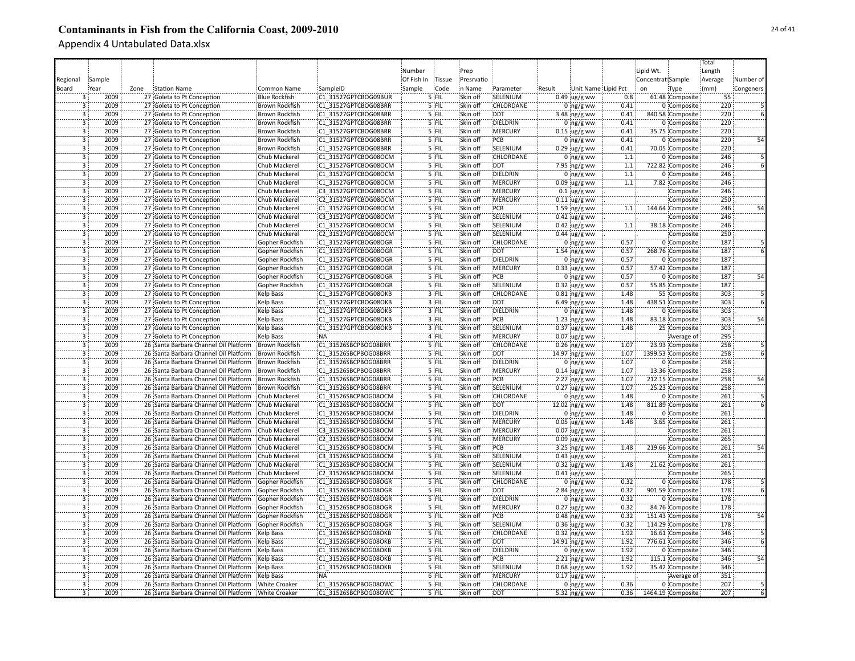|                           |        |      |                                                     |                       |                      |            |         |            |                  |        |                     |                  |                   |                   | Total   |           |
|---------------------------|--------|------|-----------------------------------------------------|-----------------------|----------------------|------------|---------|------------|------------------|--------|---------------------|------------------|-------------------|-------------------|---------|-----------|
|                           |        |      |                                                     |                       |                      | Number     |         | Prep       |                  |        |                     |                  | Lipid Wt.         |                   | Length  |           |
| Regional                  | Sample |      |                                                     |                       |                      | Of Fish In | Tissue  | Presrvatio |                  |        |                     |                  | Concentrat Sample |                   | Average | Number of |
|                           |        |      |                                                     |                       |                      |            |         |            |                  |        |                     |                  |                   |                   |         |           |
| Board                     | Year   | Zone | <b>Station Name</b>                                 | Common Name           | SampleID             | Sample     | Code    | in Name    | Parameter        | Result | Unit Name Lipid Pct |                  | on                | Type              | (mm)    | Congeners |
|                           | 2009   |      | 27 Goleta to Pt Conception                          | <b>Blue Rockfish</b>  | C1 31527GPTCBOG09BUR |            | $5$ FIL | Skin off   | SELENIUM         |        | $0.49$ ug/g ww      | 0.8              |                   | 61.48 Composite   | 55      |           |
| 3                         | 2009   |      | 27 Goleta to Pt Conception                          | <b>Brown Rockfish</b> | C1 31527GPTCBOG08BRR |            | $5$ FIL | Skin off   | CHLORDANE        |        | $0$ ng/g ww         | 0.41             |                   | 0 Composite       | 220     |           |
| $\overline{\overline{3}}$ | 2009   |      | 27 Goleta to Pt Conception                          | <b>Brown Rockfish</b> | C1 31527GPTCBOG08BRR |            | 5 FIL   | Skin off   | <b>DDT</b>       |        | 3.48 $ng/g$ ww      | 0.41             |                   | 840.58 Composite  | 220     |           |
| $\overline{\mathbf{3}}$   | 2009   |      | 27 Goleta to Pt Conception                          | <b>Brown Rockfish</b> | C1 31527GPTCBOG08BRR |            | 5 FIL   | Skin off   | DIELDRIN         |        | 0 $ng/g$ ww         | 0.41             |                   | 0 Composite       | 220     |           |
| 3                         | 2009   |      | 27 Goleta to Pt Conception                          | Brown Rockfish        | C1 31527GPTCBOG08BRR |            | 5 FIL   | Skin off   | MERCURY          |        | $0.15$ ug/g ww      | 0.41             |                   | 35.75 Composite   | 220     |           |
| 3                         | 2009   |      | 27 Goleta to Pt Conception                          | <b>Brown Rockfish</b> | C1 31527GPTCBOG08BRR |            | 5 FIL   | Skin off   | PCB              |        | $0$ ing/g ww        | 0.41             |                   | 0 Composite       | 220     |           |
| $\overline{3}$            | 2009   |      | 27 Goleta to Pt Conception                          | <b>Brown Rockfish</b> | C1 31527GPTCBOG08BRR |            | 5 FIL   | Skin off   | SELENIUM         |        | $0.29$ ug/g ww      | 0.41             |                   | 70.05 Composite   | 220     |           |
| $\overline{3}$            | 2009   |      | 27 Goleta to Pt Conception                          | Chub Mackerel         | C1 31527GPTCBOG08OCM |            | 5 FIL   | Skin off   | <b>CHLORDANE</b> |        | $0$ ing/g ww        | 1.1              |                   | 0 Composite       | 246     |           |
| $\overline{3}$            | 2009   |      | 27 Goleta to Pt Conception                          | Chub Mackerel         | C1 31527GPTCBOG08OCM |            | 5 FIL   | Skin off   | <b>DDT</b>       |        | $7.95$ ng/g ww      | $\overline{1.1}$ |                   | 722.82 Composite  | 246     |           |
| 3                         | 2009   |      | 27 Goleta to Pt Conception                          | Chub Mackerel         | C1 31527GPTCBOG08OCM |            | 5 FIL   | Skin off   | DIELDRIN         |        | $0$ ing/g ww        | 1.1              |                   | 0 Composite       | 246     |           |
| $\overline{3}$            | 2009   |      | 27 Goleta to Pt Conception                          | Chub Mackerel         | C1 31527GPTCBOG08OCM |            | 5 FIL   | Skin off   | <b>MERCURY</b>   |        |                     | 1.1              |                   | 7.82 Composite    | 246     |           |
| $\overline{3}$            | 2009   |      |                                                     |                       |                      |            |         |            |                  |        | $0.09$ ug/g ww      |                  |                   |                   |         |           |
|                           |        |      | 27 Goleta to Pt Conception                          | Chub Mackerel         | C3 31527GPTCBOG08OCM |            | 5 FIL   | Skin off   | <b>MERCURY</b>   |        | $0.1$ ug/g ww       |                  |                   | Composite         | 246     |           |
| $\overline{\mathbf{3}}$   | 2009   |      | 27 Goleta to Pt Conception                          | Chub Mackerel         | C2 31527GPTCBOG08OCM |            | $5$ FIL | Skin off   | <b>MERCURY</b>   |        | $0.11$ ug/g ww      |                  |                   | Composite         | 250     |           |
| $\overline{3}$            | 2009   |      | 27 Goleta to Pt Conception                          | Chub Mackerel         | C1 31527GPTCBOG08OCM |            | 5 FIL   | Skin off   | PCB              |        | $1.59$ ing/g ww     | $1.1\,$          |                   | 144.64 Composite  | 246     | 54        |
| 3                         | 2009   |      | 27 Goleta to Pt Conception                          | Chub Mackerel         | C3 31527GPTCBOG08OCM |            | 5 FIL   | Skin off   | SELENIUM         |        | $0.42$ ug/g ww      |                  |                   | Composite         | 246     |           |
| 3                         | 2009   |      | 27 Goleta to Pt Conception                          | Chub Mackerel         | C1 31527GPTCBOG08OCM |            | '5 FIL  | Skin off   | SELENIUM         |        | $0.42$ ug/g ww      | 1.1              |                   | 38.18 Composite   | 246     |           |
| $\overline{3}$            | 2009   |      | 27 Goleta to Pt Conception                          | Chub Mackerel         | C2 31527GPTCBOG08OCM |            | '5 FIL  | Skin off   | SELENIUM         |        | $0.44$ ug/g ww      |                  |                   | Composite         | 250     |           |
| $\overline{3}$            | 2009   |      | 27 Goleta to Pt Conception                          | Gopher Rockfish       | C1 31527GPTCBOG08OGR |            | 5 FIL   | Skin off   | CHLORDANE        |        | $0$ ing/g ww        | 0.57             |                   | 0 Composite       | 187     |           |
| 3                         | 2009   |      | 27 Goleta to Pt Conception                          | Gopher Rockfish       | C1 31527GPTCBOG08OGR |            | 5 FIL   | Skin off   | <b>DDT</b>       |        | 1.54 ng/g ww        | 0.57             |                   | 268.76 Composite  | 187     |           |
| 3                         | 2009   |      | 27 Goleta to Pt Conception                          | Gopher Rockfish       | C1 31527GPTCBOG08OGR |            | 5 FIL   | Skin off   | DIELDRIN         |        | $0:$ ng/g ww        | 0.57             |                   | 0 Composite       | 187     |           |
| $\overline{\mathbf{3}}$   | 2009   |      | 27 Goleta to Pt Conception                          | Gopher Rockfish       | C1 31527GPTCBOG08OGR |            | 5 FIL   | Skin off   | <b>MERCURY</b>   |        | 0.33 ug/g ww        | 0.57             |                   | 57.42 Composite   | 187     |           |
| $\overline{3}$            | 2009   |      | 27 Goleta to Pt Conception                          | Gopher Rockfish       | C1 31527GPTCBOG08OGR |            | 5 FIL   | Skin off   | :PCB             |        | 0 $ng/g$ ww         | 0.57             |                   | 0 Composite       | 187     | 54        |
| $\overline{3}$            | 2009   |      | 27 Goleta to Pt Conception                          | Gopher Rockfish       | C1 31527GPTCBOG08OGR |            | 5 FIL   | Skin off   | SELENIUM         |        | $0.32$ ug/g ww      | 0.57             |                   | 55.85 Composite   | 187     |           |
| $\overline{3}$            | 2009   |      | 27 Goleta to Pt Conception                          | Kelp Bass             | C1 31527GPTCBOG08OKB |            | $3$ FIL | Skin off   | CHLORDANE        |        | $0.81$ ng/g ww      | 1.48             |                   | 55 Composite      | 303     |           |
| $\overline{3}$            | 2009   |      | 27 Goleta to Pt Conception                          | <b>Kelp Bass</b>      | C1 31527GPTCBOG08OKB |            | 3 FIL   | Skin off   | <b>DDT</b>       |        | 6.49 ng/g ww        | 1.48             |                   | 438.51 Composite  | 303     |           |
| 3                         | 2009   |      | 27 Goleta to Pt Conception                          | Kelp Bass             | C1 31527GPTCBOG08OKB |            | 3 FIL   | Skin off   | DIELDRIN         |        | $0 \log/g$ ww       | 1.48             |                   | 0 Composite       | 303     |           |
| 3                         | 2009   |      |                                                     |                       | C1 31527GPTCBOG08OKB |            |         | Skin off   | PCB              |        |                     | 1.48             |                   |                   | 303     |           |
|                           |        |      | 27 Goleta to Pt Conception                          | Kelp Bass             |                      |            | 3 FIL   |            |                  |        | 1.23 $ng/g$ ww      |                  |                   | 83.18 Composite   |         |           |
| $\overline{3}$            | 2009   |      | 27 Goleta to Pt Conception                          | <b>Kelp Bass</b>      | C1 31527GPTCBOG08OKB |            | 3 FIL   | Skin off   | SELENIUM         |        | $0.37$ ug/g ww      | 1.48             |                   | 25 Composite      | 303     |           |
| $\overline{3}$            | 2009   |      | 27 Goleta to Pt Conception                          | <b>Kelp Bass</b>      | <b>NA</b>            |            | 4 FIL   | Skin off   | <b>MERCURY</b>   |        | $0.07$ ug/g ww      |                  |                   | Average of        | 295     |           |
| $\overline{3}$            | 2009   |      | 26 Santa Barbara Channel Oil Platform               | <b>Brown Rockfish</b> | C1 31526SBCPBOG08BRR |            | 5 FIL   | Skin off   | CHLORDANE        |        | $0.26$ ng/g ww      | 1.07             |                   | 23.93 Composite   | 258     |           |
| 3                         | 2009   |      | 26 Santa Barbara Channel Oil Platform               | <b>Brown Rockfish</b> | C1 31526SBCPBOG08BRR |            | 5 FIL   | Skin off   | <b>DDT</b>       |        | 14.97 ng/g ww       | 1.07             |                   | 1399.53 Composite | 258     |           |
| $\overline{3}$            | 2009   |      | 26 Santa Barbara Channel Oil Platform               | <b>Brown Rockfish</b> | C1 31526SBCPBOG08BRR |            | 5 FIL   | Skin off   | DIELDRIN         |        | $0$ ng/g ww         | 1.07             |                   | 0 Composite       | 258     |           |
| $\overline{3}$            | 2009   |      | 26 Santa Barbara Channel Oil Platform               | <b>Brown Rockfish</b> | C1 31526SBCPBOG08BRR |            | 5 FIL   | Skin off   | <b>MERCURY</b>   |        | $0.14$ ug/g ww      | 1.07             |                   | 13.36 Composite   | 258     |           |
| 3                         | 2009   |      | 26 Santa Barbara Channel Oil Platform               | <b>Brown Rockfish</b> | C1 31526SBCPBOG08BRR |            | 5 FIL   | Skin off   | PCB              |        | $2.27$ ng/g ww      | 1.07             |                   | 212.15 Composite  | 258     | 54        |
| $\overline{3}$            | 2009   |      | 26 Santa Barbara Channel Oil Platform               | Brown Rockfish        | C1 31526SBCPBOG08BRR |            | 5 FIL   | Skin off   | SELENIUM         |        | $0.27$ ug/g ww      | 1.07             |                   | 25.23 Composite   | 258     |           |
| $\overline{3}$            | 2009   |      | 26 Santa Barbara Channel Oil Platform               | Chub Mackerel         | C1 31526SBCPBOG08OCM |            | $5$ FIL | Skin off   | <b>CHLORDANE</b> |        | $0$ ing/g ww        | 1.48             |                   | 0 Composite       | 261     |           |
| $\overline{3}$            | 2009   |      | 26 Santa Barbara Channel Oil Platform               | Chub Mackerel         | C1 31526SBCPBOG08OCM |            | $5$ FIL | Skin off   | DDT              |        | 12.02 ing/g ww      | 1.48             |                   | 811.89 Composite  | 261     |           |
| $\overline{3}$            | 2009   |      | 26 Santa Barbara Channel Oil Platform               | Chub Mackerel         | C1 31526SBCPBOG08OCM |            | 5 FIL   | Skin off   | <b>DIELDRIN</b>  |        | $0$ ing/g ww        | 1.48             |                   | 0 Composite       | 261     |           |
| 3                         | 2009   |      | 26 Santa Barbara Channel Oil Platform               | Chub Mackerel         | C1 31526SBCPBOG08OCM |            | 5 FIL   | Skin off   | <b>MERCURY</b>   |        | $0.05$ ug/g ww      | 1.48             |                   | 3.65 Composite    | 261     |           |
| 3                         | 2009   |      | 26 Santa Barbara Channel Oil Platform               | Chub Mackerel         | C3 31526SBCPBOG08OCM |            | 5 FIL   | Skin off   | MERCURY          |        | $0.07$ ug/g ww      |                  |                   | Composite         | 261     |           |
| 3                         | 2009   |      | 26 Santa Barbara Channel Oil Platform               | Chub Mackerel         | C2 31526SBCPBOG08OCM |            | 's 'fil | Skin off   | MERCURY          |        | $0.09$ ug/g ww      |                  |                   | Composite         | 265     |           |
| 3                         | 2009   |      | 26 Santa Barbara Channel Oil Platform               | Chub Mackerel         | C1 31526SBCPBOG08OCM |            | '5 FIL  | Skin off   | PCB              |        | $3.25$ ng/g ww      | 1.48             |                   | 219.66 Composite  | 261     |           |
| $\overline{3}$            | 2009   |      | 26 Santa Barbara Channel Oil Platform               | Chub Mackerel         | C3 31526SBCPBOG08OCM |            | 5 FIL   | Skin off   | SELENIUM         |        | $0.43$ ug/g ww      |                  |                   | Composite         | 261     |           |
| $\overline{3}$            | 2009   |      | 26 Santa Barbara Channel Oil Platform               | Chub Mackerel         | C1 31526SBCPBOG08OCM |            | 5 FIL   | Skin off   | SELENIUM         |        | $0.32$ ug/g ww      | 1.48             |                   | 21.62 Composite   | 261     |           |
| 3                         | 2009   |      | 26 Santa Barbara Channel Oil Platform               | Chub Mackerel         | C2 31526SBCPBOG08OCM |            | 5 FIL   | Skin off   | SELENIUM         |        | $0.41$ ug/g ww      |                  |                   | Composite         | 265     |           |
| $\overline{3}$            | 2009   |      | 26 Santa Barbara Channel Oil Platform               | Gopher Rockfish       | C1 31526SBCPBOG08OGR |            | 5 FIL   | Skin off   | <b>CHLORDANE</b> |        | 0 $ng/g$ ww         | 0.32             |                   | 0 Composite       | 178     |           |
|                           |        |      |                                                     |                       |                      |            |         |            |                  |        |                     |                  |                   |                   |         |           |
| $\overline{3}$            | 2009   |      | 26 Santa Barbara Channel Oil Platform               | Gopher Rockfish       | C1 31526SBCPBOG08OGR |            | 5 FIL   | Skin off   | <b>DDT</b>       |        | $2.84$ ng/g ww      | 0.32             |                   | 901.59 Composite  | 178     |           |
| $\overline{3}$            | 2009   |      | 26 Santa Barbara Channel Oil Platform               | Gopher Rockfish       | C1 31526SBCPBOG08OGR |            | 5 FIL   | Skin off   | DIELDRIN         |        | $0$ ng/g ww         | 0.32             |                   | 0 Composite       | 178     |           |
| $\overline{3}$            | 2009   |      | 26 Santa Barbara Channel Oil Platform               | Gopher Rockfish       | C1 31526SBCPBOG08OGR |            | 5 FIL   | Skin off   | <b>MERCURY</b>   |        | $0.27$ ug/g ww      | 0.32             |                   | 84.76 Composite   | 178     |           |
| $\overline{3}$            | 2009   |      | 26 Santa Barbara Channel Oil Platform               | Gopher Rockfish       | C1 31526SBCPBOG08OGR |            | 5 FIL   | Skin off   | PCB              |        | $0.48$ ng/g ww      | 0.32             |                   | 151.43 Composite  | 178     | 54        |
| 3                         | 2009   |      | 26 Santa Barbara Channel Oil Platform               | Gopher Rockfish       | C1 31526SBCPBOG08OGR |            | 5 FIL   | Skin off   | SELENIUM         |        | $0.36$ ug/g ww      | 0.32             |                   | 114.29 Composite  | 178     |           |
| $\overline{3}$            | 2009   |      | 26 Santa Barbara Channel Oil Platform               | Kelp Bass             | C1 31526SBCPBOG08OKB |            | 5 FIL   | Skin off   | CHLORDANE        |        | $0.32$ ng/g ww      | 1.92             |                   | 16.61 Composite   | 346     |           |
| $\overline{3}$            | 2009   |      | 26 Santa Barbara Channel Oil Platform               | <b>Kelp Bass</b>      | C1 31526SBCPBOG08OKB |            | 5 FIL   | Skin off   | <b>DDT</b>       |        | 14.91 ng/g ww       | 1.92             |                   | 776.61 Composite  | 346     |           |
| 3                         | 2009   |      | 26 Santa Barbara Channel Oil Platform               | Kelp Bass             | C1 31526SBCPBOG08OKB |            | 5 FIL   | Skin off   | DIELDRIN         |        | $0$ ng/g ww         | 1.92             |                   | 0 Composite       | 346     |           |
| 3                         | 2009   |      | 26 Santa Barbara Channel Oil Platform               | <b>Kelp Bass</b>      | C1 31526SBCPBOG08OKB |            | 5 FIL   | Skin off   | PCB              |        | $2.21$ ng/g ww      | 1.92             |                   | 115.1 Composite   | 346     | 54        |
| 3                         | 2009   |      | 26 Santa Barbara Channel Oil Platform               | <b>Kelp Bass</b>      | C1 31526SBCPBOG08OKB |            | 5 FIL   | Skin off   | SELENIUM         |        | $0.68$ ug/g ww      | 1.92             |                   | 35.42 Composite   | 346     |           |
| 3                         | 2009   |      | 26 Santa Barbara Channel Oil Platform               | <b>Kelp Bass</b>      | <b>NA</b>            |            | 6 FIL   | Skin off   | <b>MERCURY</b>   |        | $0.17$ ug/g ww      |                  |                   | Average of        | 351     |           |
| $\overline{3}$            | 2009   |      | 26 Santa Barbara Channel Oil Platform               | <b>White Croaker</b>  | C1 31526SBCPBOG08OWC |            | 5 FIL   | Skin off   | <b>CHLORDANE</b> |        | $0$ ing/g ww        | 0.36             |                   | 0 Composite       | 207     |           |
| $\overline{3}$            | 2009   |      | 26 Santa Barbara Channel Oil Platform White Croaker |                       | C1 31526SBCPBOG08OWC |            | 5 FIL   | Skin off   | <b>DDT</b>       |        | 5.32 ng/g ww        | 0.36:            |                   | 1464.19 Composite | 207     |           |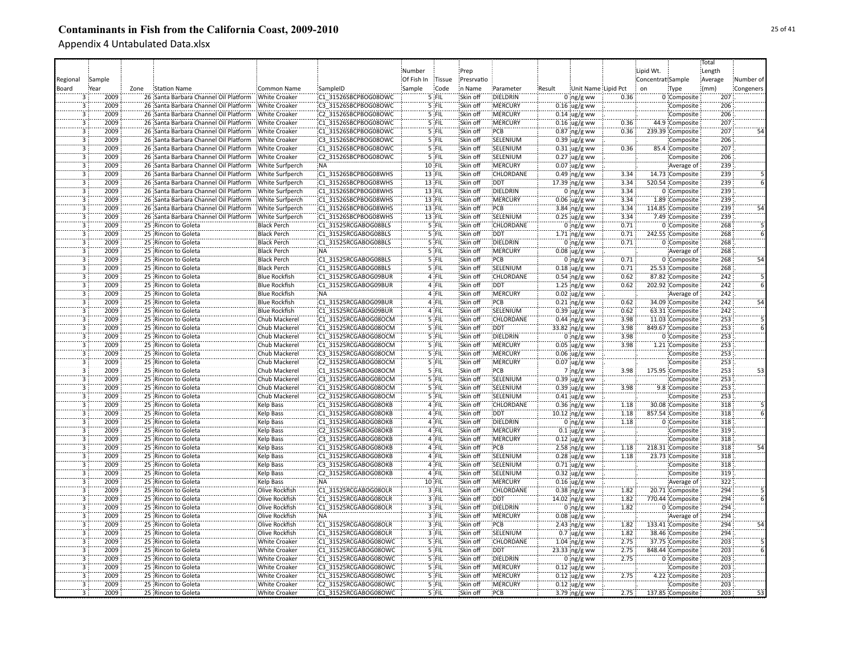|                         |        |      |                                       |                        |                      |            |          |            |                  |        |                     |      |                   |                  | Total   |           |
|-------------------------|--------|------|---------------------------------------|------------------------|----------------------|------------|----------|------------|------------------|--------|---------------------|------|-------------------|------------------|---------|-----------|
|                         |        |      |                                       |                        |                      | Number     |          | Prep       |                  |        |                     |      | Lipid Wt.         |                  | Length  |           |
| Regional                | Sample |      |                                       |                        |                      | Of Fish In | Tissue   | Presrvatio |                  |        |                     |      | Concentrat Sample |                  | Average | Number of |
| Board                   | Year   | Zone | Station Name                          | Common Name            | SampleID             | Sample     | Code     | in Name    | Parameter        | Result | Unit Name Lipid Pct |      | on                | Type             | (mm)    | Congeners |
| 3                       | 2009   |      | 26 Santa Barbara Channel Oil Platform | <b>White Croaker</b>   | C1 31526SBCPBOG08OWC |            | 5 FIL    | Skin off   | DIELDRIN         |        | $0$ ng/g ww         | 0.36 |                   | 0 Composite      | 207     |           |
|                         | 2009   |      | 26 Santa Barbara Channel Oil Platform | <b>White Croaker</b>   | C3 31526SBCPBOG08OWC |            | 5 FIL    | Skin off   | :MERCURY         |        | $0.16$ ug/g ww      |      |                   | Composite        | 206     |           |
| $\overline{3}$          | 2009   |      | 26 Santa Barbara Channel Oil Platform | <b>White Croaker</b>   | C2 31526SBCPBOG08OWC |            | 5 FIL    | Skin off   | <b>MERCURY</b>   |        | $0.14$ ug/g ww      |      |                   | Composite        | 206     |           |
| 3                       | 2009   |      | 26 Santa Barbara Channel Oil Platform | <b>White Croaker</b>   | C1 31526SBCPBOG08OWC |            | 5 FIL    | Skin off   | <b>MERCURY</b>   |        |                     | 0.36 |                   | 44.9 Composite   | 207     |           |
|                         |        |      |                                       |                        |                      |            |          |            | PCB              |        | $0.16$ ug/g ww      |      |                   |                  | 207     |           |
| 3<br>3                  | 2009   |      | 26 Santa Barbara Channel Oil Platform | <b>White Croaker</b>   | C1 31526SBCPBOG08OWC |            | 5 FIL    | Skin off   |                  |        | $0.87$ ng/g ww      | 0.36 |                   | 239.39 Composite |         |           |
|                         | 2009   |      | 26 Santa Barbara Channel Oil Platform | <b>White Croaker</b>   | C3 31526SBCPBOG08OWC |            | 5 FIL    | Skin off   | SELENIUM         |        | $0.39$ ug/g ww      |      |                   | Composite        | 206     |           |
| 3                       | 2009   |      | 26 Santa Barbara Channel Oil Platform | <b>White Croaker</b>   | C1 31526SBCPBOG08OWC |            | 5 FIL    | Skin off   | SELENIUM         |        | $0.31$ ug/g ww      | 0.36 |                   | 85.4 Composite   | 207     |           |
| $\overline{3}$          | 2009   |      | 26 Santa Barbara Channel Oil Platform | <b>White Croaker</b>   | C2 31526SBCPBOG08OWC |            | 5 FIL    | Skin off   | SELENIUM         |        | $0.27$ ug/g ww      |      |                   | Composite        | 206     |           |
| $\overline{3}$          | 2009   |      | 26 Santa Barbara Channel Oil Platform | White Surfperch        | <b>NA</b>            |            | 10 FIL   | Skin off   | <b>MERCURY</b>   |        | $0.07$ ug/g ww      |      |                   | Average of       | 239     |           |
| $\overline{3}$          | 2009   |      | 26 Santa Barbara Channel Oil Platform | White Surfperch        | C1 31526SBCPBOG08WHS |            | $13$ FIL | Skin off   | CHLORDANE        |        | 0.49 ng/g ww        | 3.34 |                   | 14.73 Composite  | 239     |           |
| $\overline{\mathbf{3}}$ | 2009   |      | 26 Santa Barbara Channel Oil Platform | <b>White Surfperch</b> | C1 31526SBCPBOG08WHS |            | $13$ FIL | Skin off   | <b>DDT</b>       |        | 17.39 ng/g ww       | 3.34 |                   | 520.54 Composite | 239     |           |
| $\overline{3}$          | 2009   |      | 26 Santa Barbara Channel Oil Platform | <b>White Surfperch</b> | C1 31526SBCPBOG08WHS |            | $13$ FIL | Skin off   | <b>DIELDRIN</b>  |        | 0 $ng/g$ ww         | 3.34 |                   | 0 Composite      | 239     |           |
| $\overline{3}$          | 2009   |      | 26 Santa Barbara Channel Oil Platform | White Surfperch        | C1 31526SBCPBOG08WHS |            | $13$ FIL | Skin off   | <b>MERCURY</b>   |        | $0.06$ ug/g ww      | 3.34 |                   | 1.89 Composite   | 239     |           |
| 3                       | 2009   |      | 26 Santa Barbara Channel Oil Platform | <b>White Surfperch</b> | C1 31526SBCPBOG08WHS |            | 13 FIL   | Skin off   | PCB              |        | 3.84 $ng/g$ ww      | 3.34 |                   | 114.85 Composite | 239     | 54        |
| 3                       | 2009   |      | 26 Santa Barbara Channel Oil Platform | <b>White Surfperch</b> | C1 31526SBCPBOG08WHS |            | 13 FIL   | Skin off   | SELENIUM         |        | $0.25$ ug/g ww      | 3.34 |                   | 7.49 Composite   | 239     |           |
| 3                       | 2009   |      | 25 Rincon to Goleta                   | <b>Black Perch</b>     | C1 31525RCGABOG08BLS |            | '5 FIL   | Skin off   | CHLORDANE        |        | $0$ ing/g ww        | 0.71 |                   | 0 Composite      | 268     |           |
| 3                       | 2009   |      | 25 Rincon to Goleta                   | <b>Black Perch</b>     | C1 31525RCGABOG08BLS |            | 5 FIL    | Skin off   | :DDT             |        | $1.71$ ng/g ww      | 0.71 |                   | 242.55 Composite | 268     |           |
|                         | 2009   |      | 25 Rincon to Goleta                   | <b>Black Perch</b>     | C1 31525RCGABOG08BLS |            | 5 FIL    | Skin off   | DIELDRIN         |        | $0$ ng/g ww         | 0.71 |                   | 0 Composite      | 268     |           |
| $\overline{3}$          | 2009   |      | 25 Rincon to Goleta                   | <b>Black Perch</b>     | NA:                  |            | 5 FIL    | Skin off   | MERCURY          |        | $0.08$ ug/g ww      |      |                   | Average of       | 268     |           |
| $\overline{3}$          | 2009   |      | 25 Rincon to Goleta                   | <b>Black Perch</b>     | C1 31525RCGABOG08BLS |            | $5$ FIL  | Skin off   | PCB              |        | $0:$ ng/g ww        | 0.71 |                   | 0 Composite      | 268     | 54        |
| $\overline{3}$          | 2009   |      | 25 Rincon to Goleta                   | <b>Black Perch</b>     | C1 31525RCGABOG08BLS |            | 5 FIL    | Skin off   | SELENIUM         |        | $0.18$ ug/g ww      | 0.71 |                   | 25.53 Composite  | 268     |           |
| $\overline{3}$          | 2009   |      | 25 Rincon to Goleta                   | <b>Blue Rockfish</b>   | C1 31525RCGABOG09BUR |            | 4 FIL    | Skin off   | <b>CHLORDANE</b> |        | $0.54$ ng/g ww      | 0.62 |                   | 87.82 Composite  | 242     |           |
| 3                       | 2009   |      | 25 Rincon to Goleta                   | <b>Blue Rockfish</b>   | C1 31525RCGABOG09BUR |            | 4 FIL    | Skin off   | <b>DDT</b>       |        | $1.25$ ng/g ww      | 0.62 |                   | 202.92 Composite | 242     |           |
| $\overline{3}$          | 2009   |      | 25 Rincon to Goleta                   | <b>Blue Rockfish</b>   | <b>NA</b>            |            | 4 FIL    | Skin off   | :MERCURY         |        | $0.02 \,$ ug/g ww   |      |                   | Average of       | 242     |           |
| $\overline{3}$          | 2009   |      | 25 Rincon to Goleta                   | <b>Blue Rockfish</b>   | C1 31525RCGABOG09BUR |            | 4 FIL    | Skin off   | PCB              |        | $0.21$ ing/g ww     | 0.62 |                   | 34.09 Composite  | 242     | 54        |
| 3                       | 2009   |      | 25 Rincon to Goleta                   | <b>Blue Rockfish</b>   | C1 31525RCGABOG09BUR |            | 4 FIL    | Skin off   | SELENIUM         |        | 0.39 ug/g ww        | 0.62 |                   | 63.31 Composite  | 242     |           |
| 3                       | 2009   |      | 25 Rincon to Goleta                   | Chub Mackerel          | C1 31525RCGABOG08OCM |            | 5 FIL    | Skin off   | CHLORDANE        |        | $0.44$ ng/g ww      | 3.98 |                   | 11.03 Composite  | 253     |           |
| 3                       | 2009   |      | 25 Rincon to Goleta                   |                        | C1 31525RCGABOG08OCM |            | 5 FIL    | Skin off   | <b>DDT</b>       |        |                     | 3.98 |                   | 849.67 Composite | 253     |           |
| $\overline{3}$          | 2009   |      |                                       | Chub Mackerel          |                      |            | 5 FIL    | Skin off   | DIELDRIN         |        | 33.82 ng/g ww       | 3.98 |                   |                  | 253     |           |
|                         |        |      | 25 Rincon to Goleta                   | Chub Mackerel          | C1 31525RCGABOG08OCM |            | 5 FIL    |            |                  |        | $0$ ng/g ww         |      |                   | 0 Composite      |         |           |
| 3<br>3                  | 2009   |      | 25 Rincon to Goleta                   | <b>Chub Mackerel</b>   | C1 31525RCGABOG08OCM |            |          | Skin off   | MERCURY          |        | $0.05$ ug/g ww      | 3.98 |                   | 1.21 Composite   | 253     |           |
|                         | 2009   |      | 25 Rincon to Goleta                   | Chub Mackerel          | C3 31525RCGABOG08OCM |            | 5 FIL    | Skin off   | MERCURY          |        | $0.06$ ug/g ww      |      |                   | Composite        | 253     |           |
| 3                       | 2009   |      | 25 Rincon to Goleta                   | Chub Mackerel          | C2 31525RCGABOG08OCM |            | 5 FIL    | Skin off   | <b>MERCURY</b>   |        | $0.07$ ug/g ww      |      |                   | Composite        | 253     |           |
| $\overline{3}$          | 2009   |      | 25 Rincon to Goleta                   | Chub Mackerel          | C1 31525RCGABOG08OCM |            | 5 FIL    | Skin off   | PCB              |        | 7 ng/g ww           | 3.98 |                   | 175.95 Composite | 253     | 53        |
| $\overline{3}$          | 2009   |      | 25 Rincon to Goleta                   | Chub Mackerel          | C3 31525RCGABOG08OCM |            | 5 FIL    | Skin off   | SELENIUM         |        | $0.39$ ug/g ww      |      |                   | Composite        | 253     |           |
| $\overline{3}$          | 2009   |      | 25 Rincon to Goleta                   | Chub Mackerel          | C1 31525RCGABOG08OCM |            | 5 FIL    | Skin off   | SELENIUM         |        | $0.39$ ug/g ww      | 3.98 |                   | 9.8 Composite    | 253     |           |
| $\overline{3}$          | 2009   |      | 25 Rincon to Goleta                   | Chub Mackerel          | C2 31525RCGABOG08OCM |            | 5 FIL    | Skin off   | SELENIUM         |        | $0.41$ ug/g ww      |      |                   | Composite        | 253     |           |
| $\overline{3}$          | 2009   |      | 25 Rincon to Goleta                   | <b>Kelp Bass</b>       | C1 31525RCGABOG08OKB |            | 4 FIL    | Skin off   | <b>CHLORDANE</b> |        | $0.36$ ng/g ww      | 1.18 |                   | 30.08 Composite  | 318     |           |
| 3                       | 2009   |      | 25 Rincon to Goleta                   | Kelp Bass              | C1 31525RCGABOG08OKB |            | 4 FIL    | Skin off   | <b>DDT</b>       |        | 10.12 ng/g ww       | 1.18 |                   | 857.54 Composite | 318     |           |
| $\overline{3}$          | 2009   |      | 25 Rincon to Goleta                   | <b>Kelp Bass</b>       | C1 31525RCGABOG08OKB |            | 4 FIL    | Skin off   | DIELDRIN         |        | $0:$ ng/g ww        | 1.18 |                   | 0 Composite      | 318     |           |
| 3                       | 2009   |      | 25 Rincon to Goleta                   | Kelp Bass              | C2 31525RCGABOG08OKB |            | 4 FIL    | Skin off   | MERCURY          |        | $0.1$ ug/g ww       |      |                   | Composite        | 319     |           |
| 3                       | 2009   |      | 25 Rincon to Goleta                   | Kelp Bass              | C3 31525RCGABOG08OKB |            | 4 FIL    | Skin off   | MERCURY          |        | $0.12$ ug/g ww      |      |                   | Composite        | 318     |           |
| 3                       | 2009   |      | 25 Rincon to Goleta                   | Kelp Bass              | C1 31525RCGABOG08OKB |            | 4 FIL    | Skin off   | PCB              |        | $2.58$ ing/g ww     | 1.18 |                   | 218.31 Composite | 318     | 54        |
| $\overline{\mathbf{3}}$ | 2009   |      | 25 Rincon to Goleta                   | Kelp Bass              | C1 31525RCGABOG08OKB |            | 4 FIL    | Skin off   | SELENIUM         |        | $0.28$ ug/g ww      | 1.18 |                   | 23.73 Composite  | 318     |           |
| $\overline{3}$          | 2009   |      | 25 Rincon to Goleta                   | <b>Kelp Bass</b>       | C3 31525RCGABOG08OKB |            | 4 FIL    | Skin off   | SELENIUM         |        | $0.71$ ug/g ww      |      |                   | Composite        | 318     |           |
| $\overline{3}$          | 2009   |      | 25 Rincon to Goleta                   | <b>Kelp Bass</b>       | C2 31525RCGABOG08OKB |            | 4 FIL    | Skin off   | SELENIUM         |        | $0.32$ iug/g ww     |      |                   | Composite        | 319     |           |
| $\overline{3}$          | 2009   |      | 25 Rincon to Goleta                   | <b>Kelp Bass</b>       | NA:                  |            | 10 FIL   | Skin off   | :MERCURY         |        | $0.16$ ug/g ww      |      |                   | Average of       | 322     |           |
| $\overline{3}$          | 2009   |      | 25 Rincon to Goleta                   | Olive Rockfish         | C1 31525RCGABOG08OLR |            | 3 FIL    | Skin off   | <b>CHLORDANE</b> |        | $0.38$ ng/g ww      | 1.82 |                   | 20.71 Composite  | 294     |           |
| $\overline{3}$          | 2009   |      | 25 Rincon to Goleta                   | <b>Olive Rockfish</b>  | C1 31525RCGABOG08OLR |            | $3$ FIL  | Skin off   | <b>DDT</b>       |        | 14.02 ing/g ww      | 1.82 |                   | 770.44 Composite | 294     |           |
| $\overline{3}$          | 2009   |      | 25 Rincon to Goleta                   | Olive Rockfish         | C1 31525RCGABOG08OLR |            | 3 FIL    | Skin off   | DIELDRIN         |        | 0 $ng/g$ ww         | 1.82 |                   | 0 Composite      | 294     |           |
| $\overline{3}$          | 2009   |      | 25 Rincon to Goleta                   | Olive Rockfish         | <b>NA</b>            |            | 3 FIL    | Skin off   | :MERCURY         |        | $0.08$ ug/g ww      |      |                   | Average of       | 294     |           |
| $\overline{3}$          | 2009   |      | 25 Rincon to Goleta                   | Olive Rockfish         | C1 31525RCGABOG08OLR |            | $3$ FIL  | Skin off   | PCB              |        | 2.43 ng/g ww        | 1.82 |                   | 133.41 Composite | 294     | 54        |
| 3 <sup>o</sup>          | 2009   |      | 25 Rincon to Goleta                   | Olive Rockfish         | C1 31525RCGABOG08OLR |            | 3 FIL    | Skin off   | SELENIUM         |        | $0.7$ ug/g ww       | 1.82 |                   | 38.46 Composite  | 294     |           |
| 3                       | 2009   |      | 25 Rincon to Goleta                   | <b>White Croaker</b>   | C1 31525RCGABOG08OWC |            | 5 FIL    | Skin off   | CHLORDANE        |        | $1.04$ ng/g ww      | 2.75 |                   | 37.75 Composite  | 203     |           |
| 3                       | 2009   |      | 25 Rincon to Goleta                   | <b>White Croaker</b>   | C1 31525RCGABOG08OWC |            | 5 FIL    | Skin off   | <b>DDT</b>       |        | 23.33 ng/g ww       | 2.75 |                   | 848.44 Composite | 203     |           |
| 3                       | 2009   |      | 25 Rincon to Goleta                   | <b>White Croaker</b>   | C1 31525RCGABOG08OWC |            | 5 FIL    | Skin off   | DIELDRIN         |        | $0$ ing/g ww        | 2.75 |                   | 0 Composite      | 203     |           |
| 3                       | 2009   |      | 25 Rincon to Goleta                   | <b>White Croaker</b>   | C3 31525RCGABOG08OWC |            | 5 FIL    | Skin off   | <b>MERCURY</b>   |        | $0.12$ ug/g ww      |      |                   | Composite        | 203     |           |
| 3                       | 2009   |      | 25 Rincon to Goleta                   | <b>White Croaker</b>   | C1 31525RCGABOG08OWC |            | 5 FIL    | Skin off   | <b>MERCURY</b>   |        | $0.12$ ug/g ww      | 2.75 |                   | 4.22 Composite   | 203     |           |
| $\overline{3}$          | 2009   |      | 25 Rincon to Goleta                   |                        | C2 31525RCGABOG08OWC |            | 5 FIL    | Skin off   | <b>MERCURY</b>   |        |                     |      |                   |                  | 203     |           |
|                         |        |      |                                       | <b>White Croaker</b>   |                      |            |          |            |                  |        | $0.12$ ug/g ww      |      |                   | Composite        |         |           |
| 3                       | 2009   |      | 25 Rincon to Goleta                   | <b>White Croaker</b>   | C1 31525RCGABOG08OWC |            | 5 FIL    | Skin off   | PCB              |        | 3.79 ng/g ww        | 2.75 |                   | 137.85 Composite | 203     | 53        |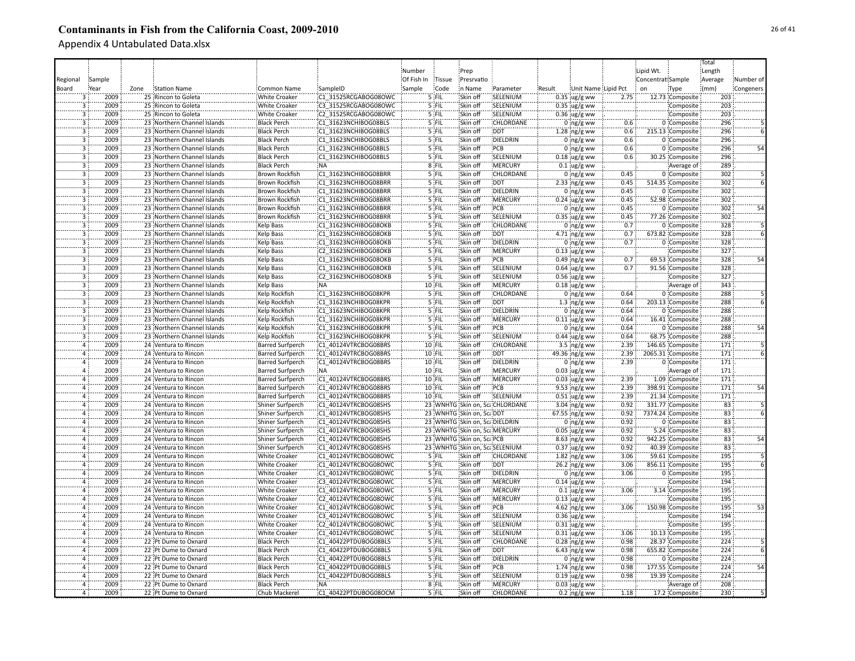|                |        |      |                             |                         |                      |            |               |                                |                                |        |                         |      |                   |                   | Total           |           |
|----------------|--------|------|-----------------------------|-------------------------|----------------------|------------|---------------|--------------------------------|--------------------------------|--------|-------------------------|------|-------------------|-------------------|-----------------|-----------|
|                |        |      |                             |                         |                      | Number     |               | Prep                           |                                |        |                         |      | Lipid Wt.         |                   | Length          |           |
| Regional       | Sample |      |                             |                         |                      | Of Fish In | <b>Tissue</b> | Presrvatio                     |                                |        |                         |      | Concentrat Sample |                   | Average         | Number of |
| Board          | Year   | Zone | <b>Station Name</b>         | Common Name             | SampleID             | Sample     | Code          | in Name                        | Parameter                      | Result | Unit Name Lipid Pct     |      | on                | Type              | (mm)            | Congeners |
|                | 2009   |      | 25 Rincon to Goleta         | <b>White Croaker</b>    | C1 31525RCGABOG08OWC |            | 5 FIL         | Skin off                       | SELENIUM                       |        | $0.35$ ug/g ww          | 2.75 |                   | 12.73 Composite   | 203             |           |
|                | 2009   |      |                             |                         | C3 31525RCGABOG08OWC |            | 5 FIL         | Skin off                       | SELENIUM                       |        |                         |      |                   |                   | 203             |           |
|                | 2009   |      | 25 Rincon to Goleta         | White Croaker           |                      |            |               | Skin off                       | SELENIUM                       |        | $0.35$ ug/g ww          |      |                   | Composite         | 203             |           |
| 3              |        |      | 25 Rincon to Goleta         | <b>White Croaker</b>    | C2 31525RCGABOG08OWC |            | 5 FIL         |                                |                                |        | $0.36$ ug/g ww          |      |                   | Composite         |                 |           |
| $\overline{3}$ | 2009   |      | 23 Northern Channel Islands | <b>Black Perch</b>      | C1 31623NCHIBOG08BLS |            | 5 FIL         | Skin off                       | CHLORDANE                      |        | $0 \log/g$ ww           | 0.6  |                   | 0 Composite       | 296             |           |
| $\overline{3}$ | 2009   |      | 23 Northern Channel Islands | <b>Black Perch</b>      | C1 31623NCHIBOG08BLS |            | 5 FIL         | Skin off                       | <b>DDT</b>                     |        | $1.28$ ng/g ww          | 0.6  |                   | 215.13 Composite  | 296             |           |
| 3              | 2009   |      | 23 Northern Channel Islands | <b>Black Perch</b>      | C1 31623NCHIBOG08BLS |            | 5 FIL         | Skin off                       | DIELDRIN                       |        | $0$ ing/g ww            | 0.6  |                   | 0 Composite       | 296             |           |
| $\overline{3}$ | 2009   |      | 23 Northern Channel Islands | <b>Black Perch</b>      | C1 31623NCHIBOG08BLS |            | 5 FIL         | Skin off                       | PCB                            |        | $0$ ng/g ww             | 0.6  |                   | 0 Composite       | 296             | 54        |
| $\overline{3}$ | 2009   |      | 23 Northern Channel Islands | <b>Black Perch</b>      | C1 31623NCHIBOG08BLS |            | 5 FIL         | Skin off                       | SELENIUM                       |        | $0.18$ ug/g ww          | 0.6  |                   | 30.25 Composite   | 296             |           |
| $\overline{3}$ | 2009   |      | 23 Northern Channel Islands | <b>Black Perch</b>      | :NA                  |            | 8 FIL         | Skin off                       | MERCURY                        |        | $0.1 \,$ ug/g ww        |      |                   | Average of        | 289             |           |
| 3              | 2009   |      | 23 Northern Channel Islands | Brown Rockfish          | C1 31623NCHIBOG08BRR |            | 5 FIL         | Skin off                       | CHLORDANE                      |        | $0 \log/g$ ww           | 0.45 |                   | 0 Composite       | 302             |           |
| $\mathbf{3}$   | 2009   |      | 23 Northern Channel Islands | <b>Brown Rockfish</b>   | C1 31623NCHIBOG08BRR |            | 5 FIL         | Skin off                       | <b>DDT</b>                     |        | 2.33 $ng/g$ ww          | 0.45 |                   | 514.35 Composite  | 302             |           |
| $\overline{3}$ | 2009   |      | 23 Northern Channel Islands | <b>Brown Rockfish</b>   | C1 31623NCHIBOG08BRR |            | 5 FIL         | Skin off                       | <b>DIELDRIN</b>                |        | $0$ ing/g ww            | 0.45 |                   | 0 Composite       | 302             |           |
| $\overline{3}$ | 2009   |      | 23 Northern Channel Islands | <b>Brown Rockfish</b>   | C1 31623NCHIBOG08BRR |            | $5$ FIL       | Skin off                       | <b>MERCURY</b>                 |        | $0.24$ ug/g ww          | 0.45 |                   | 52.98 Composite   | 302             |           |
| $\overline{3}$ | 2009   |      | 23 Northern Channel Islands | <b>Brown Rockfish</b>   | C1 31623NCHIBOG08BRR |            | 5 FIL         | Skin off                       | PCB                            |        | $0$ ing/g ww            | 0.45 |                   | 0 Composite       | 302             | 54        |
| 3              | 2009   |      | 23 Northern Channel Islands | <b>Brown Rockfish</b>   | C1 31623NCHIBOG08BRR |            | 5 FIL         | Skin off                       | SELENIUM                       |        | $0.35$ ug/g ww          | 0.45 |                   | 77.26 Composite   | 302             |           |
|                | 2009   |      | 23 Northern Channel Islands | Kelp Bass               | C1 31623NCHIBOG08OKB |            | 5 FIL         | Skin off                       | CHLORDANE                      |        | $0$ ing/g ww            | 0.7  |                   | 0 Composite       | 328             |           |
|                | 2009   |      | 23 Northern Channel Islands | <b>Kelp Bass</b>        | C1 31623NCHIBOG08OKB |            | '5 FIL        | Skin off                       | <b>DDT</b>                     |        | 4.71 ng/g ww            | 0.7  |                   | 673.82 Composite  | 328             |           |
|                | 2009   |      | 23 Northern Channel Islands |                         |                      |            | 5 FIL         | Skin off                       | DIELDRIN                       |        |                         | 0.7  |                   |                   | 328             |           |
|                |        |      |                             | Kelp Bass               | C1 31623NCHIBOG08OKB |            |               |                                |                                |        | $0$ ing/g ww            |      |                   | 0 Composite       |                 |           |
| 3              | 2009   |      | 23 Northern Channel Islands | <b>Kelp Bass</b>        | C2 31623NCHIBOG08OKB |            | 5 FIL         | Skin off                       | MERCURY                        |        | $0.13$ ug/g ww          |      |                   | Composite         | 327             |           |
| 3              | 2009   |      | 23 Northern Channel Islands | Kelp Bass               | C1 31623NCHIBOG08OKB |            | 5 FIL         | Skin off                       | PCB                            |        | $0.49$ ng/g ww          | 0.7  |                   | 69.53 Composite   | 328             | 54        |
| $\overline{3}$ | 2009   |      | 23 Northern Channel Islands | <b>Kelp Bass</b>        | C1 31623NCHIBOG08OKB |            | 5 FIL         | Skin off                       | SELENIUM                       |        | $0.64$ ug/g ww          | 0.7  |                   | 91.56 Composite   | 328             |           |
| $\overline{3}$ | 2009   |      | 23 Northern Channel Islands | <b>Kelp Bass</b>        | C2 31623NCHIBOG08OKB |            | 5 FIL         | Skin off                       | SELENIUM                       |        | $0.56 \,$ ug/g ww       |      |                   | Composite         | 327             |           |
| $\overline{3}$ | 2009   |      | 23 Northern Channel Islands | <b>Kelp Bass</b>        | <b>NA</b>            |            | 10 FIL        | Skin off                       | <b>MERCURY</b>                 |        | $0.18 \,$ ug/g ww       |      |                   | Average of        | 343             |           |
| $\overline{3}$ | 2009   |      | 23 Northern Channel Islands | Kelp Rockfish           | C1 31623NCHIBOG08KPR |            | 5 FIL         | Skin off                       | CHLORDANE                      |        | $0$ ng/g ww             | 0.64 |                   | 0 Composite       | 288             |           |
| $\overline{3}$ | 2009   |      | 23 Northern Channel Islands | Kelp Rockfish           | C1 31623NCHIBOG08KPR |            | 5 FIL         | Skin off                       | <b>DDT</b>                     |        | $1.3$ ng/g ww           | 0.64 |                   | 203.13 Composite  | 288             |           |
| $\overline{3}$ | 2009   |      | 23 Northern Channel Islands | Kelp Rockfish           | C1 31623NCHIBOG08KPR |            | 5 FIL         | Skin off                       | DIELDRIN                       |        | $0$ ing/g ww            | 0.64 |                   | 0 Composite       | 288             |           |
|                | 2009   |      | 23 Northern Channel Islands | Kelp Rockfish           | C1 31623NCHIBOG08KPR |            | 5 FIL         | Skin off                       | MERCURY                        |        | $0.11$ ug/g ww          | 0.64 |                   | 16.41 Composite   | 288             |           |
|                | 2009   |      | 23 Northern Channel Islands | Kelp Rockfish           | C1 31623NCHIBOG08KPR |            | 5 FIL         | Skin off                       | PCB                            |        | $0$ ng/g ww             | 0.64 |                   | 0 Composite       | 288             | 54        |
|                | 2009   |      | 23 Northern Channel Islands | Kelp Rockfish           | C1 31623NCHIBOG08KPR |            | 5 FIL         | Skin off                       | SELENIUM                       |        | $0.44$ ug/g ww          | 0.64 |                   | 68.75 Composite   | 288             |           |
|                | 2009   |      | 24 Ventura to Rincon        | <b>Barred Surfperch</b> | C1 40124VTRCBOG08BRS |            | 10 FIL        | Skin of                        | CHLORDANE                      |        | 3.5 $ng/g$ ww           | 2.39 |                   | 146.65 Composite  | 171             |           |
| Ä              | 2009   |      | 24 Ventura to Rincon        | <b>Barred Surfperch</b> | C1 40124VTRCBOG08BRS |            | 10 FIL        | Skin off                       | <b>DDT</b>                     |        |                         | 2.39 |                   | 2065.31 Composite | 171             |           |
| Ä              | 2009   |      |                             |                         |                      |            |               |                                | <b>DIELDRIN</b>                |        | 49.36 ng/g ww           |      |                   |                   |                 |           |
|                |        |      | 24 Ventura to Rincon        | <b>Barred Surfperch</b> | C1 40124VTRCBOG08BRS |            | 10 FIL        | Skin off                       |                                |        | $0$ ing/g ww            | 2.39 |                   | 0 Composite       | 171             |           |
| $\overline{4}$ | 2009   |      | 24 Ventura to Rincon        | <b>Barred Surfperch</b> | <b>NA</b>            |            | 10 FIL        | Skin off                       | <b>MERCURY</b>                 |        | $0.03$ ug/g ww          |      |                   | Average of        | 171             |           |
| $\overline{4}$ | 2009   |      | 24 Ventura to Rincon        | <b>Barred Surfperch</b> | C1 40124VTRCBOG08BRS |            | 10 FIL        | Skin off                       | <b>MERCURY</b>                 |        | $0.03$ ug/g ww          | 2.39 |                   | 1.09 Composite    | 171             |           |
|                | 2009   |      | 24 Ventura to Rincon        | <b>Barred Surfperch</b> | C1 40124VTRCBOG08BRS |            | 10 FIL        | Skin off                       | PCB                            |        | 9.53 ng/g ww            | 2.39 |                   | 398.91 Composite  | 171             | 54        |
| $\overline{4}$ | 2009   |      | 24 Ventura to Rincon        | <b>Barred Surfperch</b> | C1 40124VTRCBOG08BRS |            | 10 FIL        | Skin off                       | SELENIUM                       |        | $0.51 \,$ ug/g ww       | 2.39 |                   | 21.34 Composite   | 171             |           |
| $\overline{a}$ | 2009   |      | 24 Ventura to Rincon        | Shiner Surfperch        | C1 40124VTRCBOG08SHS |            |               |                                | 23 WNHTG Skin on, ScaCHLORDANE |        | 3.04 ng/g ww            | 0.92 |                   | 331.77 Composite  | 83              |           |
| 4              | 2009   |      | 24 Ventura to Rincon        | Shiner Surfperch        | C1 40124VTRCBOG08SHS |            |               | 23 WNHTG Skin on, ScalDDT      |                                |        | 67.55 ng/g ww           | 0.92 |                   | 7374.24 Composite | 83              |           |
| $\overline{4}$ | 2009   |      | 24 Ventura to Rincon        | Shiner Surfperch        | C1 40124VTRCBOG08SHS |            |               | 23 WNHTG Skin on, Sca DIELDRIN |                                |        | $0:$ ng/g ww            | 0.92 |                   | 0 Composite       | 83              |           |
|                | 2009   |      | 24 Ventura to Rincon        | Shiner Surfperch        | C1 40124VTRCBOG08SHS |            |               | 23 WNHTG Skin on, Sca MERCURY  |                                |        | $0.05$ ug/g ww          | 0.92 |                   | 5.24 Composite    | 83              |           |
|                | 2009   |      | 24 Ventura to Rincon        | Shiner Surfperch        | C1 40124VTRCBOG08SHS |            |               | 23 WNHTG Skin on, ScaPCB       |                                |        | $8.63$ ng/g ww          | 0.92 |                   | 942.25 Composite  | $\overline{83}$ |           |
|                | 2009   |      | 24 Ventura to Rincon        | Shiner Surfperch        | C1 40124VTRCBOG08SHS |            |               | 23 WNHTG Skin on, ScaSELENIUM  |                                |        | $0.37$ ug/g ww          | 0.92 |                   | 40.39 Composite   | $\overline{83}$ |           |
| $\overline{a}$ | 2009   |      | 24 Ventura to Rincon        | <b>White Croaker</b>    | C1 40124VTRCBOG08OWC |            | 5 FIL         | Skin off                       | CHLORDANE                      |        | $1.82$ ng/g ww          | 3.06 |                   | 59.61 Composite   | 195             |           |
| $\Delta$       | 2009   |      | 24 Ventura to Rincon        | <b>White Croaker</b>    | C1 40124VTRCBOG08OWC |            | 5 FIL         | Skin off                       | <b>DDT</b>                     |        | 26.2 ng/g ww            | 3.06 |                   | 856.11 Composite  | 195             |           |
|                | 2009   |      | 24 Ventura to Rincon        | White Croaker           | C1 40124VTRCBOG08OWC |            | 5 FIL         | Skin off                       | DIELDRIN                       |        | $0$ ing/g ww            | 3.06 |                   | 0 Composite       | 195             |           |
| $\overline{4}$ | 2009   |      | 24 Ventura to Rincon        | <b>White Croaker</b>    | C3 40124VTRCBOG08OWC |            | 5 FIL         | Skin off                       | <b>MERCURY</b>                 |        | $0.14$ ug/g ww          |      |                   | Composite         | 194             |           |
| $\overline{4}$ | 2009   |      | 24 Ventura to Rincon        | <b>White Croaker</b>    | C1 40124VTRCBOG08OWC |            | 5 FIL         | Skin off                       | <b>MERCURY</b>                 |        |                         |      |                   | 3.14 Composite    | 195             |           |
| $\overline{4}$ |        |      |                             |                         |                      |            |               |                                |                                |        | $0.1$ ug/g ww           | 3.06 |                   |                   |                 |           |
|                | 2009   |      | 24 Ventura to Rincon        | <b>White Croaker</b>    | C2 40124VTRCBOG08OWC |            | 5 FIL         | Skin off                       | <b>MERCURY</b>                 |        | $0.13$ ug/g ww          |      |                   | Composite         | 195             |           |
| $\overline{4}$ | 2009   |      | 24 Ventura to Rincon        | <b>White Croaker</b>    | C1 40124VTRCBOG08OWC |            | 5 FIL         | Skin off                       | PCB                            |        | 4.62 ng/g ww            | 3.06 |                   | 150.98 Composite  | 195             | 53        |
| $\overline{4}$ | 2009   |      | 24 Ventura to Rincon        | <b>White Croaker</b>    | C3 40124VTRCBOG08OWC |            | 5 FIL         | Skin off                       | SELENIUM                       |        | $0.36$ ug/g ww          |      |                   | Composite         | 194             |           |
| $\overline{4}$ | 2009   |      | 24 Ventura to Rincon        | <b>White Croaker</b>    | C2 40124VTRCBOG08OWC |            | 5 FIL         | Skin off                       | SELENIUM                       |        | $0.31$ ug/g ww          |      |                   | Composite         | 195             |           |
| $\overline{4}$ | 2009   |      | 24 Ventura to Rincon        | White Croaker           | C1 40124VTRCBOG08OWC |            | 5 FIL         | Skin off                       | SELENIUM                       |        | $0.31$ ug/g ww          | 3.06 |                   | 10.13 Composite   | 195             |           |
| $\overline{a}$ | 2009   |      | 22 Pt Dume to Oxnard        | <b>Black Perch</b>      | C1 40422PTDUBOG08BLS |            | 5 FIL         | Skin off                       | CHLORDANE                      |        | $0.28$ ng/g ww          | 0.98 |                   | 28.37 Composite   | 224             |           |
|                | 2009   |      | 22 Pt Dume to Oxnard        | <b>Black Perch</b>      | C1 40422PTDUBOG08BLS |            | 5 FIL         | Skin off                       | <b>DDT</b>                     |        | 6.43 $ng/g$ ww          | 0.98 |                   | 655.82 Composite  | 224             |           |
|                | 2009   |      | 22 Pt Dume to Oxnard        | <b>Black Perch</b>      | C1 40422PTDUBOG08BLS |            | 5 FIL         | Skin off                       | DIELDRIN                       |        | $0$ ng/g ww             | 0.98 |                   | 0 Composite       | 224             |           |
|                | 2009   |      | 22 Pt Dume to Oxnard        | <b>Black Perch</b>      | C1 40422PTDUBOG08BLS |            | 5 FIL         | Skin off                       | PCB                            |        | 1.74 ng/g ww            | 0.98 |                   | 177.55 Composite  | 224             |           |
|                | 2009   |      | 22 Pt Dume to Oxnard        | <b>Black Perch</b>      | C1 40422PTDUBOG08BLS |            | 5 FIL         | Skin off                       | SELENIUM                       |        | $0.19$ ug/g ww          | 0.98 |                   | 19.39 Composite   | 224             |           |
| $\overline{4}$ | 2009   |      | 22 Pt Dume to Oxnard        | <b>Black Perch</b>      | :NA                  |            | 8 FIL         | Skin off                       | <b>MERCURY</b>                 |        | $0.03$ ug/g ww          |      |                   | Average of        | 208             |           |
| $\overline{4}$ | 2009   |      | 22 Pt Dume to Oxnard        | Chub Mackerel           | C1 40422PTDUBOG08OCM |            | 5 FIL         | Skin off                       | CHLORDANE                      |        | $0.2 \, \text{ng/g}$ ww | 1.18 |                   | 17.2 Composite    | 230             |           |
|                |        |      |                             |                         |                      |            |               |                                |                                |        |                         |      |                   |                   |                 |           |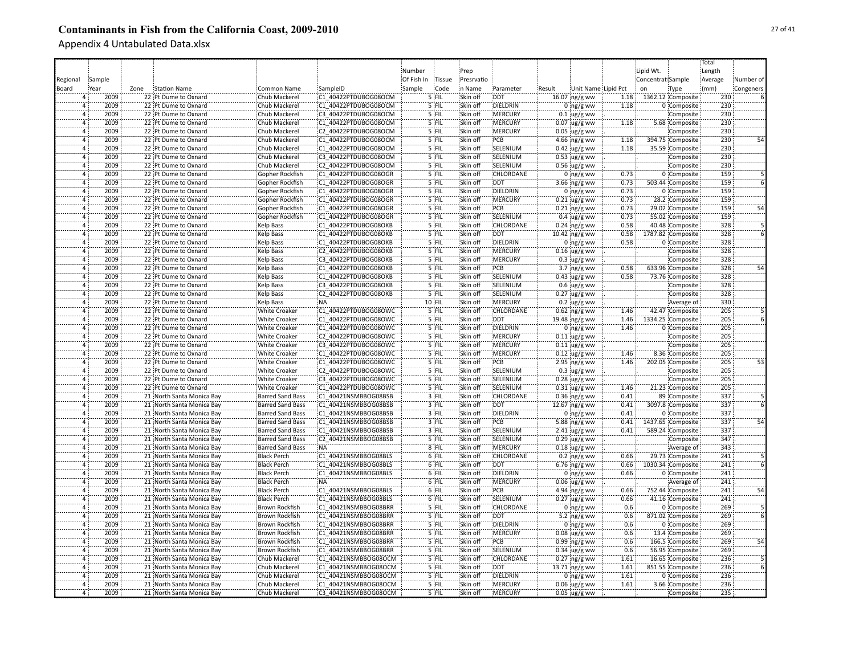|                      |        |      |                           |                         |                      |            |         |            |                  |        |                         |      |                   |                   | Total   |           |
|----------------------|--------|------|---------------------------|-------------------------|----------------------|------------|---------|------------|------------------|--------|-------------------------|------|-------------------|-------------------|---------|-----------|
|                      |        |      |                           |                         |                      | Number     |         | Prep       |                  |        |                         |      | Lipid Wt.         |                   | Length  |           |
|                      | Sample |      |                           |                         |                      | Of Fish In | Tissue  | Presrvatio |                  |        |                         |      | Concentrat Sample |                   |         | Number of |
| Regional             |        |      |                           |                         |                      |            |         |            |                  |        |                         |      |                   |                   | Average |           |
| Board                | Year   | Zone | Station Name              | Common Name             | SampleID             | Sample     | Code    | in Name    | Parameter        | Result | Unit Name Lipid Pct     |      | on                | Type              | (mm)    | Congeners |
| $\overline{4}$       | 2009   |      | 22 Pt Dume to Oxnard      | Chub Mackerel           | C1 40422PTDUBOG08OCM |            | 5 FIL   | Skin off   | <b>DDT</b>       |        | 16.07 ng/g ww           | 1.18 |                   | 1362.12 Composite | 230     |           |
|                      | 2009   |      | 22 Pt Dume to Oxnard      | Chub Mackerel           | C1 40422PTDUBOG08OCM |            | 5 FIL   | Skin off   | DIELDRIN         |        | $0$ ng/g ww             | 1.18 |                   | 0 Composite       | 230     |           |
| 4                    | 2009   |      | 22 Pt Dume to Oxnard      | Chub Mackerel           | C3 40422PTDUBOG08OCM |            | 5 FIL   | Skin off   | <b>MERCURY</b>   |        | $0.1$ ug/g ww           |      |                   | Composite         | 230     |           |
| $\overline{4}$       | 2009   |      | 22 Pt Dume to Oxnard      | Chub Mackerel           | C1 40422PTDUBOG08OCM |            | 5 FIL   | Skin off   | <b>MERCURY</b>   |        | $0.07$ ug/g ww          | 1.18 |                   | 5.68 Composite    | 230     |           |
| $\overline{4}$       | 2009   |      | 22 Pt Dume to Oxnard      | Chub Mackerel           | C2 40422PTDUBOG08OCM |            | 5 FIL   | Skin off   | <b>MERCURY</b>   |        | $0.05$ ug/g ww          |      |                   | Composite         | 230     |           |
| $\Delta$             | 2009   |      | 22 Pt Dume to Oxnard      | Chub Mackerel           | C1 40422PTDUBOG08OCM |            | 5 FIL   | Skin off   | PCB              |        | 4.66 $ng/g$ ww          | 1.18 |                   | 394.75 Composite  | 230     |           |
| 4                    | 2009   |      | 22 Pt Dume to Oxnard      | Chub Mackerel           | C1 40422PTDUBOG08OCM |            | 5 FIL   | Skin off   | SELENIUM         |        | $0.42$ ug/g ww          | 1.18 |                   | 35.59 Composite   | 230     |           |
| $\overline{4}$       | 2009   |      | 22 Pt Dume to Oxnard      | Chub Mackerel           | C3 40422PTDUBOG08OCM |            | 5 FIL   | Skin off   | SELENIUM         |        | $0.53$ ug/g ww          |      |                   | Composite         | 230     |           |
| $\overline{4}$       | 2009   |      | 22 Pt Dume to Oxnard      | Chub Mackerel           | C2 40422PTDUBOG08OCM |            | 5 FIL   | Skin off   | SELENIUM         |        | $0.56$ ug/g ww          |      |                   | Composite         | 230     |           |
| $\overline{4}$       | 2009   |      | 22 Pt Dume to Oxnard      | Gopher Rockfish         | C1 40422PTDUBOG08OGR |            | 5 FIL   | Skin off   | CHLORDANE        |        | $0$ ing/g ww            | 0.73 |                   | 0 Composite       | 159     |           |
| $\overline{a}$       | 2009   |      | 22 Pt Dume to Oxnard      | Gopher Rockfish         | C1 40422PTDUBOG08OGR |            | 5 FIL   | Skin off   | <b>DDT</b>       |        | 3.66 ng/g ww            | 0.73 |                   | 503.44 Composite  | 159     |           |
| $\overline{a}$       | 2009   |      | 22 Pt Dume to Oxnard      | Gopher Rockfish         | C1 40422PTDUBOG08OGR |            | $5$ FIL | Skin off   | <b>DIELDRIN</b>  |        | $0$ ng/g ww             | 0.73 |                   | 0 Composite       | 159     |           |
| $\overline{4}$       | 2009   |      | 22 Pt Dume to Oxnard      | Gopher Rockfish         | C1 40422PTDUBOG08OGR |            | 5 FIL   | Skin off   | <b>MERCURY</b>   |        | $0.21$ ug/g ww          | 0.73 |                   | 28.2 Composite    | 159     |           |
|                      | 2009   |      |                           |                         |                      |            | 5 FIL   |            | <b>PCB</b>       |        |                         |      |                   |                   | 159     |           |
| $\overline{4}$       |        |      | 22 Pt Dume to Oxnard      | Gopher Rockfish         | C1 40422PTDUBOG08OGR |            |         | Skin off   |                  |        | $0.21$ ing/g ww         | 0.73 |                   | 29.02 Composite   |         | 54        |
|                      | 2009   |      | 22 Pt Dume to Oxnard      | Gopher Rockfish         | C1 40422PTDUBOG08OGR |            | $5$ FIL | Skin off   | SELENIUM         |        | $0.4 \,$ ug/g ww        | 0.73 |                   | 55.02 Composite   | 159     |           |
| $\overline{4}$       | 2009   |      | 22 Pt Dume to Oxnard      | Kelp Bass               | C1 40422PTDUBOG08OKB |            | '5 FIL  | Skin off   | CHLORDANE        |        | $0.24$ ng/g ww          | 0.58 |                   | 40.48 Composite   | 328     |           |
| 4                    | 2009   |      | 22 Pt Dume to Oxnard      | <b>Kelp Bass</b>        | C1 40422PTDUBOG08OKB |            | '5 FIL  | Skin off   | :DDT             |        | $10.42$ ng/g ww         | 0.58 |                   | 1787.82 Composite | 328     |           |
| $\overline{a}$       | 2009   |      | 22 Pt Dume to Oxnard      | Kelp Bass               | C1 40422PTDUBOG08OKB |            | $5$ FIL | Skin off   | DIELDRIN         |        | $0$ ng/g ww             | 0.58 |                   | 0 Composite       | 328     |           |
| $\overline{4}$       | 2009   |      | 22 Pt Dume to Oxnard      | Kelp Bass               | C2 40422PTDUBOG08OKB |            | $5$ FIL | Skin off   | MERCURY          |        | $0.16$ ug/g ww          |      |                   | Composite         | 328     |           |
| $\overline{a}$       | 2009   |      | 22 Pt Dume to Oxnard      | Kelp Bass               | C3 40422PTDUBOG08OKB |            | 5 FIL   | Skin off   | MERCURY          |        | $0.3$ ug/g ww           |      |                   | Composite         | 328     |           |
| $\overline{4}$       | 2009   |      | 22 Pt Dume to Oxnard      | <b>Kelp Bass</b>        | C1 40422PTDUBOG08OKB |            | 5 FIL   | Skin off   | :PCB             |        | $3.7 \, \text{ng/g}$ ww | 0.58 |                   | 633.96 Composite  | 328     | 54        |
| $\overline{4}$       | 2009   |      | 22 Pt Dume to Oxnard      | <b>Kelp Bass</b>        | C1 40422PTDUBOG08OKB |            | $5$ FIL | Skin off   | SELENIUM         |        | $0.43$ ug/g ww          | 0.58 |                   | 73.76 Composite   | 328     |           |
| $\overline{4}$       | 2009   |      | 22 Pt Dume to Oxnard      | <b>Kelp Bass</b>        | C3 40422PTDUBOG08OKB |            | 5 FIL   | Skin off   | SELENIUM         |        | $0.6$ ug/g ww           |      |                   | Composite         | 328     |           |
| $\overline{4}$       | 2009   |      | 22 Pt Dume to Oxnard      | <b>Kelp Bass</b>        | C2 40422PTDUBOG08OKB |            | 5 FIL   | Skin off   | SELENIUM         |        | $0.27$ ug/g ww          |      |                   | Composite         | 328     |           |
| $\overline{4}$       | 2009   |      | 22 Pt Dume to Oxnard      | Kelp Bass               | ¦NA                  |            | 10 FIL  | Skin off   | :MERCURY         |        | $0.2 \,$ ug/g ww        |      |                   | Average of        | 330     |           |
| $\overline{4}$       | 2009   |      |                           |                         | C1 40422PTDUBOG08OWC |            | 5 FIL   | Skin off   | CHLORDANE        |        |                         |      |                   | 42.47 Composite   | 205     |           |
|                      |        |      | 22 Pt Dume to Oxnard      | <b>White Croaker</b>    |                      |            |         |            |                  |        | $0.62$ ng/g ww          | 1.46 |                   |                   |         |           |
| $\overline{4}$       | 2009   |      | 22 Pt Dume to Oxnard      | <b>White Croaker</b>    | C1 40422PTDUBOG08OWC |            | 5 FIL   | Skin off   | <b>DDT</b>       |        | 19.48 ng/g ww           | 1.46 |                   | 1334.25 Composite | 205     |           |
| $\Delta$             | 2009   |      | 22 Pt Dume to Oxnard      | <b>White Croaker</b>    | C1 40422PTDUBOG08OWC |            | 5 FIL   | Skin off   | DIELDRIN         |        | $0$ ng/g ww             | 1.46 |                   | 0 Composite       | 205     |           |
| $\Delta$             | 2009   |      | 22 Pt Dume to Oxnard      | White Croaker           | C2 40422PTDUBOG08OWC |            | 5 FIL   | Skin off   | MERCURY          |        | $0.11$ ug/g ww          |      |                   | Composite         | 205     |           |
| 4                    | 2009   |      | 22 Pt Dume to Oxnard      | White Croaker           | C3 40422PTDUBOG08OWC |            | 5 FIL   | Skin off   | MERCURY          |        | $0.11$ ug/g ww          |      |                   | Composite         | 205     |           |
| $\overline{a}$       | 2009   |      | 22 Pt Dume to Oxnard      | <b>White Croaker</b>    | C1 40422PTDUBOG08OWC |            | 5 FIL   | Skin off   | MERCURY          |        | $0.12 \,$ ug/g ww       | 1.46 |                   | 8.36 Composite    | 205     |           |
| $\overline{4}$       | 2009   |      | 22 Pt Dume to Oxnard      | <b>White Croaker</b>    | C1 40422PTDUBOG08OWC |            | 5 FIL   | Skin off   | PCB              |        | $2.95$ ng/g ww          | 1.46 |                   | 202.05 Composite  | 205     | 53        |
| $\overline{a}$       | 2009   |      | 22 Pt Dume to Oxnard      | <b>White Croaker</b>    | C2 40422PTDUBOG08OWC |            | 5 FIL   | Skin off   | SELENIUM         |        | $0.3 \,$ ug/g ww        |      |                   | Composite         | 205     |           |
| $\Delta$             | 2009   |      | 22 Pt Dume to Oxnard      | <b>White Croaker</b>    | C3 40422PTDUBOG08OWC |            | 5 FIL   | Skin off   | SELENIUM         |        | $0.28$ ug/g ww          |      |                   | Composite         | 205     |           |
| $\overline{a}$       | 2009   |      | 22 Pt Dume to Oxnard      | <b>White Croaker</b>    | C1 40422PTDUBOG08OWC |            | 5 FIL   | Skin off   | SELENIUM         |        | $0.31$ ug/g ww          | 1.46 |                   | 21.23 Composite   | 205     |           |
| $\overline{a}$       | 2009   |      | 21 North Santa Monica Bay | <b>Barred Sand Bass</b> | C1 40421NSMBBOG08BSB |            | 3 FIL   | Skin off   | <b>CHLORDANE</b> |        | $0.36$ ng/g ww          | 0.41 |                   | 89 Composite      | 337     |           |
| $\Delta$             | 2009   |      | 21 North Santa Monica Bay | <b>Barred Sand Bass</b> | C1 40421NSMBBOG08BSB |            | 3 FIL   | Skin off   | DDT:             |        | 12.67 ing/g ww          | 0.41 |                   | 3097.8 Composite  | 337     |           |
| $\overline{a}$       | 2009   |      | 21 North Santa Monica Bay | <b>Barred Sand Bass</b> | C1 40421NSMBBOG08BSB |            | 3 FIL   | Skin off   | DIELDRIN         |        | $0$ ing/g ww            | 0.41 |                   | 0 Composite       | 337     |           |
| $\overline{4}$       | 2009   |      | 21 North Santa Monica Bay | <b>Barred Sand Bass</b> | C1 40421NSMBBOG08BSB |            | $3$ FIL | Skin off   | <b>PCB</b>       |        | 5.88 ing/g ww           | 0.41 |                   | 1437.65 Composite | 337     |           |
| $\Delta$             | 2009   |      | 21 North Santa Monica Bay | Barred Sand Bass        | C1 40421NSMBBOG08BSB |            | 3 FIL   | Skin off   | SELENIUM         |        |                         | 0.41 |                   | 589.24 Composite  | 337     |           |
|                      | 2009   |      | 21 North Santa Monica Bay | Barred Sand Bass        | C2 40421NSMBBOG08BSB |            | 's ffil | Skin off   | SELENIUM         |        | 2.41 ug/g ww            |      |                   |                   | 347     |           |
| $\overline{4}$<br>Ä, | 2009   |      |                           |                         |                      |            | $8$ FIL | Skin off   |                  |        | $0.29$ ug/g ww          |      |                   | Composite         | 343     |           |
|                      |        |      | 21 North Santa Monica Bay | <b>Barred Sand Bass</b> | NA <sup>:</sup>      |            |         |            | <b>MERCURY</b>   |        | $0.18$ ug/g ww          |      |                   | Average of        |         |           |
| $\overline{a}$       | 2009   |      | 21 North Santa Monica Bay | <b>Black Perch</b>      | C1 40421NSMBBOG08BLS |            | 6 FIL   | Skin off   | CHLORDANE        |        | $0.2$ ing/g ww          | 0.66 |                   | 29.73 Composite   | 241     |           |
| $\Delta$             | 2009   |      | 21 North Santa Monica Bay | <b>Black Perch</b>      | C1 40421NSMBBOG08BLS |            | 6 FIL   | Skin off   | <b>DDT</b>       |        | 6.76 ng/g ww            | 0.66 |                   | 1030.34 Composite | 241     |           |
|                      | 2009   |      | 21 North Santa Monica Bay | <b>Black Perch</b>      | C1 40421NSMBBOG08BLS |            | $6$ FIL | Skin off   | DIELDRIN         |        | $0:ng/g$ ww             | 0.66 |                   | 0 Composite       | 241     |           |
| $\overline{4}$       | 2009   |      | 21 North Santa Monica Bay | <b>Black Perch</b>      | NA:                  |            | 6 FIL   | Skin off   | <b>MERCURY</b>   |        | $0.06$ ug/g ww          |      |                   | Average of        | 241     |           |
| 4                    | 2009   |      | 21 North Santa Monica Bay | <b>Black Perch</b>      | C1 40421NSMBBOG08BLS |            | $6$ FIL | Skin off   | :PCB             |        | 4.94 $ng/g$ ww          | 0.66 |                   | 752.44 Composite  | 241     | 54        |
| $\overline{4}$       | 2009   |      | 21 North Santa Monica Bay | <b>Black Perch</b>      | C1 40421NSMBBOG08BLS |            | 6 FIL   | Skin off   | SELENIUM         |        | $0.27$ ug/g ww          | 0.66 |                   | 41.16 Composite   | 241     |           |
| $\overline{4}$       | 2009   |      | 21 North Santa Monica Bay | <b>Brown Rockfish</b>   | C1 40421NSMBBOG08BRR |            | 5 FIL   | Skin off   | CHLORDANE        |        | $0$ ing/g ww            | 0.6  |                   | 0 Composite       | 269     |           |
| $\overline{4}$       | 2009   |      | 21 North Santa Monica Bay | <b>Brown Rockfish</b>   | C1 40421NSMBBOG08BRR |            | 5 FIL   | Skin off   | <b>DDT</b>       |        | 5.2 ng/g ww             | 0.6  |                   | 871.02 Composite  | 269     |           |
| $\overline{4}$       | 2009   |      | 21 North Santa Monica Bay | Brown Rockfish          | C1 40421NSMBBOG08BRR |            | 5 FIL   | Skin off   | DIELDRIN         |        | $0$ ng/g ww             | 0.6  |                   | 0 Composite       | 269     |           |
| $\overline{4}$       | 2009   |      | 21 North Santa Monica Bay | <b>Brown Rockfish</b>   | C1 40421NSMBBOG08BRR |            | 5 FIL   | Skin off   | :MERCURY         |        | $0.08 \,$ ug/g ww       | 0.6  |                   | 13.4 Composite    | 269     |           |
| $\overline{4}$       | 2009   |      | 21 North Santa Monica Bay | <b>Brown Rockfish</b>   | C1 40421NSMBBOG08BRR |            | 5 FIL   | Skin off   | PCB              |        | $0.99$ ng/g ww          | 0.6  |                   | 166.5 Composite   | 269     |           |
|                      | 2009   |      | 21 North Santa Monica Bay | <b>Brown Rockfish</b>   | C1 40421NSMBBOG08BRR |            | 5 FIL   | Skin off   | SELENIUM         |        | $0.34$ ug/g ww          | 0.6  |                   | 56.95 Composite   | 269     |           |
| $\Delta$             | 2009   |      |                           |                         | C1 40421NSMBBOG08OCM |            | 5 FIL   | Skin off   | CHLORDANE        |        |                         | 1.61 |                   |                   | 236     |           |
|                      |        |      | 21 North Santa Monica Bay | Chub Mackerel           |                      |            |         |            |                  |        | $0.27$ ng/g ww          |      |                   | 16.65 Composite   |         |           |
| $\Delta$             | 2009   |      | 21 North Santa Monica Bay | Chub Mackerel           | C1 40421NSMBBOG08OCM |            | 5 FIL   | Skin off   | <b>DDT</b>       |        | 13.71 ng/g ww           | 1.61 |                   | 851.55 Composite  | 236     |           |
| Ä                    | 2009   |      | 21 North Santa Monica Bay | Chub Mackerel           | C1 40421NSMBBOG08OCM |            | 5 FIL   | Skin off   | DIELDRIN         |        | $0$ ing/g ww            | 1.61 |                   | 0 Composite       | 236     |           |
| 4                    | 2009   |      | 21 North Santa Monica Bay | Chub Mackerel           | C1 40421NSMBBOG08OCM |            | 5 FIL   | Skin off   | <b>MERCURY</b>   |        | $0.06$ ug/g ww          | 1.61 |                   | 3.66 Composite    | 236     |           |
| $\overline{4}$       | 2009   |      | 21 North Santa Monica Bay | Chub Mackerel           | C3 40421NSMBBOG08OCM |            | 5 FIL   | Skin off   | MERCURY          |        | $0.05$ ug/g ww          |      |                   | Composite         | 235     |           |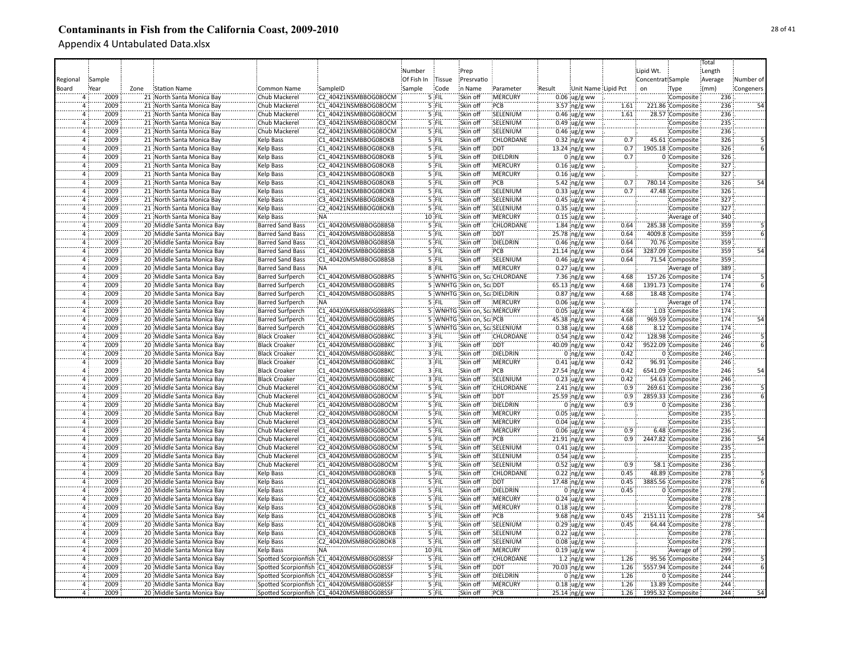|                |        |      |                                                          |                                                 |                                            |            |         |                              |                               |        |                                     |              |                   |                                      | Total   |           |
|----------------|--------|------|----------------------------------------------------------|-------------------------------------------------|--------------------------------------------|------------|---------|------------------------------|-------------------------------|--------|-------------------------------------|--------------|-------------------|--------------------------------------|---------|-----------|
|                |        |      |                                                          |                                                 |                                            | Number     |         | Prep                         |                               |        |                                     |              | Lipid Wt.         |                                      | Length  |           |
| Regional       | Sample |      |                                                          |                                                 |                                            | Of Fish In | Tissue  | Presrvatio                   |                               |        |                                     |              | Concentrat Sample |                                      | Average | Number of |
| Board          | Year   | Zone | Station Name                                             | Common Name                                     | SampleID                                   | Sample     | Code    | in Name                      | Parameter                     | Result | Unit Name Lipid Pct                 |              | on                | Type                                 | (mm)    | Congeners |
|                | 2009   |      | 21 North Santa Monica Bay                                | Chub Mackerel                                   | C2 40421NSMBBOG08OCM                       |            | $5$ FIL | Skin off                     | :MERCURY                      |        | $0.06$ ug/g ww                      |              |                   | Composite                            | 236     |           |
|                | 2009   |      | 21 North Santa Monica Bay                                | Chub Mackerel                                   | C1 40421NSMBBOG08OCM                       |            | 5 FIL   | Skin off                     | PCB                           |        | 3.57 ng/g ww                        | 1.61         |                   | 221.86 Composite                     | 236     |           |
| 4              | 2009   |      | 21 North Santa Monica Bay                                | Chub Mackerel                                   | C1 40421NSMBBOG08OCM                       |            | 5 FIL   | Skin off                     | SELENIUM                      |        | $0.46$ ug/g ww                      | 1.61         |                   | 28.57 Composite                      | 236     |           |
| $\overline{4}$ | 2009   |      | 21 North Santa Monica Bay                                | Chub Mackerel                                   | C3 40421NSMBBOG08OCM                       |            | 5 FIL   | Skin off                     | SELENIUM                      |        | $0.49$ ug/g ww                      |              |                   | Composite                            | 235     |           |
| $\overline{4}$ | 2009   |      | 21 North Santa Monica Bay                                | Chub Mackerel                                   | C2 40421NSMBBOG08OCM                       |            | 5 FIL   | Skin off                     | SELENIUM                      |        | $0.46$ ug/g ww                      |              |                   | Composite                            | 236     |           |
| $\overline{4}$ | 2009   |      | 21 North Santa Monica Bay                                | <b>Kelp Bass</b>                                | C1 40421NSMBBOG08OKB                       |            | 5 FIL   | Skin off                     | CHLORDANE                     |        | $0.32$ ng/g ww                      | 0.7          |                   | 45.61 Composite                      | 326     |           |
| $\overline{4}$ | 2009   |      | 21 North Santa Monica Bay                                | <b>Kelp Bass</b>                                | C1 40421NSMBBOG08OKB                       |            | 5 FIL   | Skin off                     | DDT                           |        | 13.24 ng/g ww                       | 0.7          |                   | 1905.18 Composite                    | 326     |           |
| $\overline{4}$ | 2009   |      | 21 North Santa Monica Bay                                | Kelp Bass                                       | C1 40421NSMBBOG08OKB                       |            | 5 FIL   | Skin off                     | <b>DIELDRIN</b>               |        | $0$ ng/g ww                         | 0.7          |                   | 0 Composite                          | 326     |           |
| $\overline{4}$ | 2009   |      | 21 North Santa Monica Bay                                | Kelp Bass                                       | C2 40421NSMBBOG08OKB                       |            | 5 FIL   | Skin off                     | <b>MERCURY</b>                |        | $0.16$ ug/g ww                      |              |                   | Composite                            | 327     |           |
| $\overline{4}$ | 2009   |      | 21 North Santa Monica Bay                                | Kelp Bass                                       | C3 40421NSMBBOG08OKB                       |            | 5 FIL   | Skin off                     | <b>MERCURY</b>                |        | $0.16$ ug/g ww                      |              |                   | Composite                            | 327     |           |
| $\overline{a}$ | 2009   |      | 21 North Santa Monica Bay                                | <b>Kelp Bass</b>                                | C1 40421NSMBBOG08OKB                       |            | 5 FIL   | Skin off                     | PCB                           |        | 5.42 ng/g ww                        | 0.7          |                   | 780.14 Composite                     | 326     | 54        |
| $\overline{4}$ | 2009   |      | 21 North Santa Monica Bay                                | Kelp Bass                                       | C1 40421NSMBBOG08OKB                       |            | 5 FIL   | Skin off                     | SELENIUM                      |        | $0.33$ ug/g ww                      | 0.7          |                   | 47.48 Composite                      | 326     |           |
| $\overline{a}$ | 2009   |      | 21 North Santa Monica Bay                                | Kelp Bass                                       | C3 40421NSMBBOG08OKB                       |            | $5$ FIL | Skin off                     | SELENIUM                      |        | $0.45$ ug/g ww                      |              |                   | Composite                            | 327     |           |
| $\overline{4}$ | 2009   |      | 21 North Santa Monica Bay                                | <b>Kelp Bass</b>                                | C2 40421NSMBBOG08OKB                       |            | 5 FIL   | Skin off                     | SELENIUM                      |        | $0.35$ ug/g ww                      |              |                   | Composite                            | 327     |           |
| Ä              | 2009   |      | 21 North Santa Monica Bay                                | <b>Kelp Bass</b>                                | NA:                                        |            | 10 FIL  | Skin off                     | <b>IMERCURY</b>               |        | $0.15$ ug/g ww                      |              |                   | Average of                           | 340     |           |
| $\overline{4}$ | 2009   |      | 20 Middle Santa Monica Bay                               | <b>Barred Sand Bass</b>                         | C1 40420MSMBBOG08BSB                       |            | '5 FIL  | Skin off                     | CHLORDANE                     |        | $1.84$ ng/g ww                      | 0.64         |                   | 285.38 Composite                     | 359     |           |
| $\overline{4}$ | 2009   |      | 20 Middle Santa Monica Bay                               | <b>Barred Sand Bass</b>                         | C1 40420MSMBBOG08BSB                       |            | '5 FIL  | Skin off                     | :DDT                          |        | $25.78$ ng/g ww                     | 0.64         |                   | 4009.8 Composite                     | 359     |           |
|                | 2009   |      | 20 Middle Santa Monica Bay                               | <b>Barred Sand Bass</b>                         | C1 40420MSMBBOG08BSB                       |            | 5 FIL   | Skin off                     | DIELDRIN                      |        | $0.46$ ing/g ww                     | 0.64         |                   | 70.76 Composite                      | 359     |           |
| $\overline{4}$ | 2009   |      | 20 Middle Santa Monica Bay                               | <b>Barred Sand Bass</b>                         | C1 40420MSMBBOG08BSB                       |            | 5 FIL   | Skin off                     | :PCB                          |        | 21.14 ing/g ww                      | 0.64         |                   | 3287.09 Composite                    | 359     | 54        |
| $\overline{a}$ | 2009   |      | 20 Middle Santa Monica Bay                               | <b>Barred Sand Bass</b>                         | C1 40420MSMBBOG08BSB                       |            | $5$ FIL | Skin off                     | SELENIUM                      |        | $0.46$ ug/g ww                      | 0.64         |                   | 71.54 Composite                      | 359     |           |
| $\overline{4}$ | 2009   |      | 20 Middle Santa Monica Bay                               | <b>Barred Sand Bass</b>                         | NA:                                        |            | $8$ FIL | Skin off                     | <b>MERCURY</b>                |        | $0.27$ ug/g ww                      |              |                   | Average of                           | 389     |           |
| $\overline{4}$ | 2009   |      | 20 Middle Santa Monica Bay                               | <b>Barred Surfperch</b>                         | C1 40420MSMBBOG08BRS                       |            |         |                              | 5 WNHTG Skin on, ScaCHLORDANE |        | 7.36 ng/g ww                        | 4.68         |                   | 157.26 Composite                     | 174     |           |
| $\overline{4}$ | 2009   |      | 20 Middle Santa Monica Bay                               | <b>Barred Surfperch</b>                         | C1 40420MSMBBOG08BRS                       |            |         | 5 WNHTG Skin on, ScaDDT      |                               |        | 65.13 ng/g ww                       | 4.68         |                   | 1391.73 Composite                    | 174     |           |
| $\overline{4}$ | 2009   |      | 20 Middle Santa Monica Bay                               | <b>Barred Surfperch</b>                         | C1 40420MSMBBOG08BRS                       |            |         | 5 WNHTG Skin on, ScaDIELDRIN |                               |        | $0.87$ ng/g ww                      | 4.68         |                   | 18.48 Composite                      | 174     |           |
| $\overline{4}$ | 2009   |      | 20 Middle Santa Monica Bay                               | <b>Barred Surfperch</b>                         | <b>NA</b>                                  |            | 5 FIL   | Skin off                     | <b>MERCURY</b>                |        | $0.06$ ug/g ww                      |              |                   |                                      | 174     |           |
| ā              | 2009   |      | 20 Middle Santa Monica Bay                               |                                                 | C1 40420MSMBBOG08BRS                       |            |         | 5 WNHTG Skin on, ScaMERCURY  |                               |        |                                     |              |                   | Average of<br>1.03 Composite         | 174     |           |
| $\overline{4}$ | 2009   |      | 20 Middle Santa Monica Bay                               | <b>Barred Surfperch</b>                         | C1 40420MSMBBOG08BRS                       |            |         | 5 WNHTG Skin on, ScaPCB      |                               |        | $0.05$ ug/g ww                      | 4.68<br>4.68 |                   | 969.59 Composite                     | 174     |           |
| $\overline{4}$ | 2009   |      |                                                          | <b>Barred Surfperch</b>                         | C1 40420MSMBBOG08BRS                       |            |         | 5 WNHTG Skin on, ScaSELENIUM |                               |        | 45.38 ng/g ww                       | 4.68         |                   |                                      | 174     |           |
| $\overline{a}$ | 2009   |      | 20 Middle Santa Monica Bay<br>20 Middle Santa Monica Bay | <b>Barred Surfperch</b><br><b>Black Croaker</b> | C1 40420MSMBBOG08BKC                       |            | 3 FIL   | Skin off                     | <b>CHLORDANE</b>              |        | $0.38$ ug/g ww<br>$0.54$ ng/g ww    | 0.42         |                   | 8.12 Composite<br>128.98 Composite   | 246     |           |
| $\overline{a}$ | 2009   |      | 20 Middle Santa Monica Bay                               | <b>Black Croaker</b>                            | C1 40420MSMBBOG08BKC                       |            | 3 FIL   | Skin off                     | <b>DDT</b>                    |        |                                     | 0.42         |                   | 9522.09 Composite                    | 246     |           |
| Ä              | 2009   |      | 20 Middle Santa Monica Bay                               | <b>Black Croaker</b>                            | C1 40420MSMBBOG08BKC                       |            | 3 FIL   | Skin off                     | DIELDRIN                      |        | 40.09 ng/g ww<br>$0$ ing/g ww       | 0.42         |                   | 0 Composite                          | 246     |           |
| Ä              | 2009   |      | 20 Middle Santa Monica Bay                               | <b>Black Croaker</b>                            | C1 40420MSMBBOG08BKC                       |            | $3$ FIL | Skin off                     | <b>MERCURY</b>                |        |                                     | 0.42         |                   | 96.91 Composite                      | 246     |           |
| $\overline{a}$ | 2009   |      | 20 Middle Santa Monica Bay                               | <b>Black Croaker</b>                            | C1 40420MSMBBOG08BKC                       |            | 3 FIL   | Skin off                     | PCB                           |        | $0.41$ ug/g ww<br>27.54 ng/g ww     | 0.42         |                   | 6541.09 Composite                    | 246     | 54        |
| $\overline{a}$ | 2009   |      | 20 Middle Santa Monica Bay                               | <b>Black Croaker</b>                            | C1 40420MSMBBOG08BKC                       |            | $3$ FIL | Skin off                     | SELENIUM                      |        |                                     | 0.42         |                   | 54.63 Composite                      | 246     |           |
|                | 2009   |      | 20 Middle Santa Monica Bay                               | Chub Mackerel                                   | C1 40420MSMBBOG08OCM                       |            | $5$ FIL | Skin off                     | <b>CHLORDANE</b>              |        | $0.23$ ug/g ww<br>$2.41$ ng/g ww    | 0.9          |                   | 269.61 Composite                     | 236     |           |
| $\Delta$       | 2009   |      | 20 Middle Santa Monica Bay                               | Chub Mackerel                                   | C1 40420MSMBBOG08OCM                       |            | 5 FIL   | Skin off                     | <b>DDT</b>                    |        |                                     | 0.9          |                   | 2859.33 Composite                    | 236     |           |
| $\overline{4}$ | 2009   |      | 20 Middle Santa Monica Bay                               | Chub Mackerel                                   | C1 40420MSMBBOG08OCM                       |            | $5$ FIL | Skin off                     | DIELDRIN                      |        | 25.59 ng/g ww                       | 0.9          |                   | 0 Composite                          | 236     |           |
| $\overline{4}$ | 2009   |      | 20 Middle Santa Monica Bay                               | Chub Mackerel                                   | C2 40420MSMBBOG08OCM                       |            | 5 FIL   | Skin off                     | <b>MERCURY</b>                |        | $0$ ing/g ww                        |              |                   | Composite                            | 235     |           |
| $\overline{a}$ | 2009   |      | 20 Middle Santa Monica Bay                               | Chub Mackerel                                   | C3 40420MSMBBOG08OCM                       |            | 5 FIL   | Skin off                     | <b>MERCURY</b>                |        | $0.05$ ug/g ww<br>$0.04 \,$ ug/g ww |              |                   | Composite                            | 235     |           |
|                | 2009   |      | 20 Middle Santa Monica Bay                               | Chub Mackerel                                   | C1 40420MSMBBOG08OCM                       |            | 5 FIL   | Skin off                     | MERCURY                       |        |                                     | 0.9          |                   | 6.48 Composite                       | 236     |           |
| $\Delta$       | 2009   |      | 20 Middle Santa Monica Bay                               | Chub Mackerel                                   | C1 40420MSMBBOG08OCM                       |            | '5 FIL  | Skin off                     | PCB                           |        | $0.06$ ug/g ww<br>21.91 ng/g ww     | 0.9          |                   | 2447.82 Composite                    | 236     | 54        |
| ΪÄ             | 2009   |      | 20 Middle Santa Monica Bay                               | Chub Mackerel                                   | C2 40420MSMBBOG08OCM                       |            | '5 FIL  | Skin off                     | SELENIUM                      |        | $0.41$ ug/g ww                      |              |                   | Composite                            | 235     |           |
| $\overline{4}$ | 2009   |      | 20 Middle Santa Monica Bay                               | Chub Mackerel                                   | C3 40420MSMBBOG08OCM                       |            | 5 FIL   | Skin off                     | SELENIUM                      |        | $0.54 \,$ ug/g ww                   |              |                   |                                      | 235     |           |
| 4              | 2009   |      | 20 Middle Santa Monica Bay                               | Chub Mackerel                                   | C1 40420MSMBBOG08OCM                       |            | 5 FIL   | Skin off                     | SELENIUM                      |        | $0.52$ ug/g ww                      | 0.9          |                   | Composite<br>58.1 Composite          | 236     |           |
| $\overline{a}$ | 2009   |      | 20 Middle Santa Monica Bay                               | <b>Kelp Bass</b>                                | C1 40420MSMBBOG08OKB                       |            | 5 FIL   | Skin off                     | <b>CHLORDANE</b>              |        | $0.22$ ing/g ww                     | 0.45         |                   | 48.89 Composite                      | 278     |           |
| $\overline{4}$ | 2009   |      | 20 Middle Santa Monica Bay                               | <b>Kelp Bass</b>                                | C1 40420MSMBBOG08OKB                       |            | 5 FIL   | Skin off                     | <b>DDT</b>                    |        | 17.48 ng/g ww                       | 0.45         |                   | 3885.56 Composite                    | 278     |           |
| $\overline{4}$ | 2009   |      | 20 Middle Santa Monica Bay                               | <b>Kelp Bass</b>                                | C1 40420MSMBBOG08OKB                       |            | $5$ FIL | Skin off                     | DIELDRIN                      |        | $0$ ing/g ww                        | 0.45         |                   | 0 Composite                          | 278     |           |
| $\overline{4}$ | 2009   |      |                                                          |                                                 | C2 40420MSMBBOG08OKB                       |            | $5$ FIL | Skin off                     | :MERCURY                      |        |                                     |              |                   |                                      | 278     |           |
| 4              | 2009   |      | 20 Middle Santa Monica Bay<br>20 Middle Santa Monica Bay | <b>Kelp Bass</b><br>Kelp Bass                   | C3 40420MSMBBOG08OKB                       |            | $5$ FIL | Skin off                     | <b>MERCURY</b>                |        | $0.24$ ug/g ww<br>$0.18$ ug/g ww    |              |                   | Composite<br>Composite               | 278     |           |
| $\overline{4}$ | 2009   |      | 20 Middle Santa Monica Bay                               | Kelp Bass                                       | C1 40420MSMBBOG08OKB                       |            | 5 FIL   | Skin off                     | PCB                           |        | $9.68$ ng/g ww                      | 0.45         |                   | 2151.11 Composite                    | 278     | 54        |
| $\overline{4}$ | 2009   |      | 20 Middle Santa Monica Bay                               |                                                 | C1 40420MSMBBOG08OKB                       |            | $5$ FIL | Skin off                     | SELENIUM                      |        |                                     |              |                   | 64.44 Composite                      | 278     |           |
|                | 2009   |      |                                                          | Kelp Bass                                       | C3 40420MSMBBOG08OKB                       |            | 5 FIL   | Skin off                     | SELENIUM                      |        | $0.29$ ug/g ww                      | 0.45         |                   |                                      | 278     |           |
| 4              | 2009   |      | 20 Middle Santa Monica Bay                               | Kelp Bass                                       | C2 40420MSMBBOG08OKB                       |            | 5 FIL   | Skin off                     | SELENIUM                      |        | $0.22$ ug/g ww                      |              |                   | Composite                            | 278     |           |
| $\overline{a}$ | 2009   |      | 20 Middle Santa Monica Bay<br>20 Middle Santa Monica Bay | <b>Kelp Bass</b><br><b>Kelp Bass</b>            | NA:                                        |            | 10 FIL  | Skin off                     | <b>MERCURY</b>                |        | $0.08 \,$ ug/g ww                   |              |                   | Composite                            | 299     |           |
|                | 2009   |      | 20 Middle Santa Monica Bay                               |                                                 | Spotted Scorpionfish :C1_40420MSMBBOG08SSF |            | 5 FIL   | Skin off                     | CHLORDANE                     |        | $0.19$ ug/g ww                      | 1.26         |                   | Average of                           | 244     |           |
| $\overline{4}$ | 2009   |      | 20 Middle Santa Monica Bay                               |                                                 | Spotted Scorpionfish :C1 40420MSMBBOG08SSF |            | 5 FIL   | Skin off                     | <b>DDT</b>                    |        | 1.2 $ng/g$ ww<br>70.03 ng/g ww      | 1.26         |                   | 95.56 Composite<br>5557.94 Composite | 244     |           |
| $\overline{4}$ | 2009   |      |                                                          |                                                 |                                            |            | 5 FIL   | Skin off                     | DIELDRIN                      |        |                                     | 1.26         |                   |                                      | 244     |           |
| 4              | 2009   |      | 20 Middle Santa Monica Bay                               |                                                 | Spotted Scorpionfish :C1 40420MSMBBOG08SSF |            | 5 FIL   |                              | <b>MERCURY</b>                |        | $0$ ng/g ww                         | 1.26         |                   | 0 Composite                          |         |           |
|                |        |      | 20 Middle Santa Monica Bay                               |                                                 | Spotted Scorpionfish :C1 40420MSMBBOG08SSF |            |         | Skin off                     |                               |        | $0.18$ ug/g ww                      |              |                   | 13.89 Composite                      | 244     |           |
| $\overline{4}$ | 2009   |      | 20 Middle Santa Monica Bay                               |                                                 | Spotted Scorpionfish C1 40420MSMBBOG08SSF  |            | 5 FIL   | Skin off                     | PCB                           |        | 25.14 ng/g ww                       | 1.26         |                   | 1995.32 Composite                    | 244     | 54        |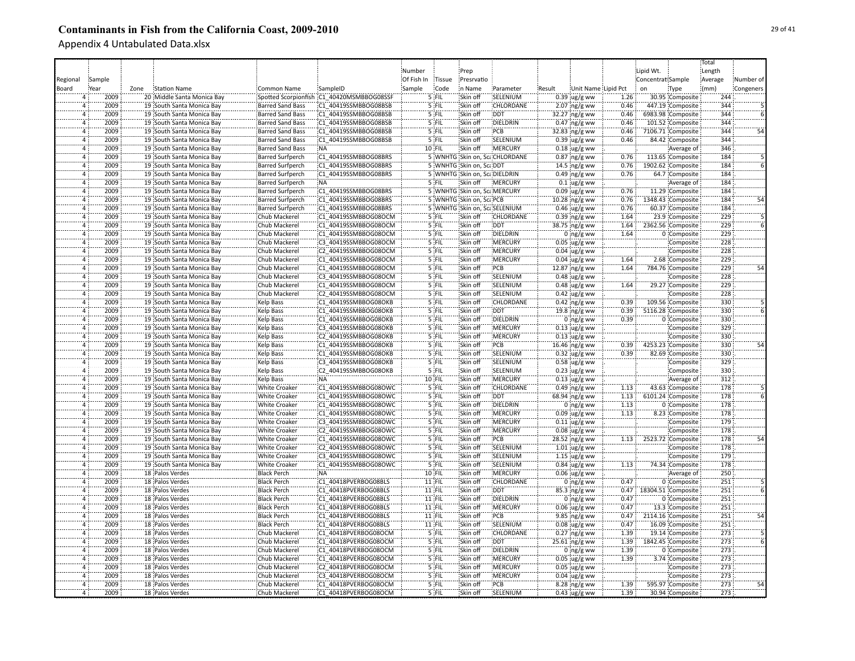|                |              |      |                                                        |                                |                                              |            |                |                              |                               |        |                                  |      |                   |                               | Total      |                 |
|----------------|--------------|------|--------------------------------------------------------|--------------------------------|----------------------------------------------|------------|----------------|------------------------------|-------------------------------|--------|----------------------------------|------|-------------------|-------------------------------|------------|-----------------|
|                |              |      |                                                        |                                |                                              | Number     |                | Prep                         |                               |        |                                  |      | Lipid Wt.         |                               | Length     |                 |
| Regional       | Sample       |      |                                                        |                                |                                              | Of Fish In | Tissue         | Presrvatio                   |                               |        |                                  |      | Concentrat Sample |                               | Average    | Number of       |
| Board          | Year         | Zone | <b>Station Name</b>                                    | Common Name                    | SampleID                                     | Sample     | Code           | in Name                      | Parameter                     | Result | Unit Name Lipid Pct              |      | on                | Type                          | (mm)       | Congeners       |
|                | 2009         |      | 20 Middle Santa Monica Bay                             | Spotted Scorpionfish           | C1 40420MSMBBOG08SSF                         |            | $5$ FIL        | Skin off                     | SELENIUM                      |        | $0.39$ ug/g ww                   | 1.26 |                   | 30.95 Composite               | 244        |                 |
| $\overline{4}$ | 2009         |      | 19 South Santa Monica Bay                              | Barred Sand Bass               | C1 40419SSMBBOG08BSB                         |            | 5 FIL          | Skin off                     | CHLORDANE                     |        | $2.07$ ng/g ww                   | 0.46 |                   | 447.19 Composite              | 344        |                 |
| 4              | 2009         |      | 19 South Santa Monica Bay                              | <b>Barred Sand Bass</b>        | C1 40419SSMBBOG08BSB                         |            | 5 FIL          | Skin off                     | <b>DDT</b>                    |        | 32.27 ng/g ww                    | 0.46 |                   | 6983.98 Composite             | 344        |                 |
| $\overline{4}$ | 2009         |      | 19 South Santa Monica Bay                              | <b>Barred Sand Bass</b>        | C1 40419SSMBBOG08BSB                         |            | 5 FIL          | Skin off                     | DIELDRIN                      |        | $0.47$ ng/g ww                   | 0.46 |                   | 101.52 Composite              | 344        |                 |
| $\overline{a}$ | 2009         |      | 19 South Santa Monica Bay                              | <b>Barred Sand Bass</b>        | C1 40419SSMBBOG08BSB                         |            | 5 FIL          | Skin off                     | PCB                           |        | 32.83 ng/g ww                    | 0.46 |                   | 7106.71 Composite             | 344        | 54              |
| $\Delta$       | 2009         |      | 19 South Santa Monica Bay                              | <b>Barred Sand Bass</b>        | C1 40419SSMBBOG08BSB                         |            | 5 FIL          | Skin off                     | SELENIUM                      |        | $0.39$ ug/g ww                   | 0.46 |                   | 84.42 Composite               | 344        |                 |
| $\overline{4}$ | 2009         |      | 19 South Santa Monica Bay                              | <b>Barred Sand Bass</b>        | :NA                                          |            | 10 FIL         | Skin off                     | <b>MERCURY</b>                |        | $0.18$ ug/g ww                   |      |                   | Average of                    | 346        |                 |
| 4              | 2009         |      | 19 South Santa Monica Bay                              | <b>Barred Surfperch</b>        | C1 40419SSMBBOG08BRS                         |            |                |                              | 5 WNHTG Skin on, ScaCHLORDANE |        | $0.87$ ng/g ww                   | 0.76 |                   | 113.65 Composite              | 184        |                 |
| $\overline{4}$ | 2009         |      | 19 South Santa Monica Bay                              | <b>Barred Surfperch</b>        | C1 40419SSMBBOG08BRS                         |            |                | 5 WNHTG Skin on, ScaDDT      |                               |        | 14.5 ng/g ww                     | 0.76 |                   | 1902.62 Composite             | 184        |                 |
| $\overline{4}$ | 2009         |      | 19 South Santa Monica Bay                              | <b>Barred Surfperch</b>        | C1 40419SSMBBOG08BRS                         |            |                | 5 WNHTG Skin on, ScaDIELDRIN |                               |        | $0.49$ ng/g ww                   | 0.76 |                   | 64.7 Composite                | 184        |                 |
| $\overline{4}$ | 2009         |      | 19 South Santa Monica Bay                              | <b>Barred Surfperch</b>        | :NA                                          |            | 5 FIL          | Skin off                     | <b>MERCURY</b>                |        | $0.1 \,$ ug/g ww                 |      |                   | Average of                    | 184        |                 |
| $\overline{4}$ | 2009         |      | 19 South Santa Monica Bay                              | <b>Barred Surfperch</b>        | C1 40419SSMBBOG08BRS                         |            |                | 5 WNHTG Skin on, Sca MERCURY |                               |        | $0.09$ ug/g ww                   | 0.76 |                   | 11.29 Composite               | 184        |                 |
| $\overline{a}$ | 2009         |      | 19 South Santa Monica Bay                              | <b>Barred Surfperch</b>        | C1 40419SSMBBOG08BRS                         |            |                | 5 WNHTG Skin on, ScalPCB     |                               |        | 10.28 ing/g ww                   | 0.76 |                   | 1348.43 Composite             | 184        | 54              |
| $\overline{4}$ | 2009         |      | 19 South Santa Monica Bay                              | <b>Barred Surfperch</b>        | C1 40419SSMBBOG08BRS                         |            |                | 5 WNHTG Skin on, ScaSELENIUM |                               |        | $0.46$ ug/g ww                   | 0.76 |                   | 60.37 Composite               | 184        |                 |
| $\overline{4}$ | 2009         |      | 19 South Santa Monica Bay                              | Chub Mackerel                  | C1 40419SSMBBOG08OCM                         |            | 5 FIL          | Skin off                     | CHLORDANE                     |        | $0.39$ ing/g ww                  | 1.64 |                   | 23.9 Composite                | 229        |                 |
| $\overline{4}$ | 2009         |      | 19 South Santa Monica Bay                              | Chub Mackerel                  | C1 40419SSMBBOG08OCM                         |            | '5 FIL         | Skin off                     | <b>DDT</b>                    |        | 38.75 ng/g ww                    | 1.64 |                   | 2362.56 Composite             | 229        |                 |
| $\Delta$       | 2009         |      | 19 South Santa Monica Bay                              | Chub Mackerel                  | C1 40419SSMBBOG08OCM                         |            | '5 FIL         | Skin off                     | DIELDRIN                      |        | $0$ ing/g ww                     | 1.64 |                   | 0 Composite                   | 229        |                 |
| $\Delta$       | 2009         |      | 19 South Santa Monica Bay                              | Chub Mackerel                  | C3 40419SSMBBOG08OCM                         |            | $5$ FIL        | Skin off                     | MERCURY                       |        |                                  |      |                   | Composite                     | 228        |                 |
| 4              | 2009         |      | 19 South Santa Monica Bay                              | Chub Mackerel                  | C2 40419SSMBBOG08OCM                         |            | 5 FIL          | Skin off                     | MERCURY                       |        | $0.05$ ug/g ww<br>$0.04$ ug/g ww |      |                   | Composite                     | 228        |                 |
| $\overline{4}$ | 2009         |      | 19 South Santa Monica Bay                              | Chub Mackerel                  | C1 40419SSMBBOG08OCM                         |            | 5 FIL          | Skin off                     | <b>MERCURY</b>                |        | $0.04$ ug/g ww                   | 1.64 |                   | 2.68 Composite                | 229        |                 |
| $\overline{4}$ | 2009         |      |                                                        |                                |                                              |            | 5 FIL          | Skin off                     | PCB                           |        |                                  | 1.64 |                   |                               | 229        | 54              |
| $\overline{4}$ | 2009         |      | 19 South Santa Monica Bay<br>19 South Santa Monica Bay | Chub Mackerel<br>Chub Mackerel | C1 40419SSMBBOG08OCM<br>C3 40419SSMBBOG08OCM |            | 5 FIL          | Skin off                     | SELENIUM                      |        | 12.87 ng/g ww<br>$0.48$ ug/g ww  |      |                   | 784.76 Composite<br>Composite | 228        |                 |
| $\overline{4}$ | 2009         |      | 19 South Santa Monica Bay                              | Chub Mackerel                  | C1 40419SSMBBOG08OCM                         |            | $5$ FIL        | Skin off                     | SELENIUM                      |        | $0.48$ ug/g ww                   |      |                   | 29.27 Composite               | 229        |                 |
| $\overline{4}$ | 2009         |      | 19 South Santa Monica Bay                              | Chub Mackerel                  | C2 40419SSMBBOG08OCM                         |            | 5 FIL          | Skin off                     | SELENIUM                      |        |                                  | 1.64 |                   | Composite                     | 228        |                 |
| $\overline{4}$ | 2009         |      | 19 South Santa Monica Bay                              | <b>Kelp Bass</b>               | C1 40419SSMBBOG08OKB                         |            | 5 FIL          | Skin off                     | <b>CHLORDANE</b>              |        | $0.42$ ug/g ww                   | 0.39 |                   | 109.56 Composite              | 330        |                 |
| 4              | 2009         |      |                                                        |                                |                                              |            |                |                              | <b>DDT</b>                    |        | $0.42$ ng/g ww                   |      |                   |                               | 330        |                 |
|                | 2009         |      | 19 South Santa Monica Bay                              | Kelp Bass                      | C1 40419SSMBBOG08OKB                         |            | $5$ FIL        | Skin off                     |                               |        | 19.8 $ng/g$ ww                   | 0.39 |                   | 5116.28 Composite             |            |                 |
|                | 2009         |      | 19 South Santa Monica Bay                              | Kelp Bass                      | C1 40419SSMBBOG08OKB                         |            | 5 FIL          | Skin off                     | DIELDRIN                      |        | $0$ ng/g ww                      | 0.39 |                   | 0 Composite                   | 330        |                 |
| $\Delta$       |              |      | 19 South Santa Monica Bay                              | <b>Kelp Bass</b>               | C3 40419SSMBBOG08OKB                         |            | 5 FIL          | Skin off                     | <b>MERCURY</b>                |        | $0.13$ ug/g ww                   |      |                   | Composite                     | 329<br>330 |                 |
|                | 2009<br>2009 |      | 19 South Santa Monica Bay                              | Kelp Bass                      | C2 40419SSMBBOG08OKB                         |            | 5 FIL          | Skin off                     | MERCURY                       |        | $0.13$ ug/g ww                   |      |                   | Composite                     | 330        |                 |
| $\overline{4}$ |              |      | 19 South Santa Monica Bay                              | Kelp Bass                      | C1 40419SSMBBOG08OKB                         |            | 5 FIL          | Skin off                     | PCB                           |        | $16.46$ ng/g ww                  | 0.39 |                   | 4253.23 Composite             | 330        | 54              |
| $\overline{4}$ | 2009         |      | 19 South Santa Monica Bay                              | Kelp Bass                      | C1 40419SSMBBOG08OKB                         |            | 5 FIL          | Skin off                     | SELENIUM                      |        | $0.32 \,$ ug/g ww                | 0.39 |                   | 82.69 Composite               |            |                 |
| <sup>4</sup>   | 2009         |      | 19 South Santa Monica Bay                              | <b>Kelp Bass</b>               | C3 40419SSMBBOG08OKB                         |            | 5 FIL          | Skin off                     | SELENIUM                      |        | $0.58$ ug/g ww                   |      |                   | Composite                     | 329        |                 |
| $\overline{4}$ | 2009         |      | 19 South Santa Monica Bay                              | Kelp Bass                      | C2 40419SSMBBOG08OKB                         |            | 5 FIL          | Skin off                     | SELENIUM                      |        | $0.23$ ug/g ww                   |      |                   | Composite                     | 330        |                 |
| $\overline{a}$ | 2009         |      | 19 South Santa Monica Bay                              | Kelp Bass                      | :NA                                          |            | 10 FIL         | Skin off                     | MERCURY                       |        | $0.13$ ug/g ww                   |      |                   | Average of                    | 312        |                 |
|                | 2009         |      | 19 South Santa Monica Bay                              | <b>White Croaker</b>           | C1 40419SSMBBOG08OWC                         |            | 5 FIL          | Skin off                     | CHLORDANE                     |        | $0.49$ ng/g ww                   | 1.13 |                   | 43.63 Composite               | 178        |                 |
| $\overline{a}$ | 2009         |      | 19 South Santa Monica Bay                              | <b>White Croaker</b>           | C1 40419SSMBBOG08OWC                         |            | 5 FIL          | Skin off                     | <b>DDT</b>                    |        | 68.94 ng/g ww                    | 1.13 |                   | 6101.24 Composite             | 178        |                 |
| $\overline{a}$ | 2009         |      | 19 South Santa Monica Bay                              | <b>White Croaker</b>           | C1 40419SSMBBOG08OWC                         |            | 5 FIL          | Skin off                     | DIELDRIN                      |        | $0$ ng/g ww                      | 1.13 |                   | 0 Composite                   | 178        |                 |
| $\overline{a}$ | 2009         |      | 19 South Santa Monica Bay                              | <b>White Croaker</b>           | :C1 40419SSMBBOG08OWC                        |            | 5 FIL          | Skin off                     | <b>MERCURY</b>                |        | $0.09$ ug/g ww                   | 1.13 |                   | 8.23 Composite                | 178        |                 |
| $\overline{a}$ | 2009         |      | 19 South Santa Monica Bay                              | <b>White Croaker</b>           | C3 40419SSMBBOG08OWC                         |            | 5 FIL          | Skin off                     | <b>MERCURY</b>                |        | $0.11$ ug/g ww                   |      |                   | Composite                     | 179        |                 |
|                | 2009         |      | 19 South Santa Monica Bay                              | <b>White Croaker</b>           | C2 40419SSMBBOG08OWC                         |            | 5 FIL<br>5 FIL | Skin off                     | MERCURY                       |        | $0.08$ ug/g ww                   |      |                   | Composite                     | 178        |                 |
| $\Delta$<br>'i | 2009         |      | 19 South Santa Monica Bay                              | White Croaker                  | C1 40419SSMBBOG08OWC                         |            | 5 FIL          | Skin off                     | PCB                           |        | 28.52 ng/g ww                    | 1.13 |                   | 2523.72 Composite             | 178<br>178 | $\overline{54}$ |
|                | 2009         |      | 19 South Santa Monica Bay                              | <b>White Croaker</b>           | C2 40419SSMBBOG08OWC                         |            |                | Skin off                     | SELENIUM                      |        | $1.01$ ug/g ww                   |      |                   | Composite                     |            |                 |
| $\overline{4}$ | 2009         |      | 19 South Santa Monica Bay                              | <b>White Croaker</b>           | C3 40419SSMBBOG08OWC                         |            | 5 FIL          | Skin off                     | SELENIUM                      |        | $1.15$ ug/g ww                   |      |                   | Composite                     | 179        |                 |
| $\overline{a}$ | 2009         |      | 19 South Santa Monica Bay                              | <b>White Croaker</b>           | C1 40419SSMBBOG08OWC                         |            | 5 FIL          | Skin off                     | SELENIUM                      |        | $0.84$ ug/g ww                   | 1.13 |                   | 74.34 Composite               | 178        |                 |
| $\overline{a}$ | 2009         |      | 18 Palos Verdes                                        | <b>Black Perch</b>             | NA:                                          |            | 10 FIL         | Skin off                     | <b>MERCURY</b>                |        | $0.06$ ug/g ww                   |      |                   | Average of                    | 250        |                 |
| $\overline{4}$ | 2009         |      | 18 Palos Verdes                                        | <b>Black Perch</b>             | C1 40418PVERBOG08BLS                         |            | 11 FIL         | Skin off                     | <b>CHLORDANE</b>              |        | $0:$ ng/g ww                     | 0.47 |                   | 0 Composite                   | 251        |                 |
| $\overline{4}$ | 2009         |      | 18 Palos Verdes                                        | <b>Black Perch</b>             | C1 40418PVERBOG08BLS                         |            | 11 FIL         | Skin off                     | <b>DDT</b>                    |        | 85.3 ing/g ww                    | 0.47 |                   | 18304.51 Composite            | 251        |                 |
| $\overline{4}$ | 2009         |      | 18 Palos Verdes                                        | <b>Black Perch</b>             | C1 40418PVERBOG08BLS                         |            | 11 FIL         | Skin off                     | DIELDRIN                      |        | $0 \log/g$ ww                    | 0.47 |                   | 0 Composite                   | 251        |                 |
| 4              | 2009         |      | 18 Palos Verdes                                        | <b>Black Perch</b>             | C1 40418PVERBOG08BLS                         |            | 11 FIL         | Skin off                     | <b>MERCURY</b>                |        | $0.06$ ug/g ww                   | 0.47 |                   | 13.3 Composite                | 251        |                 |
| $\overline{4}$ | 2009         |      | 18 Palos Verdes                                        | <b>Black Perch</b>             | C1 40418PVERBOG08BLS                         |            | 11 FIL         | Skin off                     | PCB                           |        | 9.85 ng/g ww                     | 0.47 |                   | 2114.16 Composite             | 251        | 54              |
| $\overline{a}$ | 2009         |      | 18 Palos Verdes                                        | <b>Black Perch</b>             | C1 40418PVERBOG08BLS                         |            | $11$ FIL       | Skin off                     | SELENIUM                      |        | $0.08$ ug/g ww                   | 0.47 |                   | 16.09 Composite               | 251        |                 |
| 4              | 2009         |      | 18 Palos Verdes                                        | Chub Mackerel                  | C1 40418PVERBOG08OCM                         |            | 5 FIL          | Skin off                     | CHLORDANE                     |        | $0.27$ ng/g ww                   | 1.39 |                   | 19.14 Composite               | 273        |                 |
|                | 2009         |      | 18 Palos Verdes                                        | Chub Mackerel                  | C1 40418PVERBOG08OCM                         |            | 5 FIL          | Skin off                     | <b>DDT</b>                    |        | 25.61 ng/g ww                    | 1.39 |                   | 1842.45 Composite             | 273        |                 |
|                | 2009         |      | 18 Palos Verdes                                        | Chub Mackerel                  | C1 40418PVERBOG08OCM                         |            | 5 FIL          | Skin off                     | DIELDRIN                      |        | $0$ ing/g ww                     | 1.39 |                   | 0 Composite                   | 273        |                 |
|                | 2009         |      | 18 Palos Verdes                                        | Chub Mackerel                  | C1 40418PVERBOG08OCM                         |            | 5 FIL          | Skin off                     | <b>MERCURY</b>                |        | $0.05$ ug/g ww                   | 1.39 |                   | 3.74 Composite                | 273        |                 |
| $\overline{4}$ | 2009         |      | 18 Palos Verdes                                        | <b>Chub Mackerel</b>           | C2 40418PVERBOG08OCM                         |            | 5 FIL          | Skin off                     | <b>MERCURY</b>                |        | $0.05$ ug/g ww                   |      |                   | Composite                     | 273        |                 |
| $\overline{4}$ | 2009         |      | 18 Palos Verdes                                        | Chub Mackerel                  | C3 40418PVERBOG08OCM                         |            | 5 FIL          | Skin off                     | <b>MERCURY</b>                |        | $0.04 \, \mu g/g$ ww             |      |                   | Composite                     | 273        |                 |
| 4              | 2009         |      | 18 Palos Verdes                                        | Chub Mackerel                  | C1 40418PVERBOG08OCM                         |            | 5 FIL          | Skin off                     | PCB                           |        | 8.28 ng/g ww                     | 1.39 |                   | 595.97 Composite              | 273        | 54              |
| $\overline{4}$ | 2009         |      | 18 Palos Verdes                                        | Chub Mackerel                  | C1 40418PVERBOG08OCM                         |            | 5 FIL          | Skin off                     | SELENIUM                      |        | $0.43$ ug/g ww                   | 1.39 |                   | 30.94 Composite               | 273        |                 |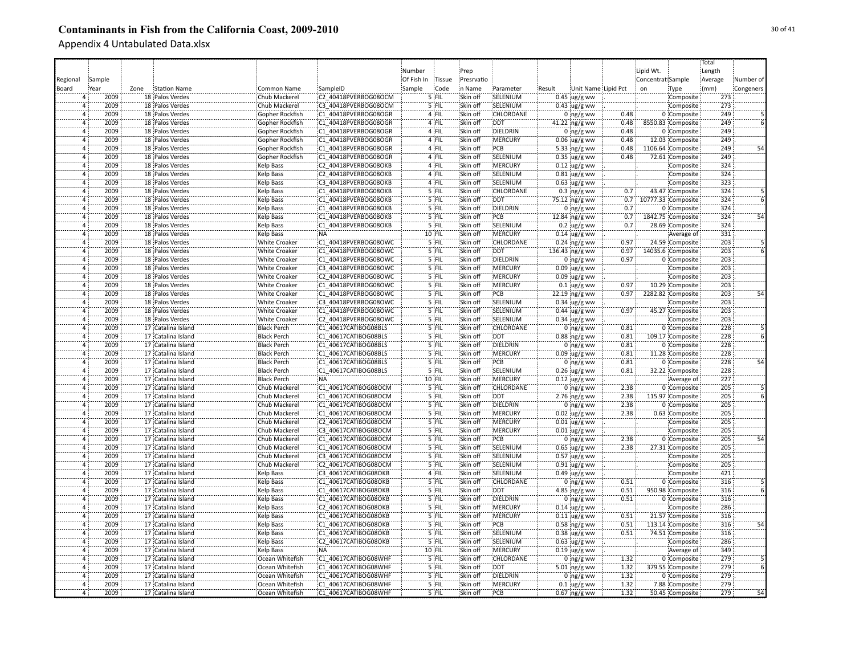|                |        |      |                                    |                                    |                      |            |         |            |                  |        |                     |       |                        |                                      | Total   |           |
|----------------|--------|------|------------------------------------|------------------------------------|----------------------|------------|---------|------------|------------------|--------|---------------------|-------|------------------------|--------------------------------------|---------|-----------|
|                |        |      |                                    |                                    |                      | Number     |         | Prep       |                  |        |                     |       | Lipid Wt.              |                                      | Length  |           |
| Regional       | Sample |      |                                    |                                    |                      | Of Fish In | Tissue  | Presrvatio |                  |        |                     |       | Concentrat Sample      |                                      | Average | Number of |
| Board          | Year   | Zone | Station Name                       | Common Name                        | SampleID             | Sample     | Code    | in Name    | Parameter        | Result | Unit Name Lipid Pct |       | on                     | Type                                 | (mm)    | Congeners |
|                | 2009   |      | 18 Palos Verdes                    | Chub Mackerel                      | C2 40418PVERBOG08OCM |            | 5 FIL   | Skin off   | SELENIUM         |        | $0.45$ ug/g ww      |       |                        | Composite                            | 273     |           |
|                | 2009   |      | 18 Palos Verdes                    | Chub Mackerel                      | C3 40418PVERBOG08OCM |            | 5 FIL   | Skin off   | SELENIUM         |        | $0.43$ ug/g ww      |       |                        | Composite                            | 273     |           |
| $\mathbf{A}$   | 2009   |      | 18 Palos Verdes                    | Gopher Rockfish                    | C1 40418PVERBOG08OGR |            | 4 FIL   | Skin off   | CHLORDANE        |        | $0$ ing/g ww        | 0.48  |                        | 0 Composite                          | 249     |           |
| $\overline{4}$ | 2009   |      | 18 Palos Verdes                    | Gopher Rockfish                    | C1 40418PVERBOG08OGR |            | 4 FIL   | Skin off   | <b>DDT</b>       |        | 41.22 ng/g ww       | 0.48  |                        | 8550.83 Composite                    | 249     |           |
|                | 2009   |      |                                    |                                    | C1 40418PVERBOG08OGR |            | 4 FIL   | Skin off   | DIELDRIN         |        |                     | 0.48  |                        |                                      | 249     |           |
| $\overline{a}$ | 2009   |      | 18 Palos Verdes<br>18 Palos Verdes | Gopher Rockfish<br>Gopher Rockfish | C1 40418PVERBOG08OGR |            | 4 FIL   | Skin off   | MERCURY          |        | $0$ ng/g ww         | 0.48  |                        | 0 Composite                          | 249     |           |
| $\overline{a}$ | 2009   |      | 18 Palos Verdes                    |                                    | C1 40418PVERBOG08OGR |            | 4 FIL   | Skin off   | PCB              |        | $0.06$ ug/g ww      | 0.48  |                        | 12.03 Composite<br>1106.64 Composite | 249     | 54        |
|                |        |      |                                    | Gopher Rockfish                    |                      |            |         |            |                  |        | 5.33 $ng/g$ ww      |       |                        |                                      | 249     |           |
| $\overline{4}$ | 2009   |      | 18 Palos Verdes                    | Gopher Rockfish                    | C1 40418PVERBOG08OGR |            | 4 FIL   | Skin off   | SELENIUM         |        | $0.35$ ug/g ww      | 0.48  |                        | 72.61 Composite                      |         |           |
| $\overline{a}$ | 2009   |      | 18 Palos Verdes                    | Kelp Bass                          | C2 40418PVERBOG08OKB |            | 4 FIL   | Skin off   | <b>MERCURY</b>   |        | $0.12$ ug/g ww      |       |                        | Composite                            | 324     |           |
| $\overline{a}$ | 2009   |      | 18 Palos Verdes                    | Kelp Bass                          | C2 40418PVERBOG08OKB |            | 4 FIL   | Skin off   | SELENIUM         |        | 0.81 ug/g ww        |       |                        | Composite                            | 324     |           |
| $\overline{4}$ | 2009   |      | 18 Palos Verdes                    | <b>Kelp Bass</b>                   | C3 40418PVERBOG08OKB |            | 4 FIL   | Skin off   | SELENIUM         |        | $0.63$ ug/g ww      |       |                        | Composite                            | 323     |           |
| 4              | 2009   |      | 18 Palos Verdes                    | Kelp Bass                          | C1 40418PVERBOG08OKB |            | $5$ FIL | Skin off   | <b>CHLORDANE</b> |        | $0.3$ ing/g ww      | 0.7   |                        | 43.47 Composite                      | 324     |           |
| $\overline{a}$ | 2009   |      | 18 Palos Verdes                    | Kelp Bass                          | C1 40418PVERBOG08OKB |            | $5$ FIL | Skin off   | <b>DDT</b>       |        | 75.12 ng/g ww       |       | 0.7 10777.33 Composite |                                      | 324     |           |
| $\Delta$       | 2009   |      | 18 Palos Verdes                    | <b>Kelp Bass</b>                   | C1 40418PVERBOG08OKB |            | 5 FIL   | Skin off   | DIELDRIN         |        | $0$ ing/g ww        | 0.7   |                        | 0 Composite                          | 324     |           |
|                | 2009   |      | 18 Palos Verdes                    | Kelp Bass                          | C1 40418PVERBOG08OKB |            | '5 FIL  | Skin off   | PCB              |        | 12.84 ng/g ww       | 0.7   |                        | 1842.75 Composite                    | 324     | 54        |
|                | 2009   |      | 18 Palos Verdes                    | Kelp Bass                          | C1 40418PVERBOG08OKB |            | '5 FIL  | Skin off   | SELENIUM         |        | $0.2 \,$ ug/g ww    | 0.7   |                        | 28.69 Composite                      | 324     |           |
| $\overline{4}$ | 2009   |      | 18 Palos Verdes                    | Kelp Bass                          | :NÄ                  |            | 10 FIL  | Skin off   | MERCURY          |        | $0.14$ ug/g ww      |       |                        | Average of                           | 331     |           |
|                | 2009   |      | 18 Palos Verdes                    | <b>White Croaker</b>               | C1 40418PVERBOG08OWC |            | 5 FIL   | Skin off   | CHLORDANE        |        | $0.24$ ng/g ww      | 0.97  |                        | 24.59 Composite                      | 203     |           |
| $\overline{4}$ | 2009   |      | 18 Palos Verdes                    | <b>White Croaker</b>               | C1 40418PVERBOG08OWC |            | 5 FIL   | Skin off   | <b>DDT</b>       |        | 136.43 ng/g ww      | 0.97  |                        | 14035.6 Composite                    | 203     |           |
| $\Delta$       | 2009   |      | 18 Palos Verdes                    | <b>White Croaker</b>               | C1 40418PVERBOG08OWC |            | $5$ FIL | Skin off   | DIELDRIN         |        | $0$ ing/g ww        | 0.97  |                        | 0 Composite                          | 203     |           |
| $\overline{4}$ | 2009   |      | 18 Palos Verdes                    | <b>White Croaker</b>               | C3 40418PVERBOG08OWC |            | 5 FIL   | Skin off   | <b>MERCURY</b>   |        | $0.09$ ug/g ww      |       |                        | Composite                            | 203     |           |
| $\overline{4}$ | 2009   |      | 18 Palos Verdes                    | <b>White Croaker</b>               | C2 40418PVERBOG08OWC |            | 5 FIL   | Skin off   | :MERCURY         |        | $0.09$ ug/g ww      |       |                        | Composite                            | 203     |           |
| $\overline{4}$ | 2009   |      | 18 Palos Verdes                    | <b>White Croaker</b>               | C1 40418PVERBOG08OWC |            | 5 FIL   | Skin off   | <b>MERCURY</b>   |        | $0.1$ ug/g ww       | 0.97  |                        | 10.29 Composite                      | 203     |           |
| $\overline{4}$ | 2009   |      | 18 Palos Verdes                    | <b>White Croaker</b>               | C1 40418PVERBOG08OWC |            | 5 FIL   | Skin off   | PCB              |        | 22.19 ng/g ww       | 0.97: |                        | 2282.82 Composite                    | 203     | 54        |
| $\overline{4}$ | 2009   |      | 18 Palos Verdes                    | <b>White Croaker</b>               | C3 40418PVERBOG08OWC |            | 5 FIL   | Skin off   | SELENIUM         |        | $0.34$ ug/g ww      |       |                        | Composite                            | 203     |           |
| $\Delta$       | 2009   |      | 18 Palos Verdes                    | White Croaker                      | C1 40418PVERBOG08OWC |            | 5 FIL   | Skin off   | SELENIUM         |        | $0.44$ ug/g ww      | 0.97  |                        | 45.27 Composite                      | 203     |           |
|                | 2009   |      | 18 Palos Verdes                    | <b>White Croaker</b>               | C2 40418PVERBOG08OWC |            | 5 FIL   | Skin off   | SELENIUM         |        | $0.34$ ug/g ww      |       |                        | Composite                            | 203     |           |
|                | 2009   |      | 17 Catalina Island                 | <b>Black Perch</b>                 | C1 40617CATIBOG08BLS |            | 5 FIL   | Skin off   | CHLORDANE        |        | $0$ ng/g ww         | 0.81  |                        | 0 Composite                          | 228     |           |
|                | 2009   |      | 17 Catalina Island                 | <b>Black Perch</b>                 | C1 40617CATIBOG08BLS |            | 5 FIL   | Skin off   | <b>DDT</b>       |        | $0.88$ ng/g ww      | 0.81  |                        | 109.17 Composite                     | 228     |           |
| $\overline{4}$ | 2009   |      | 17 Catalina Island                 | <b>Black Perch</b>                 | C1 40617CATIBOG08BLS |            | 5 FIL   | Skin off   | DIELDRIN         |        | $0$ ing/g ww        | 0.81  |                        | 0 Composite                          | 228     |           |
|                | 2009   |      | 17 Catalina Island                 | <b>Black Perch</b>                 | C1 40617CATIBOG08BLS |            | $5$ FIL | Skin off   | MERCURY          |        | $0.09$ ug/g ww      | 0.81  |                        | 11.28 Composite                      | 228     |           |
| Ä              | 2009   |      | 17 Catalina Island                 | <b>Black Perch</b>                 | C1 40617CATIBOG08BLS |            | 5 FIL   | Skin off   | PCB              |        | $0$ ing/g ww        | 0.81  |                        | 0 Composite                          | 228     | 54        |
| $\overline{a}$ | 2009   |      | 17 Catalina Island                 | <b>Black Perch</b>                 | C1 40617CATIBOG08BLS |            | 5 FIL   | Skin off   | SELENIUM         |        | $0.26$ ug/g ww      | 0.81  |                        | 32.22 Composite                      | 228     |           |
| $\overline{a}$ | 2009   |      | 17 Catalina Island                 | <b>Black Perch</b>                 | :NA                  |            | 10 FIL  | Skin off   | <b>MERCURY</b>   |        | $0.12$ ug/g ww      |       |                        | Average of                           | 227     |           |
|                | 2009   |      | 17 Catalina Island                 | Chub Mackerel                      | C1 40617CATIBOG08OCM |            | 5 FIL   | Skin off   | <b>CHLORDANE</b> |        | $0$ ng/g ww         | 2.38  |                        | 0 Composite                          | 205     |           |
| $\Delta$       | 2009   |      | 17 Catalina Island                 | Chub Mackerel                      | C1 40617CATIBOG08OCM |            | 5 FIL   | Skin off   | <b>DDT</b>       |        | $2.76$ ng/g ww      | 2.38  |                        | 115.97 Composite                     | 205     |           |
|                | 2009   |      | 17 Catalina Island                 | Chub Mackerel                      | C1 40617CATIBOG08OCM |            | $5$ FIL | Skin off   | DIELDRIN         |        | $0$ ng/g ww         | 2.38  |                        | 0 Composite                          | 205     |           |
| $\overline{4}$ | 2009   |      | 17 Catalina Island                 | Chub Mackerel                      | C1 40617CATIBOG08OCM |            | $5$ FIL | Skin off   | <b>MERCURY</b>   |        | $0.02$ ug/g ww      | 2.38  |                        | 0.63 Composite                       | 205     |           |
| $\overline{4}$ | 2009   |      | 17 Catalina Island                 | Chub Mackerel                      | C2 40617CATIBOG08OCM |            | 5 FIL   | Skin off   | <b>MERCURY</b>   |        | $0.01$ ug/g ww      |       |                        | Composite                            | 205     |           |
|                | 2009   |      | 17 Catalina Island                 | Chub Mackerel                      | C3 40617CATIBOG08OCM |            | 5 FIL   | Skin off   | MERCURY          |        | $0.01$ ug/g ww      |       |                        | Composite                            | 205     |           |
|                | 2009   |      | 17 Catalina Island                 | Chub Mackerel                      | C1 40617CATIBOG08OCM |            | '5 FIL  | Skin off   | PCB              |        | $0$ ing/g ww        | 2.38  |                        | 0 Composite                          | 205     | 54        |
| ā              | 2009   |      | 17 Catalina Island                 | Chub Mackerel                      | C1 40617CATIBOG08OCM |            | '5 FIL  | Skin off   | SELENIUM         |        | $0.65$ ug/g ww      | 2.38  |                        | 27.31 Composite                      | 205     |           |
|                | 2009   |      | 17 Catalina Island                 | Chub Mackerel                      | C3 40617CATIBOG08OCM |            | 5 FIL   | Skin off   | SELENIUM         |        | $0.57$ ug/g ww      |       |                        | Composite                            | 205     |           |
| 4              | 2009   |      | 17 Catalina Island                 | Chub Mackerel                      | C2 40617CATIBOG08OCM |            | 5 FIL   | Skin off   | SELENIUM         |        | $0.91$ ug/g ww      |       |                        | Composite                            | 205     |           |
| $\overline{a}$ | 2009   |      | 17 Catalina Island                 | <b>Kelp Bass</b>                   | C3 40617CATIBOG08OKB |            | 4 FIL   | Skin off   | SELENIUM         |        | $0.49$ ug/g ww      |       |                        | Composite                            | 421     |           |
| $\overline{4}$ | 2009   |      | 17 Catalina Island                 | <b>Kelp Bass</b>                   | C1 40617CATIBOG08OKB |            | 5 FIL   | Skin off   | CHLORDANE        |        | $0:$ ng/g ww        | 0.51  |                        | 0 Composite                          | 316     |           |
| $\overline{4}$ | 2009   |      | 17 Catalina Island                 | <b>Kelp Bass</b>                   | C1 40617CATIBOG08OKB |            | $5$ FIL | Skin off   | <b>DDT</b>       |        | 4.85 ng/g ww        | 0.51  |                        | 950.98 Composite                     | 316     |           |
| $\overline{4}$ | 2009   |      | 17 Catalina Island                 | <b>Kelp Bass</b>                   | C1 40617CATIBOG08OKB |            | $5$ FIL | Skin off   | <b>DIELDRIN</b>  |        | $0$ ing/g ww        | 0.51  |                        | 0 Composite                          | 316     |           |
| 4              | 2009   |      | 17 Catalina Island                 | Kelp Bass                          | C2 40617CATIBOG08OKB |            | $5$ FIL | Skin off   | <b>MERCURY</b>   |        | $0.14$ ug/g ww      |       |                        | Composite                            | 286     |           |
| $\overline{4}$ | 2009   |      | 17 Catalina Island                 | <b>Kelp Bass</b>                   | C1 40617CATIBOG08OKB |            | 5 FIL   | Skin off   | :MERCURY         |        | $0.11$ ug/g ww      | 0.51  |                        | 21.57 Composite                      | 316     |           |
| $\overline{a}$ | 2009   |      | 17 Catalina Island                 | Kelp Bass                          | C1 40617CATIBOG08OKB |            | $5$ FIL | Skin off   | PCB              |        | $0.58$ ng/g ww      | 0.51  |                        | 113.14 Composite                     | 316     | 54        |
| 4              | 2009   |      | 17 Catalina Island                 | Kelp Bass                          | C1 40617CATIBOG08OKB |            | 5 FIL   | Skin off   | SELENIUM         |        | $0.38$ ug/g ww      | 0.51  |                        | 74.51 Composite                      | 316     |           |
|                | 2009   |      | 17 Catalina Island                 | Kelp Bass                          | C2 40617CATIBOG08OKB |            | 5 FIL   | Skin off   | SELENIUM         |        | $0.63$ ug/g ww      |       |                        | Composite                            | 286     |           |
|                | 2009   |      | 17 Catalina Island                 | <b>Kelp Bass</b>                   | :NA                  |            | 10 FIL  | Skin off   | MERCURY          |        | $0.19$ ug/g ww      |       |                        | Average of                           | 349     |           |
|                | 2009   |      | 17 Catalina Island                 | Ocean Whitefish                    | C1 40617CATIBOG08WHF |            | 5 FIL   | Skin off   | CHLORDANE        |        | $0$ ing/g ww        | 1.32  |                        | 0 Composite                          | 279     |           |
|                | 2009   |      | 17 Catalina Island                 | Ocean Whitefish                    | C1 40617CATIBOG08WHF |            | 5 FIL   | Skin off   | <b>DDT</b>       |        | 5.01 $ng/g$ ww      | 1.32  |                        | 379.55 Composite                     | 279     |           |
| $\overline{a}$ | 2009   |      | 17 Catalina Island                 | Ocean Whitefish                    | C1 40617CATIBOG08WHF |            | 5 FIL   | Skin off   | DIELDRIN         |        | $0$ ng/g ww         | 1.32  |                        | 0 Composite                          | 279     |           |
| 4              | 2009   |      | 17 Catalina Island                 | Ocean Whitefish                    | C1 40617CATIBOG08WHF |            | 5 FIL   | Skin off   | <b>MERCURY</b>   |        | $0.1 \,$ ug/g ww    | 1.32  |                        | 7.88 Composite                       | 279     |           |
| $\Delta$       | 2009   |      |                                    |                                    | C1 40617CATIBOG08WHF |            | 5 FIL   |            |                  |        |                     | 1.32  |                        |                                      | 279     | 54        |
|                |        |      | 17 Catalina Island                 | Ocean Whitefish                    |                      |            |         | Skin off   | PCB              |        | $0.67$ ing/g ww     |       |                        | 50.45 Composite                      |         |           |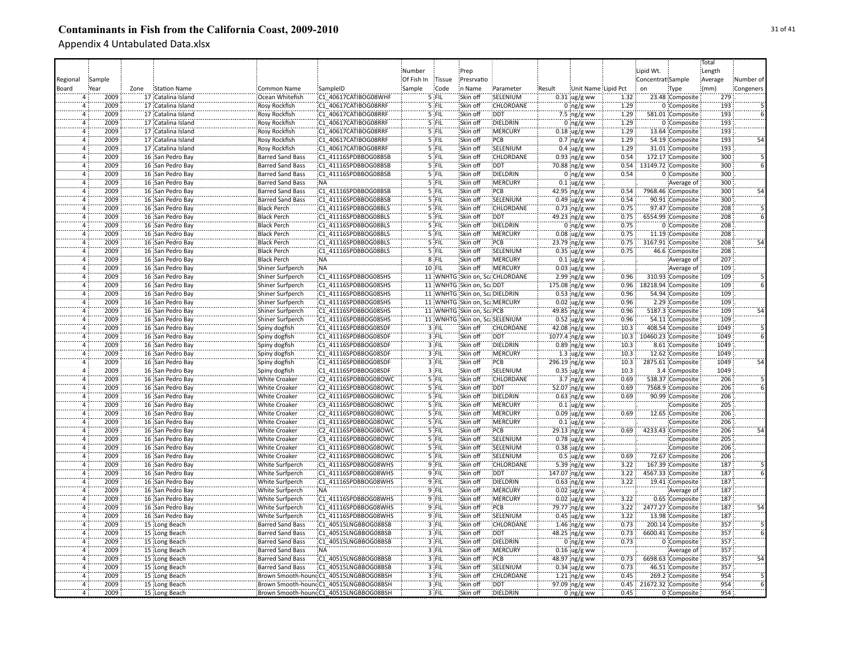|                      |              |      |                    |                         |                                        |            |                |                               |                                |        |                                 |      |                         |                    | Total      |           |
|----------------------|--------------|------|--------------------|-------------------------|----------------------------------------|------------|----------------|-------------------------------|--------------------------------|--------|---------------------------------|------|-------------------------|--------------------|------------|-----------|
|                      |              |      |                    |                         |                                        | Number     |                | Prep                          |                                |        |                                 |      | Lipid Wt.               |                    | Length     |           |
| Regional             | Sample       |      |                    |                         |                                        | Of Fish In | Tissue         | Presrvatio                    |                                |        |                                 |      | Concentrat Sample       |                    | Average    | Number of |
| Board                | Year         | Zone | Station Name       | <b>Common Name</b>      | SampleID                               | Sample     | Code           | in Name                       | Parameter                      | Result | Unit Name Lipid Pct             |      | on                      | Type               | (mm)       | Congeners |
| 4                    | 2009         |      | 17 Catalina Island | Ocean Whitefish         | C1 40617CATIBOG08WHF                   |            | $5$ FIL        | Skin off                      | SELENIUM                       |        | $0.31$ ug/g ww                  | 1.32 |                         | 23.48 Composite    | 279        |           |
|                      | 2009         |      | 17 Catalina Island | Rosy Rockfish           | C1 40617CATIBOG08RRF                   |            | 5 FIL          | Skin off                      | CHLORDANE                      |        | $0$ ng/g ww                     | 1.29 |                         | 0 Composite        | 193        |           |
| 4                    | 2009         |      | 17 Catalina Island | Rosy Rockfish           | C1 40617CATIBOG08RRF                   |            | 5 FIL          | Skin off                      | <b>DDT</b>                     |        | 7.5 $ng/g$ ww                   | 1.29 |                         | 581.01 Composite   | 193        |           |
| $\overline{4}$       | 2009         |      | 17 Catalina Island | <b>Rosy Rockfish</b>    | C1 40617CATIBOG08RRF                   |            | 5 FIL          | Skin off                      | DIELDRIN                       |        | $0$ ng/g ww                     | 1.29 |                         | 0 Composite        | 193        |           |
|                      | 2009         |      | 17 Catalina Island |                         | C1 40617CATIBOG08RRF                   |            | 5 FIL          | Skin off                      | <b>MERCURY</b>                 |        |                                 | 1.29 |                         |                    | 193        |           |
| Ä                    |              |      |                    | Rosy Rockfish           |                                        |            |                |                               | PCB                            |        | $0.18$ ug/g ww                  | 1.29 |                         | 13.64 Composite    | 193        | 54        |
|                      | 2009         |      | 17 Catalina Island | <b>Rosy Rockfish</b>    | C1 40617CATIBOG08RRF                   |            | 5 FIL          | Skin off                      |                                |        | $0.7$ ing/g ww                  |      |                         | 54.19 Composite    |            |           |
| 4                    | 2009         |      | 17 Catalina Island | <b>Rosy Rockfish</b>    | C1 40617CATIBOG08RRF                   |            | 5 FIL          | Skin off                      | SELENIUM                       |        | $0.4 \, \mu g/g$ ww             | 1.29 |                         | 31.01 Composite    | 193        |           |
| $\overline{4}$       | 2009         |      | 16 San Pedro Bay   | <b>Barred Sand Bass</b> | C1 41116SPDBBOG08BSB                   |            | 5 FIL          | Skin off                      | <b>CHLORDANE</b>               |        | $0.93$ ng/g ww                  | 0.54 |                         | 172.17 Composite   | 300        |           |
| $\overline{4}$       | 2009         |      | 16 San Pedro Bay   | <b>Barred Sand Bass</b> | C1 41116SPDBBOG08BSB                   |            | 5 FIL          | Skin off                      | <b>DDT</b>                     |        | 70.88 ng/g ww                   | 0.54 |                         | 13149.72 Composite | 300        |           |
| $\overline{4}$       | 2009         |      | 16 San Pedro Bay   | <b>Barred Sand Bass</b> | C1 41116SPDBBOG08BSB                   |            | 5 FIL          | Skin off                      | DIELDRIN                       |        | $0$ ing/g ww                    | 0.54 |                         | 0 Composite        | 300        |           |
| $\overline{4}$       | 2009         |      | 16 San Pedro Bay   | <b>Barred Sand Bass</b> | :NA                                    |            | 5 FIL          | Skin off                      | <b>MERCURY</b>                 |        | $0.1 \,$ ug/g ww                |      |                         | Average of         | 300        |           |
| $\overline{4}$       | 2009         |      | 16 San Pedro Bay   | <b>Barred Sand Bass</b> | C1 41116SPDBBOG08BSB                   |            | $5$ FIL        | Skin off                      | PCB                            |        | 42.95 ing/g ww                  | 0.54 |                         | 7968.46 Composite  | 300        | 54        |
| $\overline{4}$       | 2009         |      | 16 San Pedro Bay   | <b>Barred Sand Bass</b> | C1 41116SPDBBOG08BSB                   |            | 5 FIL          | Skin off                      | SELENIUM                       |        | $0.49$ ug/g ww                  | 0.54 |                         | 90.91 Composite    | 300        |           |
| $\overline{4}$       | 2009         |      | 16 San Pedro Bay   | <b>Black Perch</b>      | C1 41116SPDBBOG08BLS                   |            | 5 FIL          | Skin off                      | CHLORDANE                      |        | $0.73$ ing/g ww                 | 0.75 |                         | 97.47 Composite    | 208        |           |
|                      | 2009         |      | 16 San Pedro Bay   | <b>Black Perch</b>      | C1 41116SPDBBOG08BLS                   |            | 5 FIL          | Skin off                      | <b>DDT</b>                     |        | 49.23 ng/g ww                   | 0.75 |                         | 6554.99 Composite  | 208        |           |
|                      | 2009         |      | 16 San Pedro Bay   | <b>Black Perch</b>      | C1 41116SPDBBOG08BLS                   |            | '5 FIL         | Skin off                      | DIELDRIN                       |        | $0$ ng/g ww                     | 0.75 |                         | 0 Composite        | 208        |           |
| 4                    | 2009         |      | 16 San Pedro Bay   | <b>Black Perch</b>      | C1 41116SPDBBOG08BLS                   |            | '5 FIL         | Skin off                      | MERCURY                        |        | $0.08$ ug/g ww                  | 0.75 |                         | 11.19 Composite    | 208        |           |
|                      | 2009         |      | 16 San Pedro Bay   | <b>Black Perch</b>      | C1 41116SPDBBOG08BLS                   |            | $5$ FIL        | Skin off                      | PCB                            |        | $23.79$ ng/g ww                 | 0.75 |                         | 3167.91 Composite  | 208        |           |
| $\overline{4}$       | 2009         |      | 16 San Pedro Bay   | <b>Black Perch</b>      | C1 41116SPDBBOG08BLS                   |            | 5 FIL          | Skin off                      | SELENIUM                       |        | $0.35$ ug/g ww                  | 0.75 |                         | 46.6 Composite     | 208        |           |
| $\overline{4}$       | 2009         |      | 16 San Pedro Bay   | <b>Black Perch</b>      | ¦NA                                    |            | 8 FIL          | Skin off                      | MERCURY                        |        | $0.1$ ug/g ww                   |      |                         | Average of         | 207        |           |
| $\overline{4}$       | 2009         |      | 16 San Pedro Bay   | Shiner Surfperch        | NA:                                    |            | 10 FIL         | Skin off                      | <b>MERCURY</b>                 |        | $0.03$ ug/g ww                  |      |                         | Average of         | 109        |           |
| $\overline{4}$       | 2009         |      | 16 San Pedro Bay   | Shiner Surfperch        | C1 41116SPDBBOG08SHS                   |            |                |                               | 11 WNHTG Skin on, ScaCHLORDANE |        | 2.99 ng/g ww                    | 0.96 |                         | 310.93 Composite   | 109        |           |
| $\overline{4}$       | 2009         |      | 16 San Pedro Bay   | Shiner Surfperch        | C1 41116SPDBBOG08SHS                   |            |                | 11 WNHTG Skin on, ScaDDT      |                                |        | 175.08 ng/g ww                  | 0.96 |                         | 18218.94 Composite | 109        |           |
| $\overline{4}$       | 2009         |      | 16 San Pedro Bay   | Shiner Surfperch        | C1 41116SPDBBOG08SHS                   |            |                | 11 WNHTG Skin on, ScaDIELDRIN |                                |        | $0.53$ ng/g ww                  | 0.96 |                         | 54.94 Composite    | 109        |           |
| $\overline{4}$       | 2009         |      | 16 San Pedro Bay   | Shiner Surfperch        | C1 41116SPDBBOG08SHS                   |            |                | 11 WNHTG Skin on, ScaMERCURY  |                                |        | $0.02 \,$ ug/g ww               | 0.96 |                         | 2.29 Composite     | 109        |           |
| $\overline{4}$       | 2009         |      | 16 San Pedro Bay   | Shiner Surfperch        | C1 41116SPDBBOG08SHS                   |            |                | 11 WNHTG Skin on, ScaPCB      |                                |        | 49.85 ng/g ww                   | 0.96 |                         | 5187.3 Composite   | 109        |           |
| $\overline{4}$       | 2009         |      | 16 San Pedro Bay   | Shiner Surfperch        | C1 41116SPDBBOG08SHS                   |            |                | 11 WNHTG Skin on, ScaSELENIUM |                                |        | $0.52 \,$ ug/g ww               | 0.96 |                         | 54.11 Composite    | 109        |           |
| $\Delta$             | 2009         |      | 16 San Pedro Bay   | Spiny dogfish           | C1 41116SPDBBOG08SDF                   |            | 3 FIL          | Skin off                      | CHLORDANE                      |        | 42.08 ng/g ww                   | 10.3 |                         | 408.54 Composite   | 1049       |           |
| $\Delta$             | 2009         |      | 16 San Pedro Bay   | Spiny dogfish           | C1 41116SPDBBOG08SDF                   |            | 3 FIL          | Skin off                      | <b>DDT</b>                     |        | $1077.4$ ng/g ww                | 10.3 |                         | 10460.23 Composite | 1049       |           |
| 4                    | 2009         |      | 16 San Pedro Bay   | Spiny dogfish           | C1 41116SPDBBOG08SDF                   |            | 3 FIL          | Skin off                      | DIELDRIN                       |        | $0.89$ ng/g ww                  | 10.3 |                         | 8.61 Composite     | 1049       |           |
| $\overline{4}$       | 2009         |      | 16 San Pedro Bay   | Spiny dogfish           | C1 41116SPDBBOG08SDF                   |            | 3 FIL          | Skin off                      | MERCURY                        |        | $1.3$ ug/g ww                   | 10.3 |                         | 12.62 Composite    | 1049       |           |
| $\overline{4}$       | 2009         |      | 16 San Pedro Bay   | Spiny dogfish           | C1 41116SPDBBOG08SDF                   |            | 3 FIL          | Skin off                      | PCB                            |        | 296.19 ng/g ww                  | 10.3 |                         | 2875.61 Composite  | 1049       | 54        |
| 4                    | 2009         |      | 16 San Pedro Bay   | Spiny dogfish           | C1 41116SPDBBOG08SDF                   |            | 3 FIL          | Skin off                      | SELENIUM                       |        | $0.35$ ug/g ww                  | 10.3 |                         | 3.4 Composite      | 1049       |           |
| $\Delta$             | 2009         |      | 16 San Pedro Bay   | <b>White Croaker</b>    | C2 41116SPDBBOG08OWC                   |            | 5 FIL          | Skin off                      | CHLORDANE                      |        | $3.7 \, \text{ng/g}$ ww         | 0.69 |                         | 538.37 Composite   | 206        |           |
| $\overline{4}$       | 2009         |      | 16 San Pedro Bay   | <b>White Croaker</b>    | C2 41116SPDBBOG08OWC                   |            | 5 FIL          | Skin off                      | <b>DDT</b>                     |        | 52.07 ng/g ww                   | 0.69 |                         | 7568.9 Composite   | 206        |           |
| $\overline{4}$       | 2009         |      | 16 San Pedro Bay   | <b>White Croaker</b>    | C2 41116SPDBBOG08OWC                   |            | 5 FIL          | Skin off                      | DIELDRIN                       |        |                                 | 0.69 |                         | 90.99 Composite    | 206        |           |
| $\Delta$             | 2009         |      | 16 San Pedro Bay   | <b>White Croaker</b>    | C3 41116SPDBBOG08OWC                   |            | 5 FIL          | Skin off                      | <b>MERCURY</b>                 |        | $0.63$ ng/g ww<br>$0.1$ ug/g ww |      |                         | Composite          | 205        |           |
| $\overline{4}$       | 2009         |      | 16 San Pedro Bay   | <b>White Croaker</b>    | C2 41116SPDBBOG08OWC                   |            | 5 FIL          | Skin off                      | <b>MERCURY</b>                 |        |                                 | 0.69 |                         | 12.65 Composite    | 206        |           |
| $\overline{4}$       | 2009         |      |                    |                         | C1 41116SPDBBOG08OWC                   |            | 5 FIL          | Skin off                      | <b>MERCURY</b>                 |        | $0.09$ ug/g ww                  |      |                         |                    | 206        |           |
|                      |              |      | 16 San Pedro Bay   | <b>White Croaker</b>    |                                        |            |                |                               |                                |        | $0.1$ ug/g ww                   |      |                         | Composite          |            |           |
|                      | 2009<br>2009 |      | 16 San Pedro Bay   | White Croaker           | C2 41116SPDBBOG08OWC                   |            | 5 FIL<br>5 FIL | Skin off<br>Skin off          | PCB<br>SELENIUM                |        | 29.13 ng/g ww                   | 0.69 |                         | 4233.43 Composite  | 206<br>205 | 54        |
| $\overline{4}$<br>Ä, | 2009         |      | 16 San Pedro Bay   | White Croaker           | C3 41116SPDBBOG08OWC                   |            | 5 FIL          | Skin off                      |                                |        | $0.78$ ug/g ww                  |      |                         | Composite          | 206        |           |
|                      |              |      | 16 San Pedro Bay   | <b>White Croaker</b>    | C1 41116SPDBBOG08OWC                   |            |                |                               | SELENIUM                       |        | $0.38$ ug/g ww                  |      |                         | Composite          |            |           |
| $\overline{4}$       | 2009         |      | 16 San Pedro Bay   | <b>White Croaker</b>    | C2 41116SPDBBOG08OWC                   |            | 5 FIL          | Skin off                      | SELENIUM                       |        | $0.5$ ug/g ww                   | 0.69 |                         | 72.67 Composite    | 206        |           |
| $\Delta$             | 2009         |      | 16 San Pedro Bay   | <b>White Surfperch</b>  | C1 41116SPDBBOG08WHS                   |            | $9$ FIL        | Skin off                      | CHLORDANE                      |        | 5.39 ng/g ww                    | 3.22 |                         | 167.39 Composite   | 187        |           |
|                      | 2009         |      | 16 San Pedro Bay   | White Surfperch         | C1 41116SPDBBOG08WHS                   |            | $9$ FIL        | Skin off                      | <b>DDT</b>                     |        | 147.07 ng/g ww                  | 3.22 |                         | 4567.33 Composite  | 187        |           |
| $\overline{4}$       | 2009         |      | 16 San Pedro Bay   | <b>White Surfperch</b>  | C1 41116SPDBBOG08WHS                   |            | $9$ FIL        | Skin off                      | DIELDRIN                       |        | $0.63$ ng/g ww                  | 3.22 |                         | 19.41 Composite    | 187        |           |
| $\overline{4}$       | 2009         |      | 16 San Pedro Bay   | <b>White Surfperch</b>  | ¦NA                                    |            | 9 FIL          | Skin off                      | :MERCURY                       |        | $0.02$ ug/g ww                  |      |                         | Average of         | 187        |           |
| $\overline{4}$       | 2009         |      | 16 San Pedro Bay   | <b>White Surfperch</b>  | C1 41116SPDBBOG08WHS                   |            | $9$ FIL        | Skin off                      | <b>MERCURY</b>                 |        | $0.02$ ug/g ww                  | 3.22 |                         | 0.65 Composite     | 187        |           |
| $\overline{4}$       | 2009         |      | 16 San Pedro Bay   | <b>White Surfperch</b>  | C1 41116SPDBBOG08WHS                   |            | 9 FIL          | Skin off                      | PCB                            |        | 79.77 ng/g ww                   | 3.22 |                         | 2477.27 Composite  | 187        | 54        |
| $\overline{4}$       | 2009         |      | 16 San Pedro Bay   | <b>White Surfperch</b>  | C1 41116SPDBBOG08WHS                   |            | 9 FIL          | Skin off                      | SELENIUM                       |        | $0.45$ ug/g ww                  | 3.22 |                         | 13.98 Composite    | 187        |           |
|                      | 2009         |      | 15 Long Beach      | <b>Barred Sand Bass</b> | C1 40515LNGBBOG08BSB                   |            | $3$ FIL        | Skin off                      | CHLORDANE                      |        | $1.46$ ng/g ww                  | 0.73 |                         | 200.14 Composite   | 357        |           |
| $\overline{4}$       | 2009         |      | 15 Long Beach      | Barred Sand Bass        | C1 40515LNGBBOG08BSB                   |            | 3 FIL          | Skin off                      | <b>DDT</b>                     |        | 48.25 ng/g ww                   | 0.73 |                         | 6600.41 Composite  | 357        |           |
| $\overline{4}$       | 2009         |      | 15 Long Beach      | <b>Barred Sand Bass</b> | C1 40515LNGBBOG08BSB                   |            | 3 FIL          | Skin off                      | DIELDRIN                       |        | $0$ ing/g ww                    | 0.73 |                         | 0 Composite        | 357        |           |
|                      | 2009         |      | 15 Long Beach      | <b>Barred Sand Bass</b> | :NA                                    |            | 3 FIL          | Skin off                      | MERCURY                        |        | $0.16$ ug/g ww                  |      |                         | Average of         | 357        |           |
| $\Delta$             | 2009         |      | 15 Long Beach      | <b>Barred Sand Bass</b> | C1_40515LNGBBOG08BSB                   |            | 3 FIL          | Skin off                      | PCB                            |        | 48.97 ng/g ww                   | 0.73 |                         | 6698.63 Composite  | 357        | 54        |
|                      | 2009         |      | 15 Long Beach      | <b>Barred Sand Bass</b> | C1 40515LNGBBOG08BSB                   |            | 3 FIL          | Skin off                      | SELENIUM                       |        | $0.34$ ug/g ww                  | 0.73 |                         | 46.51 Composite    | 357        |           |
| Ä                    | 2009         |      | 15 Long Beach      |                         | Brown Smooth-houndC1_40515LNGBBOG08BSH |            | $3$ FIL        | Skin off                      | CHLORDANE                      |        | $1.21$ ing/g ww                 | 0.45 |                         | 269.2 Composite    | 954        |           |
| 4                    | 2009         |      | 15 Long Beach      |                         | Brown Smooth-houndC1_40515LNGBBOG08BSH |            | 3 FIL          | Skin off                      | <b>DDT</b>                     |        | 97.09 ng/g ww                   |      | 0.45 21672.32 Composite |                    | 954        |           |
| $\overline{4}$       | 2009         |      | 15 Long Beach      |                         | Brown Smooth-houndC1_40515LNGBBOG08BSH |            | 3 FIL          | Skin off                      | DIELDRIN                       |        | $0$ ng/g ww                     | 0.45 |                         | 0 Composite        | 954        |           |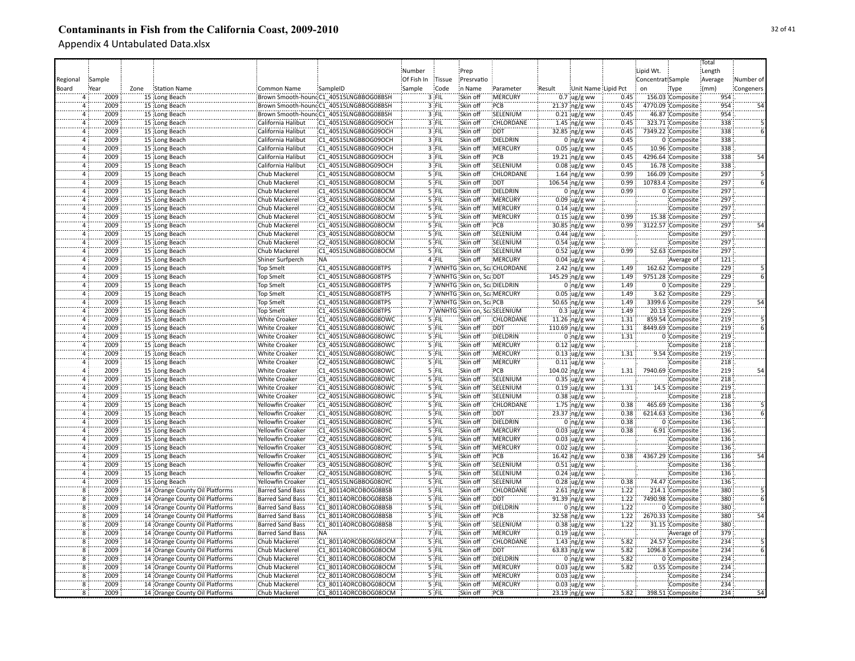|                |              |                                |                         |                                        |            |         |                              |                               |        |                          |      |                   |                   | Total   |           |
|----------------|--------------|--------------------------------|-------------------------|----------------------------------------|------------|---------|------------------------------|-------------------------------|--------|--------------------------|------|-------------------|-------------------|---------|-----------|
|                |              |                                |                         |                                        | Number     |         | Prep                         |                               |        |                          |      | Lipid Wt.         |                   | Length  |           |
| Regional       | Sample       |                                |                         |                                        | Of Fish In | Tissue  | Presrvatio                   |                               |        |                          |      | Concentrat Sample |                   | Average | Number of |
| Board          | <u>Year</u>  | Zone<br><b>Station Name</b>    | Common Name             | SampleID                               | Sample     | Code    | n Name                       | Parameter                     | Result | Unit Name Lipid Pct      |      | on                | Type              | (mm)    | Congeners |
|                |              | 15 Long Beach                  |                         | Brown Smooth-houndC1_40515LNGBBOG08BSH |            | 3 FIL   | Skin off                     | :MERCURY                      |        | $0.7 \, \text{Jg/g}$ ww  | 0.45 |                   | 156.03 Composite  | 954     |           |
|                | 2009<br>2009 |                                |                         |                                        |            | 3 FIL   |                              | PCB                           |        |                          | 0.45 |                   |                   | 954     |           |
|                |              | 15 Long Beach                  |                         | Brown Smooth-houndC1_40515LNGBBOG08BSH |            |         | Skin off<br>Skin off         | SELENIUM                      |        | 21.37 ng/g ww            |      |                   | 4770.09 Composite | 954     |           |
| 4              | 2009         | 15 Long Beach                  |                         | Brown Smooth-houndC1 40515LNGBBOG08BSH |            | 3 FIL   |                              |                               |        | $0.21 \, \text{ug/g}$ ww | 0.45 |                   | 46.87 Composite   |         |           |
| $\Delta$       | 2009         | 15 Long Beach                  | California Halibut      | C1 40515LNGBBOG09OCH                   |            | 3 FIL   | Skin off                     | CHLORDANE                     |        | 1.45 $ng/g$ ww           | 0.45 |                   | 323.71 Composite  | 338     |           |
| $\Delta$       | 2009         | 15 Long Beach                  | California Halibut      | C1 40515LNGBBOG09OCH                   |            | 3 FIL   | Skin off                     | DDT                           |        | 32.85 ng/g ww            | 0.45 |                   | 7349.22 Composite | 338     |           |
| $\Delta$       | 2009         | 15 Long Beach                  | California Halibut      | C1 40515LNGBBOG09OCH                   |            | 3 FIL   | Skin off                     | DIELDRIN                      |        | $0$ ng/g ww              | 0.45 |                   | 0 Composite       | 338     |           |
| 4              | 2009         | 15 Long Beach                  | California Halibut      | C1 40515LNGBBOG09OCH                   |            | 3 FIL   | Skin off                     | <b>MERCURY</b>                |        | $0.05$ ug/g ww           | 0.45 |                   | 10.96 Composite   | 338     |           |
| 4              | 2009         | 15 Long Beach                  | California Halibut      | C1 40515LNGBBOG09OCH                   |            | 3 FIL   | Skin off                     | PCB                           |        | 19.21 ng/g ww            | 0.45 |                   | 4296.64 Composite | 338     | 54        |
| $\overline{a}$ | 2009         | 15 Long Beach                  | California Halibut      | C1 40515LNGBBOG09OCH                   |            | 3 FIL   | Skin off                     | SELENIUM                      |        | $0.08$ ug/g ww           | 0.45 |                   | 16.78 Composite   | 338     |           |
| $\overline{a}$ | 2009         | 15 Long Beach                  | Chub Mackerel           | C1 40515LNGBBOG08OCM                   |            | 5 FIL   | Skin off                     | CHLORDANE                     |        | 1.64 $ng/g$ ww           | 0.99 |                   | 166.09 Composite  | 297     |           |
| $\overline{4}$ | 2009         | 15 Long Beach                  | Chub Mackerel           | C1 40515LNGBBOG08OCM                   |            | 5 FIL   | Skin off                     | <b>DDT</b>                    |        | 106.54 ng/g ww           | 0.99 |                   | 10783.4 Composite | 297     |           |
| $\Delta$       | 2009         | 15 Long Beach                  | Chub Mackerel           | C1 40515LNGBBOG08OCM                   |            | $5$ FIL | Skin off                     | DIELDRIN                      |        | $0$ ing/g ww             | 0.99 |                   | 0 Composite       | 297     |           |
| $\overline{a}$ | 2009         | 15 Long Beach                  | Chub Mackerel           | C3 40515LNGBBOG08OCM                   |            | $5$ FIL | Skin off                     | <b>MERCURY</b>                |        | $0.09$ ug/g ww           |      |                   | Composite         | 297     |           |
| $\overline{a}$ | 2009         | 15 Long Beach                  | Chub Mackerel           | C2 40515LNGBBOG08OCM                   |            | 5 FIL   | Skin off                     | MERCURY                       |        | $0.14 \cdot ug/g$ ww     |      |                   | Composite         | 297     |           |
|                | 2009         | 15 Long Beach                  | Chub Mackerel           | C1 40515LNGBBOG08OCM                   |            | 5 FIL   | Skin off                     | MERCURY                       |        | $0.15$ ug/g ww           | 0.99 |                   | 15.38 Composite   | 297     |           |
| 4              | 2009         |                                | Chub Mackerel           | C1 40515LNGBBOG08OCM                   |            | 5 FIL   | Skin off                     | PCB                           |        |                          | 0.99 |                   | 3122.57 Composite | 297     |           |
|                |              | 15 Long Beach                  |                         |                                        |            |         |                              |                               |        | $30.85$ ng/g ww          |      |                   |                   | 297     |           |
|                | 2009         | 15 Long Beach                  | Chub Mackerel           | C3 40515LNGBBOG08OCM                   |            | '5 FIL  | Skin off                     | SELENIUM                      |        | $0.44$ ug/g ww           |      |                   | Composite         |         |           |
|                | 2009         | 15 Long Beach                  | Chub Mackerel           | C2 40515LNGBBOG08OCM                   |            | 5 FIL   | Skin off                     | SELENIUM                      |        | $0.54$ ug/g ww           |      |                   | Composite         | 297     |           |
| 4              | 2009         | 15 Long Beach                  | Chub Mackerel           | C1 40515LNGBBOG08OCM                   |            | 5 FIL   | Skin off                     | SELENIUM                      |        | $0.52 \,$ ug/g ww        | 0.99 |                   | 52.63 Composite   | 297     |           |
| $\Delta$       | 2009         | 15 Long Beach                  | Shiner Surfperch        | :NA                                    |            | 4 FIL   | Skin off                     | MERCURY                       |        | $0.04$ ug/g ww           |      |                   | Average of        | 121     |           |
| $\overline{4}$ | 2009         | 15 Long Beach                  | <b>Top Smelt</b>        | C1 40515LNGBBOG08TPS                   |            |         |                              | 7 WNHTG Skin on, ScaCHLORDANE |        | $2.42$ ng/g ww           | 1.49 |                   | 162.62 Composite  | 229     |           |
| 4              | 2009         | 15 Long Beach                  | <b>Top Smelt</b>        | C1 40515LNGBBOG08TPS                   |            |         | 7 WNHTG Skin on, ScaDDT      |                               |        | 145.29 ng/g ww           | 1.49 |                   | 9751.28 Composite | 229     |           |
| 4              | 2009         | 15 Long Beach                  | <b>Top Smelt</b>        | C1 40515LNGBBOG08TPS                   |            |         | 7 WNHTG Skin on, ScaDIELDRIN |                               |        | $0$ ng/g ww              | 1.49 |                   | 0 Composite       | 229     |           |
| $\overline{a}$ | 2009         | 15 Long Beach                  | <b>Top Smelt</b>        | C1 40515LNGBBOG08TPS                   |            |         | 7 WNHTG Skin on, Sca.MERCURY |                               |        | $0.05$ ug/g ww           | 1.49 |                   | 3.62 Composite    | 229     |           |
| $\overline{4}$ | 2009         | 15 Long Beach                  | <b>Top Smelt</b>        | C1 40515LNGBBOG08TPS                   |            |         | 7 WNHTG Skin on, ScaPCB      |                               |        | 50.65 ng/g ww            | 1.49 |                   | 3399.6 Composite  | 229     | 54        |
| $\overline{a}$ | 2009         | 15 Long Beach                  | <b>Top Smelt</b>        | C1 40515LNGBBOG08TPS                   |            |         | 7 WNHTG Skin on, ScaSELENIUM |                               |        | $0.3$ ug/g ww            | 1.49 |                   | 20.13 Composite   | 229     |           |
|                | 2009         | 15 Long Beach                  | <b>White Croaker</b>    | C1 40515LNGBBOG08OWC                   |            | 5 FIL   | Skin off                     | CHLORDANE                     |        | 11.26 ng/g ww            | 1.31 |                   | 859.54 Composite  | 219     |           |
| $\Delta$       | 2009         | 15 Long Beach                  | <b>White Croaker</b>    | C1 40515LNGBBOG08OWC                   |            | 5 FIL   | Skin off                     | <b>DDT</b>                    |        | 110.69 ng/g ww           | 1.31 |                   | 8449.69 Composite | 219     |           |
|                | 2009         |                                |                         | C1 40515LNGBBOG08OWC                   |            | 5 FIL   | Skin off                     | DIELDRIN                      |        |                          | 1.31 |                   | 0 Composite       | 219     |           |
|                |              | 15 Long Beach                  | White Croaker           |                                        |            |         |                              |                               |        | $0$ ing/g ww             |      |                   |                   |         |           |
|                | 2009         | 15 Long Beach                  | White Croaker           | C3 40515LNGBBOG08OWC                   |            | 5 FIL   | Skin off                     | MERCURY                       |        | $0.12$ ug/g ww           |      |                   | Composite         | 218     |           |
| $\Delta$       | 2009         | 15 Long Beach                  | White Croaker           | C1 40515LNGBBOG08OWC                   |            | 5 FIL   | Skin off                     | MERCURY                       |        | $0.13$ ug/g ww           | 1.31 |                   | 9.54 Composite    | 219     |           |
| $\overline{a}$ | 2009         | 15 Long Beach                  | <b>White Croaker</b>    | C2 40515LNGBBOG08OWC                   |            | 5 FIL   | Skin off                     | <b>MERCURY</b>                |        | $0.11$ ug/g ww           |      |                   | Composite         | 218     |           |
| $\overline{a}$ | 2009         | 15 Long Beach                  | <b>White Croaker</b>    | C1 40515LNGBBOG08OWC                   |            | 5 FIL   | Skin off                     | PCB                           |        | $104.02$ ng/g ww         | 1.31 |                   | 7940.69 Composite | 219     | 54        |
| $\Delta$       | 2009         | 15 Long Beach                  | <b>White Croaker</b>    | C3 40515LNGBBOG08OWC                   |            | 5 FIL   | Skin off                     | SELENIUM                      |        | $0.35$ ug/g ww           |      |                   | Composite         | 218     |           |
| 4              | 2009         | 15 Long Beach                  | White Croaker           | C1 40515LNGBBOG08OWC                   |            | 5 FIL   | Skin off                     | SELENIUM                      |        | $0.19$ ug/g ww           | 1.31 |                   | 14.5 Composite    | 219     |           |
| 4              | 2009         | 15 Long Beach                  | <b>White Croaker</b>    | C2 40515LNGBBOG08OWC                   |            | 5 FIL   | Skin off                     | SELENIUM                      |        | $0.38$ ug/g ww           |      |                   | Composite         | 218     |           |
|                | 2009         | 15 Long Beach                  | Yellowfin Croaker       | C1 40515LNGBBOG08OYC                   |            | 5 FIL   | Skin off                     | <b>CHLORDANE</b>              |        | $1.75$ ng/g ww           | 0.38 |                   | 465.69 Composite  | 136     |           |
|                | 2009         | 15 Long Beach                  | Yellowfin Croaker       | C1 40515LNGBBOG08OYC                   |            | $5$ FIL | Skin off                     | <b>DDT</b>                    |        | 23.37 ng/g ww            | 0.38 |                   | 6214.63 Composite | 136     |           |
| $\Delta$       | 2009         | 15 Long Beach                  | Yellowfin Croaker       | C1 40515LNGBBOG08OYC                   |            | 5 FIL   | Skin off                     | DIELDRIN                      |        | $0$ ing/g ww             | 0.38 |                   | 0 Composite       | 136     |           |
|                | 2009         | 15 Long Beach                  | Yellowfin Croaker       | C1 40515LNGBBOG08OYC                   |            | 5 FIL   | Skin off                     | MERCURY                       |        | $0.03$ ug/g ww           | 0.38 |                   | 6.91 Composite    | 136     |           |
|                | 2009         | 15 Long Beach                  | Yellowfin Croaker       | C2 40515LNGBBOG08OYC                   |            | 5 FIL   | Skin off                     | MERCURY                       |        | $0.03$ ug/g ww           |      |                   | Composite         | 136     |           |
| $\Delta$       | 2009         | 15 Long Beach                  | Yellowfin Croaker       | C3 40515LNGBBOG08OYC                   |            | '5 FII  | Skin off                     | MERCURY                       |        | $0.02$ ug/g ww           |      |                   | Composite         | 136     |           |
|                |              |                                |                         |                                        |            |         |                              |                               |        |                          |      |                   |                   |         |           |
| $\overline{a}$ | 2009         | 15 Long Beach                  | Yellowfin Croaker       | C1 40515LNGBBOG08OYC                   |            | 5 FIL   | Skin off                     | PCB                           |        | 16.42 ng/g ww            | 0.38 |                   | 4367.29 Composite | 136     | 54        |
|                | 2009         | 15 Long Beach                  | Yellowfin Croaker       | C3 40515LNGBBOG08OYC                   |            | 5 FIL   | Skin off                     | SELENIUM                      |        | $0.51$ ug/g ww           |      |                   | Composite         | 136     |           |
| $\Delta$       | 2009         | 15 Long Beach                  | Yellowfin Croaker       | C2 40515LNGBBOG08OYC                   |            | 5 FIL   | Skin off                     | SELENIUM                      |        | $0.24$ ug/g ww           |      |                   | Composite         | 136     |           |
| $\overline{a}$ | 2009         | 15 Long Beach                  | Yellowfin Croaker       | C1 40515LNGBBOG08OYC                   |            | $5$ FIL | Skin off                     | SELENIUM                      |        | $0.28$ ug/g ww           | 0.38 |                   | 74.47 Composite   | 136     |           |
| $\overline{8}$ | 2009         | 14 Orange County Oil Platforms | <b>Barred Sand Bass</b> | C1 80114ORCOBOG08BSB                   |            | $5$ FIL | Skin off                     | <b>CHLORDANE</b>              |        | $2.61$ ng/g ww           | 1.22 |                   | 214.1 Composite   | 380     |           |
| $\overline{8}$ | 2009         | 14 Orange County Oil Platforms | <b>Barred Sand Bass</b> | C1 80114ORCOBOG08BSB                   |            | 5 FIL   | Skin off                     | :DDT                          |        | 91.39 ng/g ww            | 1.22 |                   | 7490.98 Composite | 380     |           |
| 8              | 2009         | 14 Orange County Oil Platforms | <b>Barred Sand Bass</b> | C1 80114ORCOBOG08BSB                   |            | 5 FIL   | Skin off                     | DIELDRIN                      |        | $0$ ng/g ww              | 1.22 |                   | 0 Composite       | 380     |           |
| $\overline{8}$ | 2009         | 14 Orange County Oil Platforms | <b>Barred Sand Bass</b> | C1 80114ORCOBOG08BSB                   |            | 5 FIL   | Skin off                     | PCB                           |        | 32.58 ng/g ww            | 1.22 |                   | 2670.33 Composite | 380     | 54        |
| 8              | 2009         | 14 Orange County Oil Platforms | Barred Sand Bass        | C1 80114ORCOBOG08BSB                   |            | 5 FIL   | Skin off                     | SELENIUM                      |        | $0.38$ ug/g ww           | 1.22 |                   | 31.15 Composite   | 380     |           |
| 8              | 2009         | 14 Orange County Oil Platforms | Barred Sand Bass        | NA:                                    |            | 7 FIL   | Skin off                     | MERCURY                       |        | $0.19$ ug/g ww           |      |                   | Average of        | 379     |           |
| 8              | 2009         | 14 Orange County Oil Platforms | Chub Mackerel           | C1 80114ORCOBOG08OCM                   |            | 5 FIL   | Skin off                     | CHLORDANE                     |        | 1.43 $ng/g$ ww           | 5.82 |                   | 24.57 Composite   | 234     |           |
| 8              | 2009         | 14 Orange County Oil Platforms | Chub Mackerel           | C1 80114ORCOBOG08OCM                   |            | 5 FIL   | Skin off                     | <b>DDT</b>                    |        | 63.83 ng/g ww            | 5.82 |                   | 1096.8 Composite  | 234     |           |
| $\overline{8}$ | 2009         |                                | Chub Mackerel           | C1 80114ORCOBOG08OCM                   |            | 5 FIL   | Skin off                     | DIELDRIN                      |        |                          | 5.82 |                   | 0 Composite       | 234     |           |
| $\overline{8}$ | 2009         | 14 Orange County Oil Platforms |                         |                                        |            | 5 FIL   | Skin off                     | <b>MERCURY</b>                |        | $0$ ng/g ww              | 5.82 |                   |                   | 234     |           |
|                |              | 14 Orange County Oil Platforms | Chub Mackerel           | C1 80114ORCOBOG08OCM                   |            |         |                              |                               |        | $0.03$ ug/g ww           |      |                   | 0.55 Composite    |         |           |
| $\overline{8}$ | 2009         | 14 Orange County Oil Platforms | Chub Mackerel           | C2 80114ORCOBOG08OCM                   |            | $5$ FIL | Skin off                     | <b>MERCURY</b>                |        | $0.03$ ug/g ww           |      |                   | Composite         | 234     |           |
| $\overline{8}$ | 2009         | 14 Orange County Oil Platforms | Chub Mackerel           | C3 80114ORCOBOG08OCM                   |            | 5 FIL   | Skin off                     | MERCURY                       |        | $0.03$ ug/g ww           |      |                   | Composite         | 234     |           |
| $\mathbf{R}$   | 2009         | 14 Orange County Oil Platforms | Chub Mackerel           | C1 80114ORCOBOG08OCM                   |            | 5 FIL   | Skin off                     | PCB                           |        | 23.19 ng/g ww            | 5.82 |                   | 398.51 Composite  | 234     | 54        |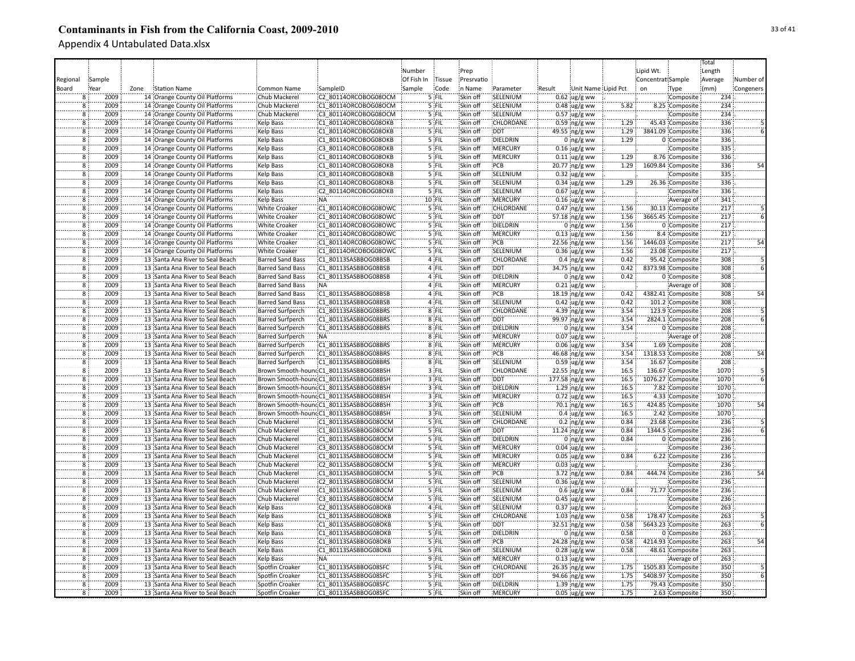|                                           |        |      |                                                                      |                                                    |                                              |            |                |                      |                    |        |                                 |              |                   |                                      | Total            |           |
|-------------------------------------------|--------|------|----------------------------------------------------------------------|----------------------------------------------------|----------------------------------------------|------------|----------------|----------------------|--------------------|--------|---------------------------------|--------------|-------------------|--------------------------------------|------------------|-----------|
|                                           |        |      |                                                                      |                                                    |                                              | Number     |                | Prep                 |                    |        |                                 |              | Lipid Wt.         |                                      | Length           |           |
| Regional                                  | Sample |      |                                                                      |                                                    |                                              | Of Fish In | Tissue         | Presrvatio           |                    |        |                                 |              | Concentrat Sample |                                      | Average          | Number of |
| Board                                     | Year   | Zone | <b>Station Name</b>                                                  | Common Name                                        | SampleID                                     | Sample     | Code           | in Name              | Parameter          | Result | Unit Name Lipid Pct             |              | on                | Type                                 | (mm)             | Congeners |
| 8                                         | 2009   |      | 14 Orange County Oil Platforms                                       | Chub Mackerel                                      | C2 80114ORCOBOG08OCM                         |            | $5$ FIL        | Skin off             | SELENIUM           |        | $0.62$ ug/g ww                  |              |                   | Composite                            | 234              |           |
| 8                                         | 2009   |      | 14 Orange County Oil Platforms                                       | Chub Mackerel                                      | C1 80114ORCOBOG08OCM                         |            | 5 FIL          | Skin off             | SELENIUM           |        | $0.48$ ug/g ww                  | 5.82         |                   | 8.25 Composite                       | 234              |           |
| 8                                         | 2009   |      | 14 Orange County Oil Platforms                                       | Chub Mackerel                                      | C3 80114ORCOBOG08OCM                         |            | 5 FIL          | Skin off             | SELENIUM           |        | $0.57$ ug/g ww                  |              |                   | Composite                            | 234              |           |
| 8                                         | 2009   |      | 14 Orange County Oil Platforms                                       | Kelp Bass                                          | C1 80114ORCOBOG08OKB                         |            | 5 FIL          | Skin off             | <b>CHLORDANE</b>   |        | $0.59$ ng/g ww                  | 1.29         |                   | 45.43 Composite                      | 336              |           |
| $\overline{8}$                            | 2009   |      | 14 Orange County Oil Platforms                                       | <b>Kelp Bass</b>                                   | C1 80114ORCOBOG08OKB                         |            | 5 FIL          | Skin off             | <b>DDT</b>         |        | 49.55 ng/g ww                   | 1.29         |                   | 3841.09 Composite                    | 336              |           |
| `8                                        | 2009   |      | 14 Orange County Oil Platforms                                       | <b>Kelp Bass</b>                                   | C1 80114ORCOBOG08OKB                         |            | 5 FIL          | Skin off             | DIELDRIN           |        | $0$ ng/g ww                     | 1.29         |                   | 0 Composite                          | 336              |           |
| $\overline{8}$                            | 2009   |      | 14 Orange County Oil Platforms                                       | <b>Kelp Bass</b>                                   | C3 80114ORCOBOG08OKB                         |            | 5 FIL          | Skin off             | <b>MERCURY</b>     |        | $0.16$ ug/g ww                  |              |                   | Composite                            | 335              |           |
| $\overline{8}$                            | 2009   |      | 14 Orange County Oil Platforms                                       | Kelp Bass                                          | C1 80114ORCOBOG08OKB                         |            | 5 FIL          | Skin off             | <b>MERCURY</b>     |        | $0.11$ ug/g ww                  | 1.29         |                   | 8.76 Composite                       | 336              |           |
| $\overline{8}$                            | 2009   |      | 14 Orange County Oil Platforms                                       | Kelp Bass                                          | C1 80114ORCOBOG08OKB                         |            | 5 FIL          | Skin off             | PCB                |        | 20.77 ng/g ww                   | 1.29         |                   | 1609.84 Composite                    | 336              | 54        |
| 8                                         | 2009   |      | 14 Orange County Oil Platforms                                       | Kelp Bass                                          | C3 80114ORCOBOG08OKB                         |            | 5 FIL          | Skin off             | SELENIUM           |        | $0.32$ ug/g ww                  |              |                   | Composite                            | 335              |           |
| 8                                         | 2009   |      | 14 Orange County Oil Platforms                                       | <b>Kelp Bass</b>                                   | C1 80114ORCOBOG08OKB                         |            | 5 FIL          | Skin off             | SELENIUM           |        | $0.34 \,$ ug/g ww               | 1.29         |                   | 26.36 Composite                      | 336              |           |
| $\overline{8}$                            | 2009   |      | 14 Orange County Oil Platforms                                       | <b>Kelp Bass</b>                                   | C2 80114ORCOBOG08OKB                         |            | 5 FIL          | Skin off             | SELENIUM           |        | $0.67$ ug/g ww                  |              |                   | Composite                            | 336              |           |
| 8                                         | 2009   |      | 14 Orange County Oil Platforms                                       | Kelp Bass                                          | NA:                                          |            | $10$ FIL       | Skin off             | <b>MERCURY</b>     |        | $0.16$ ug/g ww                  |              |                   | Average of                           | 341              |           |
| $\overline{8}$                            | 2009   |      | 14 Orange County Oil Platforms                                       | <b>White Croaker</b>                               | C1 80114ORCOBOG08OWC                         |            | 5 FIL          | Skin off             | <b>CHLORDANE</b>   |        | $0.47$ ing/g ww                 | 1.56         |                   | 30.13 Composite                      | 217              |           |
| Ï8                                        | 2009   |      | 14 Orange County Oil Platforms                                       | <b>White Croaker</b>                               | C1 80114ORCOBOG08OWC                         |            | 5 FIL          | Skin off             | <b>DDT</b>         |        | 57.18 ng/g ww                   | 1.56         |                   | 3665.45 Composite                    | 217              |           |
| Ï8                                        | 2009   |      | 14 Orange County Oil Platforms                                       | <b>White Croaker</b>                               | C1 80114ORCOBOG08OWC                         |            | '5 FIL         | Skin off             | DIELDRIN           |        | $0$ ing/g ww                    | 1.56         |                   | 0 Composite                          | 217              |           |
| 8                                         | 2009   |      | 14 Orange County Oil Platforms                                       | White Croaker                                      | C1 80114ORCOBOG08OWC                         |            | '5 FIL         | Skin off             | MERCURY            |        | $0.13$ ug/g ww                  | 1.56         |                   | 8.4 Composite                        | $\overline{217}$ |           |
| 8                                         | 2009   |      | 14 Orange County Oil Platforms                                       | White Croaker                                      | C1 80114ORCOBOG08OWC                         |            | $5$ FIL        | Skin off             | PCB                |        |                                 | 1.56         |                   | 1446.03 Composite                    | 217              |           |
| 8                                         | 2009   |      | 14 Orange County Oil Platforms                                       | <b>White Croaker</b>                               | C1 80114ORCOBOG08OWC                         |            | 5 FIL          | Skin off             | SELENIUM           |        | 22.56 ng/g ww<br>$0.36$ ug/g ww | 1.56         |                   | 23.08 Composite                      | 217              |           |
| $\overline{8}$                            | 2009   |      | 13 Santa Ana River to Seal Beach                                     | <b>Barred Sand Bass</b>                            | C1 80113SASBBOG08BSB                         |            | 4 FIL          | Skin off             | CHLORDANE          |        | $0.4$ ing/g ww                  | 0.42         |                   | 95.42 Composite                      | 308              |           |
| $\overline{8}$                            | 2009   |      | 13 Santa Ana River to Seal Beach                                     | <b>Barred Sand Bass</b>                            | C1 80113SASBBOG08BSB                         |            | 4 FIL          | Skin off             | <b>DDT</b>         |        | 34.75 ng/g ww                   | 0.42         |                   | 8373.98 Composite                    | 308              |           |
| $\overline{8}$                            | 2009   |      | 13 Santa Ana River to Seal Beach                                     | <b>Barred Sand Bass</b>                            | C1 80113SASBBOG08BSB                         |            | 4 FIL          | Skin off             | DIELDRIN           |        |                                 | 0.42         |                   | 0 Composite                          | 308              |           |
| $\overline{8}$                            | 2009   |      |                                                                      |                                                    | NA:                                          |            |                | Skin off             | <b>MERCURY</b>     |        | $0$ ng/g ww                     |              |                   |                                      | 308              |           |
| $\overline{8}$                            | 2009   |      | 13 Santa Ana River to Seal Beach                                     | <b>Barred Sand Bass</b>                            |                                              |            | 4 FIL<br>4 FIL | Skin off             | PCB                |        | $0.21$ ug/g ww                  | 0.42         |                   | Average of                           | 308              | 54        |
| $\overline{8}$                            | 2009   |      | 13 Santa Ana River to Seal Beach<br>13 Santa Ana River to Seal Beach | <b>Barred Sand Bass</b><br><b>Barred Sand Bass</b> | C1 80113SASBBOG08BSB<br>C1 80113SASBBOG08BSB |            | 4 FIL          | Skin off             | SELENIUM           |        | 18.19 ng/g ww                   | 0.42         |                   | 4382.41 Composite<br>101.2 Composite | 308              |           |
| $\overline{\mathbf{8}}$                   | 2009   |      |                                                                      |                                                    |                                              |            |                | Skin off             | CHLORDANE          |        | $0.42$ ug/g ww                  | 3.54         |                   |                                      | 208              |           |
|                                           | 2009   |      | 13 Santa Ana River to Seal Beach                                     | <b>Barred Surfperch</b>                            | C1 80113SASBBOG08BRS                         |            | 8 FIL          |                      | <b>DDT</b>         |        | 4.39 ng/g ww                    |              |                   | 123.9 Composite                      | 208              |           |
| 8                                         | 2009   |      | 13 Santa Ana River to Seal Beach                                     | <b>Barred Surfperch</b>                            | C1 80113SASBBOG08BRS                         |            | 8 FIL          | Skin off             |                    |        | 99.97 ng/g ww                   | 3.54         |                   | 2824.1 Composite                     |                  |           |
| 8                                         | 2009   |      | 13 Santa Ana River to Seal Beach                                     | <b>Barred Surfperch</b>                            | C1 80113SASBBOG08BRS<br>NA:                  |            | 8 FIL          | Skin off             | DIELDRIN           |        | $0$ ing/g ww                    | 3.54         |                   | 0 Composite                          | 208<br>208       |           |
| $\overline{\mathbf{8}}$<br>$\overline{8}$ | 2009   |      | 13 Santa Ana River to Seal Beach                                     | <b>Barred Surfperch</b>                            | C1 80113SASBBOG08BRS                         |            | 8 FIL<br>8 FIL | Skin off<br>Skin off | MERCURY<br>MERCURY |        | $0.07$ ug/g ww                  |              |                   | Average of<br>1.69 Composite         | 208              |           |
| $\overline{\mathbf{8}}$                   | 2009   |      | 13 Santa Ana River to Seal Beach                                     | <b>Barred Surfperch</b>                            | C1 80113SASBBOG08BRS                         |            | 8 FIL          | Skin off             | PCB                |        | $0.06$ ug/g ww                  | 3.54<br>3.54 |                   |                                      | 208              | 54        |
| $\overline{8}$                            | 2009   |      | 13 Santa Ana River to Seal Beach                                     | <b>Barred Surfperch</b>                            |                                              |            |                |                      | SELENIUM           |        | $46.68$ ng/g ww                 |              |                   | 1318.53 Composite                    | 208              |           |
|                                           | 2009   |      | 13 Santa Ana River to Seal Beach                                     | <b>Barred Surfperch</b>                            | C1 80113SASBBOG08BRS                         |            | 8 FIL<br>3 FIL | Skin off<br>Skin off | CHLORDANE          |        | $0.59$ ug/g ww                  | 3.54<br>16.5 |                   | 16.67 Composite                      | 1070             |           |
| $\overline{8}$                            |        |      | 13 Santa Ana River to Seal Beach                                     |                                                    | Brown Smooth-houndC1_80113SASBBOG08BSH       |            |                |                      |                    |        | $22.55$ ng/g ww                 |              |                   | 136.67 Composite                     |                  |           |
| $\overline{8}$                            | 2009   |      | 13 Santa Ana River to Seal Beach                                     |                                                    | Brown Smooth-houndC1 80113SASBBOG08BSH       |            | 3 FIL          | Skin off             | <b>DDT</b>         |        | 177.58 ng/g ww                  | 16.5         |                   | 1076.27 Composite                    | 1070             |           |
| 8                                         | 2009   |      | 13 Santa Ana River to Seal Beach                                     |                                                    | Brown Smooth-houndC1_80113SASBBOG08BSH       |            | $3$ FIL        | Skin off             | DIELDRIN           |        | $1.29$ ng/g ww                  | 16.5         |                   | 7.82 Composite                       | 1070             |           |
| $\overline{8}$                            | 2009   |      | 13 Santa Ana River to Seal Beach                                     |                                                    | Brown Smooth-houndC1_80113SASBBOG08BSH       |            | 3 FIL          | Skin off             | <b>MERCURY</b>     |        | $0.72$ ug/g ww                  | 16.5         |                   | 4.33 Composite                       | 1070             |           |
| 8                                         | 2009   |      | 13 Santa Ana River to Seal Beach                                     |                                                    | Brown Smooth-houndC1_80113SASBBOG08BSH       |            | 3 FIL          | Skin off             | PCB                |        | 70.1 ng/g ww                    | 16.5         |                   | 424.85 Composite                     | 1070             | 54        |
| 8                                         | 2009   |      | 13 Santa Ana River to Seal Beach                                     |                                                    | Brown Smooth-hound:C1 80113SASBBOG08BSH      |            | $3$ FIL        | Skin off             | SELENIUM           |        | $0.4 \, \mu g/g$ ww             | 16.5         |                   | 2.42 Composite                       | 1070             |           |
| $\overline{8}$                            | 2009   |      | 13 Santa Ana River to Seal Beach                                     | Chub Mackerel                                      | C1 80113SASBBOG08OCM                         |            | 5 FIL          | Skin off             | CHLORDANE          |        | $0.2$ ing/g ww                  | 0.84         |                   | 23.68 Composite                      | 236              |           |
| ۔<br>8                                    | 2009   |      | 13 Santa Ana River to Seal Beach                                     | Chub Mackerel                                      | C1 80113SASBBOG08OCM                         |            | 5 FIL          | Skin off             | <b>DDT</b>         |        | 11.24 ng/g ww                   | 0.84         |                   | 1344.5 Composite                     | 236              |           |
| Ï8                                        | 2009   |      | 13 Santa Ana River to Seal Beach                                     | Chub Mackerel                                      | C1 80113SASBBOG08OCM                         |            | 5 FIL          | Skin off             | DIELDRIN           |        | $0$ ing/g ww                    | 0.84         |                   | 0 Composite                          | 236              |           |
| - š                                       | 2009   |      | 13 Santa Ana River to Seal Beach                                     | Chub Mackerel                                      | C3 80113SASBBOG08OCM                         |            | 5 FIL          | Skin off             | MERCURY            |        | $0.04 \, \omega$ g ww           |              |                   | Composite                            | 236              |           |
| 8                                         | 2009   |      | 13 Santa Ana River to Seal Beach                                     | Chub Mackerel                                      | C1 80113SASBBOG08OCM                         |            | 5 FIL          | Skin off             | MERCURY            |        | $0.05$ ug/g ww                  | 0.84         |                   | 6.22 Composite                       | 236              |           |
| $\overline{8}$                            | 2009   |      | 13 Santa Ana River to Seal Beach                                     | Chub Mackerel                                      | C2 80113SASBBOG08OCM                         |            | 5 FIL          | Skin off             | MERCURY            |        | $0.03$ ug/g ww                  |              |                   | Composite                            | 236              |           |
| $\overline{8}$                            | 2009   |      | 13 Santa Ana River to Seal Beach                                     | Chub Mackerel                                      | C1 80113SASBBOG08OCM                         |            | $5$ FIL        | Skin off             | PCB                |        | $3.72$ ng/g ww                  | 0.84         |                   | 444.74 Composite                     | 236              | 54        |
| $\overline{8}$                            | 2009   |      | 13 Santa Ana River to Seal Beach                                     | Chub Mackerel                                      | C2 80113SASBBOG08OCM                         |            | 5 FIL          | Skin off             | SELENIUM           |        | $0.36$ ug/g ww                  |              |                   | Composite                            | 236              |           |
| $\overline{8}$                            | 2009   |      | 13 Santa Ana River to Seal Beach                                     | Chub Mackerel                                      | C1 80113SASBBOG08OCM                         |            | $5$ FIL        | Skin off             | SELENIUM           |        | $0.6 \, \mu g/g$ ww             | 0.84         |                   | 71.77 Composite                      | 236              |           |
| $\overline{8}$                            | 2009   |      | 13 Santa Ana River to Seal Beach                                     | Chub Mackerel                                      | C3 80113SASBBOG08OCM                         |            | $5$ FIL        | Skin off             | SELENIUM           |        | $0.45$ ug/g ww                  |              |                   | Composite                            | 236              |           |
| 8                                         | 2009   |      | 13 Santa Ana River to Seal Beach                                     | <b>Kelp Bass</b>                                   | C2 80113SASBBOG08OKB                         |            | 4 FIL          | Skin off             | SELENIUM           |        | $0.37$ ug/g ww                  |              |                   | Composite                            | 263              |           |
| $\overline{8}$                            | 2009   |      | 13 Santa Ana River to Seal Beach                                     | <b>Kelp Bass</b>                                   | C1 80113SASBBOG08OKB                         |            | 5 FIL          | Skin off             | <b>CHLORDANE</b>   |        | $1.03$ ng/g ww                  | 0.58         |                   | 178.47 Composite                     | 263              |           |
| 8                                         | 2009   |      | 13 Santa Ana River to Seal Beach                                     | Kelp Bass                                          | C1 80113SASBBOG08OKB                         |            | 5 FIL          | Skin off             | <b>DDT</b>         |        | $32.51$ ng/g ww                 | 0.58         |                   | 5643.23 Composite                    | 263              |           |
| 8                                         | 2009   |      | 13 Santa Ana River to Seal Beach                                     | Kelp Bass                                          | C1 80113SASBBOG08OKB                         |            | 5 FIL          | Skin off             | DIELDRIN           |        | $0$ ing/g ww                    | 0.58         |                   | 0 Composite                          | 263              |           |
| $\overline{8}$                            | 2009   |      | 13 Santa Ana River to Seal Beach                                     | Kelp Bass                                          | C1 80113SASBBOG08OKB                         |            | 5 FIL          | Skin off             | PCB                |        | 24.28 ng/g ww                   | 0.58         |                   | 4214.93 Composite                    | 263              | 54        |
| 8                                         | 2009   |      | 13 Santa Ana River to Seal Beach                                     | <b>Kelp Bass</b>                                   | C1 80113SASBBOG08OKB                         |            | 5 FIL          | Skin off             | SELENIUM           |        | $0.28$ ug/g ww                  | 0.58         |                   | 48.61 Composite                      | 263              |           |
| $\overline{8}$                            | 2009   |      | 13 Santa Ana River to Seal Beach                                     | <b>Kelp Bass</b>                                   | NA:                                          |            | 9 FIL          | Skin off             | <b>MERCURY</b>     |        | $0.13$ ug/g ww                  |              |                   | Average of                           | 263              |           |
| `8                                        | 2009   |      | 13 Santa Ana River to Seal Beach                                     | Spotfin Croaker                                    | C1 80113SASBBOG08SFC                         |            | 5 FIL          | Skin off             | CHLORDANE          |        | 26.35 ng/g ww                   | 1.75         |                   | 1505.83 Composite                    | 350              |           |
| $\overline{8}$                            | 2009   |      | 13 Santa Ana River to Seal Beach                                     | Spotfin Croaker                                    | C1 80113SASBBOG08SFC                         |            | 5 FIL          | Skin off             | DDT                |        | 94.66 ng/g ww                   | 1.75         |                   | 5408.97 Composite                    | 350              |           |
| $\overline{8}$                            | 2009   |      | 13 Santa Ana River to Seal Beach                                     | Spotfin Croaker                                    | C1 80113SASBBOG08SFC                         |            | 5 FIL          | Skin off             | <b>DIELDRIN</b>    |        | $1.39$ ng/g ww                  | 1.75         |                   | 79.43 Composite                      | 350              |           |
| 8                                         | 2009   |      | 13 Santa Ana River to Seal Beach                                     | Spotfin Croaker                                    | C1 80113SASBBOG08SFC                         |            | 5 FIL          | Skin off             | MERCURY            |        | $0.05$ ug/g ww                  | 1.75         |                   | 2.63 Composite                       | 350              |           |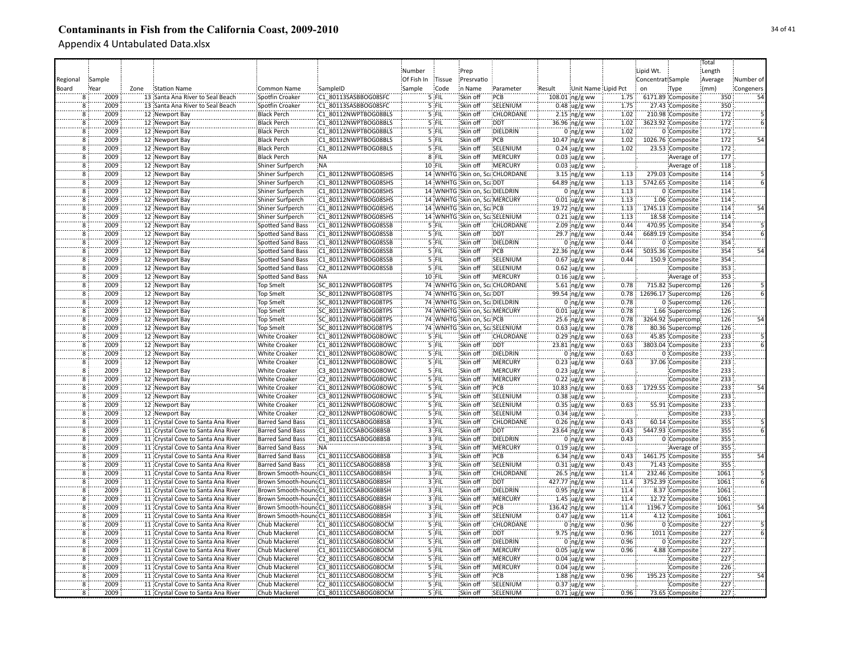|                         |        |      |                                    |                                          |                                         |            |               |                                |                                |        |                        |      |                   |                                  | Total   |           |
|-------------------------|--------|------|------------------------------------|------------------------------------------|-----------------------------------------|------------|---------------|--------------------------------|--------------------------------|--------|------------------------|------|-------------------|----------------------------------|---------|-----------|
|                         |        |      |                                    |                                          |                                         | Number     |               | Prep                           |                                |        |                        |      | Lipid Wt.         |                                  | Length  |           |
| Regional                | Sample |      |                                    |                                          |                                         | Of Fish In | <b>Tissue</b> | Presrvatio                     |                                |        |                        |      | Concentrat Sample |                                  | Average | Number of |
| Board                   | Year   | Zone | Station Name                       | Common Name                              | SampleID                                | Sample     | Code          | in Name                        | Parameter                      | Result | Unit Name Lipid Pct    |      | on                | Type                             | (mm)    | Congeners |
| 8                       | 2009   |      | 13 Santa Ana River to Seal Beach   | Spotfin Croaker                          | C1 80113SASBBOG08SFC                    |            | $5$ FIL       | Skin off                       | PCB                            |        | $108.01$ ng/g ww       | 1.75 |                   | 6171.89 Composite                | 350     | 54        |
| 8                       | 2009   |      | 13 Santa Ana River to Seal Beach   | Spotfin Croaker                          | C1 80113SASBBOG08SFC                    |            | 5 FIL         | Skin off                       | SELENIUM                       |        | $0.48$ ug/g ww         | 1.75 |                   | 27.43 Composite                  | 350     |           |
| 8                       | 2009   |      | 12 Newport Bay                     | <b>Black Perch</b>                       | C1 80112NWPTBOG08BLS                    |            | 5 FIL         | Skin off                       | CHLORDANE                      |        | $2.15$ ng/g ww         | 1.02 |                   | 210.98 Composite                 | 172     |           |
| $\overline{\mathbf{8}}$ | 2009   |      | 12 Newport Bay                     | <b>Black Perch</b>                       | C1 80112NWPTBOG08BLS                    |            | 5 FIL         | Skin off                       | <b>DDT</b>                     |        | 36.96 ng/g ww          | 1.02 |                   | 3623.92 Composite                | 172     |           |
| $\overline{8}$          | 2009   |      |                                    |                                          | C1 80112NWPTBOG08BLS                    |            | 5 FIL         | Skin off                       | DIELDRIN                       |        |                        | 1.02 |                   |                                  | 172     |           |
| $\overline{\mathbf{8}}$ | 2009   |      | 12 Newport Bay                     | <b>Black Perch</b>                       | C1 80112NWPTBOG08BLS                    |            | 5 FIL         | Skin off                       | PCB                            |        | $0$ ng/g ww            | 1.02 |                   | 0 Composite<br>1026.76 Composite | 172     | 54        |
| $\overline{8}$          | 2009   |      | 12 Newport Bay<br>12 Newport Bay   | <b>Black Perch</b><br><b>Black Perch</b> | C1 80112NWPTBOG08BLS                    |            | 5 FIL         | Skin off                       | SELENIUM                       |        | 10.47 ng/g ww          | 1.02 |                   | 23.53 Composite                  | 172     |           |
| $\overline{8}$          | 2009   |      | 12 Newport Bay                     | <b>Black Perch</b>                       | :NA                                     |            | 8 FIL         | Skin off                       | <b>MERCURY</b>                 |        | $0.24 \,$ ug/g ww      |      |                   |                                  | 177     |           |
|                         |        |      |                                    |                                          |                                         |            |               |                                |                                |        | $0.03$ ug/g ww         |      |                   | Average of                       |         |           |
| $\overline{8}$          | 2009   |      | 12 Newport Bay                     | Shiner Surfperch                         | :NA                                     |            | 10 FIL        | Skin off                       | <b>MERCURY</b>                 |        | $0.03$ ug/g ww         |      |                   | Average of                       | 118     |           |
| $\overline{8}$          | 2009   |      | 12 Newport Bay                     | Shiner Surfperch                         | C1 80112NWPTBOG08SHS                    |            |               |                                | 14 WNHTG Skin on, ScaCHLORDANE |        | $3.15$ ng/g ww         | 1.13 |                   | 279.03 Composite                 | 114     |           |
| $\overline{8}$          | 2009   |      | 12 Newport Bay                     | Shiner Surfperch                         | C1 80112NWPTBOG08SHS                    |            |               | 14 WNHTG Skin on, ScaDDT       |                                |        | 64.89 ng/g ww          | 1.13 |                   | 5742.65 Composite                | 114     |           |
| $\overline{8}$          | 2009   |      | 12 Newport Bay                     | Shiner Surfperch                         | C1 80112NWPTBOG08SHS                    |            |               | 14 WNHTG Skin on, Sca DIELDRIN |                                |        | 0 $ng/g$ ww            | 1.13 |                   | 0 Composite                      | 114     |           |
| 8                       | 2009   |      | 12 Newport Bay                     | Shiner Surfperch                         | C1 80112NWPTBOG08SHS                    |            |               | 14 WNHTG Skin on, Sca MERCURY  |                                |        | $0.01$ ug/g ww         | 1.13 |                   | 1.06 Composite                   | 114     |           |
| 8                       | 2009   |      | 12 Newport Bay                     | Shiner Surfperch                         | C1 80112NWPTBOG08SHS                    |            |               | 14 WNHTG Skin on, ScaPCB       |                                |        | 19.72 ing/g ww         | 1.13 |                   | 1745.13 Composite                | 114     | 54        |
| `8                      | 2009   |      | 12 Newport Bay                     | <b>Shiner Surfperch</b>                  | C1 80112NWPTBOG08SHS                    |            |               |                                | 14 WNHTG Skin on, ScaSELENIUM  |        | $0.21$ ug/g ww         | 1.13 |                   | 18.58 Composite                  | 114     |           |
| -8                      | 2009   |      | 12 Newport Bay                     | Spotted Sand Bass                        | C1 80112NWPTBOG08SSB                    |            | '5 FIL        | Skin off                       | CHLORDANE                      |        | $2.09$ ng/g ww         | 0.44 |                   | 470.95 Composite                 | 354     |           |
| Ï8                      | 2009   |      | 12 Newport Bay                     | Spotted Sand Bass                        | C1 80112NWPTBOG08SSB                    |            | '5 FIL        | Skin off                       | :DDT                           |        | $29.7$ ng/g ww         | 0.44 |                   | 6689.19 Composite                | 354     |           |
| 8                       | 2009   |      | 12 Newport Bay                     | Spotted Sand Bass                        | C1 80112NWPTBOG08SSB                    |            | 5 FIL         | Skin off                       | DIELDRIN                       |        | $0$ ng/g ww            | 0.44 |                   | 0 Composite                      | 354     |           |
| 8                       | 2009   |      | 12 Newport Bay                     | <b>Spotted Sand Bass</b>                 | C1 80112NWPTBOG08SSB                    |            | 5 FIL         | Skin off                       | :PCB                           |        | 22.36 ng/g ww          | 0.44 |                   | 5035.36 Composite                | 354     | 54        |
| $\overline{8}$          | 2009   |      | 12 Newport Bay                     | <b>Spotted Sand Bass</b>                 | C1 80112NWPTBOG08SSB                    |            | $5$ FIL       | Skin off                       | SELENIUM                       |        | $0.67$ ug/g ww         | 0.44 |                   | 150.9 Composite                  | 354     |           |
| $\overline{8}$          | 2009   |      | 12 Newport Bay                     | <b>Spotted Sand Bass</b>                 | C2 80112NWPTBOG08SSB                    |            | 5 FIL         | Skin off                       | SELENIUM                       |        | $0.62$ ug/g ww         |      |                   | Composite                        | 353     |           |
| $\overline{8}$          | 2009   |      | 12 Newport Bay                     | <b>Spotted Sand Bass</b>                 | NA:                                     |            | $10$ FIL      | Skin off                       | :MERCURY                       |        | $0.16$ ug/g ww         |      |                   | Average of                       | 353     |           |
| $\overline{8}$          | 2009   |      | 12 Newport Bay                     | <b>Top Smelt</b>                         | SC 80112NWPTBOG08TPS                    |            |               |                                | 74 WNHTG Skin on, ScaCHLORDANE |        | 5.61 ng/g ww           | 0.78 |                   | 715.82 Supercomp                 | 126     |           |
| 8                       | 2009   |      | 12 Newport Bay                     | <b>Top Smelt</b>                         | SC 80112NWPTBOG08TPS                    |            |               | 74 WNHTG Skin on, ScaDDT       |                                |        | 99.54 ng/g ww          | 0.78 |                   | 12696.17 Supercomp               | 126     |           |
| $\overline{8}$          | 2009   |      | 12 Newport Bay                     | <b>Top Smelt</b>                         | SC 80112NWPTBOG08TPS                    |            |               | 74 WNHTG Skin on, ScaDIELDRIN  |                                |        | $0$ ing/g ww           | 0.78 |                   | 0 Supercomp                      | 126     |           |
| $\overline{\mathbf{8}}$ | 2009   |      | 12 Newport Bay                     | <b>Top Smelt</b>                         | SC 80112NWPTBOG08TPS                    |            |               | 74 WNHTG Skin on, ScaMERCURY   |                                |        | $0.01$ ug/g ww         | 0.78 |                   | 1.66 Supercomp                   | 126     |           |
| 8                       | 2009   |      | 12 Newport Bay                     | Top Smelt                                | SC 80112NWPTBOG08TPS                    |            |               | 74 WNHTG Skin on, ScaPCB       |                                |        | $25.6$ ng/g ww         | 0.78 |                   | 3264.92 Supercomp                | 126     |           |
| $\overline{8}$          | 2009   |      | 12 Newport Bay                     | <b>Top Smelt</b>                         | SC 80112NWPTBOG08TPS                    |            |               |                                | 74 WNHTG Skin on, ScaSELENIUM  |        | $0.63$ ug/g ww         | 0.78 |                   | 80.36 Supercomp                  | 126     |           |
| 8                       | 2009   |      | 12 Newport Bay                     | <b>White Croaker</b>                     | C1 80112NWPTBOG08OWC                    |            | 5 FIL         | Skin off                       | CHLORDANE                      |        | $0.29$ ng/g ww         | 0.63 |                   | 45.85 Composite                  | 233     |           |
| $\overline{8}$          | 2009   |      | 12 Newport Bay                     | <b>White Croaker</b>                     | C1 80112NWPTBOG08OWC                    |            | 5 FIL         | Skin off                       | <b>DDT</b>                     |        | 23.81 ng/g ww          | 0.63 |                   | 3803.04 Composite                | 233     |           |
| ä                       | 2009   |      | 12 Newport Bay                     | <b>White Croaker</b>                     | C1 80112NWPTBOG08OWC                    |            | 5 FIL         | Skin off                       | DIELDRIN                       |        | $0$ ing/g ww           | 0.63 |                   | 0 Composite                      | 233     |           |
| $\overline{8}$          | 2009   |      | 12 Newport Bay                     | <b>White Croaker</b>                     | C1 80112NWPTBOG08OWC                    |            | 5 FIL         | Skin off                       | <b>MERCURY</b>                 |        | $0.23$ ug/g ww         | 0.63 |                   | 37.06 Composite                  | 233     |           |
| $\overline{8}$          | 2009   |      | 12 Newport Bay                     | <b>White Croaker</b>                     | C3 80112NWPTBOG08OWC                    |            | 5 FIL         | Skin off                       | <b>MERCURY</b>                 |        | $0.23$ ug/g ww         |      |                   | Composite                        | 233     |           |
| $\overline{8}$          | 2009   |      | 12 Newport Bay                     | <b>White Croaker</b>                     | C2 80112NWPTBOG08OWC                    |            | $5$ FIL       | Skin off                       | <b>MERCURY</b>                 |        | $0.22 \text{ ug/g}$ ww |      |                   | Composite                        | 233     |           |
| 8                       | 2009   |      | 12 Newport Bay                     | <b>White Croaker</b>                     | C1 80112NWPTBOG08OWC                    |            | 5 FIL         | Skin off                       | PCB                            |        | 10.83 ng/g ww          | 0.63 |                   | 1729.55 Composite                | 233     | 54        |
| 8                       | 2009   |      | 12 Newport Bay                     | <b>White Croaker</b>                     | C3 80112NWPTBOG08OWC                    |            | 5 FIL         | Skin off                       | SELENIUM                       |        | $0.38$ ug/g ww         |      |                   | Composite                        | 233     |           |
| $\overline{8}$          | 2009   |      | 12 Newport Bay                     | <b>White Croaker</b>                     | C1 80112NWPTBOG08OWC                    |            | $5$ FIL       | Skin off                       | SELENIUM                       |        | $0.35$ ug/g ww         | 0.63 |                   | 55.91 Composite                  | 233     |           |
| 8                       | 2009   |      | 12 Newport Bay                     | <b>White Croaker</b>                     | C2 80112NWPTBOG08OWC                    |            | $5$ FIL       | Skin off                       | SELENIUM                       |        | $0.34$ ug/g ww         |      |                   | Composite                        | 233     |           |
| $\overline{8}$          | 2009   |      | 11 Crystal Cove to Santa Ana River | <b>Barred Sand Bass</b>                  | C1 80111CCSABOG08BSB                    |            | 3 FIL         | Skin off                       | CHLORDANE                      |        | $0.26$ ing/g ww        | 0.43 |                   | 60.14 Composite                  | 355     |           |
| $\overline{8}$          | 2009   |      | 11 Crystal Cove to Santa Ana River | <b>Barred Sand Bass</b>                  | C1 80111CCSABOG08BSB                    |            | 3 FIL         | Skin off                       | <b>DDT</b>                     |        | 23.64 ng/g ww          | 0.43 |                   | 5447.93 Composite                | 355     |           |
| $\overline{8}$          | 2009   |      | 11 Crystal Cove to Santa Ana River | <b>Barred Sand Bass</b>                  | C1 80111CCSABOG08BSB                    |            | 3 FIL         | Skin off                       | DIELDRIN                       |        | $0$ ing/g ww           | 0.43 |                   | 0 Composite                      | 355     |           |
| - š                     | 2009   |      | 11 Crystal Cove to Santa Ana River | <b>Barred Sand Bass</b>                  | NA                                      |            | $3$ FIL       | Skin off                       | MERCURY                        |        | $0.19$ ug/g ww         |      |                   | Average of                       | 355     |           |
| $\overline{8}$          | 2009   |      | 11 Crystal Cove to Santa Ana River | <b>Barred Sand Bass</b>                  | C1 80111CCSABOG08BSB                    |            | 3 FIL         | Skin off                       | PCB                            |        | $6.34$ ng/g ww         | 0.43 |                   | 1461.75 Composite                | 355     | 54        |
| 8                       | 2009   |      | 11 Crystal Cove to Santa Ana River | <b>Barred Sand Bass</b>                  | C1 80111CCSABOG08BSB                    |            | $3$ FIL       | Skin off                       | SELENIUM                       |        | $0.31$ ug/g ww         | 0.43 |                   | 71.43 Composite                  | 355     |           |
| 8                       | 2009   |      | 11 Crystal Cove to Santa Ana River |                                          | Brown Smooth-houndC1 80111CCSABOG08BSH  |            | 3 FIL         | Skin off                       | CHLORDANE                      |        | $26.5$ ing/g ww        | 11.4 |                   | 232.46 Composite                 | 1061    |           |
| $\overline{8}$          | 2009   |      | 11 Crystal Cove to Santa Ana River |                                          | Brown Smooth-houndC1_80111CCSABOG08BSH  |            | $3$ FIL       | Skin off                       | <b>DDT</b>                     |        | 427.77 ng/g ww         | 11.4 |                   | 3752.39 Composite                | 1061    |           |
| $\overline{8}$          | 2009   |      | 11 Crystal Cove to Santa Ana River |                                          | Brown Smooth-hounc C1 80111CCSABOG08BSH |            | $3$ FIL       | Skin off                       | DIELDRIN                       |        | $0.95$ ing/g ww        | 11.4 |                   | 8.37 Composite                   | 1061    |           |
| $\overline{8}$          | 2009   |      | 11 Crystal Cove to Santa Ana River |                                          | Brown Smooth-houndC1_80111CCSABOG08BSH  |            | $3$ FIL       | Skin off                       | :MERCURY                       |        | $1.45$ ug/g ww         | 11.4 |                   | 12.72 Composite                  | 1061    |           |
| 8                       | 2009   |      | 11 Crystal Cove to Santa Ana River |                                          | Brown Smooth-houndC1_80111CCSABOG08BSH  |            | 3 FIL         | Skin off                       | PCB                            |        | 136.42 ng/g ww         | 11.4 |                   | 1196.7 Composite                 | 1061    | 54        |
| $\overline{8}$          | 2009   |      | 11 Crystal Cove to Santa Ana River |                                          | Brown Smooth-houndC1_80111CCSABOG08BSH  |            | 3 FIL         | Skin off                       | SELENIUM                       |        | $0.47$ ug/g ww         | 11.4 |                   | 4.12 Composite                   | 1061    |           |
| 8                       | 2009   |      | 11 Crystal Cove to Santa Ana River | Chub Mackerel                            | C1 80111CCSABOG08OCM                    |            | $5$ FIL       | Skin off                       | CHLORDANE                      |        | $0$ ng/g ww            | 0.96 |                   | 0 Composite                      | 227     |           |
| 8                       | 2009   |      | 11 Crystal Cove to Santa Ana River | Chub Mackerel                            | C1 80111CCSABOG08OCM                    |            | 5 FIL         | Skin off                       | <b>DDT</b>                     |        | 9.75 ng/g ww           | 0.96 |                   | 1011 Composite                   | 227     |           |
| $\overline{8}$          | 2009   |      | 11 Crystal Cove to Santa Ana River | Chub Mackerel                            | C1 80111CCSABOG08OCM                    |            | 5 FIL         | Skin off                       | DIELDRIN                       |        | $0$ ng/g ww            | 0.96 |                   | 0 Composite                      | 227     |           |
| 8                       | 2009   |      | 11 Crystal Cove to Santa Ana River | Chub Mackerel                            | C1 80111CCSABOG08OCM                    |            | 5 FIL         | Skin off                       | <b>MERCURY</b>                 |        | $0.05$ ug/g ww         | 0.96 |                   | 4.88 Composite                   | 227     |           |
| $\overline{8}$          | 2009   |      | 11 Crystal Cove to Santa Ana River | Chub Mackerel                            | C2 80111CCSABOG08OCM                    |            | 5 FIL         | Skin off                       | MERCURY                        |        | $0.04$ ug/g ww         |      |                   | Composite                        | 227     |           |
| `8                      | 2009   |      | 11 Crystal Cove to Santa Ana River | <b>Chub Mackerel</b>                     | C3 80111CCSABOG08OCM                    |            | 5 FIL         | Skin off                       | <b>MERCURY</b>                 |        | $0.04 \,$ ug/g ww      |      |                   | Composite                        | 226     |           |
| $\overline{8}$          | 2009   |      | 11 Crystal Cove to Santa Ana River | Chub Mackerel                            | C1 80111CCSABOG08OCM                    |            | 5 FIL         | Skin off                       | PCB                            |        | $1.88$ ng/g ww         | 0.96 |                   | 195.23 Composite                 | 227     | 54        |
| $\overline{8}$          | 2009   |      | 11 Crystal Cove to Santa Ana River | Chub Mackerel                            | C2 80111CCSABOG08OCM                    |            | 5 FIL         | Skin off                       | SELENIUM                       |        | $0.37$ ug/g ww         |      |                   | Composite                        | 227     |           |
| 8                       | 2009   |      | 11 Crystal Cove to Santa Ana River | Chub Mackerel                            | C1 80111CCSABOG08OCM                    |            | 5 FIL         | Skin off                       | SELENIUM                       |        | $0.71$ ug/g ww         | 0.96 |                   | 73.65 Composite                  | 227     |           |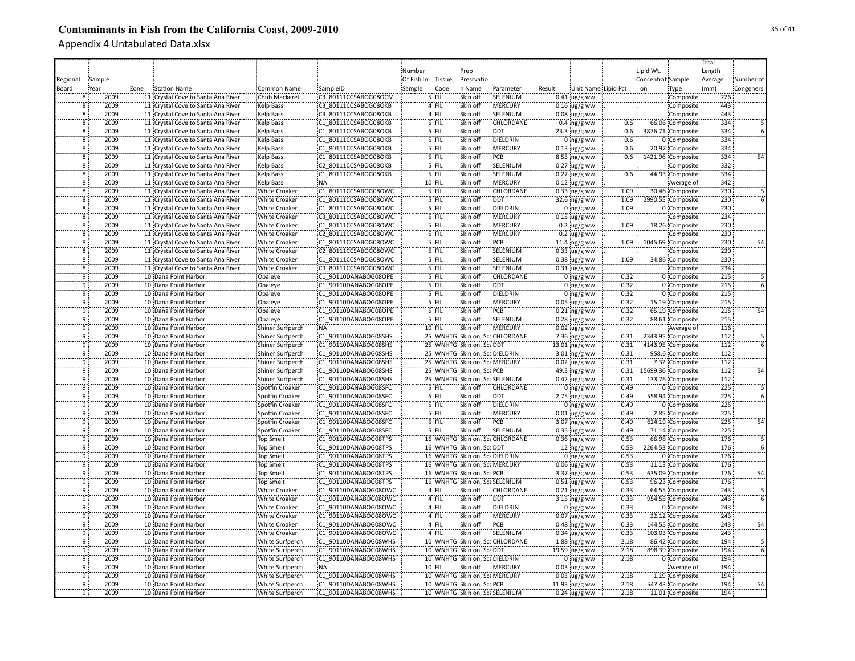|                |        |      |                                    |                         |                      |            |          |                                |                                |        |                         |      |                   |                    | Total   |           |
|----------------|--------|------|------------------------------------|-------------------------|----------------------|------------|----------|--------------------------------|--------------------------------|--------|-------------------------|------|-------------------|--------------------|---------|-----------|
|                |        |      |                                    |                         |                      | Number     |          | Prep                           |                                |        |                         |      | Lipid Wt.         |                    | Length  |           |
| Regional       | Sample |      |                                    |                         |                      | Of Fish In | Tissue   | Presrvatio                     |                                |        |                         |      | Concentrat Sample |                    | Average | Number of |
|                |        |      |                                    |                         |                      |            |          | in Name                        |                                |        |                         |      |                   |                    |         |           |
| Board          | Year   | Zone | <b>Station Name</b>                | Common Name             | SampleID             | Sample     | Code     |                                | Parameter                      | Result | Unit Name Lipid Pct     |      | on                | Type               | (mm)    | Congeners |
| 8              | 2009   |      | 11 Crystal Cove to Santa Ana River | Chub Mackerel           | C3_80111CCSABOG08OCM |            | $5$ FIL  | Skin off                       | SELENIUM                       |        | $0.41$ ug/g ww          |      |                   | Composite          | 226     |           |
| 8              | 2009   |      | 11 Crystal Cove to Santa Ana River | Kelp Bass               | C3 80111CCSABOG08OKB |            | 4 FIL    | Skin off                       | <b>MERCURY</b>                 |        | $0.16$ ug/g ww          |      |                   | Composite          | 443     |           |
| $\overline{8}$ | 2009   |      | 11 Crystal Cove to Santa Ana River | Kelp Bass               | C3 80111CCSABOG08OKB |            | 4 FIL    | Skin off                       | SELENIUM                       |        | $0.08 \,$ ug/g ww       |      |                   | Composite          | 443     |           |
| 8              | 2009   |      | 11 Crystal Cove to Santa Ana River | <b>Kelp Bass</b>        | C1 80111CCSABOG08OKB |            | 5 FIL    | Skin off                       | <b>CHLORDANE</b>               |        | $0.4 \, \text{ng/g}$ ww | 0.6  |                   | 66.06 Composite    | 334     |           |
| $\overline{8}$ | 2009   |      | 11 Crystal Cove to Santa Ana River | <b>Kelp Bass</b>        | C1_80111CCSABOG08OKB |            | 5 FIL    | Skin off                       | <b>DDT</b>                     |        | $23.3$ ng/g ww          | 0.6  |                   | 3876.71 Composite  | 334     |           |
| Ï8             | 2009   |      | 11 Crystal Cove to Santa Ana River | <b>Kelp Bass</b>        | C1 80111CCSABOG08OKB |            | 5 FIL    | Skin off                       | DIELDRIN                       |        | $0$ ing/g ww            | 0.6  |                   | 0 Composite        | 334     |           |
| $\overline{8}$ | 2009   |      | 11 Crystal Cove to Santa Ana River | <b>Kelp Bass</b>        | C1 80111CCSABOG08OKB |            | 5 FIL    | Skin off                       | <b>MERCURY</b>                 |        | $0.13$ ug/g ww          | 0.6  |                   | 20.97 Composite    | 334     |           |
| $\overline{8}$ | 2009   |      | 11 Crystal Cove to Santa Ana River | Kelp Bass               | C1 80111CCSABOG08OKB |            | 5 FIL    | Skin off                       | PCB                            |        | $8.55$ ng/g ww          | 0.6  |                   | 1421.96 Composite  | 334     | 54        |
| $\overline{8}$ | 2009   |      | 11 Crystal Cove to Santa Ana River | Kelp Bass               | C2 80111CCSABOG08OKB |            | 5 FIL    | Skin off                       | SELENIUM                       |        | $0.27$ ug/g ww          |      |                   | Composite          | 332     |           |
| 8              | 2009   |      | 11 Crystal Cove to Santa Ana River | Kelp Bass               | C1 80111CCSABOG08OKB |            | 5 FIL    | Skin off                       | SELENIUM                       |        | $0.27$ ug/g ww          | 0.6  |                   | 44.93 Composite    | 334     |           |
| 8              | 2009   |      | 11 Crystal Cove to Santa Ana River | <b>Kelp Bass</b>        | :NA                  |            | 10 FIL   | Skin off                       | <b>MERCURY</b>                 |        |                         |      |                   |                    | 342     |           |
|                |        |      |                                    |                         |                      |            |          |                                |                                |        | $0.12$ ug/g ww          |      |                   | Average of         |         |           |
| $\overline{8}$ | 2009   |      | 11 Crystal Cove to Santa Ana River | <b>White Croaker</b>    | C1 80111CCSABOG08OWC |            | $5$ FIL  | Skin off                       | <b>CHLORDANE</b>               |        | $0.33$ ng/g ww          | 1.09 |                   | 30.46 Composite    | 230     |           |
| 8              | 2009   |      | 11 Crystal Cove to Santa Ana River | <b>White Croaker</b>    | C1 80111CCSABOG08OWC |            | $5$ FIL  | Skin off                       | <b>DDT</b>                     |        | 32.6 ing/g ww           | 1.09 |                   | 2990.55 Composite  | 230     |           |
| $\overline{8}$ | 2009   |      | 11 Crystal Cove to Santa Ana River | <b>White Croaker</b>    | C1 80111CCSABOG08OWC |            | 5 FIL    | Skin off                       | DIELDRIN                       |        | $0$ ing/g ww            | 1.09 |                   | 0 Composite        | 230     |           |
| ë,             | 2009   |      | 11 Crystal Cove to Santa Ana River | <b>White Croaker</b>    | C3 80111CCSABOG08OWC |            | 5 FIL    | Skin off                       | MERCURY                        |        | $0.15$ ug/g ww          |      |                   | Composite          | 234     |           |
| $\overline{8}$ | 2009   |      | 11 Crystal Cove to Santa Ana River | <b>White Croaker</b>    | C1 80111CCSABOG08OWC |            | '5 FIL   | Skin off                       | MERCURY                        |        | $0.2 \,$ ug/g ww        | 1.09 |                   | 18.26 Composite    | 230     |           |
| $\overline{8}$ | 2009   |      | 11 Crystal Cove to Santa Ana River | <b>White Croaker</b>    | C2 80111CCSABOG08OWC |            | 5 FIL    | Skin off                       | MERCURY                        |        | $0.2 \text{ ug/g}$ ww   |      |                   | Composite          | 230     |           |
| 8              | 2009   |      | 11 Crystal Cove to Santa Ana River | <b>White Croaker</b>    | C1 80111CCSABOG08OWC |            | $5$ FIL  | Skin off                       | PCB                            |        | 11.4 ng/g ww            | 1.09 |                   | 1045.69 Composite  | 230     |           |
| 8              | 2009   |      | 11 Crystal Cove to Santa Ana River | <b>White Croaker</b>    | C2 80111CCSABOG08OWC |            | 5 FIL    | Skin off                       | SELENIUM                       |        | $0.33$ ug/g ww          |      |                   | Composite          | 230     |           |
| $\overline{8}$ | 2009   |      | 11 Crystal Cove to Santa Ana River | <b>White Croaker</b>    | C1 80111CCSABOG08OWC |            | $5$ FIL  | Skin off                       | SELENIUM                       |        | $0.38$ ug/g ww          | 1.09 |                   | 34.86 Composite    | 230     |           |
| $\overline{8}$ | 2009   |      | 11 Crystal Cove to Santa Ana River | <b>White Croaker</b>    | C3 80111CCSABOG08OWC |            | $5$ FIL  | Skin off                       | SELENIUM                       |        | $0.31$ ug/g ww          |      |                   | Composite          | 234     |           |
| $\overline{9}$ | 2009   |      | 10 Dana Point Harbor               | Opaleye                 | C1 90110DANABOG08OPE |            | 5 FIL    | Skin off                       | <b>CHLORDANE</b>               |        | 0 $ng/g$ ww             | 0.32 |                   | 0 Composite        | 215     |           |
| $\overline{9}$ | 2009   |      | 10 Dana Point Harbor               | Opaleye                 | C1 90110DANABOG08OPE |            | 5 FIL    | Skin off                       | <b>DDT</b>                     |        | 0 $ng/g$ ww             | 0.32 |                   | 0 Composite        | 215     |           |
| $\overline{9}$ | 2009   |      | 10 Dana Point Harbor               | Opaleye                 | C1 90110DANABOG08OPE |            | 5 FIL    | Skin off                       | <b>DIELDRIN</b>                |        | $0$ ng/g ww             | 0.32 |                   | 0 Composite        | 215     |           |
| 9              | 2009   |      | 10 Dana Point Harbor               |                         | C1 90110DANABOG08OPE |            | 5 FIL    | Skin off                       | <b>MERCURY</b>                 |        |                         | 0.32 |                   | 15.19 Composite    | 215     |           |
|                | 2009   |      |                                    | Opaleye                 |                      |            | 5 FIL    |                                | PCB                            |        | $0.05$ ug/g ww          |      |                   |                    |         |           |
| ۊ              |        |      | 10 Dana Point Harbor               | Opaleye                 | C1 90110DANABOG08OPE |            |          | Skin off                       |                                |        | $0.21$ ng/g ww          | 0.32 |                   | 65.19 Composite    | 215     |           |
| 9              | 2009   |      | 10 Dana Point Harbor               | Opaleye                 | C1 90110DANABOG08OPE |            | 5 FIL    | Skin off                       | SELENIUM                       |        | $0.28$ ug/g ww          | 0.32 |                   | 88.61 Composite    | 215     |           |
| 9              | 2009   |      | 10 Dana Point Harbor               | Shiner Surfperch        | <b>NA</b>            |            | 10 FIL   | Skin off                       | MERCURY                        |        | $0.02 \,$ ug/g ww       |      |                   | Average of         | 116     |           |
| 9              | 2009   |      | 10 Dana Point Harbor               | Shiner Surfperch        | C1 90110DANABOG08SHS |            |          |                                | 25 WNHTG Skin on, ScaCHLORDANE |        | 7.36 $ng/g$ ww          | 0.31 |                   | 2343.95 Composite  | 112     |           |
| $\overline{9}$ | 2009   |      | 10 Dana Point Harbor               | <b>Shiner Surfperch</b> | C1 90110DANABOG08SHS |            |          | 25 WNHTG Skin on, ScaDDT       |                                |        | 13.01 ng/g ww           | 0.31 |                   | 4143.95 Composite  | 112     |           |
| ïğ             | 2009   |      | 10 Dana Point Harbor               | Shiner Surfperch        | C1 90110DANABOG08SHS |            |          | 25 WNHTG Skin on, ScaDIELDRIN  |                                |        | $3.01$ ing/g ww         | 0.31 |                   | 958.6 Composite    | 112     |           |
| 9              | 2009   |      | 10 Dana Point Harbor               | Shiner Surfperch        | C1 90110DANABOG08SHS |            |          | 25 WNHTG Skin on, Sca MERCURY  |                                |        | $0.02$ ug/g ww          | 0.31 |                   | 7.32 Composite     | 112     |           |
| $\overline{9}$ | 2009   |      | 10 Dana Point Harbor               | Shiner Surfperch        | C1 90110DANABOG08SHS |            |          | 25 WNHTG Skin on, ScalPCB      |                                |        | 49.3 ng/g ww            | 0.31 |                   | 15699.36 Composite | 112     | 54        |
| 9              | 2009   |      | 10 Dana Point Harbor               | Shiner Surfperch        | C1 90110DANABOG08SHS |            |          |                                | 25 WNHTG Skin on, ScaSELENIUM  |        | $0.42$ ug/g ww          | 0.31 |                   | 133.76 Composite   | 112     |           |
| 9              | 2009   |      | 10 Dana Point Harbor               | Spotfin Croaker         | C1 90110DANABOG08SFC |            | 5 FIL    | Skin off                       | CHLORDANE                      |        | $0$ ng/g ww             | 0.49 |                   | 0 Composite        | 225     |           |
| $\overline{9}$ | 2009   |      | 10 Dana Point Harbor               | Spotfin Croaker         | C1 90110DANABOG08SFC |            | 5 FIL    | Skin off                       | <b>DDT</b>                     |        | $2.75$ ng/g ww          | 0.49 |                   | 558.94 Composite   | 225     |           |
| $\overline{9}$ | 2009   |      | 10 Dana Point Harbor               | Spotfin Croaker         | C1 90110DANABOG08SFC |            | $5$ FIL  | Skin off                       | <b>DIELDRIN</b>                |        | $0$ ing/g ww            | 0.49 |                   | 0 Composite        | 225     |           |
| 9              | 2009   |      | 10 Dana Point Harbor               | Spotfin Croaker         | C1 90110DANABOG08SFC |            | $5$ FIL  | Skin off                       | <b>MERCURY</b>                 |        | $0.01$ ug/g ww          | 0.49 |                   | 2.85 Composite     | 225     |           |
| ۊ              | 2009   |      | 10 Dana Point Harbor               | Spotfin Croaker         | C1 90110DANABOG08SFC |            | 5 FIL    | Skin off                       | PCB                            |        | $3.07$ ing/g ww         | 0.49 |                   | 624.19 Composite   | 225     | 54        |
| ۊ              | 2009   |      | 10 Dana Point Harbor               | Spotfin Croaker         | C1 90110DANABOG08SFC |            | 5 FIL    | Skin off                       | SELENIUM                       |        | $0.35$ ug/g ww          | 0.49 |                   | 71.14 Composite    | 225     |           |
| ٠ä             | 2009   |      | 10 Dana Point Harbor               | <b>Top Smelt</b>        | C1 90110DANABOG08TPS |            |          |                                | 16 WNHTG Skin on, ScaCHLORDANE |        | $0.36$ ng/g ww          | 0.53 |                   | 66.98 Composite    | 176     |           |
| ٠ö             | 2009   |      | 10 Dana Point Harbor               | <b>Top Smelt</b>        | C1 90110DANABOG08TPS |            |          | 16 WNHTG Skin on, Sca DDT      |                                |        | $12$ ing/g ww           | 0.53 |                   | 2264.53 Composite  | 176     |           |
| 9              | 2009   |      | 10 Dana Point Harbor               | Top Smelt               | C1 90110DANABOG08TPS |            |          | 16 WNHTG Skin on, ScaDIELDRIN  |                                |        | $0$ ing/g ww            | 0.53 |                   | 0 Composite        | 176     |           |
| 9              | 2009   |      | 10 Dana Point Harbor               | <b>Top Smelt</b>        | C1 90110DANABOG08TPS |            |          | 16 WNHTG Skin on, Sca MERCURY  |                                |        |                         | 0.53 |                   | 11.13 Composite    | 176     |           |
| ïğ             |        |      |                                    |                         |                      |            |          |                                |                                |        | $0.06$ ug/g ww          |      |                   |                    |         |           |
|                | 2009   |      | 10 Dana Point Harbor               | <b>Top Smelt</b>        | C1 90110DANABOG08TPS |            |          | 16 WNHTG Skin on, ScaPCB       |                                |        | $3.37$ ng/g ww          | 0.53 |                   | 635.09 Composite   | 176     | 54        |
| $\overline{9}$ | 2009   |      | 10 Dana Point Harbor               | <b>Top Smelt</b>        | C1 90110DANABOG08TPS |            |          |                                | 16 WNHTG Skin on, ScaSELENIUM  |        | $0.51$ ug/g ww          | 0.53 |                   | 96.23 Composite    | 176     |           |
| $\overline{9}$ | 2009   |      | 10 Dana Point Harbor               | <b>White Croaker</b>    | C1 90110DANABOG08OWC |            | 4 FIL    | Skin off                       | <b>CHLORDANE</b>               |        | $0.21$ ing/g ww         | 0.33 |                   | 64.55 Composite    | 243     |           |
| $\overline{9}$ | 2009   |      | 10 Dana Point Harbor               | <b>White Croaker</b>    | C1 90110DANABOG08OWC |            | 4 FIL    | Skin off                       | <b>DDT</b>                     |        | $3.15$ ng/g ww          | 0.33 |                   | 954.55 Composite   | 243     |           |
| $\overline{9}$ | 2009   |      | 10 Dana Point Harbor               | <b>White Croaker</b>    | C1 90110DANABOG08OWC |            | 4 FIL    | Skin off                       | DIELDRIN                       |        | $0$ ng/g ww             | 0.33 |                   | 0 Composite        | 243     |           |
| $\overline{9}$ | 2009   |      | 10 Dana Point Harbor               | <b>White Croaker</b>    | C1 90110DANABOG08OWC |            | 4 FIL    | Skin off                       | :MERCURY                       |        | $0.07$ ug/g ww          | 0.33 |                   | 22.12 Composite    | 243     |           |
| ۊ              | 2009   |      | 10 Dana Point Harbor               | White Croaker           | C1 90110DANABOG08OWC |            | 4 FIL    | Skin off                       | PCB                            |        | $0.48$ ng/g ww          | 0.33 |                   | 144.55 Composite   | 243     | 54        |
| 9              | 2009   |      | 10 Dana Point Harbor               | White Croaker           | C1 90110DANABOG08OWC |            | 4 FIL    | Skin off                       | SELENIUM                       |        | $0.34$ ug/g ww          | 0.33 |                   | 103.03 Composite   | 243     |           |
| 9              | 2009   |      | 10 Dana Point Harbor               | <b>White Surfperch</b>  | C1 90110DANABOG08WHS |            |          |                                | 10 WNHTG Skin on, ScaCHLORDANE |        | $1.88$ ng/g ww          | 2.18 |                   | 86.42 Composite    | 194     |           |
| $\overline{9}$ | 2009   |      | 10 Dana Point Harbor               | White Surfperch         | C1 90110DANABOG08WHS |            |          | 10 WNHTG Skin on, ScaDDT       |                                |        | 19.59 ng/g ww           | 2.18 |                   | 898.39 Composite   | 194     |           |
| ٠ğ             | 2009   |      | 10 Dana Point Harbor               | <b>White Surfperch</b>  | C1 90110DANABOG08WHS |            |          | 10 WNHTG Skin on, Sca DIELDRIN |                                |        | $0$ ng/g ww             | 2.18 |                   | 0 Composite        | 194     |           |
| ٠q             | 2009   |      | 10 Dana Point Harbor               | <b>White Surfperch</b>  | :NA                  |            | $10$ FIL | Skin off                       | <b>MERCURY</b>                 |        | $0.03$ ug/g ww          |      |                   | Average of         | 194     |           |
| ٠ğ             | 2009   |      | 10 Dana Point Harbor               | <b>White Surfperch</b>  | C1 90110DANABOG08WHS |            |          | 10 WNHTG Skin on, Sca MERCURY  |                                |        | $0.03$ ug/g ww          | 2.18 |                   | 1.19 Composite     | 194     |           |
| $\overline{9}$ | 2009   |      | 10 Dana Point Harbor               | White Surfperch         | C1 90110DANABOG08WHS |            |          | 10 WNHTG Skin on, ScaPCB       |                                |        | 11.93 ng/g ww           | 2.18 |                   | 547.43 Composite   | 194     | 54        |
| ۔<br>و         | 2009   |      | 10 Dana Point Harbor               | White Surfperch         | C1 90110DANABOG08WHS |            |          |                                | 10 WNHTG Skin on, ScaSELENIUM  |        | $0.24 \,$ ug/g ww       | 2.18 |                   | 11.01 Composite    | 194     |           |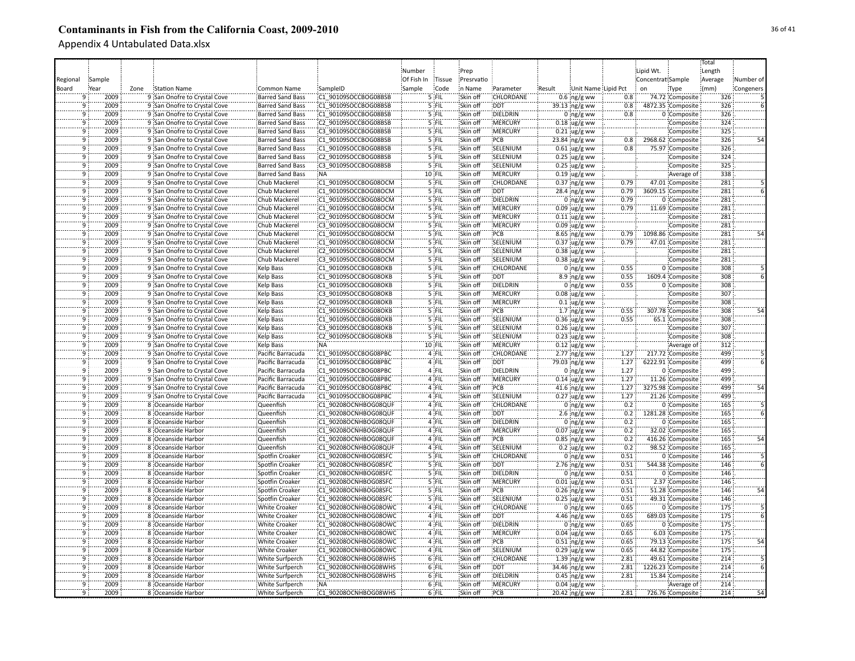|                      |              |      |                                                              |                                                  |                                              |            |                |                      |                            |        |                                  |              |                   |                                      | Total           |           |
|----------------------|--------------|------|--------------------------------------------------------------|--------------------------------------------------|----------------------------------------------|------------|----------------|----------------------|----------------------------|--------|----------------------------------|--------------|-------------------|--------------------------------------|-----------------|-----------|
|                      |              |      |                                                              |                                                  |                                              | Number     |                | Prep                 |                            |        |                                  |              | Lipid Wt.         |                                      | Length          |           |
| Regional             | Sample       |      |                                                              |                                                  |                                              | Of Fish In | Tissue         | Presrvatio           |                            |        |                                  |              | Concentrat Sample |                                      | Average         | Number of |
| Board                | Year         | Zone | <b>Station Name</b>                                          | Common Name                                      | SampleID                                     | Sample     | Code           | in Name              | Parameter                  | Result | Unit Name Lipid Pct              |              | on                | Type                                 | (mm)            | Congeners |
|                      | 2009         |      | 9 San Onofre to Crystal Cove                                 | Barred Sand Bass                                 | C1 90109SOCCBOG08BSB                         |            | $5$ FIL        | Skin off             | CHLORDANE                  |        | $0.6 \, \text{ng/g}$ ww          | 0.8          |                   | 74.72 Composite                      | 326             |           |
| 9                    | 2009         |      | 9 San Onofre to Crystal Cove                                 | Barred Sand Bass                                 | C1 90109SOCCBOG08BSB                         |            | 5 FIL          | Skin off             | <b>DDT</b>                 |        | 39.13 ng/g ww                    | 0.8          |                   | 4872.35 Composite                    | 326             |           |
| 9                    | 2009         |      | 9 San Onofre to Crystal Cove                                 | <b>Barred Sand Bass</b>                          | C1 90109SOCCBOG08BSB                         |            | 5 FIL          | Skin off             | DIELDRIN                   |        | 0 $ng/g$ ww                      | 0.8          |                   | 0 Composite                          | 326             |           |
| ٠ğ                   | 2009         |      | 9 San Onofre to Crystal Cove                                 | <b>Barred Sand Bass</b>                          | C2 90109SOCCBOG08BSB                         |            | 5 FIL          | Skin off             | MERCURY                    |        | $0.18$ ug/g ww                   |              |                   | Composite                            | 324             |           |
| 9                    | 2009         |      | 9 San Onofre to Crystal Cove                                 | <b>Barred Sand Bass</b>                          | C3 90109SOCCBOG08BSB                         |            | 5 FIL          | Skin off             | MERCURY                    |        | $0.21$ ug/g ww                   |              |                   | Composite                            | 325             |           |
| ٠ğ                   | 2009         |      | 9 San Onofre to Crystal Cove                                 | <b>Barred Sand Bass</b>                          | C1 90109SOCCBOG08BSB                         |            | 5 FIL          | Skin off             | PCB                        |        | 23.84 ing/g ww                   | 0.8:         |                   | 2968.62 Composite                    | 326             |           |
| ۊ                    | 2009         |      | 9 San Onofre to Crystal Cove                                 | <b>Barred Sand Bass</b>                          | C1 90109SOCCBOG08BSB                         |            | 5 FIL          | Skin off             | SELENIUM                   |        | $0.61$ ug/g ww                   | 0.8          |                   | 75.97 Composite                      | 326             |           |
| ۊ                    | 2009         |      | 9 San Onofre to Crystal Cove                                 | <b>Barred Sand Bass</b>                          | C2 90109SOCCBOG08BSB                         |            | 5 FIL          | Skin off             | SELENIUM                   |        | $0.25$ ug/g ww                   |              |                   | Composite                            | 324             |           |
| 9                    | 2009         |      | 9 San Onofre to Crystal Cove                                 | <b>Barred Sand Bass</b>                          | C3 90109SOCCBOG08BSB                         |            | 5 FIL          | Skin off             | SELENIUM                   |        | $0.25$ ug/g ww                   |              |                   | Composite                            | 325             |           |
| 9                    | 2009         |      | 9 San Onofre to Crystal Cove                                 | <b>Barred Sand Bass</b>                          | :NA                                          |            | 10 FIL         | Skin off             | MERCURY                    |        | $0.19$ ug/g ww                   |              |                   | Average of                           | 338             |           |
| 9                    | 2009         |      | 9 San Onofre to Crystal Cove                                 | Chub Mackerel                                    | C1 90109SOCCBOG08OCM                         |            | 5 FIL          | Skin off             | <b>CHLORDANE</b>           |        | $0.37$ ng/g ww                   | 0.79         |                   | 47.01 Composite                      | 281             |           |
| ۊ                    | 2009         |      | 9 San Onofre to Crystal Cove                                 | Chub Mackerel                                    | C1 90109SOCCBOG08OCM                         |            | 5 FIL          | Skin off             | <b>DDT</b>                 |        | 28.4 ing/g ww                    | 0.79         |                   | 3609.15 Composite                    | 281             |           |
| $\overline{9}$       | 2009         |      | 9 San Onofre to Crystal Cove                                 | Chub Mackerel                                    | C1 90109SOCCBOG08OCM                         |            | $5$ FIL        | Skin off             | <b>DIELDRIN</b>            |        | $0$ ing/g ww                     | 0.79         |                   | 0 Composite                          | 281             |           |
| -q                   | 2009         |      | 9 San Onofre to Crystal Cove                                 | Chub Mackerel                                    | C1 90109SOCCBOG08OCM                         |            | $5$ FIL        | Skin off             | <b>MERCURY</b>             |        |                                  | 0.79         |                   |                                      | 281             |           |
| ٠ä                   | 2009         |      | 9 San Onofre to Crystal Cove                                 | Chub Mackerel                                    | C2 90109SOCCBOG08OCM                         |            | '5 FIL         | Skin off             | <b>IMERCURY</b>            |        | $0.09$ ug/g ww                   |              |                   | 11.69 Composite<br>Composite         | 281             |           |
| ۊ                    | 2009         |      | 9 San Onofre to Crystal Cove                                 | Chub Mackerel                                    | C3 90109SOCCBOG08OCM                         |            | '5 FIL         | Skin off             | MERCURY                    |        | $0.11$ ug/g ww<br>$0.09$ ug/g ww |              |                   | Composite                            | 281             |           |
| ٠ä                   | 2009         |      | 9 San Onofre to Crystal Cove                                 | Chub Mackerel                                    | C1 90109SOCCBOG08OCM                         |            | '5 FIL         | Skin off             | PCB                        |        |                                  | 0.79         |                   | 1098.86 Composite                    | $\frac{1}{281}$ |           |
| 9                    | 2009         |      |                                                              | Chub Mackerel                                    | C1 90109SOCCBOG08OCM                         |            | $5$ FIL        | Skin off             | SELENIUM                   |        | $8.65$ ng/g ww                   | 0.79         |                   |                                      | 281             |           |
| 9                    | 2009         |      | 9 San Onofre to Crystal Cove<br>9 San Onofre to Crystal Cove | Chub Mackerel                                    | C2 90109SOCCBOG08OCM                         |            | 5 FIL          | Skin off             | SELENIUM                   |        | $0.37$ ug/g ww                   |              |                   | 47.01 Composite                      | 281             |           |
| ïğ                   |              |      |                                                              |                                                  |                                              |            | 5 FIL          |                      |                            |        | $0.38$ ug/g ww                   |              |                   | Composite                            | 281             |           |
|                      | 2009         |      | 9 San Onofre to Crystal Cove                                 | Chub Mackerel                                    | C3 90109SOCCBOG08OCM                         |            |                | Skin off             | SELENIUM                   |        | $0.38$ ug/g ww                   |              |                   | Composite                            |                 |           |
| $\overline{9}$       | 2009         |      | 9 San Onofre to Crystal Cove                                 | <b>Kelp Bass</b>                                 | C1 90109SOCCBOG08OKB                         |            | 5 FIL          | Skin off             | <b>CHLORDANE</b>           |        | $0:$ ng/g ww                     | 0.55         |                   | 0 Composite                          | 308             |           |
| 9                    | 2009<br>2009 |      | 9 San Onofre to Crystal Cove                                 | <b>Kelp Bass</b>                                 | C1 90109SOCCBOG08OKB                         |            | 5 FIL          | Skin off             | <b>DDT</b>                 |        | $8.9 \, \text{ng/g}$ ww          | 0.55         |                   | 1609.4 Composite                     | 308             |           |
| $\overline{9}$       |              |      | 9 San Onofre to Crystal Cove                                 | Kelp Bass                                        | C1 90109SOCCBOG08OKB                         |            | 5 FIL          | Skin off             | DIELDRIN                   |        | $0$ ng/g ww                      | 0.55         |                   | 0 Composite                          | 308             |           |
| $\overline{9}$       | 2009<br>2009 |      | 9 San Onofre to Crystal Cove                                 | <b>Kelp Bass</b>                                 | C3 90109SOCCBOG08OKB                         |            | 5 FIL<br>5 FIL | Skin off<br>Skin off | :MERCURY<br><b>MERCURY</b> |        | $0.08$ ug/g ww                   |              |                   | Composite                            | 307<br>308      |           |
| $\overline{9}$<br>٠ğ |              |      | 9 San Onofre to Crystal Cove                                 | <b>Kelp Bass</b>                                 | C2 90109SOCCBOG08OKB                         |            |                |                      |                            |        | $0.1$ ug/g ww                    |              |                   | Composite                            | 308             |           |
|                      | 2009         |      | 9 San Onofre to Crystal Cove                                 | Kelp Bass                                        | C1 90109SOCCBOG08OKB                         |            | 5 FIL          | Skin off             | PCB                        |        | 1.7 $ng/g$ ww                    | 0.55         |                   | 307.78 Composite                     |                 | 54        |
| 9                    | 2009         |      | 9 San Onofre to Crystal Cove                                 | Kelp Bass                                        | C1 90109SOCCBOG08OKB                         |            | 5 FIL          | Skin off             | SELENIUM                   |        | $0.36$ ug/g ww                   | 0.55         |                   | 65.1 Composite                       | 308             |           |
| ٠ğ                   | 2009         |      | 9 San Onofre to Crystal Cove                                 | <b>Kelp Bass</b>                                 | C3 90109SOCCBOG08OKB                         |            | 5 FIL          | Skin off             | SELENIUM                   |        | $0.26$ ug/g ww                   |              |                   | Composite                            | 307             |           |
| 9                    | 2009<br>2009 |      | 9 San Onofre to Crystal Cove                                 | Kelp Bass                                        | C2 90109SOCCBOG08OKB                         |            | 5 FIL          | Skin off             | SELENIUM                   |        | $0.23$ ug/g ww                   |              |                   | Composite                            | 308             |           |
| 9<br>ïğ              |              |      | 9 San Onofre to Crystal Cove                                 | Kelp Bass                                        | <b>NA</b>                                    |            | 10 FIL         | Skin off             | MERCURY                    |        | $0.12$ ug/g ww                   |              |                   | Average of                           | 312             |           |
|                      | 2009         |      | 9 San Onofre to Crystal Cove                                 | Pacific Barracuda                                | C1 90109SOCCBOG08PBC                         |            | 4 FIL          | Skin off             | CHLORDANE                  |        | $2.77$ ng/g ww                   | 1.27         |                   | 217.72 Composite                     | 499             |           |
| 9<br>9               | 2009         |      | 9 San Onofre to Crystal Cove                                 | Pacific Barracuda                                | C1 90109SOCCBOG08PBC                         |            | 4 FIL          | Skin off             | DDT                        |        | 79.03 ing/g ww                   | 1.27         |                   | 6222.91 Composite                    | 499<br>499      |           |
|                      | 2009         |      | 9 San Onofre to Crystal Cove                                 | Pacific Barracuda                                | C1 90109SOCCBOG08PBC                         |            | 4 FIL          | Skin off             | DIELDRIN                   |        | $0$ ing/g ww                     | 1.27         |                   | 0 Composite                          |                 |           |
| 9                    | 2009         |      | 9 San Onofre to Crystal Cove                                 | Pacific Barracuda                                | C1 90109SOCCBOG08PBC                         |            | 4 FIL          | Skin off             | MERCURY                    |        | $0.14$ ug/g ww                   | 1.27         |                   | 11.26 Composite                      | 499             |           |
| $\overline{9}$       | 2009         |      | 9 San Onofre to Crystal Cove                                 | Pacific Barracuda                                | C1 90109SOCCBOG08PBC                         |            | 4 FIL          | Skin off             | PCB                        |        | 41.6 ng/g ww                     | 1.27         |                   | 3275.98 Composite                    | 499             | 54        |
| $\overline{9}$       | 2009         |      | 9 San Onofre to Crystal Cove                                 | Pacific Barracuda                                | C1 90109SOCCBOG08PBC                         |            | 4 FIL          | Skin off             | SELENIUM                   |        | $0.27$ ug/g ww                   | 1.27         |                   | 21.26 Composite                      | 499             |           |
| 9                    | 2009<br>2009 |      | 8 Oceanside Harbor                                           | Queenfish                                        | C1 90208OCNHBOG08QUF                         |            | 4 FIL          | Skin off             | <b>CHLORDANE</b>           |        | $0$ ing/g ww                     | 0.2          |                   | 0 Composite                          | 165             |           |
| 9<br>$\overline{9}$  | 2009         |      | 8 Oceanside Harbor                                           | Queenfish                                        | C1 90208OCNHBOG08QUF                         |            | 4 FIL          | Skin off             | <b>DDT</b>                 |        | 2.6 $ng/g$ ww                    | 0.2<br>0.2   |                   | 1281.28 Composite                    | 165             |           |
| ٠ä                   |              |      | 8 Oceanside Harbor                                           | Queenfish                                        | C1 90208OCNHBOG08QUF                         |            | 4 FIL          | Skin off             | DIELDRIN                   |        | $0$ ing/g ww                     |              |                   | 0 Composite                          | 165             |           |
| ۊ                    | 2009<br>2009 |      | 8 Oceanside Harbor<br>8 Oceanside Harbor                     | Queenfish<br>Queenfish                           | C1 90208OCNHBOG08QUF<br>C1 90208OCNHBOG08QUF |            | 4 FIL<br>4 FIL | Skin off<br>Skin off | MERCURY<br>PCB             |        | $0.07$ ug/g ww                   | 0.2<br>0.2   |                   | 32.02 Composite<br>416.26 Composite  | 165<br>165      | 54        |
| ٠ö                   | 2009         |      |                                                              | Queenfish                                        | C1 90208OCNHBOG08QUF                         |            | 4 FIL          | Skin off             | SELENIUM                   |        | $0.85$ ng/g ww                   | 0.2          |                   |                                      | 165             |           |
|                      |              |      | 8 Oceanside Harbor                                           |                                                  |                                              |            |                |                      |                            |        | $0.2$ ug/g ww                    |              |                   | 98.52 Composite                      |                 |           |
| 9                    | 2009<br>2009 |      | 8 Oceanside Harbor                                           | Spotfin Croaker                                  | C1 90208OCNHBOG08SFC<br>C1 90208OCNHBOG08SFC |            | 5 FIL<br>5 FIL | Skin off             | CHLORDANE<br><b>DDT</b>    |        | $0$ ing/g ww                     | 0.51<br>0.51 |                   | 0 Composite                          | 146<br>146      |           |
| 9                    | 2009         |      | 8 Oceanside Harbor<br>8 Oceanside Harbor                     | Spotfin Croaker                                  | C1 90208OCNHBOG08SFC                         |            | $5$ FIL        | Skin off<br>Skin off | DIELDRIN                   |        | 2.76 ng/g ww                     | 0.51         |                   | 544.38 Composite                     | 146             |           |
|                      |              |      |                                                              | Spotfin Croaker                                  |                                              |            | 5 FIL          |                      |                            |        | $0$ ing/g ww                     |              |                   | 0 Composite                          |                 |           |
| 9<br>$\overline{9}$  | 2009<br>2009 |      | 8 Oceanside Harbor                                           | Spotfin Croaker                                  | C1 90208OCNHBOG08SFC                         |            |                | Skin off             | <b>MERCURY</b><br>PCB      |        | $0.01$ ug/g ww                   | 0.51         |                   | 2.37 Composite                       | 146             | 54        |
|                      |              |      | 8 Oceanside Harbor                                           | Spotfin Croaker                                  | C1 90208OCNHBOG08SFC                         |            | $5$ FIL        | Skin off             |                            |        | $0.26$ ing/g ww                  | 0.51         |                   | 51.28 Composite                      | 146             |           |
| 9<br>$\overline{9}$  | 2009<br>2009 |      | 8 Oceanside Harbor<br>8 Oceanside Harbor                     | Spotfin Croaker                                  | C1 90208OCNHBOG08SFC<br>C1 90208OCNHBOG08OWC |            | 5 FIL<br>4 FIL | Skin off<br>Skin off | SELENIUM<br>CHLORDANE      |        | $0.25$ ug/g ww                   | 0.51<br>0.65 |                   | 49.31 Composite<br>0 Composite       | 146<br>175      |           |
| $\overline{9}$       | 2009         |      | 8 Oceanside Harbor                                           | <b>White Croaker</b><br><b>White Croaker</b>     | C1 90208OCNHBOG08OWC                         |            | 4 FIL          | Skin off             | <b>DDT</b>                 |        | 0 $ng/g$ ww                      | 0.65         |                   | 689.03 Composite                     | 175             |           |
|                      |              |      |                                                              |                                                  |                                              |            |                |                      | DIELDRIN                   |        | 4.46 ng/g ww                     |              |                   |                                      |                 |           |
| 9                    | 2009<br>2009 |      | 8 Oceanside Harbor                                           | <b>White Croaker</b>                             | C1 90208OCNHBOG08OWC                         |            | 4 FIL          | Skin off             | :MERCURY                   |        | $0$ ng/g ww                      | 0.65         |                   | 0 Composite                          | 175             |           |
| 9<br>ïğ              | 2009         |      | 8 Oceanside Harbor                                           | White Croaker                                    | C1 90208OCNHBOG08OWC                         |            | 4 FIL          | Skin off             | PCB                        |        | $0.04 \,$ ug/g ww                | 0.65         |                   | 6.03 Composite                       | 175<br>175      | 54        |
|                      |              |      | 8 Oceanside Harbor                                           | <b>White Croaker</b>                             | C1 90208OCNHBOG08OWC                         |            | 4 FIL          | Skin off             |                            |        | $0.51$ ng/g ww                   | 0.65         |                   | 79.13 Composite                      |                 |           |
| 9<br>$\overline{9}$  | 2009<br>2009 |      | 8 Oceanside Harbor                                           | <b>White Croaker</b>                             | C1 90208OCNHBOG08OWC                         |            | 4 FIL<br>6 FIL | Skin off             | SELENIUM<br>CHLORDANE      |        | $0.29$ ug/g ww                   | 0.65<br>2.81 |                   | 44.82 Composite                      | 175<br>214      |           |
| ٠g                   | 2009         |      | 8 Oceanside Harbor<br>8 Oceanside Harbor                     | <b>White Surfperch</b><br><b>White Surfperch</b> | C1 90208OCNHBOG08WHS<br>C1 90208OCNHBOG08WHS |            | 6 FIL          | Skin off<br>Skin off | <b>DDT</b>                 |        | $1.39$ ng/g ww<br>34.46 ng/g ww  | 2.81         |                   | 49.61 Composite<br>1226.23 Composite | 214             |           |
| ٠ğ                   | 2009         |      |                                                              |                                                  |                                              |            |                | Skin off             | DIELDRIN                   |        |                                  |              |                   |                                      | 214             |           |
| 9                    | 2009         |      | 8 Oceanside Harbor                                           | <b>White Surfperch</b>                           | C1 90208OCNHBOG08WHS                         |            | 6 FIL<br>6 FIL |                      | <b>MERCURY</b>             |        | $0.45$ ing/g ww                  | 2.81         |                   | 15.84 Composite                      | 214             |           |
|                      |              |      | 8 Oceanside Harbor                                           | <b>White Surfperch</b>                           | :NA                                          |            |                | Skin off             |                            |        | $0.04$ ug/g ww                   |              |                   | Average of                           |                 |           |
| 9                    | 2009         |      | 8 Oceanside Harbor                                           | White Surfperch                                  | C1 90208OCNHBOG08WHS                         |            | 6 FIL          | Skin off             | PCB                        |        | 20.42 ng/g ww                    | 2.81         |                   | 726.76 Composite                     | 214             | 54        |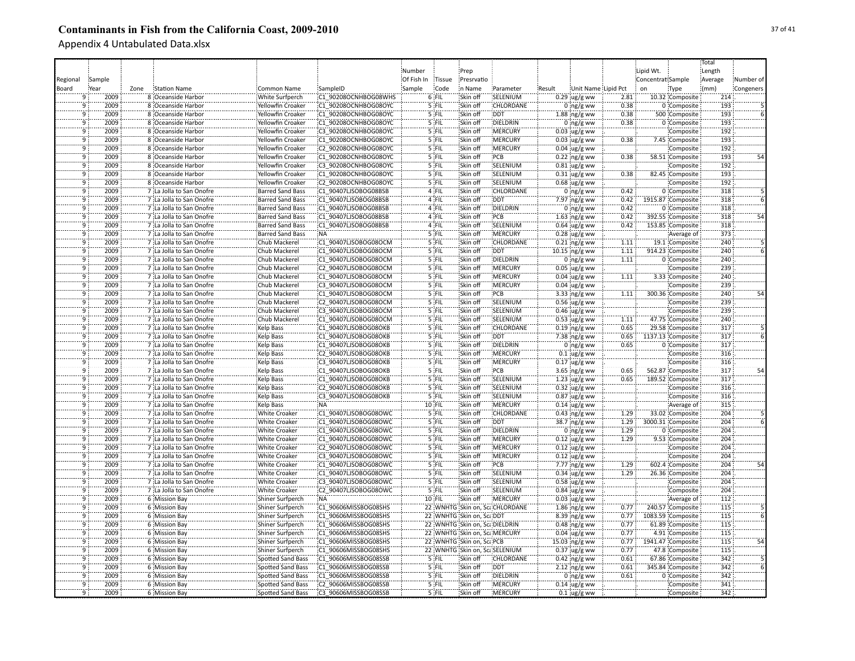|                |        |      |                                                      |                          |                      |            |         |                               |                                |        |                       |      |                   |                   | Total   |           |
|----------------|--------|------|------------------------------------------------------|--------------------------|----------------------|------------|---------|-------------------------------|--------------------------------|--------|-----------------------|------|-------------------|-------------------|---------|-----------|
|                |        |      |                                                      |                          |                      | Number     |         | Prep                          |                                |        |                       |      | Lipid Wt.         |                   | Length  |           |
| Regional       | Sample |      |                                                      |                          |                      | Of Fish In | Tissue  | Presrvatio                    |                                |        |                       |      | Concentrat Sample |                   | Average | Number of |
|                |        |      |                                                      |                          |                      |            |         | in Name                       |                                |        |                       |      |                   |                   |         |           |
| Board          | Year   | Zone | <b>Station Name</b>                                  | Common Name              | SampleID             | Sample     | Code    |                               | Parameter                      | Result | Unit Name Lipid Pct   |      | on                | Type              | (mm)    | Congeners |
| 9              | 2009   |      | 8 Oceanside Harbor                                   | White Surfperch          | C1 90208OCNHBOG08WHS |            | 6 FIL   | Skin off                      | SELENIUM                       |        | $0.29$ ug/g ww        | 2.81 |                   | 10.32 Composite   | 214     |           |
| 9              | 2009   |      | 8 Oceanside Harbor                                   | Yellowfin Croaker        | C1 90208OCNHBOG08OYC |            | 5 FIL   | Skin off                      | CHLORDANE                      |        | $0$ ng/g ww           | 0.38 |                   | 0 Composite       | 193     |           |
| 9              | 2009   |      | 8 Oceanside Harbor                                   | Yellowfin Croaker        | C1 90208OCNHBOG08OYC |            | 5 FIL   | Skin off                      | <b>DDT</b>                     |        | $1.88$ ng/g ww        | 0.38 |                   | 500 Composite     | 193     |           |
| ٠ğ             | 2009   |      | 8 Oceanside Harbor                                   | Yellowfin Croaker        | C1 90208OCNHBOG08OYC |            | 5 FIL   | Skin off                      | DIELDRIN                       |        | $0 \log/g$ ww         | 0.38 |                   | 0 Composite       | 193     |           |
| 9              | 2009   |      | 8 Oceanside Harbor                                   | Yellowfin Croaker        | C3 90208OCNHBOG08OYC |            | 5 FIL   | Skin off                      | MERCURY                        |        | $0.03$ ug/g ww        |      |                   | Composite         | 192     |           |
| ٠ğ             | 2009   |      | 8 Oceanside Harbor                                   | <b>Yellowfin Croaker</b> | C1 90208OCNHBOG08OYC |            | 5 FIL   | Skin off                      | <b>MERCURY</b>                 |        | $0.03$ ug/g ww        | 0.38 |                   | 7.45 Composite    | 193     |           |
| ۊ              | 2009   |      | 8 Oceanside Harbor                                   | Yellowfin Croaker        | C2 90208OCNHBOG08OYC |            | 5 FIL   | Skin off                      | <b>MERCURY</b>                 |        | $0.04$ ug/g ww        |      |                   | Composite         | 192     |           |
| ۊ              | 2009   |      | 8 Oceanside Harbor                                   | Yellowfin Croaker        | C1 90208OCNHBOG08OYC |            | 5 FIL   | Skin off                      | PCB                            |        | $0.22$ ng/g ww        | 0.38 |                   | 58.51 Composite   | 193     | 54        |
| 9              | 2009   |      | 8 Oceanside Harbor                                   | Yellowfin Croaker        | C3 90208OCNHBOG08OYC |            | 5 FIL   | Skin off                      | SELENIUM                       |        | $0.81$ ug/g ww        |      |                   | Composite         | 192     |           |
| $\overline{9}$ | 2009   |      | 8 Oceanside Harbor                                   | Yellowfin Croaker        | C1 90208OCNHBOG08OYC |            | 5 FIL   | Skin off                      | SELENIUM                       |        | $0.31$ ug/g ww        | 0.38 |                   | 82.45 Composite   | 193     |           |
| 9              | 2009   |      | 8 Oceanside Harbor                                   | <b>Yellowfin Croaker</b> | C2 90208OCNHBOG08OYC |            | 5 FIL   | Skin off                      | SELENIUM                       |        | $0.68$ ug/g ww        |      |                   | Composite         | 192     |           |
| ۊ              | 2009   |      | 7 La Jolla to San Onofre                             | <b>Barred Sand Bass</b>  | C1 90407LJSOBOG08BSB |            | 4 FIL   | Skin off                      | <b>CHLORDANE</b>               |        | $0$ ing/g ww          | 0.42 |                   | 0 Composite       | 318     |           |
| $\overline{9}$ | 2009   |      | 7 La Jolla to San Onofre                             | <b>Barred Sand Bass</b>  | C1 90407LJSOBOG08BSB |            | 4 FIL   | Skin off                      | <b>DDT</b>                     |        | 7.97 ng/g ww          | 0.42 |                   | 1915.87 Composite | 318     |           |
| $\overline{9}$ | 2009   |      | 7 :La Jolla to San Onofre                            | <b>Barred Sand Bass</b>  | C1 90407LJSOBOG08BSB |            | 4 FIL   | Skin off                      | DIELDRIN                       |        | $0$ ing/g ww          | 0.42 |                   | 0 Composite       | 318     |           |
| ٠ä             | 2009   |      | 7 La Jolla to San Onofre                             | <b>Barred Sand Bass</b>  | C1 90407LJSOBOG08BSB |            | 4 FIL   | Skin off                      | PCB                            |        | $1.63$ ing/g ww       | 0.42 |                   | 392.55 Composite  | 318     | 54        |
| ۊ              | 2009   |      | 7 La Jolla to San Onofre                             | <b>Barred Sand Bass</b>  | C1 90407LJSOBOG08BSB |            | 4 FIL   | Skin off                      | SELENIUM                       |        | $0.64$ ug/g ww        | 0.42 |                   | 153.85 Composite  | 318     |           |
| ٠ä             | 2009   |      | 7 La Jolla to San Onofre                             |                          | NA <sup>:</sup>      |            | '5 FIL  | Skin off                      | MERCURY                        |        |                       |      |                   |                   | 373     |           |
|                |        |      |                                                      | <b>Barred Sand Bass</b>  |                      |            |         |                               |                                |        | $0.28$ ug/g ww        |      |                   | Average of        |         |           |
| 9              | 2009   |      | 7 La Jolla to San Onofre                             | Chub Mackerel            | C1 90407LJSOBOG08OCM |            | $5$ FIL | Skin off                      | CHLORDANE                      |        | $0.21$ ng/g ww        | 1.11 |                   | 19.1 Composite    | 240     |           |
| 9              | 2009   |      | 7 La Jolla to San Onofre                             | Chub Mackerel            | C1 90407LJSOBOG08OCM |            | 5 FIL   | Skin off                      | <b>DDT</b>                     |        | 10.15 ng/g ww         | 1.11 |                   | 914.23 Composite  | 240     |           |
| ïğ             | 2009   |      | 7 La Jolla to San Onofre                             | Chub Mackerel            | C1 90407LJSOBOG08OCM |            | 5 FIL   | Skin off                      | DIELDRIN                       |        | $0$ ing/g ww          | 1.11 |                   | 0 Composite       | 240     |           |
| $\overline{9}$ | 2009   |      | 7 La Jolla to San Onofre                             | Chub Mackerel            | C2 90407LJSOBOG08OCM |            | 5 FIL   | Skin off                      | <b>MERCURY</b>                 |        | $0.05$ ug/g ww        |      |                   | Composite         | 239     |           |
| 9              | 2009   |      | 7 La Jolla to San Onofre                             | Chub Mackerel            | C1 90407LJSOBOG08OCM |            | 5 FIL   | Skin off                      | <b>MERCURY</b>                 |        | $0.04 \,$ ug/g ww     | 1.11 |                   | 3.33 Composite    | 240     |           |
| $\overline{9}$ | 2009   |      | 7 La Jolla to San Onofre                             | Chub Mackerel            | C3 90407LJSOBOG08OCM |            | $5$ FIL | Skin off                      | <b>MERCURY</b>                 |        | $0.04$ ug/g ww        |      |                   | Composite         | 239     |           |
| $\overline{9}$ | 2009   |      | 7 La Jolla to San Onofre                             | <b>Chub Mackerel</b>     | C1 90407LJSOBOG08OCM |            | 5 FIL   | Skin off                      | PCB                            |        | 3.33 ing/g ww         | 1.11 |                   | 300.36 Composite  | 240     | 54        |
| $\overline{9}$ | 2009   |      | 7 La Jolla to San Onofre                             | Chub Mackerel            | C2 90407LJSOBOG08OCM |            | 5 FIL   | Skin off                      | SELENIUM                       |        | $0.56$ ug/g ww        |      |                   | Composite         | 239     |           |
| ٠ğ             | 2009   |      | 7 La Jolla to San Onofre                             | Chub Mackerel            | C3 90407LJSOBOG08OCM |            | 5 FIL   | Skin off                      | SELENIUM                       |        | $0.46$ ug/g ww        |      |                   | Composite         | 239     |           |
| 9              | 2009   |      | 7 La Jolla to San Onofre                             | Chub Mackerel            | C1 90407LJSOBOG08OCM |            | 5 FIL   | Skin off                      | SELENIUM                       |        | $0.53$ ug/g ww        | 1.11 |                   | 47.75 Composite   | 240     |           |
| ٠ğ             | 2009   |      | 7 La Jolla to San Onofre                             | <b>Kelp Bass</b>         | C1 90407LJSOBOG08OKB |            | 5 FIL   | Skin off                      | CHLORDANE                      |        | $0.19$ ng/g ww        | 0.65 |                   | 29.58 Composite   | 317     |           |
| 9              | 2009   |      | 7 La Jolla to San Onofre                             | Kelp Bass                | C1 90407LJSOBOG08OKB |            | 5 FIL   | Skin off                      | <b>DDT</b>                     |        | $7.38$ ng/g ww        | 0.65 |                   | 1137.13 Composite | 317     |           |
| 9              | 2009   |      | 7 La Jolla to San Onofre                             | Kelp Bass                | C1 90407LJSOBOG08OKB |            | 5 FIL   | Skin off                      | DIELDRIN                       |        | $0$ ng/g ww           | 0.65 |                   | 0 Composite       | 317     |           |
| ïğ             | 2009   |      | 7 La Jolla to San Onofre                             | Kelp Bass                | C2 90407LJSOBOG08OKB |            | 5 FIL   | Skin off                      | MERCURY                        |        | $0.1$ ug/g ww         |      |                   | Composite         | 316     |           |
| 9              | 2009   |      | 7 La Jolla to San Onofre                             | <b>Kelp Bass</b>         | C3 90407LJSOBOG08OKB |            | 5 FIL   | Skin off                      | <b>MERCURY</b>                 |        | $0.17$ ug/g ww        |      |                   | Composite         | 316     |           |
| 9              | 2009   |      | 7 La Jolla to San Onofre                             | Kelp Bass                | C1 90407LJSOBOG08OKB |            | 5 FIL   | Skin off                      | PCB                            |        | $3.65$ ng/g ww        | 0.65 |                   | 562.87 Composite  | 317     | 54        |
| 9              | 2009   |      | 7 La Jolla to San Onofre                             | Kelp Bass                | C1 90407LJSOBOG08OKB |            | 5 FIL   | Skin off                      | SELENIUM                       |        | 1.23 $\frac{1}{2}$ ww | 0.65 |                   | 189.52 Composite  | 317     |           |
| $\overline{9}$ | 2009   |      |                                                      |                          | C2 90407LJSOBOG08OKB |            | 5 FIL   | Skin off                      | SELENIUM                       |        | $0.32$ ug/g ww        |      |                   |                   | 316     |           |
| $\overline{9}$ | 2009   |      | 7 La Jolla to San Onofre<br>7 La Jolla to San Onofre | Kelp Bass                | C3 90407LJSOBOG08OKB |            | 5 FIL   | Skin off                      | SELENIUM                       |        |                       |      |                   | Composite         | 316     |           |
|                |        |      |                                                      | Kelp Bass                |                      |            |         |                               |                                |        | $0.87$ ug/g ww        |      |                   | Composite         |         |           |
| 9              | 2009   |      | 7 La Jolla to San Onofre                             | <b>Kelp Bass</b>         | NA:                  |            | 10 FIL  | Skin off                      | <b>MERCURY</b>                 |        | $0.14$ ug/g ww        |      |                   | Average of        | 315     |           |
| 9              | 2009   |      | 7 La Jolla to San Onofre                             | <b>White Croaker</b>     | C1 90407LJSOBOG08OWC |            | 5 FIL   | Skin off                      | CHLORDANE                      |        | $0.43$ ing/g ww       | 1.29 |                   | 33.02 Composite   | 204     |           |
| 9              | 2009   |      | 7 La Jolla to San Onofre                             | <b>White Croaker</b>     | C1 90407LJSOBOG08OWC |            | 5 FIL   | Skin off                      | <b>DDT</b>                     |        | 38.7 ing/g ww         | 1.29 |                   | 3000.31 Composite | 204     |           |
| ٠ä             | 2009   |      | 7 La Jolla to San Onofre                             | White Croaker            | C1 90407LJSOBOG08OWC |            | 5 FIL   | Skin off                      | DIELDRIN                       |        | $0$ ing/g ww          | 1.29 |                   | 0 Composite       | 204     |           |
| ۊ              | 2009   |      | 7 La Jolla to San Onofre                             | White Croaker            | C1 90407LJSOBOG08OWC |            | 5 FIL   | Skin off                      | MERCURY                        |        | $0.12$ ug/g ww        | 1.29 |                   | 9.53 Composite    | 204     |           |
| ٠ö             | 2009   |      | 7 La Jolla to San Onofre                             | White Croaker            | C2 90407LJSOBOG08OWC |            | 5 FIL   | Skin off                      | MERCURY                        |        | $0.12$ ug/g ww        |      |                   | Composite         | 204     |           |
| 9              | 2009   |      | 7 La Jolla to San Onofre                             | <b>White Croaker</b>     | C3 90407LJSOBOG08OWC |            | 5 FIL   | Skin off                      | MERCURY                        |        | $0.12$ ug/g ww        |      |                   | Composite         | 204     |           |
|                | 2009   |      | 7 La Jolla to San Onofre                             | <b>White Croaker</b>     | C1 90407LJSOBOG08OWC |            | 5 FIL   | Skin off                      | :PCB                           |        | 7.77 ng/g ww          | 1.29 |                   | 602.4 Composite   | 204     |           |
| 9              | 2009   |      | 7 La Jolla to San Onofre                             | <b>White Croaker</b>     | C1 90407LJSOBOG08OWC |            | 5 FIL   | Skin off                      | SELENIUM                       |        | $0.34$ :ug/g ww       | 1.29 |                   | 26.36 Composite   | 204     |           |
| $\overline{9}$ | 2009   |      | 7 La Jolla to San Onofre                             | <b>White Croaker</b>     | C3 90407LJSOBOG08OWC |            | 5 FIL   | Skin off                      | SELENIUM                       |        | $0.58 \, \mu g/g$ ww  |      |                   | Composite         | 204     |           |
| $\overline{9}$ | 2009   |      | 7 La Jolla to San Onofre                             | <b>White Croaker</b>     | C2 90407LJSOBOG08OWC |            | $5$ FIL | Skin off                      | SELENIUM                       |        | $0.84$ ug/g ww        |      |                   | Composite         | 204     |           |
| 9              | 2009   |      | 6 Mission Bay                                        | Shiner Surfperch         | <b>NA</b>            |            | 10 FIL  | Skin off                      | <b>MERCURY</b>                 |        | $0.03$ ug/g ww        |      |                   | Average of        | 112     |           |
| $\overline{9}$ | 2009   |      | 6 Mission Bay                                        | Shiner Surfperch         | C1 90606MISSBOG08SHS |            |         |                               | 22 WNHTG Skin on, ScaCHLORDANE |        | $1.86$ ng/g ww        | 0.77 |                   | 240.57 Composite  | 115     |           |
| $\overline{9}$ | 2009   |      | 6 Mission Bay                                        | Shiner Surfperch         | C1 90606MISSBOG08SHS |            |         | 22 WNHTG Skin on, ScaDDT      |                                |        | 8.39 ng/g ww          | 0.77 |                   | 1083.59 Composite | 115     |           |
| 9              | 2009   |      | 6 Mission Bay                                        | Shiner Surfperch         | C1 90606MISSBOG08SHS |            |         | 22 WNHTG Skin on, ScaDIELDRIN |                                |        | $0.48$ ng/g ww        | 0.77 |                   | 61.89 Composite   | 115     |           |
| 9              | 2009   |      | 6 Mission Bay                                        | Shiner Surfperch         | C1 90606MISSBOG08SHS |            |         | 22 WNHTG Skin on, Sca.MERCURY |                                |        | $0.04 \,$ ug/g ww     | 0.77 |                   | 4.91 Composite    | 115     |           |
| ïğ             | 2009   |      | 6 Mission Bay                                        | Shiner Surfperch         | C1 90606MISSBOG08SHS |            |         | 22 WNHTG Skin on, ScaPCB      |                                |        | 15.03 ng/g ww         | 0.77 |                   | 1941.47 Composite | 115     | 54        |
| 9              | 2009   |      | 6 Mission Bay                                        | Shiner Surfperch         | C1 90606MISSBOG08SHS |            |         | 22 WNHTG Skin on, ScaSELENIUM |                                |        | $0.37$ ug/g ww        | 0.77 |                   | 47.8 Composite    | 115     |           |
| $\overline{9}$ | 2009   |      | 6 Mission Bay                                        | <b>Spotted Sand Bass</b> | C1 90606MISSBOG08SSB |            | 5 FIL   | Skin off                      | CHLORDANE                      |        | $0.42$ ng/g ww        | 0.61 |                   | 67.86 Composite   | 342     |           |
| ٠g             | 2009   |      | 6 Mission Bay                                        | <b>Spotted Sand Bass</b> | C1 90606MISSBOG08SSB |            | 5 FIL   | Skin off                      | <b>DDT</b>                     |        | $2.12$ ing/g ww       | 0.61 |                   | 345.84 Composite  | 342     |           |
| ٠ğ             | 2009   |      |                                                      |                          | C1 90606MISSBOG08SSB |            | 5 FIL   | Skin off                      | DIELDRIN                       |        |                       | 0.61 |                   |                   | 342     |           |
| 9              |        |      | 6 Mission Bay                                        | <b>Spotted Sand Bass</b> |                      |            |         |                               |                                |        | $0$ ing/g ww          |      |                   | 0 Composite       | 341     |           |
|                | 2009   |      | 6 Mission Bay                                        | Spotted Sand Bass        | C2 90606MISSBOG08SSB |            | 5 FIL   | Skin off                      | <b>MERCURY</b>                 |        | $0.14 \,$ ug/g ww     |      |                   | Composite         |         |           |
| $\overline{9}$ | 2009   |      | 6 Mission Bay                                        | <b>Spotted Sand Bass</b> | C3 90606MISSBOG08SSB |            | 5 FIL   | Skin off                      | <b>MERCURY</b>                 |        | $0.1 \,$ ug/g ww      |      |                   | Composite         | 342     |           |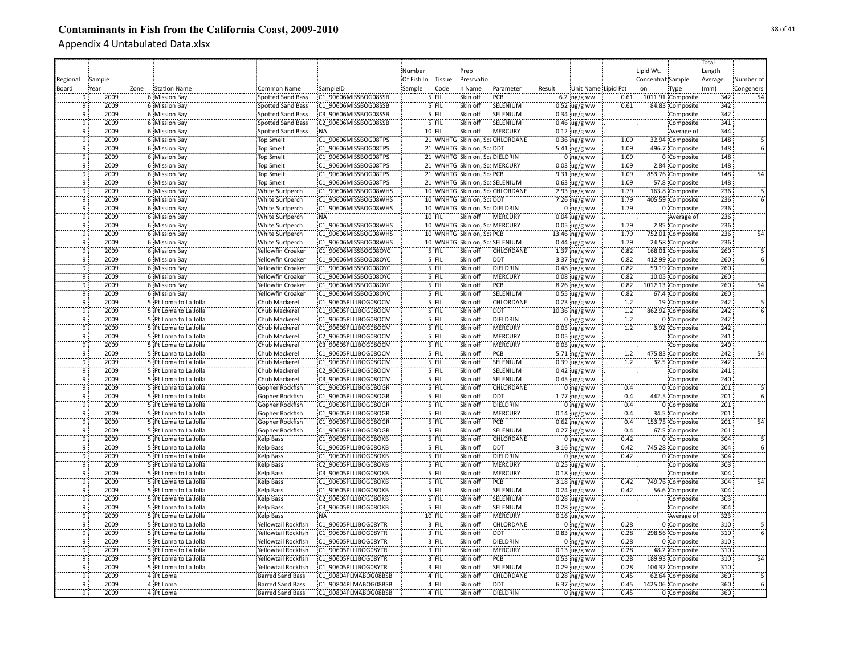|                |        |      |                       |                          |                      |            |         |                                |                                 |        |                          |      |                   |                   | Total      |           |
|----------------|--------|------|-----------------------|--------------------------|----------------------|------------|---------|--------------------------------|---------------------------------|--------|--------------------------|------|-------------------|-------------------|------------|-----------|
|                |        |      |                       |                          |                      | Number     |         | Prep                           |                                 |        |                          |      | Lipid Wt.         |                   | Length     |           |
|                | Sample |      |                       |                          |                      | Of Fish In | Tissue  | Presrvatio                     |                                 |        |                          |      | Concentrat Sample |                   | Average    | Number of |
| Regional       |        |      |                       |                          |                      |            | Code    | in Name                        |                                 |        | Unit Name Lipid Pct      |      |                   |                   |            |           |
| Board          | Year   | Zone | Station Name          | Common Name              | SampleID             | Sample     |         |                                | Parameter                       | Result |                          |      | on                | Type              | (mm)       | Congeners |
|                | 2009   |      | 6 Mission Bay         | Spotted Sand Bass        | C1 90606MISSBOG08SSB |            | $5$ FIL | Skin off                       | PCB                             |        | $6.2$ ng/g ww            | 0.61 |                   | 1011.91 Composite | 342        | 54        |
| 9              | 2009   |      | 6 Mission Bay         | Spotted Sand Bass        | C1 90606MISSBOG08SSB |            | 5 FIL   | Skin off                       | SELENIUM                        |        | $0.52 \,$ ug/g ww        | 0.61 |                   | 84.83 Composite   | 342        |           |
| 9              | 2009   |      | 6 Mission Bay         | <b>Spotted Sand Bass</b> | C3 90606MISSBOG08SSB |            | 5 FIL   | Skin off                       | SELENIUM                        |        | $0.34$ ug/g ww           |      |                   | Composite         | 342        |           |
| ٠ğ             | 2009   |      | 6 Mission Bay         | <b>Spotted Sand Bass</b> | C2 90606MISSBOG08SSB |            | 5 FIL   | Skin off                       | SELENIUM                        |        | $0.46$ ug/g ww           |      |                   | Composite         | 341        |           |
| $\overline{9}$ | 2009   |      | 6 Mission Bay         | <b>Spotted Sand Bass</b> | :NA                  |            | 10 FIL  | Skin off                       | MERCURY                         |        | $0.12$ ug/g ww           |      |                   | Average of        | 344        |           |
| ٠ğ             | 2009   |      | 6 Mission Bay         | <b>Top Smelt</b>         | C1 90606MISSBOG08TPS |            |         |                                | 21 WNHTG Skin on, ScaCHLORDANE  |        | $0.36$ ing/g ww          | 1.09 |                   | 32.94 Composite   | 148        |           |
| ٠ğ             | 2009   |      | 6 Mission Bay         | <b>Top Smelt</b>         | C1 90606MISSBOG08TPS |            |         | 21 WNHTG Skin on, Sca DDT      |                                 |        | 5.41 ng/g ww             | 1.09 |                   | 496.7 Composite   | 148        |           |
| ٥ï             | 2009   |      | 6 Mission Bay         | <b>Top Smelt</b>         | C1 90606MISSBOG08TPS |            |         | 21 WNHTG Skin on, ScaDIELDRIN  |                                 |        | $0$ ng/g ww              | 1.09 |                   | 0 Composite       | 148        |           |
| 9              | 2009   |      | 6 Mission Bay         | <b>Top Smelt</b>         | C1 90606MISSBOG08TPS |            |         | 21 WNHTG Skin on, Sca MERCURY  |                                 |        | $0.03$ ug/g ww           | 1.09 |                   | 2.84 Composite    | 148        |           |
| $\overline{9}$ | 2009   |      | 6 Mission Bay         | <b>Top Smelt</b>         | C1 90606MISSBOG08TPS |            |         | 21 WNHTG Skin on, ScalPCB      |                                 |        | 9.31 ng/g ww             | 1.09 |                   | 853.76 Composite  | 148        | 54        |
| 9              | 2009   |      | 6 Mission Bay         | <b>Top Smelt</b>         | C1 90606MISSBOG08TPS |            |         |                                | 21 WNHTG Skin on, ScaSELENIUM   |        | $0.63$ ug/g ww           | 1.09 |                   | 57.8 Composite    | 148        |           |
| $\overline{9}$ | 2009   |      | 6 Mission Bay         | <b>White Surfperch</b>   | C1 90606MISSBOG08WHS |            |         |                                | 10 WNHTG Skin on, Sca CHLORDANE |        | 2.93 $ng/g$ ww           | 1.79 |                   | 163.8 Composite   | 236        |           |
| $\mathbf{q}$   | 2009   |      | 6 Mission Bay         | White Surfperch          | C1 90606MISSBOG08WHS |            |         | 10 WNHTG Skin on, ScaDDT       |                                 |        | 7.26 ng/g ww             | 1.79 |                   | 405.59 Composite  | 236        |           |
| $\overline{9}$ | 2009   |      | 6 Mission Bay         | <b>White Surfperch</b>   | C1 90606MISSBOG08WHS |            |         | 10 WNHTG Skin on, Sca DIELDRIN |                                 |        | $0$ ing/g ww             | 1.79 |                   | 0 Composite       | 236        |           |
| ۊ              | 2009   |      | 6 Mission Bay         | <b>White Surfperch</b>   | NA:                  |            | 10 FIL  | Skin off                       | <b>IMERCURY</b>                 |        | $0.04 \,$ ug/g ww        |      |                   | Average of        | 236        |           |
| ۊ              | 2009   |      | 6 Mission Bay         | White Surfperch          | C1 90606MISSBOG08WHS |            |         | 10 WNHTG Skin on, Sca MERCURY  |                                 |        | $0.05$ ug/g ww           | 1.79 |                   | 2.85 Composite    | 236        |           |
| ٠ö             | 2009   |      | 6 Mission Bay         | White Surfperch          | C1 90606MISSBOG08WHS |            |         | 10 WNHTG Skin on, ScaPCB       |                                 |        | 13.46 ng/g ww            | 1.79 |                   | 752.01 Composite  | 236        |           |
|                |        |      |                       |                          |                      |            |         |                                |                                 |        |                          |      |                   |                   |            |           |
| 9              | 2009   |      | 6 Mission Bay         | <b>White Surfperch</b>   | C1 90606MISSBOG08WHS |            |         |                                | 10 WNHTG Skin on, ScaSELENIUM   |        | $0.44$ ug/g ww           | 1.79 |                   | 24.58 Composite   | 236        |           |
| 9              | 2009   |      | 6 Mission Bay         | Yellowfin Croaker        | C1 90606MISSBOG08OYC |            | 5 FIL   | Skin off                       | CHLORDANE                       |        | $1.37$ ng/g ww           | 0.82 |                   | 168.01 Composite  | 260        |           |
| 9              | 2009   |      | 6 Mission Bay         | Yellowfin Croaker        | C1 90606MISSBOG08OYC |            | 5 FIL   | Skin off                       | <b>DDT</b>                      |        | $3.37 \, \text{ng/g}$ ww | 0.82 |                   | 412.99 Composite  | 260        |           |
| $\overline{9}$ | 2009   |      | 6 Mission Bay         | Yellowfin Croaker        | C1 90606MISSBOG08OYC |            | $5$ FIL | Skin off                       | DIELDRIN                        |        | $0.48$ ng/g ww           | 0.82 |                   | 59.19 Composite   | 260        |           |
| $\overline{9}$ | 2009   |      | 6 Mission Bay         | Yellowfin Croaker        | C1 90606MISSBOG08OYC |            | 5 FIL   | Skin off                       | <b>MERCURY</b>                  |        | $0.08$ ug/g ww           | 0.82 |                   | 10.05 Composite   | 260        |           |
| $\overline{9}$ | 2009   |      | 6 Mission Bay         | Yellowfin Croaker        | C1 90606MISSBOG08OYC |            | $5$ FIL | Skin off                       | :PCB                            |        | $8.26$ ng/g ww           | 0.82 |                   | 1012.13 Composite | 260        | 54        |
| $\overline{9}$ | 2009   |      | 6 Mission Bay         | Yellowfin Croaker        | C1 90606MISSBOG08OYC |            | 5 FIL   | Skin off                       | SELENIUM                        |        | $0.55$ ug/g ww           | 0.82 |                   | 67.4 Composite    | 260        |           |
| $\overline{9}$ | 2009   |      | 5 Pt Loma to La Jolla | Chub Mackerel            | C1 90605PLLJBOG08OCM |            | 5 FIL   | Skin off                       | <b>CHLORDANE</b>                |        | $0.23$ ng/g ww           | 1.2  |                   | 19 Composite      | 242        |           |
| ٠ğ             | 2009   |      | 5 Pt Loma to La Jolla | Chub Mackerel            | C1 90605PLLJBOG08OCM |            | 5 FIL   | Skin off                       | <b>DDT</b>                      |        | $10.36$ ng/g ww          | 1.2  |                   | 862.92 Composite  | 242        |           |
| 9              | 2009   |      | 5 Pt Loma to La Jolla | Chub Mackerel            | C1 90605PLLJBOG08OCM |            | 5 FIL   | Skin off                       | DIELDRIN                        |        | $0$ ng/g ww              | 1.2  |                   | 0 Composite       | 242        |           |
| 9              | 2009   |      | 5 Pt Loma to La Jolla | Chub Mackerel            | C1 90605PLLJBOG08OCM |            | 5 FIL   | Skin off                       | MERCURY                         |        | $0.05$ ug/g ww           | 1.2  |                   | 3.92 Composite    | 242        |           |
| 9              | 2009   |      | 5 Pt Loma to La Jolla | Chub Mackerel            | C2 90605PLLJBOG08OCM |            | 5 FIL   | Skin off                       | MERCURY                         |        | $0.05$ ug/g ww           |      |                   | Composite         | 241        |           |
| 9              | 2009   |      | 5 Pt Loma to La Jolla | Chub Mackerel            | C3 90605PLLJBOG08OCM |            | 5 FIL   | Skin off                       | MERCURY                         |        | $0.05$ ug/g ww           |      |                   | Composite         | 240        |           |
| ٠ğ             | 2009   |      | 5 Pt Loma to La Jolla | Chub Mackerel            | C1 90605PLLJBOG08OCM |            | 5 FIL   | Skin off                       | PCB                             |        | 5.71 ng/g ww             | 1.2  |                   | 475.83 Composite  | 242        | 54        |
| ٥ï             | 2009   |      | 5 Pt Loma to La Jolla | Chub Mackerel            | C1 90605PLLJBOG08OCM |            | 5 FIL   | Skin off                       | SELENIUM                        |        | $0.39$ ug/g ww           | 1.2  |                   | 32.5 Composite    | 242        |           |
| ٥ï             | 2009   |      | 5 Pt Loma to La Jolla | Chub Mackerel            | C2 90605PLLJBOG08OCM |            | 5 FIL   | Skin off                       | SELENIUM                        |        | $0.42$ ug/g ww           |      |                   | Composite         | 241        |           |
| ۊ              | 2009   |      | 5 Pt Loma to La Jolla | Chub Mackerel            | C3 90605PLLJBOG08OCM |            | 5 FIL   | Skin off                       | SELENIUM                        |        | $0.45$ ug/g ww           |      |                   | Composite         | 240        |           |
| $\overline{9}$ | 2009   |      | 5 Pt Loma to La Jolla | Gopher Rockfish          | C1 90605PLLJBOG08OGR |            | 5 FIL   | Skin off                       | CHLORDANE                       |        | 0 ng/g ww                | 0.4  |                   | 0 Composite       | 201        |           |
| 9              | 2009   |      | 5 Pt Loma to La Jolla | Gopher Rockfish          | C1 90605PLLJBOG08OGR |            | 5 FIL   | Skin off                       | <b>DDT</b>                      |        | $1.77$ ng/g ww           | 0.4  |                   | 442.5 Composite   | 201        |           |
| 9              | 2009   |      | 5 Pt Loma to La Jolla | Gopher Rockfish          | C1 90605PLLJBOG08OGR |            | 5 FIL   | Skin off                       | DIELDRIN                        |        | $0$ ng/g ww              | 0.4  |                   | 0 Composite       | 201        |           |
| 9              | 2009   |      | 5 Pt Loma to La Jolla | Gopher Rockfish          | C1 90605PLLJBOG08OGR |            | $5$ FIL | Skin off                       | <b>MERCURY</b>                  |        |                          | 0.4  |                   | 34.5 Composite    | 201        |           |
| ِّقَ           | 2009   |      | 5 Pt Loma to La Jolla |                          | C1 90605PLLJBOG08OGR |            | 5 FIL   | Skin off                       | PCB                             |        | $0.14$ ug/g ww           | 0.4  |                   |                   | 201        |           |
| -q             | 2009   |      |                       | Gopher Rockfish          |                      |            | 5 FIL   |                                | SELENIUM                        |        | $0.62$ ing/g ww          | 0.4  |                   | 153.75 Composite  | 201        |           |
|                |        |      | 5 Pt Loma to La Jolla | Gopher Rockfish          | C1 90605PLLJBOG08OGR |            |         | Skin off                       |                                 |        | $0.27$ ug/g ww           |      |                   | 67.5 Composite    |            |           |
| ٠ğ<br>٠ö       | 2009   |      | 5 Pt Loma to La Jolla | Kelp Bass                | C1 90605PLLJBOG08OKB |            | 5 FIL   | Skin off                       | CHLORDANE                       |        | $0$ ing/g ww             | 0.42 |                   | 0 Composite       | 304<br>304 |           |
|                | 2009   |      | 5 Pt Loma to La Jolla | Kelp Bass                | C1 90605PLLJBOG08OKB |            | '5 FIL  | Skin off                       | <b>DDT</b>                      |        | $3.16$ ng/g ww           | 0.42 |                   | 745.28 Composite  |            |           |
| -q             | 2009   |      | 5 Pt Loma to La Jolla | Kelp Bass                | C1 90605PLLJBOG08OKB |            | 5 FIL   | Skin off                       | DIELDRIN                        |        | $0$ ng/g ww              | 0.42 |                   | 0 Composite       | 304        |           |
| 9              | 2009   |      | 5 Pt Loma to La Jolla | Kelp Bass                | C2 90605PLLJBOG08OKB |            | 5 FIL   | Skin off                       | MERCURY                         |        | $0.25$ ug/g ww           |      |                   | Composite         | 303        |           |
| ïğ             | 2009   |      | 5 Pt Loma to La Jolla | <b>Kelp Bass</b>         | C3 90605PLLJBOG08OKB |            | 5 FIL   | Skin off                       | MERCURY                         |        | $0.18$ ug/g ww           |      |                   | Composite         | 304        |           |
| $\overline{9}$ | 2009   |      | 5 Pt Loma to La Jolla | <b>Kelp Bass</b>         | C1 90605PLLJBOG08OKB |            | 5 FIL   | Skin off                       | :PCB                            |        | $3.18$ ng/g ww           | 0.42 |                   | 749.76 Composite  | 304        | 54        |
| $\overline{9}$ | 2009   |      | 5 Pt Loma to La Jolla | <b>Kelp Bass</b>         | C1 90605PLLJBOG08OKB |            | 5 FIL   | Skin off                       | SELENIUM                        |        | $0.24$ ug/g ww           | 0.42 |                   | 56.6 Composite    | 304        |           |
| 9              | 2009   |      | 5 Pt Loma to La Jolla | <b>Kelp Bass</b>         | C2 90605PLLJBOG08OKB |            | 5 FIL   | Skin off                       | SELENIUM                        |        | $0.28$ ug/g ww           |      |                   | Composite         | 303        |           |
| $\overline{9}$ | 2009   |      | 5 Pt Loma to La Jolla | <b>Kelp Bass</b>         | C3 90605PLLJBOG08OKB |            | $5$ FIL | Skin off                       | SELENIUM                        |        | $0.28$ ug/g ww           |      |                   | Composite         | 304        |           |
| $\overline{9}$ | 2009   |      | 5 Pt Loma to La Jolla | <b>Kelp Bass</b>         | <b>NA</b>            |            | 10 FIL  | Skin off                       | <b>MERCURY</b>                  |        | $0.16$ ug/g ww           |      |                   | Average of        | 323        |           |
| ٠ğ             | 2009   |      | 5 Pt Loma to La Jolla | Yellowtail Rockfish      | C1 90605PLLJBOG08YTR |            | 3 FIL   | Skin off                       | CHLORDANE                       |        | $0$ ng/g ww              | 0.28 |                   | 0 Composite       | 310        |           |
| 9              | 2009   |      | 5 Pt Loma to La Jolla | Yellowtail Rockfish      | C1 90605PLLJBOG08YTR |            | 3 FIL   | Skin off                       | <b>DDT</b>                      |        | $0.83$ ng/g ww           | 0.28 |                   | 298.56 Composite  | 310        |           |
| 9              | 2009   |      | 5 Pt Loma to La Jolla | Yellowtail Rockfish      | C1 90605PLLJBOG08YTR |            | $3$ FIL | Skin off                       | DIELDRIN                        |        | $0$ ing/g ww             | 0.28 |                   | 0 Composite       | 310        |           |
| ۊ              | 2009   |      | 5 Pt Loma to La Jolla | Yellowtail Rockfish      | C1 90605PLLJBOG08YTR |            | 3 FIL   | Skin off                       | MERCURY                         |        | $0.13$ ug/g ww           | 0.28 |                   | 48.2 Composite    | 310        |           |
| 9              | 2009   |      | 5 Pt Loma to La Jolla | Yellowtail Rockfish      | C1 90605PLLJBOG08YTR |            | 3 FIL   | Skin off                       | PCB                             |        | $0.53$ ng/g ww           | 0.28 |                   | 189.93 Composite  | 310        |           |
| ٠g             | 2009   |      | 5 Pt Loma to La Jolla | Yellowtail Rockfish      | C1 90605PLLJBOG08YTR |            | 3 FIL   | Skin off                       | SELENIUM                        |        | $0.29$ ug/g ww           | 0.28 |                   | 104.32 Composite  | 310        |           |
| ٠ğ             | 2009   |      | 4 Pt Loma             | <b>Barred Sand Bass</b>  | C1 90804PLMABOG08BSB |            | 4 FIL   | Skin off                       | <b>CHLORDANE</b>                |        | $0.28$ ng/g ww           | 0.45 |                   | 62.64 Composite   | 360        |           |
| 9              | 2009   |      | 4 Pt Loma             | Barred Sand Bass         | C1 90804PLMABOG08BSB |            | 4 FIL   | Skin off                       | <b>DDT</b>                      |        | $6.37$ ng/g ww           | 0.45 |                   | 1425.06 Composite | 360        |           |
| ؛ و            | 2009   |      | 4 Pt Loma             | <b>Barred Sand Bass</b>  | C1 90804PLMABOG08BSB |            | 4 FIL   | Skin off                       | DIELDRIN                        |        | $0$ ng/g ww              | 0.45 |                   | 0 Composite       | 360        |           |
|                |        |      |                       |                          |                      |            |         |                                |                                 |        |                          |      |                   |                   |            |           |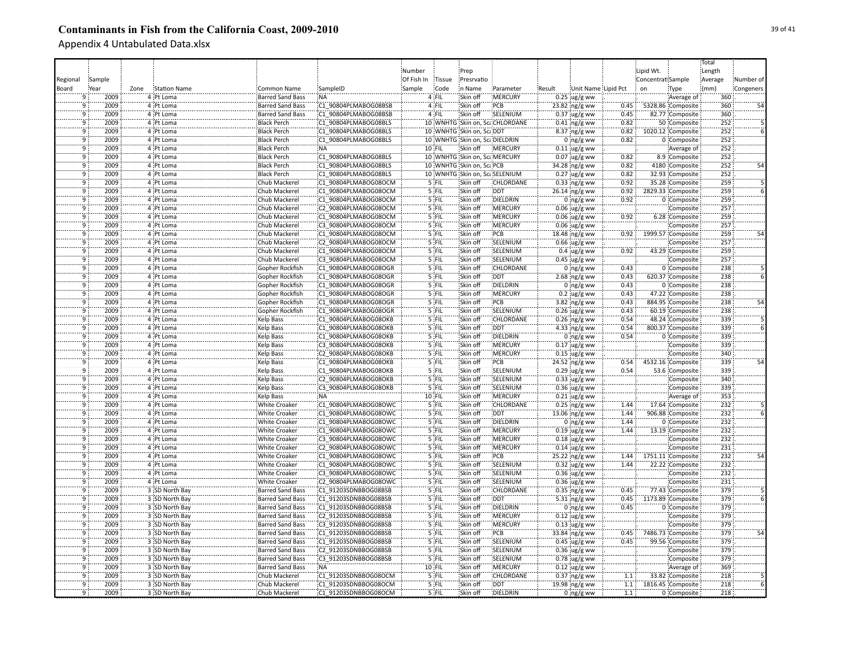|                |        |      |                     |                         |                      |            |         |                               |                                |        |                             |      |                   |                   | Total   |           |
|----------------|--------|------|---------------------|-------------------------|----------------------|------------|---------|-------------------------------|--------------------------------|--------|-----------------------------|------|-------------------|-------------------|---------|-----------|
|                |        |      |                     |                         |                      | Number     |         | Prep                          |                                |        |                             |      | Lipid Wt.         |                   | Length  |           |
| Regional       | Sample |      |                     |                         |                      | Of Fish In | Tissue  | Presrvatio                    |                                |        |                             |      | Concentrat Sample |                   | Average | Number of |
| Board          | Year   | Zone | <b>Station Name</b> | Common Name             | SampleID             | Sample     | Code    | in Name                       | Parameter                      | Result | Unit Name Lipid Pct         |      | on                | Type              | (mm)    | Congeners |
|                | 2009   |      | 4 Pt Loma           | Barred Sand Bass        | NA:                  |            | 4 FIL   | Skin off                      | :MERCURY                       |        | $0.25$ ug/g ww              |      |                   | Average of        | 360     |           |
| 9              | 2009   |      | 4 Pt Loma           | Barred Sand Bass        | C1 90804PLMABOG08BSB |            | 4 FIL   | Skin off                      | PCB                            |        | $23.82$ ng/g ww             | 0.45 |                   | 5328.86 Composite | 360     |           |
| 9              | 2009   |      | 4 Pt Loma           | <b>Barred Sand Bass</b> | C1 90804PLMABOG08BSB |            | 4 FIL   | Skin off                      | SELENIUM                       |        | $0.37$ ug/g ww              | 0.45 |                   | 82.77 Composite   | 360     |           |
| 9              | 2009   |      |                     |                         | C1 90804PLMABOG08BLS |            |         |                               | 10 WNHTG Skin on, ScaCHLORDANE |        |                             | 0.82 |                   |                   | 252     |           |
|                |        |      | 4 Pt Loma           | <b>Black Perch</b>      |                      |            |         |                               |                                |        | $0.41$ ng/g ww              |      |                   | 50 Composite      |         |           |
| $\overline{9}$ | 2009   |      | 4 Pt Loma           | <b>Black Perch</b>      | C1 90804PLMABOG08BLS |            |         | 10 WNHTG Skin on, ScaDDT      |                                |        | 8.37 ng/g ww                | 0.82 |                   | 1020.12 Composite | 252     |           |
| ٠ğ             | 2009   |      | 4 Pt Loma           | <b>Black Perch</b>      | C1 90804PLMABOG08BLS |            |         | 10 WNHTG Skin on, ScaDIELDRIN |                                |        | $0$ ng/g ww                 | 0.82 |                   | 0 Composite       | 252     |           |
| ۊ              | 2009   |      | 4 Pt Loma           | <b>Black Perch</b>      | <b>NA</b>            |            | 10 FIL  | Skin off                      | <b>MERCURY</b>                 |        | $0.11$ ug/g ww              |      |                   | Average of        | 252     |           |
| ۊ              | 2009   |      | 4 Pt Loma           | <b>Black Perch</b>      | C1 90804PLMABOG08BLS |            |         | 10 WNHTG Skin on, Sca MERCURY |                                |        | $0.07$ ug/g ww              | 0.82 |                   | 8.9 Composite     | 252     |           |
| 9              | 2009   |      | 4 Pt Loma           | <b>Black Perch</b>      | C1 90804PLMABOG08BLS |            |         | 10 WNHTG Skin on, ScaPCB      |                                |        | 34.28 ng/g ww               | 0.82 |                   | 4180 Composite    | 252     | 54        |
| 9              | 2009   |      | 4 Pt Loma           | <b>Black Perch</b>      | C1 90804PLMABOG08BLS |            |         |                               | 10 WNHTG Skin on, ScaSELENIUM  |        | $0.27$ ug/g ww              | 0.82 |                   | 32.93 Composite   | 252     |           |
| 9              | 2009   |      | 4 Pt Loma           | Chub Mackerel           | C1 90804PLMABOG08OCM |            | 5 FIL   | Skin off                      | <b>CHLORDANE</b>               |        | $0.33$ ng/g ww              | 0.92 |                   | 35.28 Composite   | 259     |           |
| ۊ              | 2009   |      | 4 Pt Loma           | Chub Mackerel           | C1 90804PLMABOG08OCM |            | 5 FIL   | Skin off                      | <b>DDT</b>                     |        | 26.14 ng/g ww               | 0.92 |                   | 2829.33 Composite | 259     |           |
| $\overline{9}$ | 2009   |      | 4 Pt Loma           | Chub Mackerel           | C1 90804PLMABOG08OCM |            | $5$ FIL | Skin off                      | DIELDRIN                       |        | $0$ ng/g ww                 | 0.92 |                   | 0 Composite       | 259     |           |
| -q             | 2009   |      | 4 Pt Loma           | Chub Mackerel           | C2 90804PLMABOG08OCM |            | $5$ FIL | Skin off                      | MERCURY                        |        | $0.06$ ug/g ww              |      |                   | Composite         | 257     |           |
| ٠ä             | 2009   |      | 4 Pt Loma           | Chub Mackerel           | C1 90804PLMABOG08OCM |            | $5$ FIL | Skin off                      | MERCURY                        |        | $0.06$ ug/g ww              | 0.92 |                   | 6.28 Composite    | 259     |           |
| ۊ              | 2009   |      | 4 Pt Loma           | Chub Mackerel           | C3 90804PLMABOG08OCM |            | '5 FIL  | Skin off                      | MERCURY                        |        | $0.06$ ug/g ww              |      |                   | Composite         | 257     |           |
| ٠ä             | 2009   |      | 4 Pt Loma           | Chub Mackerel           | C1 90804PLMABOG08OCM |            | '5 FIL  | Skin off                      | PCB                            |        | 18.48 ng/g ww               | 0.92 |                   | 1999.57 Composite | 259     |           |
| 9              | 2009   |      | 4 Pt Loma           | Chub Mackerel           | C2 90804PLMABOG08OCM |            | 5 FIL   | Skin off                      | SELENIUM                       |        | $0.66$ ug/g ww              |      |                   | Composite         | 257     |           |
| 9              | 2009   |      | 4 Pt Loma           | Chub Mackerel           | C1 90804PLMABOG08OCM |            | 5 FIL   | Skin off                      | SELENIUM                       |        | $0.4 \,$ ug/g ww            | 0.92 |                   | 43.29 Composite   | 259     |           |
| ïğ             | 2009   |      | 4 Pt Loma           | Chub Mackerel           | C3 90804PLMABOG08OCM |            | 5 FIL   | Skin off                      | SELENIUM                       |        | $0.45$ :ug/g ww             |      |                   | Composite         | 257     |           |
| $\overline{9}$ | 2009   |      | 4 Pt Loma           | Gopher Rockfish         | C1 90804PLMABOG08OGR |            | 5 FIL   | Skin off                      | <b>CHLORDANE</b>               |        | $0:$ ng/g ww                | 0.43 |                   | 0 Composite       | 238     |           |
| $\overline{9}$ | 2009   |      | 4 Pt Loma           | Gopher Rockfish         | C1 90804PLMABOG08OGR |            | 5 FIL   | Skin off                      | <b>DDT</b>                     |        | $2.68$ ng/g ww              | 0.43 |                   | 620.37 Composite  | 238     |           |
| $\overline{9}$ | 2009   |      | 4 Pt Loma           | Gopher Rockfish         | C1 90804PLMABOG08OGR |            | $5$ FIL | Skin off                      | <b>DIELDRIN</b>                |        | $0$ ing/g ww                | 0.43 |                   | 0 Composite       | 238     |           |
| $\overline{9}$ | 2009   |      | 4 Pt Loma           | Gopher Rockfish         | C1 90804PLMABOG08OGR |            | 5 FIL   | Skin off                      | :MERCURY                       |        |                             | 0.43 |                   | 47.22 Composite   | 238     |           |
| $\overline{9}$ | 2009   |      | 4 Pt Loma           | Gopher Rockfish         | C1 90804PLMABOG08OGR |            | 5 FIL   | Skin off                      | PCB                            |        | $0.2$ ug/g ww               | 0.43 |                   | 884.95 Composite  | 238     | 54        |
|                |        |      |                     |                         |                      |            |         |                               |                                |        | $3.82$ ng/g ww              |      |                   |                   | 238     |           |
| ٠ğ             | 2009   |      | 4 Pt Loma           | Gopher Rockfish         | C1 90804PLMABOG08OGR |            | $5$ FIL | Skin off                      | SELENIUM                       |        | $0.26$ ug/g ww              | 0.43 |                   | 60.19 Composite   |         |           |
| 9              | 2009   |      | 4 Pt Loma           | Kelp Bass               | C1 90804PLMABOG08OKB |            | 5 FIL   | Skin off                      | CHLORDANE                      |        | $0.26$ ng/g ww              | 0.54 |                   | 48.24 Composite   | 339     |           |
| ٠ğ             | 2009   |      | 4 Pt Loma           | <b>Kelp Bass</b>        | C1 90804PLMABOG08OKB |            | 5 FIL   | Skin off                      | <b>DDT</b>                     |        | 4.33 ng/g ww                | 0.54 |                   | 800.37 Composite  | 339     |           |
| q              | 2009   |      | 4 Pt Loma           | Kelp Bass               | C1 90804PLMABOG08OKB |            | 5 FIL   | Skin off                      | DIELDRIN                       |        | $0$ ng/g ww                 | 0.54 |                   | 0 Composite       | 339     |           |
| $\overline{9}$ | 2009   |      | 4 Pt Loma           | Kelp Bass               | C3 90804PLMABOG08OKB |            | 5 FIL   | Skin off                      | MERCURY                        |        | $0.17$ ug/g ww              |      |                   | Composite         | 339     |           |
| ïğ             | 2009   |      | 4 Pt Loma           | Kelp Bass               | C2 90804PLMABOG08OKB |            | 5 FIL   | Skin off                      | MERCURY                        |        | $0.15$ ug/g ww              |      |                   | Composite         | 340     |           |
| 9              | 2009   |      | 4 Pt Loma           | <b>Kelp Bass</b>        | C1 90804PLMABOG08OKB |            | 5 FIL   | Skin off                      | PCB                            |        | 24.52 ing/g ww              | 0.54 |                   | 4532.16 Composite | 339     | 54        |
| 9              | 2009   |      | 4 Pt Loma           | Kelp Bass               | C1 90804PLMABOG08OKB |            | 5 FIL   | Skin off                      | SELENIUM                       |        | $0.29$ ug/g ww              | 0.54 |                   | 53.6 Composite    | 339     |           |
| 9              | 2009   |      | 4 Pt Loma           | Kelp Bass               | C2 90804PLMABOG08OKB |            | 5 FIL   | Skin off                      | SELENIUM                       |        | $0.33$ ug/g ww              |      |                   | Composite         | 340     |           |
| $\overline{9}$ | 2009   |      | 4 Pt Loma           | Kelp Bass               | C3 90804PLMABOG08OKB |            | 5 FIL   | Skin off                      | SELENIUM                       |        | $0.36$ ug/g ww              |      |                   | Composite         | 339     |           |
| $\overline{9}$ | 2009   |      | 4 Pt Loma           | Kelp Bass               | :NA                  |            | 10 FIL  | Skin off                      | <b>MERCURY</b>                 |        | $0.21$ ug/g ww              |      |                   | Average of        | 353     |           |
| 9              | 2009   |      | 4 Pt Loma           | <b>White Croaker</b>    | C1 90804PLMABOG08OWC |            | 5 FIL   | Skin off                      | <b>CHLORDANE</b>               |        | $0.25$ ing/g ww             | 1.44 |                   | 17.64 Composite   | 232     |           |
| 9              | 2009   |      | 4 Pt Loma           | <b>White Croaker</b>    | C1 90804PLMABOG08OWC |            | 5 FIL   | Skin off                      | <b>DDT</b>                     |        | 13.06 ng/g ww               | 1.44 |                   | 906.88 Composite  | 232     |           |
| 9              | 2009   |      | 4 Pt Loma           | <b>White Croaker</b>    | C1 90804PLMABOG08OWC |            | 5 FIL   | Skin off                      | DIELDRIN                       |        | $0$ ing/g ww                | 1.44 |                   | 0 Composite       | 232     |           |
| ٠ä             | 2009   |      | 4 Pt Loma           | White Croaker           | C1 90804PLMABOG08OWC |            | 5 FIL   | Skin off                      | MERCURY                        |        | $0.19$ ug/g ww              | 1.44 |                   | 13.19 Composite   | 232     |           |
| ۊ              | 2009   |      | 4 Pt Loma           | White Croaker           | C3 90804PLMABOG08OWC |            | 5 FIL   | Skin off                      | MERCURY                        |        | $0.18$ ug/g ww              |      |                   | Composite         | 232     |           |
| ٠ö             | 2009   |      | 4 Pt Loma           | White Croaker           | C2 90804PLMABOG08OWC |            | 5 FIL   | Skin off                      | MERCURY                        |        | $0.14$ ug/g ww              |      |                   | Composite         | 231     |           |
| 9              | 2009   |      | 4 Pt Loma           | <b>White Croaker</b>    | C1 90804PLMABOG08OWC |            | 5 FIL   | Skin off                      | :PCB                           |        | 25.22 ng/g ww               | 1.44 |                   | 1751.11 Composite | 232     | 54        |
|                | 2009   |      | 4 Pt Loma           | White Croaker           | C1 90804PLMABOG08OWC |            | 5 FIL   | Skin off                      | SELENIUM                       |        | $0.32$ ug/g ww              | 1.44 |                   | 22.22 Composite   | 232     |           |
| $\mathbf{q}$   | 2009   |      | 4 Pt Loma           | <b>White Croaker</b>    | C3 90804PLMABOG08OWC |            | 5 FIL   | Skin off                      | SELENIUM                       |        | $0.36$ ug/g ww              |      |                   | Composite         | 232     |           |
| 9              | 2009   |      | 4 Pt Loma           | <b>White Croaker</b>    | C2 90804PLMABOG08OWC |            | 5 FIL   | Skin off                      | SELENIUM                       |        | $0.36$ ug/g ww              |      |                   | Composite         | 231     |           |
| $\overline{9}$ | 2009   |      | 3 SD North Bay      | <b>Barred Sand Bass</b> | C1 91203SDNBBOG08BSB |            | $5$ FIL | Skin off                      | <b>CHLORDANE</b>               |        | $0.35$ ing/g ww             | 0.45 |                   | 77.43 Composite   | 379     |           |
| 9              | 2009   |      | 3 SD North Bay      | <b>Barred Sand Bass</b> | C1 91203SDNBBOG08BSB |            | 5 FIL   | Skin off                      | <b>DDT</b>                     |        |                             | 0.45 |                   | 1173.89 Composite | 379     |           |
| $\overline{9}$ | 2009   |      | 3 SD North Bay      | <b>Barred Sand Bass</b> | C1 91203SDNBBOG08BSB |            | $5$ FIL | Skin off                      | DIELDRIN                       |        | 5.31 ng/g ww<br>$0$ ng/g ww | 0.45 |                   | 0 Composite       | 379     |           |
| $\overline{9}$ | 2009   |      |                     |                         |                      |            | 5 FIL   | Skin off                      | :MERCURY                       |        |                             |      |                   |                   | 379     |           |
|                |        |      | 3 SD North Bay      | <b>Barred Sand Bass</b> | C2 91203SDNBBOG08BSB |            |         |                               |                                |        | $0.12$ ug/g ww              |      |                   | Composite         |         |           |
| 9              | 2009   |      | 3 SD North Bay      | Barred Sand Bass        | C3 91203SDNBBOG08BSB |            | 5 FIL   | Skin off                      | <b>MERCURY</b>                 |        | $0.13$ ug/g ww              |      |                   | Composite         | 379     |           |
| 9              | 2009   |      | 3 SD North Bay      | Barred Sand Bass        | C1 91203SDNBBOG08BSB |            | 5 FIL   | Skin off                      | PCB                            |        | 33.84 ng/g ww               | 0.45 |                   | 7486.73 Composite | 379     | 54        |
| ïğ             | 2009   |      | 3 SD North Bay      | Barred Sand Bass        | C1 91203SDNBBOG08BSB |            | 5 FIL   | Skin off                      | SELENIUM                       |        | $0.45$ ug/g ww              | 0.45 |                   | 99.56 Composite   | 379     |           |
| 9              | 2009   |      | 3 SD North Bay      | <b>Barred Sand Bass</b> | C2 91203SDNBBOG08BSB |            | 5 FIL   | Skin off                      | SELENIUM                       |        | $0.36$ ug/g ww              |      |                   | Composite         | 379     |           |
| <b>q</b>       | 2009   |      | 3 SD North Bay      | <b>Barred Sand Bass</b> | C3 91203SDNBBOG08BSB |            | 5 FIL   | Skin off                      | SELENIUM                       |        | $0.78$ ug/g ww              |      |                   | Composite         | 379     |           |
| ٠g             | 2009   |      | 3 SD North Bay      | <b>Barred Sand Bass</b> | :NA                  |            | 10 FIL  | Skin off                      | <b>MERCURY</b>                 |        | $0.12$ ug/g ww              |      |                   | Average of        | 369     |           |
| ٠ğ             | 2009   |      | 3 SD North Bay      | Chub Mackerel           | C1 91203SDNBBOG08OCM |            | 5 FIL   | Skin off                      | CHLORDANE                      |        | $0.37$ ng/g ww              | 1.1  |                   | 33.82 Composite   | 218     |           |
| 9              | 2009   |      | 3 SD North Bay      | Chub Mackerel           | C1 91203SDNBBOG08OCM |            | 5 FIL   | Skin off                      | <b>DDT</b>                     |        | 19.98 ng/g ww               | 1.1  |                   | 1816.45 Composite | 218     |           |
| 9              | 2009   |      | 3 SD North Bay      | Chub Mackerel           | C1 91203SDNBBOG08OCM |            | 5 FIL   | Skin off                      | DIELDRIN                       |        | $0$ ng/g ww                 | 1.1  |                   | 0 Composite       | 218     |           |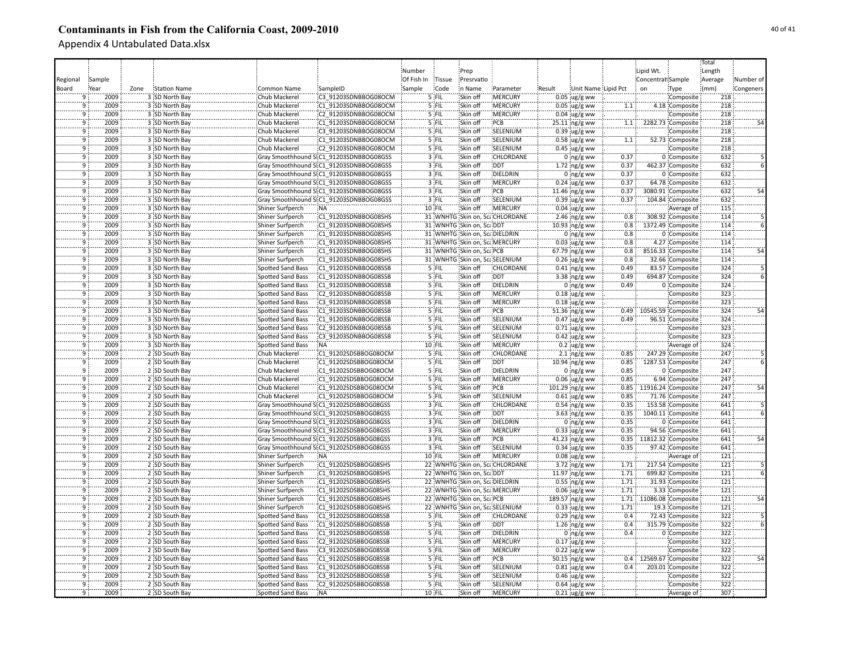| Number<br>Lipid Wt.<br>Length<br>Prep<br>Sample<br>Of Fish In<br><b>Tissue</b><br>Presrvatio<br>Concentrat Sample<br>Average<br>Number of<br>Regional<br>Station Name<br><b>Common Name</b><br>SampleID<br>Sample<br>Code<br>in Name<br>Parameter<br>Unit Name Lipid Pct<br>(mm)<br>Congeners<br>Board<br>Year<br>Zone<br>Result<br>on<br>Type<br>Skin off<br>:MERCURY<br>3 SD North Bay<br>Chub Mackerel<br>C3 91203SDNBBOG08OCM<br>5 FIL<br>$0.05$ ug/g ww<br>2009<br>Composite<br>218<br>9<br>2009<br>5 FIL<br>:MERCURY<br>218<br>3 SD North Bay<br>Chub Mackerel<br>C1 91203SDNBBOG08OCM<br>Skin off<br>$0.05$ ug/g ww<br>4.18 Composite<br>9<br>1.1<br>218<br>٠ğ<br>2009<br>3 SD North Bay<br>C2 91203SDNBBOG08OCM<br>5 FIL<br>Skin off<br><b>MERCURY</b><br>Chub Mackerel<br>$0.04 \,$ ug/g ww<br>Composite<br>PCB<br>218<br>٠ğ<br>2009<br>C1 91203SDNBBOG08OCM<br>5 FIL<br>Skin off<br>2282.73 Composite<br>3 SD North Bay<br>Chub Mackerel<br>25.11 ng/g ww<br>1.1<br>2009<br>SELENIUM<br>218<br>3 SD North Bay<br>Chub Mackerel<br>C3 91203SDNBBOG08OCM<br>5 FIL<br>Skin off<br>$0.39$ ug/g ww<br>ğ<br>Composite<br>٠ä<br>5 FIL<br>218<br>2009<br>3 SD North Bay<br>Chub Mackerel<br>C1 91203SDNBBOG08OCM<br>Skin off<br>SELENIUM<br>$0.58 \, \mu g/g$ ww<br>52.73 Composite<br>1.1<br>2009<br>٠ğ<br>3 SD North Bay<br>Chub Mackerel<br>C2 91203SDNBBOG08OCM<br>5 FIL<br>Skin off<br>SELENIUM<br>$0.45$ ug/g ww<br>218<br>Composite<br>$3$ FIL<br>632<br>$\overline{9}$<br>2009<br>3 SD North Bay<br>Skin off<br>CHLORDANE<br>0.37<br>Gray Smoothhound SI:C1 91203SDNBBOG08GSS<br>$0$ ng/g ww<br>0 Composite<br>632<br>ۊ<br>2009<br>3 SD North Bay<br>Gray Smoothhound SI:C1 91203SDNBBOG08GSS<br>3 FIL<br>Skin off<br><b>DDT</b><br>0.37<br>$1.72$ ing/g ww<br>462.37 Composite<br>$\overline{9}$<br>2009<br>3 SD North Bay<br>Gray Smoothhound SI:C1 91203SDNBBOG08GSS<br>$3$ FIL<br>Skin off<br>DIELDRIN<br>$0$ ng/g ww<br>0.37<br>0 Composite<br>632<br>2009<br>3 SD North Bay<br>Gray Smoothhound SI:C1 91203SDNBBOG08GSS<br>$3$ FIL<br>Skin off<br><b>MERCURY</b><br>$0.24$ ug/g ww<br>0.37<br>64.78 Composite<br>632<br>9<br>ۊ<br>2009<br>PCB<br>0.37<br>632<br>3 SD North Bay<br>Gray Smoothhound SI:C1_91203SDNBBOG08GSS<br>$3$ FIL<br>Skin off<br>3080.91 Composite<br>54<br>11.46 ing/g ww<br>2009<br>3 FIL<br>SELENIUM<br>0.37<br>632<br>$\overline{9}$<br>3 SD North Bay<br>Gray Smoothhound SI:C1 91203SDNBBOG08GSS<br>Skin off<br>$0.39$ ug/g ww<br>104.84 Composite<br>2009<br>3 SD North Bay<br>$10$ FIL<br>Skin off<br>MERCURY<br>115<br>$\overline{9}$<br>Shiner Surfperch<br>$0.04 \,$ ug/g ww<br>Average of<br>:NA<br>٠ö<br>2009<br>114<br>3 SD North Bay<br>C1 91203SDNBBOG08SHS<br>31 WNHTG Skin on, ScaCHLORDANE<br><b>Shiner Surfperch</b><br>$2.46$ ng/g ww<br>0.8<br>308.92 Composite<br>2009<br>3 SD North Bay<br>Shiner Surfperch<br>C1 91203SDNBBOG08SHS<br>31 WNHTG Skin on, Sca DDT<br>1372.49 Composite<br>114<br>9<br>10.93 ng/g ww<br>0.8<br>٠ö<br>0.8<br>114<br>2009<br>3 SD North Bay<br>C1 91203SDNBBOG08SHS<br>31 WNHTG Skin on, ScaDIELDRIN<br>$0 \frac{m}{\text{ng/g}}$ ww<br>0 Composite<br>Shiner Surfperch<br>2009<br>3 SD North Bay<br>C1 91203SDNBBOG08SHS<br>31 WNHTG Skin on, Sca MERCURY<br>0.8<br>114<br>Shiner Surfperch<br>$0.03$ ug/g ww<br>4.27 Composite<br>9<br>114<br>2009<br>3 SD North Bay<br>-q<br>Shiner Surfperch<br>C1 91203SDNBBOG08SHS<br>31 WNHTG Skin on, ScaPCB<br>$67.79$ ng/g ww<br>0.8<br>8516.33 Composite<br>54<br>2009<br>C1 91203SDNBBOG08SHS<br>0.8<br>114<br>$\mathbf{q}$<br>3 SD North Bay<br>Shiner Surfperch<br>31 WNHTG Skin on, ScaSELENIUM<br>$0.26$ ug/g ww<br>32.66 Composite<br>$\overline{9}$<br>2009<br>3 SD North Bay<br>5 FIL<br><b>CHLORDANE</b><br>0.49<br>324<br><b>Spotted Sand Bass</b><br>C1 91203SDNBBOG08SSB<br>Skin off<br>$0.41$ ng/g ww<br>83.57 Composite<br>2009<br>3 SD North Bay<br>C1 91203SDNBBOG08SSB<br>$5$ FIL<br><b>DDT</b><br>0.49<br>324<br>$\overline{9}$<br><b>Spotted Sand Bass</b><br>Skin off<br>$3.38$ ng/g ww<br>694.87 Composite<br>$\overline{9}$<br>2009<br>3 SD North Bay<br>Skin off<br><b>DIELDRIN</b><br>324<br><b>Spotted Sand Bass</b><br>C1 91203SDNBBOG08SSB<br>5 FIL<br>$0$ ng/g ww<br>0.49<br>0 Composite<br>5 FIL<br>:MERCURY<br>323<br>$\overline{9}$<br>2009<br>3 SD North Bay<br><b>Spotted Sand Bass</b><br>C2 91203SDNBBOG08SSB<br>Skin off<br>$0.18$ ug/g ww<br>Composite<br>$\overline{9}$<br>3 SD North Bay<br>5 FIL<br>:MERCURY<br>323<br>2009<br><b>Spotted Sand Bass</b><br>C3 91203SDNBBOG08SSB<br>Skin off<br>$0.18$ ug/g ww<br>Composite<br>324<br>ۊ<br>5 FIL<br>PCB<br>2009<br>3 SD North Bay<br>Spotted Sand Bass<br>C1 91203SDNBBOG08SSB<br>Skin off<br>0.49 10545.59 Composite<br>51.36 ng/g ww<br>2009<br>324<br>3 SD North Bay<br>Spotted Sand Bass<br>C1 91203SDNBBOG08SSB<br>5 FIL<br>Skin off<br>SELENIUM<br>$0.47$ ug/g ww<br>9<br>0.49<br>96.51 Composite<br>2009<br>323<br>ğ<br>3 SD North Bay<br>C2 91203SDNBBOG08SSB<br>5 FIL<br>Skin off<br>SELENIUM<br>Spotted Sand Bass<br>$0.71$ ug/g ww<br>Composite<br>2009<br>5 FIL<br>SELENIUM<br>323<br>3 SD North Bay<br>Spotted Sand Bass<br>C3 91203SDNBBOG08SSB<br>Skin off<br>$0.42 \, \upmu g/g$ ww<br>Composite<br>9<br>324<br>2009<br>3 SD North Bay<br>Skin off<br>MERCURY<br>٠ğ<br>Spotted Sand Bass<br>:NA<br>10 FIL<br>$0.2$ ug/g ww<br>Average of<br>247<br>ïğ<br>2009<br>5 FIL<br>Skin off<br>CHLORDANE<br>2 SD South Bay<br>Chub Mackerel<br>C1 91202SDSBBOG08OCM<br>$2.1$ ng/g ww<br>247.29 Composite<br>0.85<br>9<br>2009<br>C1 91202SDSBBOG08OCM<br>5 FIL<br>Skin off<br>DDT<br>1287.53 Composite<br>247<br>2 SD South Bay<br>Chub Mackerel<br>10.94 ng/g ww<br>0.85<br>247<br>٥ï<br>2009<br>2 SD South Bay<br>C1 91202SDSBBOG08OCM<br>5 FIL<br>Skin off<br><b>DIELDRIN</b><br>0.85<br>Chub Mackerel<br>$0$ ing/g ww<br>0 Composite<br>2009<br><b>MERCURY</b><br>247<br>ۊ<br>2 SD South Bay<br>Chub Mackerel<br>C1 91202SDSBBOG08OCM<br>5 FIL<br>Skin off<br>$0.06$ ug/g ww<br>0.85<br>6.94 Composite<br>247<br>$\overline{9}$<br>2009<br>2 SD South Bay<br>Chub Mackerel<br>C1 91202SDSBBOG08OCM<br>5 FIL<br>Skin off<br>PCB<br>0.85<br>11916.24 Composite<br>54<br>101.29 ng/g ww<br>ۊ<br>5 FIL<br>SELENIUM<br>0.85<br>247<br>2009<br>2 SD South Bay<br>Chub Mackerel<br>C1 91202SDSBBOG08OCM<br>Skin off<br>$0.61$ ug/g ww<br>71.76 Composite<br>2009<br>Gray Smoothhound SI:C1 91202SDSBBOG08GSS<br>$3$ FIL<br><b>CHLORDANE</b><br>0.35<br>641<br>9<br>2 SD South Bay<br>Skin off<br>$0.54$ ing/g ww<br>153.58 Composite<br>2009<br>Gray Smoothhound SI:C1 91202SDSBBOG08GSS<br>$3$ FIL<br><b>DDT</b><br>0.35<br>1040.11 Composite<br>641<br>9<br>2 SD South Bay<br>Skin off<br>3.63 $ng/g$ ww<br>0.35<br>ِّقَ<br>2009<br>Gray Smoothhound SI:C1 91202SDSBBOG08GSS<br>$3$ FIL<br>Skin off<br><b>DIELDRIN</b><br>$0:ng/g$ ww<br>0 Composite<br>641<br>2 SD South Bay<br>2009<br>3 FIL<br>MERCURY<br>0.35<br>641<br>ۊ<br>2 SD South Bay<br>Gray Smoothhound SEC1 91202SDSBBOG08GSS<br>Skin off<br>$0.33$ ug/g ww<br>94.56 Composite<br>3 FIL<br>641<br>٠ö<br>2009<br>2 SD South Bay<br>Skin off<br>PCB<br>Gray Smoothhound SI:C1 91202SDSBBOG08GSS<br>$41.23$ ng/g ww<br>0.35<br>11812.32 Composite<br>3 FIL<br>SELENIUM<br>641<br>٠ö<br>2009<br>2 SD South Bay<br>Skin off<br>0.35<br>Gray Smoothhound SI:C1 91202SDSBBOG08GSS<br>$0.34 \,$ ug/g ww<br>97.42 Composite<br>2009<br>2 SD South Bay<br>10 FIL<br>Skin off<br>MERCURY<br>$0.08$ ug/g ww<br>121<br>9<br>Shiner Surfperch<br>:NA<br>Average of<br>2009<br>2 SD South Bay<br>C1 91202SDSBBOG08SHS<br>22 WNHTG Skin on, ScaCHLORDANE<br>$3.72$ ng/g ww<br>121<br>9<br>Shiner Surfperch<br>217.54 Composite<br>1.71<br>٠ä<br>1.71<br>121<br>2009<br>2 SD South Bay<br>Shiner Surfperch<br>C1 91202SDSBBOG08SHS<br>22 WNHTG Skin on, ScaDDT<br>$11.97$ ng/g ww<br>699.82 Composite<br>2 SD South Bay<br>121<br>$\overline{9}$<br>2009<br>Shiner Surfperch<br>C1 91202SDSBBOG08SHS<br>22 WNHTG Skin on, Sca DIELDRIN<br>$0.55$ ing/g ww<br>1.71<br>31.93 Composite<br>121<br>$\overline{9}$<br>2009<br>2 SD South Bay<br><b>Shiner Surfperch</b><br>C1 91202SDSBBOG08SHS<br>22 WNHTG Skin on, ScaMERCURY<br>$0.06$ ug/g ww<br>1.71<br>3.33 Composite<br>$\overline{9}$<br>121<br>2009<br>2 SD South Bay<br><b>Shiner Surfperch</b><br>C1 91202SDSBBOG08SHS<br>22 WNHTG Skin on, ScaPCB<br>189.57 ng/g ww<br>1.71 11086.08 Composite<br>54<br>2009<br>$\overline{9}$<br>2 SD South Bay<br>Shiner Surfperch<br>C1 91202SDSBBOG08SHS<br>22 WNHTG Skin on, ScaSELENIUM<br>$0.33$ ug/g ww<br>1.71<br>19.3 Composite<br>121<br>322<br>$\overline{9}$<br>2009<br><b>CHLORDANE</b><br>0.4<br>2 SD South Bay<br>Spotted Sand Bass<br>C1 91202SDSBBOG08SSB<br>5 FIL<br>Skin off<br>$0.29$ ng/g ww<br>72.43 Composite<br>ۊ<br>322<br>2009<br>C1 91202SDSBBOG08SSB<br>5 FIL<br><b>DDT</b><br>0.4<br>2 SD South Bay<br>Spotted Sand Bass<br>Skin off<br>$1.26$ ng/g ww<br>315.79 Composite<br>2 SD South Bay<br>C1 91202SDSBBOG08SSB<br>Skin off<br>DIELDRIN<br>0.4<br>322<br>9<br>2009<br>Spotted Sand Bass<br>5 FIL<br>$0$ ng/g ww<br>0 Composite<br>2009<br>Skin off<br>MERCURY<br>322<br>9<br>2 SD South Bay<br>Spotted Sand Bass<br>C2 91202SDSBBOG08SSB<br>5 FIL<br>$0.17$ ug/g ww<br>Composite<br>322<br>2009<br>2 SD South Bay<br>C3 91202SDSBBOG08SSB<br>5 FIL<br>Skin off<br>MERCURY<br><b>Spotted Sand Bass</b><br>$0.22$ ug/g ww<br>Composite<br>9<br>322<br>٠ğ<br>2009<br>2 SD South Bay<br>C1 91202SDSBBOG08SSB<br>5 FIL<br>Skin off<br>PCB<br><b>Spotted Sand Bass</b><br>50.15 ng/g ww<br>0.4 12569.67 Composite<br>54<br>322<br>SELENIUM<br>2009<br>2 SD South Bay<br>Spotted Sand Bass<br>C1 91202SDSBBOG08SSB<br>5 FIL<br>Skin off<br>$0.81$ ug/g ww<br>0.4<br>203.01 Composite<br>٠q<br>322<br>2009<br>5 FIL<br>SELENIUM<br>٠ğ<br>2 SD South Bay<br>C3 91202SDSBBOG08SSB<br>Skin off<br><b>Spotted Sand Bass</b><br>$0.46$ ug/g ww<br>Composite<br>2009<br>322<br>9<br>2 SD South Bay<br>C2 91202SDSBBOG08SSB<br>5 FIL<br>Skin off<br>SELENIUM<br>Spotted Sand Bass<br>$0.64$ ug/g ww<br>Composite<br>ۊ<br>2009<br>Skin off<br>307<br>2 SD South Bay<br>Spotted Sand Bass<br>NA:<br>10 FIL<br>MERCURY<br>$0.21$ ug/g ww<br>Average of |  |  |  |  |  |  |  | Total |  |
|--------------------------------------------------------------------------------------------------------------------------------------------------------------------------------------------------------------------------------------------------------------------------------------------------------------------------------------------------------------------------------------------------------------------------------------------------------------------------------------------------------------------------------------------------------------------------------------------------------------------------------------------------------------------------------------------------------------------------------------------------------------------------------------------------------------------------------------------------------------------------------------------------------------------------------------------------------------------------------------------------------------------------------------------------------------------------------------------------------------------------------------------------------------------------------------------------------------------------------------------------------------------------------------------------------------------------------------------------------------------------------------------------------------------------------------------------------------------------------------------------------------------------------------------------------------------------------------------------------------------------------------------------------------------------------------------------------------------------------------------------------------------------------------------------------------------------------------------------------------------------------------------------------------------------------------------------------------------------------------------------------------------------------------------------------------------------------------------------------------------------------------------------------------------------------------------------------------------------------------------------------------------------------------------------------------------------------------------------------------------------------------------------------------------------------------------------------------------------------------------------------------------------------------------------------------------------------------------------------------------------------------------------------------------------------------------------------------------------------------------------------------------------------------------------------------------------------------------------------------------------------------------------------------------------------------------------------------------------------------------------------------------------------------------------------------------------------------------------------------------------------------------------------------------------------------------------------------------------------------------------------------------------------------------------------------------------------------------------------------------------------------------------------------------------------------------------------------------------------------------------------------------------------------------------------------------------------------------------------------------------------------------------------------------------------------------------------------------------------------------------------------------------------------------------------------------------------------------------------------------------------------------------------------------------------------------------------------------------------------------------------------------------------------------------------------------------------------------------------------------------------------------------------------------------------------------------------------------------------------------------------------------------------------------------------------------------------------------------------------------------------------------------------------------------------------------------------------------------------------------------------------------------------------------------------------------------------------------------------------------------------------------------------------------------------------------------------------------------------------------------------------------------------------------------------------------------------------------------------------------------------------------------------------------------------------------------------------------------------------------------------------------------------------------------------------------------------------------------------------------------------------------------------------------------------------------------------------------------------------------------------------------------------------------------------------------------------------------------------------------------------------------------------------------------------------------------------------------------------------------------------------------------------------------------------------------------------------------------------------------------------------------------------------------------------------------------------------------------------------------------------------------------------------------------------------------------------------------------------------------------------------------------------------------------------------------------------------------------------------------------------------------------------------------------------------------------------------------------------------------------------------------------------------------------------------------------------------------------------------------------------------------------------------------------------------------------------------------------------------------------------------------------------------------------------------------------------------------------------------------------------------------------------------------------------------------------------------------------------------------------------------------------------------------------------------------------------------------------------------------------------------------------------------------------------------------------------------------------------------------------------------------------------------------------------------------------------------------------------------------------------------------------------------------------------------------------------------------------------------------------------------------------------------------------------------------------------------------------------------------------------------------------------------------------------------------------------------------------------------------------------------------------------------------------------------------------------------------------------------------------------------------------------------------------------------------------------------------------------------------------------------------------------------------------------------------------------------------------------------------------------------------------------------------------------------------------------------------------------------------------------------------------------------------------------------------------------------------------------------------------------------------------------------------------------------------------------------------------------------------------------------------------------------------------------------------------------------------------------------------------------------------------------------------------------------------------------------------------------------------------------------------------------------------------------------------------------------------------------------------------------------------------------------------------------------------------------------------------------------------------------------------------------------------------------------------------------------------------------------------------------------------------------------------------------------------------------------------------------------------------------------------------------------------------------------------------------------------------------------------------------------------------------------------------------------------------------------------------------------------------------------------------------------------------------------------------------------------------------------------------------------------------------------------------------------------------------------------------------------------------------------------------------------------------------------------------------------------------------------------------------------------------------------------------------------------------------------------------------------------------------------------------------------------------------------------------------------------------------------------------------------------------------------------------------------------------------------------------------------------------------------------------------------------------------------------------------------------------------------------------------------------------------------------------------------------------------------------------------------------------------------------------------------------------------------------------------------------------------------------|--|--|--|--|--|--|--|-------|--|
|                                                                                                                                                                                                                                                                                                                                                                                                                                                                                                                                                                                                                                                                                                                                                                                                                                                                                                                                                                                                                                                                                                                                                                                                                                                                                                                                                                                                                                                                                                                                                                                                                                                                                                                                                                                                                                                                                                                                                                                                                                                                                                                                                                                                                                                                                                                                                                                                                                                                                                                                                                                                                                                                                                                                                                                                                                                                                                                                                                                                                                                                                                                                                                                                                                                                                                                                                                                                                                                                                                                                                                                                                                                                                                                                                                                                                                                                                                                                                                                                                                                                                                                                                                                                                                                                                                                                                                                                                                                                                                                                                                                                                                                                                                                                                                                                                                                                                                                                                                                                                                                                                                                                                                                                                                                                                                                                                                                                                                                                                                                                                                                                                                                                                                                                                                                                                                                                                                                                                                                                                                                                                                                                                                                                                                                                                                                                                                                                                                                                                                                                                                                                                                                                                                                                                                                                                                                                                                                                                                                                                                                                                                                                                                                                                                                                                                                                                                                                                                                                                                                                                                                                                                                                                                                                                                                                                                                                                                                                                                                                                                                                                                                                                                                                                                                                                                                                                                                                                                                                                                                                                                                                                                                                                                                                                                                                                                                                                                                                                                                                                                                                                                                                                                                                                                                                                                                                                                                                                                                                                                                                                                                                                                                                                                                                                                                                                                                                                                                                                                                                                                                                                                                                                                                                                                            |  |  |  |  |  |  |  |       |  |
|                                                                                                                                                                                                                                                                                                                                                                                                                                                                                                                                                                                                                                                                                                                                                                                                                                                                                                                                                                                                                                                                                                                                                                                                                                                                                                                                                                                                                                                                                                                                                                                                                                                                                                                                                                                                                                                                                                                                                                                                                                                                                                                                                                                                                                                                                                                                                                                                                                                                                                                                                                                                                                                                                                                                                                                                                                                                                                                                                                                                                                                                                                                                                                                                                                                                                                                                                                                                                                                                                                                                                                                                                                                                                                                                                                                                                                                                                                                                                                                                                                                                                                                                                                                                                                                                                                                                                                                                                                                                                                                                                                                                                                                                                                                                                                                                                                                                                                                                                                                                                                                                                                                                                                                                                                                                                                                                                                                                                                                                                                                                                                                                                                                                                                                                                                                                                                                                                                                                                                                                                                                                                                                                                                                                                                                                                                                                                                                                                                                                                                                                                                                                                                                                                                                                                                                                                                                                                                                                                                                                                                                                                                                                                                                                                                                                                                                                                                                                                                                                                                                                                                                                                                                                                                                                                                                                                                                                                                                                                                                                                                                                                                                                                                                                                                                                                                                                                                                                                                                                                                                                                                                                                                                                                                                                                                                                                                                                                                                                                                                                                                                                                                                                                                                                                                                                                                                                                                                                                                                                                                                                                                                                                                                                                                                                                                                                                                                                                                                                                                                                                                                                                                                                                                                                                                            |  |  |  |  |  |  |  |       |  |
|                                                                                                                                                                                                                                                                                                                                                                                                                                                                                                                                                                                                                                                                                                                                                                                                                                                                                                                                                                                                                                                                                                                                                                                                                                                                                                                                                                                                                                                                                                                                                                                                                                                                                                                                                                                                                                                                                                                                                                                                                                                                                                                                                                                                                                                                                                                                                                                                                                                                                                                                                                                                                                                                                                                                                                                                                                                                                                                                                                                                                                                                                                                                                                                                                                                                                                                                                                                                                                                                                                                                                                                                                                                                                                                                                                                                                                                                                                                                                                                                                                                                                                                                                                                                                                                                                                                                                                                                                                                                                                                                                                                                                                                                                                                                                                                                                                                                                                                                                                                                                                                                                                                                                                                                                                                                                                                                                                                                                                                                                                                                                                                                                                                                                                                                                                                                                                                                                                                                                                                                                                                                                                                                                                                                                                                                                                                                                                                                                                                                                                                                                                                                                                                                                                                                                                                                                                                                                                                                                                                                                                                                                                                                                                                                                                                                                                                                                                                                                                                                                                                                                                                                                                                                                                                                                                                                                                                                                                                                                                                                                                                                                                                                                                                                                                                                                                                                                                                                                                                                                                                                                                                                                                                                                                                                                                                                                                                                                                                                                                                                                                                                                                                                                                                                                                                                                                                                                                                                                                                                                                                                                                                                                                                                                                                                                                                                                                                                                                                                                                                                                                                                                                                                                                                                                                            |  |  |  |  |  |  |  |       |  |
|                                                                                                                                                                                                                                                                                                                                                                                                                                                                                                                                                                                                                                                                                                                                                                                                                                                                                                                                                                                                                                                                                                                                                                                                                                                                                                                                                                                                                                                                                                                                                                                                                                                                                                                                                                                                                                                                                                                                                                                                                                                                                                                                                                                                                                                                                                                                                                                                                                                                                                                                                                                                                                                                                                                                                                                                                                                                                                                                                                                                                                                                                                                                                                                                                                                                                                                                                                                                                                                                                                                                                                                                                                                                                                                                                                                                                                                                                                                                                                                                                                                                                                                                                                                                                                                                                                                                                                                                                                                                                                                                                                                                                                                                                                                                                                                                                                                                                                                                                                                                                                                                                                                                                                                                                                                                                                                                                                                                                                                                                                                                                                                                                                                                                                                                                                                                                                                                                                                                                                                                                                                                                                                                                                                                                                                                                                                                                                                                                                                                                                                                                                                                                                                                                                                                                                                                                                                                                                                                                                                                                                                                                                                                                                                                                                                                                                                                                                                                                                                                                                                                                                                                                                                                                                                                                                                                                                                                                                                                                                                                                                                                                                                                                                                                                                                                                                                                                                                                                                                                                                                                                                                                                                                                                                                                                                                                                                                                                                                                                                                                                                                                                                                                                                                                                                                                                                                                                                                                                                                                                                                                                                                                                                                                                                                                                                                                                                                                                                                                                                                                                                                                                                                                                                                                                                            |  |  |  |  |  |  |  |       |  |
|                                                                                                                                                                                                                                                                                                                                                                                                                                                                                                                                                                                                                                                                                                                                                                                                                                                                                                                                                                                                                                                                                                                                                                                                                                                                                                                                                                                                                                                                                                                                                                                                                                                                                                                                                                                                                                                                                                                                                                                                                                                                                                                                                                                                                                                                                                                                                                                                                                                                                                                                                                                                                                                                                                                                                                                                                                                                                                                                                                                                                                                                                                                                                                                                                                                                                                                                                                                                                                                                                                                                                                                                                                                                                                                                                                                                                                                                                                                                                                                                                                                                                                                                                                                                                                                                                                                                                                                                                                                                                                                                                                                                                                                                                                                                                                                                                                                                                                                                                                                                                                                                                                                                                                                                                                                                                                                                                                                                                                                                                                                                                                                                                                                                                                                                                                                                                                                                                                                                                                                                                                                                                                                                                                                                                                                                                                                                                                                                                                                                                                                                                                                                                                                                                                                                                                                                                                                                                                                                                                                                                                                                                                                                                                                                                                                                                                                                                                                                                                                                                                                                                                                                                                                                                                                                                                                                                                                                                                                                                                                                                                                                                                                                                                                                                                                                                                                                                                                                                                                                                                                                                                                                                                                                                                                                                                                                                                                                                                                                                                                                                                                                                                                                                                                                                                                                                                                                                                                                                                                                                                                                                                                                                                                                                                                                                                                                                                                                                                                                                                                                                                                                                                                                                                                                                                            |  |  |  |  |  |  |  |       |  |
|                                                                                                                                                                                                                                                                                                                                                                                                                                                                                                                                                                                                                                                                                                                                                                                                                                                                                                                                                                                                                                                                                                                                                                                                                                                                                                                                                                                                                                                                                                                                                                                                                                                                                                                                                                                                                                                                                                                                                                                                                                                                                                                                                                                                                                                                                                                                                                                                                                                                                                                                                                                                                                                                                                                                                                                                                                                                                                                                                                                                                                                                                                                                                                                                                                                                                                                                                                                                                                                                                                                                                                                                                                                                                                                                                                                                                                                                                                                                                                                                                                                                                                                                                                                                                                                                                                                                                                                                                                                                                                                                                                                                                                                                                                                                                                                                                                                                                                                                                                                                                                                                                                                                                                                                                                                                                                                                                                                                                                                                                                                                                                                                                                                                                                                                                                                                                                                                                                                                                                                                                                                                                                                                                                                                                                                                                                                                                                                                                                                                                                                                                                                                                                                                                                                                                                                                                                                                                                                                                                                                                                                                                                                                                                                                                                                                                                                                                                                                                                                                                                                                                                                                                                                                                                                                                                                                                                                                                                                                                                                                                                                                                                                                                                                                                                                                                                                                                                                                                                                                                                                                                                                                                                                                                                                                                                                                                                                                                                                                                                                                                                                                                                                                                                                                                                                                                                                                                                                                                                                                                                                                                                                                                                                                                                                                                                                                                                                                                                                                                                                                                                                                                                                                                                                                                                            |  |  |  |  |  |  |  |       |  |
|                                                                                                                                                                                                                                                                                                                                                                                                                                                                                                                                                                                                                                                                                                                                                                                                                                                                                                                                                                                                                                                                                                                                                                                                                                                                                                                                                                                                                                                                                                                                                                                                                                                                                                                                                                                                                                                                                                                                                                                                                                                                                                                                                                                                                                                                                                                                                                                                                                                                                                                                                                                                                                                                                                                                                                                                                                                                                                                                                                                                                                                                                                                                                                                                                                                                                                                                                                                                                                                                                                                                                                                                                                                                                                                                                                                                                                                                                                                                                                                                                                                                                                                                                                                                                                                                                                                                                                                                                                                                                                                                                                                                                                                                                                                                                                                                                                                                                                                                                                                                                                                                                                                                                                                                                                                                                                                                                                                                                                                                                                                                                                                                                                                                                                                                                                                                                                                                                                                                                                                                                                                                                                                                                                                                                                                                                                                                                                                                                                                                                                                                                                                                                                                                                                                                                                                                                                                                                                                                                                                                                                                                                                                                                                                                                                                                                                                                                                                                                                                                                                                                                                                                                                                                                                                                                                                                                                                                                                                                                                                                                                                                                                                                                                                                                                                                                                                                                                                                                                                                                                                                                                                                                                                                                                                                                                                                                                                                                                                                                                                                                                                                                                                                                                                                                                                                                                                                                                                                                                                                                                                                                                                                                                                                                                                                                                                                                                                                                                                                                                                                                                                                                                                                                                                                                                            |  |  |  |  |  |  |  |       |  |
|                                                                                                                                                                                                                                                                                                                                                                                                                                                                                                                                                                                                                                                                                                                                                                                                                                                                                                                                                                                                                                                                                                                                                                                                                                                                                                                                                                                                                                                                                                                                                                                                                                                                                                                                                                                                                                                                                                                                                                                                                                                                                                                                                                                                                                                                                                                                                                                                                                                                                                                                                                                                                                                                                                                                                                                                                                                                                                                                                                                                                                                                                                                                                                                                                                                                                                                                                                                                                                                                                                                                                                                                                                                                                                                                                                                                                                                                                                                                                                                                                                                                                                                                                                                                                                                                                                                                                                                                                                                                                                                                                                                                                                                                                                                                                                                                                                                                                                                                                                                                                                                                                                                                                                                                                                                                                                                                                                                                                                                                                                                                                                                                                                                                                                                                                                                                                                                                                                                                                                                                                                                                                                                                                                                                                                                                                                                                                                                                                                                                                                                                                                                                                                                                                                                                                                                                                                                                                                                                                                                                                                                                                                                                                                                                                                                                                                                                                                                                                                                                                                                                                                                                                                                                                                                                                                                                                                                                                                                                                                                                                                                                                                                                                                                                                                                                                                                                                                                                                                                                                                                                                                                                                                                                                                                                                                                                                                                                                                                                                                                                                                                                                                                                                                                                                                                                                                                                                                                                                                                                                                                                                                                                                                                                                                                                                                                                                                                                                                                                                                                                                                                                                                                                                                                                                                            |  |  |  |  |  |  |  |       |  |
|                                                                                                                                                                                                                                                                                                                                                                                                                                                                                                                                                                                                                                                                                                                                                                                                                                                                                                                                                                                                                                                                                                                                                                                                                                                                                                                                                                                                                                                                                                                                                                                                                                                                                                                                                                                                                                                                                                                                                                                                                                                                                                                                                                                                                                                                                                                                                                                                                                                                                                                                                                                                                                                                                                                                                                                                                                                                                                                                                                                                                                                                                                                                                                                                                                                                                                                                                                                                                                                                                                                                                                                                                                                                                                                                                                                                                                                                                                                                                                                                                                                                                                                                                                                                                                                                                                                                                                                                                                                                                                                                                                                                                                                                                                                                                                                                                                                                                                                                                                                                                                                                                                                                                                                                                                                                                                                                                                                                                                                                                                                                                                                                                                                                                                                                                                                                                                                                                                                                                                                                                                                                                                                                                                                                                                                                                                                                                                                                                                                                                                                                                                                                                                                                                                                                                                                                                                                                                                                                                                                                                                                                                                                                                                                                                                                                                                                                                                                                                                                                                                                                                                                                                                                                                                                                                                                                                                                                                                                                                                                                                                                                                                                                                                                                                                                                                                                                                                                                                                                                                                                                                                                                                                                                                                                                                                                                                                                                                                                                                                                                                                                                                                                                                                                                                                                                                                                                                                                                                                                                                                                                                                                                                                                                                                                                                                                                                                                                                                                                                                                                                                                                                                                                                                                                                                            |  |  |  |  |  |  |  |       |  |
|                                                                                                                                                                                                                                                                                                                                                                                                                                                                                                                                                                                                                                                                                                                                                                                                                                                                                                                                                                                                                                                                                                                                                                                                                                                                                                                                                                                                                                                                                                                                                                                                                                                                                                                                                                                                                                                                                                                                                                                                                                                                                                                                                                                                                                                                                                                                                                                                                                                                                                                                                                                                                                                                                                                                                                                                                                                                                                                                                                                                                                                                                                                                                                                                                                                                                                                                                                                                                                                                                                                                                                                                                                                                                                                                                                                                                                                                                                                                                                                                                                                                                                                                                                                                                                                                                                                                                                                                                                                                                                                                                                                                                                                                                                                                                                                                                                                                                                                                                                                                                                                                                                                                                                                                                                                                                                                                                                                                                                                                                                                                                                                                                                                                                                                                                                                                                                                                                                                                                                                                                                                                                                                                                                                                                                                                                                                                                                                                                                                                                                                                                                                                                                                                                                                                                                                                                                                                                                                                                                                                                                                                                                                                                                                                                                                                                                                                                                                                                                                                                                                                                                                                                                                                                                                                                                                                                                                                                                                                                                                                                                                                                                                                                                                                                                                                                                                                                                                                                                                                                                                                                                                                                                                                                                                                                                                                                                                                                                                                                                                                                                                                                                                                                                                                                                                                                                                                                                                                                                                                                                                                                                                                                                                                                                                                                                                                                                                                                                                                                                                                                                                                                                                                                                                                                                            |  |  |  |  |  |  |  |       |  |
|                                                                                                                                                                                                                                                                                                                                                                                                                                                                                                                                                                                                                                                                                                                                                                                                                                                                                                                                                                                                                                                                                                                                                                                                                                                                                                                                                                                                                                                                                                                                                                                                                                                                                                                                                                                                                                                                                                                                                                                                                                                                                                                                                                                                                                                                                                                                                                                                                                                                                                                                                                                                                                                                                                                                                                                                                                                                                                                                                                                                                                                                                                                                                                                                                                                                                                                                                                                                                                                                                                                                                                                                                                                                                                                                                                                                                                                                                                                                                                                                                                                                                                                                                                                                                                                                                                                                                                                                                                                                                                                                                                                                                                                                                                                                                                                                                                                                                                                                                                                                                                                                                                                                                                                                                                                                                                                                                                                                                                                                                                                                                                                                                                                                                                                                                                                                                                                                                                                                                                                                                                                                                                                                                                                                                                                                                                                                                                                                                                                                                                                                                                                                                                                                                                                                                                                                                                                                                                                                                                                                                                                                                                                                                                                                                                                                                                                                                                                                                                                                                                                                                                                                                                                                                                                                                                                                                                                                                                                                                                                                                                                                                                                                                                                                                                                                                                                                                                                                                                                                                                                                                                                                                                                                                                                                                                                                                                                                                                                                                                                                                                                                                                                                                                                                                                                                                                                                                                                                                                                                                                                                                                                                                                                                                                                                                                                                                                                                                                                                                                                                                                                                                                                                                                                                                                            |  |  |  |  |  |  |  |       |  |
|                                                                                                                                                                                                                                                                                                                                                                                                                                                                                                                                                                                                                                                                                                                                                                                                                                                                                                                                                                                                                                                                                                                                                                                                                                                                                                                                                                                                                                                                                                                                                                                                                                                                                                                                                                                                                                                                                                                                                                                                                                                                                                                                                                                                                                                                                                                                                                                                                                                                                                                                                                                                                                                                                                                                                                                                                                                                                                                                                                                                                                                                                                                                                                                                                                                                                                                                                                                                                                                                                                                                                                                                                                                                                                                                                                                                                                                                                                                                                                                                                                                                                                                                                                                                                                                                                                                                                                                                                                                                                                                                                                                                                                                                                                                                                                                                                                                                                                                                                                                                                                                                                                                                                                                                                                                                                                                                                                                                                                                                                                                                                                                                                                                                                                                                                                                                                                                                                                                                                                                                                                                                                                                                                                                                                                                                                                                                                                                                                                                                                                                                                                                                                                                                                                                                                                                                                                                                                                                                                                                                                                                                                                                                                                                                                                                                                                                                                                                                                                                                                                                                                                                                                                                                                                                                                                                                                                                                                                                                                                                                                                                                                                                                                                                                                                                                                                                                                                                                                                                                                                                                                                                                                                                                                                                                                                                                                                                                                                                                                                                                                                                                                                                                                                                                                                                                                                                                                                                                                                                                                                                                                                                                                                                                                                                                                                                                                                                                                                                                                                                                                                                                                                                                                                                                                                            |  |  |  |  |  |  |  |       |  |
|                                                                                                                                                                                                                                                                                                                                                                                                                                                                                                                                                                                                                                                                                                                                                                                                                                                                                                                                                                                                                                                                                                                                                                                                                                                                                                                                                                                                                                                                                                                                                                                                                                                                                                                                                                                                                                                                                                                                                                                                                                                                                                                                                                                                                                                                                                                                                                                                                                                                                                                                                                                                                                                                                                                                                                                                                                                                                                                                                                                                                                                                                                                                                                                                                                                                                                                                                                                                                                                                                                                                                                                                                                                                                                                                                                                                                                                                                                                                                                                                                                                                                                                                                                                                                                                                                                                                                                                                                                                                                                                                                                                                                                                                                                                                                                                                                                                                                                                                                                                                                                                                                                                                                                                                                                                                                                                                                                                                                                                                                                                                                                                                                                                                                                                                                                                                                                                                                                                                                                                                                                                                                                                                                                                                                                                                                                                                                                                                                                                                                                                                                                                                                                                                                                                                                                                                                                                                                                                                                                                                                                                                                                                                                                                                                                                                                                                                                                                                                                                                                                                                                                                                                                                                                                                                                                                                                                                                                                                                                                                                                                                                                                                                                                                                                                                                                                                                                                                                                                                                                                                                                                                                                                                                                                                                                                                                                                                                                                                                                                                                                                                                                                                                                                                                                                                                                                                                                                                                                                                                                                                                                                                                                                                                                                                                                                                                                                                                                                                                                                                                                                                                                                                                                                                                                                            |  |  |  |  |  |  |  |       |  |
|                                                                                                                                                                                                                                                                                                                                                                                                                                                                                                                                                                                                                                                                                                                                                                                                                                                                                                                                                                                                                                                                                                                                                                                                                                                                                                                                                                                                                                                                                                                                                                                                                                                                                                                                                                                                                                                                                                                                                                                                                                                                                                                                                                                                                                                                                                                                                                                                                                                                                                                                                                                                                                                                                                                                                                                                                                                                                                                                                                                                                                                                                                                                                                                                                                                                                                                                                                                                                                                                                                                                                                                                                                                                                                                                                                                                                                                                                                                                                                                                                                                                                                                                                                                                                                                                                                                                                                                                                                                                                                                                                                                                                                                                                                                                                                                                                                                                                                                                                                                                                                                                                                                                                                                                                                                                                                                                                                                                                                                                                                                                                                                                                                                                                                                                                                                                                                                                                                                                                                                                                                                                                                                                                                                                                                                                                                                                                                                                                                                                                                                                                                                                                                                                                                                                                                                                                                                                                                                                                                                                                                                                                                                                                                                                                                                                                                                                                                                                                                                                                                                                                                                                                                                                                                                                                                                                                                                                                                                                                                                                                                                                                                                                                                                                                                                                                                                                                                                                                                                                                                                                                                                                                                                                                                                                                                                                                                                                                                                                                                                                                                                                                                                                                                                                                                                                                                                                                                                                                                                                                                                                                                                                                                                                                                                                                                                                                                                                                                                                                                                                                                                                                                                                                                                                                                            |  |  |  |  |  |  |  |       |  |
|                                                                                                                                                                                                                                                                                                                                                                                                                                                                                                                                                                                                                                                                                                                                                                                                                                                                                                                                                                                                                                                                                                                                                                                                                                                                                                                                                                                                                                                                                                                                                                                                                                                                                                                                                                                                                                                                                                                                                                                                                                                                                                                                                                                                                                                                                                                                                                                                                                                                                                                                                                                                                                                                                                                                                                                                                                                                                                                                                                                                                                                                                                                                                                                                                                                                                                                                                                                                                                                                                                                                                                                                                                                                                                                                                                                                                                                                                                                                                                                                                                                                                                                                                                                                                                                                                                                                                                                                                                                                                                                                                                                                                                                                                                                                                                                                                                                                                                                                                                                                                                                                                                                                                                                                                                                                                                                                                                                                                                                                                                                                                                                                                                                                                                                                                                                                                                                                                                                                                                                                                                                                                                                                                                                                                                                                                                                                                                                                                                                                                                                                                                                                                                                                                                                                                                                                                                                                                                                                                                                                                                                                                                                                                                                                                                                                                                                                                                                                                                                                                                                                                                                                                                                                                                                                                                                                                                                                                                                                                                                                                                                                                                                                                                                                                                                                                                                                                                                                                                                                                                                                                                                                                                                                                                                                                                                                                                                                                                                                                                                                                                                                                                                                                                                                                                                                                                                                                                                                                                                                                                                                                                                                                                                                                                                                                                                                                                                                                                                                                                                                                                                                                                                                                                                                                                            |  |  |  |  |  |  |  |       |  |
|                                                                                                                                                                                                                                                                                                                                                                                                                                                                                                                                                                                                                                                                                                                                                                                                                                                                                                                                                                                                                                                                                                                                                                                                                                                                                                                                                                                                                                                                                                                                                                                                                                                                                                                                                                                                                                                                                                                                                                                                                                                                                                                                                                                                                                                                                                                                                                                                                                                                                                                                                                                                                                                                                                                                                                                                                                                                                                                                                                                                                                                                                                                                                                                                                                                                                                                                                                                                                                                                                                                                                                                                                                                                                                                                                                                                                                                                                                                                                                                                                                                                                                                                                                                                                                                                                                                                                                                                                                                                                                                                                                                                                                                                                                                                                                                                                                                                                                                                                                                                                                                                                                                                                                                                                                                                                                                                                                                                                                                                                                                                                                                                                                                                                                                                                                                                                                                                                                                                                                                                                                                                                                                                                                                                                                                                                                                                                                                                                                                                                                                                                                                                                                                                                                                                                                                                                                                                                                                                                                                                                                                                                                                                                                                                                                                                                                                                                                                                                                                                                                                                                                                                                                                                                                                                                                                                                                                                                                                                                                                                                                                                                                                                                                                                                                                                                                                                                                                                                                                                                                                                                                                                                                                                                                                                                                                                                                                                                                                                                                                                                                                                                                                                                                                                                                                                                                                                                                                                                                                                                                                                                                                                                                                                                                                                                                                                                                                                                                                                                                                                                                                                                                                                                                                                                                            |  |  |  |  |  |  |  |       |  |
|                                                                                                                                                                                                                                                                                                                                                                                                                                                                                                                                                                                                                                                                                                                                                                                                                                                                                                                                                                                                                                                                                                                                                                                                                                                                                                                                                                                                                                                                                                                                                                                                                                                                                                                                                                                                                                                                                                                                                                                                                                                                                                                                                                                                                                                                                                                                                                                                                                                                                                                                                                                                                                                                                                                                                                                                                                                                                                                                                                                                                                                                                                                                                                                                                                                                                                                                                                                                                                                                                                                                                                                                                                                                                                                                                                                                                                                                                                                                                                                                                                                                                                                                                                                                                                                                                                                                                                                                                                                                                                                                                                                                                                                                                                                                                                                                                                                                                                                                                                                                                                                                                                                                                                                                                                                                                                                                                                                                                                                                                                                                                                                                                                                                                                                                                                                                                                                                                                                                                                                                                                                                                                                                                                                                                                                                                                                                                                                                                                                                                                                                                                                                                                                                                                                                                                                                                                                                                                                                                                                                                                                                                                                                                                                                                                                                                                                                                                                                                                                                                                                                                                                                                                                                                                                                                                                                                                                                                                                                                                                                                                                                                                                                                                                                                                                                                                                                                                                                                                                                                                                                                                                                                                                                                                                                                                                                                                                                                                                                                                                                                                                                                                                                                                                                                                                                                                                                                                                                                                                                                                                                                                                                                                                                                                                                                                                                                                                                                                                                                                                                                                                                                                                                                                                                                                            |  |  |  |  |  |  |  |       |  |
|                                                                                                                                                                                                                                                                                                                                                                                                                                                                                                                                                                                                                                                                                                                                                                                                                                                                                                                                                                                                                                                                                                                                                                                                                                                                                                                                                                                                                                                                                                                                                                                                                                                                                                                                                                                                                                                                                                                                                                                                                                                                                                                                                                                                                                                                                                                                                                                                                                                                                                                                                                                                                                                                                                                                                                                                                                                                                                                                                                                                                                                                                                                                                                                                                                                                                                                                                                                                                                                                                                                                                                                                                                                                                                                                                                                                                                                                                                                                                                                                                                                                                                                                                                                                                                                                                                                                                                                                                                                                                                                                                                                                                                                                                                                                                                                                                                                                                                                                                                                                                                                                                                                                                                                                                                                                                                                                                                                                                                                                                                                                                                                                                                                                                                                                                                                                                                                                                                                                                                                                                                                                                                                                                                                                                                                                                                                                                                                                                                                                                                                                                                                                                                                                                                                                                                                                                                                                                                                                                                                                                                                                                                                                                                                                                                                                                                                                                                                                                                                                                                                                                                                                                                                                                                                                                                                                                                                                                                                                                                                                                                                                                                                                                                                                                                                                                                                                                                                                                                                                                                                                                                                                                                                                                                                                                                                                                                                                                                                                                                                                                                                                                                                                                                                                                                                                                                                                                                                                                                                                                                                                                                                                                                                                                                                                                                                                                                                                                                                                                                                                                                                                                                                                                                                                                                            |  |  |  |  |  |  |  |       |  |
|                                                                                                                                                                                                                                                                                                                                                                                                                                                                                                                                                                                                                                                                                                                                                                                                                                                                                                                                                                                                                                                                                                                                                                                                                                                                                                                                                                                                                                                                                                                                                                                                                                                                                                                                                                                                                                                                                                                                                                                                                                                                                                                                                                                                                                                                                                                                                                                                                                                                                                                                                                                                                                                                                                                                                                                                                                                                                                                                                                                                                                                                                                                                                                                                                                                                                                                                                                                                                                                                                                                                                                                                                                                                                                                                                                                                                                                                                                                                                                                                                                                                                                                                                                                                                                                                                                                                                                                                                                                                                                                                                                                                                                                                                                                                                                                                                                                                                                                                                                                                                                                                                                                                                                                                                                                                                                                                                                                                                                                                                                                                                                                                                                                                                                                                                                                                                                                                                                                                                                                                                                                                                                                                                                                                                                                                                                                                                                                                                                                                                                                                                                                                                                                                                                                                                                                                                                                                                                                                                                                                                                                                                                                                                                                                                                                                                                                                                                                                                                                                                                                                                                                                                                                                                                                                                                                                                                                                                                                                                                                                                                                                                                                                                                                                                                                                                                                                                                                                                                                                                                                                                                                                                                                                                                                                                                                                                                                                                                                                                                                                                                                                                                                                                                                                                                                                                                                                                                                                                                                                                                                                                                                                                                                                                                                                                                                                                                                                                                                                                                                                                                                                                                                                                                                                                                            |  |  |  |  |  |  |  |       |  |
|                                                                                                                                                                                                                                                                                                                                                                                                                                                                                                                                                                                                                                                                                                                                                                                                                                                                                                                                                                                                                                                                                                                                                                                                                                                                                                                                                                                                                                                                                                                                                                                                                                                                                                                                                                                                                                                                                                                                                                                                                                                                                                                                                                                                                                                                                                                                                                                                                                                                                                                                                                                                                                                                                                                                                                                                                                                                                                                                                                                                                                                                                                                                                                                                                                                                                                                                                                                                                                                                                                                                                                                                                                                                                                                                                                                                                                                                                                                                                                                                                                                                                                                                                                                                                                                                                                                                                                                                                                                                                                                                                                                                                                                                                                                                                                                                                                                                                                                                                                                                                                                                                                                                                                                                                                                                                                                                                                                                                                                                                                                                                                                                                                                                                                                                                                                                                                                                                                                                                                                                                                                                                                                                                                                                                                                                                                                                                                                                                                                                                                                                                                                                                                                                                                                                                                                                                                                                                                                                                                                                                                                                                                                                                                                                                                                                                                                                                                                                                                                                                                                                                                                                                                                                                                                                                                                                                                                                                                                                                                                                                                                                                                                                                                                                                                                                                                                                                                                                                                                                                                                                                                                                                                                                                                                                                                                                                                                                                                                                                                                                                                                                                                                                                                                                                                                                                                                                                                                                                                                                                                                                                                                                                                                                                                                                                                                                                                                                                                                                                                                                                                                                                                                                                                                                                                            |  |  |  |  |  |  |  |       |  |
|                                                                                                                                                                                                                                                                                                                                                                                                                                                                                                                                                                                                                                                                                                                                                                                                                                                                                                                                                                                                                                                                                                                                                                                                                                                                                                                                                                                                                                                                                                                                                                                                                                                                                                                                                                                                                                                                                                                                                                                                                                                                                                                                                                                                                                                                                                                                                                                                                                                                                                                                                                                                                                                                                                                                                                                                                                                                                                                                                                                                                                                                                                                                                                                                                                                                                                                                                                                                                                                                                                                                                                                                                                                                                                                                                                                                                                                                                                                                                                                                                                                                                                                                                                                                                                                                                                                                                                                                                                                                                                                                                                                                                                                                                                                                                                                                                                                                                                                                                                                                                                                                                                                                                                                                                                                                                                                                                                                                                                                                                                                                                                                                                                                                                                                                                                                                                                                                                                                                                                                                                                                                                                                                                                                                                                                                                                                                                                                                                                                                                                                                                                                                                                                                                                                                                                                                                                                                                                                                                                                                                                                                                                                                                                                                                                                                                                                                                                                                                                                                                                                                                                                                                                                                                                                                                                                                                                                                                                                                                                                                                                                                                                                                                                                                                                                                                                                                                                                                                                                                                                                                                                                                                                                                                                                                                                                                                                                                                                                                                                                                                                                                                                                                                                                                                                                                                                                                                                                                                                                                                                                                                                                                                                                                                                                                                                                                                                                                                                                                                                                                                                                                                                                                                                                                                                            |  |  |  |  |  |  |  |       |  |
|                                                                                                                                                                                                                                                                                                                                                                                                                                                                                                                                                                                                                                                                                                                                                                                                                                                                                                                                                                                                                                                                                                                                                                                                                                                                                                                                                                                                                                                                                                                                                                                                                                                                                                                                                                                                                                                                                                                                                                                                                                                                                                                                                                                                                                                                                                                                                                                                                                                                                                                                                                                                                                                                                                                                                                                                                                                                                                                                                                                                                                                                                                                                                                                                                                                                                                                                                                                                                                                                                                                                                                                                                                                                                                                                                                                                                                                                                                                                                                                                                                                                                                                                                                                                                                                                                                                                                                                                                                                                                                                                                                                                                                                                                                                                                                                                                                                                                                                                                                                                                                                                                                                                                                                                                                                                                                                                                                                                                                                                                                                                                                                                                                                                                                                                                                                                                                                                                                                                                                                                                                                                                                                                                                                                                                                                                                                                                                                                                                                                                                                                                                                                                                                                                                                                                                                                                                                                                                                                                                                                                                                                                                                                                                                                                                                                                                                                                                                                                                                                                                                                                                                                                                                                                                                                                                                                                                                                                                                                                                                                                                                                                                                                                                                                                                                                                                                                                                                                                                                                                                                                                                                                                                                                                                                                                                                                                                                                                                                                                                                                                                                                                                                                                                                                                                                                                                                                                                                                                                                                                                                                                                                                                                                                                                                                                                                                                                                                                                                                                                                                                                                                                                                                                                                                                                            |  |  |  |  |  |  |  |       |  |
|                                                                                                                                                                                                                                                                                                                                                                                                                                                                                                                                                                                                                                                                                                                                                                                                                                                                                                                                                                                                                                                                                                                                                                                                                                                                                                                                                                                                                                                                                                                                                                                                                                                                                                                                                                                                                                                                                                                                                                                                                                                                                                                                                                                                                                                                                                                                                                                                                                                                                                                                                                                                                                                                                                                                                                                                                                                                                                                                                                                                                                                                                                                                                                                                                                                                                                                                                                                                                                                                                                                                                                                                                                                                                                                                                                                                                                                                                                                                                                                                                                                                                                                                                                                                                                                                                                                                                                                                                                                                                                                                                                                                                                                                                                                                                                                                                                                                                                                                                                                                                                                                                                                                                                                                                                                                                                                                                                                                                                                                                                                                                                                                                                                                                                                                                                                                                                                                                                                                                                                                                                                                                                                                                                                                                                                                                                                                                                                                                                                                                                                                                                                                                                                                                                                                                                                                                                                                                                                                                                                                                                                                                                                                                                                                                                                                                                                                                                                                                                                                                                                                                                                                                                                                                                                                                                                                                                                                                                                                                                                                                                                                                                                                                                                                                                                                                                                                                                                                                                                                                                                                                                                                                                                                                                                                                                                                                                                                                                                                                                                                                                                                                                                                                                                                                                                                                                                                                                                                                                                                                                                                                                                                                                                                                                                                                                                                                                                                                                                                                                                                                                                                                                                                                                                                                                            |  |  |  |  |  |  |  |       |  |
|                                                                                                                                                                                                                                                                                                                                                                                                                                                                                                                                                                                                                                                                                                                                                                                                                                                                                                                                                                                                                                                                                                                                                                                                                                                                                                                                                                                                                                                                                                                                                                                                                                                                                                                                                                                                                                                                                                                                                                                                                                                                                                                                                                                                                                                                                                                                                                                                                                                                                                                                                                                                                                                                                                                                                                                                                                                                                                                                                                                                                                                                                                                                                                                                                                                                                                                                                                                                                                                                                                                                                                                                                                                                                                                                                                                                                                                                                                                                                                                                                                                                                                                                                                                                                                                                                                                                                                                                                                                                                                                                                                                                                                                                                                                                                                                                                                                                                                                                                                                                                                                                                                                                                                                                                                                                                                                                                                                                                                                                                                                                                                                                                                                                                                                                                                                                                                                                                                                                                                                                                                                                                                                                                                                                                                                                                                                                                                                                                                                                                                                                                                                                                                                                                                                                                                                                                                                                                                                                                                                                                                                                                                                                                                                                                                                                                                                                                                                                                                                                                                                                                                                                                                                                                                                                                                                                                                                                                                                                                                                                                                                                                                                                                                                                                                                                                                                                                                                                                                                                                                                                                                                                                                                                                                                                                                                                                                                                                                                                                                                                                                                                                                                                                                                                                                                                                                                                                                                                                                                                                                                                                                                                                                                                                                                                                                                                                                                                                                                                                                                                                                                                                                                                                                                                                                            |  |  |  |  |  |  |  |       |  |
|                                                                                                                                                                                                                                                                                                                                                                                                                                                                                                                                                                                                                                                                                                                                                                                                                                                                                                                                                                                                                                                                                                                                                                                                                                                                                                                                                                                                                                                                                                                                                                                                                                                                                                                                                                                                                                                                                                                                                                                                                                                                                                                                                                                                                                                                                                                                                                                                                                                                                                                                                                                                                                                                                                                                                                                                                                                                                                                                                                                                                                                                                                                                                                                                                                                                                                                                                                                                                                                                                                                                                                                                                                                                                                                                                                                                                                                                                                                                                                                                                                                                                                                                                                                                                                                                                                                                                                                                                                                                                                                                                                                                                                                                                                                                                                                                                                                                                                                                                                                                                                                                                                                                                                                                                                                                                                                                                                                                                                                                                                                                                                                                                                                                                                                                                                                                                                                                                                                                                                                                                                                                                                                                                                                                                                                                                                                                                                                                                                                                                                                                                                                                                                                                                                                                                                                                                                                                                                                                                                                                                                                                                                                                                                                                                                                                                                                                                                                                                                                                                                                                                                                                                                                                                                                                                                                                                                                                                                                                                                                                                                                                                                                                                                                                                                                                                                                                                                                                                                                                                                                                                                                                                                                                                                                                                                                                                                                                                                                                                                                                                                                                                                                                                                                                                                                                                                                                                                                                                                                                                                                                                                                                                                                                                                                                                                                                                                                                                                                                                                                                                                                                                                                                                                                                                                            |  |  |  |  |  |  |  |       |  |
|                                                                                                                                                                                                                                                                                                                                                                                                                                                                                                                                                                                                                                                                                                                                                                                                                                                                                                                                                                                                                                                                                                                                                                                                                                                                                                                                                                                                                                                                                                                                                                                                                                                                                                                                                                                                                                                                                                                                                                                                                                                                                                                                                                                                                                                                                                                                                                                                                                                                                                                                                                                                                                                                                                                                                                                                                                                                                                                                                                                                                                                                                                                                                                                                                                                                                                                                                                                                                                                                                                                                                                                                                                                                                                                                                                                                                                                                                                                                                                                                                                                                                                                                                                                                                                                                                                                                                                                                                                                                                                                                                                                                                                                                                                                                                                                                                                                                                                                                                                                                                                                                                                                                                                                                                                                                                                                                                                                                                                                                                                                                                                                                                                                                                                                                                                                                                                                                                                                                                                                                                                                                                                                                                                                                                                                                                                                                                                                                                                                                                                                                                                                                                                                                                                                                                                                                                                                                                                                                                                                                                                                                                                                                                                                                                                                                                                                                                                                                                                                                                                                                                                                                                                                                                                                                                                                                                                                                                                                                                                                                                                                                                                                                                                                                                                                                                                                                                                                                                                                                                                                                                                                                                                                                                                                                                                                                                                                                                                                                                                                                                                                                                                                                                                                                                                                                                                                                                                                                                                                                                                                                                                                                                                                                                                                                                                                                                                                                                                                                                                                                                                                                                                                                                                                                                                            |  |  |  |  |  |  |  |       |  |
|                                                                                                                                                                                                                                                                                                                                                                                                                                                                                                                                                                                                                                                                                                                                                                                                                                                                                                                                                                                                                                                                                                                                                                                                                                                                                                                                                                                                                                                                                                                                                                                                                                                                                                                                                                                                                                                                                                                                                                                                                                                                                                                                                                                                                                                                                                                                                                                                                                                                                                                                                                                                                                                                                                                                                                                                                                                                                                                                                                                                                                                                                                                                                                                                                                                                                                                                                                                                                                                                                                                                                                                                                                                                                                                                                                                                                                                                                                                                                                                                                                                                                                                                                                                                                                                                                                                                                                                                                                                                                                                                                                                                                                                                                                                                                                                                                                                                                                                                                                                                                                                                                                                                                                                                                                                                                                                                                                                                                                                                                                                                                                                                                                                                                                                                                                                                                                                                                                                                                                                                                                                                                                                                                                                                                                                                                                                                                                                                                                                                                                                                                                                                                                                                                                                                                                                                                                                                                                                                                                                                                                                                                                                                                                                                                                                                                                                                                                                                                                                                                                                                                                                                                                                                                                                                                                                                                                                                                                                                                                                                                                                                                                                                                                                                                                                                                                                                                                                                                                                                                                                                                                                                                                                                                                                                                                                                                                                                                                                                                                                                                                                                                                                                                                                                                                                                                                                                                                                                                                                                                                                                                                                                                                                                                                                                                                                                                                                                                                                                                                                                                                                                                                                                                                                                                                            |  |  |  |  |  |  |  |       |  |
|                                                                                                                                                                                                                                                                                                                                                                                                                                                                                                                                                                                                                                                                                                                                                                                                                                                                                                                                                                                                                                                                                                                                                                                                                                                                                                                                                                                                                                                                                                                                                                                                                                                                                                                                                                                                                                                                                                                                                                                                                                                                                                                                                                                                                                                                                                                                                                                                                                                                                                                                                                                                                                                                                                                                                                                                                                                                                                                                                                                                                                                                                                                                                                                                                                                                                                                                                                                                                                                                                                                                                                                                                                                                                                                                                                                                                                                                                                                                                                                                                                                                                                                                                                                                                                                                                                                                                                                                                                                                                                                                                                                                                                                                                                                                                                                                                                                                                                                                                                                                                                                                                                                                                                                                                                                                                                                                                                                                                                                                                                                                                                                                                                                                                                                                                                                                                                                                                                                                                                                                                                                                                                                                                                                                                                                                                                                                                                                                                                                                                                                                                                                                                                                                                                                                                                                                                                                                                                                                                                                                                                                                                                                                                                                                                                                                                                                                                                                                                                                                                                                                                                                                                                                                                                                                                                                                                                                                                                                                                                                                                                                                                                                                                                                                                                                                                                                                                                                                                                                                                                                                                                                                                                                                                                                                                                                                                                                                                                                                                                                                                                                                                                                                                                                                                                                                                                                                                                                                                                                                                                                                                                                                                                                                                                                                                                                                                                                                                                                                                                                                                                                                                                                                                                                                                                            |  |  |  |  |  |  |  |       |  |
|                                                                                                                                                                                                                                                                                                                                                                                                                                                                                                                                                                                                                                                                                                                                                                                                                                                                                                                                                                                                                                                                                                                                                                                                                                                                                                                                                                                                                                                                                                                                                                                                                                                                                                                                                                                                                                                                                                                                                                                                                                                                                                                                                                                                                                                                                                                                                                                                                                                                                                                                                                                                                                                                                                                                                                                                                                                                                                                                                                                                                                                                                                                                                                                                                                                                                                                                                                                                                                                                                                                                                                                                                                                                                                                                                                                                                                                                                                                                                                                                                                                                                                                                                                                                                                                                                                                                                                                                                                                                                                                                                                                                                                                                                                                                                                                                                                                                                                                                                                                                                                                                                                                                                                                                                                                                                                                                                                                                                                                                                                                                                                                                                                                                                                                                                                                                                                                                                                                                                                                                                                                                                                                                                                                                                                                                                                                                                                                                                                                                                                                                                                                                                                                                                                                                                                                                                                                                                                                                                                                                                                                                                                                                                                                                                                                                                                                                                                                                                                                                                                                                                                                                                                                                                                                                                                                                                                                                                                                                                                                                                                                                                                                                                                                                                                                                                                                                                                                                                                                                                                                                                                                                                                                                                                                                                                                                                                                                                                                                                                                                                                                                                                                                                                                                                                                                                                                                                                                                                                                                                                                                                                                                                                                                                                                                                                                                                                                                                                                                                                                                                                                                                                                                                                                                                                            |  |  |  |  |  |  |  |       |  |
|                                                                                                                                                                                                                                                                                                                                                                                                                                                                                                                                                                                                                                                                                                                                                                                                                                                                                                                                                                                                                                                                                                                                                                                                                                                                                                                                                                                                                                                                                                                                                                                                                                                                                                                                                                                                                                                                                                                                                                                                                                                                                                                                                                                                                                                                                                                                                                                                                                                                                                                                                                                                                                                                                                                                                                                                                                                                                                                                                                                                                                                                                                                                                                                                                                                                                                                                                                                                                                                                                                                                                                                                                                                                                                                                                                                                                                                                                                                                                                                                                                                                                                                                                                                                                                                                                                                                                                                                                                                                                                                                                                                                                                                                                                                                                                                                                                                                                                                                                                                                                                                                                                                                                                                                                                                                                                                                                                                                                                                                                                                                                                                                                                                                                                                                                                                                                                                                                                                                                                                                                                                                                                                                                                                                                                                                                                                                                                                                                                                                                                                                                                                                                                                                                                                                                                                                                                                                                                                                                                                                                                                                                                                                                                                                                                                                                                                                                                                                                                                                                                                                                                                                                                                                                                                                                                                                                                                                                                                                                                                                                                                                                                                                                                                                                                                                                                                                                                                                                                                                                                                                                                                                                                                                                                                                                                                                                                                                                                                                                                                                                                                                                                                                                                                                                                                                                                                                                                                                                                                                                                                                                                                                                                                                                                                                                                                                                                                                                                                                                                                                                                                                                                                                                                                                                                            |  |  |  |  |  |  |  |       |  |
|                                                                                                                                                                                                                                                                                                                                                                                                                                                                                                                                                                                                                                                                                                                                                                                                                                                                                                                                                                                                                                                                                                                                                                                                                                                                                                                                                                                                                                                                                                                                                                                                                                                                                                                                                                                                                                                                                                                                                                                                                                                                                                                                                                                                                                                                                                                                                                                                                                                                                                                                                                                                                                                                                                                                                                                                                                                                                                                                                                                                                                                                                                                                                                                                                                                                                                                                                                                                                                                                                                                                                                                                                                                                                                                                                                                                                                                                                                                                                                                                                                                                                                                                                                                                                                                                                                                                                                                                                                                                                                                                                                                                                                                                                                                                                                                                                                                                                                                                                                                                                                                                                                                                                                                                                                                                                                                                                                                                                                                                                                                                                                                                                                                                                                                                                                                                                                                                                                                                                                                                                                                                                                                                                                                                                                                                                                                                                                                                                                                                                                                                                                                                                                                                                                                                                                                                                                                                                                                                                                                                                                                                                                                                                                                                                                                                                                                                                                                                                                                                                                                                                                                                                                                                                                                                                                                                                                                                                                                                                                                                                                                                                                                                                                                                                                                                                                                                                                                                                                                                                                                                                                                                                                                                                                                                                                                                                                                                                                                                                                                                                                                                                                                                                                                                                                                                                                                                                                                                                                                                                                                                                                                                                                                                                                                                                                                                                                                                                                                                                                                                                                                                                                                                                                                                                                            |  |  |  |  |  |  |  |       |  |
|                                                                                                                                                                                                                                                                                                                                                                                                                                                                                                                                                                                                                                                                                                                                                                                                                                                                                                                                                                                                                                                                                                                                                                                                                                                                                                                                                                                                                                                                                                                                                                                                                                                                                                                                                                                                                                                                                                                                                                                                                                                                                                                                                                                                                                                                                                                                                                                                                                                                                                                                                                                                                                                                                                                                                                                                                                                                                                                                                                                                                                                                                                                                                                                                                                                                                                                                                                                                                                                                                                                                                                                                                                                                                                                                                                                                                                                                                                                                                                                                                                                                                                                                                                                                                                                                                                                                                                                                                                                                                                                                                                                                                                                                                                                                                                                                                                                                                                                                                                                                                                                                                                                                                                                                                                                                                                                                                                                                                                                                                                                                                                                                                                                                                                                                                                                                                                                                                                                                                                                                                                                                                                                                                                                                                                                                                                                                                                                                                                                                                                                                                                                                                                                                                                                                                                                                                                                                                                                                                                                                                                                                                                                                                                                                                                                                                                                                                                                                                                                                                                                                                                                                                                                                                                                                                                                                                                                                                                                                                                                                                                                                                                                                                                                                                                                                                                                                                                                                                                                                                                                                                                                                                                                                                                                                                                                                                                                                                                                                                                                                                                                                                                                                                                                                                                                                                                                                                                                                                                                                                                                                                                                                                                                                                                                                                                                                                                                                                                                                                                                                                                                                                                                                                                                                                                            |  |  |  |  |  |  |  |       |  |
|                                                                                                                                                                                                                                                                                                                                                                                                                                                                                                                                                                                                                                                                                                                                                                                                                                                                                                                                                                                                                                                                                                                                                                                                                                                                                                                                                                                                                                                                                                                                                                                                                                                                                                                                                                                                                                                                                                                                                                                                                                                                                                                                                                                                                                                                                                                                                                                                                                                                                                                                                                                                                                                                                                                                                                                                                                                                                                                                                                                                                                                                                                                                                                                                                                                                                                                                                                                                                                                                                                                                                                                                                                                                                                                                                                                                                                                                                                                                                                                                                                                                                                                                                                                                                                                                                                                                                                                                                                                                                                                                                                                                                                                                                                                                                                                                                                                                                                                                                                                                                                                                                                                                                                                                                                                                                                                                                                                                                                                                                                                                                                                                                                                                                                                                                                                                                                                                                                                                                                                                                                                                                                                                                                                                                                                                                                                                                                                                                                                                                                                                                                                                                                                                                                                                                                                                                                                                                                                                                                                                                                                                                                                                                                                                                                                                                                                                                                                                                                                                                                                                                                                                                                                                                                                                                                                                                                                                                                                                                                                                                                                                                                                                                                                                                                                                                                                                                                                                                                                                                                                                                                                                                                                                                                                                                                                                                                                                                                                                                                                                                                                                                                                                                                                                                                                                                                                                                                                                                                                                                                                                                                                                                                                                                                                                                                                                                                                                                                                                                                                                                                                                                                                                                                                                                                            |  |  |  |  |  |  |  |       |  |
|                                                                                                                                                                                                                                                                                                                                                                                                                                                                                                                                                                                                                                                                                                                                                                                                                                                                                                                                                                                                                                                                                                                                                                                                                                                                                                                                                                                                                                                                                                                                                                                                                                                                                                                                                                                                                                                                                                                                                                                                                                                                                                                                                                                                                                                                                                                                                                                                                                                                                                                                                                                                                                                                                                                                                                                                                                                                                                                                                                                                                                                                                                                                                                                                                                                                                                                                                                                                                                                                                                                                                                                                                                                                                                                                                                                                                                                                                                                                                                                                                                                                                                                                                                                                                                                                                                                                                                                                                                                                                                                                                                                                                                                                                                                                                                                                                                                                                                                                                                                                                                                                                                                                                                                                                                                                                                                                                                                                                                                                                                                                                                                                                                                                                                                                                                                                                                                                                                                                                                                                                                                                                                                                                                                                                                                                                                                                                                                                                                                                                                                                                                                                                                                                                                                                                                                                                                                                                                                                                                                                                                                                                                                                                                                                                                                                                                                                                                                                                                                                                                                                                                                                                                                                                                                                                                                                                                                                                                                                                                                                                                                                                                                                                                                                                                                                                                                                                                                                                                                                                                                                                                                                                                                                                                                                                                                                                                                                                                                                                                                                                                                                                                                                                                                                                                                                                                                                                                                                                                                                                                                                                                                                                                                                                                                                                                                                                                                                                                                                                                                                                                                                                                                                                                                                                                            |  |  |  |  |  |  |  |       |  |
|                                                                                                                                                                                                                                                                                                                                                                                                                                                                                                                                                                                                                                                                                                                                                                                                                                                                                                                                                                                                                                                                                                                                                                                                                                                                                                                                                                                                                                                                                                                                                                                                                                                                                                                                                                                                                                                                                                                                                                                                                                                                                                                                                                                                                                                                                                                                                                                                                                                                                                                                                                                                                                                                                                                                                                                                                                                                                                                                                                                                                                                                                                                                                                                                                                                                                                                                                                                                                                                                                                                                                                                                                                                                                                                                                                                                                                                                                                                                                                                                                                                                                                                                                                                                                                                                                                                                                                                                                                                                                                                                                                                                                                                                                                                                                                                                                                                                                                                                                                                                                                                                                                                                                                                                                                                                                                                                                                                                                                                                                                                                                                                                                                                                                                                                                                                                                                                                                                                                                                                                                                                                                                                                                                                                                                                                                                                                                                                                                                                                                                                                                                                                                                                                                                                                                                                                                                                                                                                                                                                                                                                                                                                                                                                                                                                                                                                                                                                                                                                                                                                                                                                                                                                                                                                                                                                                                                                                                                                                                                                                                                                                                                                                                                                                                                                                                                                                                                                                                                                                                                                                                                                                                                                                                                                                                                                                                                                                                                                                                                                                                                                                                                                                                                                                                                                                                                                                                                                                                                                                                                                                                                                                                                                                                                                                                                                                                                                                                                                                                                                                                                                                                                                                                                                                                                            |  |  |  |  |  |  |  |       |  |
|                                                                                                                                                                                                                                                                                                                                                                                                                                                                                                                                                                                                                                                                                                                                                                                                                                                                                                                                                                                                                                                                                                                                                                                                                                                                                                                                                                                                                                                                                                                                                                                                                                                                                                                                                                                                                                                                                                                                                                                                                                                                                                                                                                                                                                                                                                                                                                                                                                                                                                                                                                                                                                                                                                                                                                                                                                                                                                                                                                                                                                                                                                                                                                                                                                                                                                                                                                                                                                                                                                                                                                                                                                                                                                                                                                                                                                                                                                                                                                                                                                                                                                                                                                                                                                                                                                                                                                                                                                                                                                                                                                                                                                                                                                                                                                                                                                                                                                                                                                                                                                                                                                                                                                                                                                                                                                                                                                                                                                                                                                                                                                                                                                                                                                                                                                                                                                                                                                                                                                                                                                                                                                                                                                                                                                                                                                                                                                                                                                                                                                                                                                                                                                                                                                                                                                                                                                                                                                                                                                                                                                                                                                                                                                                                                                                                                                                                                                                                                                                                                                                                                                                                                                                                                                                                                                                                                                                                                                                                                                                                                                                                                                                                                                                                                                                                                                                                                                                                                                                                                                                                                                                                                                                                                                                                                                                                                                                                                                                                                                                                                                                                                                                                                                                                                                                                                                                                                                                                                                                                                                                                                                                                                                                                                                                                                                                                                                                                                                                                                                                                                                                                                                                                                                                                                                            |  |  |  |  |  |  |  |       |  |
|                                                                                                                                                                                                                                                                                                                                                                                                                                                                                                                                                                                                                                                                                                                                                                                                                                                                                                                                                                                                                                                                                                                                                                                                                                                                                                                                                                                                                                                                                                                                                                                                                                                                                                                                                                                                                                                                                                                                                                                                                                                                                                                                                                                                                                                                                                                                                                                                                                                                                                                                                                                                                                                                                                                                                                                                                                                                                                                                                                                                                                                                                                                                                                                                                                                                                                                                                                                                                                                                                                                                                                                                                                                                                                                                                                                                                                                                                                                                                                                                                                                                                                                                                                                                                                                                                                                                                                                                                                                                                                                                                                                                                                                                                                                                                                                                                                                                                                                                                                                                                                                                                                                                                                                                                                                                                                                                                                                                                                                                                                                                                                                                                                                                                                                                                                                                                                                                                                                                                                                                                                                                                                                                                                                                                                                                                                                                                                                                                                                                                                                                                                                                                                                                                                                                                                                                                                                                                                                                                                                                                                                                                                                                                                                                                                                                                                                                                                                                                                                                                                                                                                                                                                                                                                                                                                                                                                                                                                                                                                                                                                                                                                                                                                                                                                                                                                                                                                                                                                                                                                                                                                                                                                                                                                                                                                                                                                                                                                                                                                                                                                                                                                                                                                                                                                                                                                                                                                                                                                                                                                                                                                                                                                                                                                                                                                                                                                                                                                                                                                                                                                                                                                                                                                                                                                            |  |  |  |  |  |  |  |       |  |
|                                                                                                                                                                                                                                                                                                                                                                                                                                                                                                                                                                                                                                                                                                                                                                                                                                                                                                                                                                                                                                                                                                                                                                                                                                                                                                                                                                                                                                                                                                                                                                                                                                                                                                                                                                                                                                                                                                                                                                                                                                                                                                                                                                                                                                                                                                                                                                                                                                                                                                                                                                                                                                                                                                                                                                                                                                                                                                                                                                                                                                                                                                                                                                                                                                                                                                                                                                                                                                                                                                                                                                                                                                                                                                                                                                                                                                                                                                                                                                                                                                                                                                                                                                                                                                                                                                                                                                                                                                                                                                                                                                                                                                                                                                                                                                                                                                                                                                                                                                                                                                                                                                                                                                                                                                                                                                                                                                                                                                                                                                                                                                                                                                                                                                                                                                                                                                                                                                                                                                                                                                                                                                                                                                                                                                                                                                                                                                                                                                                                                                                                                                                                                                                                                                                                                                                                                                                                                                                                                                                                                                                                                                                                                                                                                                                                                                                                                                                                                                                                                                                                                                                                                                                                                                                                                                                                                                                                                                                                                                                                                                                                                                                                                                                                                                                                                                                                                                                                                                                                                                                                                                                                                                                                                                                                                                                                                                                                                                                                                                                                                                                                                                                                                                                                                                                                                                                                                                                                                                                                                                                                                                                                                                                                                                                                                                                                                                                                                                                                                                                                                                                                                                                                                                                                                                            |  |  |  |  |  |  |  |       |  |
|                                                                                                                                                                                                                                                                                                                                                                                                                                                                                                                                                                                                                                                                                                                                                                                                                                                                                                                                                                                                                                                                                                                                                                                                                                                                                                                                                                                                                                                                                                                                                                                                                                                                                                                                                                                                                                                                                                                                                                                                                                                                                                                                                                                                                                                                                                                                                                                                                                                                                                                                                                                                                                                                                                                                                                                                                                                                                                                                                                                                                                                                                                                                                                                                                                                                                                                                                                                                                                                                                                                                                                                                                                                                                                                                                                                                                                                                                                                                                                                                                                                                                                                                                                                                                                                                                                                                                                                                                                                                                                                                                                                                                                                                                                                                                                                                                                                                                                                                                                                                                                                                                                                                                                                                                                                                                                                                                                                                                                                                                                                                                                                                                                                                                                                                                                                                                                                                                                                                                                                                                                                                                                                                                                                                                                                                                                                                                                                                                                                                                                                                                                                                                                                                                                                                                                                                                                                                                                                                                                                                                                                                                                                                                                                                                                                                                                                                                                                                                                                                                                                                                                                                                                                                                                                                                                                                                                                                                                                                                                                                                                                                                                                                                                                                                                                                                                                                                                                                                                                                                                                                                                                                                                                                                                                                                                                                                                                                                                                                                                                                                                                                                                                                                                                                                                                                                                                                                                                                                                                                                                                                                                                                                                                                                                                                                                                                                                                                                                                                                                                                                                                                                                                                                                                                                                            |  |  |  |  |  |  |  |       |  |
|                                                                                                                                                                                                                                                                                                                                                                                                                                                                                                                                                                                                                                                                                                                                                                                                                                                                                                                                                                                                                                                                                                                                                                                                                                                                                                                                                                                                                                                                                                                                                                                                                                                                                                                                                                                                                                                                                                                                                                                                                                                                                                                                                                                                                                                                                                                                                                                                                                                                                                                                                                                                                                                                                                                                                                                                                                                                                                                                                                                                                                                                                                                                                                                                                                                                                                                                                                                                                                                                                                                                                                                                                                                                                                                                                                                                                                                                                                                                                                                                                                                                                                                                                                                                                                                                                                                                                                                                                                                                                                                                                                                                                                                                                                                                                                                                                                                                                                                                                                                                                                                                                                                                                                                                                                                                                                                                                                                                                                                                                                                                                                                                                                                                                                                                                                                                                                                                                                                                                                                                                                                                                                                                                                                                                                                                                                                                                                                                                                                                                                                                                                                                                                                                                                                                                                                                                                                                                                                                                                                                                                                                                                                                                                                                                                                                                                                                                                                                                                                                                                                                                                                                                                                                                                                                                                                                                                                                                                                                                                                                                                                                                                                                                                                                                                                                                                                                                                                                                                                                                                                                                                                                                                                                                                                                                                                                                                                                                                                                                                                                                                                                                                                                                                                                                                                                                                                                                                                                                                                                                                                                                                                                                                                                                                                                                                                                                                                                                                                                                                                                                                                                                                                                                                                                                                            |  |  |  |  |  |  |  |       |  |
|                                                                                                                                                                                                                                                                                                                                                                                                                                                                                                                                                                                                                                                                                                                                                                                                                                                                                                                                                                                                                                                                                                                                                                                                                                                                                                                                                                                                                                                                                                                                                                                                                                                                                                                                                                                                                                                                                                                                                                                                                                                                                                                                                                                                                                                                                                                                                                                                                                                                                                                                                                                                                                                                                                                                                                                                                                                                                                                                                                                                                                                                                                                                                                                                                                                                                                                                                                                                                                                                                                                                                                                                                                                                                                                                                                                                                                                                                                                                                                                                                                                                                                                                                                                                                                                                                                                                                                                                                                                                                                                                                                                                                                                                                                                                                                                                                                                                                                                                                                                                                                                                                                                                                                                                                                                                                                                                                                                                                                                                                                                                                                                                                                                                                                                                                                                                                                                                                                                                                                                                                                                                                                                                                                                                                                                                                                                                                                                                                                                                                                                                                                                                                                                                                                                                                                                                                                                                                                                                                                                                                                                                                                                                                                                                                                                                                                                                                                                                                                                                                                                                                                                                                                                                                                                                                                                                                                                                                                                                                                                                                                                                                                                                                                                                                                                                                                                                                                                                                                                                                                                                                                                                                                                                                                                                                                                                                                                                                                                                                                                                                                                                                                                                                                                                                                                                                                                                                                                                                                                                                                                                                                                                                                                                                                                                                                                                                                                                                                                                                                                                                                                                                                                                                                                                                                            |  |  |  |  |  |  |  |       |  |
|                                                                                                                                                                                                                                                                                                                                                                                                                                                                                                                                                                                                                                                                                                                                                                                                                                                                                                                                                                                                                                                                                                                                                                                                                                                                                                                                                                                                                                                                                                                                                                                                                                                                                                                                                                                                                                                                                                                                                                                                                                                                                                                                                                                                                                                                                                                                                                                                                                                                                                                                                                                                                                                                                                                                                                                                                                                                                                                                                                                                                                                                                                                                                                                                                                                                                                                                                                                                                                                                                                                                                                                                                                                                                                                                                                                                                                                                                                                                                                                                                                                                                                                                                                                                                                                                                                                                                                                                                                                                                                                                                                                                                                                                                                                                                                                                                                                                                                                                                                                                                                                                                                                                                                                                                                                                                                                                                                                                                                                                                                                                                                                                                                                                                                                                                                                                                                                                                                                                                                                                                                                                                                                                                                                                                                                                                                                                                                                                                                                                                                                                                                                                                                                                                                                                                                                                                                                                                                                                                                                                                                                                                                                                                                                                                                                                                                                                                                                                                                                                                                                                                                                                                                                                                                                                                                                                                                                                                                                                                                                                                                                                                                                                                                                                                                                                                                                                                                                                                                                                                                                                                                                                                                                                                                                                                                                                                                                                                                                                                                                                                                                                                                                                                                                                                                                                                                                                                                                                                                                                                                                                                                                                                                                                                                                                                                                                                                                                                                                                                                                                                                                                                                                                                                                                                                            |  |  |  |  |  |  |  |       |  |
|                                                                                                                                                                                                                                                                                                                                                                                                                                                                                                                                                                                                                                                                                                                                                                                                                                                                                                                                                                                                                                                                                                                                                                                                                                                                                                                                                                                                                                                                                                                                                                                                                                                                                                                                                                                                                                                                                                                                                                                                                                                                                                                                                                                                                                                                                                                                                                                                                                                                                                                                                                                                                                                                                                                                                                                                                                                                                                                                                                                                                                                                                                                                                                                                                                                                                                                                                                                                                                                                                                                                                                                                                                                                                                                                                                                                                                                                                                                                                                                                                                                                                                                                                                                                                                                                                                                                                                                                                                                                                                                                                                                                                                                                                                                                                                                                                                                                                                                                                                                                                                                                                                                                                                                                                                                                                                                                                                                                                                                                                                                                                                                                                                                                                                                                                                                                                                                                                                                                                                                                                                                                                                                                                                                                                                                                                                                                                                                                                                                                                                                                                                                                                                                                                                                                                                                                                                                                                                                                                                                                                                                                                                                                                                                                                                                                                                                                                                                                                                                                                                                                                                                                                                                                                                                                                                                                                                                                                                                                                                                                                                                                                                                                                                                                                                                                                                                                                                                                                                                                                                                                                                                                                                                                                                                                                                                                                                                                                                                                                                                                                                                                                                                                                                                                                                                                                                                                                                                                                                                                                                                                                                                                                                                                                                                                                                                                                                                                                                                                                                                                                                                                                                                                                                                                                                            |  |  |  |  |  |  |  |       |  |
|                                                                                                                                                                                                                                                                                                                                                                                                                                                                                                                                                                                                                                                                                                                                                                                                                                                                                                                                                                                                                                                                                                                                                                                                                                                                                                                                                                                                                                                                                                                                                                                                                                                                                                                                                                                                                                                                                                                                                                                                                                                                                                                                                                                                                                                                                                                                                                                                                                                                                                                                                                                                                                                                                                                                                                                                                                                                                                                                                                                                                                                                                                                                                                                                                                                                                                                                                                                                                                                                                                                                                                                                                                                                                                                                                                                                                                                                                                                                                                                                                                                                                                                                                                                                                                                                                                                                                                                                                                                                                                                                                                                                                                                                                                                                                                                                                                                                                                                                                                                                                                                                                                                                                                                                                                                                                                                                                                                                                                                                                                                                                                                                                                                                                                                                                                                                                                                                                                                                                                                                                                                                                                                                                                                                                                                                                                                                                                                                                                                                                                                                                                                                                                                                                                                                                                                                                                                                                                                                                                                                                                                                                                                                                                                                                                                                                                                                                                                                                                                                                                                                                                                                                                                                                                                                                                                                                                                                                                                                                                                                                                                                                                                                                                                                                                                                                                                                                                                                                                                                                                                                                                                                                                                                                                                                                                                                                                                                                                                                                                                                                                                                                                                                                                                                                                                                                                                                                                                                                                                                                                                                                                                                                                                                                                                                                                                                                                                                                                                                                                                                                                                                                                                                                                                                                                            |  |  |  |  |  |  |  |       |  |
|                                                                                                                                                                                                                                                                                                                                                                                                                                                                                                                                                                                                                                                                                                                                                                                                                                                                                                                                                                                                                                                                                                                                                                                                                                                                                                                                                                                                                                                                                                                                                                                                                                                                                                                                                                                                                                                                                                                                                                                                                                                                                                                                                                                                                                                                                                                                                                                                                                                                                                                                                                                                                                                                                                                                                                                                                                                                                                                                                                                                                                                                                                                                                                                                                                                                                                                                                                                                                                                                                                                                                                                                                                                                                                                                                                                                                                                                                                                                                                                                                                                                                                                                                                                                                                                                                                                                                                                                                                                                                                                                                                                                                                                                                                                                                                                                                                                                                                                                                                                                                                                                                                                                                                                                                                                                                                                                                                                                                                                                                                                                                                                                                                                                                                                                                                                                                                                                                                                                                                                                                                                                                                                                                                                                                                                                                                                                                                                                                                                                                                                                                                                                                                                                                                                                                                                                                                                                                                                                                                                                                                                                                                                                                                                                                                                                                                                                                                                                                                                                                                                                                                                                                                                                                                                                                                                                                                                                                                                                                                                                                                                                                                                                                                                                                                                                                                                                                                                                                                                                                                                                                                                                                                                                                                                                                                                                                                                                                                                                                                                                                                                                                                                                                                                                                                                                                                                                                                                                                                                                                                                                                                                                                                                                                                                                                                                                                                                                                                                                                                                                                                                                                                                                                                                                                                            |  |  |  |  |  |  |  |       |  |
|                                                                                                                                                                                                                                                                                                                                                                                                                                                                                                                                                                                                                                                                                                                                                                                                                                                                                                                                                                                                                                                                                                                                                                                                                                                                                                                                                                                                                                                                                                                                                                                                                                                                                                                                                                                                                                                                                                                                                                                                                                                                                                                                                                                                                                                                                                                                                                                                                                                                                                                                                                                                                                                                                                                                                                                                                                                                                                                                                                                                                                                                                                                                                                                                                                                                                                                                                                                                                                                                                                                                                                                                                                                                                                                                                                                                                                                                                                                                                                                                                                                                                                                                                                                                                                                                                                                                                                                                                                                                                                                                                                                                                                                                                                                                                                                                                                                                                                                                                                                                                                                                                                                                                                                                                                                                                                                                                                                                                                                                                                                                                                                                                                                                                                                                                                                                                                                                                                                                                                                                                                                                                                                                                                                                                                                                                                                                                                                                                                                                                                                                                                                                                                                                                                                                                                                                                                                                                                                                                                                                                                                                                                                                                                                                                                                                                                                                                                                                                                                                                                                                                                                                                                                                                                                                                                                                                                                                                                                                                                                                                                                                                                                                                                                                                                                                                                                                                                                                                                                                                                                                                                                                                                                                                                                                                                                                                                                                                                                                                                                                                                                                                                                                                                                                                                                                                                                                                                                                                                                                                                                                                                                                                                                                                                                                                                                                                                                                                                                                                                                                                                                                                                                                                                                                                                            |  |  |  |  |  |  |  |       |  |
|                                                                                                                                                                                                                                                                                                                                                                                                                                                                                                                                                                                                                                                                                                                                                                                                                                                                                                                                                                                                                                                                                                                                                                                                                                                                                                                                                                                                                                                                                                                                                                                                                                                                                                                                                                                                                                                                                                                                                                                                                                                                                                                                                                                                                                                                                                                                                                                                                                                                                                                                                                                                                                                                                                                                                                                                                                                                                                                                                                                                                                                                                                                                                                                                                                                                                                                                                                                                                                                                                                                                                                                                                                                                                                                                                                                                                                                                                                                                                                                                                                                                                                                                                                                                                                                                                                                                                                                                                                                                                                                                                                                                                                                                                                                                                                                                                                                                                                                                                                                                                                                                                                                                                                                                                                                                                                                                                                                                                                                                                                                                                                                                                                                                                                                                                                                                                                                                                                                                                                                                                                                                                                                                                                                                                                                                                                                                                                                                                                                                                                                                                                                                                                                                                                                                                                                                                                                                                                                                                                                                                                                                                                                                                                                                                                                                                                                                                                                                                                                                                                                                                                                                                                                                                                                                                                                                                                                                                                                                                                                                                                                                                                                                                                                                                                                                                                                                                                                                                                                                                                                                                                                                                                                                                                                                                                                                                                                                                                                                                                                                                                                                                                                                                                                                                                                                                                                                                                                                                                                                                                                                                                                                                                                                                                                                                                                                                                                                                                                                                                                                                                                                                                                                                                                                                                            |  |  |  |  |  |  |  |       |  |
|                                                                                                                                                                                                                                                                                                                                                                                                                                                                                                                                                                                                                                                                                                                                                                                                                                                                                                                                                                                                                                                                                                                                                                                                                                                                                                                                                                                                                                                                                                                                                                                                                                                                                                                                                                                                                                                                                                                                                                                                                                                                                                                                                                                                                                                                                                                                                                                                                                                                                                                                                                                                                                                                                                                                                                                                                                                                                                                                                                                                                                                                                                                                                                                                                                                                                                                                                                                                                                                                                                                                                                                                                                                                                                                                                                                                                                                                                                                                                                                                                                                                                                                                                                                                                                                                                                                                                                                                                                                                                                                                                                                                                                                                                                                                                                                                                                                                                                                                                                                                                                                                                                                                                                                                                                                                                                                                                                                                                                                                                                                                                                                                                                                                                                                                                                                                                                                                                                                                                                                                                                                                                                                                                                                                                                                                                                                                                                                                                                                                                                                                                                                                                                                                                                                                                                                                                                                                                                                                                                                                                                                                                                                                                                                                                                                                                                                                                                                                                                                                                                                                                                                                                                                                                                                                                                                                                                                                                                                                                                                                                                                                                                                                                                                                                                                                                                                                                                                                                                                                                                                                                                                                                                                                                                                                                                                                                                                                                                                                                                                                                                                                                                                                                                                                                                                                                                                                                                                                                                                                                                                                                                                                                                                                                                                                                                                                                                                                                                                                                                                                                                                                                                                                                                                                                                            |  |  |  |  |  |  |  |       |  |
|                                                                                                                                                                                                                                                                                                                                                                                                                                                                                                                                                                                                                                                                                                                                                                                                                                                                                                                                                                                                                                                                                                                                                                                                                                                                                                                                                                                                                                                                                                                                                                                                                                                                                                                                                                                                                                                                                                                                                                                                                                                                                                                                                                                                                                                                                                                                                                                                                                                                                                                                                                                                                                                                                                                                                                                                                                                                                                                                                                                                                                                                                                                                                                                                                                                                                                                                                                                                                                                                                                                                                                                                                                                                                                                                                                                                                                                                                                                                                                                                                                                                                                                                                                                                                                                                                                                                                                                                                                                                                                                                                                                                                                                                                                                                                                                                                                                                                                                                                                                                                                                                                                                                                                                                                                                                                                                                                                                                                                                                                                                                                                                                                                                                                                                                                                                                                                                                                                                                                                                                                                                                                                                                                                                                                                                                                                                                                                                                                                                                                                                                                                                                                                                                                                                                                                                                                                                                                                                                                                                                                                                                                                                                                                                                                                                                                                                                                                                                                                                                                                                                                                                                                                                                                                                                                                                                                                                                                                                                                                                                                                                                                                                                                                                                                                                                                                                                                                                                                                                                                                                                                                                                                                                                                                                                                                                                                                                                                                                                                                                                                                                                                                                                                                                                                                                                                                                                                                                                                                                                                                                                                                                                                                                                                                                                                                                                                                                                                                                                                                                                                                                                                                                                                                                                                                            |  |  |  |  |  |  |  |       |  |
|                                                                                                                                                                                                                                                                                                                                                                                                                                                                                                                                                                                                                                                                                                                                                                                                                                                                                                                                                                                                                                                                                                                                                                                                                                                                                                                                                                                                                                                                                                                                                                                                                                                                                                                                                                                                                                                                                                                                                                                                                                                                                                                                                                                                                                                                                                                                                                                                                                                                                                                                                                                                                                                                                                                                                                                                                                                                                                                                                                                                                                                                                                                                                                                                                                                                                                                                                                                                                                                                                                                                                                                                                                                                                                                                                                                                                                                                                                                                                                                                                                                                                                                                                                                                                                                                                                                                                                                                                                                                                                                                                                                                                                                                                                                                                                                                                                                                                                                                                                                                                                                                                                                                                                                                                                                                                                                                                                                                                                                                                                                                                                                                                                                                                                                                                                                                                                                                                                                                                                                                                                                                                                                                                                                                                                                                                                                                                                                                                                                                                                                                                                                                                                                                                                                                                                                                                                                                                                                                                                                                                                                                                                                                                                                                                                                                                                                                                                                                                                                                                                                                                                                                                                                                                                                                                                                                                                                                                                                                                                                                                                                                                                                                                                                                                                                                                                                                                                                                                                                                                                                                                                                                                                                                                                                                                                                                                                                                                                                                                                                                                                                                                                                                                                                                                                                                                                                                                                                                                                                                                                                                                                                                                                                                                                                                                                                                                                                                                                                                                                                                                                                                                                                                                                                                                                            |  |  |  |  |  |  |  |       |  |
|                                                                                                                                                                                                                                                                                                                                                                                                                                                                                                                                                                                                                                                                                                                                                                                                                                                                                                                                                                                                                                                                                                                                                                                                                                                                                                                                                                                                                                                                                                                                                                                                                                                                                                                                                                                                                                                                                                                                                                                                                                                                                                                                                                                                                                                                                                                                                                                                                                                                                                                                                                                                                                                                                                                                                                                                                                                                                                                                                                                                                                                                                                                                                                                                                                                                                                                                                                                                                                                                                                                                                                                                                                                                                                                                                                                                                                                                                                                                                                                                                                                                                                                                                                                                                                                                                                                                                                                                                                                                                                                                                                                                                                                                                                                                                                                                                                                                                                                                                                                                                                                                                                                                                                                                                                                                                                                                                                                                                                                                                                                                                                                                                                                                                                                                                                                                                                                                                                                                                                                                                                                                                                                                                                                                                                                                                                                                                                                                                                                                                                                                                                                                                                                                                                                                                                                                                                                                                                                                                                                                                                                                                                                                                                                                                                                                                                                                                                                                                                                                                                                                                                                                                                                                                                                                                                                                                                                                                                                                                                                                                                                                                                                                                                                                                                                                                                                                                                                                                                                                                                                                                                                                                                                                                                                                                                                                                                                                                                                                                                                                                                                                                                                                                                                                                                                                                                                                                                                                                                                                                                                                                                                                                                                                                                                                                                                                                                                                                                                                                                                                                                                                                                                                                                                                                                            |  |  |  |  |  |  |  |       |  |
|                                                                                                                                                                                                                                                                                                                                                                                                                                                                                                                                                                                                                                                                                                                                                                                                                                                                                                                                                                                                                                                                                                                                                                                                                                                                                                                                                                                                                                                                                                                                                                                                                                                                                                                                                                                                                                                                                                                                                                                                                                                                                                                                                                                                                                                                                                                                                                                                                                                                                                                                                                                                                                                                                                                                                                                                                                                                                                                                                                                                                                                                                                                                                                                                                                                                                                                                                                                                                                                                                                                                                                                                                                                                                                                                                                                                                                                                                                                                                                                                                                                                                                                                                                                                                                                                                                                                                                                                                                                                                                                                                                                                                                                                                                                                                                                                                                                                                                                                                                                                                                                                                                                                                                                                                                                                                                                                                                                                                                                                                                                                                                                                                                                                                                                                                                                                                                                                                                                                                                                                                                                                                                                                                                                                                                                                                                                                                                                                                                                                                                                                                                                                                                                                                                                                                                                                                                                                                                                                                                                                                                                                                                                                                                                                                                                                                                                                                                                                                                                                                                                                                                                                                                                                                                                                                                                                                                                                                                                                                                                                                                                                                                                                                                                                                                                                                                                                                                                                                                                                                                                                                                                                                                                                                                                                                                                                                                                                                                                                                                                                                                                                                                                                                                                                                                                                                                                                                                                                                                                                                                                                                                                                                                                                                                                                                                                                                                                                                                                                                                                                                                                                                                                                                                                                                                            |  |  |  |  |  |  |  |       |  |
|                                                                                                                                                                                                                                                                                                                                                                                                                                                                                                                                                                                                                                                                                                                                                                                                                                                                                                                                                                                                                                                                                                                                                                                                                                                                                                                                                                                                                                                                                                                                                                                                                                                                                                                                                                                                                                                                                                                                                                                                                                                                                                                                                                                                                                                                                                                                                                                                                                                                                                                                                                                                                                                                                                                                                                                                                                                                                                                                                                                                                                                                                                                                                                                                                                                                                                                                                                                                                                                                                                                                                                                                                                                                                                                                                                                                                                                                                                                                                                                                                                                                                                                                                                                                                                                                                                                                                                                                                                                                                                                                                                                                                                                                                                                                                                                                                                                                                                                                                                                                                                                                                                                                                                                                                                                                                                                                                                                                                                                                                                                                                                                                                                                                                                                                                                                                                                                                                                                                                                                                                                                                                                                                                                                                                                                                                                                                                                                                                                                                                                                                                                                                                                                                                                                                                                                                                                                                                                                                                                                                                                                                                                                                                                                                                                                                                                                                                                                                                                                                                                                                                                                                                                                                                                                                                                                                                                                                                                                                                                                                                                                                                                                                                                                                                                                                                                                                                                                                                                                                                                                                                                                                                                                                                                                                                                                                                                                                                                                                                                                                                                                                                                                                                                                                                                                                                                                                                                                                                                                                                                                                                                                                                                                                                                                                                                                                                                                                                                                                                                                                                                                                                                                                                                                                                                            |  |  |  |  |  |  |  |       |  |
|                                                                                                                                                                                                                                                                                                                                                                                                                                                                                                                                                                                                                                                                                                                                                                                                                                                                                                                                                                                                                                                                                                                                                                                                                                                                                                                                                                                                                                                                                                                                                                                                                                                                                                                                                                                                                                                                                                                                                                                                                                                                                                                                                                                                                                                                                                                                                                                                                                                                                                                                                                                                                                                                                                                                                                                                                                                                                                                                                                                                                                                                                                                                                                                                                                                                                                                                                                                                                                                                                                                                                                                                                                                                                                                                                                                                                                                                                                                                                                                                                                                                                                                                                                                                                                                                                                                                                                                                                                                                                                                                                                                                                                                                                                                                                                                                                                                                                                                                                                                                                                                                                                                                                                                                                                                                                                                                                                                                                                                                                                                                                                                                                                                                                                                                                                                                                                                                                                                                                                                                                                                                                                                                                                                                                                                                                                                                                                                                                                                                                                                                                                                                                                                                                                                                                                                                                                                                                                                                                                                                                                                                                                                                                                                                                                                                                                                                                                                                                                                                                                                                                                                                                                                                                                                                                                                                                                                                                                                                                                                                                                                                                                                                                                                                                                                                                                                                                                                                                                                                                                                                                                                                                                                                                                                                                                                                                                                                                                                                                                                                                                                                                                                                                                                                                                                                                                                                                                                                                                                                                                                                                                                                                                                                                                                                                                                                                                                                                                                                                                                                                                                                                                                                                                                                                                            |  |  |  |  |  |  |  |       |  |
|                                                                                                                                                                                                                                                                                                                                                                                                                                                                                                                                                                                                                                                                                                                                                                                                                                                                                                                                                                                                                                                                                                                                                                                                                                                                                                                                                                                                                                                                                                                                                                                                                                                                                                                                                                                                                                                                                                                                                                                                                                                                                                                                                                                                                                                                                                                                                                                                                                                                                                                                                                                                                                                                                                                                                                                                                                                                                                                                                                                                                                                                                                                                                                                                                                                                                                                                                                                                                                                                                                                                                                                                                                                                                                                                                                                                                                                                                                                                                                                                                                                                                                                                                                                                                                                                                                                                                                                                                                                                                                                                                                                                                                                                                                                                                                                                                                                                                                                                                                                                                                                                                                                                                                                                                                                                                                                                                                                                                                                                                                                                                                                                                                                                                                                                                                                                                                                                                                                                                                                                                                                                                                                                                                                                                                                                                                                                                                                                                                                                                                                                                                                                                                                                                                                                                                                                                                                                                                                                                                                                                                                                                                                                                                                                                                                                                                                                                                                                                                                                                                                                                                                                                                                                                                                                                                                                                                                                                                                                                                                                                                                                                                                                                                                                                                                                                                                                                                                                                                                                                                                                                                                                                                                                                                                                                                                                                                                                                                                                                                                                                                                                                                                                                                                                                                                                                                                                                                                                                                                                                                                                                                                                                                                                                                                                                                                                                                                                                                                                                                                                                                                                                                                                                                                                                                            |  |  |  |  |  |  |  |       |  |
|                                                                                                                                                                                                                                                                                                                                                                                                                                                                                                                                                                                                                                                                                                                                                                                                                                                                                                                                                                                                                                                                                                                                                                                                                                                                                                                                                                                                                                                                                                                                                                                                                                                                                                                                                                                                                                                                                                                                                                                                                                                                                                                                                                                                                                                                                                                                                                                                                                                                                                                                                                                                                                                                                                                                                                                                                                                                                                                                                                                                                                                                                                                                                                                                                                                                                                                                                                                                                                                                                                                                                                                                                                                                                                                                                                                                                                                                                                                                                                                                                                                                                                                                                                                                                                                                                                                                                                                                                                                                                                                                                                                                                                                                                                                                                                                                                                                                                                                                                                                                                                                                                                                                                                                                                                                                                                                                                                                                                                                                                                                                                                                                                                                                                                                                                                                                                                                                                                                                                                                                                                                                                                                                                                                                                                                                                                                                                                                                                                                                                                                                                                                                                                                                                                                                                                                                                                                                                                                                                                                                                                                                                                                                                                                                                                                                                                                                                                                                                                                                                                                                                                                                                                                                                                                                                                                                                                                                                                                                                                                                                                                                                                                                                                                                                                                                                                                                                                                                                                                                                                                                                                                                                                                                                                                                                                                                                                                                                                                                                                                                                                                                                                                                                                                                                                                                                                                                                                                                                                                                                                                                                                                                                                                                                                                                                                                                                                                                                                                                                                                                                                                                                                                                                                                                                                            |  |  |  |  |  |  |  |       |  |
|                                                                                                                                                                                                                                                                                                                                                                                                                                                                                                                                                                                                                                                                                                                                                                                                                                                                                                                                                                                                                                                                                                                                                                                                                                                                                                                                                                                                                                                                                                                                                                                                                                                                                                                                                                                                                                                                                                                                                                                                                                                                                                                                                                                                                                                                                                                                                                                                                                                                                                                                                                                                                                                                                                                                                                                                                                                                                                                                                                                                                                                                                                                                                                                                                                                                                                                                                                                                                                                                                                                                                                                                                                                                                                                                                                                                                                                                                                                                                                                                                                                                                                                                                                                                                                                                                                                                                                                                                                                                                                                                                                                                                                                                                                                                                                                                                                                                                                                                                                                                                                                                                                                                                                                                                                                                                                                                                                                                                                                                                                                                                                                                                                                                                                                                                                                                                                                                                                                                                                                                                                                                                                                                                                                                                                                                                                                                                                                                                                                                                                                                                                                                                                                                                                                                                                                                                                                                                                                                                                                                                                                                                                                                                                                                                                                                                                                                                                                                                                                                                                                                                                                                                                                                                                                                                                                                                                                                                                                                                                                                                                                                                                                                                                                                                                                                                                                                                                                                                                                                                                                                                                                                                                                                                                                                                                                                                                                                                                                                                                                                                                                                                                                                                                                                                                                                                                                                                                                                                                                                                                                                                                                                                                                                                                                                                                                                                                                                                                                                                                                                                                                                                                                                                                                                                                            |  |  |  |  |  |  |  |       |  |
|                                                                                                                                                                                                                                                                                                                                                                                                                                                                                                                                                                                                                                                                                                                                                                                                                                                                                                                                                                                                                                                                                                                                                                                                                                                                                                                                                                                                                                                                                                                                                                                                                                                                                                                                                                                                                                                                                                                                                                                                                                                                                                                                                                                                                                                                                                                                                                                                                                                                                                                                                                                                                                                                                                                                                                                                                                                                                                                                                                                                                                                                                                                                                                                                                                                                                                                                                                                                                                                                                                                                                                                                                                                                                                                                                                                                                                                                                                                                                                                                                                                                                                                                                                                                                                                                                                                                                                                                                                                                                                                                                                                                                                                                                                                                                                                                                                                                                                                                                                                                                                                                                                                                                                                                                                                                                                                                                                                                                                                                                                                                                                                                                                                                                                                                                                                                                                                                                                                                                                                                                                                                                                                                                                                                                                                                                                                                                                                                                                                                                                                                                                                                                                                                                                                                                                                                                                                                                                                                                                                                                                                                                                                                                                                                                                                                                                                                                                                                                                                                                                                                                                                                                                                                                                                                                                                                                                                                                                                                                                                                                                                                                                                                                                                                                                                                                                                                                                                                                                                                                                                                                                                                                                                                                                                                                                                                                                                                                                                                                                                                                                                                                                                                                                                                                                                                                                                                                                                                                                                                                                                                                                                                                                                                                                                                                                                                                                                                                                                                                                                                                                                                                                                                                                                                                                            |  |  |  |  |  |  |  |       |  |
|                                                                                                                                                                                                                                                                                                                                                                                                                                                                                                                                                                                                                                                                                                                                                                                                                                                                                                                                                                                                                                                                                                                                                                                                                                                                                                                                                                                                                                                                                                                                                                                                                                                                                                                                                                                                                                                                                                                                                                                                                                                                                                                                                                                                                                                                                                                                                                                                                                                                                                                                                                                                                                                                                                                                                                                                                                                                                                                                                                                                                                                                                                                                                                                                                                                                                                                                                                                                                                                                                                                                                                                                                                                                                                                                                                                                                                                                                                                                                                                                                                                                                                                                                                                                                                                                                                                                                                                                                                                                                                                                                                                                                                                                                                                                                                                                                                                                                                                                                                                                                                                                                                                                                                                                                                                                                                                                                                                                                                                                                                                                                                                                                                                                                                                                                                                                                                                                                                                                                                                                                                                                                                                                                                                                                                                                                                                                                                                                                                                                                                                                                                                                                                                                                                                                                                                                                                                                                                                                                                                                                                                                                                                                                                                                                                                                                                                                                                                                                                                                                                                                                                                                                                                                                                                                                                                                                                                                                                                                                                                                                                                                                                                                                                                                                                                                                                                                                                                                                                                                                                                                                                                                                                                                                                                                                                                                                                                                                                                                                                                                                                                                                                                                                                                                                                                                                                                                                                                                                                                                                                                                                                                                                                                                                                                                                                                                                                                                                                                                                                                                                                                                                                                                                                                                                                            |  |  |  |  |  |  |  |       |  |
|                                                                                                                                                                                                                                                                                                                                                                                                                                                                                                                                                                                                                                                                                                                                                                                                                                                                                                                                                                                                                                                                                                                                                                                                                                                                                                                                                                                                                                                                                                                                                                                                                                                                                                                                                                                                                                                                                                                                                                                                                                                                                                                                                                                                                                                                                                                                                                                                                                                                                                                                                                                                                                                                                                                                                                                                                                                                                                                                                                                                                                                                                                                                                                                                                                                                                                                                                                                                                                                                                                                                                                                                                                                                                                                                                                                                                                                                                                                                                                                                                                                                                                                                                                                                                                                                                                                                                                                                                                                                                                                                                                                                                                                                                                                                                                                                                                                                                                                                                                                                                                                                                                                                                                                                                                                                                                                                                                                                                                                                                                                                                                                                                                                                                                                                                                                                                                                                                                                                                                                                                                                                                                                                                                                                                                                                                                                                                                                                                                                                                                                                                                                                                                                                                                                                                                                                                                                                                                                                                                                                                                                                                                                                                                                                                                                                                                                                                                                                                                                                                                                                                                                                                                                                                                                                                                                                                                                                                                                                                                                                                                                                                                                                                                                                                                                                                                                                                                                                                                                                                                                                                                                                                                                                                                                                                                                                                                                                                                                                                                                                                                                                                                                                                                                                                                                                                                                                                                                                                                                                                                                                                                                                                                                                                                                                                                                                                                                                                                                                                                                                                                                                                                                                                                                                                                            |  |  |  |  |  |  |  |       |  |
|                                                                                                                                                                                                                                                                                                                                                                                                                                                                                                                                                                                                                                                                                                                                                                                                                                                                                                                                                                                                                                                                                                                                                                                                                                                                                                                                                                                                                                                                                                                                                                                                                                                                                                                                                                                                                                                                                                                                                                                                                                                                                                                                                                                                                                                                                                                                                                                                                                                                                                                                                                                                                                                                                                                                                                                                                                                                                                                                                                                                                                                                                                                                                                                                                                                                                                                                                                                                                                                                                                                                                                                                                                                                                                                                                                                                                                                                                                                                                                                                                                                                                                                                                                                                                                                                                                                                                                                                                                                                                                                                                                                                                                                                                                                                                                                                                                                                                                                                                                                                                                                                                                                                                                                                                                                                                                                                                                                                                                                                                                                                                                                                                                                                                                                                                                                                                                                                                                                                                                                                                                                                                                                                                                                                                                                                                                                                                                                                                                                                                                                                                                                                                                                                                                                                                                                                                                                                                                                                                                                                                                                                                                                                                                                                                                                                                                                                                                                                                                                                                                                                                                                                                                                                                                                                                                                                                                                                                                                                                                                                                                                                                                                                                                                                                                                                                                                                                                                                                                                                                                                                                                                                                                                                                                                                                                                                                                                                                                                                                                                                                                                                                                                                                                                                                                                                                                                                                                                                                                                                                                                                                                                                                                                                                                                                                                                                                                                                                                                                                                                                                                                                                                                                                                                                                                            |  |  |  |  |  |  |  |       |  |
|                                                                                                                                                                                                                                                                                                                                                                                                                                                                                                                                                                                                                                                                                                                                                                                                                                                                                                                                                                                                                                                                                                                                                                                                                                                                                                                                                                                                                                                                                                                                                                                                                                                                                                                                                                                                                                                                                                                                                                                                                                                                                                                                                                                                                                                                                                                                                                                                                                                                                                                                                                                                                                                                                                                                                                                                                                                                                                                                                                                                                                                                                                                                                                                                                                                                                                                                                                                                                                                                                                                                                                                                                                                                                                                                                                                                                                                                                                                                                                                                                                                                                                                                                                                                                                                                                                                                                                                                                                                                                                                                                                                                                                                                                                                                                                                                                                                                                                                                                                                                                                                                                                                                                                                                                                                                                                                                                                                                                                                                                                                                                                                                                                                                                                                                                                                                                                                                                                                                                                                                                                                                                                                                                                                                                                                                                                                                                                                                                                                                                                                                                                                                                                                                                                                                                                                                                                                                                                                                                                                                                                                                                                                                                                                                                                                                                                                                                                                                                                                                                                                                                                                                                                                                                                                                                                                                                                                                                                                                                                                                                                                                                                                                                                                                                                                                                                                                                                                                                                                                                                                                                                                                                                                                                                                                                                                                                                                                                                                                                                                                                                                                                                                                                                                                                                                                                                                                                                                                                                                                                                                                                                                                                                                                                                                                                                                                                                                                                                                                                                                                                                                                                                                                                                                                                                            |  |  |  |  |  |  |  |       |  |